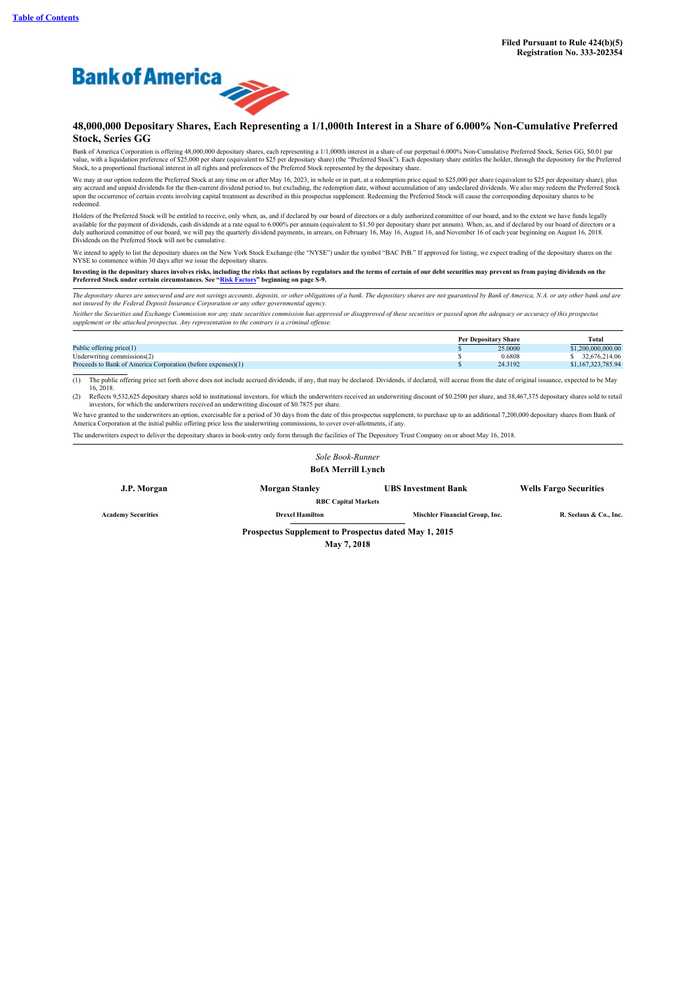

# **48,000,000 Depositary Shares, Each Representing a 1/1,000th Interest in a Share of 6.000% Non-Cumulative Preferred Stock, Series GG**

Bank of America Corporation is offering 48,000,000 depositary shares, each representing a 1/1,000th interest in a share of our perpetual 6,000% Non-Cumulative Preferred Stock, Series GG, \$0.01 par value, with a liquidation preference of \$25,000 per share (equivalent to \$25 per depositary) share (the "Preferred Stock"). Each depositary share entitles the holder, through the depository for the Preferred<br>Stock, to a pr

We may at our option redeem the Preferred Stock at any time on or after May 16, 2023, in whole or in part, at a redemption price equal to \$25,000 per share (equivalent to \$25 per depositary share), pl any accrued and unpaid dividends for the then-current dividend period to, but excluding, the redemption date, without accumulation of any undeclared dividends. We also may redeem the Preferred Stock upon the occurrence of certain events involving capital treatment as described in this prospectus supplement. Redeeming the Preferred Stock will cause the corresponding depositary shares to be redeemed.

Holders of the Preferred Stock will be entitled to receive, only when, as, and if declared by our board of directors or a duly authorized committee of our board, and to the extent we have funds legally available for the payment of dividends, cash dividends at a rate equal to 6.000% per annum (equivalent to \$1.50 per depositary share per annum). When, as, and if declared by our board of directors or a<br>duly authorized comm Dividends on the Preferred Stock will not be cumulative.

We intend to apply to list the depositary shares on the New York Stock Exchange (the "NYSE") under the symbol "BAC PrB." If approved for listing, we expect trading of the depositary shares on the NYSE to commence within 30 ence within 30 days after we issue the depositary shares.

Investing in the depositary shares involves risks, including the risks that actions by regulators and the terms of certain of our debt securities may prevent us from paying dividends on the **Preferred Stock under certain circumstances. See "Risk [Factors](https://www.sec.gov/Archives/edgar/data/70858/000119312518157429/d572029d424b5.htm#supptx572029_3)" beginning on page S-9.**

The depositary shares are unsecured and are not savings accounts, deposits, or other obligations of a bank. The depositary shares are not guaranteed by Bank of America, N.A. or any other bank and are *not insured by the Federal Deposit Insurance Corporation or any other governmental agency.*

Neither the Securities and Exchange Commission nor any state securities commission has approved or disapproved of these securities or passed upon the adequacy or accuracy of this prospectus *supplement or the attached prospectus. Any representation to the contrary is a criminal of ense.*

|                                                              | <b>Per Depositary Share</b> | Total              |
|--------------------------------------------------------------|-----------------------------|--------------------|
| Public offering price $(1)$                                  | 25,0000                     | \$1,200,000,000,00 |
| Underwriting commissions(2)                                  | 0.6808                      | \$ 32,676,214,06   |
| Proceeds to Bank of America Corporation (before expenses)(1) | 24.3192                     | \$1,167,323,785.94 |

(1) The public offering price set forth above does not include accrued dividends, if any, that may be declared. Dividends, if declared, will accrue from the date of original issuance, expected to be May 16, 2018.

(2) Reflects 9,532,625 depositary shares sold to institutional investors, for which the underwriters received an underwriting discount of \$0.2500 per share, and 38,467,375 depositary shares sold to retail investors, for which the underwriters received an underwriting discount of \$0.7875 per share.

We have granted to the underwriters an option, exercisable for a period of 30 days from the date of this prospectus supplement, to purchase up to an additional 7,200,000 depositary shares from Bank of<br>America Corporation a

The underwriters expect to deliver the depositary shares in book-entry only form through the facilities of The Depository Trust Company on or about May 16, 2018.

# *Sole Book-Runner* **BofA Merrill Lynch**

| J.P. Morgan               | <b>Morgan Stanley</b>                                 | <b>UBS Investment Bank</b>     | <b>Wells Fargo Securities</b> |
|---------------------------|-------------------------------------------------------|--------------------------------|-------------------------------|
|                           | <b>RBC Capital Markets</b>                            |                                |                               |
| <b>Academy Securities</b> | <b>Drexel Hamilton</b>                                | Mischler Financial Group, Inc. | R. Seelaus & Co., Inc.        |
|                           | Prospectus Supplement to Prospectus dated May 1, 2015 |                                |                               |
|                           |                                                       |                                |                               |

**May 7, 2018**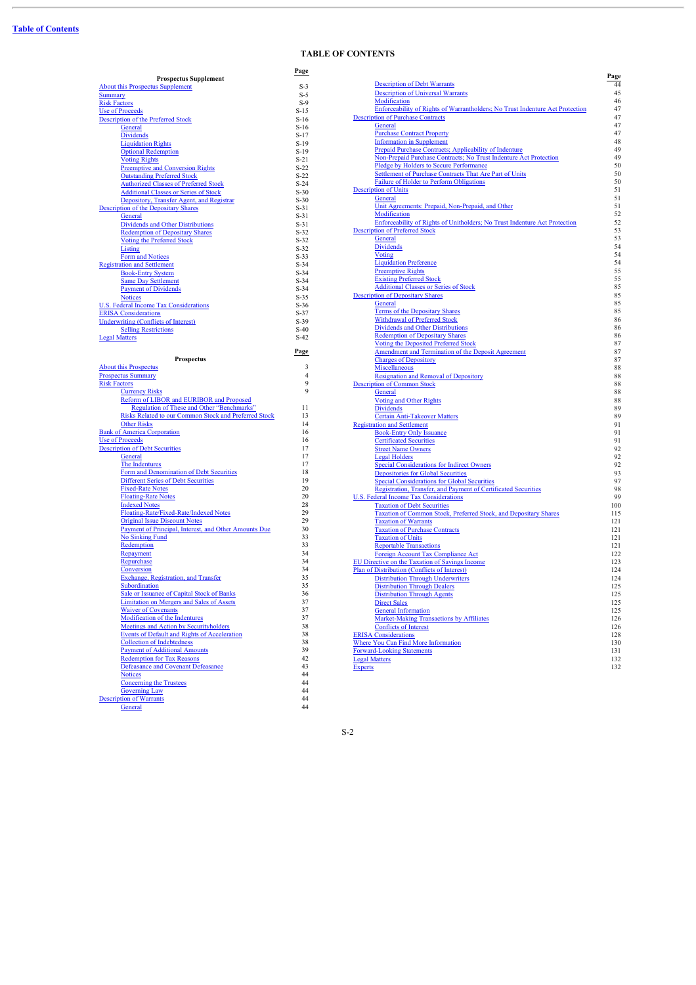# **TABLE OF CONTENTS**

| <b>Prospectus Supplement</b>                                                       | Page                |
|------------------------------------------------------------------------------------|---------------------|
| About this Prospectus Supplement                                                   | $S-3$               |
| <b>Summary</b>                                                                     | $S-5$               |
| <b>Risk Factors</b>                                                                | $S-9$               |
| <b>Use of Proceeds</b>                                                             | $S-15$<br>$S-16$    |
| <b>Description of the Preferred Stock</b><br>General                               | $S-16$              |
| <b>Dividends</b>                                                                   | $S-17$              |
| <b>Liquidation Rights</b>                                                          | $S-19$              |
| <b>Optional Redemption</b>                                                         | $S-19$              |
| <b>Voting Rights</b>                                                               | $S-21$              |
| <b>Preemptive and Conversion Rights</b>                                            | $S-22$<br>$S-22$    |
| <b>Outstanding Preferred Stock</b><br><b>Authorized Classes of Preferred Stock</b> | $S-24$              |
| <b>Additional Classes or Series of Stock</b>                                       | $S-30$              |
| Depository, Transfer Agent, and Registrar                                          | $S-30$              |
| <b>Description of the Depositary Shares</b>                                        | $S-31$              |
| General<br>Dividends and Other Distributions                                       | $S-31$<br>$S-31$    |
| <b>Redemption of Depositary Shares</b>                                             | $S-32$              |
| <b>Voting the Preferred Stock</b>                                                  | $S-32$              |
| Listing                                                                            | $S-32$              |
| Form and Notices                                                                   | $S-33$              |
| <b>Registration and Settlement</b>                                                 | $S-34$              |
| <b>Book-Entry System</b><br><b>Same Day Settlement</b>                             | $S-34$<br>$S-34$    |
| <b>Payment of Dividends</b>                                                        | $S-34$              |
| <b>Notices</b>                                                                     | $S-35$              |
| <b>U.S. Federal Income Tax Considerations</b>                                      | $S-36$              |
| <b>ERISA Considerations</b>                                                        | $S-37$              |
| <b>Underwriting (Conflicts of Interest)</b>                                        | $S-39$              |
| <b>Selling Restrictions</b><br><b>Legal Matters</b>                                | $S-40$<br>$S-42$    |
|                                                                                    |                     |
| Prospectus                                                                         | Page                |
| <b>About this Prospectus</b>                                                       | 3                   |
| <b>Prospectus Summary</b>                                                          | $\overline{4}$<br>9 |
| <b>Risk Factors</b><br><b>Currency Risks</b>                                       | 9                   |
| Reform of LIBOR and EURIBOR and Proposed                                           |                     |
| Regulation of These and Other "Benchmarks"                                         | 11                  |
| Risks Related to our Common Stock and Preferred Stock                              | 13                  |
| <b>Other Risks</b>                                                                 | 14                  |
| <b>Bank of America Corporation</b><br><b>Use of Proceeds</b>                       | 16<br>16            |
| <b>Description of Debt Securities</b>                                              | 17                  |
| General                                                                            | 17                  |
| The Indentures                                                                     | 17                  |
| Form and Denomination of Debt Securities                                           | 18                  |
| Different Series of Debt Securities                                                | 19                  |
| <b>Fixed-Rate Notes</b>                                                            | 20<br>20            |
| <b>Floating-Rate Notes</b><br><b>Indexed Notes</b>                                 | 28                  |
| Floating-Rate/Fixed-Rate/Indexed Notes                                             | 29                  |
| <b>Original Issue Discount Notes</b>                                               | 29                  |
| Payment of Principal, Interest, and Other Amounts Due                              | 30                  |
| <b>No Sinking Fund</b>                                                             | 33                  |
| Redemption<br>Repayment                                                            | 33<br>34            |
| Repurchase                                                                         | 34                  |
| Conversion                                                                         | 34                  |
| <b>Exchange, Registration, and Transfer</b>                                        | 35                  |
| Subordination                                                                      | 35                  |
| Sale or Issuance of Capital Stock of Banks                                         | 36                  |
| <b>Limitation on Mergers and Sales of Assets</b><br><b>Waiver of Covenants</b>     | 37<br>37            |
| Modification of the Indentures                                                     | 37                  |
| Meetings and Action by Securityholders                                             | 38                  |
| <b>Events of Default and Rights of Acceleration</b>                                | 38                  |
| <b>Collection of Indebtedness</b>                                                  | 38                  |
| <b>Payment of Additional Amounts</b>                                               | 39                  |
|                                                                                    |                     |
| <b>Redemption for Tax Reasons</b>                                                  | 42                  |
| Defeasance and Covenant Defeasance                                                 | 43                  |
| <b>Notices</b>                                                                     | 44<br>44            |
| <b>Concerning the Trustees</b><br><b>Governing Law</b>                             | 44                  |
| <b>Description of Warrants</b><br>General                                          | 44<br>44            |

|                                                                                                                             | Page       |
|-----------------------------------------------------------------------------------------------------------------------------|------------|
| <b>Description of Debt Warrants</b>                                                                                         | 44         |
| <b>Description of Universal Warrants</b>                                                                                    | 45         |
| Modification<br>Enforceability of Rights of Warrantholders; No Trust Indenture Act Protection                               | 46<br>47   |
| <b>Description of Purchase Contracts</b>                                                                                    | 47         |
| General                                                                                                                     | 47         |
| <b>Purchase Contract Property</b>                                                                                           | 47         |
| <b>Information in Supplement</b>                                                                                            | 48<br>49   |
| Prepaid Purchase Contracts; Applicability of Indenture<br>Non-Prepaid Purchase Contracts; No Trust Indenture Act Protection | 49         |
| Pledge by Holders to Secure Performance                                                                                     | 50         |
| Settlement of Purchase Contracts That Are Part of Units                                                                     | 50         |
| Failure of Holder to Perform Obligations                                                                                    | 50         |
| <b>Description of Units</b><br>General                                                                                      | 51<br>51   |
| Unit Agreements: Prepaid, Non-Prepaid, and Other                                                                            | 51         |
| Modification                                                                                                                | 52         |
| Enforceability of Rights of Unitholders; No Trust Indenture Act Protection                                                  | 52         |
| <b>Description of Preferred Stock</b>                                                                                       | 53         |
| General<br><b>Dividends</b>                                                                                                 | 53<br>54   |
| <b>Voting</b>                                                                                                               | 54         |
| <b>Liquidation Preference</b>                                                                                               | 54         |
| <b>Preemptive Rights</b>                                                                                                    | 55         |
| <b>Existing Preferred Stock</b>                                                                                             | 55<br>85   |
| <b>Additional Classes or Series of Stock</b><br><b>Description of Depositary Shares</b>                                     | 85         |
| General                                                                                                                     | 85         |
| Terms of the Depositary Shares                                                                                              | 85         |
| <b>Withdrawal of Preferred Stock</b>                                                                                        | 86         |
| <b>Dividends and Other Distributions</b><br><b>Redemption of Depositary Shares</b>                                          | 86<br>86   |
| Voting the Deposited Preferred Stock                                                                                        | 87         |
| Amendment and Termination of the Deposit Agreement                                                                          | 87         |
| <b>Charges of Depository</b>                                                                                                | 87         |
| Miscellaneous                                                                                                               | 88<br>88   |
| <b>Resignation and Removal of Depository</b><br><b>Description of Common Stock</b>                                          | 88         |
| General                                                                                                                     | 88         |
| <b>Voting and Other Rights</b>                                                                                              | 88         |
| <b>Dividends</b>                                                                                                            | 89         |
| <b>Certain Anti-Takeover Matters</b><br><b>Registration and Settlement</b>                                                  | 89<br>91   |
| <b>Book-Entry Only Issuance</b>                                                                                             | 91         |
| <b>Certificated Securities</b>                                                                                              | 91         |
| <b>Street Name Owners</b>                                                                                                   | 92         |
| <b>Legal Holders</b><br><b>Special Considerations for Indirect Owners</b>                                                   | 92<br>92   |
| <b>Depositories for Global Securities</b>                                                                                   | 93         |
| Special Considerations for Global Securities                                                                                | 97         |
| Registration, Transfer, and Payment of Certificated Securities                                                              | 98         |
| U.S. Federal Income Tax Considerations                                                                                      | 99         |
| <b>Taxation of Debt Securities</b><br>Taxation of Common Stock, Preferred Stock, and Depositary Shares                      | 100<br>115 |
| <b>Taxation of Warrants</b>                                                                                                 | 121        |
| <b>Taxation of Purchase Contracts</b>                                                                                       | 121        |
| <b>Taxation of Units</b>                                                                                                    | 121        |
| <b>Reportable Transactions</b><br>Foreign Account Tax Compliance Act                                                        | 121<br>122 |
| EU Directive on the Taxation of Savings Income                                                                              | 123        |
| Plan of Distribution (Conflicts of Interest)                                                                                | 124        |
| <b>Distribution Through Underwriters</b>                                                                                    | 124        |
| <b>Distribution Through Dealers</b>                                                                                         | 125<br>125 |
| <b>Distribution Through Agents</b><br><b>Direct Sales</b>                                                                   | 125        |
| <b>General Information</b>                                                                                                  | 125        |
| Market-Making Transactions by Affiliates                                                                                    | 126        |
| <b>Conflicts of Interest</b>                                                                                                | 126        |
| <b>ERISA Considerations</b><br>Where You Can Find More Information                                                          | 128<br>130 |
| <b>Forward-Looking Statements</b>                                                                                           | 131        |
| <b>Legal Matters</b>                                                                                                        | 132        |
| <b>Experts</b>                                                                                                              | 132        |
|                                                                                                                             |            |

**Page**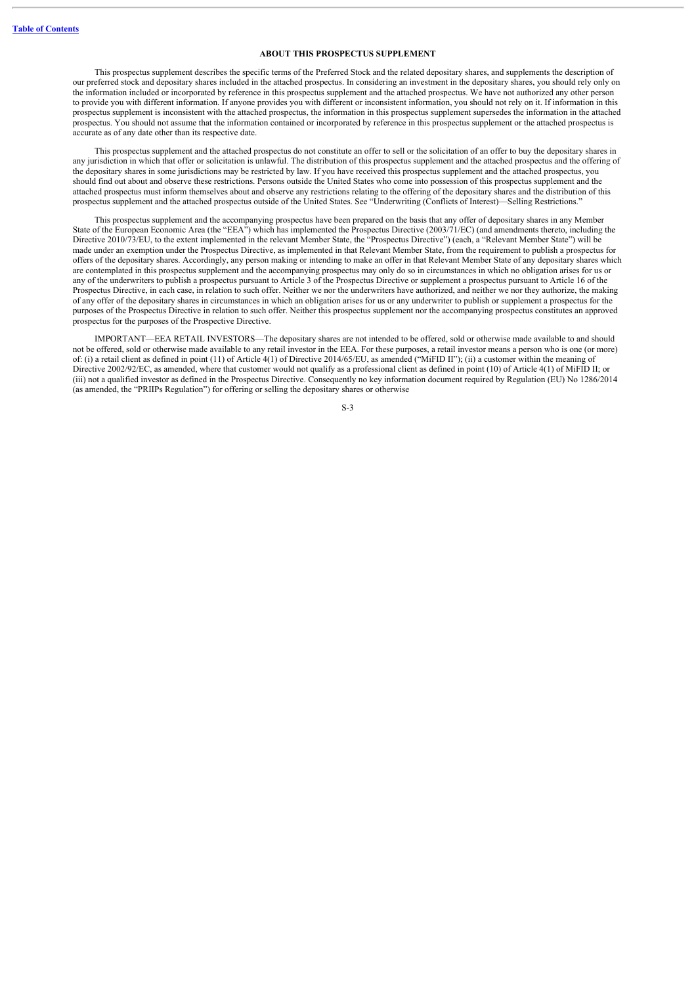### **ABOUT THIS PROSPECTUS SUPPLEMENT**

This prospectus supplement describes the specific terms of the Preferred Stock and the related depositary shares, and supplements the description of our preferred stock and depositary shares included in the attached prospectus. In considering an investment in the depositary shares, you should rely only on the information included or incorporated by reference in this prospectus supplement and the attached prospectus. We have not authorized any other person to provide you with different information. If anyone provides you with different or inconsistent information, you should not rely on it. If information in this prospectus supplement is inconsistent with the attached prospectus, the information in this prospectus supplement supersedes the information in the attached prospectus. You should not assume that the information contained or incorporated by reference in this prospectus supplement or the attached prospectus is accurate as of any date other than its respective date.

This prospectus supplement and the attached prospectus do not constitute an offer to sell or the solicitation of an offer to buy the depositary shares in any jurisdiction in which that offer or solicitation is unlawful. The distribution of this prospectus supplement and the attached prospectus and the offering of the depositary shares in some jurisdictions may be restricted by law. If you have received this prospectus supplement and the attached prospectus, you should find out about and observe these restrictions. Persons outside the United States who come into possession of this prospectus supplement and the attached prospectus must inform themselves about and observe any restrictions relating to the offering of the depositary shares and the distribution of this prospectus supplement and the attached prospectus outside of the United States. See "Underwriting (Conflicts of Interest)—Selling Restrictions."

This prospectus supplement and the accompanying prospectus have been prepared on the basis that any offer of depositary shares in any Member State of the European Economic Area (the "EEA") which has implemented the Prospectus Directive (2003/71/EC) (and amendments thereto, including the Directive 2010/73/EU, to the extent implemented in the relevant Member State, the "Prospectus Directive") (each, a "Relevant Member State") will be made under an exemption under the Prospectus Directive, as implemented in that Relevant Member State, from the requirement to publish a prospectus for offers of the depositary shares. Accordingly, any person making or intending to make an offer in that Relevant Member State of any depositary shares which are contemplated in this prospectus supplement and the accompanying prospectus may only do so in circumstances in which no obligation arises for us or any of the underwriters to publish a prospectus pursuant to Article 3 of the Prospectus Directive or supplement a prospectus pursuant to Article 16 of the Prospectus Directive, in each case, in relation to such offer. Neither we nor the underwriters have authorized, and neither we nor they authorize, the making of any offer of the depositary shares in circumstances in which an obligation arises for us or any underwriter to publish or supplement a prospectus for the purposes of the Prospectus Directive in relation to such offer. Neither this prospectus supplement nor the accompanying prospectus constitutes an approved prospectus for the purposes of the Prospective Directive.

IMPORTANT—EEA RETAIL INVESTORS—The depositary shares are not intended to be offered, sold or otherwise made available to and should not be offered, sold or otherwise made available to any retail investor in the EEA. For these purposes, a retail investor means a person who is one (or more) of: (i) a retail client as defined in point (11) of Article 4(1) of Directive 2014/65/EU, as amended ("MiFID II"); (ii) a customer within the meaning of Directive 2002/92/EC, as amended, where that customer would not qualify as a professional client as defined in point (10) of Article 4(1) of MiFID II; or (iii) not a qualified investor as defined in the Prospectus Directive. Consequently no key information document required by Regulation (EU) No 1286/2014 (as amended, the "PRIIPs Regulation") for offering or selling the depositary shares or otherwise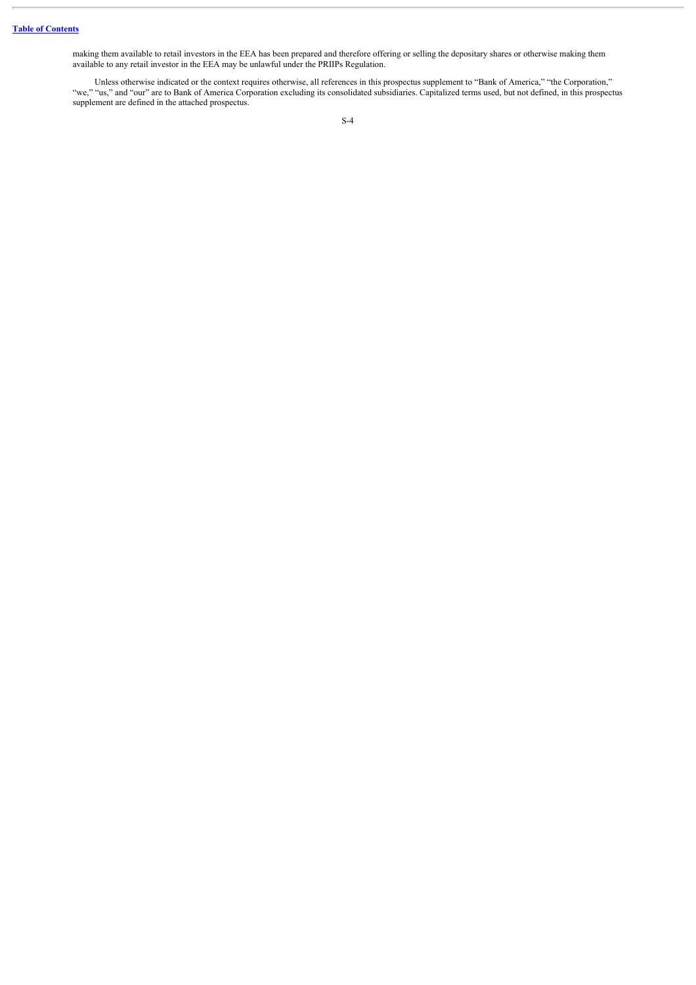making them available to retail investors in the EEA has been prepared and therefore offering or selling the depositary shares or otherwise making them available to any retail investor in the EEA may be unlawful under the PRIIPs Regulation.

Unless otherwise indicated or the context requires otherwise, all references in this prospectus supplement to "Bank of America," "the Corporation," "we," "us," and "our" are to Bank of America Corporation excluding its consolidated subsidiaries. Capitalized terms used, but not defined, in this prospectus supplement are defined in the attached prospectus.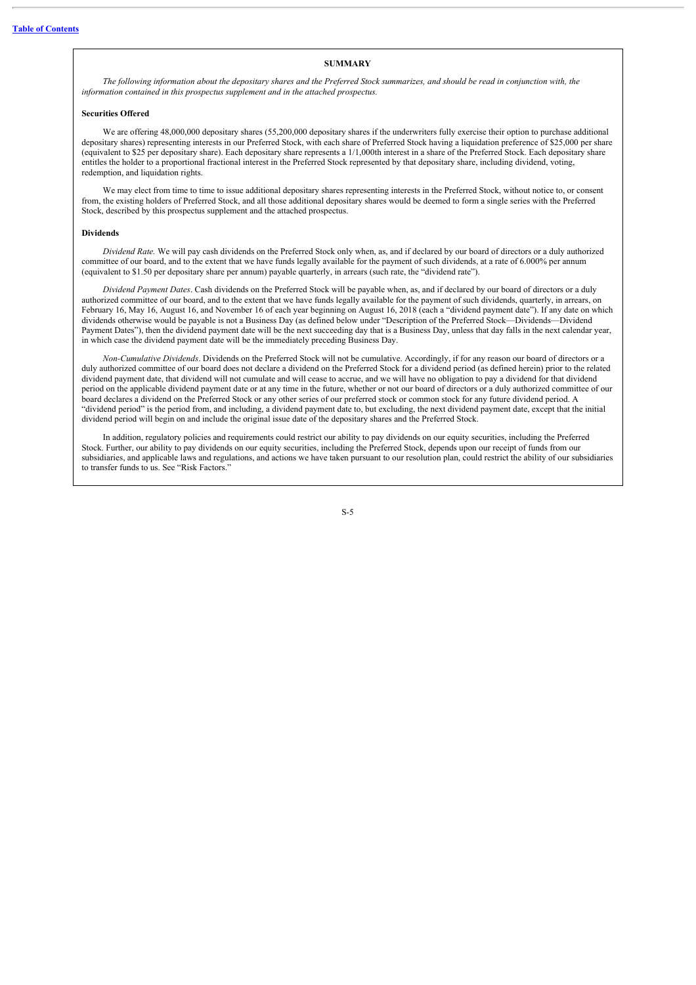## **SUMMARY**

The following information about the depositary shares and the Preferred Stock summarizes, and should be read in conjunction with, the *information contained in this prospectus supplement and in the attached prospectus.*

#### **Securities Offered**

We are offering 48,000,000 depositary shares (55,200,000 depositary shares if the underwriters fully exercise their option to purchase additional depositary shares) representing interests in our Preferred Stock, with each share of Preferred Stock having a liquidation preference of \$25,000 per share (equivalent to \$25 per depositary share). Each depositary share represents a 1/1,000th interest in a share of the Preferred Stock. Each depositary share entitles the holder to a proportional fractional interest in the Preferred Stock represented by that depositary share, including dividend, voting, redemption, and liquidation rights.

We may elect from time to time to issue additional depositary shares representing interests in the Preferred Stock, without notice to, or consent from, the existing holders of Preferred Stock, and all those additional depositary shares would be deemed to form a single series with the Preferred Stock, described by this prospectus supplement and the attached prospectus.

#### **Dividends**

*Dividend Rate.* We will pay cash dividends on the Preferred Stock only when, as, and if declared by our board of directors or a duly authorized committee of our board, and to the extent that we have funds legally available for the payment of such dividends, at a rate of 6.000% per annum (equivalent to \$1.50 per depositary share per annum) payable quarterly, in arrears (such rate, the "dividend rate").

*Dividend Payment Dates*. Cash dividends on the Preferred Stock will be payable when, as, and if declared by our board of directors or a duly authorized committee of our board, and to the extent that we have funds legally available for the payment of such dividends, quarterly, in arrears, on February 16, May 16, August 16, and November 16 of each year beginning on August 16, 2018 (each a "dividend payment date"). If any date on which dividends otherwise would be payable is not a Business Day (as defined below under "Description of the Preferred Stock—Dividends—Dividend Payment Dates"), then the dividend payment date will be the next succeeding day that is a Business Day, unless that day falls in the next calendar year, in which case the dividend payment date will be the immediately preceding Business Day.

*Non-Cumulative Dividends*. Dividends on the Preferred Stock will not be cumulative. Accordingly, if for any reason our board of directors or a duly authorized committee of our board does not declare a dividend on the Preferred Stock for a dividend period (as defined herein) prior to the related dividend payment date, that dividend will not cumulate and will cease to accrue, and we will have no obligation to pay a dividend for that dividend period on the applicable dividend payment date or at any time in the future, whether or not our board of directors or a duly authorized committee of our board declares a dividend on the Preferred Stock or any other series of our preferred stock or common stock for any future dividend period. A "dividend period" is the period from, and including, a dividend payment date to, but excluding, the next dividend payment date, except that the initial dividend period will begin on and include the original issue date of the depositary shares and the Preferred Stock.

In addition, regulatory policies and requirements could restrict our ability to pay dividends on our equity securities, including the Preferred Stock. Further, our ability to pay dividends on our equity securities, including the Preferred Stock, depends upon our receipt of funds from our subsidiaries, and applicable laws and regulations, and actions we have taken pursuant to our resolution plan, could restrict the ability of our subsidiaries to transfer funds to us. See "Risk Factors."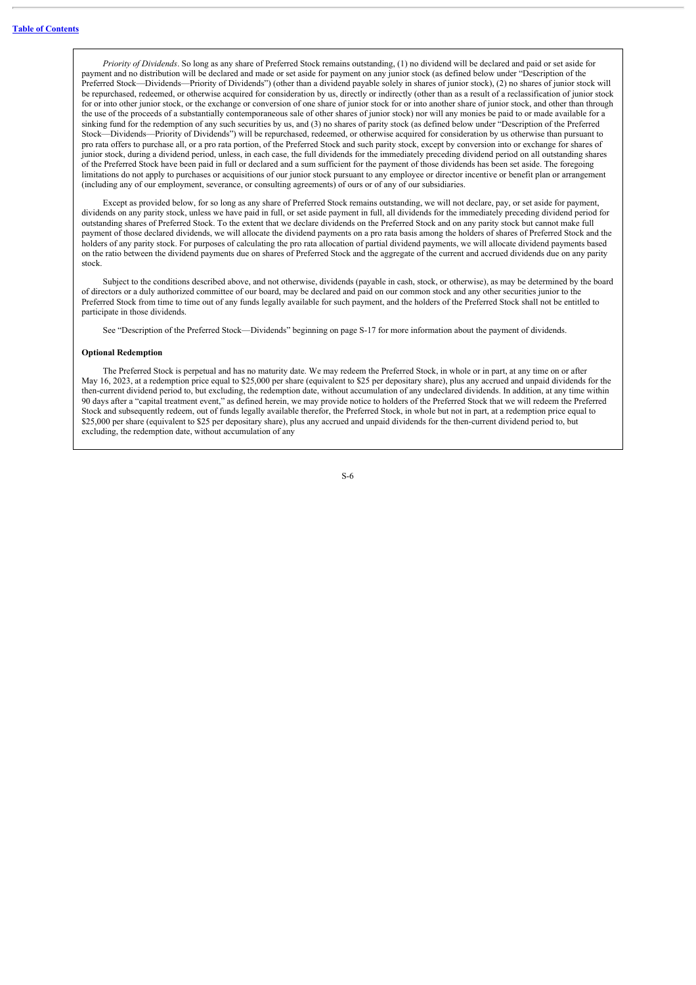*Priority of Dividends*. So long as any share of Preferred Stock remains outstanding, (1) no dividend will be declared and paid or set aside for payment and no distribution will be declared and made or set aside for payment on any junior stock (as defined below under "Description of the Preferred Stock—Dividends—Priority of Dividends") (other than a dividend payable solely in shares of junior stock), (2) no shares of junior stock will be repurchased, redeemed, or otherwise acquired for consideration by us, directly or indirectly (other than as a result of a reclassification of junior stock for or into other junior stock, or the exchange or conversion of one share of junior stock for or into another share of junior stock, and other than through the use of the proceeds of a substantially contemporaneous sale of other shares of junior stock) nor will any monies be paid to or made available for a sinking fund for the redemption of any such securities by us, and (3) no shares of parity stock (as defined below under "Description of the Preferred Stock—Dividends—Priority of Dividends") will be repurchased, redeemed, or otherwise acquired for consideration by us otherwise than pursuant to pro rata offers to purchase all, or a pro rata portion, of the Preferred Stock and such parity stock, except by conversion into or exchange for shares of junior stock, during a dividend period, unless, in each case, the full dividends for the immediately preceding dividend period on all outstanding shares of the Preferred Stock have been paid in full or declared and a sum sufficient for the payment of those dividends has been set aside. The foregoing limitations do not apply to purchases or acquisitions of our junior stock pursuant to any employee or director incentive or benefit plan or arrangement (including any of our employment, severance, or consulting agreements) of ours or of any of our subsidiaries.

Except as provided below, for so long as any share of Preferred Stock remains outstanding, we will not declare, pay, or set aside for payment, dividends on any parity stock, unless we have paid in full, or set aside payment in full, all dividends for the immediately preceding dividend period for outstanding shares of Preferred Stock. To the extent that we declare dividends on the Preferred Stock and on any parity stock but cannot make full payment of those declared dividends, we will allocate the dividend payments on a pro rata basis among the holders of shares of Preferred Stock and the holders of any parity stock. For purposes of calculating the pro rata allocation of partial dividend payments, we will allocate dividend payments based on the ratio between the dividend payments due on shares of Preferred Stock and the aggregate of the current and accrued dividends due on any parity stock.

Subject to the conditions described above, and not otherwise, dividends (payable in cash, stock, or otherwise), as may be determined by the board of directors or a duly authorized committee of our board, may be declared and paid on our common stock and any other securities junior to the Preferred Stock from time to time out of any funds legally available for such payment, and the holders of the Preferred Stock shall not be entitled to participate in those dividends.

See "Description of the Preferred Stock—Dividends" beginning on page S-17 for more information about the payment of dividends.

### **Optional Redemption**

The Preferred Stock is perpetual and has no maturity date. We may redeem the Preferred Stock, in whole or in part, at any time on or after May 16, 2023, at a redemption price equal to \$25,000 per share (equivalent to \$25 per depositary share), plus any accrued and unpaid dividends for the then-current dividend period to, but excluding, the redemption date, without accumulation of any undeclared dividends. In addition, at any time within 90 days after a "capital treatment event," as defined herein, we may provide notice to holders of the Preferred Stock that we will redeem the Preferred Stock and subsequently redeem, out of funds legally available therefor, the Preferred Stock, in whole but not in part, at a redemption price equal to \$25,000 per share (equivalent to \$25 per depositary share), plus any accrued and unpaid dividends for the then-current dividend period to, but excluding, the redemption date, without accumulation of any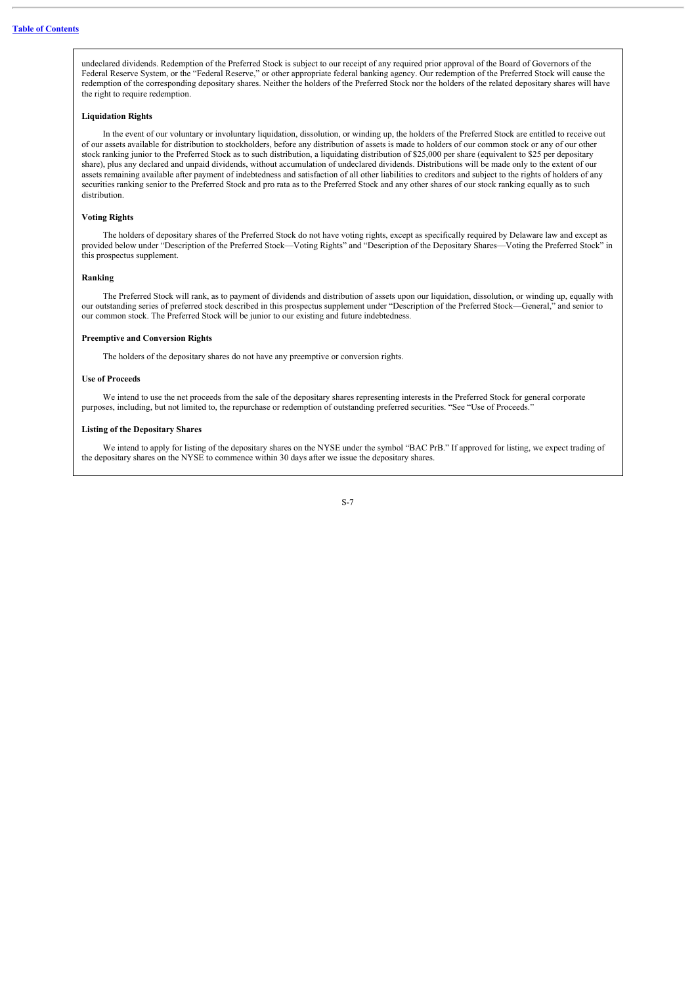undeclared dividends. Redemption of the Preferred Stock is subject to our receipt of any required prior approval of the Board of Governors of the Federal Reserve System, or the "Federal Reserve," or other appropriate federal banking agency. Our redemption of the Preferred Stock will cause the redemption of the corresponding depositary shares. Neither the holders of the Preferred Stock nor the holders of the related depositary shares will have the right to require redemption.

#### **Liquidation Rights**

In the event of our voluntary or involuntary liquidation, dissolution, or winding up, the holders of the Preferred Stock are entitled to receive out of our assets available for distribution to stockholders, before any distribution of assets is made to holders of our common stock or any of our other stock ranking junior to the Preferred Stock as to such distribution, a liquidating distribution of \$25,000 per share (equivalent to \$25 per depositary share), plus any declared and unpaid dividends, without accumulation of undeclared dividends. Distributions will be made only to the extent of our assets remaining available after payment of indebtedness and satisfaction of all other liabilities to creditors and subject to the rights of holders of any assets remaining available after payment of indebtedness and satis securities ranking senior to the Preferred Stock and pro rata as to the Preferred Stock and any other shares of our stock ranking equally as to such distribution.

### **Voting Rights**

The holders of depositary shares of the Preferred Stock do not have voting rights, except as specifically required by Delaware law and except as provided below under "Description of the Preferred Stock—Voting Rights" and "Description of the Depositary Shares—Voting the Preferred Stock" in this prospectus supplement.

#### **Ranking**

The Preferred Stock will rank, as to payment of dividends and distribution of assets upon our liquidation, dissolution, or winding up, equally with our outstanding series of preferred stock described in this prospectus supplement under "Description of the Preferred Stock—General," and senior to our common stock. The Preferred Stock will be junior to our existing and future indebtedness.

### **Preemptive and Conversion Rights**

The holders of the depositary shares do not have any preemptive or conversion rights.

# **Use of Proceeds**

We intend to use the net proceeds from the sale of the depositary shares representing interests in the Preferred Stock for general corporate purposes, including, but not limited to, the repurchase or redemption of outstanding preferred securities. "See "Use of Proceeds."

### **Listing of the Depositary Shares**

We intend to apply for listing of the depositary shares on the NYSE under the symbol "BAC PrB." If approved for listing, we expect trading of the depositary shares on the NYSE to commence within 30 days after we issue the depositary shares.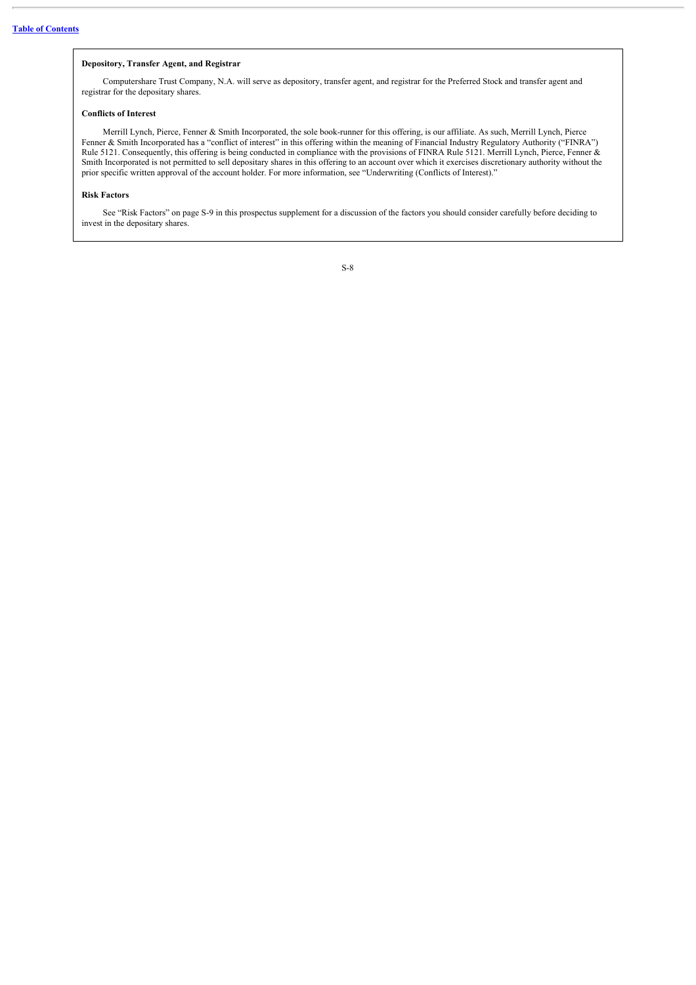# **Depository, Transfer Agent, and Registrar**

Computershare Trust Company, N.A. will serve as depository, transfer agent, and registrar for the Preferred Stock and transfer agent and registrar for the depositary shares.

## **Conflicts of Interest**

Merrill Lynch, Pierce, Fenner & Smith Incorporated, the sole book-runner for this offering, is our affiliate. As such, Merrill Lynch, Pierce Fenner & Smith Incorporated has a "conflict of interest" in this offering within the meaning of Financial Industry Regulatory Authority ("FINRA") Rule 5121. Consequently, this offering is being conducted in compliance with the provisions of FINRA Rule 5121. Merrill Lynch, Pierce, Fenner  $\&$ Smith Incorporated is not permitted to sell depositary shares in this offering to an account over which it exercises discretionary authority without the prior specific written approval of the account holder. For more information, see "Underwriting (Conflicts of Interest)."

# **Risk Factors**

See "Risk Factors" on page S-9 in this prospectus supplement for a discussion of the factors you should consider carefully before deciding to invest in the depositary shares.

| ۰.<br>۰.<br>v | I<br>۰. |
|---------------|---------|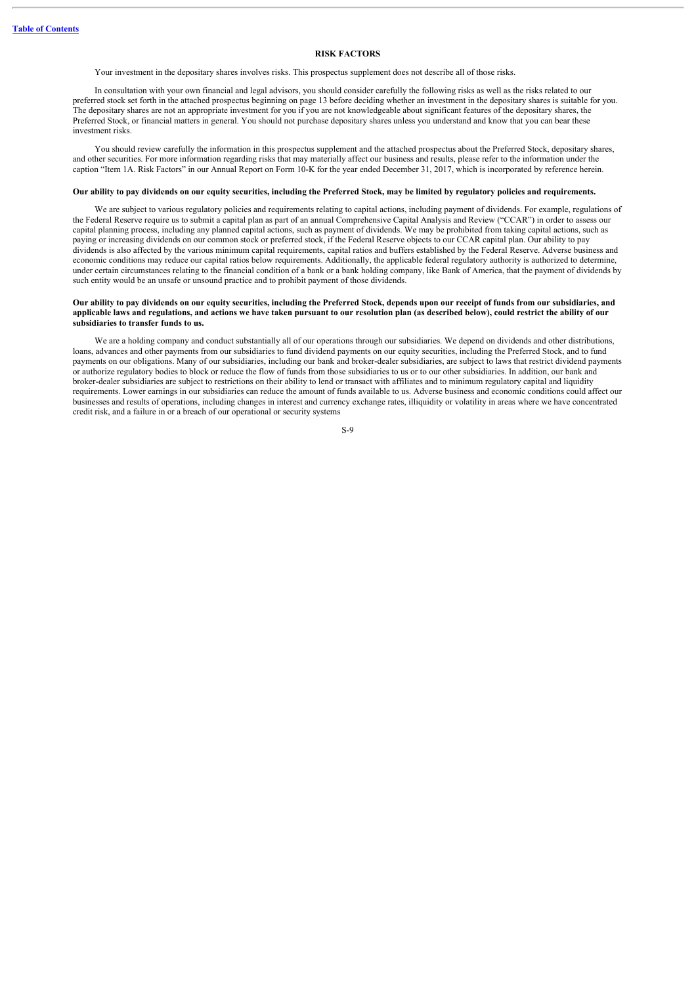#### **RISK FACTORS**

Your investment in the depositary shares involves risks. This prospectus supplement does not describe all of those risks.

In consultation with your own financial and legal advisors, you should consider carefully the following risks as well as the risks related to our preferred stock set forth in the attached prospectus beginning on page 13 before deciding whether an investment in the depositary shares is suitable for you. The depositary shares are not an appropriate investment for you if you are not knowledgeable about significant features of the depositary shares, the Preferred Stock, or financial matters in general. You should not purchase depositary shares unless you understand and know that you can bear these investment risks.

You should review carefully the information in this prospectus supplement and the attached prospectus about the Preferred Stock, depositary shares, and other securities. For more information regarding risks that may materially affect our business and results, please refer to the information under the caption "Item 1A. Risk Factors" in our Annual Report on Form 10-K for the year ended December 31, 2017, which is incorporated by reference herein.

#### Our ability to pay dividends on our equity securities, including the Preferred Stock, may be limited by regulatory policies and requirements.

We are subject to various regulatory policies and requirements relating to capital actions, including payment of dividends. For example, regulations of the Federal Reserve require us to submit a capital plan as part of an annual Comprehensive Capital Analysis and Review ("CCAR") in order to assess our capital planning process, including any planned capital actions, such as payment of dividends. We may be prohibited from taking capital actions, such as paying or increasing dividends on our common stock or preferred stock, if the Federal Reserve objects to our CCAR capital plan. Our ability to pay dividends is also affected by the various minimum capital requirements, capital ratios and buffers established by the Federal Reserve. Adverse business and economic conditions may reduce our capital ratios below requirements. Additionally, the applicable federal regulatory authority is authorized to determine, under certain circumstances relating to the financial condition of a bank or a bank holding company, like Bank of America, that the payment of dividends by such entity would be an unsafe or unsound practice and to prohibit payment of those dividends.

#### Our ability to pay dividends on our equity securities, including the Preferred Stock, depends upon our receipt of funds from our subsidiaries, and applicable laws and regulations, and actions we have taken pursuant to our resolution plan (as described below), could restrict the ability of our **subsidiaries to transfer funds to us.**

We are a holding company and conduct substantially all of our operations through our subsidiaries. We depend on dividends and other distributions, loans, advances and other payments from our subsidiaries to fund dividend payments on our equity securities, including the Preferred Stock, and to fund payments on our obligations. Many of our subsidiaries, including our bank and broker-dealer subsidiaries, are subject to laws that restrict dividend payments or authorize regulatory bodies to block or reduce the flow of funds from those subsidiaries to us or to our other subsidiaries. In addition, our bank and broker-dealer subsidiaries are subject to restrictions on their ability to lend or transact with affiliates and to minimum regulatory capital and liquidity requirements. Lower earnings in our subsidiaries can reduce the amount of funds available to us. Adverse business and economic conditions could affect our businesses and results of operations, including changes in interest and currency exchange rates, illiquidity or volatility in areas where we have concentrated credit risk, and a failure in or a breach of our operational or security systems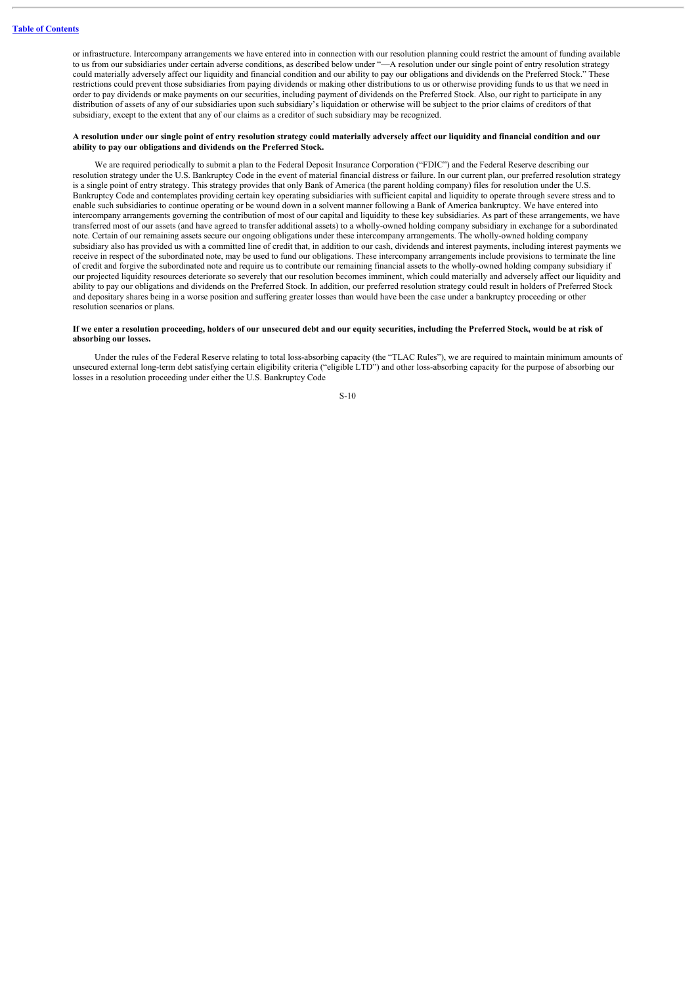or infrastructure. Intercompany arrangements we have entered into in connection with our resolution planning could restrict the amount of funding available to us from our subsidiaries under certain adverse conditions, as described below under "—A resolution under our single point of entry resolution strategy could materially adversely affect our liquidity and financial condition and our ability to pay our obligations and dividends on the Preferred Stock." These restrictions could prevent those subsidiaries from paying dividends or making other distributions to us or otherwise providing funds to us that we need in order to pay dividends or make payments on our securities, including payment of dividends on the Preferred Stock. Also, our right to participate in any distribution of assets of any of our subsidiaries upon such subsidiary's liquidation or otherwise will be subject to the prior claims of creditors of that subsidiary, except to the extent that any of our claims as a creditor of such subsidiary may be recognized.

### A resolution under our single point of entry resolution strategy could materially adversely affect our liquidity and financial condition and our **ability to pay our obligations and dividends on the Preferred Stock.**

We are required periodically to submit a plan to the Federal Deposit Insurance Corporation ("FDIC") and the Federal Reserve describing our resolution strategy under the U.S. Bankruptcy Code in the event of material financial distress or failure. In our current plan, our preferred resolution strategy is a single point of entry strategy. This strategy provides that only Bank of America (the parent holding company) files for resolution under the U.S. Bankruptcy Code and contemplates providing certain key operating subsidiaries with sufficient capital and liquidity to operate through severe stress and to enable such subsidiaries to continue operating or be wound down in a solvent manner following a Bank of America bankruptcy. We have entered into intercompany arrangements governing the contribution of most of our capital and liquidity to these key subsidiaries. As part of these arrangements, we have transferred most of our assets (and have agreed to transfer additional assets) to a wholly-owned holding company subsidiary in exchange for a subordinated note. Certain of our remaining assets secure our ongoing obligations under these intercompany arrangements. The wholly-owned holding company subsidiary also has provided us with a committed line of credit that, in addition to our cash, dividends and interest payments, including interest payments we receive in respect of the subordinated note, may be used to fund our obligations. These intercompany arrangements include provisions to terminate the line of credit and forgive the subordinated note and require us to contribute our remaining financial assets to the wholly-owned holding company subsidiary if our projected liquidity resources deteriorate so severely that our resolution becomes imminent, which could materially and adversely affect our liquidity and ability to pay our obligations and dividends on the Preferred Stock. In addition, our preferred resolution strategy could result in holders of Preferred Stock and depositary shares being in a worse position and suffering greater losses than would have been the case under a bankruptcy proceeding or other resolution scenarios or plans.

### If we enter a resolution proceeding, holders of our unsecured debt and our equity securities, including the Preferred Stock, would be at risk of **absorbing our losses.**

Under the rules of the Federal Reserve relating to total loss-absorbing capacity (the "TLAC Rules"), we are required to maintain minimum amounts of unsecured external long-term debt satisfying certain eligibility criteria ("eligible LTD") and other loss-absorbing capacity for the purpose of absorbing our losses in a resolution proceeding under either the U.S. Bankruptcy Code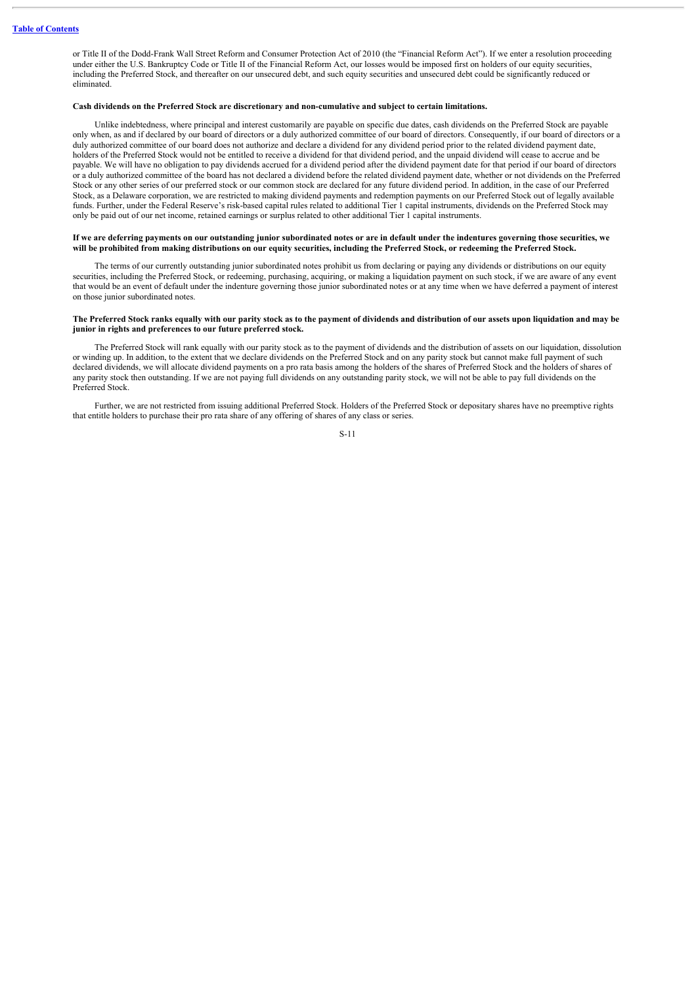or Title II of the Dodd-Frank Wall Street Reform and Consumer Protection Act of 2010 (the "Financial Reform Act"). If we enter a resolution proceeding under either the U.S. Bankruptcy Code or Title II of the Financial Reform Act, our losses would be imposed first on holders of our equity securities, including the Preferred Stock, and thereafter on our unsecured debt, and such equity securities and unsecured debt could be significantly reduced or eliminated.

#### **Cash dividends on the Preferred Stock are discretionary and non-cumulative and subject to certain limitations.**

Unlike indebtedness, where principal and interest customarily are payable on specific due dates, cash dividends on the Preferred Stock are payable only when, as and if declared by our board of directors or a duly authorized committee of our board of directors. Consequently, if our board of directors or a duly authorized committee of our board does not authorize and declare a dividend for any dividend period prior to the related dividend payment date, holders of the Preferred Stock would not be entitled to receive a dividend for that dividend period, and the unpaid dividend will cease to accrue and be payable. We will have no obligation to pay dividends accrued for a dividend period after the dividend payment date for that period if our board of directors or a duly authorized committee of the board has not declared a dividend before the related dividend payment date, whether or not dividends on the Preferred Stock or any other series of our preferred stock or our common stock are declared for any future dividend period. In addition, in the case of our Preferred Stock, as a Delaware corporation, we are restricted to making dividend payments and redemption payments on our Preferred Stock out of legally available funds. Further, under the Federal Reserve's risk-based capital rules related to additional Tier 1 capital instruments, dividends on the Preferred Stock may only be paid out of our net income, retained earnings or surplus related to other additional Tier 1 capital instruments.

#### If we are deferring payments on our outstanding junior subordinated notes or are in default under the indentures governing those securities, we will be prohibited from making distributions on our equity securities, including the Preferred Stock, or redeeming the Preferred Stock.

The terms of our currently outstanding junior subordinated notes prohibit us from declaring or paying any dividends or distributions on our equity securities, including the Preferred Stock, or redeeming, purchasing, acquiring, or making a liquidation payment on such stock, if we are aware of any event that would be an event of default under the indenture governing those junior subordinated notes or at any time when we have deferred a payment of interest on those junior subordinated notes.

### The Preferred Stock ranks equally with our parity stock as to the payment of dividends and distribution of our assets upon liquidation and may be **junior in rights and preferences to our future preferred stock.**

The Preferred Stock will rank equally with our parity stock as to the payment of dividends and the distribution of assets on our liquidation, dissolution or winding up. In addition, to the extent that we declare dividends on the Preferred Stock and on any parity stock but cannot make full payment of such declared dividends, we will allocate dividend payments on a pro rata basis among the holders of the shares of Preferred Stock and the holders of shares of any parity stock then outstanding. If we are not paying full dividends on any outstanding parity stock, we will not be able to pay full dividends on the Preferred Stock.

Further, we are not restricted from issuing additional Preferred Stock. Holders of the Preferred Stock or depositary shares have no preemptive rights that entitle holders to purchase their pro rata share of any offering of shares of any class or series.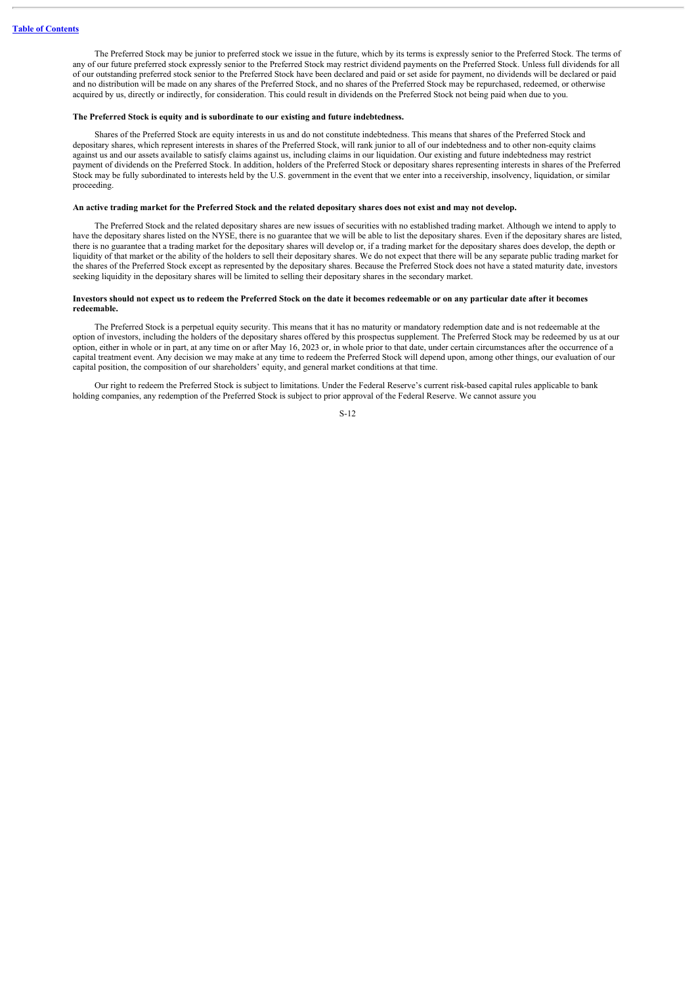The Preferred Stock may be junior to preferred stock we issue in the future, which by its terms is expressly senior to the Preferred Stock. The terms of any of our future preferred stock expressly senior to the Preferred Stock may restrict dividend payments on the Preferred Stock. Unless full dividends for all of our outstanding preferred stock senior to the Preferred Stock have been declared and paid or set aside for payment, no dividends will be declared or paid and no distribution will be made on any shares of the Preferred Stock, and no shares of the Preferred Stock may be repurchased, redeemed, or otherwise acquired by us, directly or indirectly, for consideration. This could result in dividends on the Preferred Stock not being paid when due to you.

#### **The Preferred Stock is equity and is subordinate to our existing and future indebtedness.**

Shares of the Preferred Stock are equity interests in us and do not constitute indebtedness. This means that shares of the Preferred Stock and depositary shares, which represent interests in shares of the Preferred Stock, will rank junior to all of our indebtedness and to other non-equity claims against us and our assets available to satisfy claims against us, including claims in our liquidation. Our existing and future indebtedness may restrict payment of dividends on the Preferred Stock. In addition, holders of the Preferred Stock or depositary shares representing interests in shares of the Preferred Stock may be fully subordinated to interests held by the U.S. government in the event that we enter into a receivership, insolvency, liquidation, or similar proceeding.

#### An active trading market for the Preferred Stock and the related depositary shares does not exist and may not develop.

The Preferred Stock and the related depositary shares are new issues of securities with no established trading market. Although we intend to apply to have the depositary shares listed on the NYSE, there is no guarantee that we will be able to list the depositary shares. Even if the depositary shares are listed, there is no guarantee that a trading market for the depositary shares will develop or, if a trading market for the depositary shares does develop, the depth or liquidity of that market or the ability of the holders to sell their depositary shares. We do not expect that there will be any separate public trading market for the shares of the Preferred Stock except as represented by the depositary shares. Because the Preferred Stock does not have a stated maturity date, investors seeking liquidity in the depositary shares will be limited to selling their depositary shares in the secondary market.

### Investors should not expect us to redeem the Preferred Stock on the date it becomes redeemable or on any particular date after it becomes **redeemable.**

The Preferred Stock is a perpetual equity security. This means that it has no maturity or mandatory redemption date and is not redeemable at the option of investors, including the holders of the depositary shares offered by this prospectus supplement. The Preferred Stock may be redeemed by us at our option, either in whole or in part, at any time on or after May 16, 2023 or, in whole prior to that date, under certain circumstances after the occurrence of a capital treatment event. Any decision we may make at any time to redeem the Preferred Stock will depend upon, among other things, our evaluation of our capital position, the composition of our shareholders' equity, and general market conditions at that time.

Our right to redeem the Preferred Stock is subject to limitations. Under the Federal Reserve's current risk-based capital rules applicable to bank holding companies, any redemption of the Preferred Stock is subject to prior approval of the Federal Reserve. We cannot assure you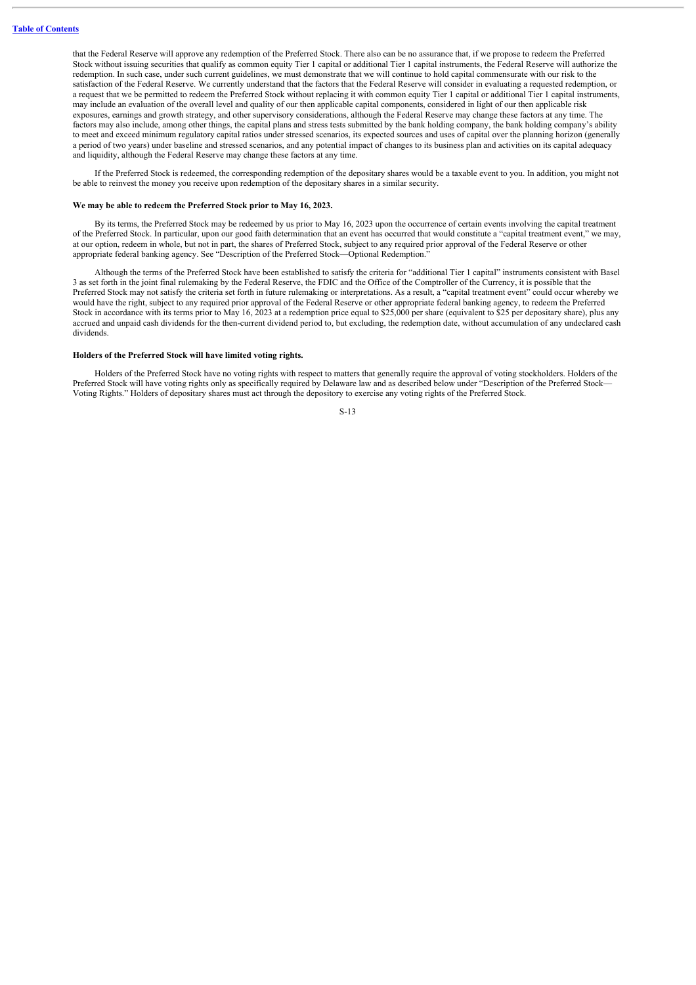that the Federal Reserve will approve any redemption of the Preferred Stock. There also can be no assurance that, if we propose to redeem the Preferred Stock without issuing securities that qualify as common equity Tier 1 capital or additional Tier 1 capital instruments, the Federal Reserve will authorize the redemption. In such case, under such current guidelines, we must demonstrate that we will continue to hold capital commensurate with our risk to the satisfaction of the Federal Reserve. We currently understand that the factors that the Federal Reserve will consider in evaluating a requested redemption, or a request that we be permitted to redeem the Preferred Stock without replacing it with common equity Tier 1 capital or additional Tier 1 capital instruments, may include an evaluation of the overall level and quality of our then applicable capital components, considered in light of our then applicable risk exposures, earnings and growth strategy, and other supervisory considerations, although the Federal Reserve may change these factors at any time. The factors may also include, among other things, the capital plans and stress tests submitted by the bank holding company, the bank holding company's ability to meet and exceed minimum regulatory capital ratios under stressed scenarios, its expected sources and uses of capital over the planning horizon (generally a period of two years) under baseline and stressed scenarios, and any potential impact of changes to its business plan and activities on its capital adequacy and liquidity, although the Federal Reserve may change these factors at any time.

If the Preferred Stock is redeemed, the corresponding redemption of the depositary shares would be a taxable event to you. In addition, you might not be able to reinvest the money you receive upon redemption of the depositary shares in a similar security.

#### **We may be able to redeem the Preferred Stock prior to May 16, 2023.**

By its terms, the Preferred Stock may be redeemed by us prior to May 16, 2023 upon the occurrence of certain events involving the capital treatment of the Preferred Stock. In particular, upon our good faith determination that an event has occurred that would constitute a "capital treatment event," we may, at our option, redeem in whole, but not in part, the shares of Preferred Stock, subject to any required prior approval of the Federal Reserve or other appropriate federal banking agency. See "Description of the Preferred Stock—Optional Redemption."

Although the terms of the Preferred Stock have been established to satisfy the criteria for "additional Tier 1 capital" instruments consistent with Basel 3 as set forth in the joint final rulemaking by the Federal Reserve, the FDIC and the Office of the Comptroller of the Currency, it is possible that the Preferred Stock may not satisfy the criteria set forth in future rulemaking or interpretations. As a result, a "capital treatment event" could occur whereby we would have the right, subject to any required prior approval of the Federal Reserve or other appropriate federal banking agency, to redeem the Preferred Stock in accordance with its terms prior to May 16, 2023 at a redemption price equal to \$25,000 per share (equivalent to \$25 per depositary share), plus any accrued and unpaid cash dividends for the then-current dividend period to, but excluding, the redemption date, without accumulation of any undeclared cash dividends.

### **Holders of the Preferred Stock will have limited voting rights.**

Holders of the Preferred Stock have no voting rights with respect to matters that generally require the approval of voting stockholders. Holders of the Preferred Stock will have voting rights only as specifically required by Delaware law and as described below under "Description of the Preferred Stock— Voting Rights." Holders of depositary shares must act through the depository to exercise any voting rights of the Preferred Stock.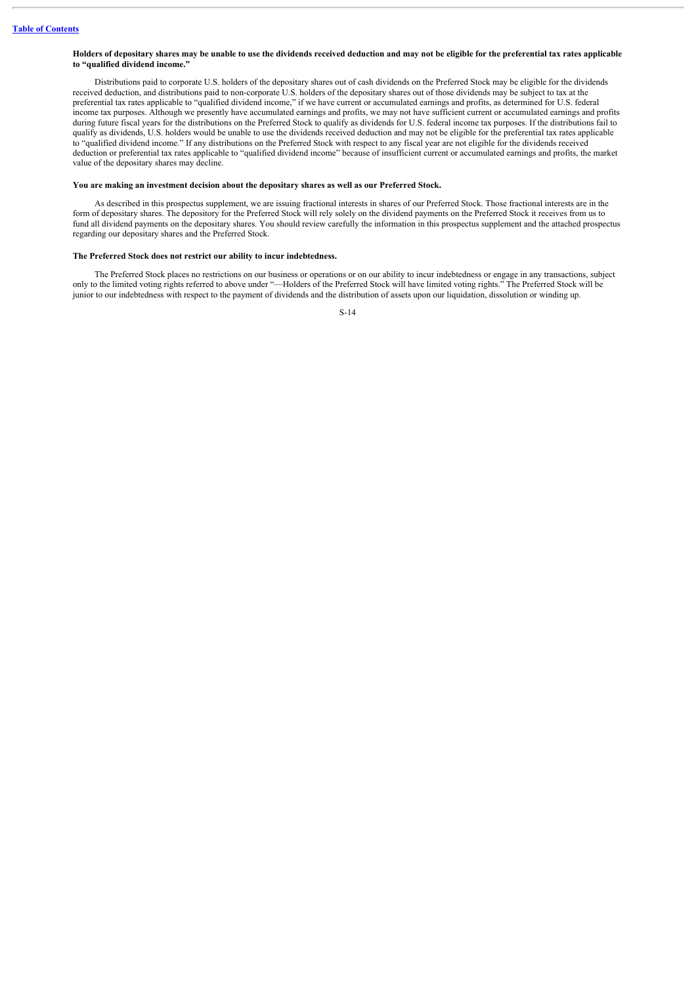#### Holders of depositary shares may be unable to use the dividends received deduction and may not be eligible for the preferential tax rates applicable **to "qualified dividend income."**

Distributions paid to corporate U.S. holders of the depositary shares out of cash dividends on the Preferred Stock may be eligible for the dividends received deduction, and distributions paid to non-corporate U.S. holders of the depositary shares out of those dividends may be subject to tax at the preferential tax rates applicable to "qualified dividend income," if we have current or accumulated earnings and profits, as determined for U.S. federal income tax purposes. Although we presently have accumulated earnings and profits, we may not have sufficient current or accumulated earnings and profits during future fiscal years for the distributions on the Preferred Stock to qualify as dividends for U.S. federal income tax purposes. If the distributions fail to qualify as dividends, U.S. holders would be unable to use the dividends received deduction and may not be eligible for the preferential tax rates applicable to "qualified dividend income." If any distributions on the Preferred Stock with respect to any fiscal year are not eligible for the dividends received deduction or preferential tax rates applicable to "qualified dividend income" because of insufficient current or accumulated earnings and profits, the market value of the depositary shares may decline.

# **You are making an investment decision about the depositary shares as well as our Preferred Stock.**

As described in this prospectus supplement, we are issuing fractional interests in shares of our Preferred Stock. Those fractional interests are in the form of depositary shares. The depository for the Preferred Stock will rely solely on the dividend payments on the Preferred Stock it receives from us to fund all dividend payments on the depositary shares. You should review carefully the information in this prospectus supplement and the attached prospectus regarding our depositary shares and the Preferred Stock.

### **The Preferred Stock does not restrict our ability to incur indebtedness.**

The Preferred Stock places no restrictions on our business or operations or on our ability to incur indebtedness or engage in any transactions, subject only to the limited voting rights referred to above under "—Holders of the Preferred Stock will have limited voting rights." The Preferred Stock will be junior to our indebtedness with respect to the payment of dividends and the distribution of assets upon our liquidation, dissolution or winding up.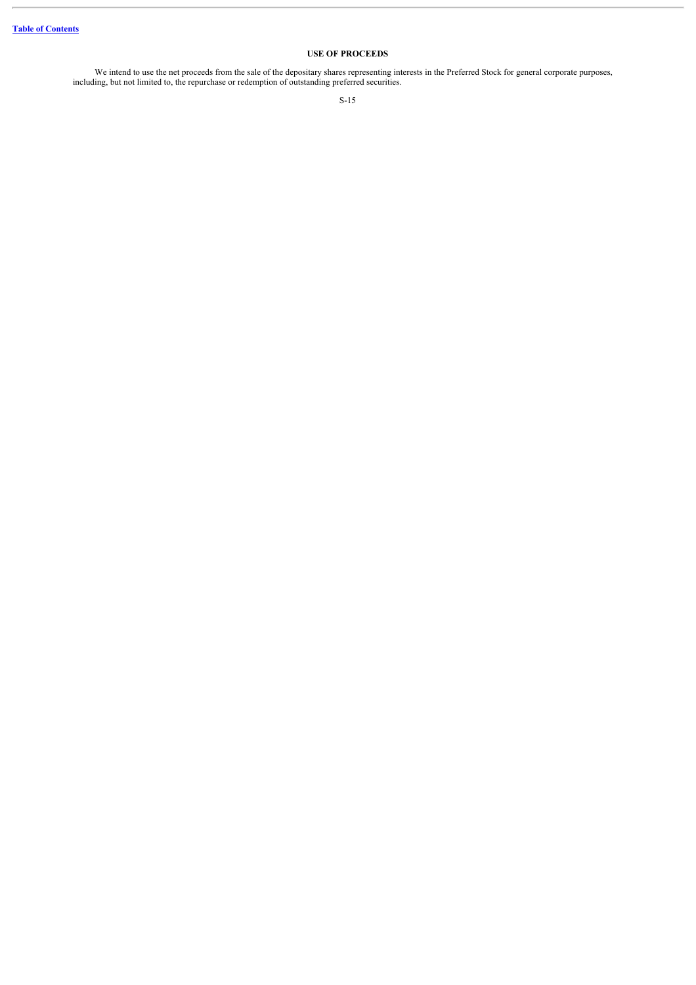# **USE OF PROCEEDS**

We intend to use the net proceeds from the sale of the depositary shares representing interests in the Preferred Stock for general corporate purposes, including, but not limited to, the repurchase or redemption of outstanding preferred securities.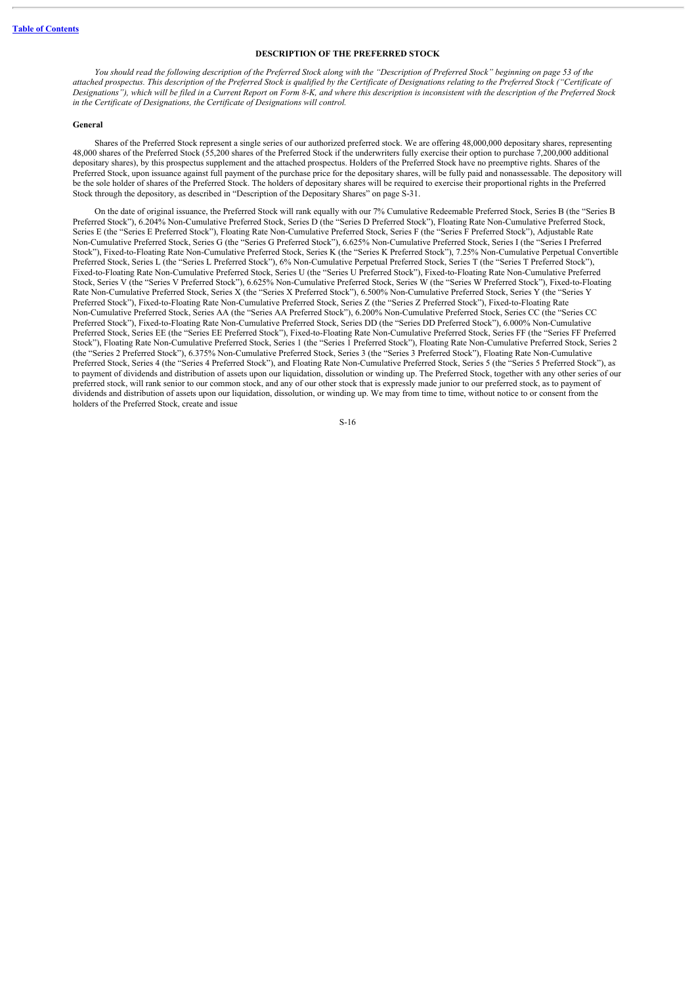### **DESCRIPTION OF THE PREFERRED STOCK**

You should read the following description of the Preferred Stock along with the "Description of Preferred Stock" beginning on page 53 of the attached prospectus. This description of the Preferred Stock is qualified by the Certificate of Designations relating to the Preferred Stock ("Certificate of Designations"), which will be filed in a Current Report on Form 8-K, and where this description is inconsistent with the description of the Preferred Stock *in the Certificate of Designations, the Certificate of Designations will control.*

### **General**

Shares of the Preferred Stock represent a single series of our authorized preferred stock. We are offering 48,000,000 depositary shares, representing 48,000 shares of the Preferred Stock (55,200 shares of the Preferred Stock if the underwriters fully exercise their option to purchase 7,200,000 additional depositary shares), by this prospectus supplement and the attached prospectus. Holders of the Preferred Stock have no preemptive rights. Shares of the Preferred Stock, upon issuance against full payment of the purchase price for the depositary shares, will be fully paid and nonassessable. The depository will be the sole holder of shares of the Preferred Stock. The holders of depositary shares will be required to exercise their proportional rights in the Preferred Stock through the depository, as described in "Description of the Depositary Shares" on page S-31.

On the date of original issuance, the Preferred Stock will rank equally with our 7% Cumulative Redeemable Preferred Stock, Series B (the "Series B Preferred Stock"), 6.204% Non-Cumulative Preferred Stock, Series D (the "Series D Preferred Stock"), Floating Rate Non-Cumulative Preferred Stock, Series E (the "Series E Preferred Stock"), Floating Rate Non-Cumulative Preferred Stock, Series F (the "Series F Preferred Stock"), Adjustable Rate Non-Cumulative Preferred Stock, Series G (the "Series G Preferred Stock"), 6.625% Non-Cumulative Preferred Stock, Series I (the "Series I Preferred Stock"), Fixed-to-Floating Rate Non-Cumulative Preferred Stock, Series K (the "Series K Preferred Stock"), 7.25% Non-Cumulative Perpetual Convertible Preferred Stock, Series L (the "Series L Preferred Stock"), 6% Non-Cumulative Perpetual Preferred Stock, Series T (the "Series T Preferred Stock"), Fixed-to-Floating Rate Non-Cumulative Preferred Stock, Series U (the "Series U Preferred Stock"), Fixed-to-Floating Rate Non-Cumulative Preferred Stock, Series V (the "Series V Preferred Stock"), 6.625% Non-Cumulative Preferred Stock, Series W (the "Series W Preferred Stock"), Fixed-to-Floating Rate Non-Cumulative Preferred Stock, Series X (the "Series X Preferred Stock"), 6.500% Non-Cumulative Preferred Stock, Series Y (the "Series Y Preferred Stock"), Fixed-to-Floating Rate Non-Cumulative Preferred Stock, Series Z (the "Series Z Preferred Stock"), Fixed-to-Floating Rate Non-Cumulative Preferred Stock, Series AA (the "Series AA Preferred Stock"), 6.200% Non-Cumulative Preferred Stock, Series CC (the "Series CC Preferred Stock"), Fixed-to-Floating Rate Non-Cumulative Preferred Stock, Series DD (the "Series DD Preferred Stock"), 6.000% Non-Cumulative Preferred Stock, Series EE (the "Series EE Preferred Stock"), Fixed-to-Floating Rate Non-Cumulative Preferred Stock, Series FF (the "Series FF Preferred Stock"), Floating Rate Non-Cumulative Preferred Stock, Series 1 (the "Series 1 Preferred Stock"), Floating Rate Non-Cumulative Preferred Stock, Series 2 (the "Series 2 Preferred Stock"), 6.375% Non-Cumulative Preferred Stock, Series 3 (the "Series 3 Preferred Stock"), Floating Rate Non-Cumulative Preferred Stock, Series 4 (the "Series 4 Preferred Stock"), and Floating Rate Non-Cumulative Preferred Stock, Series 5 (the "Series 5 Preferred Stock"), as to payment of dividends and distribution of assets upon our liquidation, dissolution or winding up. The Preferred Stock, together with any other series of our preferred stock, will rank senior to our common stock, and any of our other stock that is expressly made junior to our preferred stock, as to payment of dividends and distribution of assets upon our liquidation, dissolution, or winding up. We may from time to time, without notice to or consent from the holders of the Preferred Stock, create and issue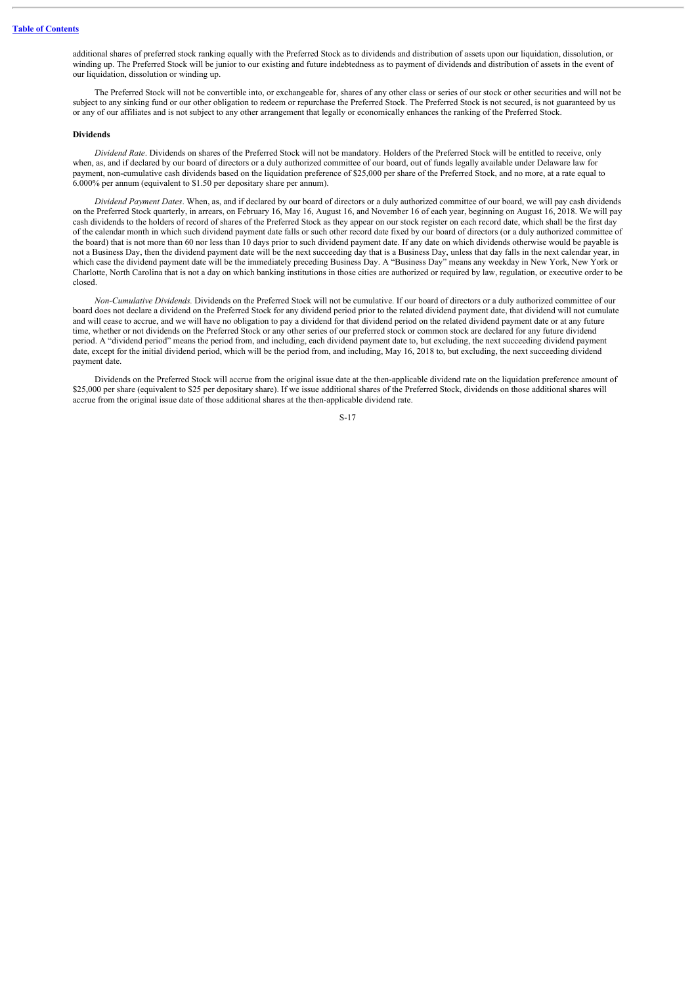additional shares of preferred stock ranking equally with the Preferred Stock as to dividends and distribution of assets upon our liquidation, dissolution, or winding up. The Preferred Stock will be junior to our existing and future indebtedness as to payment of dividends and distribution of assets in the event of our liquidation, dissolution or winding up.

The Preferred Stock will not be convertible into, or exchangeable for, shares of any other class or series of our stock or other securities and will not be subject to any sinking fund or our other obligation to redeem or repurchase the Preferred Stock. The Preferred Stock is not secured, is not guaranteed by us or any of our affiliates and is not subject to any other arrangement that legally or economically enhances the ranking of the Preferred Stock.

#### **Dividends**

*Dividend Rate*. Dividends on shares of the Preferred Stock will not be mandatory. Holders of the Preferred Stock will be entitled to receive, only when, as, and if declared by our board of directors or a duly authorized committee of our board, out of funds legally available under Delaware law for payment, non-cumulative cash dividends based on the liquidation preference of \$25,000 per share of the Preferred Stock, and no more, at a rate equal to 6.000% per annum (equivalent to \$1.50 per depositary share per annum).

*Dividend Payment Dates*. When, as, and if declared by our board of directors or a duly authorized committee of our board, we will pay cash dividends on the Preferred Stock quarterly, in arrears, on February 16, May 16, August 16, and November 16 of each year, beginning on August 16, 2018. We will pay cash dividends to the holders of record of shares of the Preferred Stock as they appear on our stock register on each record date, which shall be the first day of the calendar month in which such dividend payment date falls or such other record date fixed by our board of directors (or a duly authorized committee of the board) that is not more than 60 nor less than 10 days prior to such dividend payment date. If any date on which dividends otherwise would be payable is not a Business Day, then the dividend payment date will be the next succeeding day that is a Business Day, unless that day falls in the next calendar year, in which case the dividend payment date will be the immediately preceding Business Day. A "Business Day" means any weekday in New York, New York or Charlotte, North Carolina that is not a day on which banking institutions in those cities are authorized or required by law, regulation, or executive order to be closed.

*Non-Cumulative Dividends.* Dividends on the Preferred Stock will not be cumulative. If our board of directors or a duly authorized committee of our board does not declare a dividend on the Preferred Stock for any dividend period prior to the related dividend payment date, that dividend will not cumulate and will cease to accrue, and we will have no obligation to pay a dividend for that dividend period on the related dividend payment date or at any future time, whether or not dividends on the Preferred Stock or any other series of our preferred stock or common stock are declared for any future dividend period. A "dividend period" means the period from, and including, each dividend payment date to, but excluding, the next succeeding dividend payment date, except for the initial dividend period, which will be the period from, and including, May 16, 2018 to, but excluding, the next succeeding dividend payment date.

Dividends on the Preferred Stock will accrue from the original issue date at the then-applicable dividend rate on the liquidation preference amount of \$25,000 per share (equivalent to \$25 per depositary share). If we issue additional shares of the Preferred Stock, dividends on those additional shares will accrue from the original issue date of those additional shares at the then-applicable dividend rate.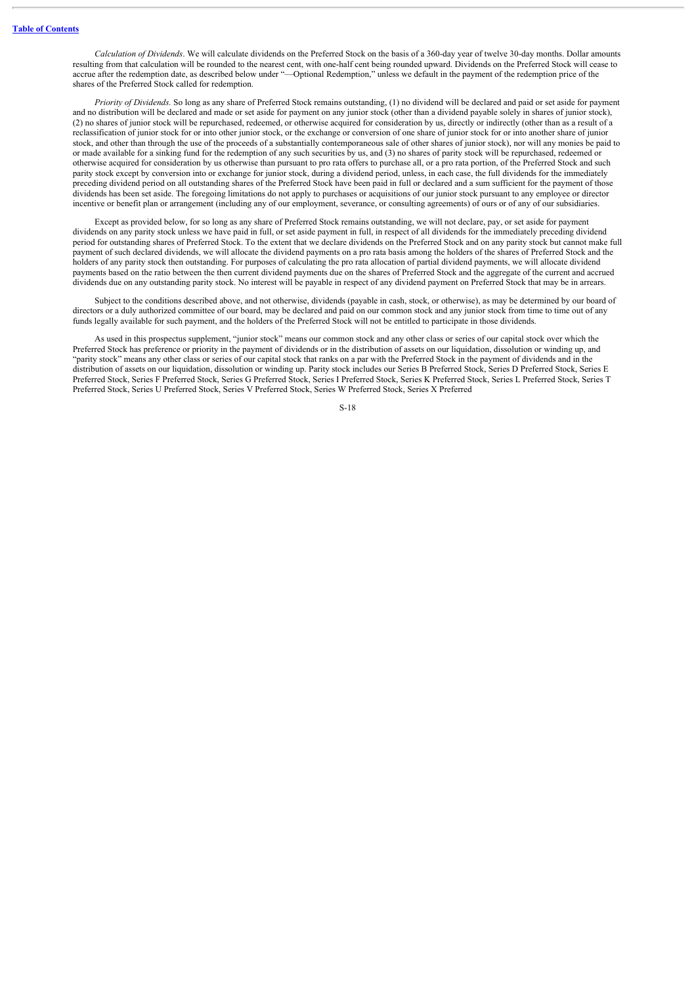*Calculation of Dividends*. We will calculate dividends on the Preferred Stock on the basis of a 360-day year of twelve 30-day months. Dollar amounts resulting from that calculation will be rounded to the nearest cent, with one-half cent being rounded upward. Dividends on the Preferred Stock will cease to accrue after the redemption date, as described below under "—Optional Redemption," unless we default in the payment of the redemption price of the shares of the Preferred Stock called for redemption.

*Priority of Dividends.* So long as any share of Preferred Stock remains outstanding, (1) no dividend will be declared and paid or set aside for payment and no distribution will be declared and made or set aside for payment on any junior stock (other than a dividend payable solely in shares of junior stock), (2) no shares of junior stock will be repurchased, redeemed, or otherwise acquired for consideration by us, directly or indirectly (other than as a result of a reclassification of junior stock for or into other junior stock, or the exchange or conversion of one share of junior stock for or into another share of junior stock, and other than through the use of the proceeds of a substantially contemporaneous sale of other shares of junior stock), nor will any monies be paid to or made available for a sinking fund for the redemption of any such securities by us, and (3) no shares of parity stock will be repurchased, redeemed or otherwise acquired for consideration by us otherwise than pursuant to pro rata offers to purchase all, or a pro rata portion, of the Preferred Stock and such parity stock except by conversion into or exchange for junior stock, during a dividend period, unless, in each case, the full dividends for the immediately preceding dividend period on all outstanding shares of the Preferred Stock have been paid in full or declared and a sum sufficient for the payment of those dividends has been set aside. The foregoing limitations do not apply to purchases or acquisitions of our junior stock pursuant to any employee or director incentive or benefit plan or arrangement (including any of our employment, severance, or consulting agreements) of ours or of any of our subsidiaries.

Except as provided below, for so long as any share of Preferred Stock remains outstanding, we will not declare, pay, or set aside for payment dividends on any parity stock unless we have paid in full, or set aside payment in full, in respect of all dividends for the immediately preceding dividend period for outstanding shares of Preferred Stock. To the extent that we declare dividends on the Preferred Stock and on any parity stock but cannot make full payment of such declared dividends, we will allocate the dividend payments on a pro rata basis among the holders of the shares of Preferred Stock and the holders of any parity stock then outstanding. For purposes of calculating the pro rata allocation of partial dividend payments, we will allocate dividend payments based on the ratio between the then current dividend payments due on the shares of Preferred Stock and the aggregate of the current and accrued dividends due on any outstanding parity stock. No interest will be payable in respect of any dividend payment on Preferred Stock that may be in arrears.

Subject to the conditions described above, and not otherwise, dividends (payable in cash, stock, or otherwise), as may be determined by our board of directors or a duly authorized committee of our board, may be declared and paid on our common stock and any junior stock from time to time out of any funds legally available for such payment, and the holders of the Preferred Stock will not be entitled to participate in those dividends.

As used in this prospectus supplement, "junior stock" means our common stock and any other class or series of our capital stock over which the Preferred Stock has preference or priority in the payment of dividends or in the distribution of assets on our liquidation, dissolution or winding up, and "parity stock" means any other class or series of our capital stock that ranks on a par with the Preferred Stock in the payment of dividends and in the distribution of assets on our liquidation, dissolution or winding up. Parity stock includes our Series B Preferred Stock, Series D Preferred Stock, Series E Preferred Stock, Series F Preferred Stock, Series G Preferred Stock, Series I Preferred Stock, Series K Preferred Stock, Series L Preferred Stock, Series T Preferred Stock, Series U Preferred Stock, Series V Preferred Stock, Series W Preferred Stock, Series X Preferred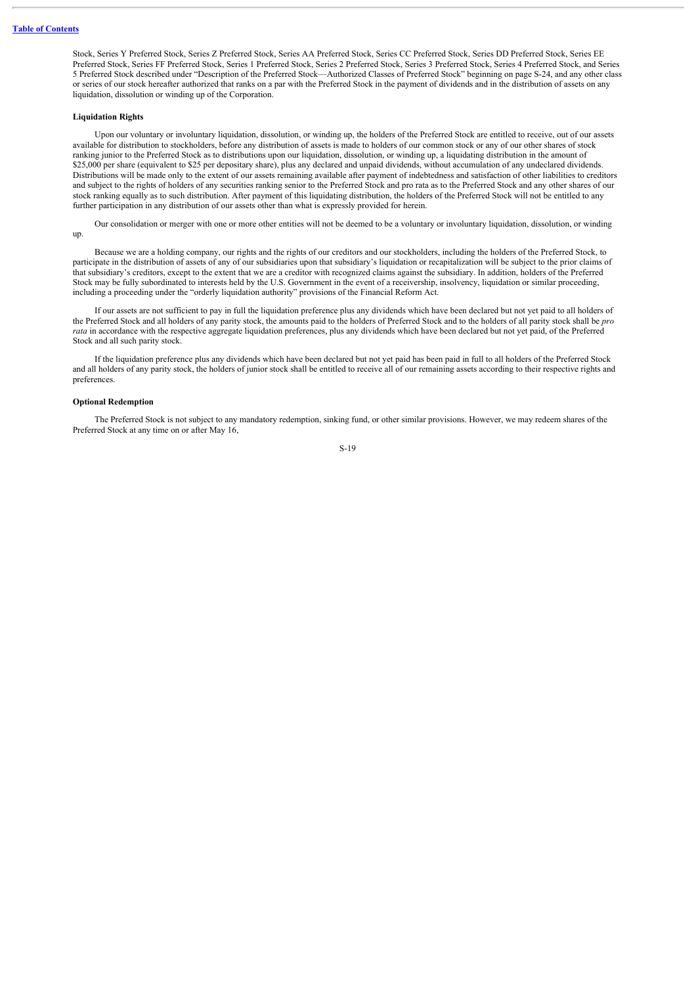Stock, Series Y Preferred Stock, Series Z Preferred Stock, Series AA Preferred Stock, Series CC Preferred Stock, Series DD Preferred Stock, Series EE Preferred Stock, Series FF Preferred Stock, Series 1 Preferred Stock, Series 2 Preferred Stock, Series 3 Preferred Stock, Series 4 Preferred Stock, and Series 5 Preferred Stock described under "Description of the Preferred Stock—Authorized Classes of Preferred Stock" beginning on page S-24, and any other class or series of our stock hereafter authorized that ranks on a par with the Preferred Stock in the payment of dividends and in the distribution of assets on any liquidation, dissolution or winding up of the Corporation.

#### **Liquidation Rights**

Upon our voluntary or involuntary liquidation, dissolution, or winding up, the holders of the Preferred Stock are entitled to receive, out of our assets available for distribution to stockholders, before any distribution of assets is made to holders of our common stock or any of our other shares of stock ranking junior to the Preferred Stock as to distributions upon our liquidation, dissolution, or winding up, a liquidating distribution in the amount of \$25,000 per share (equivalent to \$25 per depositary share), plus any declared and unpaid dividends, without accumulation of any undeclared dividends. Distributions will be made only to the extent of our assets remaining available after payment of indebtedness and satisfaction of other liabilities to creditors and subject to the rights of holders of any securities ranking senior to the Preferred Stock and pro rata as to the Preferred Stock and any other shares of our stock ranking equally as to such distribution. After payment of this liquidating distribution, the holders of the Preferred Stock will not be entitled to any further participation in any distribution of our assets other than what is expressly provided for herein.

Our consolidation or merger with one or more other entities will not be deemed to be a voluntary or involuntary liquidation, dissolution, or winding up.

Because we are a holding company, our rights and the rights of our creditors and our stockholders, including the holders of the Preferred Stock, to participate in the distribution of assets of any of our subsidiaries upon that subsidiary's liquidation or recapitalization will be subject to the prior claims of that subsidiary's creditors, except to the extent that we are a creditor with recognized claims against the subsidiary. In addition, holders of the Preferred Stock may be fully subordinated to interests held by the U.S. Government in the event of a receivership, insolvency, liquidation or similar proceeding, including a proceeding under the "orderly liquidation authority" provisions of the Financial Reform Act.

If our assets are not sufficient to pay in full the liquidation preference plus any dividends which have been declared but not yet paid to all holders of the Preferred Stock and all holders of any parity stock, the amounts paid to the holders of Preferred Stock and to the holders of all parity stock shall be *pro rata* in accordance with the respective aggregate liquidation preferences, plus any dividends which have been declared but not yet paid, of the Preferred Stock and all such parity stock.

If the liquidation preference plus any dividends which have been declared but not yet paid has been paid in full to all holders of the Preferred Stock and all holders of any parity stock, the holders of junior stock shall be entitled to receive all of our remaining assets according to their respective rights and preferences.

### **Optional Redemption**

The Preferred Stock is not subject to any mandatory redemption, sinking fund, or other similar provisions. However, we may redeem shares of the Preferred Stock at any time on or after May 16,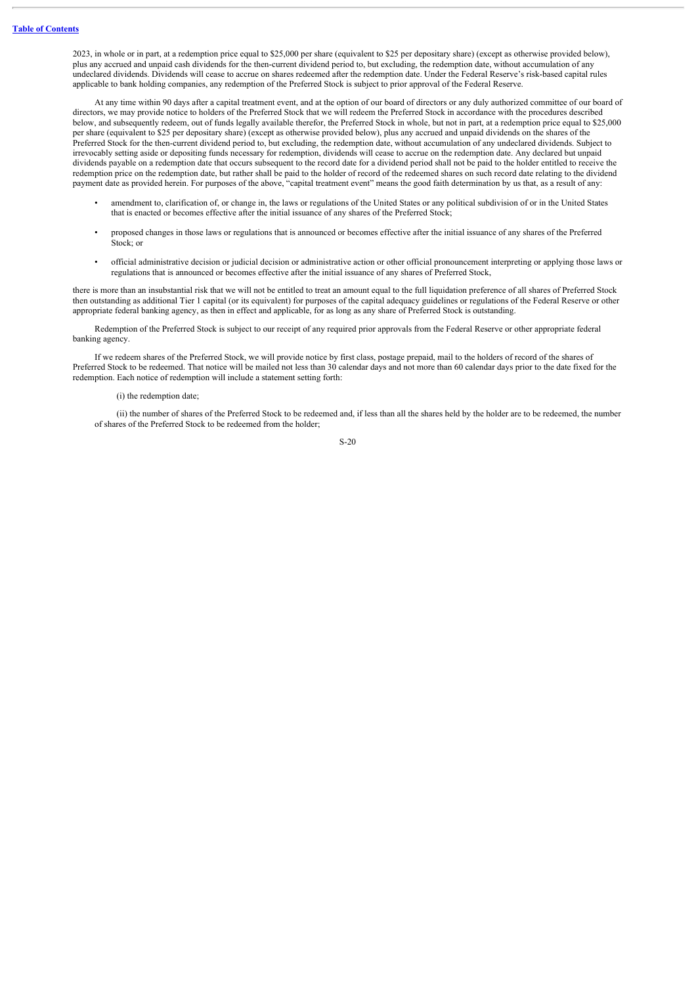2023, in whole or in part, at a redemption price equal to \$25,000 per share (equivalent to \$25 per depositary share) (except as otherwise provided below), plus any accrued and unpaid cash dividends for the then-current dividend period to, but excluding, the redemption date, without accumulation of any undeclared dividends. Dividends will cease to accrue on shares redeemed after the redemption date. Under the Federal Reserve's risk-based capital rules applicable to bank holding companies, any redemption of the Preferred Stock is subject to prior approval of the Federal Reserve.

At any time within 90 days after a capital treatment event, and at the option of our board of directors or any duly authorized committee of our board of directors, we may provide notice to holders of the Preferred Stock that we will redeem the Preferred Stock in accordance with the procedures described below, and subsequently redeem, out of funds legally available therefor, the Preferred Stock in whole, but not in part, at a redemption price equal to \$25,000 per share (equivalent to \$25 per depositary share) (except as otherwise provided below), plus any accrued and unpaid dividends on the shares of the Preferred Stock for the then-current dividend period to, but excluding, the redemption date, without accumulation of any undeclared dividends. Subject to irrevocably setting aside or depositing funds necessary for redemption, dividends will cease to accrue on the redemption date. Any declared but unpaid dividends payable on a redemption date that occurs subsequent to the record date for a dividend period shall not be paid to the holder entitled to receive the redemption price on the redemption date, but rather shall be paid to the holder of record of the redeemed shares on such record date relating to the dividend payment date as provided herein. For purposes of the above, "capital treatment event" means the good faith determination by us that, as a result of any:

- amendment to, clarification of, or change in, the laws or regulations of the United States or any political subdivision of or in the United States that is enacted or becomes effective after the initial issuance of any shares of the Preferred Stock;
- proposed changes in those laws or regulations that is announced or becomes effective after the initial issuance of any shares of the Preferred Stock; or
- official administrative decision or judicial decision or administrative action or other official pronouncement interpreting or applying those laws or regulations that is announced or becomes effective after the initial issuance of any shares of Preferred Stock,

there is more than an insubstantial risk that we will not be entitled to treat an amount equal to the full liquidation preference of all shares of Preferred Stock then outstanding as additional Tier 1 capital (or its equivalent) for purposes of the capital adequacy guidelines or regulations of the Federal Reserve or other appropriate federal banking agency, as then in effect and applicable, for as long as any share of Preferred Stock is outstanding.

Redemption of the Preferred Stock is subject to our receipt of any required prior approvals from the Federal Reserve or other appropriate federal banking agency.

If we redeem shares of the Preferred Stock, we will provide notice by first class, postage prepaid, mail to the holders of record of the shares of Preferred Stock to be redeemed. That notice will be mailed not less than 30 calendar days and not more than 60 calendar days prior to the date fixed for the redemption. Each notice of redemption will include a statement setting forth:

### (i) the redemption date;

(ii) the number of shares of the Preferred Stock to be redeemed and, if less than all the shares held by the holder are to be redeemed, the number of shares of the Preferred Stock to be redeemed from the holder;

 $S - 20$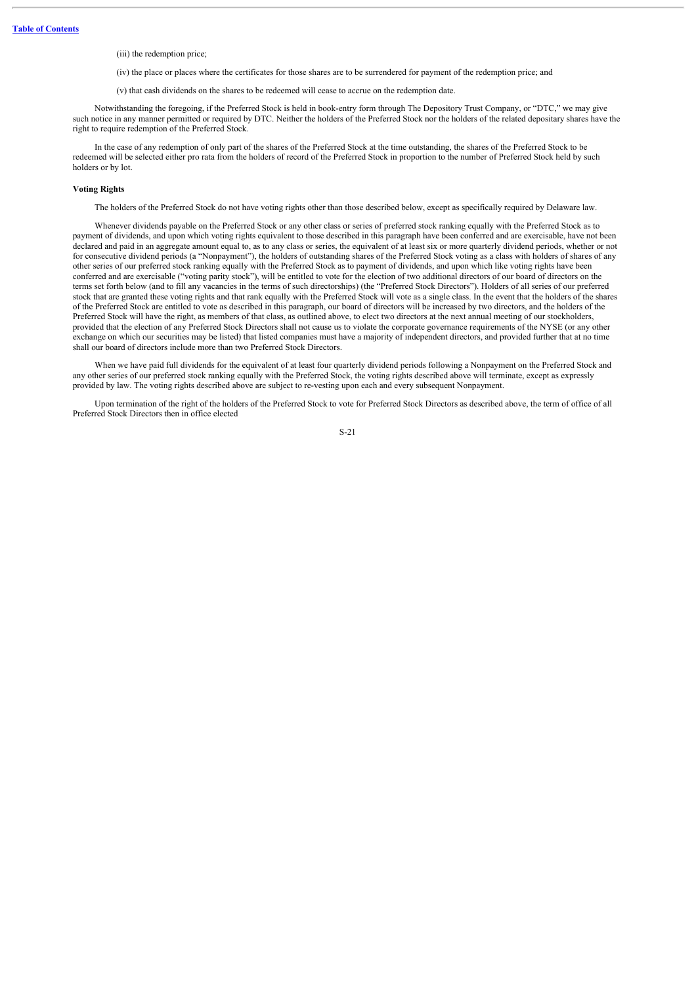(iii) the redemption price;

- (iv) the place or places where the certificates for those shares are to be surrendered for payment of the redemption price; and
- (v) that cash dividends on the shares to be redeemed will cease to accrue on the redemption date.

Notwithstanding the foregoing, if the Preferred Stock is held in book-entry form through The Depository Trust Company, or "DTC," we may give such notice in any manner permitted or required by DTC. Neither the holders of the Preferred Stock nor the holders of the related depositary shares have the right to require redemption of the Preferred Stock.

In the case of any redemption of only part of the shares of the Preferred Stock at the time outstanding, the shares of the Preferred Stock to be redeemed will be selected either pro rata from the holders of record of the Preferred Stock in proportion to the number of Preferred Stock held by such holders or by lot.

#### **Voting Rights**

The holders of the Preferred Stock do not have voting rights other than those described below, except as specifically required by Delaware law.

Whenever dividends payable on the Preferred Stock or any other class or series of preferred stock ranking equally with the Preferred Stock as to payment of dividends, and upon which voting rights equivalent to those described in this paragraph have been conferred and are exercisable, have not been declared and paid in an aggregate amount equal to, as to any class or series, the equivalent of at least six or more quarterly dividend periods, whether or not for consecutive dividend periods (a "Nonpayment"), the holders of outstanding shares of the Preferred Stock voting as a class with holders of shares of any other series of our preferred stock ranking equally with the Preferred Stock as to payment of dividends, and upon which like voting rights have been conferred and are exercisable ("voting parity stock"), will be entitled to vote for the election of two additional directors of our board of directors on the terms set forth below (and to fill any vacancies in the terms of such directorships) (the "Preferred Stock Directors"). Holders of all series of our preferred stock that are granted these voting rights and that rank equally with the Preferred Stock will vote as a single class. In the event that the holders of the shares of the Preferred Stock are entitled to vote as described in this paragraph, our board of directors will be increased by two directors, and the holders of the Preferred Stock will have the right, as members of that class, as outlined above, to elect two directors at the next annual meeting of our stockholders, provided that the election of any Preferred Stock Directors shall not cause us to violate the corporate governance requirements of the NYSE (or any other exchange on which our securities may be listed) that listed companies must have a majority of independent directors, and provided further that at no time shall our board of directors include more than two Preferred Stock Directors.

When we have paid full dividends for the equivalent of at least four quarterly dividend periods following a Nonpayment on the Preferred Stock and any other series of our preferred stock ranking equally with the Preferred Stock, the voting rights described above will terminate, except as expressly provided by law. The voting rights described above are subject to re-vesting upon each and every subsequent Nonpayment.

Upon termination of the right of the holders of the Preferred Stock to vote for Preferred Stock Directors as described above, the term of office of all Preferred Stock Directors then in office elected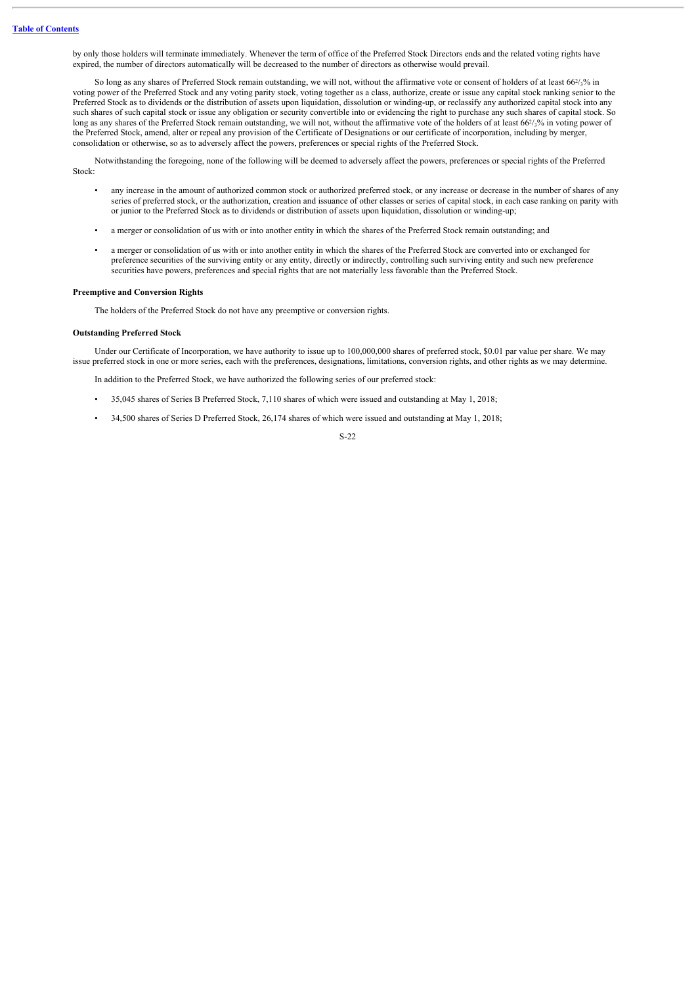by only those holders will terminate immediately. Whenever the term of office of the Preferred Stock Directors ends and the related voting rights have expired, the number of directors automatically will be decreased to the number of directors as otherwise would prevail.

So long as any shares of Preferred Stock remain outstanding, we will not, without the affirmative vote or consent of holders of at least  $66\frac{2}{3}\%$  in voting power of the Preferred Stock and any voting parity stock, voting together as a class, authorize, create or issue any capital stock ranking senior to the Preferred Stock as to dividends or the distribution of assets upon liquidation, dissolution or winding-up, or reclassify any authorized capital stock into any such shares of such capital stock or issue any obligation or security convertible into or evidencing the right to purchase any such shares of capital stock. So long as any shares of the Preferred Stock remain outstanding, we will not, without the affirmative vote of the holders of at least  $66\frac{2}{3}\%$  in voting power of the Preferred Stock, amend, alter or repeal any provision of the Certificate of Designations or our certificate of incorporation, including by merger, consolidation or otherwise, so as to adversely affect the powers, preferences or special rights of the Preferred Stock.

Notwithstanding the foregoing, none of the following will be deemed to adversely affect the powers, preferences or special rights of the Preferred Stock:

- any increase in the amount of authorized common stock or authorized preferred stock, or any increase or decrease in the number of shares of any series of preferred stock, or the authorization, creation and issuance of other classes or series of capital stock, in each case ranking on parity with or junior to the Preferred Stock as to dividends or distribution of assets upon liquidation, dissolution or winding-up;
- a merger or consolidation of us with or into another entity in which the shares of the Preferred Stock remain outstanding; and
- a merger or consolidation of us with or into another entity in which the shares of the Preferred Stock are converted into or exchanged for preference securities of the surviving entity or any entity, directly or indirectly, controlling such surviving entity and such new preference securities have powers, preferences and special rights that are not materially less favorable than the Preferred Stock.

### **Preemptive and Conversion Rights**

The holders of the Preferred Stock do not have any preemptive or conversion rights.

#### **Outstanding Preferred Stock**

Under our Certificate of Incorporation, we have authority to issue up to 100,000,000 shares of preferred stock, \$0.01 par value per share. We may issue preferred stock in one or more series, each with the preferences, designations, limitations, conversion rights, and other rights as we may determine.

In addition to the Preferred Stock, we have authorized the following series of our preferred stock:

- 35,045 shares of Series B Preferred Stock, 7,110 shares of which were issued and outstanding at May 1, 2018;
- 34,500 shares of Series D Preferred Stock, 26,174 shares of which were issued and outstanding at May 1, 2018;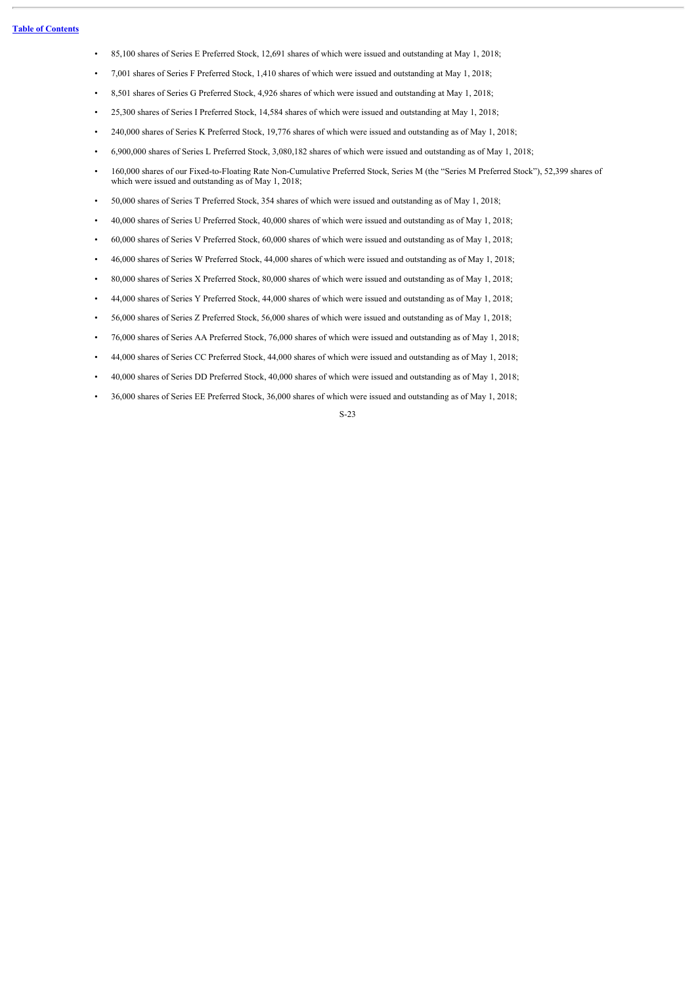### **Table of [Contents](https://www.sec.gov/Archives/edgar/data/70858/000119312518157429/d572029d424b5.htm#toc)**

- 85,100 shares of Series E Preferred Stock, 12,691 shares of which were issued and outstanding at May 1, 2018;
- 7,001 shares of Series F Preferred Stock, 1,410 shares of which were issued and outstanding at May 1, 2018;
- 8,501 shares of Series G Preferred Stock, 4,926 shares of which were issued and outstanding at May 1, 2018;
- 25,300 shares of Series I Preferred Stock, 14,584 shares of which were issued and outstanding at May 1, 2018;
- 240,000 shares of Series K Preferred Stock, 19,776 shares of which were issued and outstanding as of May 1, 2018;
- 6,900,000 shares of Series L Preferred Stock, 3,080,182 shares of which were issued and outstanding as of May 1, 2018;
- 160,000 shares of our Fixed-to-Floating Rate Non-Cumulative Preferred Stock, Series M (the "Series M Preferred Stock"), 52,399 shares of which were issued and outstanding as of May 1, 2018;
- 50,000 shares of Series T Preferred Stock, 354 shares of which were issued and outstanding as of May 1, 2018;
- 40,000 shares of Series U Preferred Stock, 40,000 shares of which were issued and outstanding as of May 1, 2018;
- 60,000 shares of Series V Preferred Stock, 60,000 shares of which were issued and outstanding as of May 1, 2018;
- 46,000 shares of Series W Preferred Stock, 44,000 shares of which were issued and outstanding as of May 1, 2018;
- 80,000 shares of Series X Preferred Stock, 80,000 shares of which were issued and outstanding as of May 1, 2018;
- 44,000 shares of Series Y Preferred Stock, 44,000 shares of which were issued and outstanding as of May 1, 2018;
- 56,000 shares of Series Z Preferred Stock, 56,000 shares of which were issued and outstanding as of May 1, 2018;
- 76,000 shares of Series AA Preferred Stock, 76,000 shares of which were issued and outstanding as of May 1, 2018;
- 44,000 shares of Series CC Preferred Stock, 44,000 shares of which were issued and outstanding as of May 1, 2018;
- 40,000 shares of Series DD Preferred Stock, 40,000 shares of which were issued and outstanding as of May 1, 2018;
- 36,000 shares of Series EE Preferred Stock, 36,000 shares of which were issued and outstanding as of May 1, 2018;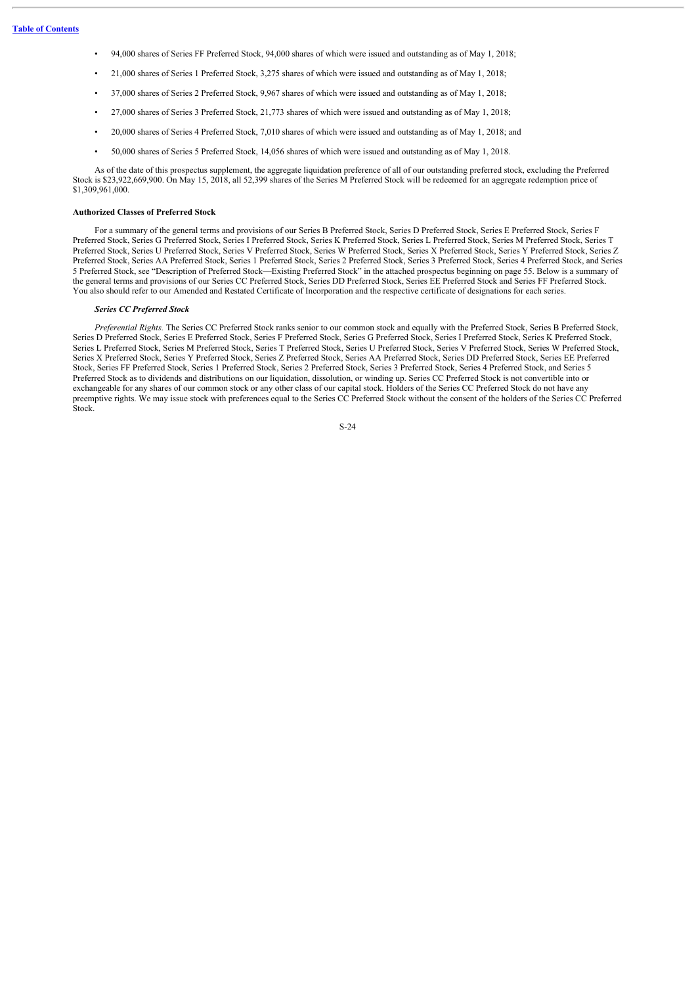- 94,000 shares of Series FF Preferred Stock, 94,000 shares of which were issued and outstanding as of May 1, 2018;
- 21,000 shares of Series 1 Preferred Stock, 3,275 shares of which were issued and outstanding as of May 1, 2018;
- 37,000 shares of Series 2 Preferred Stock, 9,967 shares of which were issued and outstanding as of May 1, 2018;
- 27,000 shares of Series 3 Preferred Stock, 21,773 shares of which were issued and outstanding as of May 1, 2018;
- 20,000 shares of Series 4 Preferred Stock, 7,010 shares of which were issued and outstanding as of May 1, 2018; and
- 50,000 shares of Series 5 Preferred Stock, 14,056 shares of which were issued and outstanding as of May 1, 2018.

As of the date of this prospectus supplement, the aggregate liquidation preference of all of our outstanding preferred stock, excluding the Preferred Stock is \$23,922,669,900. On May 15, 2018, all 52,399 shares of the Series M Preferred Stock will be redeemed for an aggregate redemption price of \$1,309,961,000.

#### **Authorized Classes of Preferred Stock**

For a summary of the general terms and provisions of our Series B Preferred Stock, Series D Preferred Stock, Series E Preferred Stock, Series F Preferred Stock, Series G Preferred Stock, Series I Preferred Stock, Series K Preferred Stock, Series L Preferred Stock, Series M Preferred Stock, Series T Preferred Stock, Series U Preferred Stock, Series V Preferred Stock, Series W Preferred Stock, Series X Preferred Stock, Series Y Preferred Stock, Series Z Preferred Stock, Series AA Preferred Stock, Series 1 Preferred Stock, Series 2 Preferred Stock, Series 3 Preferred Stock, Series 4 Preferred Stock, and Series 5 Preferred Stock, see "Description of Preferred Stock—Existing Preferred Stock" in the attached prospectus beginning on page 55. Below is a summary of the general terms and provisions of our Series CC Preferred Stock, Series DD Preferred Stock, Series EE Preferred Stock and Series FF Preferred Stock. You also should refer to our Amended and Restated Certificate of Incorporation and the respective certificate of designations for each series.

#### *Series CC Preferred Stock*

*Preferential Rights.* The Series CC Preferred Stock ranks senior to our common stock and equally with the Preferred Stock, Series B Preferred Stock, Series D Preferred Stock, Series E Preferred Stock, Series F Preferred Stock, Series G Preferred Stock, Series I Preferred Stock, Series K Preferred Stock, Series L Preferred Stock, Series M Preferred Stock, Series T Preferred Stock, Series U Preferred Stock, Series V Preferred Stock, Series W Preferred Stock, Series X Preferred Stock, Series Y Preferred Stock, Series Z Preferred Stock, Series AA Preferred Stock, Series DD Preferred Stock, Series EE Preferred Stock, Series FF Preferred Stock, Series 1 Preferred Stock, Series 2 Preferred Stock, Series 3 Preferred Stock, Series 4 Preferred Stock, and Series 5 Preferred Stock as to dividends and distributions on our liquidation, dissolution, or winding up. Series CC Preferred Stock is not convertible into or exchangeable for any shares of our common stock or any other class of our capital stock. Holders of the Series CC Preferred Stock do not have any preemptive rights. We may issue stock with preferences equal to the Series CC Preferred Stock without the consent of the holders of the Series CC Preferred Stock.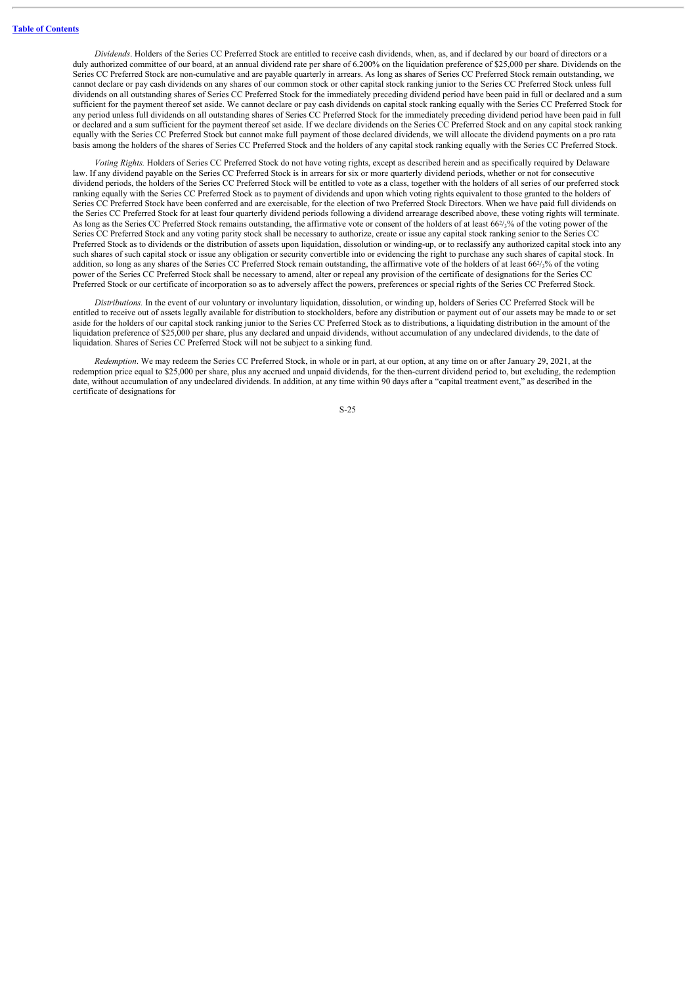*Dividends*. Holders of the Series CC Preferred Stock are entitled to receive cash dividends, when, as, and if declared by our board of directors or a duly authorized committee of our board, at an annual dividend rate per share of 6.200% on the liquidation preference of \$25,000 per share. Dividends on the Series CC Preferred Stock are non-cumulative and are payable quarterly in arrears. As long as shares of Series CC Preferred Stock remain outstanding, we cannot declare or pay cash dividends on any shares of our common stock or other capital stock ranking junior to the Series CC Preferred Stock unless full dividends on all outstanding shares of Series CC Preferred Stock for the immediately preceding dividend period have been paid in full or declared and a sum sufficient for the payment thereof set aside. We cannot declare or pay cash dividends on capital stock ranking equally with the Series CC Preferred Stock for any period unless full dividends on all outstanding shares of Series CC Preferred Stock for the immediately preceding dividend period have been paid in full or declared and a sum sufficient for the payment thereof set aside. If we declare dividends on the Series CC Preferred Stock and on any capital stock ranking equally with the Series CC Preferred Stock but cannot make full payment of those declared dividends, we will allocate the dividend payments on a pro rata basis among the holders of the shares of Series CC Preferred Stock and the holders of any capital stock ranking equally with the Series CC Preferred Stock.

*Voting Rights.* Holders of Series CC Preferred Stock do not have voting rights, except as described herein and as specifically required by Delaware law. If any dividend payable on the Series CC Preferred Stock is in arrears for six or more quarterly dividend periods, whether or not for consecutive dividend periods, the holders of the Series CC Preferred Stock will be entitled to vote as a class, together with the holders of all series of our preferred stock ranking equally with the Series CC Preferred Stock as to payment of dividends and upon which voting rights equivalent to those granted to the holders of Series CC Preferred Stock have been conferred and are exercisable, for the election of two Preferred Stock Directors. When we have paid full dividends on the Series CC Preferred Stock for at least four quarterly dividend periods following a dividend arrearage described above, these voting rights will terminate. As long as the Series CC Preferred Stock remains outstanding, the affirmative vote or consent of the holders of at least 66<sup>2</sup>/<sub>3</sub>% of the voting power of the Series CC Preferred Stock and any voting parity stock shall be necessary to authorize, create or issue any capital stock ranking senior to the Series CC Preferred Stock as to dividends or the distribution of assets upon liquidation, dissolution or winding-up, or to reclassify any authorized capital stock into any such shares of such capital stock or issue any obligation or security convertible into or evidencing the right to purchase any such shares of capital stock. In addition, so long as any shares of the Series CC Preferred Stock remain outstanding, the affirmative vote of the holders of at least 66<sup>2</sup>/<sub>3</sub>% of the voting power of the Series CC Preferred Stock shall be necessary to amend, alter or repeal any provision of the certificate of designations for the Series CC Preferred Stock or our certificate of incorporation so as to adversely affect the powers, preferences or special rights of the Series CC Preferred Stock.

*Distributions.* In the event of our voluntary or involuntary liquidation, dissolution, or winding up, holders of Series CC Preferred Stock will be entitled to receive out of assets legally available for distribution to stockholders, before any distribution or payment out of our assets may be made to or set aside for the holders of our capital stock ranking junior to the Series CC Preferred Stock as to distributions, a liquidating distribution in the amount of the liquidation preference of \$25,000 per share, plus any declared and unpaid dividends, without accumulation of any undeclared dividends, to the date of liquidation. Shares of Series CC Preferred Stock will not be subject to a sinking fund.

*Redemption*. We may redeem the Series CC Preferred Stock, in whole or in part, at our option, at any time on or after January 29, 2021, at the redemption price equal to \$25,000 per share, plus any accrued and unpaid dividends, for the then-current dividend period to, but excluding, the redemption date, without accumulation of any undeclared dividends. In addition, at any time within 90 days after a "capital treatment event," as described in the certificate of designations for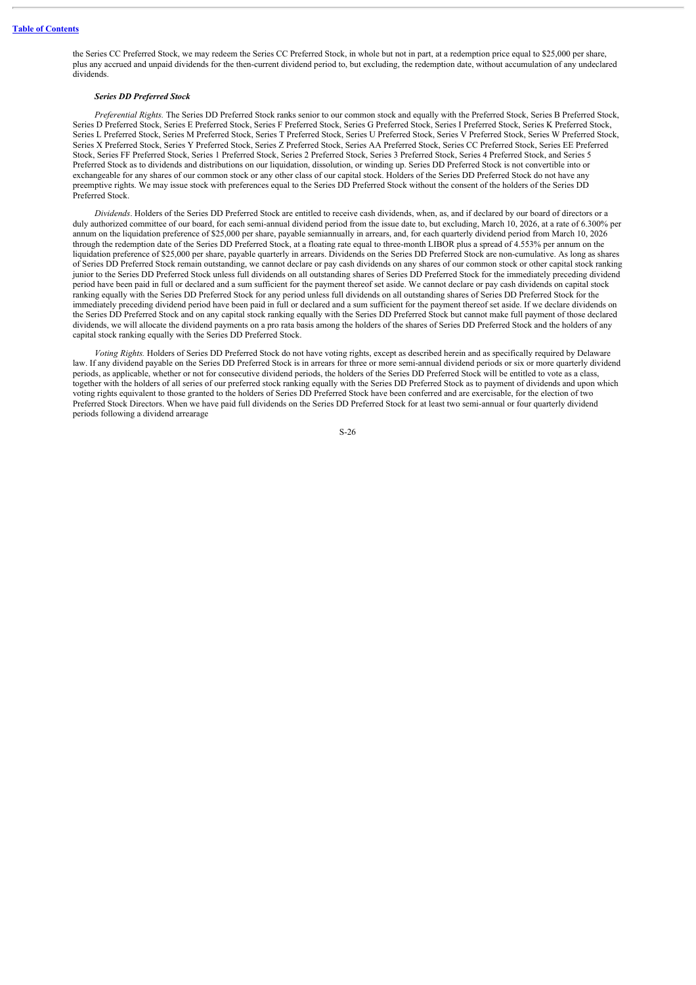the Series CC Preferred Stock, we may redeem the Series CC Preferred Stock, in whole but not in part, at a redemption price equal to \$25,000 per share, plus any accrued and unpaid dividends for the then-current dividend period to, but excluding, the redemption date, without accumulation of any undeclared dividends.

# *Series DD Preferred Stock*

*Preferential Rights.* The Series DD Preferred Stock ranks senior to our common stock and equally with the Preferred Stock, Series B Preferred Stock, Series D Preferred Stock, Series E Preferred Stock, Series F Preferred Stock, Series G Preferred Stock, Series I Preferred Stock, Series K Preferred Stock, Series L Preferred Stock, Series M Preferred Stock, Series T Preferred Stock, Series U Preferred Stock, Series V Preferred Stock, Series W Preferred Stock, Series X Preferred Stock, Series Y Preferred Stock, Series Z Preferred Stock, Series AA Preferred Stock, Series CC Preferred Stock, Series EE Preferred Stock, Series FF Preferred Stock, Series 1 Preferred Stock, Series 2 Preferred Stock, Series 3 Preferred Stock, Series 4 Preferred Stock, and Series 5 Preferred Stock as to dividends and distributions on our liquidation, dissolution, or winding up. Series DD Preferred Stock is not convertible into or exchangeable for any shares of our common stock or any other class of our capital stock. Holders of the Series DD Preferred Stock do not have any preemptive rights. We may issue stock with preferences equal to the Series DD Preferred Stock without the consent of the holders of the Series DD Preferred Stock.

*Dividends*. Holders of the Series DD Preferred Stock are entitled to receive cash dividends, when, as, and if declared by our board of directors or a duly authorized committee of our board, for each semi-annual dividend period from the issue date to, but excluding, March 10, 2026, at a rate of 6.300% per annum on the liquidation preference of \$25,000 per share, payable semiannually in arrears, and, for each quarterly dividend period from March 10, 2026 through the redemption date of the Series DD Preferred Stock, at a floating rate equal to three-month LIBOR plus a spread of 4.553% per annum on the liquidation preference of \$25,000 per share, payable quarterly in arrears. Dividends on the Series DD Preferred Stock are non-cumulative. As long as shares of Series DD Preferred Stock remain outstanding, we cannot declare or pay cash dividends on any shares of our common stock or other capital stock ranking junior to the Series DD Preferred Stock unless full dividends on all outstanding shares of Series DD Preferred Stock for the immediately preceding dividend period have been paid in full or declared and a sum sufficient for the payment thereof set aside. We cannot declare or pay cash dividends on capital stock ranking equally with the Series DD Preferred Stock for any period unless full dividends on all outstanding shares of Series DD Preferred Stock for the immediately preceding dividend period have been paid in full or declared and a sum sufficient for the payment thereof set aside. If we declare dividends on the Series DD Preferred Stock and on any capital stock ranking equally with the Series DD Preferred Stock but cannot make full payment of those declared dividends, we will allocate the dividend payments on a pro rata basis among the holders of the shares of Series DD Preferred Stock and the holders of any capital stock ranking equally with the Series DD Preferred Stock.

*Voting Rights.* Holders of Series DD Preferred Stock do not have voting rights, except as described herein and as specifically required by Delaware law. If any dividend payable on the Series DD Preferred Stock is in arrears for three or more semi-annual dividend periods or six or more quarterly dividend periods, as applicable, whether or not for consecutive dividend periods, the holders of the Series DD Preferred Stock will be entitled to vote as a class, together with the holders of all series of our preferred stock ranking equally with the Series DD Preferred Stock as to payment of dividends and upon which voting rights equivalent to those granted to the holders of Series DD Preferred Stock have been conferred and are exercisable, for the election of two Preferred Stock Directors. When we have paid full dividends on the Series DD Preferred Stock for at least two semi-annual or four quarterly dividend periods following a dividend arrearage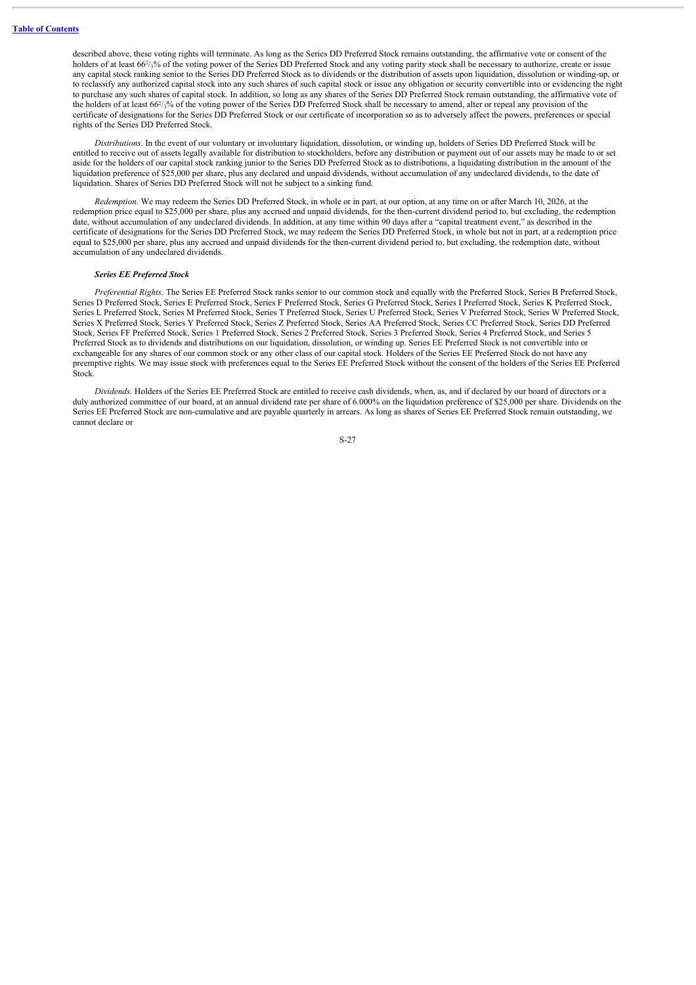described above, these voting rights will terminate. As long as the Series DD Preferred Stock remains outstanding, the affirmative vote or consent of the holders of at least 66<sup>2</sup>/<sub>3</sub>% of the voting power of the Series DD Preferred Stock and any voting parity stock shall be necessary to authorize, create or issue any capital stock ranking senior to the Series DD Preferred Stock as to dividends or the distribution of assets upon liquidation, dissolution or winding-up, or to reclassify any authorized capital stock into any such shares of such capital stock or issue any obligation or security convertible into or evidencing the right to purchase any such shares of capital stock. In addition, so long as any shares of the Series DD Preferred Stock remain outstanding, the affirmative vote of the holders of at least 66% % of the voting power of the Series DD Preferred Stock shall be necessary to amend, alter or repeal any provision of the certificate of designations for the Series DD Preferred Stock or our certificate of incorporation so as to adversely affect the powers, preferences or special rights of the Series DD Preferred Stock.

*Distributions*. In the event of our voluntary or involuntary liquidation, dissolution, or winding up, holders of Series DD Preferred Stock will be entitled to receive out of assets legally available for distribution to stockholders, before any distribution or payment out of our assets may be made to or set aside for the holders of our capital stock ranking junior to the Series DD Preferred Stock as to distributions, a liquidating distribution in the amount of the liquidation preference of \$25,000 per share, plus any declared and unpaid dividends, without accumulation of any undeclared dividends, to the date of liquidation. Shares of Series DD Preferred Stock will not be subject to a sinking fund.

*Redemption*. We may redeem the Series DD Preferred Stock, in whole or in part, at our option, at any time on or after March 10, 2026, at the redemption price equal to \$25,000 per share, plus any accrued and unpaid dividends, for the then-current dividend period to, but excluding, the redemption date, without accumulation of any undeclared dividends. In addition, at any time within 90 days after a "capital treatment event," as described in the certificate of designations for the Series DD Preferred Stock, we may redeem the Series DD Preferred Stock, in whole but not in part, at a redemption price equal to \$25,000 per share, plus any accrued and unpaid dividends for the then-current dividend period to, but excluding, the redemption date, without accumulation of any undeclared dividends.

### *Series EE Preferred Stock*

*Preferential Rights*. The Series EE Preferred Stock ranks senior to our common stock and equally with the Preferred Stock, Series B Preferred Stock, Series D Preferred Stock, Series E Preferred Stock, Series F Preferred Stock, Series G Preferred Stock, Series I Preferred Stock, Series K Preferred Stock, Series L Preferred Stock, Series M Preferred Stock, Series T Preferred Stock, Series U Preferred Stock, Series V Preferred Stock, Series W Preferred Stock, Series X Preferred Stock, Series Y Preferred Stock, Series Z Preferred Stock, Series AA Preferred Stock, Series CC Preferred Stock, Series DD Preferred Stock, Series FF Preferred Stock, Series 1 Preferred Stock, Series 2 Preferred Stock, Series 3 Preferred Stock, Series 4 Preferred Stock, and Series 5 Preferred Stock as to dividends and distributions on our liquidation, dissolution, or winding up. Series EE Preferred Stock is not convertible into or exchangeable for any shares of our common stock or any other class of our capital stock. Holders of the Series EE Preferred Stock do not have any preemptive rights. We may issue stock with preferences equal to the Series EE Preferred Stock without the consent of the holders of the Series EE Preferred Stock.

*Dividends*. Holders of the Series EE Preferred Stock are entitled to receive cash dividends, when, as, and if declared by our board of directors or a duly authorized committee of our board, at an annual dividend rate per share of 6.000% on the liquidation preference of \$25,000 per share. Dividends on the Series EE Preferred Stock are non-cumulative and are payable quarterly in arrears. As long as shares of Series EE Preferred Stock remain outstanding, we cannot declare or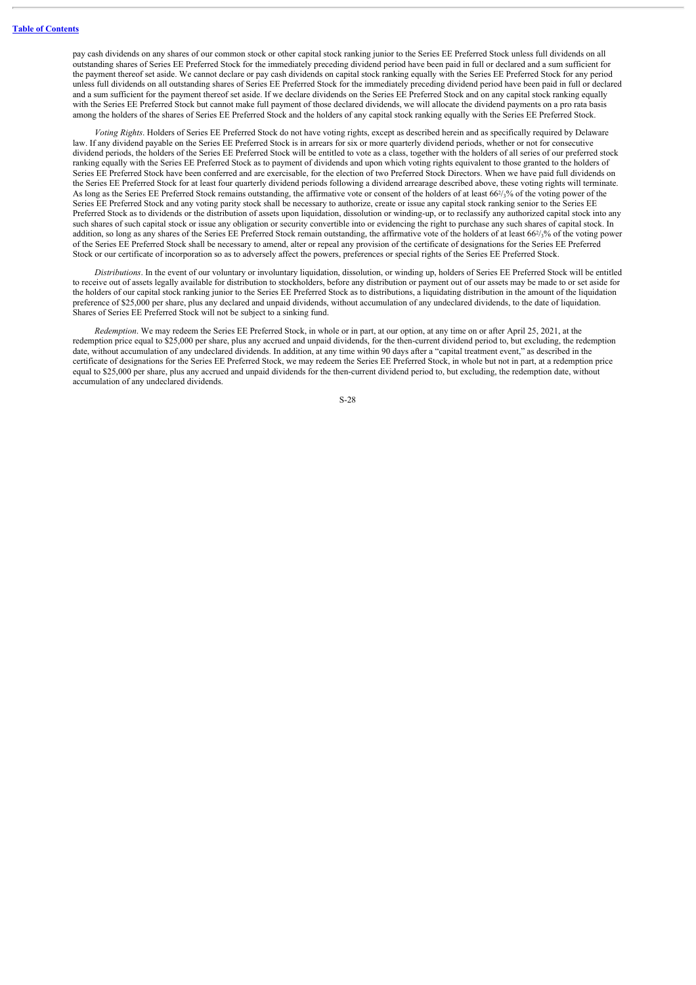pay cash dividends on any shares of our common stock or other capital stock ranking junior to the Series EE Preferred Stock unless full dividends on all outstanding shares of Series EE Preferred Stock for the immediately preceding dividend period have been paid in full or declared and a sum sufficient for the payment thereof set aside. We cannot declare or pay cash dividends on capital stock ranking equally with the Series EE Preferred Stock for any period unless full dividends on all outstanding shares of Series EE Preferred Stock for the immediately preceding dividend period have been paid in full or declared and a sum sufficient for the payment thereof set aside. If we declare dividends on the Series EE Preferred Stock and on any capital stock ranking equally with the Series EE Preferred Stock but cannot make full payment of those declared dividends, we will allocate the dividend payments on a pro rata basis among the holders of the shares of Series EE Preferred Stock and the holders of any capital stock ranking equally with the Series EE Preferred Stock.

*Voting Rights*. Holders of Series EE Preferred Stock do not have voting rights, except as described herein and as specifically required by Delaware law. If any dividend payable on the Series EE Preferred Stock is in arrears for six or more quarterly dividend periods, whether or not for consecutive dividend periods, the holders of the Series EE Preferred Stock will be entitled to vote as a class, together with the holders of all series of our preferred stock ranking equally with the Series EE Preferred Stock as to payment of dividends and upon which voting rights equivalent to those granted to the holders of Series EE Preferred Stock have been conferred and are exercisable, for the election of two Preferred Stock Directors. When we have paid full dividends on the Series EE Preferred Stock for at least four quarterly dividend periods following a dividend arrearage described above, these voting rights will terminate. As long as the Series EE Preferred Stock remains outstanding, the affirmative vote or consent of the holders of at least 66<sup>2</sup>/<sub>3</sub>% of the voting power of the Series EE Preferred Stock and any voting parity stock shall be necessary to authorize, create or issue any capital stock ranking senior to the Series EE Preferred Stock as to dividends or the distribution of assets upon liquidation, dissolution or winding-up, or to reclassify any authorized capital stock into any such shares of such capital stock or issue any obligation or security convertible into or evidencing the right to purchase any such shares of capital stock. In addition, so long as any shares of the Series EE Preferred Stock remain outstanding, the affirmative vote of the holders of at least 66<sup>2</sup>/<sub>3</sub>% of the voting power of the Series EE Preferred Stock shall be necessary to amend, alter or repeal any provision of the certificate of designations for the Series EE Preferred Stock or our certificate of incorporation so as to adversely affect the powers, preferences or special rights of the Series EE Preferred Stock.

*Distributions*. In the event of our voluntary or involuntary liquidation, dissolution, or winding up, holders of Series EE Preferred Stock will be entitled to receive out of assets legally available for distribution to stockholders, before any distribution or payment out of our assets may be made to or set aside for the holders of our capital stock ranking junior to the Series EE Preferred Stock as to distributions, a liquidating distribution in the amount of the liquidation preference of \$25,000 per share, plus any declared and unpaid dividends, without accumulation of any undeclared dividends, to the date of liquidation. Shares of Series EE Preferred Stock will not be subject to a sinking fund.

*Redemption*. We may redeem the Series EE Preferred Stock, in whole or in part, at our option, at any time on or after April 25, 2021, at the redemption price equal to \$25,000 per share, plus any accrued and unpaid dividends, for the then-current dividend period to, but excluding, the redemption date, without accumulation of any undeclared dividends. In addition, at any time within 90 days after a "capital treatment event," as described in the certificate of designations for the Series EE Preferred Stock, we may redeem the Series EE Preferred Stock, in whole but not in part, at a redemption price equal to \$25,000 per share, plus any accrued and unpaid dividends for the then-current dividend period to, but excluding, the redemption date, without accumulation of any undeclared dividends.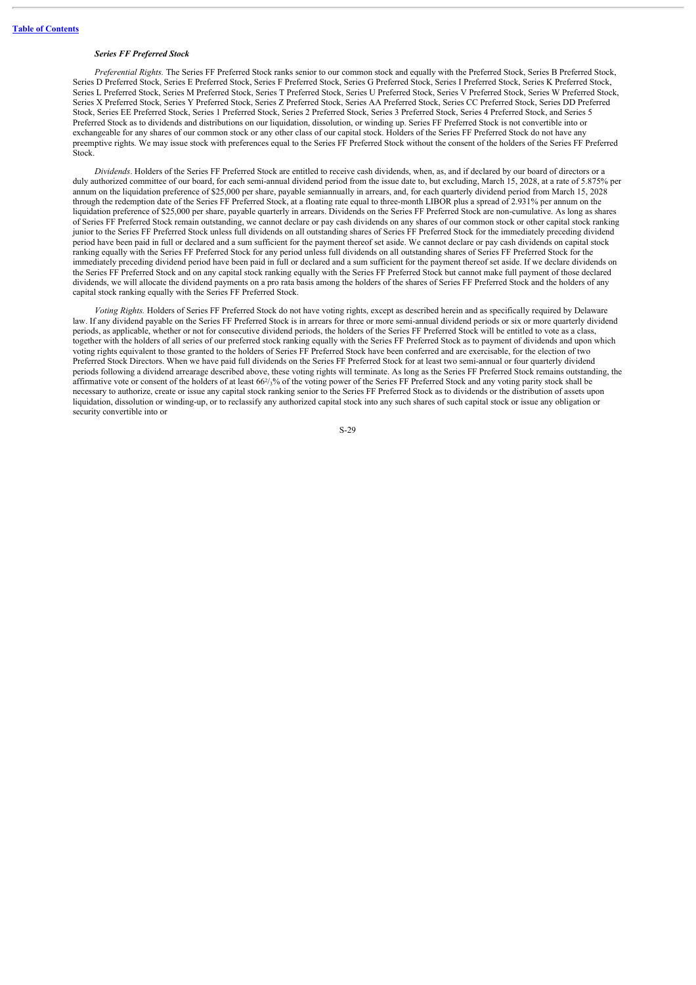#### *Series FF Preferred Stock*

*Preferential Rights.* The Series FF Preferred Stock ranks senior to our common stock and equally with the Preferred Stock, Series B Preferred Stock, Series D Preferred Stock, Series E Preferred Stock, Series F Preferred Stock, Series G Preferred Stock, Series I Preferred Stock, Series K Preferred Stock, Series L Preferred Stock, Series M Preferred Stock, Series T Preferred Stock, Series U Preferred Stock, Series V Preferred Stock, Series W Preferred Stock, Series X Preferred Stock, Series Y Preferred Stock, Series Z Preferred Stock, Series AA Preferred Stock, Series CC Preferred Stock, Series DD Preferred Stock, Series EE Preferred Stock, Series 1 Preferred Stock, Series 2 Preferred Stock, Series 3 Preferred Stock, Series 4 Preferred Stock, and Series 5 Preferred Stock as to dividends and distributions on our liquidation, dissolution, or winding up. Series FF Preferred Stock is not convertible into or exchangeable for any shares of our common stock or any other class of our capital stock. Holders of the Series FF Preferred Stock do not have any preemptive rights. We may issue stock with preferences equal to the Series FF Preferred Stock without the consent of the holders of the Series FF Preferred Stock.

*Dividends*. Holders of the Series FF Preferred Stock are entitled to receive cash dividends, when, as, and if declared by our board of directors or a duly authorized committee of our board, for each semi-annual dividend period from the issue date to, but excluding, March 15, 2028, at a rate of 5.875% per annum on the liquidation preference of \$25,000 per share, payable semiannually in arrears, and, for each quarterly dividend period from March 15, 2028 through the redemption date of the Series FF Preferred Stock, at a floating rate equal to three-month LIBOR plus a spread of 2.931% per annum on the liquidation preference of \$25,000 per share, payable quarterly in arrears. Dividends on the Series FF Preferred Stock are non-cumulative. As long as shares of Series FF Preferred Stock remain outstanding, we cannot declare or pay cash dividends on any shares of our common stock or other capital stock ranking junior to the Series FF Preferred Stock unless full dividends on all outstanding shares of Series FF Preferred Stock for the immediately preceding dividend period have been paid in full or declared and a sum sufficient for the payment thereof set aside. We cannot declare or pay cash dividends on capital stock ranking equally with the Series FF Preferred Stock for any period unless full dividends on all outstanding shares of Series FF Preferred Stock for the immediately preceding dividend period have been paid in full or declared and a sum sufficient for the payment thereof set aside. If we declare dividends on the Series FF Preferred Stock and on any capital stock ranking equally with the Series FF Preferred Stock but cannot make full payment of those declared dividends, we will allocate the dividend payments on a pro rata basis among the holders of the shares of Series FF Preferred Stock and the holders of any capital stock ranking equally with the Series FF Preferred Stock.

*Voting Rights.* Holders of Series FF Preferred Stock do not have voting rights, except as described herein and as specifically required by Delaware law. If any dividend payable on the Series FF Preferred Stock is in arrears for three or more semi-annual dividend periods or six or more quarterly dividend periods, as applicable, whether or not for consecutive dividend periods, the holders of the Series FF Preferred Stock will be entitled to vote as a class, together with the holders of all series of our preferred stock ranking equally with the Series FF Preferred Stock as to payment of dividends and upon which voting rights equivalent to those granted to the holders of Series FF Preferred Stock have been conferred and are exercisable, for the election of two Preferred Stock Directors. When we have paid full dividends on the Series FF Preferred Stock for at least two semi-annual or four quarterly dividend periods following a dividend arrearage described above, these voting rights will terminate. As long as the Series FF Preferred Stock remains outstanding, the affirmative vote or consent of the holders of at least 66<sup>2</sup>/<sub>3</sub>% of the voting power of the Series FF Preferred Stock and any voting parity stock shall be necessary to authorize, create or issue any capital stock ranking senior to the Series FF Preferred Stock as to dividends or the distribution of assets upon liquidation, dissolution or winding-up, or to reclassify any authorized capital stock into any such shares of such capital stock or issue any obligation or security convertible into or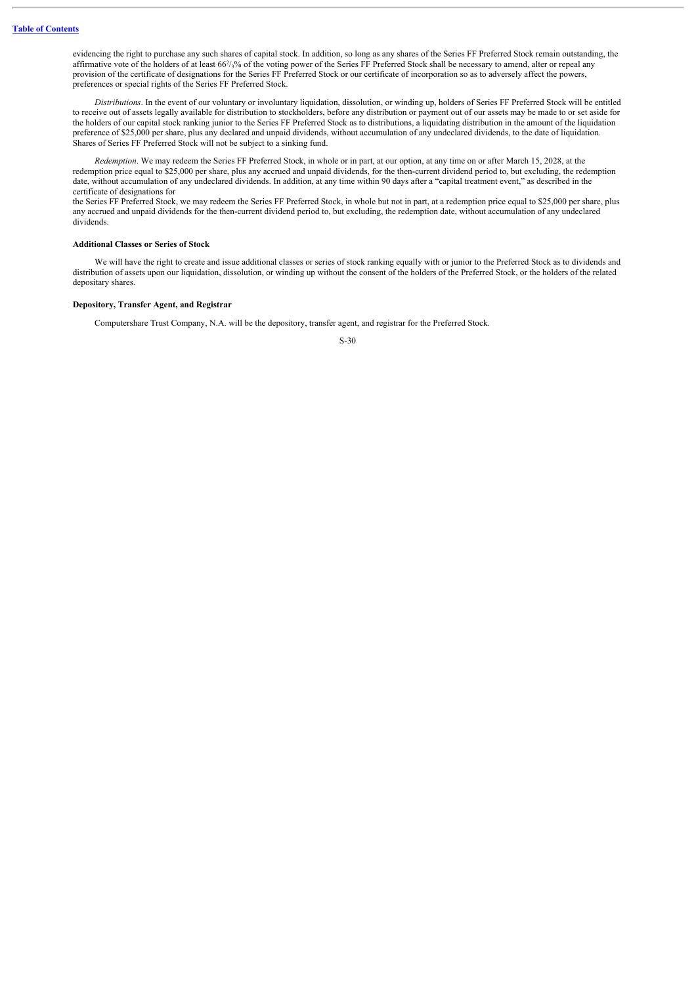evidencing the right to purchase any such shares of capital stock. In addition, so long as any shares of the Series FF Preferred Stock remain outstanding, the affirmative vote of the holders of at least 66<sup>2/</sup><sub>3</sub>% of the voting power of the Series FF Preferred Stock shall be necessary to amend, alter or repeal any provision of the certificate of designations for the Series FF Preferred Stock or our certificate of incorporation so as to adversely affect the powers, preferences or special rights of the Series FF Preferred Stock.

*Distributions*. In the event of our voluntary or involuntary liquidation, dissolution, or winding up, holders of Series FF Preferred Stock will be entitled to receive out of assets legally available for distribution to stockholders, before any distribution or payment out of our assets may be made to or set aside for the holders of our capital stock ranking junior to the Series FF Preferred Stock as to distributions, a liquidating distribution in the amount of the liquidation preference of \$25,000 per share, plus any declared and unpaid dividends, without accumulation of any undeclared dividends, to the date of liquidation. Shares of Series FF Preferred Stock will not be subject to a sinking fund.

*Redemption*. We may redeem the Series FF Preferred Stock, in whole or in part, at our option, at any time on or after March 15, 2028, at the redemption price equal to \$25,000 per share, plus any accrued and unpaid dividends, for the then-current dividend period to, but excluding, the redemption date, without accumulation of any undeclared dividends. In addition, at any time within 90 days after a "capital treatment event," as described in the certificate of designations for

the Series FF Preferred Stock, we may redeem the Series FF Preferred Stock, in whole but not in part, at a redemption price equal to \$25,000 per share, plus any accrued and unpaid dividends for the then-current dividend period to, but excluding, the redemption date, without accumulation of any undeclared dividends.

# **Additional Classes or Series of Stock**

We will have the right to create and issue additional classes or series of stock ranking equally with or junior to the Preferred Stock as to dividends and distribution of assets upon our liquidation, dissolution, or winding up without the consent of the holders of the Preferred Stock, or the holders of the related depositary shares.

### **Depository, Transfer Agent, and Registrar**

Computershare Trust Company, N.A. will be the depository, transfer agent, and registrar for the Preferred Stock.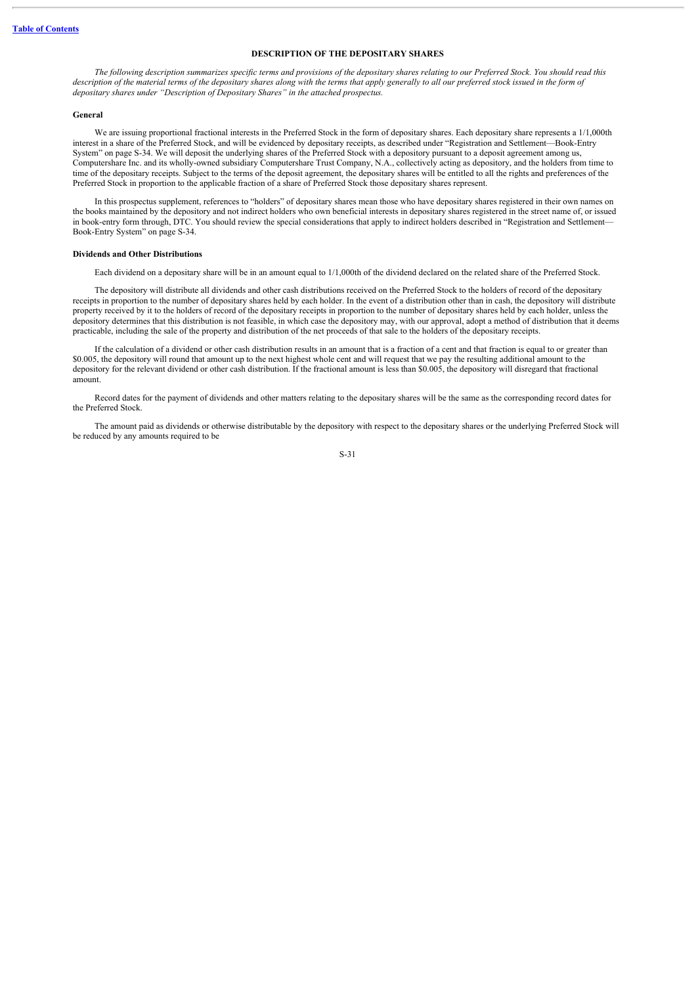### **DESCRIPTION OF THE DEPOSITARY SHARES**

The following description summarizes specific terms and provisions of the depositary shares relating to our Preferred Stock. You should read this description of the material terms of the depositary shares along with the terms that apply generally to all our preferred stock issued in the form of *depositary shares under "Description of Depositary Shares" in the attached prospectus.*

#### **General**

We are issuing proportional fractional interests in the Preferred Stock in the form of depositary shares. Each depositary share represents a 1/1,000th interest in a share of the Preferred Stock, and will be evidenced by depositary receipts, as described under "Registration and Settlement—Book-Entry System" on page S-34. We will deposit the underlying shares of the Preferred Stock with a depository pursuant to a deposit agreement among us, Computershare Inc. and its wholly-owned subsidiary Computershare Trust Company, N.A., collectively acting as depository, and the holders from time to time of the depositary receipts. Subject to the terms of the deposit agreement, the depositary shares will be entitled to all the rights and preferences of the Preferred Stock in proportion to the applicable fraction of a share of Preferred Stock those depositary shares represent.

In this prospectus supplement, references to "holders" of depositary shares mean those who have depositary shares registered in their own names on the books maintained by the depository and not indirect holders who own beneficial interests in depositary shares registered in the street name of, or issued in book-entry form through, DTC. You should review the special considerations that apply to indirect holders described in "Registration and Settlement— Book-Entry System" on page S-34.

#### **Dividends and Other Distributions**

Each dividend on a depositary share will be in an amount equal to 1/1,000th of the dividend declared on the related share of the Preferred Stock.

The depository will distribute all dividends and other cash distributions received on the Preferred Stock to the holders of record of the depositary receipts in proportion to the number of depositary shares held by each holder. In the event of a distribution other than in cash, the depository will distribute property received by it to the holders of record of the depositary receipts in proportion to the number of depositary shares held by each holder, unless the depository determines that this distribution is not feasible, in which case the depository may, with our approval, adopt a method of distribution that it deems practicable, including the sale of the property and distribution of the net proceeds of that sale to the holders of the depositary receipts.

If the calculation of a dividend or other cash distribution results in an amount that is a fraction of a cent and that fraction is equal to or greater than \$0.005, the depository will round that amount up to the next highest whole cent and will request that we pay the resulting additional amount to the depository for the relevant dividend or other cash distribution. If the fractional amount is less than \$0.005, the depository will disregard that fractional amount.

Record dates for the payment of dividends and other matters relating to the depositary shares will be the same as the corresponding record dates for the Preferred Stock.

The amount paid as dividends or otherwise distributable by the depository with respect to the depositary shares or the underlying Preferred Stock will be reduced by any amounts required to be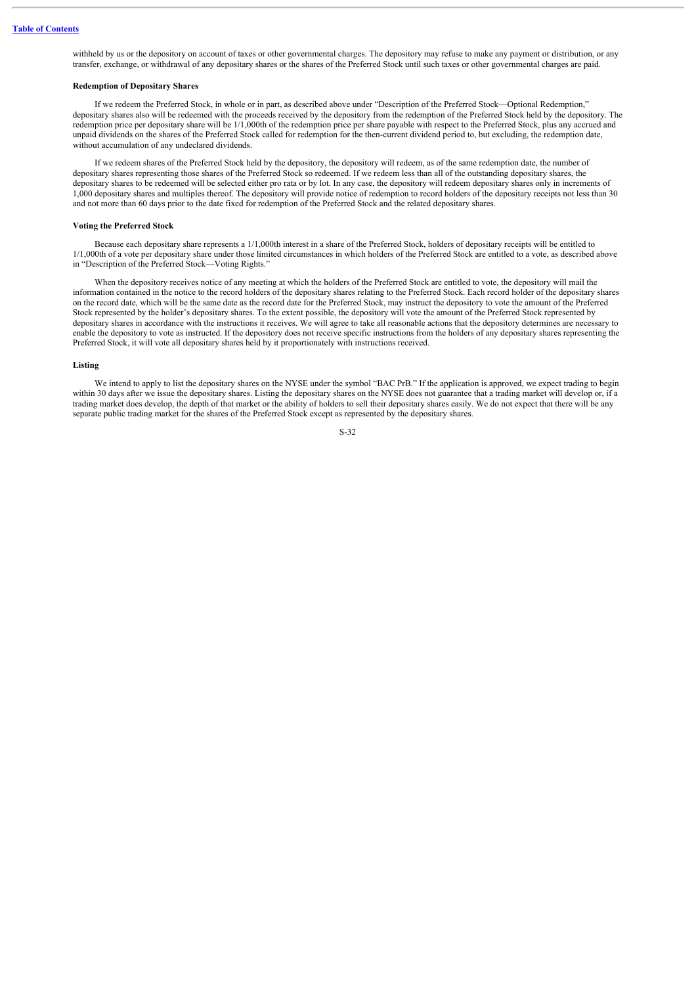withheld by us or the depository on account of taxes or other governmental charges. The depository may refuse to make any payment or distribution, or any transfer, exchange, or withdrawal of any depositary shares or the shares of the Preferred Stock until such taxes or other governmental charges are paid.

#### **Redemption of Depositary Shares**

If we redeem the Preferred Stock, in whole or in part, as described above under "Description of the Preferred Stock—Optional Redemption," depositary shares also will be redeemed with the proceeds received by the depository from the redemption of the Preferred Stock held by the depository. The redemption price per depositary share will be 1/1,000th of the redemption price per share payable with respect to the Preferred Stock, plus any accrued and unpaid dividends on the shares of the Preferred Stock called for redemption for the then-current dividend period to, but excluding, the redemption date, without accumulation of any undeclared dividends.

If we redeem shares of the Preferred Stock held by the depository, the depository will redeem, as of the same redemption date, the number of depositary shares representing those shares of the Preferred Stock so redeemed. If we redeem less than all of the outstanding depositary shares, the depositary shares to be redeemed will be selected either pro rata or by lot. In any case, the depository will redeem depositary shares only in increments of 1,000 depositary shares and multiples thereof. The depository will provide notice of redemption to record holders of the depositary receipts not less than 30 and not more than 60 days prior to the date fixed for redemption of the Preferred Stock and the related depositary shares.

### **Voting the Preferred Stock**

Because each depositary share represents a 1/1,000th interest in a share of the Preferred Stock, holders of depositary receipts will be entitled to 1/1,000th of a vote per depositary share under those limited circumstances in which holders of the Preferred Stock are entitled to a vote, as described above in "Description of the Preferred Stock—Voting Rights."

When the depository receives notice of any meeting at which the holders of the Preferred Stock are entitled to vote, the depository will mail the information contained in the notice to the record holders of the depositary shares relating to the Preferred Stock. Each record holder of the depositary shares on the record date, which will be the same date as the record date for the Preferred Stock, may instruct the depository to vote the amount of the Preferred Stock represented by the holder's depositary shares. To the extent possible, the depository will vote the amount of the Preferred Stock represented by depositary shares in accordance with the instructions it receives. We will agree to take all reasonable actions that the depository determines are necessary to enable the depository to vote as instructed. If the depository does not receive specific instructions from the holders of any depositary shares representing the Preferred Stock, it will vote all depositary shares held by it proportionately with instructions received.

### **Listing**

We intend to apply to list the depositary shares on the NYSE under the symbol "BAC PrB." If the application is approved, we expect trading to begin within 30 days after we issue the depositary shares. Listing the depositary shares on the NYSE does not guarantee that a trading market will develop or, if a trading market does develop, the depth of that market or the ability of holders to sell their depositary shares easily. We do not expect that there will be any separate public trading market for the shares of the Preferred Stock except as represented by the depositary shares.

$$
S-32
$$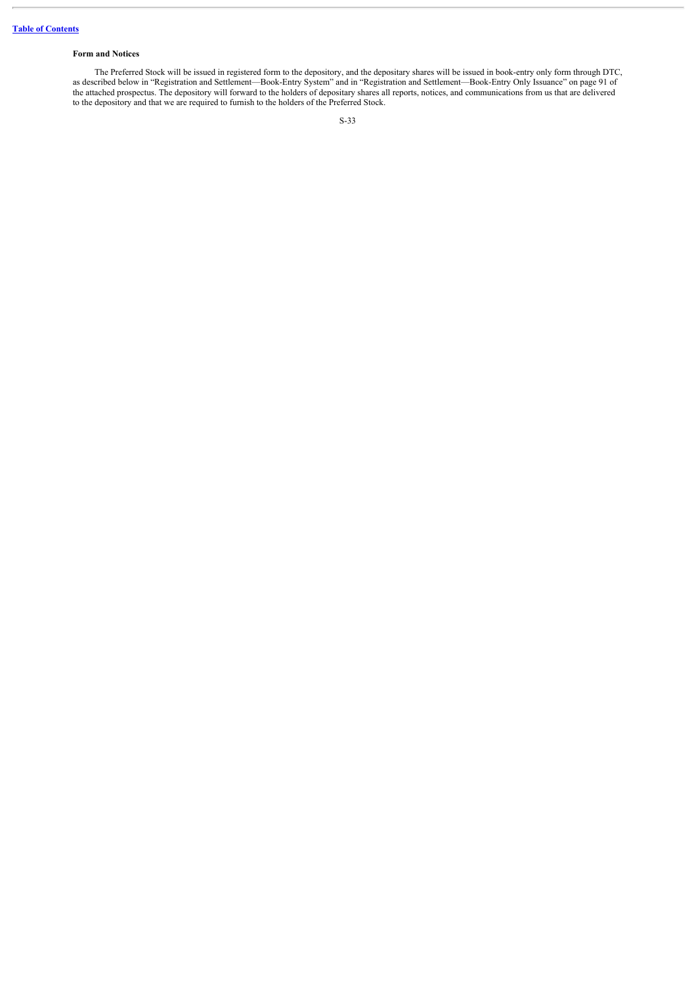# **Form and Notices**

The Preferred Stock will be issued in registered form to the depository, and the depositary shares will be issued in book-entry only form through DTC, as described below in "Registration and Settlement—Book-Entry System" and in "Registration and Settlement—Book-Entry Only Issuance" on page 91 of the attached prospectus. The depository will forward to the holders of depositary shares all reports, notices, and communications from us that are delivered to the depository and that we are required to furnish to the holders of the Preferred Stock.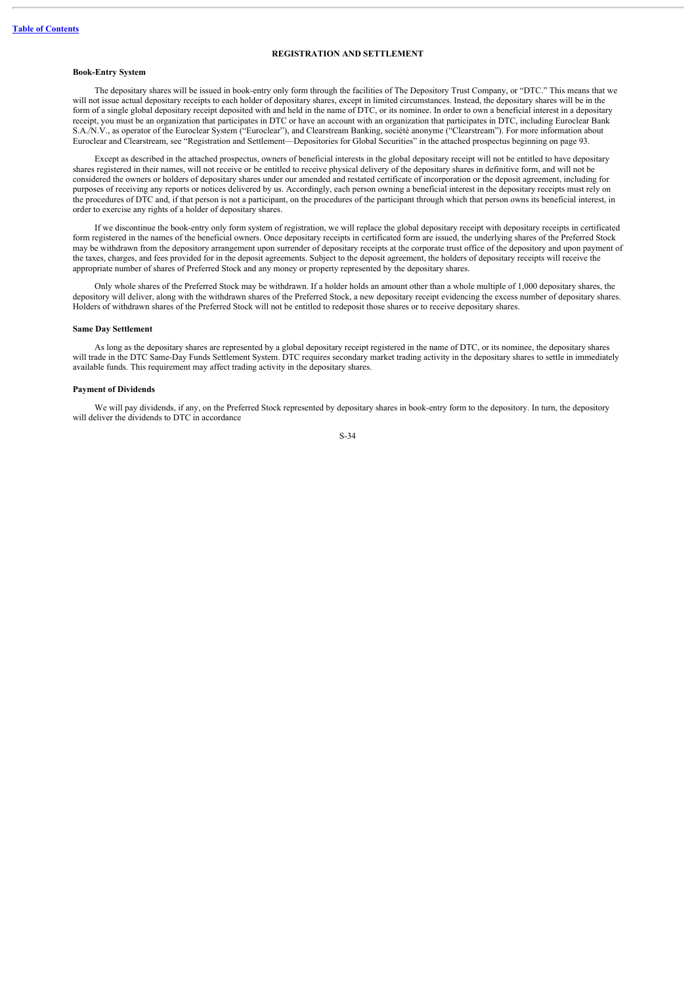## **REGISTRATION AND SETTLEMENT**

# **Book-Entry System**

The depositary shares will be issued in book-entry only form through the facilities of The Depository Trust Company, or "DTC." This means that we will not issue actual depositary receipts to each holder of depositary shares, except in limited circumstances. Instead, the depositary shares will be in the form of a single global depositary receipt deposited with and held in the name of DTC, or its nominee. In order to own a beneficial interest in a depositary receipt, you must be an organization that participates in DTC or have an account with an organization that participates in DTC, including Euroclear Bank S.A./N.V., as operator of the Euroclear System ("Euroclear"), and Clearstream Banking, société anonyme ("Clearstream"). For more information about Euroclear and Clearstream, see "Registration and Settlement—Depositories for Global Securities" in the attached prospectus beginning on page 93.

Except as described in the attached prospectus, owners of beneficial interests in the global depositary receipt will not be entitled to have depositary shares registered in their names, will not receive or be entitled to receive physical delivery of the depositary shares in definitive form, and will not be considered the owners or holders of depositary shares under our amended and restated certificate of incorporation or the deposit agreement, including for purposes of receiving any reports or notices delivered by us. Accordingly, each person owning a beneficial interest in the depositary receipts must rely on the procedures of DTC and, if that person is not a participant, on the procedures of the participant through which that person owns its beneficial interest, in order to exercise any rights of a holder of depositary shares.

If we discontinue the book-entry only form system of registration, we will replace the global depositary receipt with depositary receipts in certificated form registered in the names of the beneficial owners. Once depositary receipts in certificated form are issued, the underlying shares of the Preferred Stock may be withdrawn from the depository arrangement upon surrender of depositary receipts at the corporate trust office of the depository and upon payment of the taxes, charges, and fees provided for in the deposit agreements. Subject to the deposit agreement, the holders of depositary receipts will receive the appropriate number of shares of Preferred Stock and any money or property represented by the depositary shares.

Only whole shares of the Preferred Stock may be withdrawn. If a holder holds an amount other than a whole multiple of 1,000 depositary shares, the depository will deliver, along with the withdrawn shares of the Preferred Stock, a new depositary receipt evidencing the excess number of depositary shares. Holders of withdrawn shares of the Preferred Stock will not be entitled to redeposit those shares or to receive depositary shares.

### **Same Day Settlement**

As long as the depositary shares are represented by a global depositary receipt registered in the name of DTC, or its nominee, the depositary shares will trade in the DTC Same-Day Funds Settlement System. DTC requires secondary market trading activity in the depositary shares to settle in immediately available funds. This requirement may affect trading activity in the depositary shares.

## **Payment of Dividends**

We will pay dividends, if any, on the Preferred Stock represented by depositary shares in book-entry form to the depository. In turn, the depository will deliver the dividends to DTC in accordance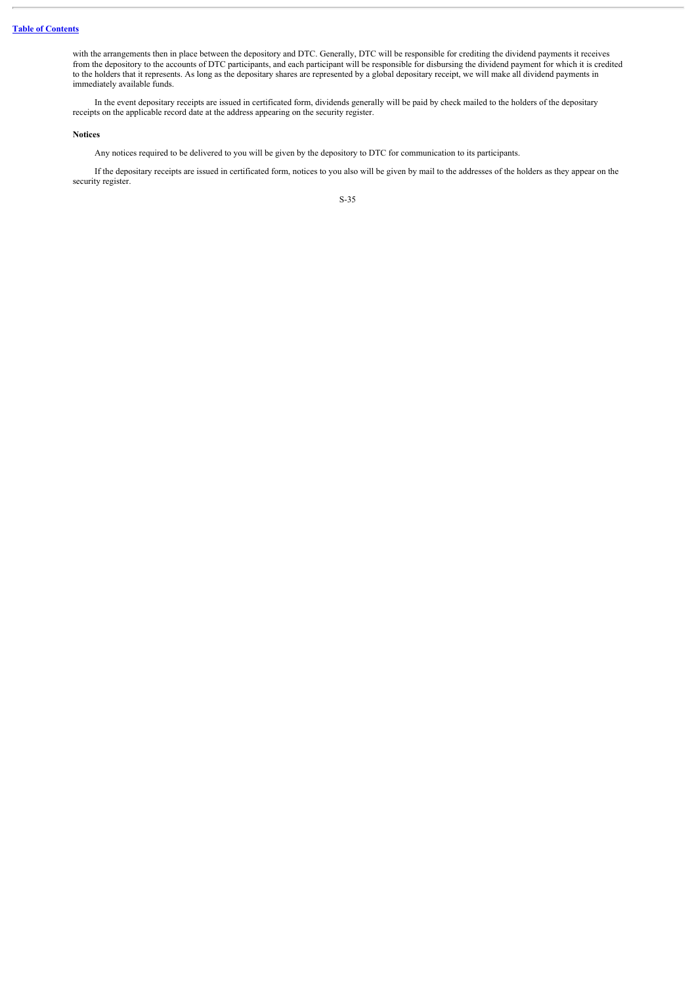with the arrangements then in place between the depository and DTC. Generally, DTC will be responsible for crediting the dividend payments it receives from the depository to the accounts of DTC participants, and each participant will be responsible for disbursing the dividend payment for which it is credited to the holders that it represents. As long as the depositary shares are represented by a global depositary receipt, we will make all dividend payments in immediately available funds.

In the event depositary receipts are issued in certificated form, dividends generally will be paid by check mailed to the holders of the depositary receipts on the applicable record date at the address appearing on the security register.

# **Notices**

Any notices required to be delivered to you will be given by the depository to DTC for communication to its participants.

If the depositary receipts are issued in certificated form, notices to you also will be given by mail to the addresses of the holders as they appear on the security register.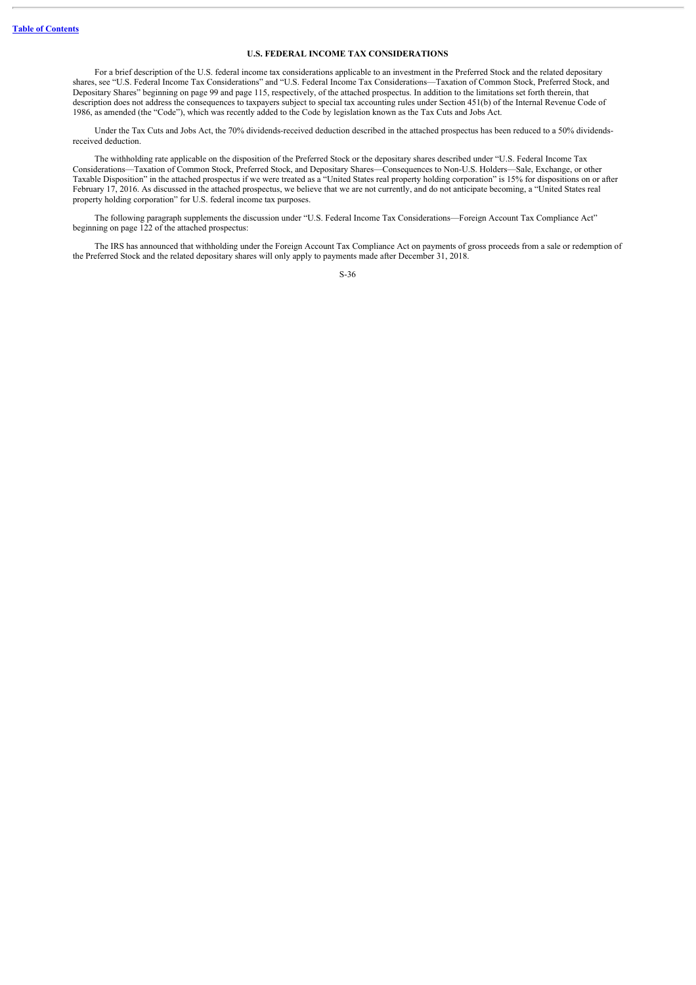#### **U.S. FEDERAL INCOME TAX CONSIDERATIONS**

For a brief description of the U.S. federal income tax considerations applicable to an investment in the Preferred Stock and the related depositary shares, see "U.S. Federal Income Tax Considerations" and "U.S. Federal Income Tax Considerations—Taxation of Common Stock, Preferred Stock, and Depositary Shares" beginning on page 99 and page 115, respectively, of the attached prospectus. In addition to the limitations set forth therein, that description does not address the consequences to taxpayers subject to special tax accounting rules under Section 451(b) of the Internal Revenue Code of 1986, as amended (the "Code"), which was recently added to the Code by legislation known as the Tax Cuts and Jobs Act.

Under the Tax Cuts and Jobs Act, the 70% dividends-received deduction described in the attached prospectus has been reduced to a 50% dividendsreceived deduction.

The withholding rate applicable on the disposition of the Preferred Stock or the depositary shares described under "U.S. Federal Income Tax Considerations—Taxation of Common Stock, Preferred Stock, and Depositary Shares—Consequences to Non-U.S. Holders—Sale, Exchange, or other Taxable Disposition" in the attached prospectus if we were treated as a "United States real property holding corporation" is 15% for dispositions on or after February 17, 2016. As discussed in the attached prospectus, we believe that we are not currently, and do not anticipate becoming, a "United States real property holding corporation" for U.S. federal income tax purposes.

The following paragraph supplements the discussion under "U.S. Federal Income Tax Considerations—Foreign Account Tax Compliance Act" beginning on page 122 of the attached prospectus:

The IRS has announced that withholding under the Foreign Account Tax Compliance Act on payments of gross proceeds from a sale or redemption of the Preferred Stock and the related depositary shares will only apply to payments made after December 31, 2018.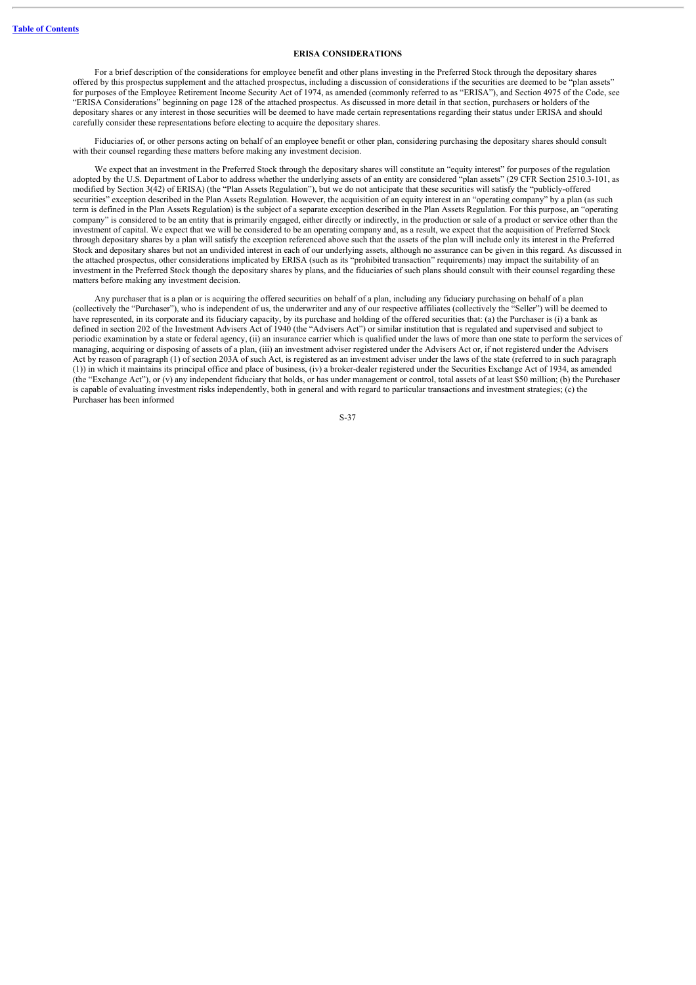## **ERISA CONSIDERATIONS**

For a brief description of the considerations for employee benefit and other plans investing in the Preferred Stock through the depositary shares offered by this prospectus supplement and the attached prospectus, including a discussion of considerations if the securities are deemed to be "plan assets" for purposes of the Employee Retirement Income Security Act of 1974, as amended (commonly referred to as "ERISA"), and Section 4975 of the Code, see "ERISA Considerations" beginning on page 128 of the attached prospectus. As discussed in more detail in that section, purchasers or holders of the depositary shares or any interest in those securities will be deemed to have made certain representations regarding their status under ERISA and should carefully consider these representations before electing to acquire the depositary shares.

Fiduciaries of, or other persons acting on behalf of an employee benefit or other plan, considering purchasing the depositary shares should consult with their counsel regarding these matters before making any investment decision.

We expect that an investment in the Preferred Stock through the depositary shares will constitute an "equity interest" for purposes of the regulation adopted by the U.S. Department of Labor to address whether the underlying assets of an entity are considered "plan assets" (29 CFR Section 2510.3-101, as modified by Section 3(42) of ERISA) (the "Plan Assets Regulation"), but we do not anticipate that these securities will satisfy the "publicly-offered securities" exception described in the Plan Assets Regulation. However, the acquisition of an equity interest in an "operating company" by a plan (as such term is defined in the Plan Assets Regulation) is the subject of a separate exception described in the Plan Assets Regulation. For this purpose, an "operating company" is considered to be an entity that is primarily engaged, either directly or indirectly, in the production or sale of a product or service other than the investment of capital. We expect that we will be considered to be an operating company and, as a result, we expect that the acquisition of Preferred Stock through depositary shares by a plan will satisfy the exception referenced above such that the assets of the plan will include only its interest in the Preferred Stock and depositary shares but not an undivided interest in each of our underlying assets, although no assurance can be given in this regard. As discussed in the attached prospectus, other considerations implicated by ERISA (such as its "prohibited transaction" requirements) may impact the suitability of an investment in the Preferred Stock though the depositary shares by plans, and the fiduciaries of such plans should consult with their counsel regarding these matters before making any investment decision.

Any purchaser that is a plan or is acquiring the offered securities on behalf of a plan, including any fiduciary purchasing on behalf of a plan (collectively the "Purchaser"), who is independent of us, the underwriter and any of our respective affiliates (collectively the "Seller") will be deemed to have represented, in its corporate and its fiduciary capacity, by its purchase and holding of the offered securities that: (a) the Purchaser is (i) a bank as defined in section 202 of the Investment Advisers Act of 1940 (the "Advisers Act") or similar institution that is regulated and supervised and subject to periodic examination by a state or federal agency, (ii) an insurance carrier which is qualified under the laws of more than one state to perform the services of managing, acquiring or disposing of assets of a plan, (iii) an investment adviser registered under the Advisers Act or, if not registered under the Advisers Act by reason of paragraph (1) of section 203A of such Act, is registered as an investment adviser under the laws of the state (referred to in such paragraph (1)) in which it maintains its principal office and place of business, (iv) a broker-dealer registered under the Securities Exchange Act of 1934, as amended (the "Exchange Act"), or (v) any independent fiduciary that holds, or has under management or control, total assets of at least \$50 million; (b) the Purchaser is capable of evaluating investment risks independently, both in general and with regard to particular transactions and investment strategies; (c) the Purchaser has been informed

S-37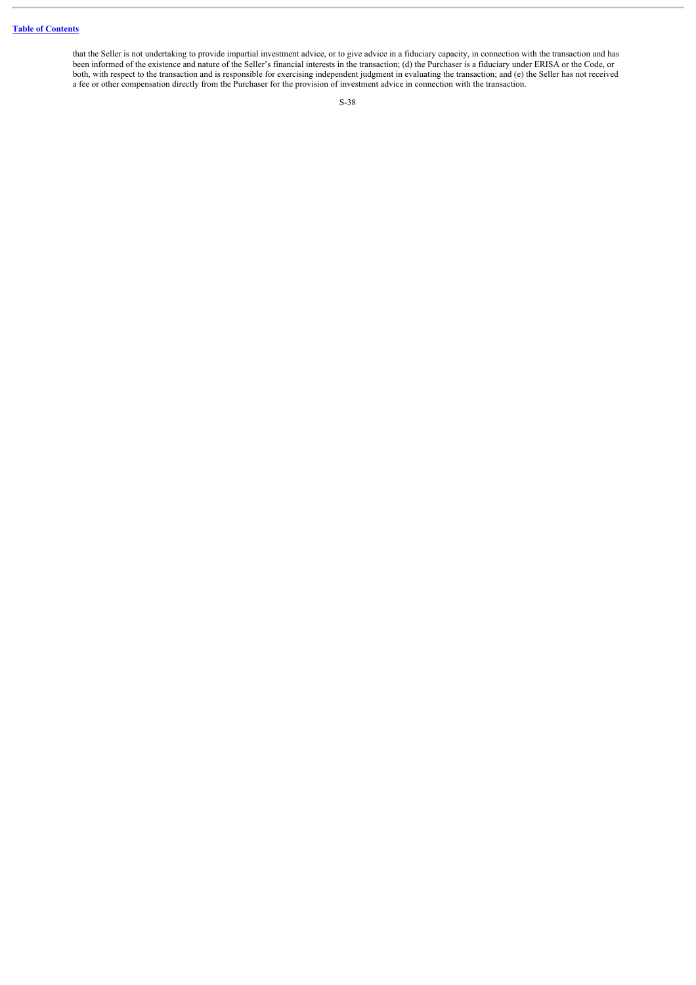that the Seller is not undertaking to provide impartial investment advice, or to give advice in a fiduciary capacity, in connection with the transaction and has been informed of the existence and nature of the Seller's financial interests in the transaction; (d) the Purchaser is a fiduciary under ERISA or the Code, or both, with respect to the transaction and is responsible for exercising independent judgment in evaluating the transaction; and (e) the Seller has not received a fee or other compensation directly from the Purchaser for the provision of investment advice in connection with the transaction.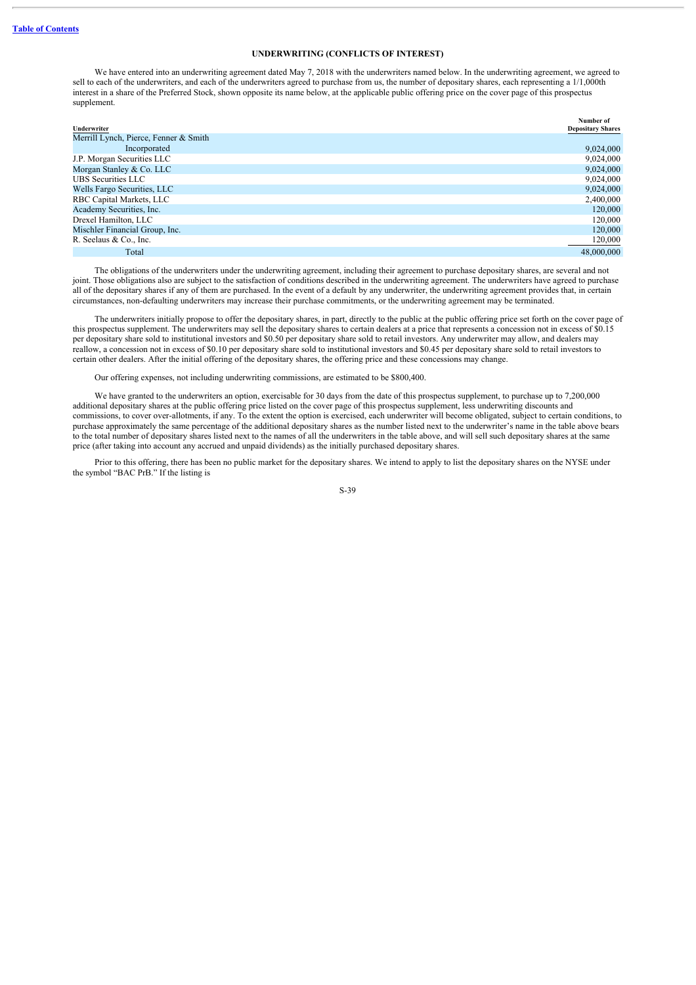## **UNDERWRITING (CONFLICTS OF INTEREST)**

We have entered into an underwriting agreement dated May 7, 2018 with the underwriters named below. In the underwriting agreement, we agreed to sell to each of the underwriters, and each of the underwriters agreed to purchase from us, the number of depositary shares, each representing a 1/1,000th interest in a share of the Preferred Stock, shown opposite its name below, at the applicable public offering price on the cover page of this prospectus supplement.

|                                       | Number of                |
|---------------------------------------|--------------------------|
| Underwriter                           | <b>Depositary Shares</b> |
| Merrill Lynch, Pierce, Fenner & Smith |                          |
| Incorporated                          | 9,024,000                |
| J.P. Morgan Securities LLC            | 9,024,000                |
| Morgan Stanley & Co. LLC              | 9,024,000                |
| UBS Securities LLC                    | 9,024,000                |
| Wells Fargo Securities, LLC           | 9,024,000                |
| RBC Capital Markets, LLC              | 2,400,000                |
| Academy Securities, Inc.              | 120,000                  |
| Drexel Hamilton, LLC                  | 120,000                  |
| Mischler Financial Group, Inc.        | 120,000                  |
| R. Seelaus & Co., Inc.                | 120,000                  |
| Total                                 | 48,000,000               |

The obligations of the underwriters under the underwriting agreement, including their agreement to purchase depositary shares, are several and not joint. Those obligations also are subject to the satisfaction of conditions described in the underwriting agreement. The underwriters have agreed to purchase all of the depositary shares if any of them are purchased. In the event of a default by any underwriter, the underwriting agreement provides that, in certain circumstances, non-defaulting underwriters may increase their purchase commitments, or the underwriting agreement may be terminated.

The underwriters initially propose to offer the depositary shares, in part, directly to the public at the public offering price set forth on the cover page of this prospectus supplement. The underwriters may sell the depositary shares to certain dealers at a price that represents a concession not in excess of \$0.15 per depositary share sold to institutional investors and \$0.50 per depositary share sold to retail investors. Any underwriter may allow, and dealers may reallow, a concession not in excess of \$0.10 per depositary share sold to institutional investors and \$0.45 per depositary share sold to retail investors to certain other dealers. After the initial offering of the depositary shares, the offering price and these concessions may change.

Our offering expenses, not including underwriting commissions, are estimated to be \$800,400.

We have granted to the underwriters an option, exercisable for 30 days from the date of this prospectus supplement, to purchase up to 7,200,000 additional depositary shares at the public offering price listed on the cover page of this prospectus supplement, less underwriting discounts and commissions, to cover over-allotments, if any. To the extent the option is exercised, each underwriter will become obligated, subject to certain conditions, to purchase approximately the same percentage of the additional depositary shares as the number listed next to the underwriter's name in the table above bears to the total number of depositary shares listed next to the names of all the underwriters in the table above, and will sell such depositary shares at the same price (after taking into account any accrued and unpaid dividends) as the initially purchased depositary shares.

Prior to this offering, there has been no public market for the depositary shares. We intend to apply to list the depositary shares on the NYSE under the symbol "BAC PrB." If the listing is

S-39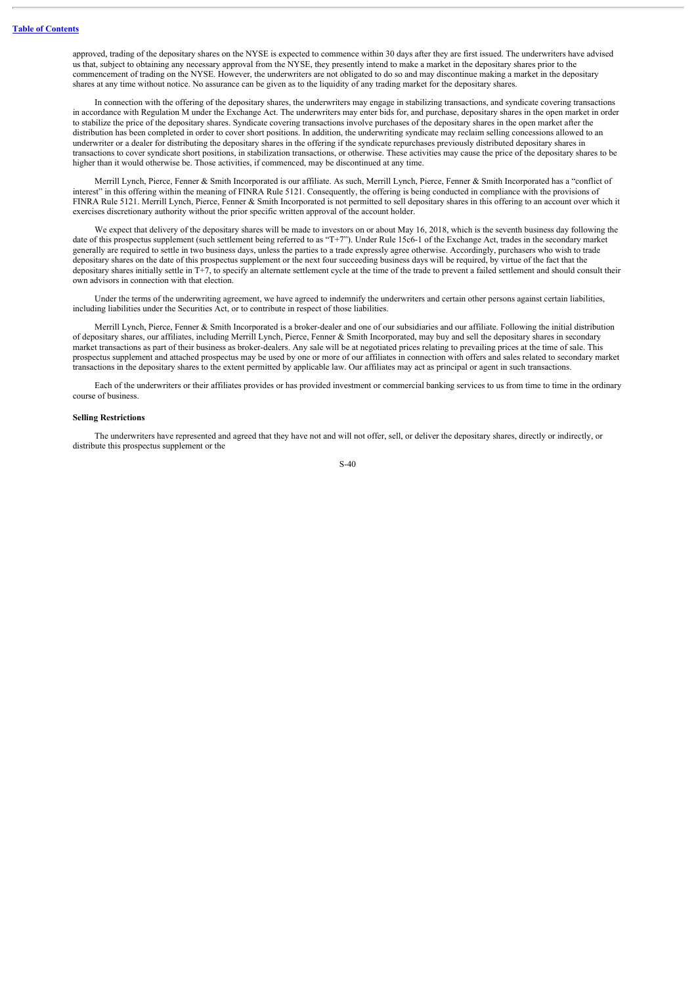approved, trading of the depositary shares on the NYSE is expected to commence within 30 days after they are first issued. The underwriters have advised us that, subject to obtaining any necessary approval from the NYSE, they presently intend to make a market in the depositary shares prior to the use that, subject to obtaining any necessary approval from the NYSE, they pre commencement of trading on the NYSE. However, the underwriters are not obligated to do so and may discontinue making a market in the depositary shares at any time without notice. No assurance can be given as to the liquidity of any trading market for the depositary shares.

In connection with the offering of the depositary shares, the underwriters may engage in stabilizing transactions, and syndicate covering transactions in accordance with Regulation M under the Exchange Act. The underwriters may enter bids for, and purchase, depositary shares in the open market in order to stabilize the price of the depositary shares. Syndicate covering transactions involve purchases of the depositary shares in the open market after the distribution has been completed in order to cover short positions. In addition, the underwriting syndicate may reclaim selling concessions allowed to an underwriter or a dealer for distributing the depositary shares in the offering if the syndicate repurchases previously distributed depositary shares in transactions to cover syndicate short positions, in stabilization transactions, or otherwise. These activities may cause the price of the depositary shares to be higher than it would otherwise be. Those activities, if commenced, may be discontinued at any time.

Merrill Lynch, Pierce, Fenner & Smith Incorporated is our affiliate. As such, Merrill Lynch, Pierce, Fenner & Smith Incorporated has a "conflict of interest" in this offering within the meaning of FINRA Rule 5121. Consequently, the offering is being conducted in compliance with the provisions of FINRA Rule 5121. Merrill Lynch, Pierce, Fenner & Smith Incorporated is not permitted to sell depositary shares in this offering to an account over which it exercises discretionary authority without the prior specific written approval of the account holder.

We expect that delivery of the depositary shares will be made to investors on or about May 16, 2018, which is the seventh business day following the date of this prospectus supplement (such settlement being referred to as "T+7"). Under Rule 15c6-1 of the Exchange Act, trades in the secondary market generally are required to settle in two business days, unless the parties to a trade expressly agree otherwise. Accordingly, purchasers who wish to trade depositary shares on the date of this prospectus supplement or the next four succeeding business days will be required, by virtue of the fact that the depositary shares initially settle in T+7, to specify an alternate settlement cycle at the time of the trade to prevent a failed settlement and should consult their own advisors in connection with that election.

Under the terms of the underwriting agreement, we have agreed to indemnify the underwriters and certain other persons against certain liabilities, including liabilities under the Securities Act, or to contribute in respect of those liabilities.

Merrill Lynch, Pierce, Fenner & Smith Incorporated is a broker-dealer and one of our subsidiaries and our affiliate. Following the initial distribution of depositary shares, our affiliates, including Merrill Lynch, Pierce, Fenner & Smith Incorporated, may buy and sell the depositary shares in secondary market transactions as part of their business as broker-dealers. Any sale will be at negotiated prices relating to prevailing prices at the time of sale. This prospectus supplement and attached prospectus may be used by one or more of our affiliates in connection with offers and sales related to secondary market transactions in the depositary shares to the extent permitted by applicable law. Our affiliates may act as principal or agent in such transactions.

Each of the underwriters or their affiliates provides or has provided investment or commercial banking services to us from time to time in the ordinary course of business.

## **Selling Restrictions**

The underwriters have represented and agreed that they have not and will not offer, sell, or deliver the depositary shares, directly or indirectly, or distribute this prospectus supplement or the

S-40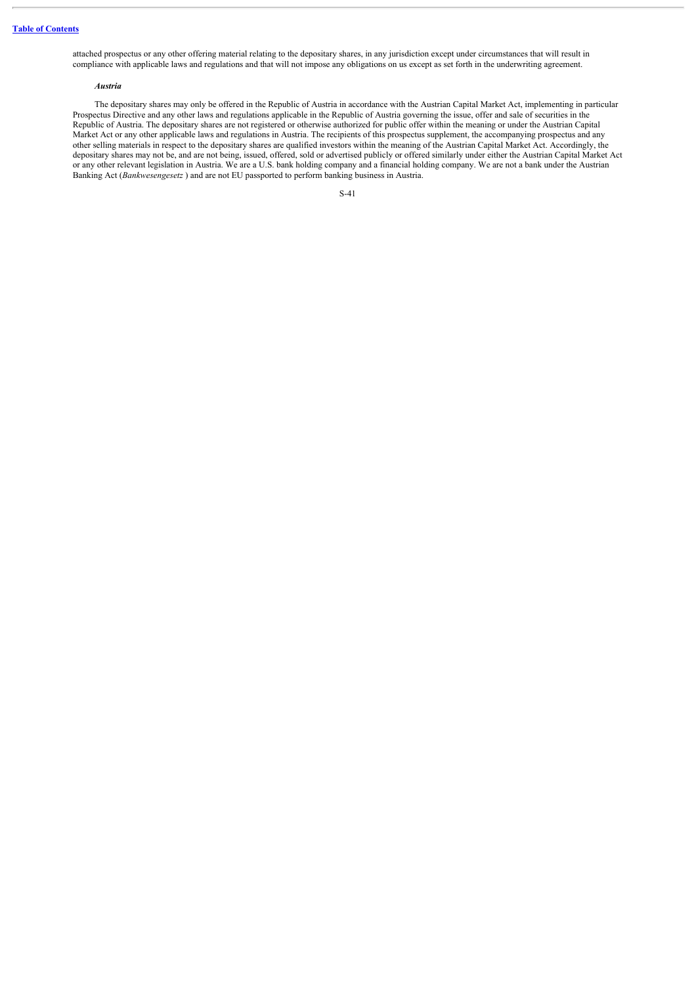attached prospectus or any other offering material relating to the depositary shares, in any jurisdiction except under circumstances that will result in compliance with applicable laws and regulations and that will not impose any obligations on us except as set forth in the underwriting agreement.

## *Austria*

The depositary shares may only be offered in the Republic of Austria in accordance with the Austrian Capital Market Act, implementing in particular Prospectus Directive and any other laws and regulations applicable in the Republic of Austria governing the issue, offer and sale of securities in the Republic of Austria. The depositary shares are not registered or otherwise authorized for public offer within the meaning or under the Austrian Capital Market Act or any other applicable laws and regulations in Austria. The recipients of this prospectus supplement, the accompanying prospectus and any other selling materials in respect to the depositary shares are qualified investors within the meaning of the Austrian Capital Market Act. Accordingly, the depositary shares may not be, and are not being, issued, offered, sold or advertised publicly or offered similarly under either the Austrian Capital Market Act or any other relevant legislation in Austria. We are a U.S. bank holding company and a financial holding company. We are not a bank under the Austrian Banking Act (*Bankwesengesetz* ) and are not EU passported to perform banking business in Austria.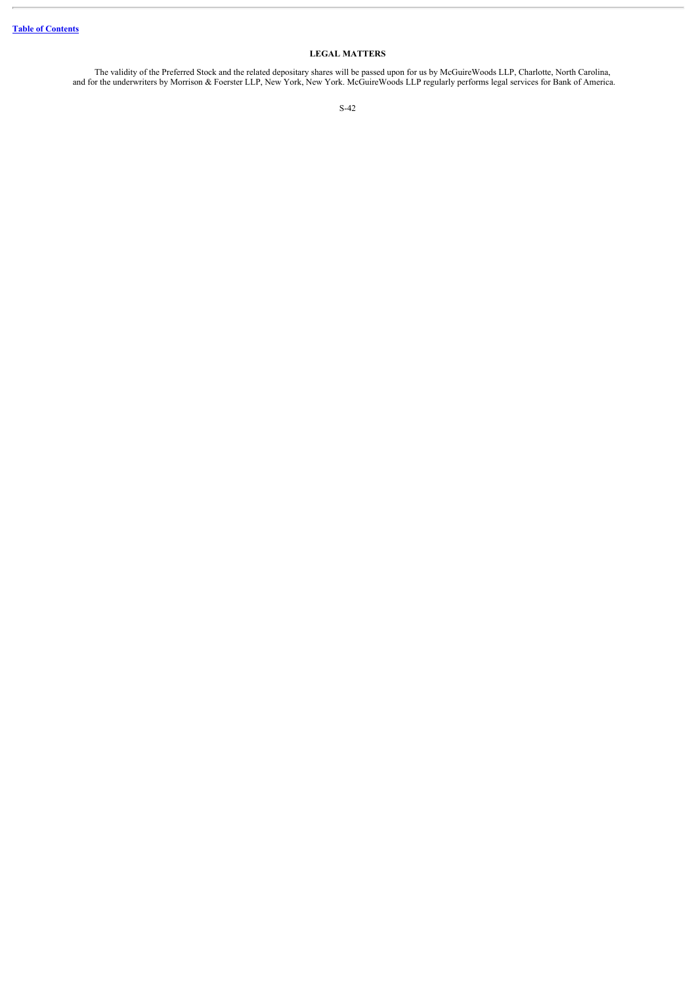# **LEGAL MATTERS**

The validity of the Preferred Stock and the related depositary shares will be passed upon for us by McGuireWoods LLP, Charlotte, North Carolina, and for the underwriters by Morrison & Foerster LLP, New York, New York. McGuireWoods LLP regularly performs legal services for Bank of America.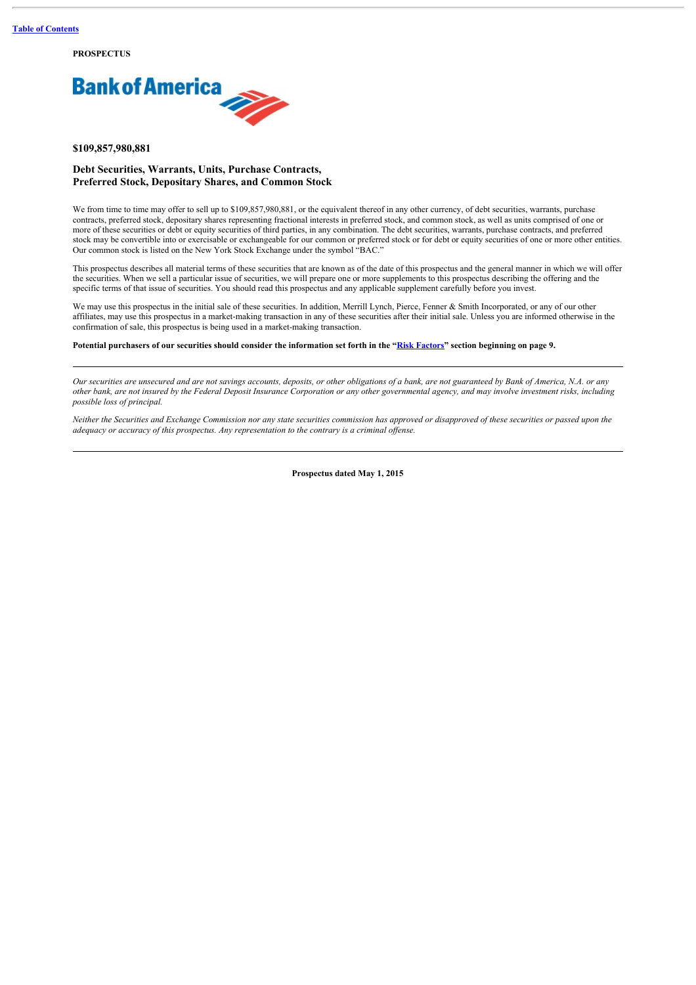

**\$109,857,980,881**

# **Debt Securities, Warrants, Units, Purchase Contracts, Preferred Stock, Depositary Shares, and Common Stock**

We from time to time may offer to sell up to \$109,857,980,881, or the equivalent thereof in any other currency, of debt securities, warrants, purchase contracts, preferred stock, depositary shares representing fractional interests in preferred stock, and common stock, as well as units comprised of one or more of these securities or debt or equity securities of third parties, in any combination. The debt securities, warrants, purchase contracts, and preferred stock may be convertible into or exercisable or exchangeable for our common or preferred stock or for debt or equity securities of one or more other entities. Our common stock is listed on the New York Stock Exchange under the symbol "BAC."

This prospectus describes all material terms of these securities that are known as of the date of this prospectus and the general manner in which we will offer the securities. When we sell a particular issue of securities, we will prepare one or more supplements to this prospectus describing the offering and the specific terms of that issue of securities. You should read this prospectus and any applicable supplement carefully before you invest.

We may use this prospectus in the initial sale of these securities. In addition, Merrill Lynch, Pierce, Fenner & Smith Incorporated, or any of our other affiliates, may use this prospectus in a market-making transaction in any of these securities after their initial sale. Unless you are informed otherwise in the confirmation of sale, this prospectus is being used in a market-making transaction.

# Potential purchasers of our securities should consider the information set forth in the "Risk [Factors"](https://www.sec.gov/Archives/edgar/data/70858/000119312518157429/d572029d424b5.htm#tx572029_3) section beginning on page 9.

Our securities are unsecured and are not savings accounts, deposits, or other obligations of a bank, are not guaranteed by Bank of America, N.A. or any other bank, are not insured by the Federal Deposit Insurance Corporation or any other governmental agency, and may involve investment risks, including *possible loss of principal.*

Neither the Securities and Exchange Commission nor any state securities commission has approved or disapproved of these securities or passed upon the *adequacy or accuracy of this prospectus. Any representation to the contrary is a criminal of ense.*

**Prospectus dated May 1, 2015**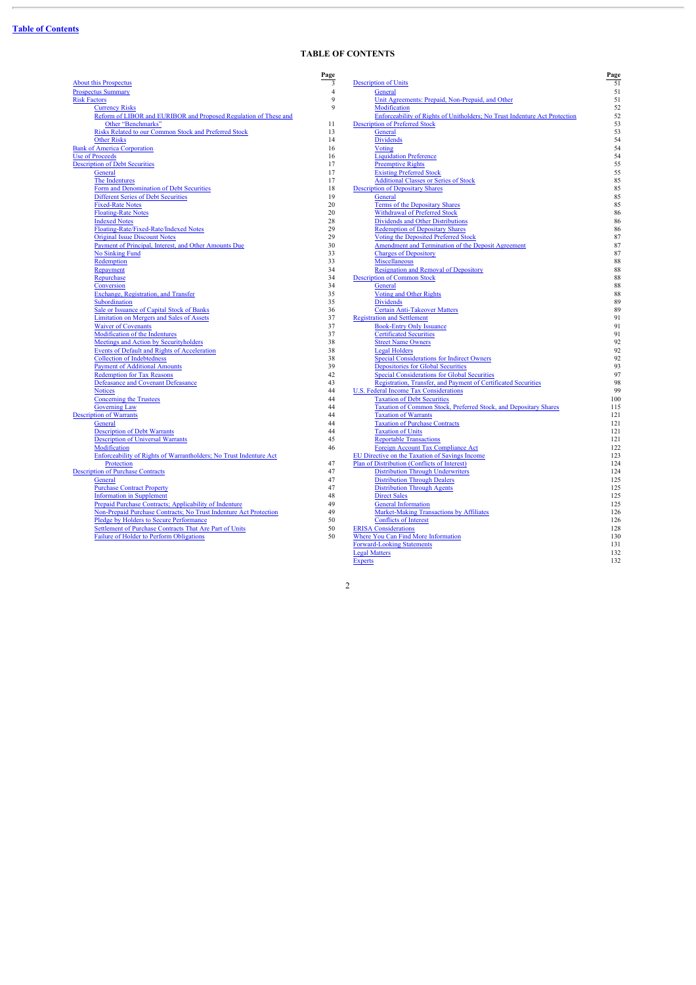# **TABLE OF CONTENTS**

|                                                                    | Page           |                                                                                     | Page      |
|--------------------------------------------------------------------|----------------|-------------------------------------------------------------------------------------|-----------|
| <b>About this Prospectus</b>                                       | $\overline{3}$ | <b>Description of Units</b>                                                         | 51        |
| <b>Prospectus Summary</b>                                          | $\overline{4}$ | General                                                                             | 51        |
| <b>Risk Factors</b>                                                | 9              | Unit Agreements: Prepaid, Non-Prepaid, and Other                                    | 51        |
| <b>Currency Risks</b>                                              | 9              | Modification                                                                        | 52        |
| Reform of LIBOR and EURIBOR and Proposed Regulation of These and   |                | Enforceability of Rights of Unitholders; No Trust Indenture Act Protection          | 52        |
| Other "Benchmarks"                                                 | 11             | <b>Description of Preferred Stock</b>                                               | 53        |
| Risks Related to our Common Stock and Preferred Stock              | 13             | General                                                                             | 53        |
| <b>Other Risks</b><br><b>Bank of America Corporation</b>           | 14<br>16       | <b>Dividends</b><br><b>Voting</b>                                                   | 54<br>54  |
| <b>Use of Proceeds</b>                                             | 16             | <b>Liquidation Preference</b>                                                       | 54        |
| <b>Description of Debt Securities</b>                              | 17             | <b>Preemptive Rights</b>                                                            | 55        |
| General                                                            | 17             | <b>Existing Preferred Stock</b>                                                     | 55        |
| The Indentures                                                     | 17             | <b>Additional Classes or Series of Stock</b>                                        | 85        |
| Form and Denomination of Debt Securities                           | 18             | <b>Description of Depositary Shares</b>                                             | 85        |
| Different Series of Debt Securities                                | 19             | General                                                                             | 85        |
| <b>Fixed-Rate Notes</b>                                            | 20             | Terms of the Depositary Shares                                                      | 85        |
| <b>Floating-Rate Notes</b>                                         | 20             | <b>Withdrawal of Preferred Stock</b>                                                | 86        |
| <b>Indexed Notes</b>                                               | 28             | Dividends and Other Distributions                                                   | 86        |
| Floating-Rate/Fixed-Rate/Indexed Notes                             | 29             | <b>Redemption of Depositary Shares</b>                                              | 86        |
| <b>Original Issue Discount Notes</b>                               | 29             | Voting the Deposited Preferred Stock                                                | 87        |
| Payment of Principal, Interest, and Other Amounts Due              | 30             | Amendment and Termination of the Deposit Agreement                                  | 87        |
| <b>No Sinking Fund</b>                                             | 33             | <b>Charges of Depository</b>                                                        | 87        |
| Redemption                                                         | 33             | Miscellaneous                                                                       | 88        |
| Repayment                                                          | 34             | <b>Resignation and Removal of Depository</b>                                        | 88        |
| Repurchase                                                         | 34             | <b>Description of Common Stock</b>                                                  | 88        |
| Conversion                                                         | 34             | General                                                                             | 88        |
| Exchange, Registration, and Transfer                               | 35             | <b>Voting and Other Rights</b>                                                      | 88        |
| Subordination                                                      | 35             | <b>Dividends</b>                                                                    | 89        |
| Sale or Issuance of Capital Stock of Banks                         | 36             | <b>Certain Anti-Takeover Matters</b>                                                | 89        |
| <b>Limitation on Mergers and Sales of Assets</b>                   | 37             | <b>Registration and Settlement</b>                                                  | 91        |
| <b>Waiver of Covenants</b>                                         | 37             | <b>Book-Entry Only Issuance</b>                                                     | 91        |
| Modification of the Indentures                                     | 37             | <b>Certificated Securities</b>                                                      | 91        |
| Meetings and Action by Securityholders                             | 38             | <b>Street Name Owners</b>                                                           | 92        |
| Events of Default and Rights of Acceleration                       | 38             | <b>Legal Holders</b>                                                                | 92        |
| <b>Collection of Indebtedness</b>                                  | 38             | Special Considerations for Indirect Owners                                          | 92        |
| <b>Payment of Additional Amounts</b>                               | 39             | <b>Depositories for Global Securities</b>                                           | 93        |
| <b>Redemption for Tax Reasons</b>                                  | 42             | Special Considerations for Global Securities                                        | 97        |
| Defeasance and Covenant Defeasance                                 | 43             | Registration, Transfer, and Payment of Certificated Securities                      | 98        |
| <b>Notices</b><br><b>Concerning the Trustees</b>                   | 44<br>44       | <b>U.S. Federal Income Tax Considerations</b><br><b>Taxation of Debt Securities</b> | 99<br>100 |
| <b>Governing Law</b>                                               | 44             | Taxation of Common Stock, Preferred Stock, and Depositary Shares                    | 115       |
| <b>Description of Warrants</b>                                     | 44             | <b>Taxation of Warrants</b>                                                         | 121       |
| General                                                            | 44             | <b>Taxation of Purchase Contracts</b>                                               | 121       |
| <b>Description of Debt Warrants</b>                                | 44             | <b>Taxation of Units</b>                                                            | 121       |
| <b>Description of Universal Warrants</b>                           | 45             | <b>Reportable Transactions</b>                                                      | 121       |
| Modification                                                       | 46             | Foreign Account Tax Compliance Act                                                  | 122       |
| Enforceability of Rights of Warrantholders; No Trust Indenture Act |                | EU Directive on the Taxation of Savings Income                                      | 123       |
| Protection                                                         | 47             | Plan of Distribution (Conflicts of Interest)                                        | 124       |
| <b>Description of Purchase Contracts</b>                           | 47             | <b>Distribution Through Underwriters</b>                                            | 124       |
| General                                                            | 47             | <b>Distribution Through Dealers</b>                                                 | 125       |
| <b>Purchase Contract Property</b>                                  | 47             | <b>Distribution Through Agents</b>                                                  | 125       |
| <b>Information</b> in Supplement                                   | 48             | <b>Direct Sales</b>                                                                 | 125       |
| Prepaid Purchase Contracts; Applicability of Indenture             | 49             | <b>General Information</b>                                                          | 125       |
| Non-Prepaid Purchase Contracts; No Trust Indenture Act Protection  | 49             | Market-Making Transactions by Affiliates                                            | 126       |
| Pledge by Holders to Secure Performance                            | 50             | <b>Conflicts of Interest</b>                                                        | 126       |
| Settlement of Purchase Contracts That Are Part of Units            | 50             | <b>ERISA</b> Considerations                                                         | 128       |
| <b>Failure of Holder to Perform Obligations</b>                    | 50             | <b>Where You Can Find More Information</b>                                          | 130       |
|                                                                    |                | <b>Forward-Looking Statements</b>                                                   | 131       |
|                                                                    |                | <b>Legal Matters</b>                                                                | 132       |
|                                                                    |                | <b>Experts</b>                                                                      | 132       |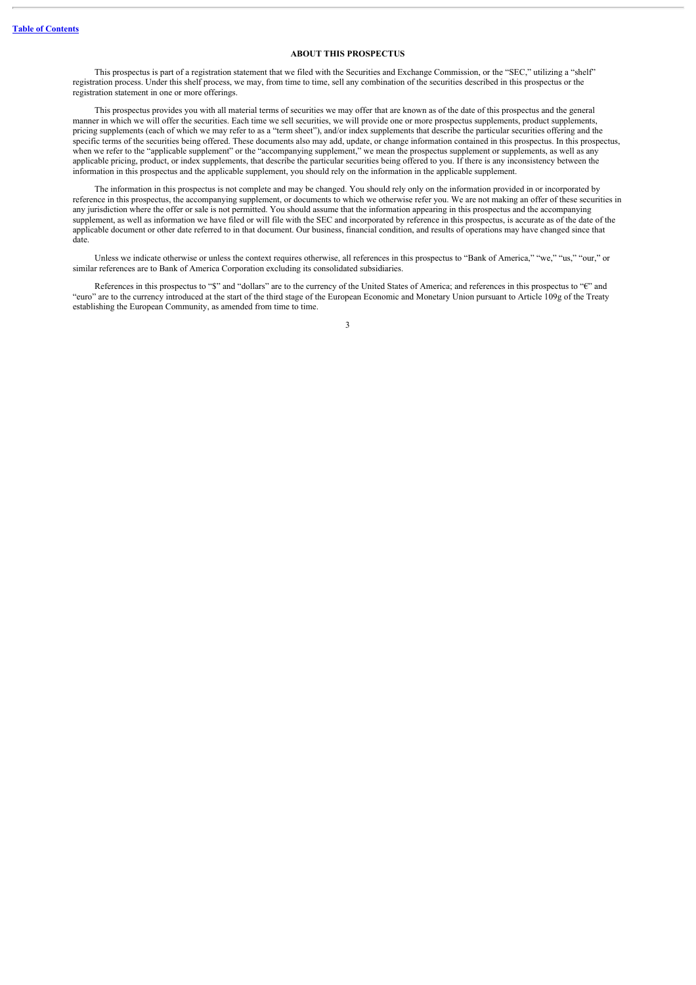## **ABOUT THIS PROSPECTUS**

This prospectus is part of a registration statement that we filed with the Securities and Exchange Commission, or the "SEC," utilizing a "shelf" registration process. Under this shelf process, we may, from time to time, sell any combination of the securities described in this prospectus or the registration statement in one or more offerings.

This prospectus provides you with all material terms of securities we may offer that are known as of the date of this prospectus and the general manner in which we will offer the securities. Each time we sell securities, we will provide one or more prospectus supplements, product supplements, pricing supplements (each of which we may refer to as a "term sheet"), and/or index supplements that describe the particular securities offering and the specific terms of the securities being offered. These documents also may add, update, or change information contained in this prospectus. In this prospectus, when we refer to the "applicable supplement" or the "accompanying supplement," we mean the prospectus supplement or supplements, as well as any applicable pricing, product, or index supplements, that describe the particular securities being offered to you. If there is any inconsistency between the information in this prospectus and the applicable supplement, you should rely on the information in the applicable supplement.

The information in this prospectus is not complete and may be changed. You should rely only on the information provided in or incorporated by reference in this prospectus, the accompanying supplement, or documents to which we otherwise refer you. We are not making an offer of these securities in any jurisdiction where the offer or sale is not permitted. You should assume that the information appearing in this prospectus and the accompanying supplement, as well as information we have filed or will file with the SEC and incorporated by reference in this prospectus, is accurate as of the date of the applicable document or other date referred to in that document. Our business, financial condition, and results of operations may have changed since that date.

Unless we indicate otherwise or unless the context requires otherwise, all references in this prospectus to "Bank of America," "we," "us," "our," or similar references are to Bank of America Corporation excluding its consolidated subsidiaries.

References in this prospectus to "\$" and "dollars" are to the currency of the United States of America; and references in this prospectus to "€" and "euro" are to the currency introduced at the start of the third stage of the European Economic and Monetary Union pursuant to Article 109g of the Treaty establishing the European Community, as amended from time to time.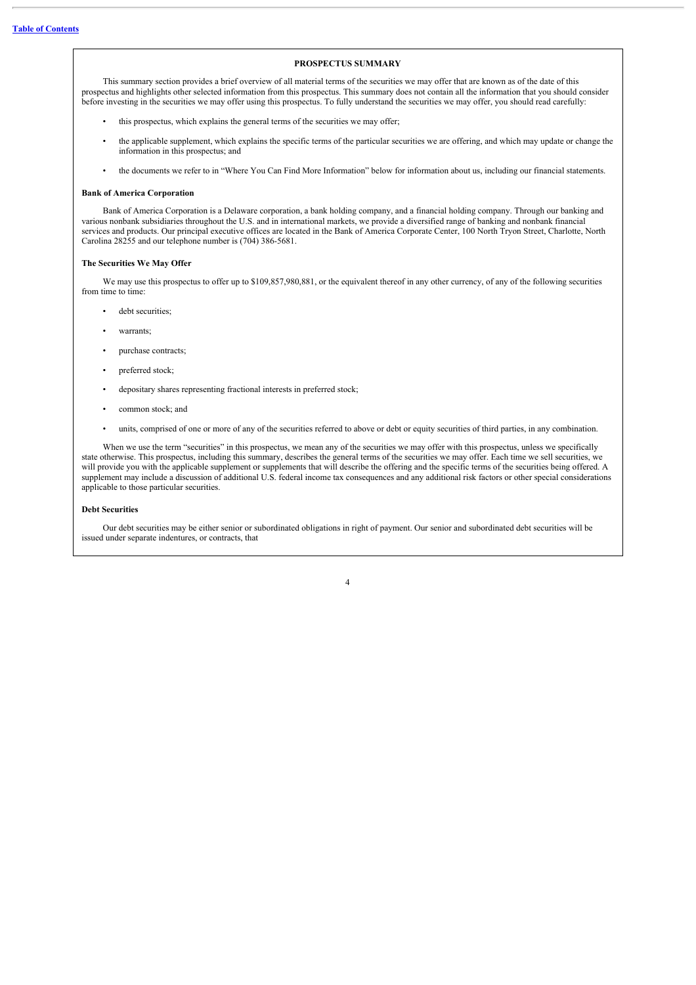# **PROSPECTUS SUMMARY**

This summary section provides a brief overview of all material terms of the securities we may offer that are known as of the date of this prospectus and highlights other selected information from this prospectus. This summary does not contain all the information that you should consider before investing in the securities we may offer using this prospectus. To fully understand the securities we may offer, you should read carefully:

- this prospectus, which explains the general terms of the securities we may offer;
- the applicable supplement, which explains the specific terms of the particular securities we are offering, and which may update or change the information in this prospectus; and
- the documents we refer to in "Where You Can Find More Information" below for information about us, including our financial statements.

#### **Bank of America Corporation**

Bank of America Corporation is a Delaware corporation, a bank holding company, and a financial holding company. Through our banking and various nonbank subsidiaries throughout the U.S. and in international markets, we provide a diversified range of banking and nonbank financial services and products. Our principal executive offices are located in the Bank of America Corporate Center, 100 North Tryon Street, Charlotte, North Carolina 28255 and our telephone number is (704) 386-5681.

## **The Securities We May Offer**

We may use this prospectus to offer up to \$109,857,980,881, or the equivalent thereof in any other currency, of any of the following securities from time to time:

- debt securities;
- warrants;
- purchase contracts;
- preferred stock;
- depositary shares representing fractional interests in preferred stock;
- common stock; and
- units, comprised of one or more of any of the securities referred to above or debt or equity securities of third parties, in any combination.

When we use the term "securities" in this prospectus, we mean any of the securities we may offer with this prospectus, unless we specifically state otherwise. This prospectus, including this summary, describes the general terms of the securities we may offer. Each time we sell securities, we will provide you with the applicable supplement or supplements that will describe the offering and the specific terms of the securities being offered. A supplement may include a discussion of additional U.S. federal income tax consequences and any additional risk factors or other special considerations applicable to those particular securities.

#### **Debt Securities**

Our debt securities may be either senior or subordinated obligations in right of payment. Our senior and subordinated debt securities will be issued under separate indentures, or contracts, that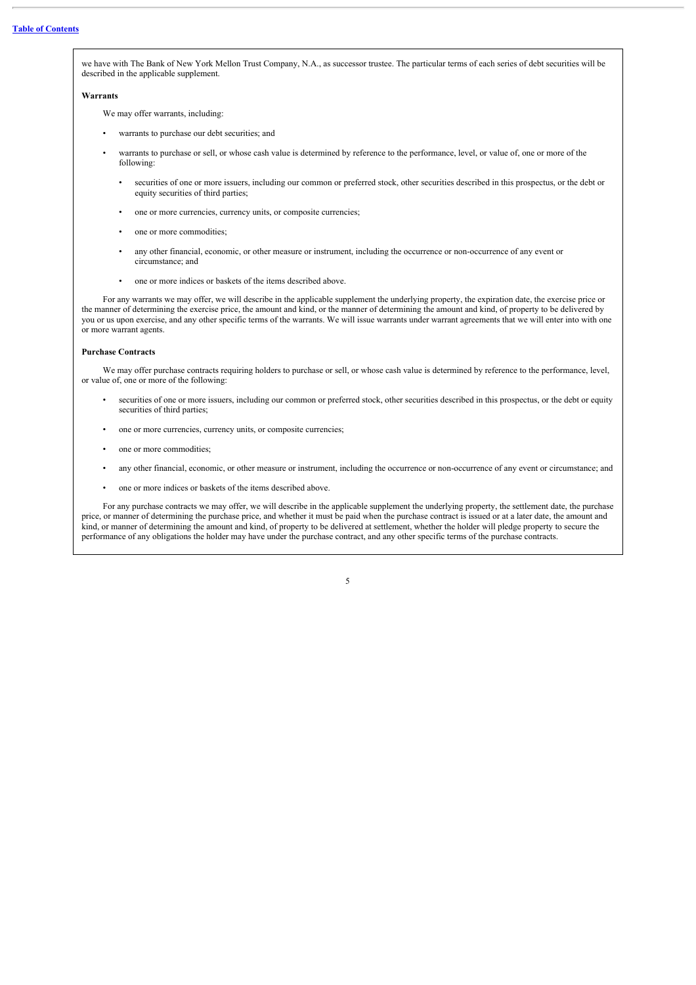we have with The Bank of New York Mellon Trust Company, N.A., as successor trustee. The particular terms of each series of debt securities will be described in the applicable supplement.

## **Warrants**

We may offer warrants, including:

- warrants to purchase our debt securities; and
- warrants to purchase or sell, or whose cash value is determined by reference to the performance, level, or value of, one or more of the following:
	- securities of one or more issuers, including our common or preferred stock, other securities described in this prospectus, or the debt or equity securities of third parties;
	- one or more currencies, currency units, or composite currencies;
	- one or more commodities;
	- any other financial, economic, or other measure or instrument, including the occurrence or non-occurrence of any event or circumstance; and
	- one or more indices or baskets of the items described above.

For any warrants we may offer, we will describe in the applicable supplement the underlying property, the expiration date, the exercise price or the manner of determining the exercise price, the amount and kind, or the manner of determining the amount and kind, of property to be delivered by you or us upon exercise, and any other specific terms of the warrants. We will issue warrants under warrant agreements that we will enter into with one or more warrant agents.

# **Purchase Contracts**

We may offer purchase contracts requiring holders to purchase or sell, or whose cash value is determined by reference to the performance, level, or value of, one or more of the following:

- securities of one or more issuers, including our common or preferred stock, other securities described in this prospectus, or the debt or equity securities of third parties;
- one or more currencies, currency units, or composite currencies;
- one or more commodities;
- any other financial, economic, or other measure or instrument, including the occurrence or non-occurrence of any event or circumstance; and
- one or more indices or baskets of the items described above.

For any purchase contracts we may offer, we will describe in the applicable supplement the underlying property, the settlement date, the purchase price, or manner of determining the purchase price, and whether it must be paid when the purchase contract is issued or at a later date, the amount and kind, or manner of determining the amount and kind, of property to be delivered at settlement, whether the holder will pledge property to secure the performance of any obligations the holder may have under the purchase contract, and any other specific terms of the purchase contracts.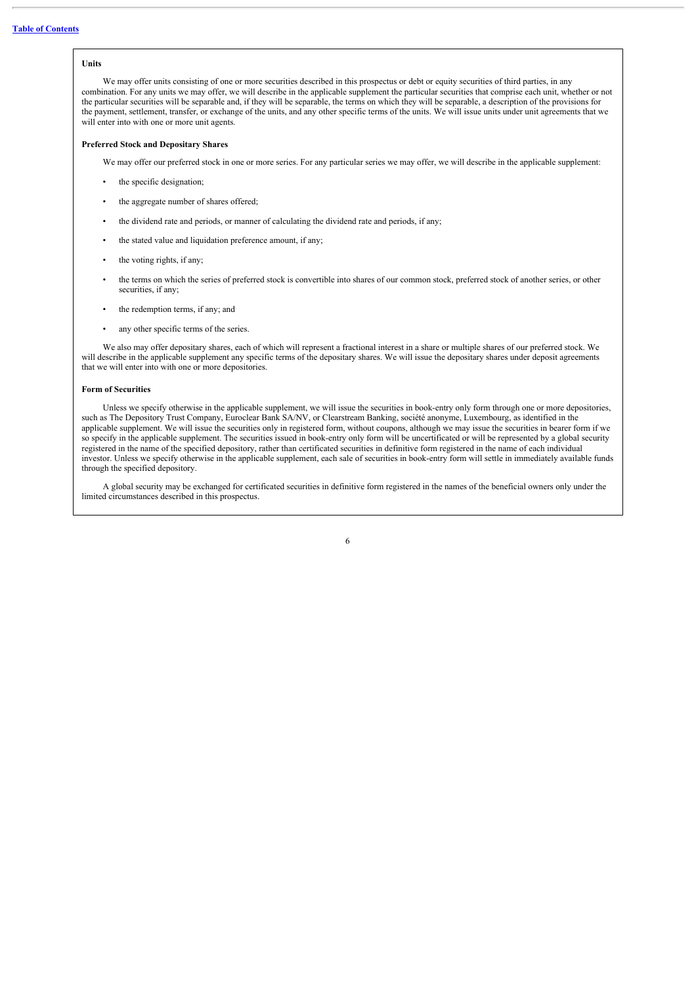## **Units**

We may offer units consisting of one or more securities described in this prospectus or debt or equity securities of third parties, in any combination. For any units we may offer, we will describe in the applicable supplement the particular securities that comprise each unit, whether or not the particular securities will be separable and, if they will be separable, the terms on which they will be separable, a description of the provisions for the payment, settlement, transfer, or exchange of the units, and any other specific terms of the units. We will issue units under unit agreements that we will enter into with one or more unit agents.

## **Preferred Stock and Depositary Shares**

We may offer our preferred stock in one or more series. For any particular series we may offer, we will describe in the applicable supplement:

- the specific designation;
- the aggregate number of shares offered;
- the dividend rate and periods, or manner of calculating the dividend rate and periods, if any;
- the stated value and liquidation preference amount, if any;
- the voting rights, if any:
- the terms on which the series of preferred stock is convertible into shares of our common stock, preferred stock of another series, or other securities, if any;
- the redemption terms, if any; and
- any other specific terms of the series.

We also may offer depositary shares, each of which will represent a fractional interest in a share or multiple shares of our preferred stock. We will describe in the applicable supplement any specific terms of the depositary shares. We will issue the depositary shares under deposit agreements that we will enter into with one or more depositories.

## **Form of Securities**

Unless we specify otherwise in the applicable supplement, we will issue the securities in book-entry only form through one or more depositories. such as The Depository Trust Company, Euroclear Bank SA/NV, or Clearstream Banking, société anonyme, Luxembourg, as identified in the applicable supplement. We will issue the securities only in registered form, without coupons, although we may issue the securities in bearer form if we so specify in the applicable supplement. The securities issued in book-entry only form will be uncertificated or will be represented by a global security registered in the name of the specified depository, rather than certificated securities in definitive form registered in the name of each individual investor. Unless we specify otherwise in the applicable supplement, each sale of securities in book-entry form will settle in immediately available funds through the specified depository.

A global security may be exchanged for certificated securities in definitive form registered in the names of the beneficial owners only under the limited circumstances described in this prospectus.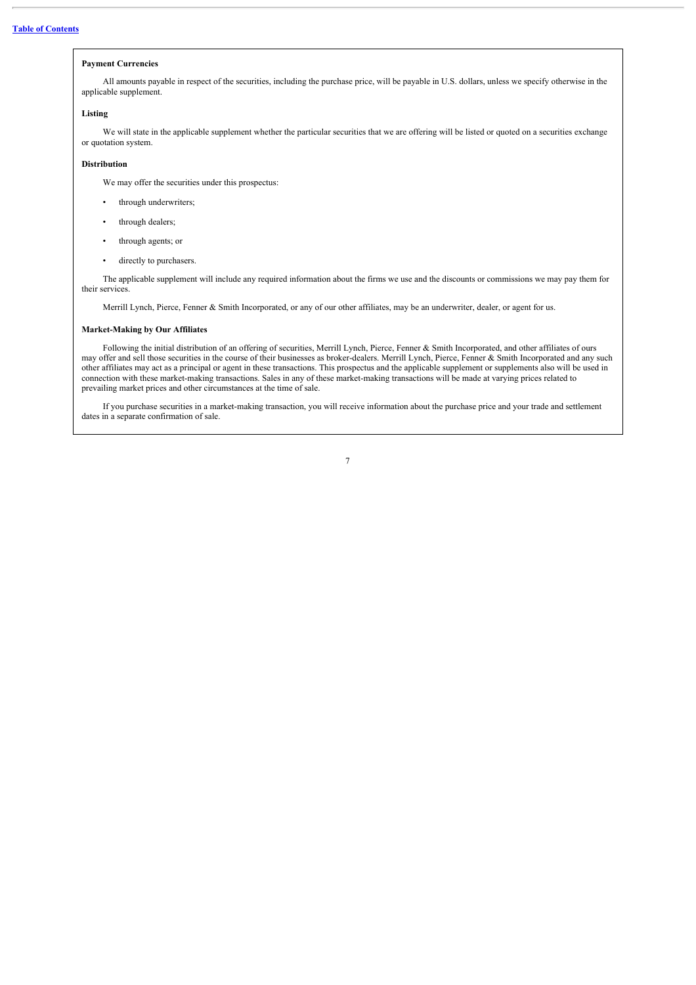# **Payment Currencies**

All amounts payable in respect of the securities, including the purchase price, will be payable in U.S. dollars, unless we specify otherwise in the applicable supplement.

## **Listing**

We will state in the applicable supplement whether the particular securities that we are offering will be listed or quoted on a securities exchange or quotation system.

# **Distribution**

- We may offer the securities under this prospectus:
- through underwriters;
- through dealers;
- through agents; or
- directly to purchasers.

The applicable supplement will include any required information about the firms we use and the discounts or commissions we may pay them for their services.

Merrill Lynch, Pierce, Fenner & Smith Incorporated, or any of our other affiliates, may be an underwriter, dealer, or agent for us.

## **Market-Making by Our Affiliates**

Following the initial distribution of an offering of securities, Merrill Lynch, Pierce, Fenner & Smith Incorporated, and other affiliates of ours may offer and sell those securities in the course of their businesses as broker-dealers. Merrill Lynch, Pierce, Fenner & Smith Incorporated and any such other affiliates may act as a principal or agent in these transactions. This prospectus and the applicable supplement or supplements also will be used in connection with these market-making transactions. Sales in any of these market-making transactions will be made at varying prices related to prevailing market prices and other circumstances at the time of sale.

If you purchase securities in a market-making transaction, you will receive information about the purchase price and your trade and settlement dates in a separate confirmation of sale.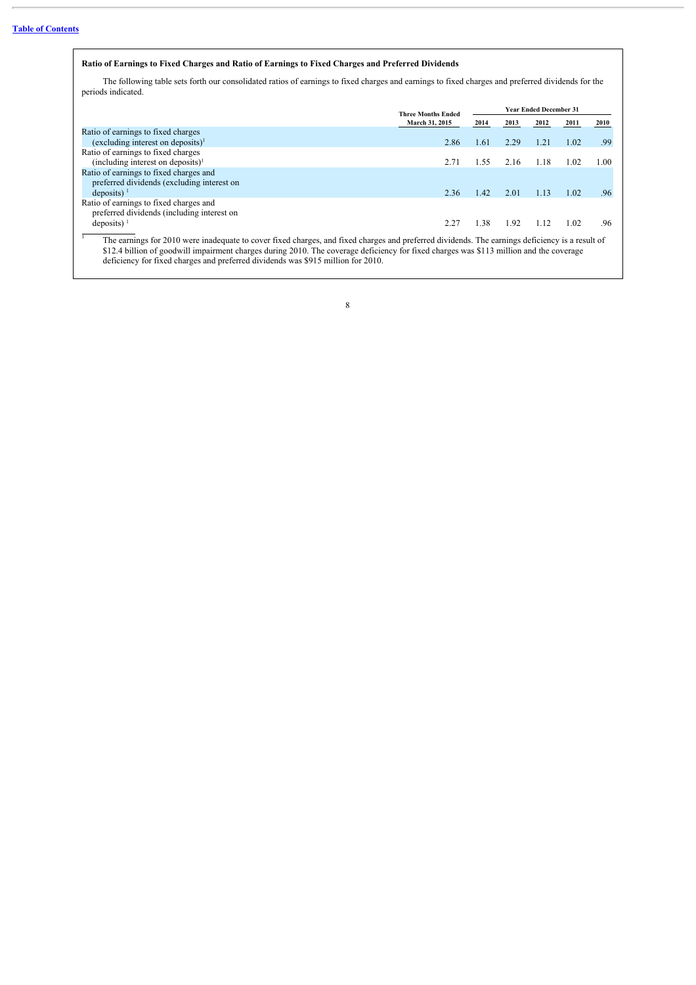# **Ratio of Earnings to Fixed Charges and Ratio of Earnings to Fixed Charges and Preferred Dividends**

The following table sets forth our consolidated ratios of earnings to fixed charges and earnings to fixed charges and preferred dividends for the periods indicated.

|                                                                                                                                                                                                                                                                                            | <b>Three Months Ended</b><br>March 31, 2015 | <b>Year Ended December 31</b> |      |      |      |      |  |  |
|--------------------------------------------------------------------------------------------------------------------------------------------------------------------------------------------------------------------------------------------------------------------------------------------|---------------------------------------------|-------------------------------|------|------|------|------|--|--|
|                                                                                                                                                                                                                                                                                            |                                             | 2014                          | 2013 | 2012 | 2011 | 2010 |  |  |
| Ratio of earnings to fixed charges                                                                                                                                                                                                                                                         |                                             |                               |      |      |      |      |  |  |
| $(excluding interest on deposits)1$                                                                                                                                                                                                                                                        | 2.86                                        | 1.61                          | 2.29 | 1.21 | 1.02 | .99  |  |  |
| Ratio of earnings to fixed charges                                                                                                                                                                                                                                                         |                                             |                               |      |      |      |      |  |  |
| $(including interest on deposits)1$                                                                                                                                                                                                                                                        | 2.71                                        | 1.55                          | 2.16 | 1.18 | 1.02 | 1.00 |  |  |
| Ratio of earnings to fixed charges and                                                                                                                                                                                                                                                     |                                             |                               |      |      |      |      |  |  |
| preferred dividends (excluding interest on                                                                                                                                                                                                                                                 |                                             |                               |      |      |      |      |  |  |
| $\frac{1}{2}$ deposits) <sup>1</sup>                                                                                                                                                                                                                                                       | 2.36                                        | 1.42                          | 2.01 | 1.13 | 1.02 | .96  |  |  |
| Ratio of earnings to fixed charges and                                                                                                                                                                                                                                                     |                                             |                               |      |      |      |      |  |  |
| preferred dividends (including interest on                                                                                                                                                                                                                                                 |                                             |                               |      |      |      |      |  |  |
| $deposits$ <sup>1</sup>                                                                                                                                                                                                                                                                    | 2.27                                        | 1.38                          | 1.92 | 1.12 | 1.02 | .96  |  |  |
| The earnings for 2010 were inadequate to cover fixed charges, and fixed charges and preferred dividends. The earnings deficiency is a result of<br>\$12.4 billion of goodwill impairment charges during 2010. The coverage deficiency for fixed charges was \$113 million and the coverage |                                             |                               |      |      |      |      |  |  |

deficiency for fixed charges and preferred dividends was \$915 million for 2010.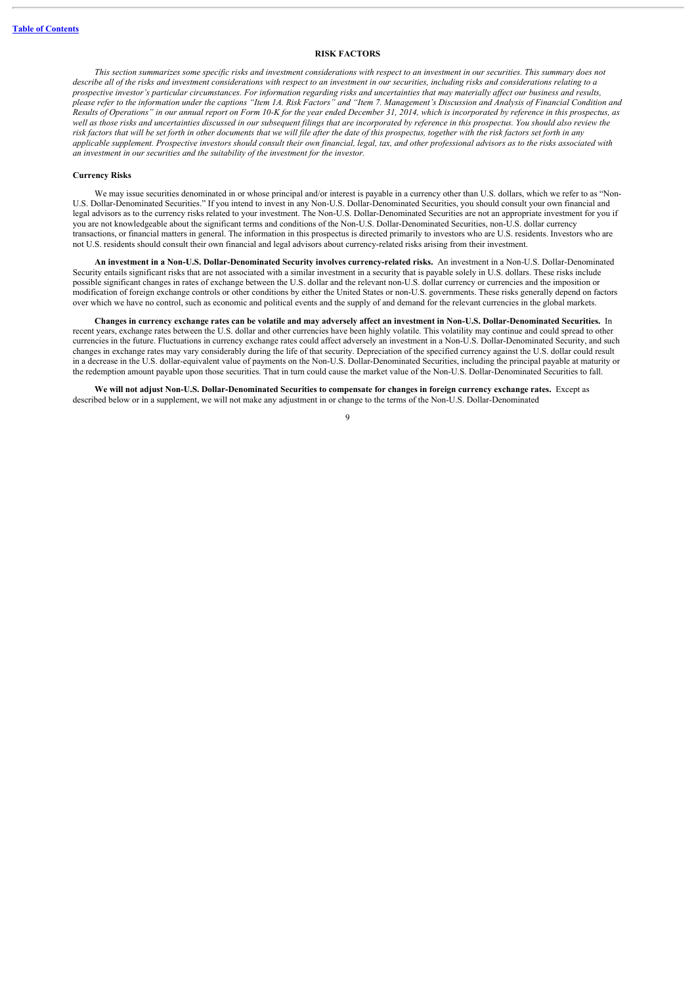#### **RISK FACTORS**

This section summarizes some specific risks and investment considerations with respect to an investment in our securities. This summary does not describe all of the risks and investment considerations with respect to an investment in our securities, including risks and considerations relating to a prospective investor's particular circumstances. For information regarding risks and uncertainties that may materially affect our business and results, please refer to the information under the captions "Item 1A. Risk Factors" and "Item 7. Management's Discussion and Analysis of Financial Condition and Results of Operations" in our annual report on Form 10-K for the year ended December 31, 2014, which is incorporated by reference in this prospectus, as well as those risks and uncertainties discussed in our subsequent filings that are incorporated by reference in this prospectus. You should also review the risk factors that will be set forth in other documents that we will file after the date of this prospectus, together with the risk factors set forth in any applicable supplement. Prospective investors should consult their own financial, legal, tax, and other professional advisors as to the risks associated with *an investment in our securities and the suitability of the investment for the investor.*

#### **Currency Risks**

We may issue securities denominated in or whose principal and/or interest is payable in a currency other than U.S. dollars, which we refer to as "Non-U.S. Dollar-Denominated Securities." If you intend to invest in any Non-U.S. Dollar-Denominated Securities, you should consult your own financial and legal advisors as to the currency risks related to your investment. The Non-U.S. Dollar-Denominated Securities are not an appropriate investment for you if you are not knowledgeable about the significant terms and conditions of the Non-U.S. Dollar-Denominated Securities, non-U.S. dollar currency transactions, or financial matters in general. The information in this prospectus is directed primarily to investors who are U.S. residents. Investors who are not U.S. residents should consult their own financial and legal advisors about currency-related risks arising from their investment.

**An investment in a Non-U.S. Dollar-Denominated Security involves currency-related risks.** An investment in a Non-U.S. Dollar-Denominated Security entails significant risks that are not associated with a similar investment in a security that is payable solely in U.S. dollars. These risks include possible significant changes in rates of exchange between the U.S. dollar and the relevant non-U.S. dollar currency or currencies and the imposition or modification of foreign exchange controls or other conditions by either the United States or non-U.S. governments. These risks generally depend on factors over which we have no control, such as economic and political events and the supply of and demand for the relevant currencies in the global markets.

Changes in currency exchange rates can be volatile and may adversely affect an investment in Non-U.S. Dollar-Denominated Securities. In recent years, exchange rates between the U.S. dollar and other currencies have been highly volatile. This volatility may continue and could spread to other currencies in the future. Fluctuations in currency exchange rates could affect adversely an investment in a Non-U.S. Dollar-Denominated Security, and such changes in exchange rates may vary considerably during the life of that security. Depreciation of the specified currency against the U.S. dollar could result in a decrease in the U.S. dollar-equivalent value of payments on the Non-U.S. Dollar-Denominated Securities, including the principal payable at maturity or the redemption amount payable upon those securities. That in turn could cause the market value of the Non-U.S. Dollar-Denominated Securities to fall.

We will not adjust Non-U.S. Dollar-Denominated Securities to compensate for changes in foreign currency exchange rates. Except as described below or in a supplement, we will not make any adjustment in or change to the terms of the Non-U.S. Dollar-Denominated

 $\overline{9}$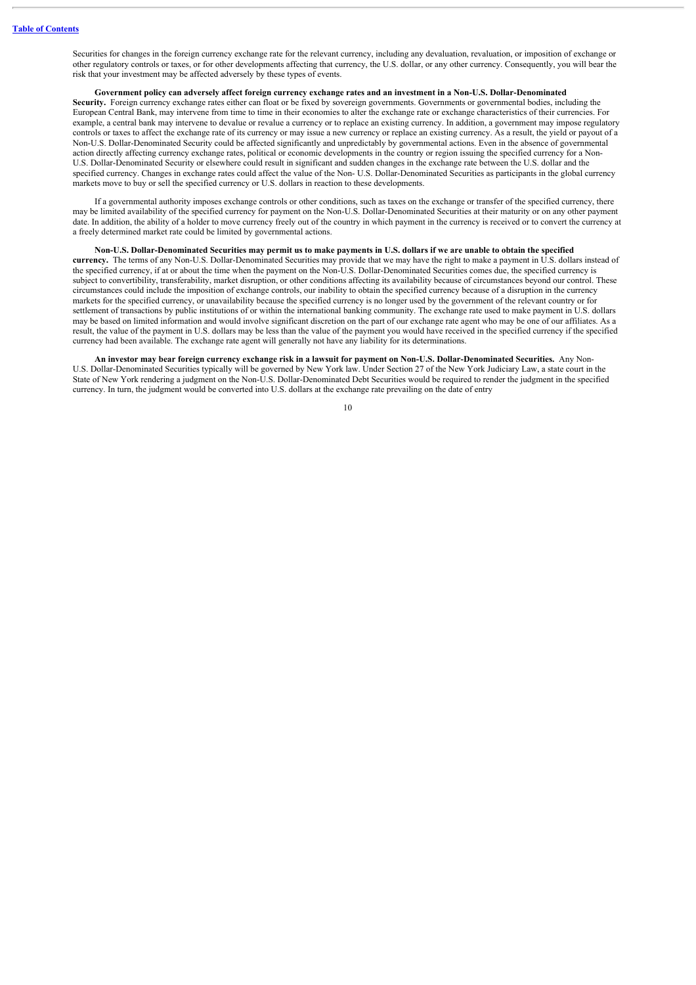Securities for changes in the foreign currency exchange rate for the relevant currency, including any devaluation, revaluation, or imposition of exchange or other regulatory controls or taxes, or for other developments affecting that currency, the U.S. dollar, or any other currency. Consequently, you will bear the risk that your investment may be affected adversely by these types of events.

# Government policy can adversely affect foreign currency exchange rates and an investment in a Non-U.S. Dollar-Denominated

Security. Foreign currency exchange rates either can float or be fixed by sovereign governments. Governments or governmental bodies, including the European Central Bank, may intervene from time to time in their economies to alter the exchange rate or exchange characteristics of their currencies. For example, a central bank may intervene to devalue or revalue a currency or to replace an existing currency. In addition, a government may impose regulatory controls or taxes to affect the exchange rate of its currency or may issue a new currency or replace an existing currency. As a result, the yield or payout of a Non-U.S. Dollar-Denominated Security could be affected significantly and unpredictably by governmental actions. Even in the absence of governmental action directly affecting currency exchange rates, political or economic developments in the country or region issuing the specified currency for a Non-U.S. Dollar-Denominated Security or elsewhere could result in significant and sudden changes in the exchange rate between the U.S. dollar and the specified currency. Changes in exchange rates could affect the value of the Non- U.S. Dollar-Denominated Securities as participants in the global currency markets move to buy or sell the specified currency or U.S. dollars in reaction to these developments.

If a governmental authority imposes exchange controls or other conditions, such as taxes on the exchange or transfer of the specified currency, there may be limited availability of the specified currency for payment on the Non-U.S. Dollar-Denominated Securities at their maturity or on any other payment date. In addition, the ability of a holder to move currency freely out of the country in which payment in the currency is received or to convert the currency at a freely determined market rate could be limited by governmental actions.

## Non-U.S. Dollar-Denominated Securities may permit us to make payments in U.S. dollars if we are unable to obtain the specified

**currency.** The terms of any Non-U.S. Dollar-Denominated Securities may provide that we may have the right to make a payment in U.S. dollars instead of the specified currency, if at or about the time when the payment on the Non-U.S. Dollar-Denominated Securities comes due, the specified currency is subject to convertibility, transferability, market disruption, or other conditions affecting its availability because of circumstances beyond our control. These circumstances could include the imposition of exchange controls, our inability to obtain the specified currency because of a disruption in the currency markets for the specified currency, or unavailability because the specified currency is no longer used by the government of the relevant country or for settlement of transactions by public institutions of or within the international banking community. The exchange rate used to make payment in U.S. dollars may be based on limited information and would involve significant discretion on the part of our exchange rate agent who may be one of our affiliates. As a result, the value of the payment in U.S. dollars may be less than the value of the payment you would have received in the specified currency if the specified currency had been available. The exchange rate agent will generally not have any liability for its determinations.

An investor may bear foreign currency exchange risk in a lawsuit for payment on Non-U.S. Dollar-Denominated Securities. Any Non-U.S. Dollar-Denominated Securities typically will be governed by New York law. Under Section 27 of the New York Judiciary Law, a state court in the State of New York rendering a judgment on the Non-U.S. Dollar-Denominated Debt Securities would be required to render the judgment in the specified currency. In turn, the judgment would be converted into U.S. dollars at the exchange rate prevailing on the date of entry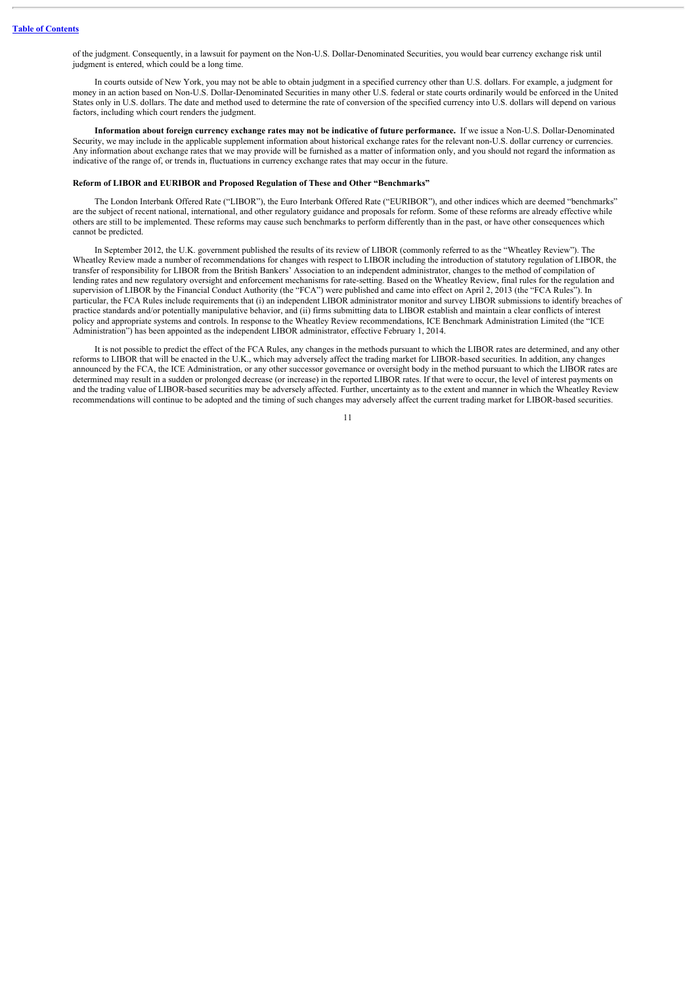of the judgment. Consequently, in a lawsuit for payment on the Non-U.S. Dollar-Denominated Securities, you would bear currency exchange risk until judgment is entered, which could be a long time.

In courts outside of New York, you may not be able to obtain judgment in a specified currency other than U.S. dollars. For example, a judgment for money in an action based on Non-U.S. Dollar-Denominated Securities in many other U.S. federal or state courts ordinarily would be enforced in the United States only in U.S. dollars. The date and method used to determine the rate of conversion of the specified currency into U.S. dollars will depend on various factors, including which court renders the judgment.

Information about foreign currency exchange rates may not be indicative of future performance. If we issue a Non-U.S. Dollar-Denominated Security, we may include in the applicable supplement information about historical exchange rates for the relevant non-U.S. dollar currency or currencies. Any information about exchange rates that we may provide will be furnished as a matter of information only, and you should not regard the information as indicative of the range of, or trends in, fluctuations in currency exchange rates that may occur in the future.

#### **Reform of LIBOR and EURIBOR and Proposed Regulation of These and Other "Benchmarks"**

The London Interbank Offered Rate ("LIBOR"), the Euro Interbank Offered Rate ("EURIBOR"), and other indices which are deemed "benchmarks" are the subject of recent national, international, and other regulatory guidance and proposals for reform. Some of these reforms are already effective while others are still to be implemented. These reforms may cause such benchmarks to perform differently than in the past, or have other consequences which cannot be predicted.

In September 2012, the U.K. government published the results of its review of LIBOR (commonly referred to as the "Wheatley Review"). The Wheatley Review made a number of recommendations for changes with respect to LIBOR including the introduction of statutory regulation of LIBOR, the transfer of responsibility for LIBOR from the British Bankers' Association to an independent administrator, changes to the method of compilation of lending rates and new regulatory oversight and enforcement mechanisms for rate-setting. Based on the Wheatley Review, final rules for the regulation and supervision of LIBOR by the Financial Conduct Authority (the "FCA") were published and came into effect on April 2, 2013 (the "FCA Rules"). In particular, the FCA Rules include requirements that (i) an independent LIBOR administrator monitor and survey LIBOR submissions to identify breaches of practice standards and/or potentially manipulative behavior, and (ii) firms submitting data to LIBOR establish and maintain a clear conflicts of interest policy and appropriate systems and controls. In response to the Wheatley Review recommendations, ICE Benchmark Administration Limited (the "ICE Administration") has been appointed as the independent LIBOR administrator, effective February 1, 2014.

It is not possible to predict the effect of the FCA Rules, any changes in the methods pursuant to which the LIBOR rates are determined, and any other reforms to LIBOR that will be enacted in the U.K., which may adversely affect the trading market for LIBOR-based securities. In addition, any changes announced by the FCA, the ICE Administration, or any other successor governance or oversight body in the method pursuant to which the LIBOR rates are determined may result in a sudden or prolonged decrease (or increase) in the reported LIBOR rates. If that were to occur, the level of interest payments on and the trading value of LIBOR-based securities may be adversely affected. Further, uncertainty as to the extent and manner in which the Wheatley Review recommendations will continue to be adopted and the timing of such changes may adversely affect the current trading market for LIBOR-based securities.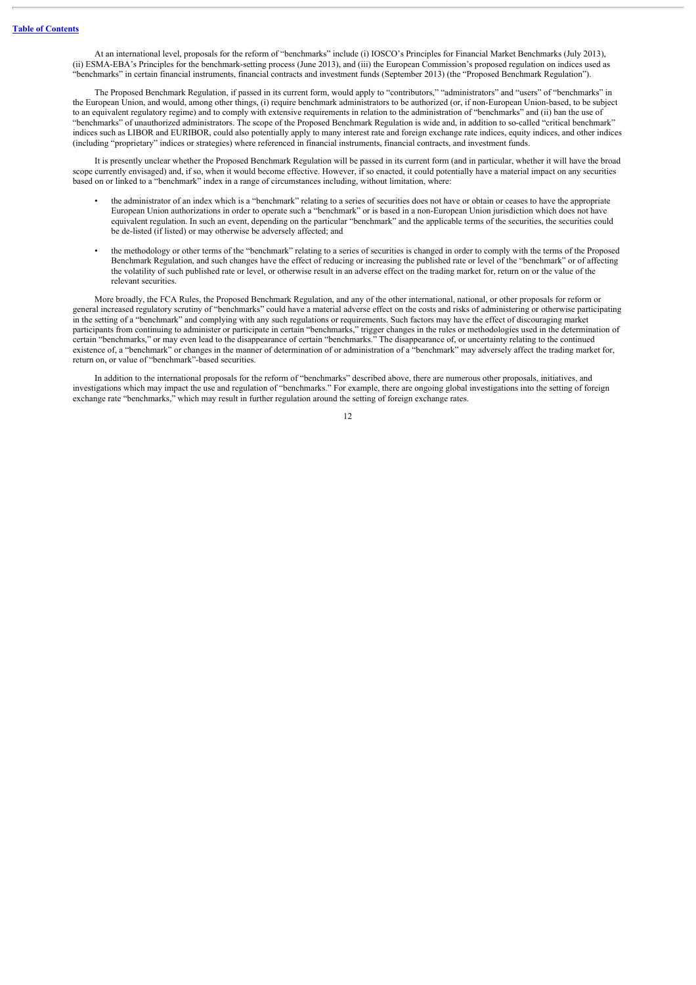At an international level, proposals for the reform of "benchmarks" include (i) IOSCO's Principles for Financial Market Benchmarks (July 2013), (ii) ESMA-EBA's Principles for the benchmark-setting process (June 2013), and (iii) the European Commission's proposed regulation on indices used as "benchmarks" in certain financial instruments, financial contracts and investment funds (September 2013) (the "Proposed Benchmark Regulation").

The Proposed Benchmark Regulation, if passed in its current form, would apply to "contributors," "administrators" and "users" of "benchmarks" in the European Union, and would, among other things, (i) require benchmark administrators to be authorized (or, if non-European Union-based, to be subject to an equivalent regulatory regime) and to comply with extensive requirements in relation to the administration of "benchmarks" and (ii) ban the use of "benchmarks" of unauthorized administrators. The scope of the Proposed Benchmark Regulation is wide and, in addition to so-called "critical benchmark" indices such as LIBOR and EURIBOR, could also potentially apply to many interest rate and foreign exchange rate indices, equity indices, and other indices (including "proprietary" indices or strategies) where referenced in financial instruments, financial contracts, and investment funds.

It is presently unclear whether the Proposed Benchmark Regulation will be passed in its current form (and in particular, whether it will have the broad scope currently envisaged) and, if so, when it would become effective. However, if so enacted, it could potentially have a material impact on any securities based on or linked to a "benchmark" index in a range of circumstances including, without limitation, where:

- the administrator of an index which is a "benchmark" relating to a series of securities does not have or obtain or ceases to have the appropriate European Union authorizations in order to operate such a "benchmark" or is based in a non-European Union jurisdiction which does not have equivalent regulation. In such an event, depending on the particular "benchmark" and the applicable terms of the securities, the securities could be de-listed (if listed) or may otherwise be adversely affected; and
- the methodology or other terms of the "benchmark" relating to a series of securities is changed in order to comply with the terms of the Proposed Benchmark Regulation, and such changes have the effect of reducing or increasing the published rate or level of the "benchmark" or of affecting the volatility of such published rate or level, or otherwise result in an adverse effect on the trading market for, return on or the value of the relevant securities.

More broadly, the FCA Rules, the Proposed Benchmark Regulation, and any of the other international, national, or other proposals for reform or general increased regulatory scrutiny of "benchmarks" could have a material adverse effect on the costs and risks of administering or otherwise participating in the setting of a "benchmark" and complying with any such regulations or requirements. Such factors may have the effect of discouraging market participants from continuing to administer or participate in certain "benchmarks," trigger changes in the rules or methodologies used in the determination of certain "benchmarks," or may even lead to the disappearance of certain "benchmarks." The disappearance of, or uncertainty relating to the continued existence of, a "benchmark" or changes in the manner of determination of or administration of a "benchmark" may adversely affect the trading market for, return on, or value of "benchmark"-based securities.

In addition to the international proposals for the reform of "benchmarks" described above, there are numerous other proposals, initiatives, and investigations which may impact the use and regulation of "benchmarks." For example, there are ongoing global investigations into the setting of foreign exchange rate "benchmarks," which may result in further regulation around the setting of foreign exchange rates.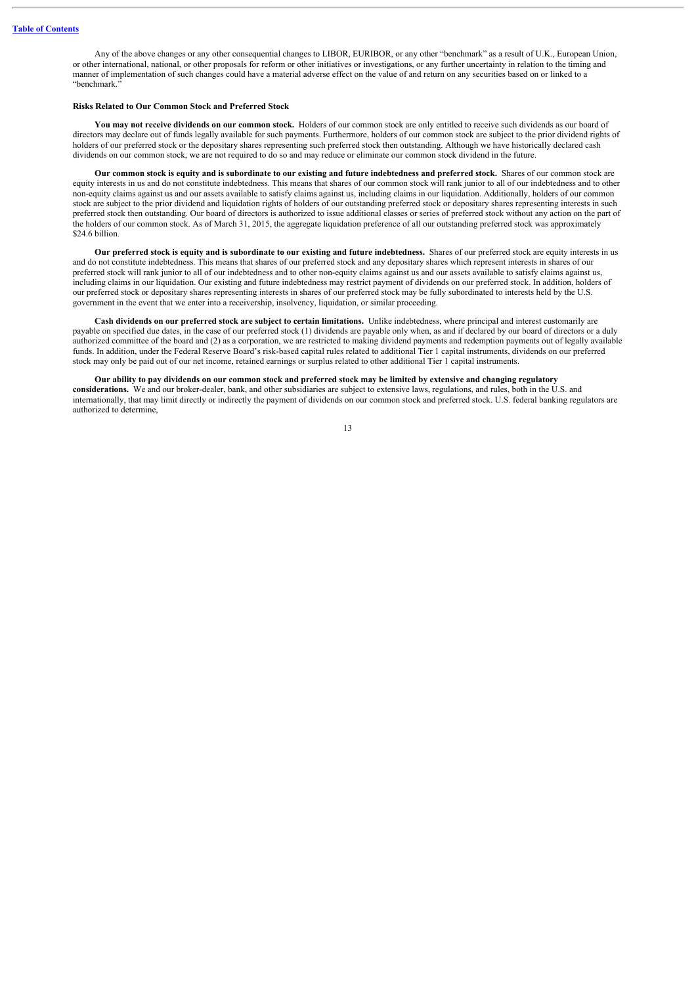Any of the above changes or any other consequential changes to LIBOR, EURIBOR, or any other "benchmark" as a result of U.K., European Union, or other international, national, or other proposals for reform or other initiatives or investigations, or any further uncertainty in relation to the timing and manner of implementation of such changes could have a material adverse effect on the value of and return on any securities based on or linked to a "benchmark."

## **Risks Related to Our Common Stock and Preferred Stock**

**You may not receive dividends on our common stock.** Holders of our common stock are only entitled to receive such dividends as our board of directors may declare out of funds legally available for such payments. Furthermore, holders of our common stock are subject to the prior dividend rights of holders of our preferred stock or the depositary shares representing such preferred stock then outstanding. Although we have historically declared cash dividends on our common stock, we are not required to do so and may reduce or eliminate our common stock dividend in the future.

Our common stock is equity and is subordinate to our existing and future indebtedness and preferred stock. Shares of our common stock are equity interests in us and do not constitute indebtedness. This means that shares of our common stock will rank junior to all of our indebtedness and to other non-equity claims against us and our assets available to satisfy claims against us, including claims in our liquidation. Additionally, holders of our common stock are subject to the prior dividend and liquidation rights of holders of our outstanding preferred stock or depositary shares representing interests in such preferred stock then outstanding. Our board of directors is authorized to issue additional classes or series of preferred stock without any action on the part of the holders of our common stock. As of March 31, 2015, the aggregate liquidation preference of all our outstanding preferred stock was approximately \$24.6 billion.

Our preferred stock is equity and is subordinate to our existing and future indebtedness. Shares of our preferred stock are equity interests in us and do not constitute indebtedness. This means that shares of our preferred stock and any depositary shares which represent interests in shares of our preferred stock will rank junior to all of our indebtedness and to other non-equity claims against us and our assets available to satisfy claims against us, including claims in our liquidation. Our existing and future indebtedness may restrict payment of dividends on our preferred stock. In addition, holders of our preferred stock or depositary shares representing interests in shares of our preferred stock may be fully subordinated to interests held by the U.S. government in the event that we enter into a receivership, insolvency, liquidation, or similar proceeding.

**Cash dividends on our preferred stock are subject to certain limitations.** Unlike indebtedness, where principal and interest customarily are payable on specified due dates, in the case of our preferred stock (1) dividends are payable only when, as and if declared by our board of directors or a duly authorized committee of the board and (2) as a corporation, we are restricted to making dividend payments and redemption payments out of legally available funds. In addition, under the Federal Reserve Board's risk-based capital rules related to additional Tier 1 capital instruments, dividends on our preferred stock may only be paid out of our net income, retained earnings or surplus related to other additional Tier 1 capital instruments.

# Our ability to pay dividends on our common stock and preferred stock may be limited by extensive and changing regulatory

**considerations.** We and our broker-dealer, bank, and other subsidiaries are subject to extensive laws, regulations, and rules, both in the U.S. and internationally, that may limit directly or indirectly the payment of dividends on our common stock and preferred stock. U.S. federal banking regulators are authorized to determine,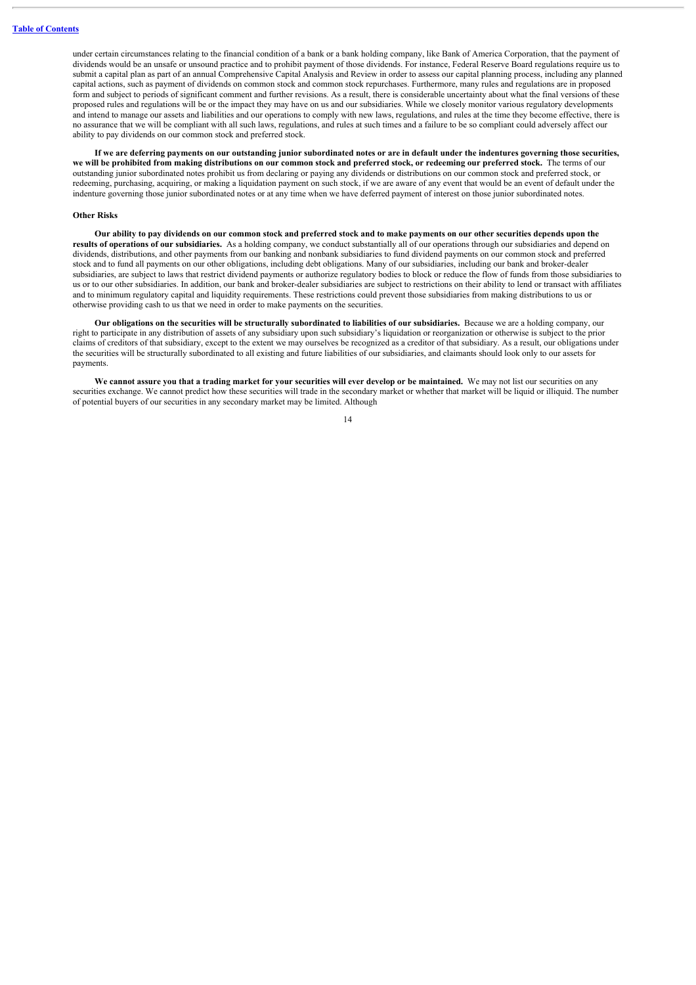under certain circumstances relating to the financial condition of a bank or a bank holding company, like Bank of America Corporation, that the payment of dividends would be an unsafe or unsound practice and to prohibit payment of those dividends. For instance, Federal Reserve Board regulations require us to submit a capital plan as part of an annual Comprehensive Capital Analysis and Review in order to assess our capital planning process, including any planned capital actions, such as payment of dividends on common stock and common stock repurchases. Furthermore, many rules and regulations are in proposed form and subject to periods of significant comment and further revisions. As a result, there is considerable uncertainty about what the final versions of these proposed rules and regulations will be or the impact they may have on us and our subsidiaries. While we closely monitor various regulatory developments and intend to manage our assets and liabilities and our operations to comply with new laws, regulations, and rules at the time they become effective, there is no assurance that we will be compliant with all such laws, regulations, and rules at such times and a failure to be so compliant could adversely affect our ability to pay dividends on our common stock and preferred stock.

If we are deferring payments on our outstanding junior subordinated notes or are in default under the indentures governing those securities, we will be prohibited from making distributions on our common stock and preferred stock, or redeeming our preferred stock. The terms of our outstanding junior subordinated notes prohibit us from declaring or paying any dividends or distributions on our common stock and preferred stock, or redeeming, purchasing, acquiring, or making a liquidation payment on such stock, if we are aware of any event that would be an event of default under the indenture governing those junior subordinated notes or at any time when we have deferred payment of interest on those junior subordinated notes.

## **Other Risks**

Our ability to pay dividends on our common stock and preferred stock and to make payments on our other securities depends upon the **results of operations of our subsidiaries.** As a holding company, we conduct substantially all of our operations through our subsidiaries and depend on dividends, distributions, and other payments from our banking and nonbank subsidiaries to fund dividend payments on our common stock and preferred stock and to fund all payments on our other obligations, including debt obligations. Many of our subsidiaries, including our bank and broker-dealer subsidiaries, are subject to laws that restrict dividend payments or authorize regulatory bodies to block or reduce the flow of funds from those subsidiaries to us or to our other subsidiaries. In addition, our bank and broker-dealer subsidiaries are subject to restrictions on their ability to lend or transact with affiliates and to minimum regulatory capital and liquidity requirements. These restrictions could prevent those subsidiaries from making distributions to us or otherwise providing cash to us that we need in order to make payments on the securities.

Our obligations on the securities will be structurally subordinated to liabilities of our subsidiaries. Because we are a holding company, our right to participate in any distribution of assets of any subsidiary upon such subsidiary's liquidation or reorganization or otherwise is subject to the prior claims of creditors of that subsidiary, except to the extent we may ourselves be recognized as a creditor of that subsidiary. As a result, our obligations under the securities will be structurally subordinated to all existing and future liabilities of our subsidiaries, and claimants should look only to our assets for payments.

We cannot assure you that a trading market for your securities will ever develop or be maintained. We may not list our securities on any securities exchange. We cannot predict how these securities will trade in the secondary market or whether that market will be liquid or illiquid. The number of potential buyers of our securities in any secondary market may be limited. Although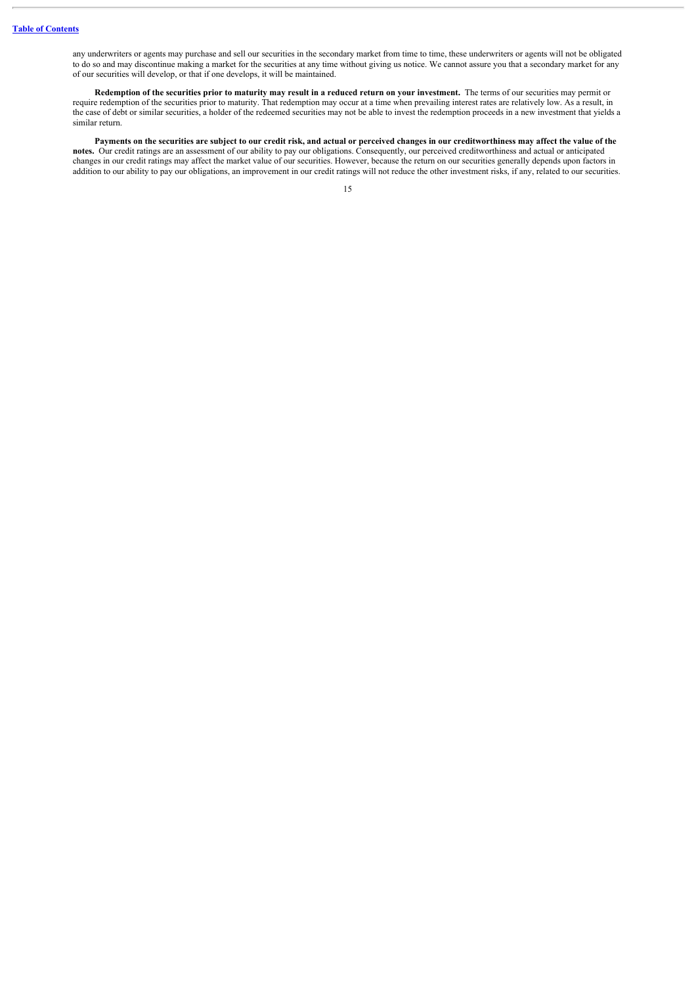any underwriters or agents may purchase and sell our securities in the secondary market from time to time, these underwriters or agents will not be obligated to do so and may discontinue making a market for the securities at any time without giving us notice. We cannot assure you that a secondary market for any of our securities will develop, or that if one develops, it will be maintained.

Redemption of the securities prior to maturity may result in a reduced return on your investment. The terms of our securities may permit or require redemption of the securities prior to maturity. That redemption may occur at a time when prevailing interest rates are relatively low. As a result, in the case of debt or similar securities, a holder of the redeemed securities may not be able to invest the redemption proceeds in a new investment that yields a similar return.

Payments on the securities are subject to our credit risk, and actual or perceived changes in our creditworthiness may affect the value of the **notes.** Our credit ratings are an assessment of our ability to pay our obligations. Consequently, our perceived creditworthiness and actual or anticipated changes in our credit ratings may affect the market value of our securities. However, because the return on our securities generally depends upon factors in addition to our ability to pay our obligations, an improvement in our credit ratings will not reduce the other investment risks, if any, related to our securities.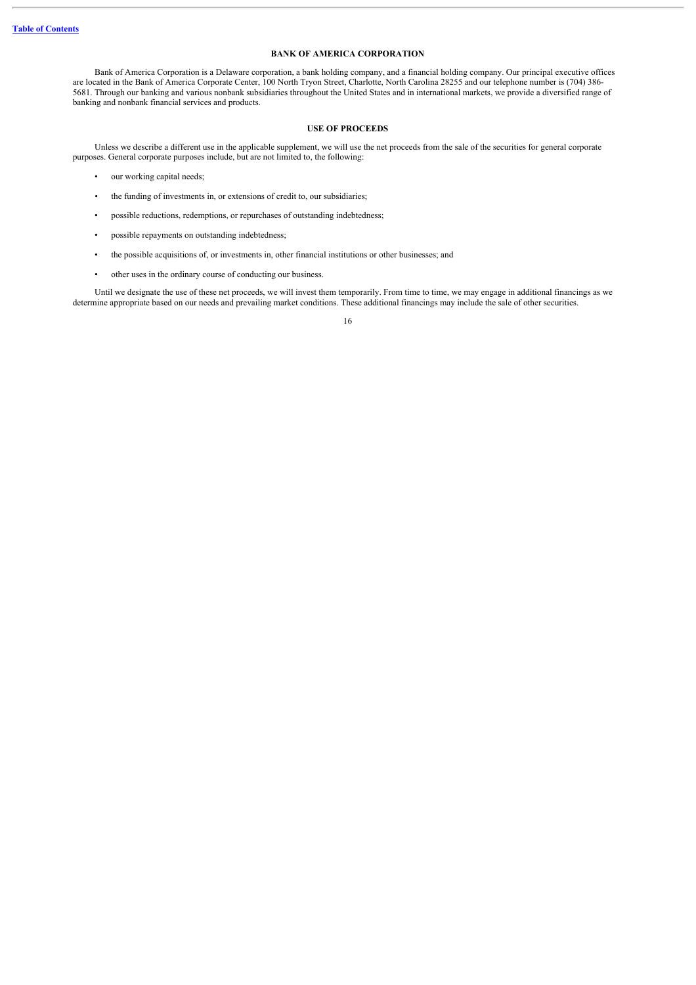# **BANK OF AMERICA CORPORATION**

Bank of America Corporation is a Delaware corporation, a bank holding company, and a financial holding company. Our principal executive offices are located in the Bank of America Corporate Center, 100 North Tryon Street, Charlotte, North Carolina 28255 and our telephone number is (704) 386- 5681. Through our banking and various nonbank subsidiaries throughout the United States and in international markets, we provide a diversified range of banking and nonbank financial services and products.

# **USE OF PROCEEDS**

Unless we describe a different use in the applicable supplement, we will use the net proceeds from the sale of the securities for general corporate purposes. General corporate purposes include, but are not limited to, the following:

- our working capital needs;
- the funding of investments in, or extensions of credit to, our subsidiaries;
- possible reductions, redemptions, or repurchases of outstanding indebtedness;
- possible repayments on outstanding indebtedness;
- the possible acquisitions of, or investments in, other financial institutions or other businesses; and
- other uses in the ordinary course of conducting our business.

Until we designate the use of these net proceeds, we will invest them temporarily. From time to time, we may engage in additional financings as we determine appropriate based on our needs and prevailing market conditions. These additional financings may include the sale of other securities.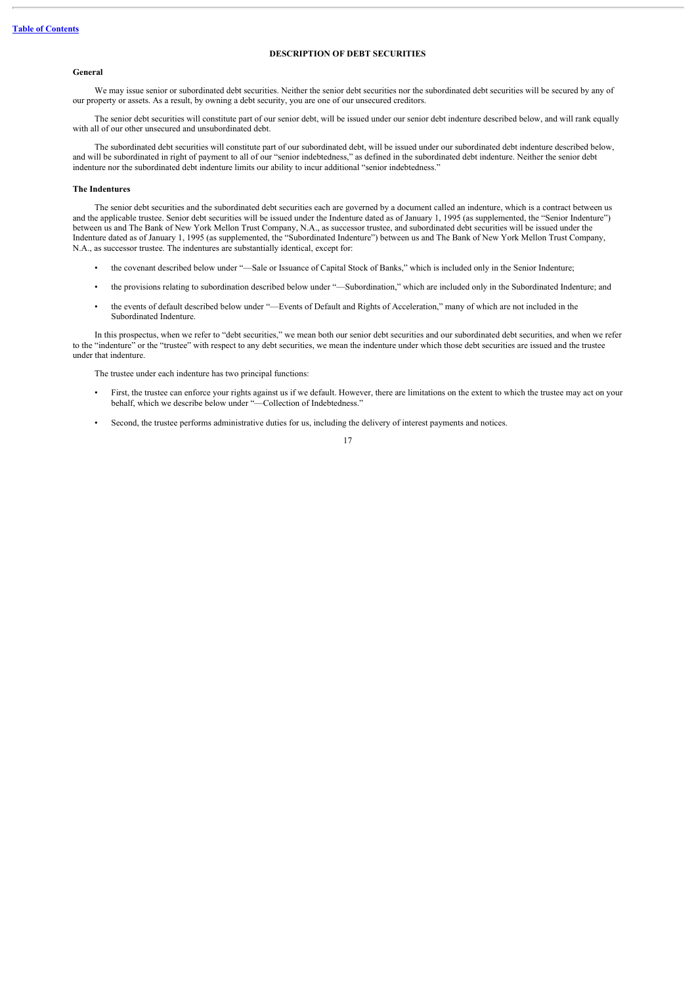# **DESCRIPTION OF DEBT SECURITIES**

## **General**

We may issue senior or subordinated debt securities. Neither the senior debt securities nor the subordinated debt securities will be secured by any of our property or assets. As a result, by owning a debt security, you are one of our unsecured creditors.

The senior debt securities will constitute part of our senior debt, will be issued under our senior debt indenture described below, and will rank equally with all of our other unsecured and unsubordinated debt.

The subordinated debt securities will constitute part of our subordinated debt, will be issued under our subordinated debt indenture described below, and will be subordinated in right of payment to all of our "senior indebtedness," as defined in the subordinated debt indenture. Neither the senior debt indenture nor the subordinated debt indenture limits our ability to incur additional "senior indebtedness."

#### **The Indentures**

The senior debt securities and the subordinated debt securities each are governed by a document called an indenture, which is a contract between us and the applicable trustee. Senior debt securities will be issued under the Indenture dated as of January 1, 1995 (as supplemented, the "Senior Indenture") between us and The Bank of New York Mellon Trust Company, N.A., as successor trustee, and subordinated debt securities will be issued under the Indenture dated as of January 1, 1995 (as supplemented, the "Subordinated Indenture") between us and The Bank of New York Mellon Trust Company, N.A., as successor trustee. The indentures are substantially identical, except for:

- the covenant described below under "—Sale or Issuance of Capital Stock of Banks," which is included only in the Senior Indenture;
- the provisions relating to subordination described below under "—Subordination," which are included only in the Subordinated Indenture; and
- the events of default described below under "—Events of Default and Rights of Acceleration," many of which are not included in the Subordinated Indenture.

In this prospectus, when we refer to "debt securities," we mean both our senior debt securities and our subordinated debt securities, and when we refer to the "indenture" or the "trustee" with respect to any debt securities, we mean the indenture under which those debt securities are issued and the trustee under that indenture.

The trustee under each indenture has two principal functions:

- First, the trustee can enforce your rights against us if we default. However, there are limitations on the extent to which the trustee may act on your behalf, which we describe below under "—Collection of Indebtedness."
- Second, the trustee performs administrative duties for us, including the delivery of interest payments and notices.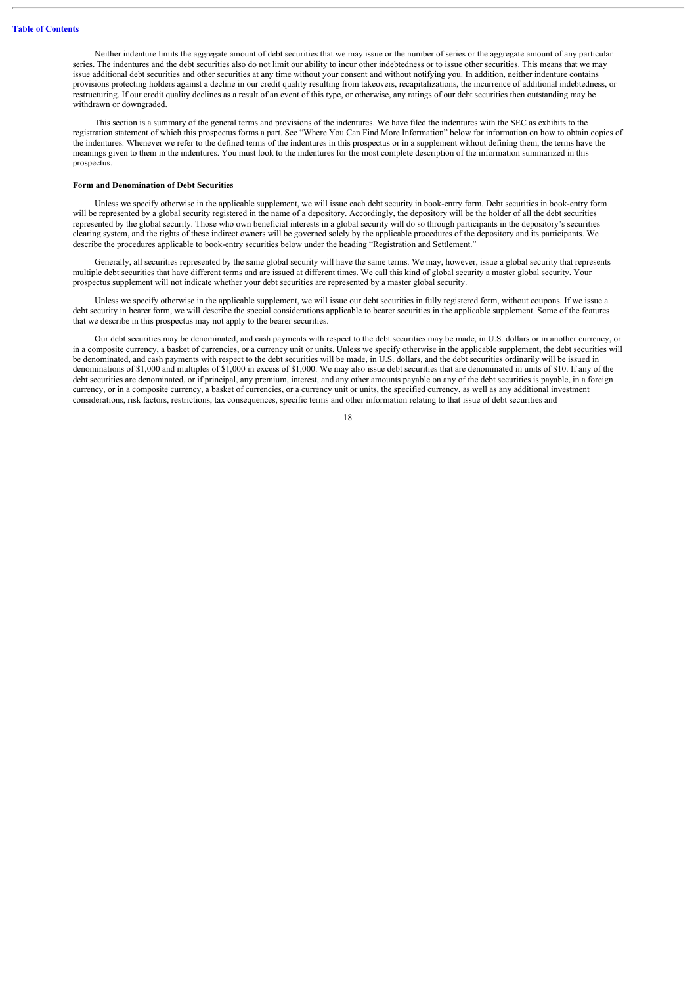Neither indenture limits the aggregate amount of debt securities that we may issue or the number of series or the aggregate amount of any particular series. The indentures and the debt securities also do not limit our ability to incur other indebtedness or to issue other securities. This means that we may issue additional debt securities and other securities at any time without your consent and without notifying you. In addition, neither indenture contains provisions protecting holders against a decline in our credit quality resulting from takeovers, recapitalizations, the incurrence of additional indebtedness, or restructuring. If our credit quality declines as a result of an event of this type, or otherwise, any ratings of our debt securities then outstanding may be withdrawn or downgraded.

This section is a summary of the general terms and provisions of the indentures. We have filed the indentures with the SEC as exhibits to the registration statement of which this prospectus forms a part. See "Where You Can Find More Information" below for information on how to obtain copies of the indentures. Whenever we refer to the defined terms of the indentures in this prospectus or in a supplement without defining them, the terms have the meanings given to them in the indentures. You must look to the indentures for the most complete description of the information summarized in this prospectus.

## **Form and Denomination of Debt Securities**

Unless we specify otherwise in the applicable supplement, we will issue each debt security in book-entry form. Debt securities in book-entry form will be represented by a global security registered in the name of a depository. Accordingly, the depository will be the holder of all the debt securities represented by the global security. Those who own beneficial interests in a global security will do so through participants in the depository's securities clearing system, and the rights of these indirect owners will be governed solely by the applicable procedures of the depository and its participants. We describe the procedures applicable to book-entry securities below under the heading "Registration and Settlement."

Generally, all securities represented by the same global security will have the same terms. We may, however, issue a global security that represents multiple debt securities that have different terms and are issued at different times. We call this kind of global security a master global security. Your prospectus supplement will not indicate whether your debt securities are represented by a master global security.

Unless we specify otherwise in the applicable supplement, we will issue our debt securities in fully registered form, without coupons. If we issue a debt security in bearer form, we will describe the special considerations applicable to bearer securities in the applicable supplement. Some of the features that we describe in this prospectus may not apply to the bearer securities.

Our debt securities may be denominated, and cash payments with respect to the debt securities may be made, in U.S. dollars or in another currency, or in a composite currency, a basket of currencies, or a currency unit or units. Unless we specify otherwise in the applicable supplement, the debt securities will be denominated, and cash payments with respect to the debt securities will be made, in U.S. dollars, and the debt securities ordinarily will be issued in denominations of \$1,000 and multiples of \$1,000 in excess of \$1,000. We may also issue debt securities that are denominated in units of \$10. If any of the debt securities are denominated, or if principal, any premium, interest, and any other amounts payable on any of the debt securities is payable, in a foreign currency, or in a composite currency, a basket of currencies, or a currency unit or units, the specified currency, as well as any additional investment considerations, risk factors, restrictions, tax consequences, specific terms and other information relating to that issue of debt securities and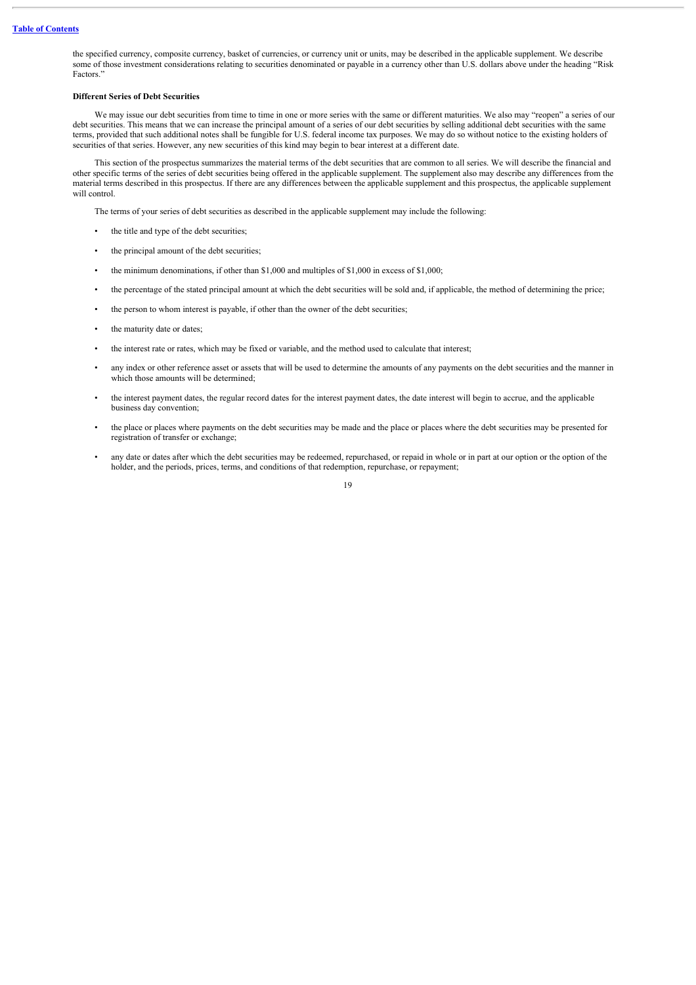the specified currency, composite currency, basket of currencies, or currency unit or units, may be described in the applicable supplement. We describe some of those investment considerations relating to securities denominated or payable in a currency other than U.S. dollars above under the heading "Risk Factors."

# **Different Series of Debt Securities**

We may issue our debt securities from time to time in one or more series with the same or different maturities. We also may "reopen" a series of our debt securities. This means that we can increase the principal amount of a series of our debt securities by selling additional debt securities with the same terms, provided that such additional notes shall be fungible for U.S. federal income tax purposes. We may do so without notice to the existing holders of securities of that series. However, any new securities of this kind may begin to bear interest at a different date.

This section of the prospectus summarizes the material terms of the debt securities that are common to all series. We will describe the financial and other specific terms of the series of debt securities being offered in the applicable supplement. The supplement also may describe any differences from the material terms described in this prospectus. If there are any differences between the applicable supplement and this prospectus, the applicable supplement will control.

The terms of your series of debt securities as described in the applicable supplement may include the following:

- the title and type of the debt securities;
- the principal amount of the debt securities;
- the minimum denominations, if other than \$1,000 and multiples of \$1,000 in excess of \$1,000;
- the percentage of the stated principal amount at which the debt securities will be sold and, if applicable, the method of determining the price;
- the person to whom interest is payable, if other than the owner of the debt securities;
- the maturity date or dates:
- the interest rate or rates, which may be fixed or variable, and the method used to calculate that interest;
- any index or other reference asset or assets that will be used to determine the amounts of any payments on the debt securities and the manner in which those amounts will be determined;
- the interest payment dates, the regular record dates for the interest payment dates, the date interest will begin to accrue, and the applicable business day convention;
- the place or places where payments on the debt securities may be made and the place or places where the debt securities may be presented for registration of transfer or exchange;
- any date or dates after which the debt securities may be redeemed, repurchased, or repaid in whole or in part at our option or the option of the holder, and the periods, prices, terms, and conditions of that redemption, repurchase, or repayment;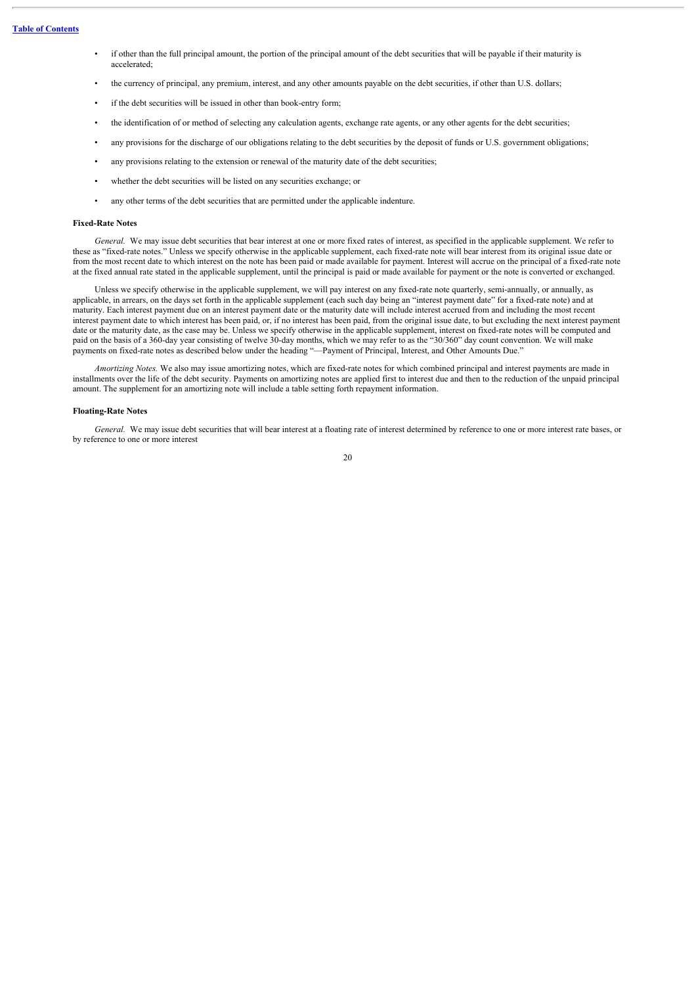- if other than the full principal amount, the portion of the principal amount of the debt securities that will be payable if their maturity is accelerated;
- the currency of principal, any premium, interest, and any other amounts payable on the debt securities, if other than U.S. dollars;
- if the debt securities will be issued in other than book-entry form;
- the identification of or method of selecting any calculation agents, exchange rate agents, or any other agents for the debt securities;
- any provisions for the discharge of our obligations relating to the debt securities by the deposit of funds or U.S. government obligations;
- any provisions relating to the extension or renewal of the maturity date of the debt securities;
- whether the debt securities will be listed on any securities exchange; or
- any other terms of the debt securities that are permitted under the applicable indenture.

## **Fixed-Rate Notes**

*General.* We may issue debt securities that bear interest at one or more fixed rates of interest, as specified in the applicable supplement. We refer to these as "fixed-rate notes." Unless we specify otherwise in the applicable supplement, each fixed-rate note will bear interest from its original issue date or from the most recent date to which interest on the note has been paid or made available for payment. Interest will accrue on the principal of a fixed-rate note at the fixed annual rate stated in the applicable supplement, until the principal is paid or made available for payment or the note is converted or exchanged.

Unless we specify otherwise in the applicable supplement, we will pay interest on any fixed-rate note quarterly, semi-annually, or annually, as applicable, in arrears, on the days set forth in the applicable supplement (each such day being an "interest payment date" for a fixed-rate note) and at maturity. Each interest payment due on an interest payment date or the maturity date will include interest accrued from and including the most recent interest payment date to which interest has been paid, or, if no interest has been paid, from the original issue date, to but excluding the next interest payment date or the maturity date, as the case may be. Unless we specify otherwise in the applicable supplement, interest on fixed-rate notes will be computed and paid on the basis of a 360-day year consisting of twelve 30-day months, which we may refer to as the "30/360" day count convention. We will make payments on fixed-rate notes as described below under the heading "—Payment of Principal, Interest, and Other Amounts Due."

*Amortizing Notes.* We also may issue amortizing notes, which are fixed-rate notes for which combined principal and interest payments are made in installments over the life of the debt security. Payments on amortizing notes are applied first to interest due and then to the reduction of the unpaid principal amount. The supplement for an amortizing note will include a table setting forth repayment information.

## **Floating-Rate Notes**

General. We may issue debt securities that will bear interest at a floating rate of interest determined by reference to one or more interest rate bases, or by reference to one or more interest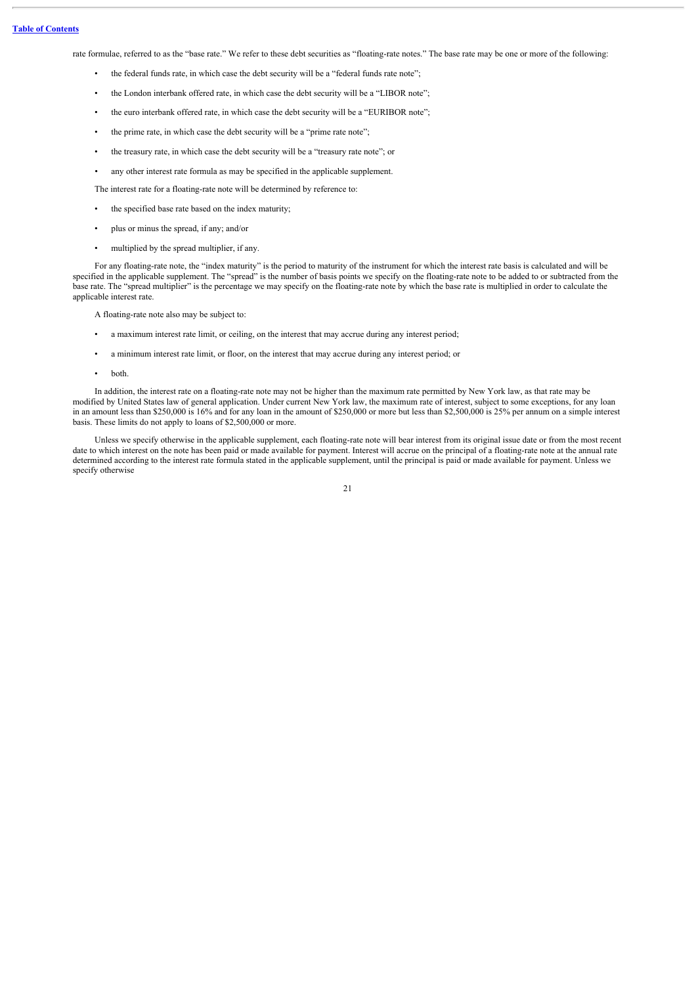rate formulae, referred to as the "base rate." We refer to these debt securities as "floating-rate notes." The base rate may be one or more of the following:

- the federal funds rate, in which case the debt security will be a "federal funds rate note";
- the London interbank offered rate, in which case the debt security will be a "LIBOR note";
- the euro interbank offered rate, in which case the debt security will be a "EURIBOR note";
- the prime rate, in which case the debt security will be a "prime rate note";
- the treasury rate, in which case the debt security will be a "treasury rate note"; or
- any other interest rate formula as may be specified in the applicable supplement.

The interest rate for a floating-rate note will be determined by reference to:

- the specified base rate based on the index maturity;
- plus or minus the spread, if any; and/or
- multiplied by the spread multiplier, if any.

For any floating-rate note, the "index maturity" is the period to maturity of the instrument for which the interest rate basis is calculated and will be specified in the applicable supplement. The "spread" is the number of basis points we specify on the floating-rate note to be added to or subtracted from the specified in the applicable supplement. The "spread" is the numb base rate. The "spread multiplier" is the percentage we may specify on the floating-rate note by which the base rate is multiplied in order to calculate the applicable interest rate.

A floating-rate note also may be subject to:

- a maximum interest rate limit, or ceiling, on the interest that may accrue during any interest period;
- a minimum interest rate limit, or floor, on the interest that may accrue during any interest period; or
- both.

In addition, the interest rate on a floating-rate note may not be higher than the maximum rate permitted by New York law, as that rate may be modified by United States law of general application. Under current New York law, the maximum rate of interest, subject to some exceptions, for any loan in an amount less than \$250,000 is 16% and for any loan in the amount of \$250,000 or more but less than \$2,500,000 is 25% per annum on a simple interest basis. These limits do not apply to loans of \$2,500,000 or more.

Unless we specify otherwise in the applicable supplement, each floating-rate note will bear interest from its original issue date or from the most recent date to which interest on the note has been paid or made available for payment. Interest will accrue on the principal of a floating-rate note at the annual rate determined according to the interest rate formula stated in the applicable supplement, until the principal is paid or made available for payment. Unless we specify otherwise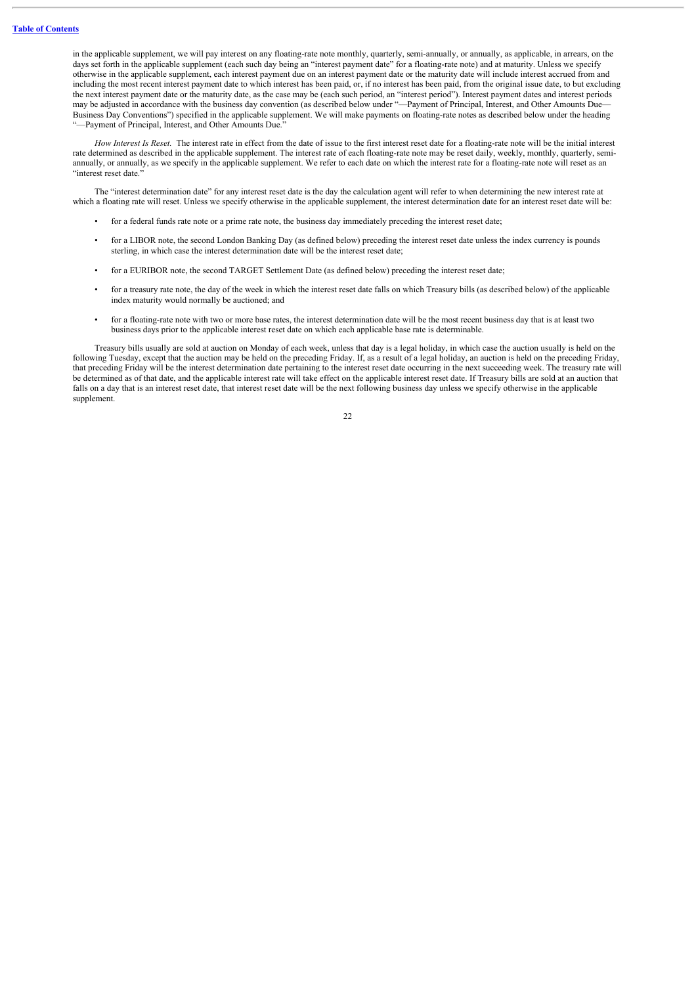in the applicable supplement, we will pay interest on any floating-rate note monthly, quarterly, semi-annually, or annually, as applicable, in arrears, on the days set forth in the applicable supplement (each such day being an "interest payment date" for a floating-rate note) and at maturity. Unless we specify otherwise in the applicable supplement, each interest payment due on an interest payment date or the maturity date will include interest accrued from and including the most recent interest payment date to which interest has been paid, or, if no interest has been paid, from the original issue date, to but excluding the next interest payment date or the maturity date, as the case may be (each such period, an "interest period"). Interest payment dates and interest periods may be adjusted in accordance with the business day convention (as described below under "—Payment of Principal, Interest, and Other Amounts Due— Business Day Conventions") specified in the applicable supplement. We will make payments on floating-rate notes as described below under the heading "—Payment of Principal, Interest, and Other Amounts Due."

*How Interest Is Reset.* The interest rate in effect from the date of issue to the first interest reset date for a floating-rate note will be the initial interest rate determined as described in the applicable supplement. The interest rate of each floating-rate note may be reset daily, weekly, monthly, quarterly, semiannually, or annually, as we specify in the applicable supplement. We refer to each date on which the interest rate for a floating-rate note will reset as an "interest reset date."

The "interest determination date" for any interest reset date is the day the calculation agent will refer to when determining the new interest rate at which a floating rate will reset. Unless we specify otherwise in the applicable supplement, the interest determination date for an interest reset date will be:

- for a federal funds rate note or a prime rate note, the business day immediately preceding the interest reset date;
- for a LIBOR note, the second London Banking Day (as defined below) preceding the interest reset date unless the index currency is pounds sterling, in which case the interest determination date will be the interest reset date;
- for a EURIBOR note, the second TARGET Settlement Date (as defined below) preceding the interest reset date;
- for a treasury rate note, the day of the week in which the interest reset date falls on which Treasury bills (as described below) of the applicable index maturity would normally be auctioned; and
- for a floating-rate note with two or more base rates, the interest determination date will be the most recent business day that is at least two business days prior to the applicable interest reset date on which each applicable base rate is determinable.

Treasury bills usually are sold at auction on Monday of each week, unless that day is a legal holiday, in which case the auction usually is held on the following Tuesday, except that the auction may be held on the preceding Friday. If, as a result of a legal holiday, an auction is held on the preceding Friday, that preceding Friday will be the interest determination date pertaining to the interest reset date occurring in the next succeeding week. The treasury rate will be determined as of that date, and the applicable interest rate will take effect on the applicable interest reset date. If Treasury bills are sold at an auction that falls on a day that is an interest reset date, that interest reset date will be the next following business day unless we specify otherwise in the applicable supplement.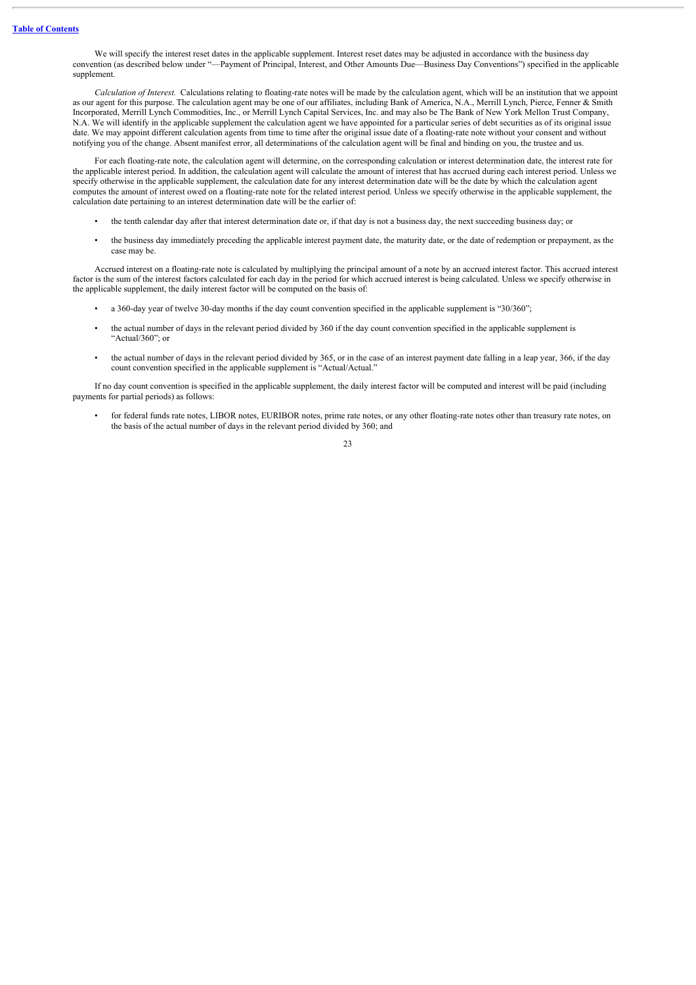We will specify the interest reset dates in the applicable supplement. Interest reset dates may be adjusted in accordance with the business day convention (as described below under "—Payment of Principal, Interest, and Other Amounts Due—Business Day Conventions") specified in the applicable supplement.

*Calculation of Interest.* Calculations relating to floating-rate notes will be made by the calculation agent, which will be an institution that we appoint as our agent for this purpose. The calculation agent may be one of our affiliates, including Bank of America, N.A., Merrill Lynch, Pierce, Fenner & Smith Incorporated, Merrill Lynch Commodities, Inc., or Merrill Lynch Capital Services, Inc. and may also be The Bank of New York Mellon Trust Company, N.A. We will identify in the applicable supplement the calculation agent we have appointed for a particular series of debt securities as of its original issue date. We may appoint different calculation agents from time to time after the original issue date of a floating-rate note without your consent and without notifying you of the change. Absent manifest error, all determinations of the calculation agent will be final and binding on you, the trustee and us.

For each floating-rate note, the calculation agent will determine, on the corresponding calculation or interest determination date, the interest rate for the applicable interest period. In addition, the calculation agent will calculate the amount of interest that has accrued during each interest period. Unless we specify otherwise in the applicable supplement, the calculation date for any interest determination date will be the date by which the calculation agent computes the amount of interest owed on a floating-rate note for the related interest period. Unless we specify otherwise in the applicable supplement, the calculation date pertaining to an interest determination date will be the earlier of:

- the tenth calendar day after that interest determination date or, if that day is not a business day, the next succeeding business day; or
- the business day immediately preceding the applicable interest payment date, the maturity date, or the date of redemption or prepayment, as the case may be.

Accrued interest on a floating-rate note is calculated by multiplying the principal amount of a note by an accrued interest factor. This accrued interest factor is the sum of the interest factors calculated for each day in the period for which accrued interest is being calculated. Unless we specify otherwise in the applicable supplement, the daily interest factor will be computed on the basis of:

- a 360-day year of twelve 30-day months if the day count convention specified in the applicable supplement is "30/360";
- the actual number of days in the relevant period divided by 360 if the day count convention specified in the applicable supplement is "Actual/360"; or
- the actual number of days in the relevant period divided by 365, or in the case of an interest payment date falling in a leap year, 366, if the day count convention specified in the applicable supplement is "Actual/Actual."

If no day count convention is specified in the applicable supplement, the daily interest factor will be computed and interest will be paid (including payments for partial periods) as follows:

• for federal funds rate notes, LIBOR notes, EURIBOR notes, prime rate notes, or any other floating-rate notes other than treasury rate notes, on the basis of the actual number of days in the relevant period divided by 360; and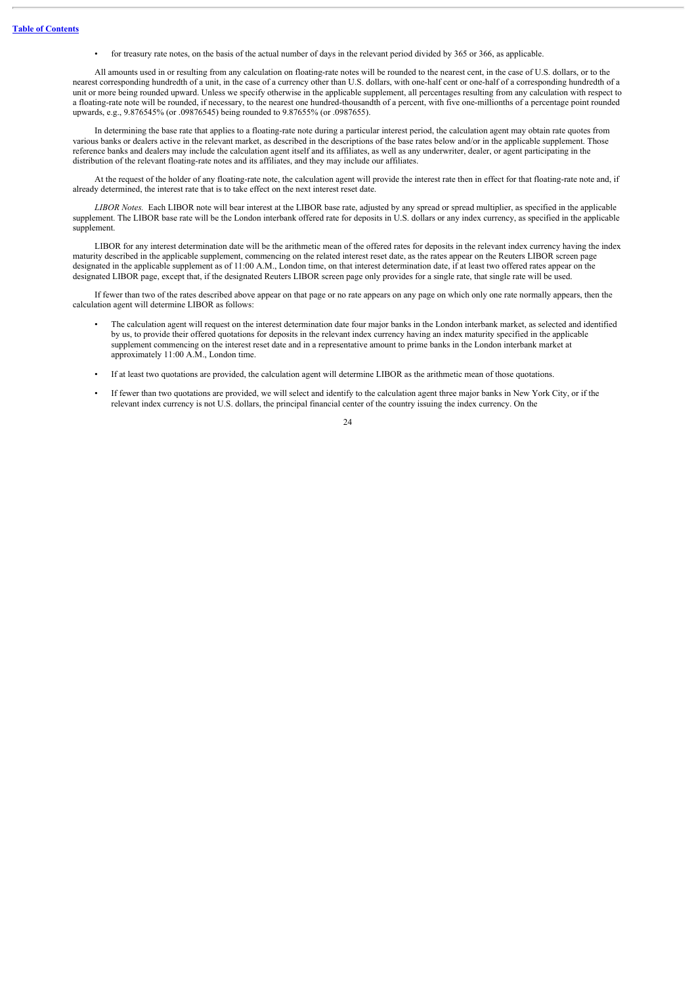• for treasury rate notes, on the basis of the actual number of days in the relevant period divided by 365 or 366, as applicable.

All amounts used in or resulting from any calculation on floating-rate notes will be rounded to the nearest cent, in the case of U.S. dollars, or to the nearest corresponding hundredth of a unit, in the case of a currency other than U.S. dollars, with one-half cent or one-half of a corresponding hundredth of a unit or more being rounded upward. Unless we specify otherwise in the applicable supplement, all percentages resulting from any calculation with respect to a floating-rate note will be rounded, if necessary, to the nearest one hundred-thousandth of a percent, with five one-millionths of a percentage point rounded upwards, e.g., 9.876545% (or .09876545) being rounded to 9.87655% (or .0987655).

In determining the base rate that applies to a floating-rate note during a particular interest period, the calculation agent may obtain rate quotes from various banks or dealers active in the relevant market, as described in the descriptions of the base rates below and/or in the applicable supplement. Those reference banks and dealers may include the calculation agent itself and its affiliates, as well as any underwriter, dealer, or agent participating in the distribution of the relevant floating-rate notes and its affiliates, and they may include our affiliates.

At the request of the holder of any floating-rate note, the calculation agent will provide the interest rate then in effect for that floating-rate note and, if already determined, the interest rate that is to take effect on the next interest reset date.

*LIBOR Notes.* Each LIBOR note will bear interest at the LIBOR base rate, adjusted by any spread or spread multiplier, as specified in the applicable supplement. The LIBOR base rate will be the London interbank offered rate for deposits in U.S. dollars or any index currency, as specified in the applicable supplement.

LIBOR for any interest determination date will be the arithmetic mean of the offered rates for deposits in the relevant index currency having the index maturity described in the applicable supplement, commencing on the related interest reset date, as the rates appear on the Reuters LIBOR screen page designated in the applicable supplement as of 11:00 A.M., London time, on that interest determination date, if at least two offered rates appear on the designated LIBOR page, except that, if the designated Reuters LIBOR screen page only provides for a single rate, that single rate will be used.

If fewer than two of the rates described above appear on that page or no rate appears on any page on which only one rate normally appears, then the calculation agent will determine LIBOR as follows:

- The calculation agent will request on the interest determination date four major banks in the London interbank market, as selected and identified by us, to provide their offered quotations for deposits in the relevant index currency having an index maturity specified in the applicable supplement commencing on the interest reset date and in a representative amount to prime banks in the London interbank market at approximately 11:00 A.M., London time.
- If at least two quotations are provided, the calculation agent will determine LIBOR as the arithmetic mean of those quotations.
- If fewer than two quotations are provided, we will select and identify to the calculation agent three major banks in New York City, or if the relevant index currency is not U.S. dollars, the principal financial center of the country issuing the index currency. On the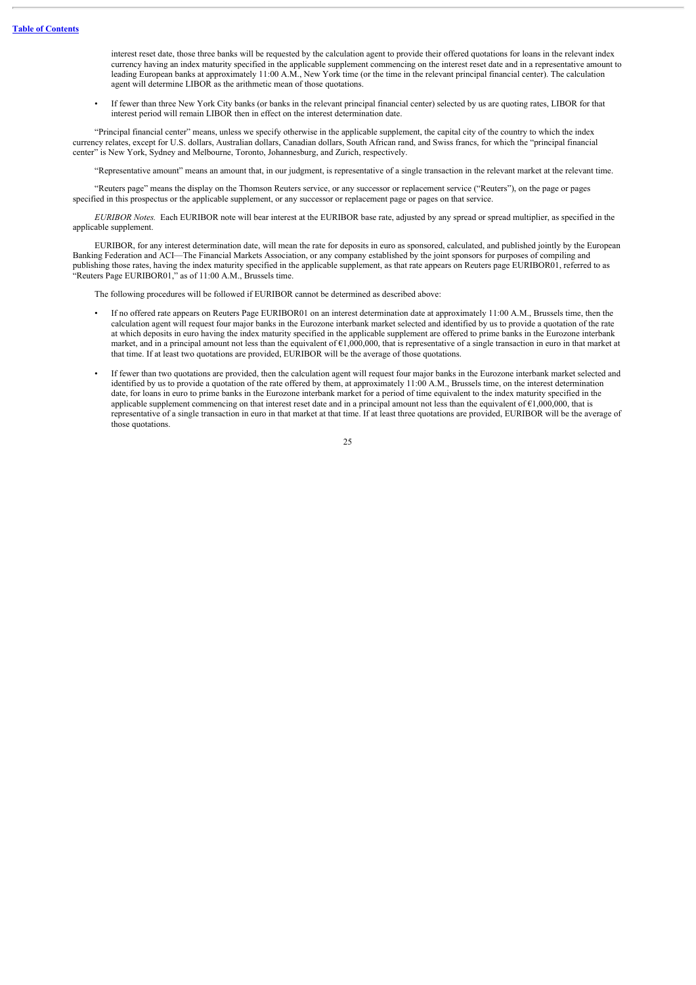interest reset date, those three banks will be requested by the calculation agent to provide their offered quotations for loans in the relevant index currency having an index maturity specified in the applicable supplement commencing on the interest reset date and in a representative amount to leading European banks at approximately 11:00 A.M., New York time (or the time in the relevant principal financial center). The calculation agent will determine LIBOR as the arithmetic mean of those quotations.

• If fewer than three New York City banks (or banks in the relevant principal financial center) selected by us are quoting rates, LIBOR for that interest period will remain LIBOR then in effect on the interest determination date.

"Principal financial center" means, unless we specify otherwise in the applicable supplement, the capital city of the country to which the index currency relates, except for U.S. dollars, Australian dollars, Canadian dollars, South African rand, and Swiss francs, for which the "principal financial center" is New York, Sydney and Melbourne, Toronto, Johannesburg, and Zurich, respectively.

"Representative amount" means an amount that, in our judgment, is representative of a single transaction in the relevant market at the relevant time.

"Reuters page" means the display on the Thomson Reuters service, or any successor or replacement service ("Reuters"), on the page or pages specified in this prospectus or the applicable supplement, or any successor or replacement page or pages on that service.

*EURIBOR Notes.* Each EURIBOR note will bear interest at the EURIBOR base rate, adjusted by any spread or spread multiplier, as specified in the applicable supplement.

EURIBOR, for any interest determination date, will mean the rate for deposits in euro as sponsored, calculated, and published jointly by the European Banking Federation and ACI—The Financial Markets Association, or any company established by the joint sponsors for purposes of compiling and publishing those rates, having the index maturity specified in the applicable supplement, as that rate appears on Reuters page EURIBOR01, referred to as "Reuters Page EURIBOR01," as of 11:00 A.M., Brussels time.

The following procedures will be followed if EURIBOR cannot be determined as described above:

- If no offered rate appears on Reuters Page EURIBOR01 on an interest determination date at approximately 11:00 A.M., Brussels time, then the calculation agent will request four major banks in the Eurozone interbank market selected and identified by us to provide a quotation of the rate at which deposits in euro having the index maturity specified in the applicable supplement are offered to prime banks in the Eurozone interbank market, and in a principal amount not less than the equivalent of  $\epsilon$ 1,000,000, that is representative of a single transaction in euro in that market at that time. If at least two quotations are provided, EURIBOR will be the average of those quotations.
- If fewer than two quotations are provided, then the calculation agent will request four major banks in the Eurozone interbank market selected and identified by us to provide a quotation of the rate offered by them, at approximately 11:00 A.M., Brussels time, on the interest determination date, for loans in euro to prime banks in the Eurozone interbank market for a period of time equivalent to the index maturity specified in the applicable supplement commencing on that interest reset date and in a principal amount not less than the equivalent of €1,000,000, that is representative of a single transaction in euro in that market at that time. If at least three quotations are provided, EURIBOR will be the average of those quotations.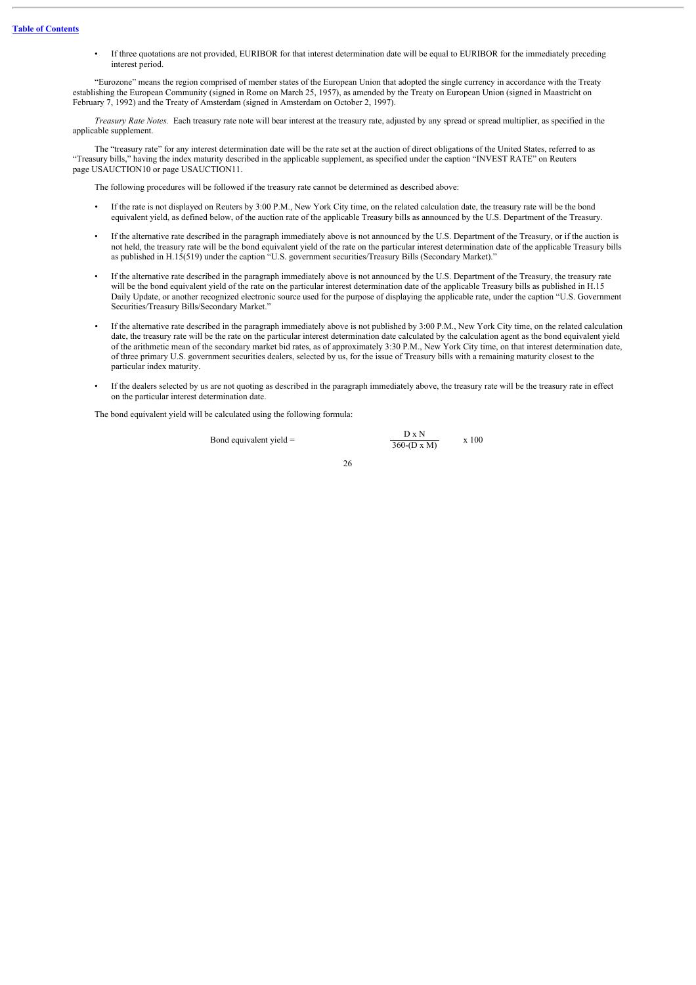• If three quotations are not provided, EURIBOR for that interest determination date will be equal to EURIBOR for the immediately preceding interest period.

"Eurozone" means the region comprised of member states of the European Union that adopted the single currency in accordance with the Treaty establishing the European Community (signed in Rome on March 25, 1957), as amended by the Treaty on European Union (signed in Maastricht on February 7, 1992) and the Treaty of Amsterdam (signed in Amsterdam on October 2, 1997).

*Treasury Rate Notes.* Each treasury rate note will bear interest at the treasury rate, adjusted by any spread or spread multiplier, as specified in the applicable supplement.

The "treasury rate" for any interest determination date will be the rate set at the auction of direct obligations of the United States, referred to as "Treasury bills," having the index maturity described in the applicable supplement, as specified under the caption "INVEST RATE" on Reuters page USAUCTION10 or page USAUCTION11.

The following procedures will be followed if the treasury rate cannot be determined as described above:

- If the rate is not displayed on Reuters by 3:00 P.M., New York City time, on the related calculation date, the treasury rate will be the bond equivalent yield, as defined below, of the auction rate of the applicable Treasury bills as announced by the U.S. Department of the Treasury.
- If the alternative rate described in the paragraph immediately above is not announced by the U.S. Department of the Treasury, or if the auction is not held, the treasury rate will be the bond equivalent yield of the rate on the particular interest determination date of the applicable Treasury bills as published in H.15(519) under the caption "U.S. government securities/Treasury Bills (Secondary Market)."
- If the alternative rate described in the paragraph immediately above is not announced by the U.S. Department of the Treasury, the treasury rate will be the bond equivalent yield of the rate on the particular interest determination date of the applicable Treasury bills as published in H.15 Daily Update, or another recognized electronic source used for the purpose of displaying the applicable rate, under the caption "U.S. Government Securities/Treasury Bills/Secondary Market."
- If the alternative rate described in the paragraph immediately above is not published by 3:00 P.M., New York City time, on the related calculation date, the treasury rate will be the rate on the particular interest determination date calculated by the calculation agent as the bond equivalent yield of the arithmetic mean of the secondary market bid rates, as of approximately 3:30 P.M., New York City time, on that interest determination date, of three primary U.S. government securities dealers, selected by us, for the issue of Treasury bills with a remaining maturity closest to the particular index maturity.
- If the dealers selected by us are not quoting as described in the paragraph immediately above, the treasury rate will be the treasury rate in effect on the particular interest determination date.

The bond equivalent yield will be calculated using the following formula:

Bond equivalent yield =

$$
\frac{D \times N}{360 \cdot (D \times M)}
$$
 x 100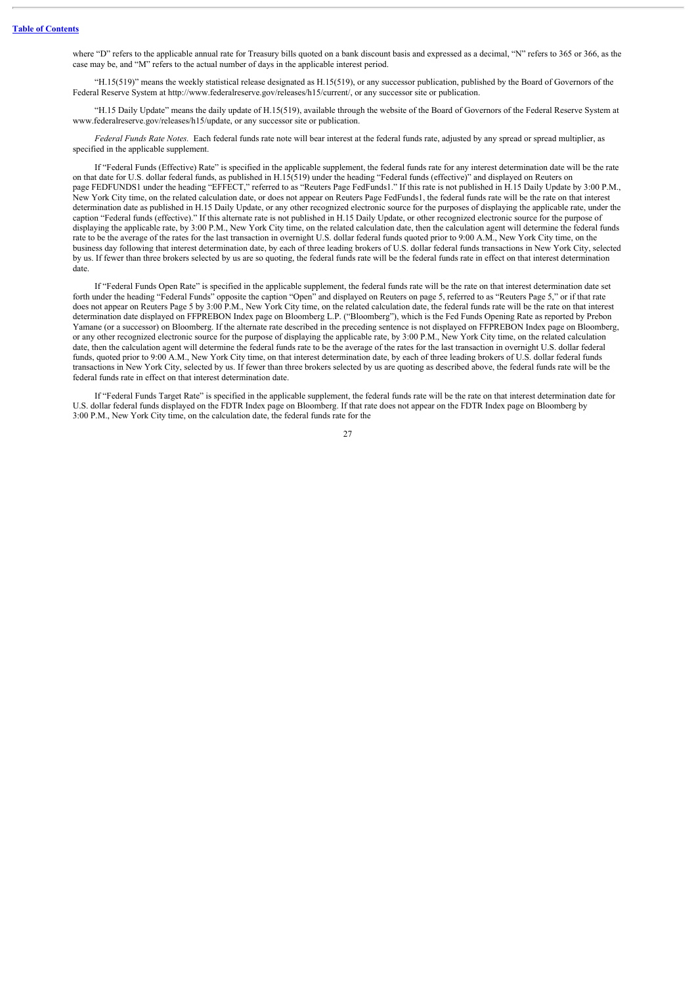where "D" refers to the applicable annual rate for Treasury bills quoted on a bank discount basis and expressed as a decimal, "N" refers to 365 or 366, as the case may be, and "M" refers to the actual number of days in the applicable interest period.

"H.15(519)" means the weekly statistical release designated as H.15(519), or any successor publication, published by the Board of Governors of the Federal Reserve System at http://www.federalreserve.gov/releases/h15/current/, or any successor site or publication.

"H.15 Daily Update" means the daily update of H.15(519), available through the website of the Board of Governors of the Federal Reserve System at www.federalreserve.gov/releases/h15/update, or any successor site or publication.

*Federal Funds Rate Notes.* Each federal funds rate note will bear interest at the federal funds rate, adjusted by any spread or spread multiplier, as specified in the applicable supplement.

If "Federal Funds (Effective) Rate" is specified in the applicable supplement, the federal funds rate for any interest determination date will be the rate on that date for U.S. dollar federal funds, as published in H.15(519) under the heading "Federal funds (effective)" and displayed on Reuters on page FEDFUNDS1 under the heading "EFFECT," referred to as "Reuters Page FedFunds1." If this rate is not published in H.15 Daily Update by 3:00 P.M., New York City time, on the related calculation date, or does not appear on Reuters Page FedFunds1, the federal funds rate will be the rate on that interest determination date as published in H.15 Daily Update, or any other recognized electronic source for the purposes of displaying the applicable rate, under the caption "Federal funds (effective)." If this alternate rate is not published in H.15 Daily Update, or other recognized electronic source for the purpose of displaying the applicable rate, by 3:00 P.M., New York City time, on the related calculation date, then the calculation agent will determine the federal funds rate to be the average of the rates for the last transaction in overnight U.S. dollar federal funds quoted prior to 9:00 A.M., New York City time, on the business day following that interest determination date, by each of three leading brokers of U.S. dollar federal funds transactions in New York City, selected by us. If fewer than three brokers selected by us are so quoting, the federal funds rate will be the federal funds rate in effect on that interest determination date.

If "Federal Funds Open Rate" is specified in the applicable supplement, the federal funds rate will be the rate on that interest determination date set forth under the heading "Federal Funds" opposite the caption "Open" and displayed on Reuters on page 5, referred to as "Reuters Page 5," or if that rate does not appear on Reuters Page 5 by 3:00 P.M., New York City time, on the related calculation date, the federal funds rate will be the rate on that interest determination date displayed on FFPREBON Index page on Bloomberg L.P. ("Bloomberg"), which is the Fed Funds Opening Rate as reported by Prebon Yamane (or a successor) on Bloomberg. If the alternate rate described in the preceding sentence is not displayed on FFPREBON Index page on Bloomberg, or any other recognized electronic source for the purpose of displaying the applicable rate, by 3:00 P.M., New York City time, on the related calculation date, then the calculation agent will determine the federal funds rate to be the average of the rates for the last transaction in overnight U.S. dollar federal funds, quoted prior to 9:00 A.M., New York City time, on that interest determination date, by each of three leading brokers of U.S. dollar federal funds transactions in New York City, selected by us. If fewer than three brokers selected by us are quoting as described above, the federal funds rate will be the federal funds rate in effect on that interest determination date.

If "Federal Funds Target Rate" is specified in the applicable supplement, the federal funds rate will be the rate on that interest determination date for U.S. dollar federal funds displayed on the FDTR Index page on Bloomberg. If that rate does not appear on the FDTR Index page on Bloomberg by 3:00 P.M., New York City time, on the calculation date, the federal funds rate for the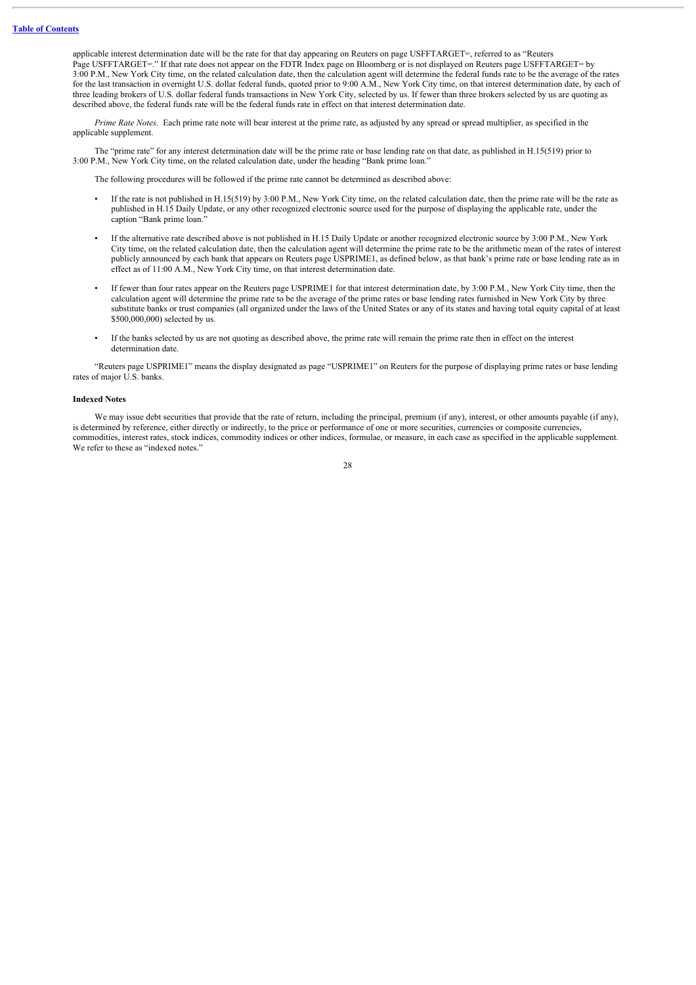applicable interest determination date will be the rate for that day appearing on Reuters on page USFFTARGET=, referred to as "Reuters Page USFFTARGET=." If that rate does not appear on the FDTR Index page on Bloomberg or is not displayed on Reuters page USFFTARGET= by 3:00 P.M., New York City time, on the related calculation date, then the calculation agent will determine the federal funds rate to be the average of the rates for the last transaction in overnight U.S. dollar federal funds, quoted prior to 9:00 A.M., New York City time, on that interest determination date, by each of three leading brokers of U.S. dollar federal funds transactions in New York City, selected by us. If fewer than three brokers selected by us are quoting as described above, the federal funds rate will be the federal funds rate in effect on that interest determination date.

*Prime Rate Notes.* Each prime rate note will bear interest at the prime rate, as adjusted by any spread or spread multiplier, as specified in the applicable supplement.

The "prime rate" for any interest determination date will be the prime rate or base lending rate on that date, as published in H.15(519) prior to 3:00 P.M., New York City time, on the related calculation date, under the heading "Bank prime loan."

The following procedures will be followed if the prime rate cannot be determined as described above:

- If the rate is not published in H.15(519) by 3:00 P.M., New York City time, on the related calculation date, then the prime rate will be the rate as published in H.15 Daily Update, or any other recognized electronic source used for the purpose of displaying the applicable rate, under the caption "Bank prime loan."
- If the alternative rate described above is not published in H.15 Daily Update or another recognized electronic source by 3:00 P.M., New York City time, on the related calculation date, then the calculation agent will determine the prime rate to be the arithmetic mean of the rates of interest publicly announced by each bank that appears on Reuters page USPRIME1, as defined below, as that bank's prime rate or base lending rate as in effect as of 11:00 A.M., New York City time, on that interest determination date.
- If fewer than four rates appear on the Reuters page USPRIME1 for that interest determination date, by 3:00 P.M., New York City time, then the calculation agent will determine the prime rate to be the average of the prime rates or base lending rates furnished in New York City by three substitute banks or trust companies (all organized under the laws of the United States or any of its states and having total equity capital of at least \$500,000,000) selected by us.
- If the banks selected by us are not quoting as described above, the prime rate will remain the prime rate then in effect on the interest determination date.

"Reuters page USPRIME1" means the display designated as page "USPRIME1" on Reuters for the purpose of displaying prime rates or base lending rates of major U.S. banks.

#### **Indexed Notes**

We may issue debt securities that provide that the rate of return, including the principal, premium (if any), interest, or other amounts payable (if any), is determined by reference, either directly or indirectly, to the price or performance of one or more securities, currencies or composite currencies, commodities, interest rates, stock indices, commodity indices or other indices, formulae, or measure, in each case as specified in the applicable supplement. We refer to these as "indexed notes."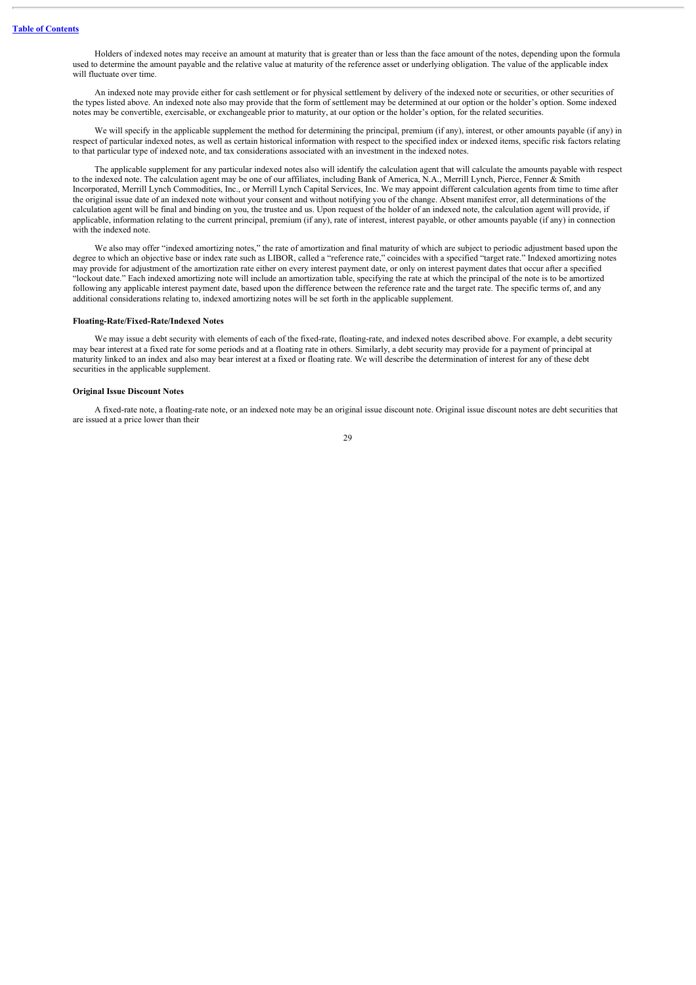Holders of indexed notes may receive an amount at maturity that is greater than or less than the face amount of the notes, depending upon the formula used to determine the amount payable and the relative value at maturity of the reference asset or underlying obligation. The value of the applicable index will fluctuate over time.

An indexed note may provide either for cash settlement or for physical settlement by delivery of the indexed note or securities, or other securities of the types listed above. An indexed note also may provide that the form of settlement may be determined at our option or the holder's option. Some indexed notes may be convertible, exercisable, or exchangeable prior to maturity, at our option or the holder's option, for the related securities.

We will specify in the applicable supplement the method for determining the principal, premium (if any), interest, or other amounts payable (if any) in respect of particular indexed notes, as well as certain historical information with respect to the specified index or indexed items, specific risk factors relating to that particular type of indexed note, and tax considerations associated with an investment in the indexed notes.

The applicable supplement for any particular indexed notes also will identify the calculation agent that will calculate the amounts payable with respect to the indexed note. The calculation agent may be one of our affiliates, including Bank of America, N.A., Merrill Lynch, Pierce, Fenner & Smith Incorporated, Merrill Lynch Commodities, Inc., or Merrill Lynch Capital Services, Inc. We may appoint different calculation agents from time to time after the original issue date of an indexed note without your consent and without notifying you of the change. Absent manifest error, all determinations of the calculation agent will be final and binding on you, the trustee and us. Upon request of the holder of an indexed note, the calculation agent will provide, if applicable, information relating to the current principal, premium (if any), rate of interest, interest payable, or other amounts payable (if any) in connection with the indexed note.

We also may offer "indexed amortizing notes," the rate of amortization and final maturity of which are subject to periodic adjustment based upon the degree to which an objective base or index rate such as LIBOR, called a "reference rate," coincides with a specified "target rate." Indexed amortizing notes may provide for adjustment of the amortization rate either on every interest payment date, or only on interest payment dates that occur after a specified "lockout date." Each indexed amortizing note will include an amortization table, specifying the rate at which the principal of the note is to be amortized following any applicable interest payment date, based upon the difference between the reference rate and the target rate. The specific terms of, and any additional considerations relating to, indexed amortizing notes will be set forth in the applicable supplement.

#### **Floating-Rate/Fixed-Rate/Indexed Notes**

We may issue a debt security with elements of each of the fixed-rate, floating-rate, and indexed notes described above. For example, a debt security may bear interest at a fixed rate for some periods and at a floating rate in others. Similarly, a debt security may provide for a payment of principal at maturity linked to an index and also may bear interest at a fixed or floating rate. We will describe the determination of interest for any of these debt securities in the applicable supplement.

## **Original Issue Discount Notes**

A fixed-rate note, a floating-rate note, or an indexed note may be an original issue discount note. Original issue discount notes are debt securities that are issued at a price lower than their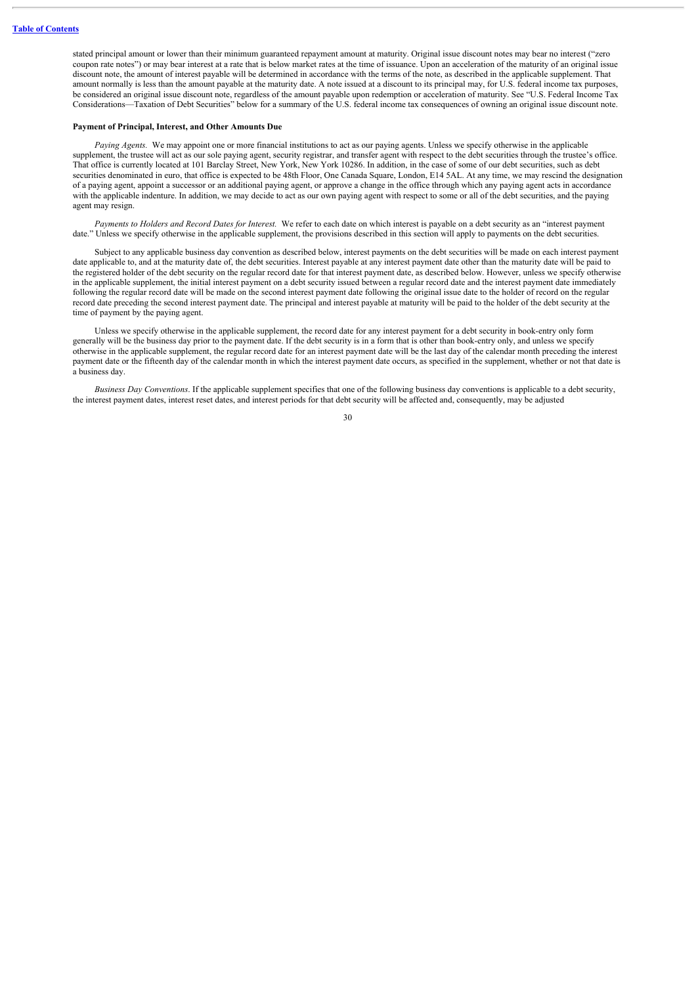stated principal amount or lower than their minimum guaranteed repayment amount at maturity. Original issue discount notes may bear no interest ("zero coupon rate notes") or may bear interest at a rate that is below market rates at the time of issuance. Upon an acceleration of the maturity of an original issue discount note, the amount of interest payable will be determined in accordance with the terms of the note, as described in the applicable supplement. That amount normally is less than the amount payable at the maturity date. A note issued at a discount to its principal may, for U.S. federal income tax purposes, be considered an original issue discount note, regardless of the amount payable upon redemption or acceleration of maturity. See "U.S. Federal Income Tax Considerations—Taxation of Debt Securities" below for a summary of the U.S. federal income tax consequences of owning an original issue discount note.

#### **Payment of Principal, Interest, and Other Amounts Due**

*Paying Agents.* We may appoint one or more financial institutions to act as our paying agents. Unless we specify otherwise in the applicable supplement, the trustee will act as our sole paying agent, security registrar, and transfer agent with respect to the debt securities through the trustee's office. That office is currently located at 101 Barclay Street, New York, New York 10286. In addition, in the case of some of our debt securities, such as debt securities denominated in euro, that office is expected to be 48th Floor, One Canada Square, London, E14 5AL. At any time, we may rescind the designation of a paying agent, appoint a successor or an additional paying agent, or approve a change in the office through which any paying agent acts in accordance with the applicable indenture. In addition, we may decide to act as our own paying agent with respect to some or all of the debt securities, and the paying agent may resign.

*Payments to Holders and Record Dates for Interest.* We refer to each date on which interest is payable on a debt security as an "interest payment date." Unless we specify otherwise in the applicable supplement, the provisions described in this section will apply to payments on the debt securities.

Subject to any applicable business day convention as described below, interest payments on the debt securities will be made on each interest payment date applicable to, and at the maturity date of, the debt securities. Interest payable at any interest payment date other than the maturity date will be paid to the registered holder of the debt security on the regular record date for that interest payment date, as described below. However, unless we specify otherwise in the applicable supplement, the initial interest payment on a debt security issued between a regular record date and the interest payment date immediately following the regular record date will be made on the second interest payment date following the original issue date to the holder of record on the regular record date preceding the second interest payment date. The principal and interest payable at maturity will be paid to the holder of the debt security at the time of payment by the paying agent.

Unless we specify otherwise in the applicable supplement, the record date for any interest payment for a debt security in book-entry only form generally will be the business day prior to the payment date. If the debt security is in a form that is other than book-entry only, and unless we specify otherwise in the applicable supplement, the regular record date for an interest payment date will be the last day of the calendar month preceding the interest payment date or the fifteenth day of the calendar month in which the interest payment date occurs, as specified in the supplement, whether or not that date is a business day.

*Business Day Conventions*. If the applicable supplement specifies that one of the following business day conventions is applicable to a debt security, the interest payment dates, interest reset dates, and interest periods for that debt security will be affected and, consequently, may be adjusted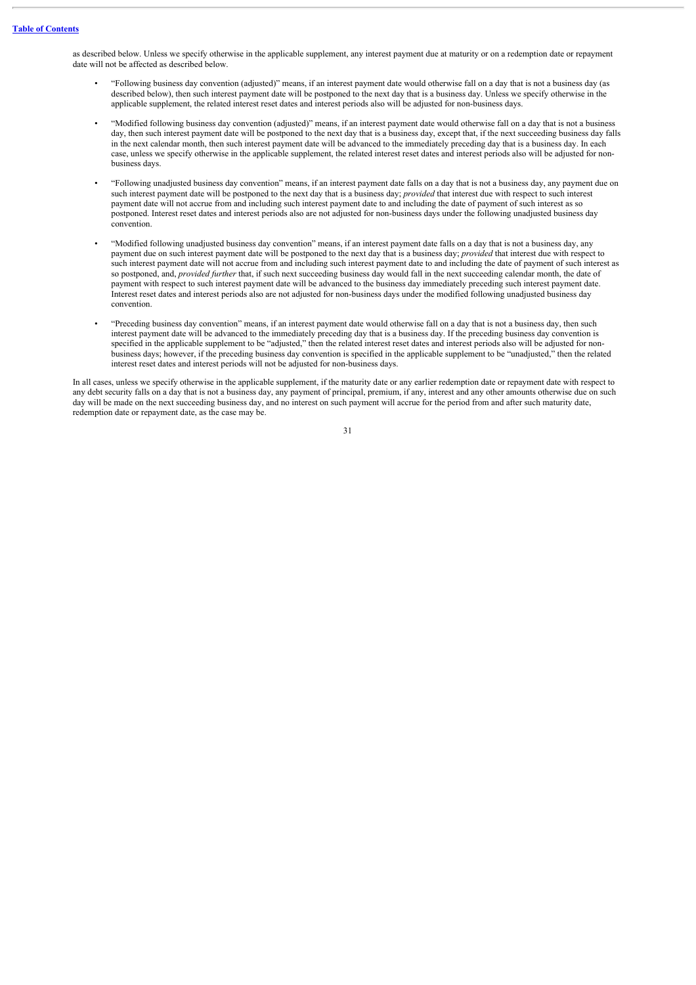as described below. Unless we specify otherwise in the applicable supplement, any interest payment due at maturity or on a redemption date or repayment date will not be affected as described below.

- "Following business day convention (adjusted)" means, if an interest payment date would otherwise fall on a day that is not a business day (as described below), then such interest payment date will be postponed to the next day that is a business day. Unless we specify otherwise in the applicable supplement, the related interest reset dates and interest periods also will be adjusted for non-business days.
- "Modified following business day convention (adjusted)" means, if an interest payment date would otherwise fall on a day that is not a business day, then such interest payment date will be postponed to the next day that is a business day, except that, if the next succeeding business day falls in the next calendar month, then such interest payment date will be advanced to the immediately preceding day that is a business day. In each case, unless we specify otherwise in the applicable supplement, the related interest reset dates and interest periods also will be adjusted for nonbusiness days.
- "Following unadjusted business day convention" means, if an interest payment date falls on a day that is not a business day, any payment due on such interest payment date will be postponed to the next day that is a business day; *provided* that interest due with respect to such interest payment date will not accrue from and including such interest payment date to and including the date of payment of such interest as so postponed. Interest reset dates and interest periods also are not adjusted for non-business days under the following unadjusted business day convention.
- "Modified following unadjusted business day convention" means, if an interest payment date falls on a day that is not a business day, any payment due on such interest payment date will be postponed to the next day that is a business day; *provided* that interest due with respect to such interest payment date will not accrue from and including such interest payment date to and including the date of payment of such interest as so postponed, and, *provided further* that, if such next succeeding business day would fall in the next succeeding calendar month, the date of payment with respect to such interest payment date will be advanced to the business day immediately preceding such interest payment date. Interest reset dates and interest periods also are not adjusted for non-business days under the modified following unadjusted business day convention.
- "Preceding business day convention" means, if an interest payment date would otherwise fall on a day that is not a business day, then such interest payment date will be advanced to the immediately preceding day that is a business day. If the preceding business day convention is specified in the applicable supplement to be "adjusted," then the related interest reset dates and interest periods also will be adjusted for nonbusiness days; however, if the preceding business day convention is specified in the applicable supplement to be "unadjusted," then the related interest reset dates and interest periods will not be adjusted for non-business days.

In all cases, unless we specify otherwise in the applicable supplement, if the maturity date or any earlier redemption date or repayment date with respect to any debt security falls on a day that is not a business day, any payment of principal, premium, if any, interest and any other amounts otherwise due on such day will be made on the next succeeding business day, and no interest on such payment will accrue for the period from and after such maturity date, redemption date or repayment date, as the case may be.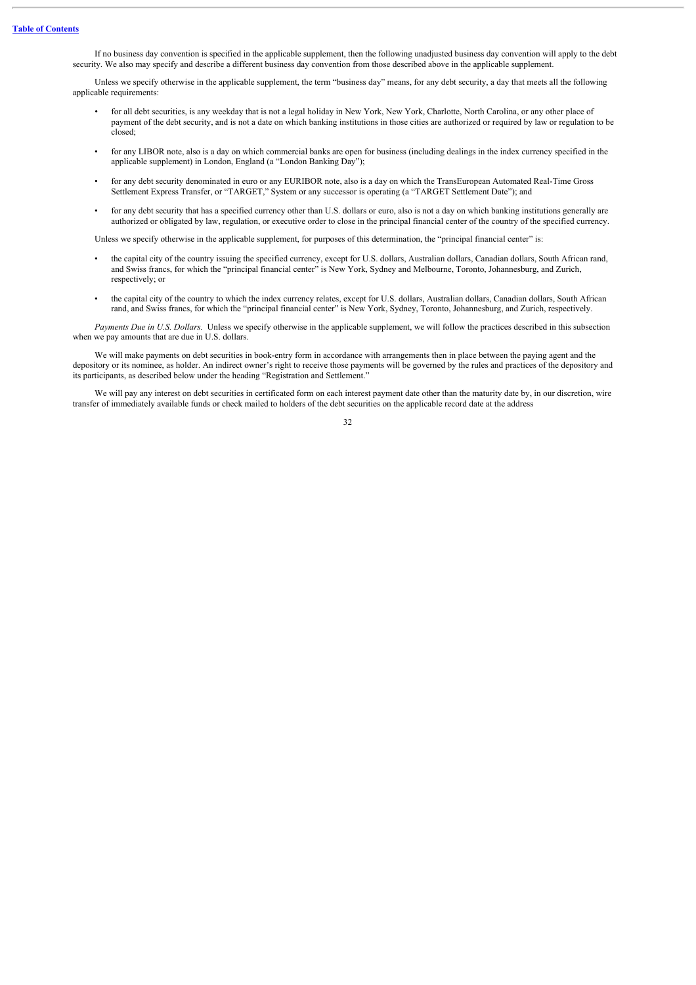If no business day convention is specified in the applicable supplement, then the following unadjusted business day convention will apply to the debt security. We also may specify and describe a different business day convention from those described above in the applicable supplement.

Unless we specify otherwise in the applicable supplement, the term "business day" means, for any debt security, a day that meets all the following applicable requirements:

- for all debt securities, is any weekday that is not a legal holiday in New York, New York, Charlotte, North Carolina, or any other place of payment of the debt security, and is not a date on which banking institutions in those cities are authorized or required by law or regulation to be closed;
- for any LIBOR note, also is a day on which commercial banks are open for business (including dealings in the index currency specified in the applicable supplement) in London, England (a "London Banking Day");
- for any debt security denominated in euro or any EURIBOR note, also is a day on which the TransEuropean Automated Real-Time Gross Settlement Express Transfer, or "TARGET," System or any successor is operating (a "TARGET Settlement Date"); and
- for any debt security that has a specified currency other than U.S. dollars or euro, also is not a day on which banking institutions generally are authorized or obligated by law, regulation, or executive order to close in the principal financial center of the country of the specified currency.

Unless we specify otherwise in the applicable supplement, for purposes of this determination, the "principal financial center" is:

- the capital city of the country issuing the specified currency, except for U.S. dollars, Australian dollars, Canadian dollars, South African rand, and Swiss francs, for which the "principal financial center" is New York, Sydney and Melbourne, Toronto, Johannesburg, and Zurich, respectively; or
- the capital city of the country to which the index currency relates, except for U.S. dollars, Australian dollars, Canadian dollars, South African rand, and Swiss francs, for which the "principal financial center" is New York, Sydney, Toronto, Johannesburg, and Zurich, respectively.

*Payments Due in U.S. Dollars.* Unless we specify otherwise in the applicable supplement, we will follow the practices described in this subsection when we pay amounts that are due in U.S. dollars.

We will make payments on debt securities in book-entry form in accordance with arrangements then in place between the paying agent and the depository or its nominee, as holder. An indirect owner's right to receive those payments will be governed by the rules and practices of the depository and its participants, as described below under the heading "Registration and Settlement."

We will pay any interest on debt securities in certificated form on each interest payment date other than the maturity date by, in our discretion, wire transfer of immediately available funds or check mailed to holders of the debt securities on the applicable record date at the address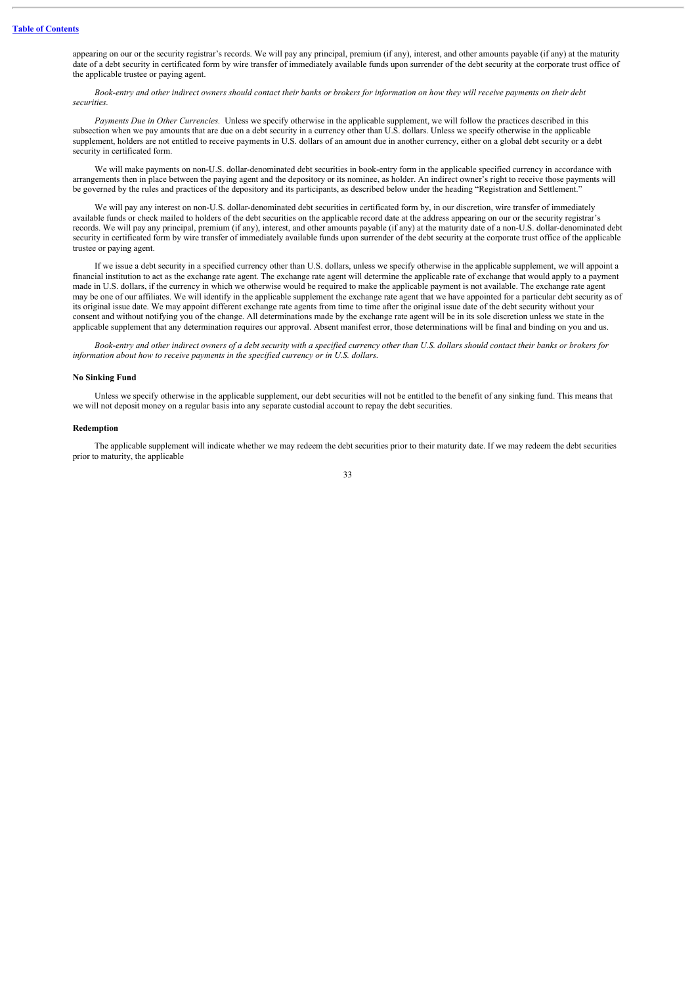appearing on our or the security registrar's records. We will pay any principal, premium (if any), interest, and other amounts payable (if any) at the maturity date of a debt security in certificated form by wire transfer of immediately available funds upon surrender of the debt security at the corporate trust office of the applicable trustee or paying agent.

Book-entry and other indirect owners should contact their banks or brokers for information on how they will receive payments on their debt *securities.*

*Payments Due in Other Currencies.* Unless we specify otherwise in the applicable supplement, we will follow the practices described in this subsection when we pay amounts that are due on a debt security in a currency other than U.S. dollars. Unless we specify otherwise in the applicable supplement, holders are not entitled to receive payments in U.S. dollars of an amount due in another currency, either on a global debt security or a debt security in certificated form.

We will make payments on non-U.S. dollar-denominated debt securities in book-entry form in the applicable specified currency in accordance with arrangements then in place between the paying agent and the depository or its nominee, as holder. An indirect owner's right to receive those payments will be governed by the rules and practices of the depository and its participants, as described below under the heading "Registration and Settlement."

We will pay any interest on non-U.S. dollar-denominated debt securities in certificated form by, in our discretion, wire transfer of immediately available funds or check mailed to holders of the debt securities on the applicable record date at the address appearing on our or the security registrar's records. We will pay any principal, premium (if any), interest, and other amounts payable (if any) at the maturity date of a non-U.S. dollar-denominated debt security in certificated form by wire transfer of immediately available funds upon surrender of the debt security at the corporate trust office of the applicable trustee or paying agent.

If we issue a debt security in a specified currency other than U.S. dollars, unless we specify otherwise in the applicable supplement, we will appoint a financial institution to act as the exchange rate agent. The exchange rate agent will determine the applicable rate of exchange that would apply to a payment made in U.S. dollars, if the currency in which we otherwise would be required to make the applicable payment is not available. The exchange rate agent may be one of our affiliates. We will identify in the applicable supplement the exchange rate agent that we have appointed for a particular debt security as of its original issue date. We may appoint different exchange rate agents from time to time after the original issue date of the debt security without your consent and without notifying you of the change. All determinations made by the exchange rate agent will be in its sole discretion unless we state in the applicable supplement that any determination requires our approval. Absent manifest error, those determinations will be final and binding on you and us.

Book-entry and other indirect owners of a debt security with a specified currency other than U.S. dollars should contact their banks or brokers for *information about how to receive payments in the specified currency or in U.S. dollars.*

## **No Sinking Fund**

Unless we specify otherwise in the applicable supplement, our debt securities will not be entitled to the benefit of any sinking fund. This means that we will not deposit money on a regular basis into any separate custodial account to repay the debt securities.

# **Redemption**

The applicable supplement will indicate whether we may redeem the debt securities prior to their maturity date. If we may redeem the debt securities prior to maturity, the applicable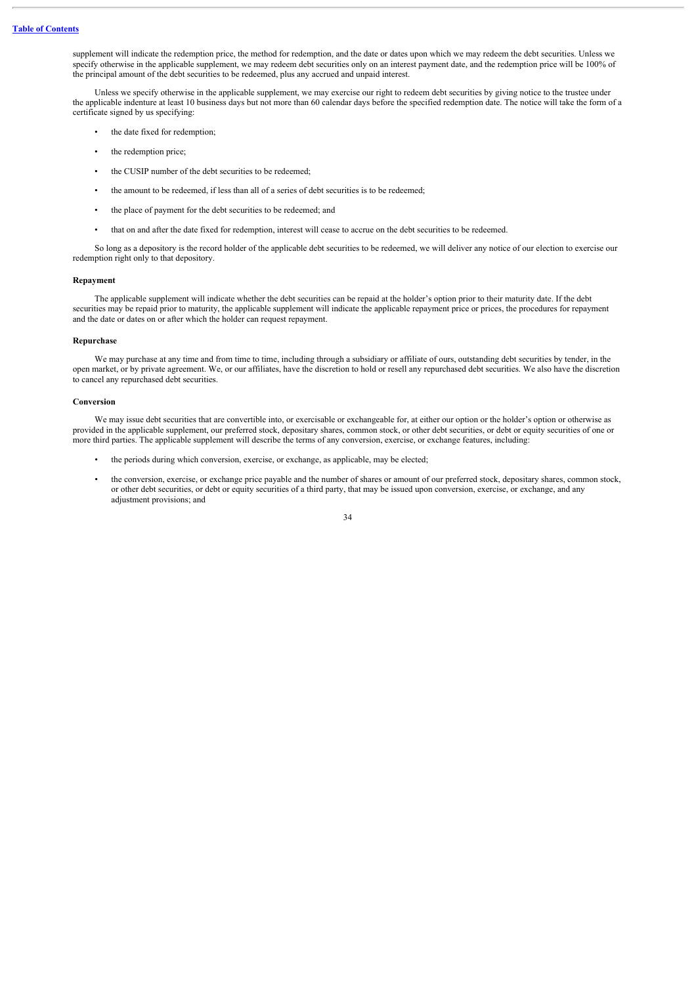supplement will indicate the redemption price, the method for redemption, and the date or dates upon which we may redeem the debt securities. Unless we specify otherwise in the applicable supplement, we may redeem debt securities only on an interest payment date, and the redemption price will be 100% of the principal amount of the debt securities to be redeemed, plus any accrued and unpaid interest.

Unless we specify otherwise in the applicable supplement, we may exercise our right to redeem debt securities by giving notice to the trustee under the applicable indenture at least 10 business days but not more than 60 calendar days before the specified redemption date. The notice will take the form of a certificate signed by us specifying:

- the date fixed for redemption;
- the redemption price:
- the CUSIP number of the debt securities to be redeemed;
- the amount to be redeemed, if less than all of a series of debt securities is to be redeemed;
- the place of payment for the debt securities to be redeemed; and
- that on and after the date fixed for redemption, interest will cease to accrue on the debt securities to be redeemed.

So long as a depository is the record holder of the applicable debt securities to be redeemed, we will deliver any notice of our election to exercise our redemption right only to that depository.

### **Repayment**

The applicable supplement will indicate whether the debt securities can be repaid at the holder's option prior to their maturity date. If the debt securities may be repaid prior to maturity, the applicable supplement will indicate the applicable repayment price or prices, the procedures for repayment and the date or dates on or after which the holder can request repayment.

### **Repurchase**

We may purchase at any time and from time to time, including through a subsidiary or affiliate of ours, outstanding debt securities by tender, in the open market, or by private agreement. We, or our affiliates, have the discretion to hold or resell any repurchased debt securities. We also have the discretion to cancel any repurchased debt securities.

### **Conversion**

We may issue debt securities that are convertible into, or exercisable or exchangeable for, at either our option or the holder's option or otherwise as provided in the applicable supplement, our preferred stock, depositary shares, common stock, or other debt securities, or debt or equity securities of one or more third parties. The applicable supplement will describe the terms of any conversion, exercise, or exchange features, including:

- the periods during which conversion, exercise, or exchange, as applicable, may be elected;
- the conversion, exercise, or exchange price payable and the number of shares or amount of our preferred stock, depositary shares, common stock, or other debt securities, or debt or equity securities of a third party, that may be issued upon conversion, exercise, or exchange, and any adjustment provisions; and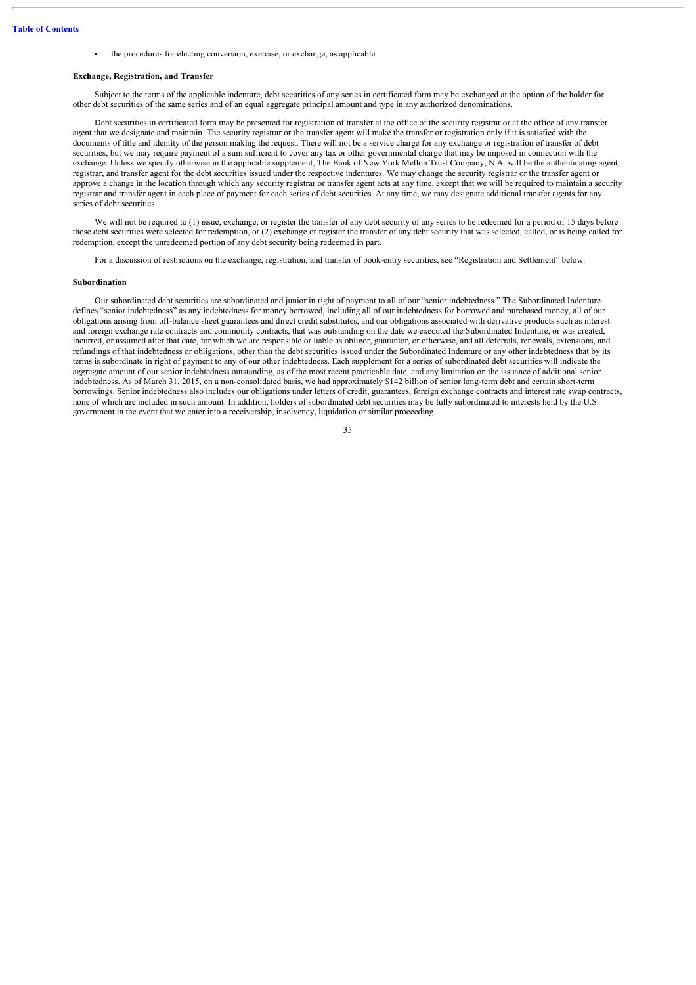• the procedures for electing conversion, exercise, or exchange, as applicable.

### **Exchange, Registration, and Transfer**

Subject to the terms of the applicable indenture, debt securities of any series in certificated form may be exchanged at the option of the holder for other debt securities of the same series and of an equal aggregate principal amount and type in any authorized denominations.

Debt securities in certificated form may be presented for registration of transfer at the office of the security registrar or at the office of any transfer agent that we designate and maintain. The security registrar or the transfer agent will make the transfer or registration only if it is satisfied with the documents of title and identity of the person making the request. There will not be a service charge for any exchange or registration of transfer of debt securities, but we may require payment of a sum sufficient to cover any tax or other governmental charge that may be imposed in connection with the exchange. Unless we specify otherwise in the applicable supplement, The Bank of New York Mellon Trust Company, N.A. will be the authenticating agent, registrar, and transfer agent for the debt securities issued under the respective indentures. We may change the security registrar or the transfer agent or approve a change in the location through which any security registrar or transfer agent acts at any time, except that we will be required to maintain a security registrar and transfer agent in each place of payment for each series of debt securities. At any time, we may designate additional transfer agents for any series of debt securities

We will not be required to (1) issue, exchange, or register the transfer of any debt security of any series to be redeemed for a period of 15 days before those debt securities were selected for redemption, or (2) exchange or register the transfer of any debt security that was selected, called, or is being called for redemption, except the unredeemed portion of any debt security being redeemed in part.

For a discussion of restrictions on the exchange, registration, and transfer of book-entry securities, see "Registration and Settlement" below.

#### **Subordination**

Our subordinated debt securities are subordinated and junior in right of payment to all of our "senior indebtedness." The Subordinated Indenture defines "senior indebtedness" as any indebtedness for money borrowed, including all of our indebtedness for borrowed and purchased money, all of our obligations arising from off-balance sheet guarantees and direct credit substitutes, and our obligations associated with derivative products such as interest and foreign exchange rate contracts and commodity contracts, that was outstanding on the date we executed the Subordinated Indenture, or was created, incurred, or assumed after that date, for which we are responsible or liable as obligor, guarantor, or otherwise, and all deferrals, renewals, extensions, and refundings of that indebtedness or obligations, other than the debt securities issued under the Subordinated Indenture or any other indebtedness that by its terms is subordinate in right of payment to any of our other indebtedness. Each supplement for a series of subordinated debt securities will indicate the aggregate amount of our senior indebtedness outstanding, as of the most recent practicable date, and any limitation on the issuance of additional senior indebtedness. As of March 31, 2015, on a non-consolidated basis, we had approximately \$142 billion of senior long-term debt and certain short-term borrowings. Senior indebtedness also includes our obligations under letters of credit, guarantees, foreign exchange contracts and interest rate swap contracts, none of which are included in such amount. In addition, holders of subordinated debt securities may be fully subordinated to interests held by the U.S. government in the event that we enter into a receivership, insolvency, liquidation or similar proceeding.

| I  |        |
|----|--------|
| ٦  | I      |
| ×  | I      |
| т. | $\sim$ |
|    |        |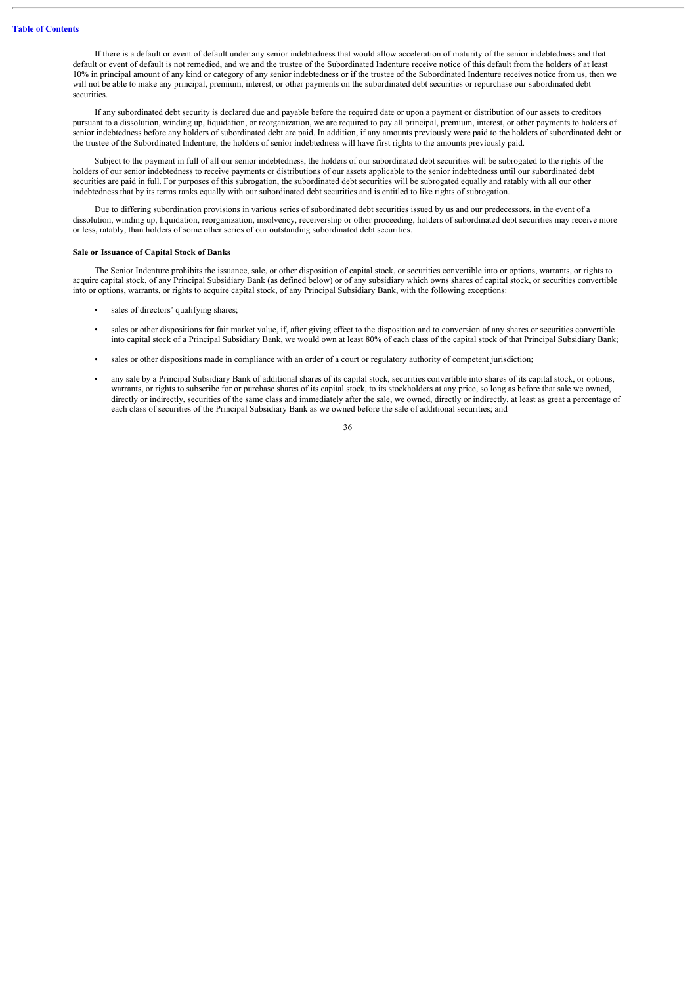If there is a default or event of default under any senior indebtedness that would allow acceleration of maturity of the senior indebtedness and that default or event of default is not remedied, and we and the trustee of the Subordinated Indenture receive notice of this default from the holders of at least 10% in principal amount of any kind or category of any senior indebtedness or if the trustee of the Subordinated Indenture receives notice from us, then we will not be able to make any principal, premium, interest, or other payments on the subordinated debt securities or repurchase our subordinated debt securities.

If any subordinated debt security is declared due and payable before the required date or upon a payment or distribution of our assets to creditors pursuant to a dissolution, winding up, liquidation, or reorganization, we are required to pay all principal, premium, interest, or other payments to holders of senior indebtedness before any holders of subordinated debt are paid. In addition, if any amounts previously were paid to the holders of subordinated debt or the trustee of the Subordinated Indenture, the holders of senior indebtedness will have first rights to the amounts previously paid.

Subject to the payment in full of all our senior indebtedness, the holders of our subordinated debt securities will be subrogated to the rights of the holders of our senior indebtedness to receive payments or distributions of our assets applicable to the senior indebtedness until our subordinated debt securities are paid in full. For purposes of this subrogation, the subordinated debt securities will be subrogated equally and ratably with all our other indebtedness that by its terms ranks equally with our subordinated debt securities and is entitled to like rights of subrogation.

Due to differing subordination provisions in various series of subordinated debt securities issued by us and our predecessors, in the event of a dissolution, winding up, liquidation, reorganization, insolvency, receivership or other proceeding, holders of subordinated debt securities may receive more or less, ratably, than holders of some other series of our outstanding subordinated debt securities.

### **Sale or Issuance of Capital Stock of Banks**

The Senior Indenture prohibits the issuance, sale, or other disposition of capital stock, or securities convertible into or options, warrants, or rights to acquire capital stock, of any Principal Subsidiary Bank (as defined below) or of any subsidiary which owns shares of capital stock, or securities convertible into or options, warrants, or rights to acquire capital stock, of any Principal Subsidiary Bank, with the following exceptions:

- sales of directors' qualifying shares;
- sales or other dispositions for fair market value, if, after giving effect to the disposition and to conversion of any shares or securities convertible into capital stock of a Principal Subsidiary Bank, we would own at least 80% of each class of the capital stock of that Principal Subsidiary Bank;
- sales or other dispositions made in compliance with an order of a court or regulatory authority of competent jurisdiction;
- any sale by a Principal Subsidiary Bank of additional shares of its capital stock, securities convertible into shares of its capital stock, or options, warrants, or rights to subscribe for or purchase shares of its capital stock, to its stockholders at any price, so long as before that sale we owned, directly or indirectly, securities of the same class and immediately after the sale, we owned, directly or indirectly, at least as great a percentage of each class of securities of the Principal Subsidiary Bank as we owned before the sale of additional securities; and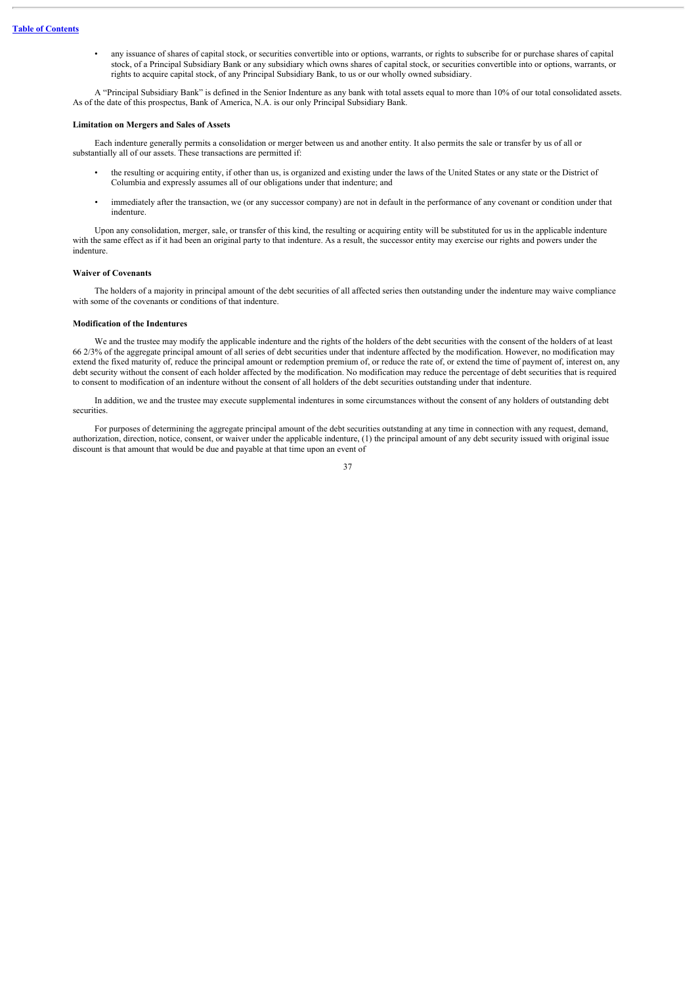• any issuance of shares of capital stock, or securities convertible into or options, warrants, or rights to subscribe for or purchase shares of capital stock, of a Principal Subsidiary Bank or any subsidiary which owns shares of capital stock, or securities convertible into or options, warrants, or rights to acquire capital stock, of any Principal Subsidiary Bank, to us or our wholly owned subsidiary.

A "Principal Subsidiary Bank" is defined in the Senior Indenture as any bank with total assets equal to more than 10% of our total consolidated assets. As of the date of this prospectus, Bank of America, N.A. is our only Principal Subsidiary Bank.

## **Limitation on Mergers and Sales of Assets**

Each indenture generally permits a consolidation or merger between us and another entity. It also permits the sale or transfer by us of all or substantially all of our assets. These transactions are permitted if:

- the resulting or acquiring entity, if other than us, is organized and existing under the laws of the United States or any state or the District of Columbia and expressly assumes all of our obligations under that indenture; and
- immediately after the transaction, we (or any successor company) are not in default in the performance of any covenant or condition under that indenture.

Upon any consolidation, merger, sale, or transfer of this kind, the resulting or acquiring entity will be substituted for us in the applicable indenture with the same effect as if it had been an original party to that indenture. As a result, the successor entity may exercise our rights and powers under the indenture.

### **Waiver of Covenants**

The holders of a majority in principal amount of the debt securities of all affected series then outstanding under the indenture may waive compliance with some of the covenants or conditions of that indenture.

### **Modification of the Indentures**

We and the trustee may modify the applicable indenture and the rights of the holders of the debt securities with the consent of the holders of at least 66 2/3% of the aggregate principal amount of all series of debt securities under that indenture affected by the modification. However, no modification may extend the fixed maturity of, reduce the principal amount or redemption premium of, or reduce the rate of, or extend the time of payment of, interest on, any debt security without the consent of each holder affected by the modification. No modification may reduce the percentage of debt securities that is required to consent to modification of an indenture without the consent of all holders of the debt securities outstanding under that indenture.

In addition, we and the trustee may execute supplemental indentures in some circumstances without the consent of any holders of outstanding debt securities.

For purposes of determining the aggregate principal amount of the debt securities outstanding at any time in connection with any request, demand, authorization, direction, notice, consent, or waiver under the applicable indenture, (1) the principal amount of any debt security issued with original issue discount is that amount that would be due and payable at that time upon an event of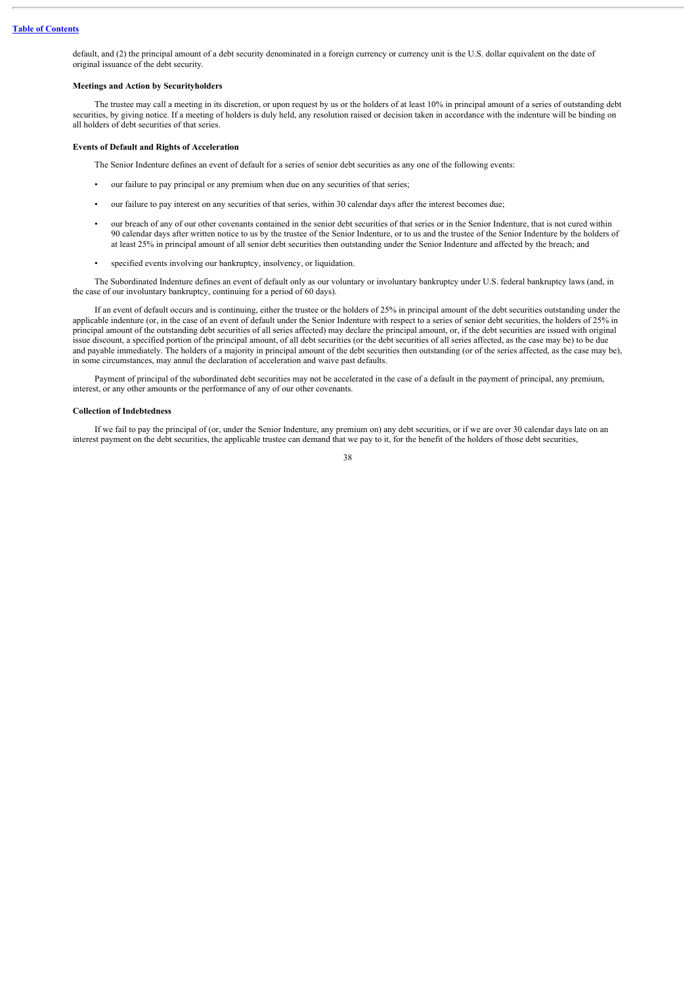default, and (2) the principal amount of a debt security denominated in a foreign currency or currency unit is the U.S. dollar equivalent on the date of original issuance of the debt security.

### **Meetings and Action by Securityholders**

The trustee may call a meeting in its discretion, or upon request by us or the holders of at least 10% in principal amount of a series of outstanding debt securities, by giving notice. If a meeting of holders is duly held, any resolution raised or decision taken in accordance with the indenture will be binding on all holders of debt securities of that series.

### **Events of Default and Rights of Acceleration**

The Senior Indenture defines an event of default for a series of senior debt securities as any one of the following events:

- our failure to pay principal or any premium when due on any securities of that series;
- our failure to pay interest on any securities of that series, within 30 calendar days after the interest becomes due;
- our breach of any of our other covenants contained in the senior debt securities of that series or in the Senior Indenture, that is not cured within 90 calendar days after written notice to us by the trustee of the Senior Indenture, or to us and the trustee of the Senior Indenture by the holders of at least 25% in principal amount of all senior debt securities then outstanding under the Senior Indenture and affected by the breach; and
- specified events involving our bankruptcy, insolvency, or liquidation.

The Subordinated Indenture defines an event of default only as our voluntary or involuntary bankruptcy under U.S. federal bankruptcy laws (and, in the case of our involuntary bankruptcy, continuing for a period of 60 days).

If an event of default occurs and is continuing, either the trustee or the holders of 25% in principal amount of the debt securities outstanding under the applicable indenture (or, in the case of an event of default under the Senior Indenture with respect to a series of senior debt securities, the holders of 25% in principal amount of the outstanding debt securities of all series affected) may declare the principal amount, or, if the debt securities are issued with original issue discount, a specified portion of the principal amount, of all debt securities (or the debt securities of all series affected, as the case may be) to be due and payable immediately. The holders of a majority in principal amount of the debt securities then outstanding (or of the series affected, as the case may be), in some circumstances, may annul the declaration of acceleration and waive past defaults.

Payment of principal of the subordinated debt securities may not be accelerated in the case of a default in the payment of principal, any premium, interest, or any other amounts or the performance of any of our other covenants.

## **Collection of Indebtedness**

If we fail to pay the principal of (or, under the Senior Indenture, any premium on) any debt securities, or if we are over 30 calendar days late on an interest payment on the debt securities, the applicable trustee can demand that we pay to it, for the benefit of the holders of those debt securities,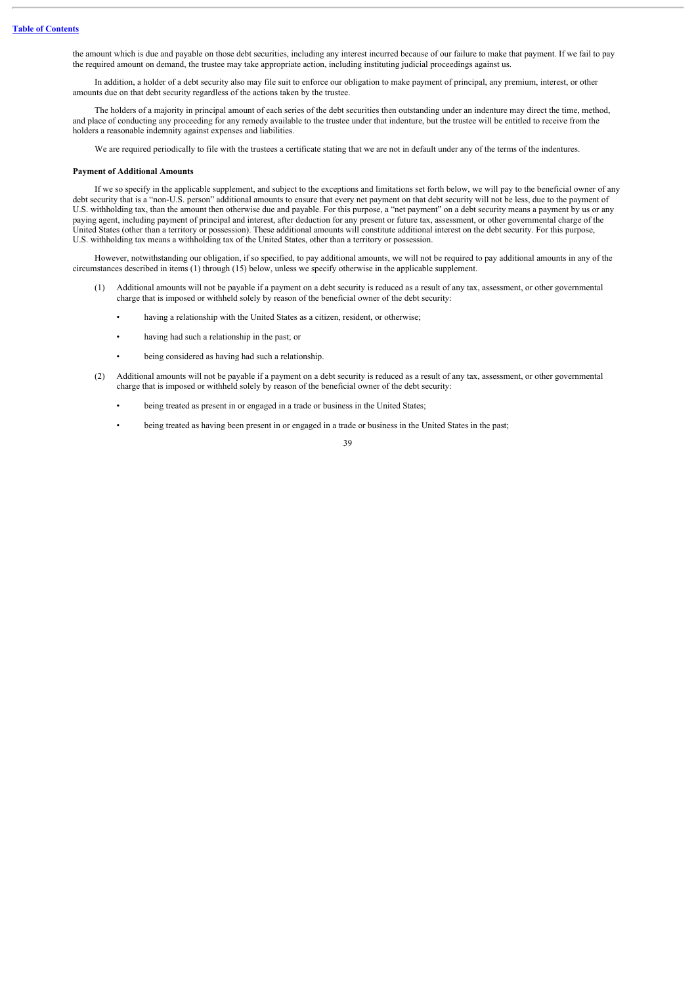the amount which is due and payable on those debt securities, including any interest incurred because of our failure to make that payment. If we fail to pay the required amount on demand, the trustee may take appropriate action, including instituting judicial proceedings against us.

In addition, a holder of a debt security also may file suit to enforce our obligation to make payment of principal, any premium, interest, or other amounts due on that debt security regardless of the actions taken by the trustee.

The holders of a majority in principal amount of each series of the debt securities then outstanding under an indenture may direct the time, method, and place of conducting any proceeding for any remedy available to the trustee under that indenture, but the trustee will be entitled to receive from the holders a reasonable indemnity against expenses and liabilities.

We are required periodically to file with the trustees a certificate stating that we are not in default under any of the terms of the indentures.

### **Payment of Additional Amounts**

If we so specify in the applicable supplement, and subject to the exceptions and limitations set forth below, we will pay to the beneficial owner of any debt security that is a "non-U.S. person" additional amounts to ensure that every net payment on that debt security will not be less, due to the payment of U.S. withholding tax, than the amount then otherwise due and payable. For this purpose, a "net payment" on a debt security means a payment by us or any paying agent, including payment of principal and interest, after deduction for any present or future tax, assessment, or other governmental charge of the United States (other than a territory or possession). These additional amounts will constitute additional interest on the debt security. For this purpose, U.S. withholding tax means a withholding tax of the United States, other than a territory or possession.

However, notwithstanding our obligation, if so specified, to pay additional amounts, we will not be required to pay additional amounts in any of the circumstances described in items (1) through (15) below, unless we specify otherwise in the applicable supplement.

- (1) Additional amounts will not be payable if a payment on a debt security is reduced as a result of any tax, assessment, or other governmental charge that is imposed or withheld solely by reason of the beneficial owner of the debt security:
	- having a relationship with the United States as a citizen, resident, or otherwise;
	- having had such a relationship in the past; or
	- being considered as having had such a relationship.
- (2) Additional amounts will not be payable if a payment on a debt security is reduced as a result of any tax, assessment, or other governmental charge that is imposed or withheld solely by reason of the beneficial owner of the debt security:
	- being treated as present in or engaged in a trade or business in the United States;
	- being treated as having been present in or engaged in a trade or business in the United States in the past;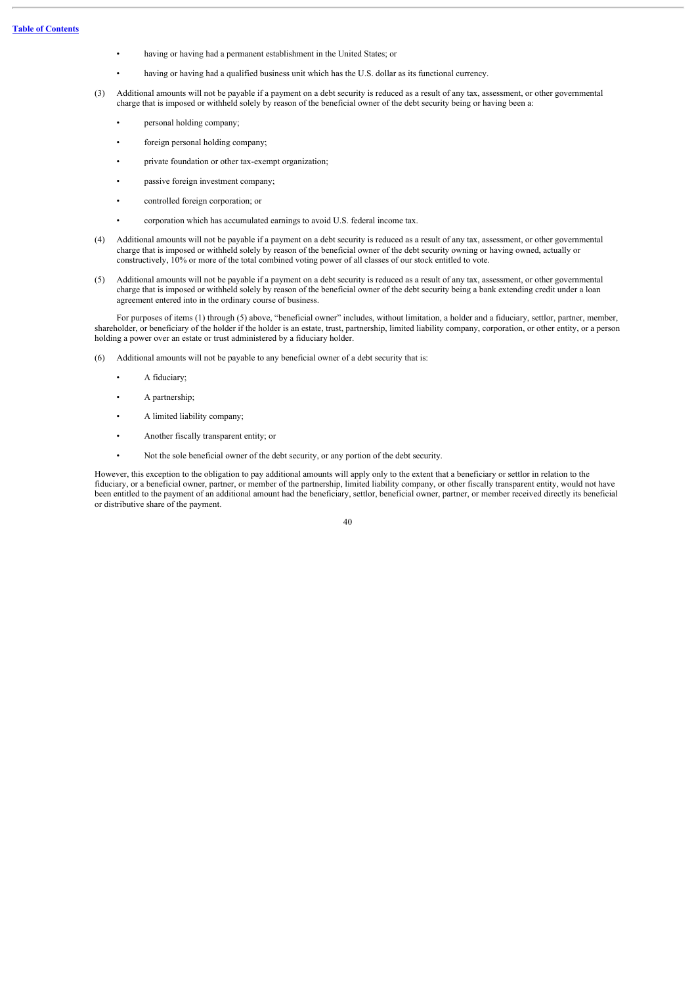- having or having had a permanent establishment in the United States; or
- having or having had a qualified business unit which has the U.S. dollar as its functional currency.
- (3) Additional amounts will not be payable if a payment on a debt security is reduced as a result of any tax, assessment, or other governmental charge that is imposed or withheld solely by reason of the beneficial owner of the debt security being or having been a:
	- personal holding company;
	- foreign personal holding company;
	- private foundation or other tax-exempt organization;
	- passive foreign investment company;
	- controlled foreign corporation; or
	- corporation which has accumulated earnings to avoid U.S. federal income tax.
- (4) Additional amounts will not be payable if a payment on a debt security is reduced as a result of any tax, assessment, or other governmental charge that is imposed or withheld solely by reason of the beneficial owner of the debt security owning or having owned, actually or constructively, 10% or more of the total combined voting power of all classes of our stock entitled to vote.
- (5) Additional amounts will not be payable if a payment on a debt security is reduced as a result of any tax, assessment, or other governmental charge that is imposed or withheld solely by reason of the beneficial owner of the debt security being a bank extending credit under a loan agreement entered into in the ordinary course of business.

For purposes of items (1) through (5) above, "beneficial owner" includes, without limitation, a holder and a fiduciary, settlor, partner, member, shareholder, or beneficiary of the holder if the holder is an estate, trust, partnership, limited liability company, corporation, or other entity, or a person holding a power over an estate or trust administered by a fiduciary holder.

- (6) Additional amounts will not be payable to any beneficial owner of a debt security that is:
	- A fiduciary;
	- A partnership;
	- A limited liability company;
	- Another fiscally transparent entity; or
	- Not the sole beneficial owner of the debt security, or any portion of the debt security.

However, this exception to the obligation to pay additional amounts will apply only to the extent that a beneficiary or settlor in relation to the fiduciary, or a beneficial owner, partner, or member of the partnership, limited liability company, or other fiscally transparent entity, would not have been entitled to the payment of an additional amount had the beneficiary, settlor, beneficial owner, partner, or member received directly its beneficial or distributive share of the payment.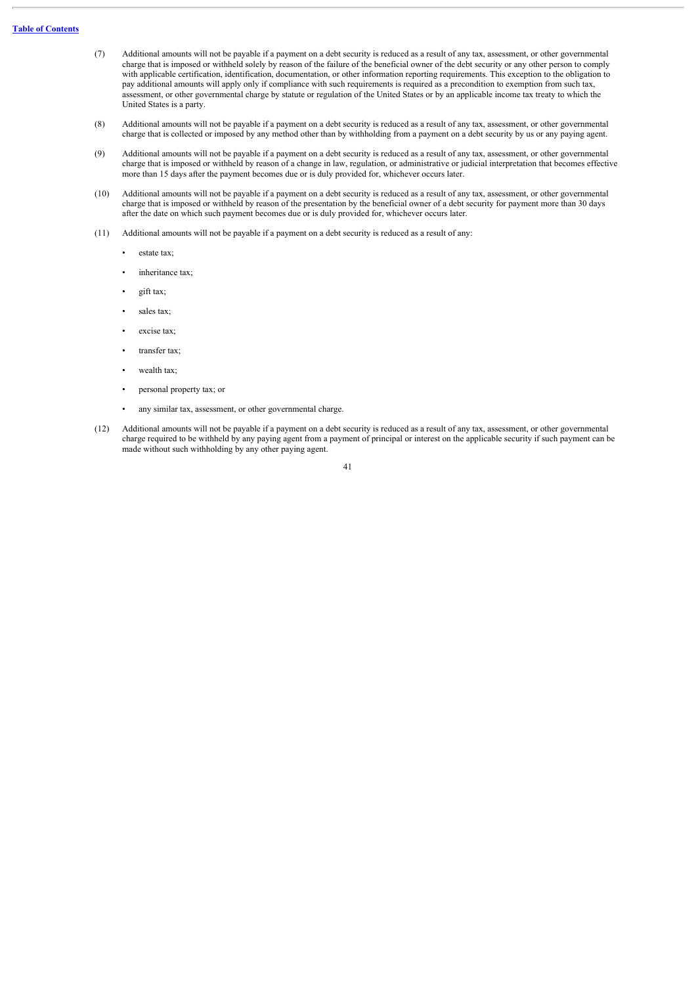- (7) Additional amounts will not be payable if a payment on a debt security is reduced as a result of any tax, assessment, or other governmental charge that is imposed or withheld solely by reason of the failure of the beneficial owner of the debt security or any other person to comply with applicable certification, identification, documentation, or other information reporting requirements. This exception to the obligation to pay additional amounts will apply only if compliance with such requirements is required as a precondition to exemption from such tax, assessment, or other governmental charge by statute or regulation of the United States or by an applicable income tax treaty to which the United States is a party.
- (8) Additional amounts will not be payable if a payment on a debt security is reduced as a result of any tax, assessment, or other governmental charge that is collected or imposed by any method other than by withholding from a payment on a debt security by us or any paying agent.
- (9) Additional amounts will not be payable if a payment on a debt security is reduced as a result of any tax, assessment, or other governmental charge that is imposed or withheld by reason of a change in law, regulation, or administrative or judicial interpretation that becomes effective more than 15 days after the payment becomes due or is duly provided for, whichever occurs later.
- (10) Additional amounts will not be payable if a payment on a debt security is reduced as a result of any tax, assessment, or other governmental charge that is imposed or withheld by reason of the presentation by the beneficial owner of a debt security for payment more than 30 days after the date on which such payment becomes due or is duly provided for, whichever occurs later.
- (11) Additional amounts will not be payable if a payment on a debt security is reduced as a result of any:
	- estate tax;
	- inheritance tax;
	- gift tax;
	- sales tax;
	- excise tax;
	- transfer tax;
	- wealth tax;
	- personal property tax; or
	- any similar tax, assessment, or other governmental charge.
- (12) Additional amounts will not be payable if a payment on a debt security is reduced as a result of any tax, assessment, or other governmental charge required to be withheld by any paying agent from a payment of principal or interest on the applicable security if such payment can be made without such withholding by any other paying agent.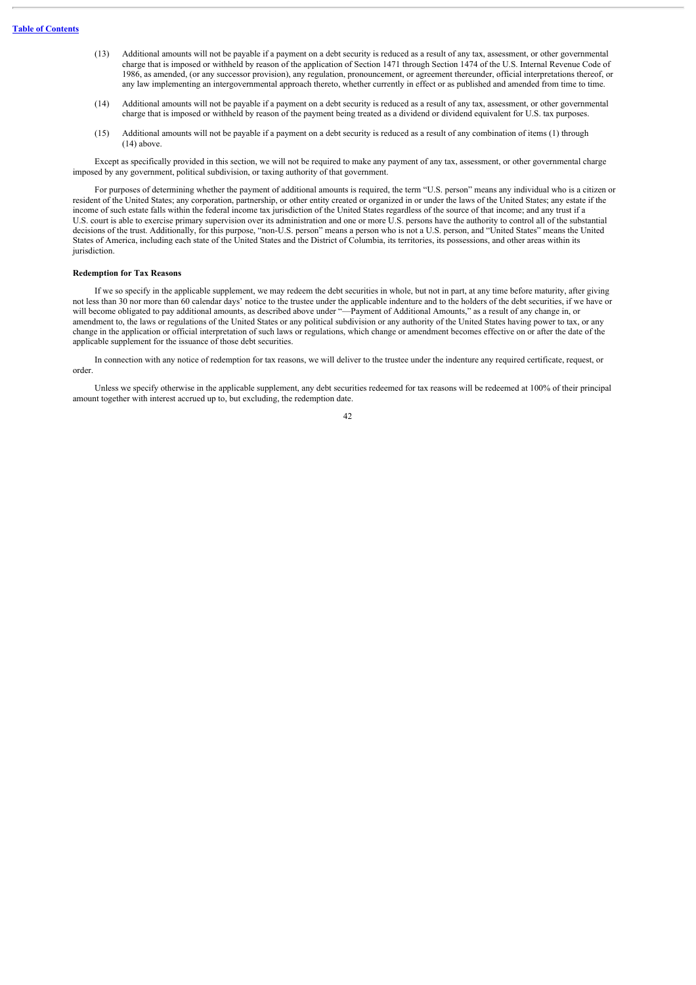- (13) Additional amounts will not be payable if a payment on a debt security is reduced as a result of any tax, assessment, or other governmental charge that is imposed or withheld by reason of the application of Section 1471 through Section 1474 of the U.S. Internal Revenue Code of 1986, as amended, (or any successor provision), any regulation, pronouncement, or agreement thereunder, official interpretations thereof, or any law implementing an intergovernmental approach thereto, whether currently in effect or as published and amended from time to time.
- (14) Additional amounts will not be payable if a payment on a debt security is reduced as a result of any tax, assessment, or other governmental charge that is imposed or withheld by reason of the payment being treated as a dividend or dividend equivalent for U.S. tax purposes.
- (15) Additional amounts will not be payable if a payment on a debt security is reduced as a result of any combination of items (1) through (14) above.

Except as specifically provided in this section, we will not be required to make any payment of any tax, assessment, or other governmental charge imposed by any government, political subdivision, or taxing authority of that government.

For purposes of determining whether the payment of additional amounts is required, the term "U.S. person" means any individual who is a citizen or resident of the United States; any corporation, partnership, or other entity created or organized in or under the laws of the United States; any estate if the income of such estate falls within the federal income tax jurisdiction of the United States regardless of the source of that income; and any trust if a U.S. court is able to exercise primary supervision over its administration and one or more U.S. persons have the authority to control all of the substantial decisions of the trust. Additionally, for this purpose, "non-U.S. person" means a person who is not a U.S. person, and "United States" means the United States of America, including each state of the United States and the District of Columbia, its territories, its possessions, and other areas within its jurisdiction.

### **Redemption for Tax Reasons**

If we so specify in the applicable supplement, we may redeem the debt securities in whole, but not in part, at any time before maturity, after giving not less than 30 nor more than 60 calendar days' notice to the trustee under the applicable indenture and to the holders of the debt securities, if we have or will become obligated to pay additional amounts, as described above under "—Payment of Additional Amounts," as a result of any change in, or amendment to, the laws or regulations of the United States or any political subdivision or any authority of the United States having power to tax, or any change in the application or official interpretation of such laws or regulations, which change or amendment becomes effective on or after the date of the applicable supplement for the issuance of those debt securities.

In connection with any notice of redemption for tax reasons, we will deliver to the trustee under the indenture any required certificate, request, or order.

Unless we specify otherwise in the applicable supplement, any debt securities redeemed for tax reasons will be redeemed at 100% of their principal amount together with interest accrued up to, but excluding, the redemption date.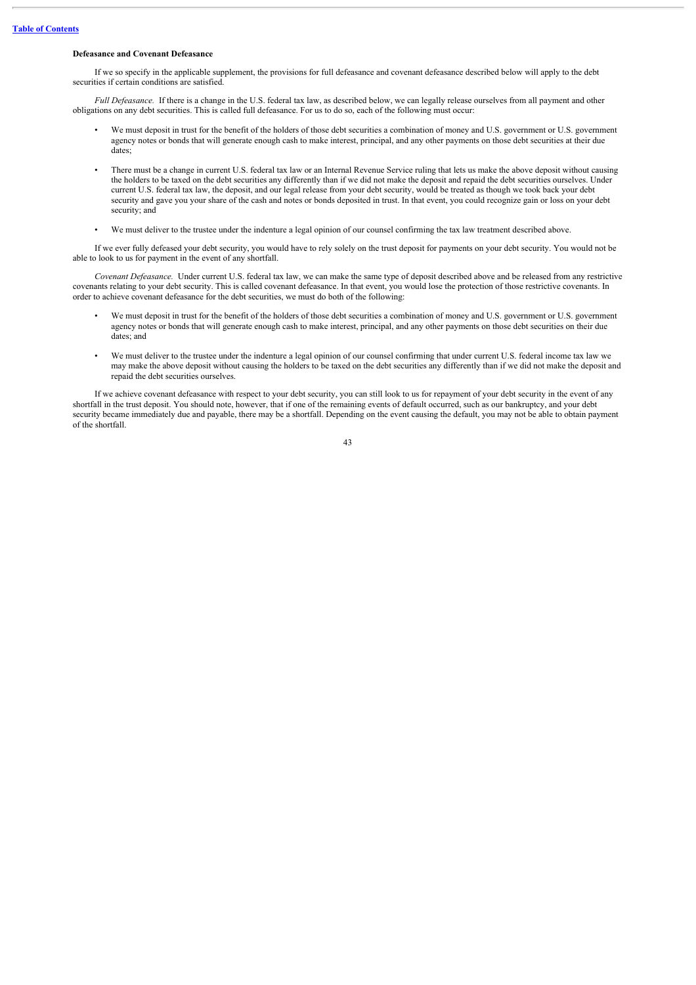#### **Defeasance and Covenant Defeasance**

If we so specify in the applicable supplement, the provisions for full defeasance and covenant defeasance described below will apply to the debt securities if certain conditions are satisfied.

*Full Defeasance.* If there is a change in the U.S. federal tax law, as described below, we can legally release ourselves from all payment and other obligations on any debt securities. This is called full defeasance. For us to do so, each of the following must occur:

- We must deposit in trust for the benefit of the holders of those debt securities a combination of money and U.S. government or U.S. government agency notes or bonds that will generate enough cash to make interest, principal, and any other payments on those debt securities at their due dates;
- There must be a change in current U.S. federal tax law or an Internal Revenue Service ruling that lets us make the above deposit without causing the holders to be taxed on the debt securities any differently than if we did not make the deposit and repaid the debt securities ourselves. Under current U.S. federal tax law, the deposit, and our legal release from your debt security, would be treated as though we took back your debt security and gave you your share of the cash and notes or bonds deposited in trust. In that event, you could recognize gain or loss on your debt security; and
- We must deliver to the trustee under the indenture a legal opinion of our counsel confirming the tax law treatment described above.

If we ever fully defeased your debt security, you would have to rely solely on the trust deposit for payments on your debt security. You would not be able to look to us for payment in the event of any shortfall.

*Covenant Defeasance.* Under current U.S. federal tax law, we can make the same type of deposit described above and be released from any restrictive covenants relating to your debt security. This is called covenant defeasance. In that event, you would lose the protection of those restrictive covenants. In order to achieve covenant defeasance for the debt securities, we must do both of the following:

- We must deposit in trust for the benefit of the holders of those debt securities a combination of money and U.S. government or U.S. government agency notes or bonds that will generate enough cash to make interest, principal, and any other payments on those debt securities on their due dates; and
- We must deliver to the trustee under the indenture a legal opinion of our counsel confirming that under current U.S. federal income tax law we may make the above deposit without causing the holders to be taxed on the debt securities any differently than if we did not make the deposit and repaid the debt securities ourselves.

If we achieve covenant defeasance with respect to your debt security, you can still look to us for repayment of your debt security in the event of any shortfall in the trust deposit. You should note, however, that if one of the remaining events of default occurred, such as our bankruptcy, and your debt security became immediately due and payable, there may be a shortfall. Depending on the event causing the default, you may not be able to obtain payment of the shortfall.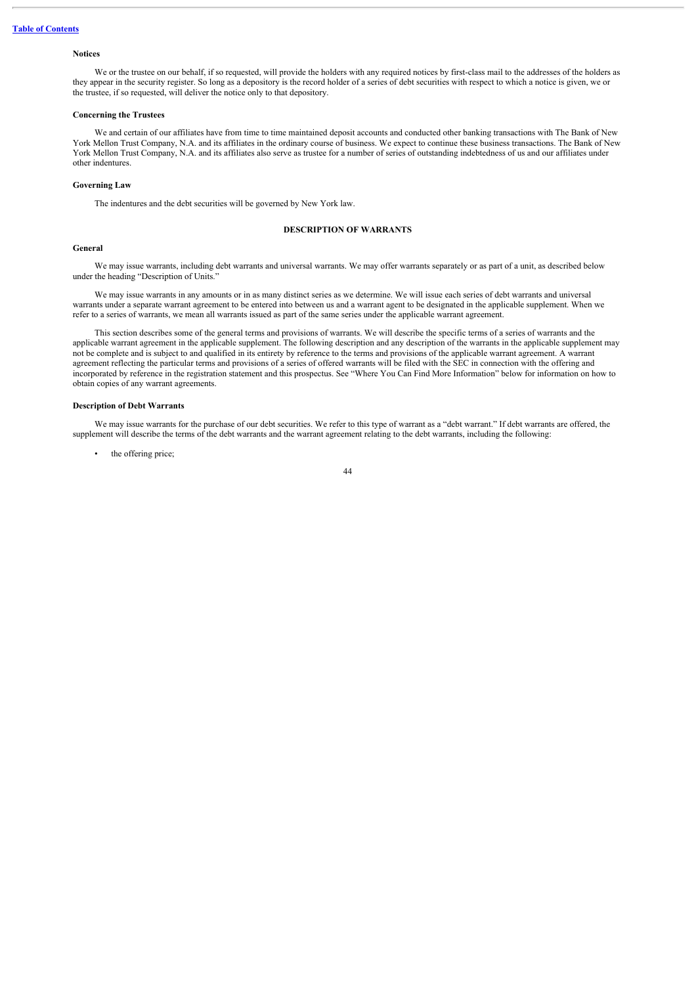#### **Notices**

We or the trustee on our behalf, if so requested, will provide the holders with any required notices by first-class mail to the addresses of the holders as they appear in the security register. So long as a depository is the record holder of a series of debt securities with respect to which a notice is given, we or the trustee, if so requested, will deliver the notice only to that depository.

### **Concerning the Trustees**

We and certain of our affiliates have from time to time maintained deposit accounts and conducted other banking transactions with The Bank of New York Mellon Trust Company, N.A. and its affiliates in the ordinary course of business. We expect to continue these business transactions. The Bank of New York Mellon Trust Company, N.A. and its affiliates also serve as trustee for a number of series of outstanding indebtedness of us and our affiliates under other indentures.

### **Governing Law**

The indentures and the debt securities will be governed by New York law.

### **DESCRIPTION OF WARRANTS**

### **General**

We may issue warrants, including debt warrants and universal warrants. We may offer warrants separately or as part of a unit, as described below under the heading "Description of Units."

We may issue warrants in any amounts or in as many distinct series as we determine. We will issue each series of debt warrants and universal warrants under a separate warrant agreement to be entered into between us and a warrant agent to be designated in the applicable supplement. When we refer to a series of warrants, we mean all warrants issued as part of the same series under the applicable warrant agreement.

This section describes some of the general terms and provisions of warrants. We will describe the specific terms of a series of warrants and the applicable warrant agreement in the applicable supplement. The following description and any description of the warrants in the applicable supplement may not be complete and is subject to and qualified in its entirety by reference to the terms and provisions of the applicable warrant agreement. A warrant agreement reflecting the particular terms and provisions of a series of offered warrants will be filed with the SEC in connection with the offering and incorporated by reference in the registration statement and this prospectus. See "Where You Can Find More Information" below for information on how to obtain copies of any warrant agreements.

### **Description of Debt Warrants**

We may issue warrants for the purchase of our debt securities. We refer to this type of warrant as a "debt warrant." If debt warrants are offered, the supplement will describe the terms of the debt warrants and the warrant agreement relating to the debt warrants, including the following:

• the offering price;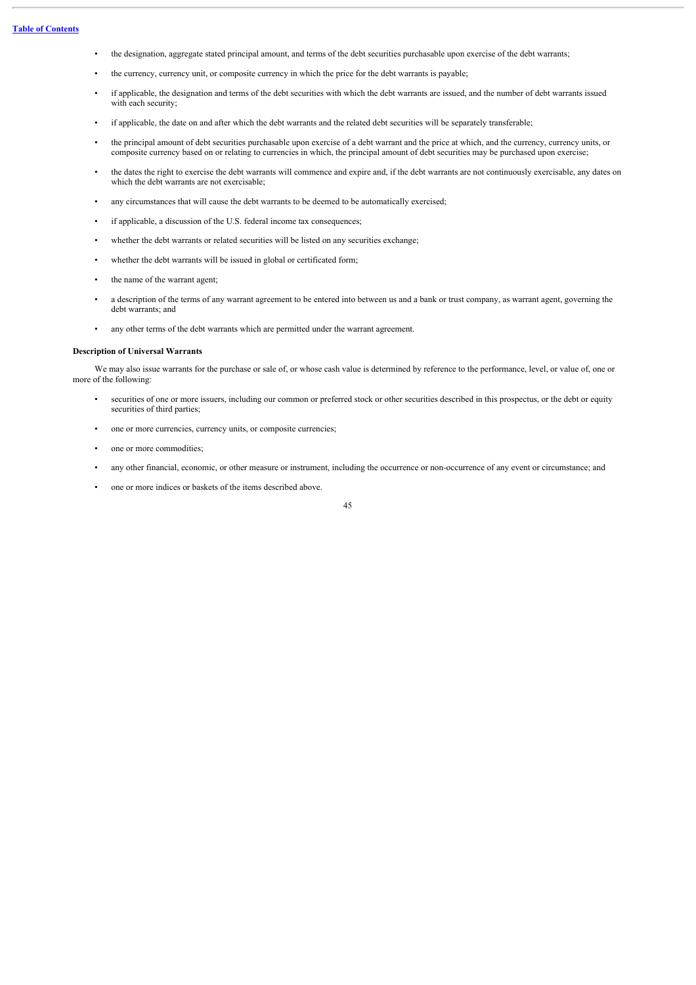- the designation, aggregate stated principal amount, and terms of the debt securities purchasable upon exercise of the debt warrants;
- the currency, currency unit, or composite currency in which the price for the debt warrants is payable;
- if applicable, the designation and terms of the debt securities with which the debt warrants are issued, and the number of debt warrants issued with each security;
- if applicable, the date on and after which the debt warrants and the related debt securities will be separately transferable;
- the principal amount of debt securities purchasable upon exercise of a debt warrant and the price at which, and the currency, currency units, or composite currency based on or relating to currencies in which, the principal amount of debt securities may be purchased upon exercise;
- the dates the right to exercise the debt warrants will commence and expire and, if the debt warrants are not continuously exercisable, any dates on which the debt warrants are not exercisable;
- any circumstances that will cause the debt warrants to be deemed to be automatically exercised;
- if applicable, a discussion of the U.S. federal income tax consequences;
- whether the debt warrants or related securities will be listed on any securities exchange;
- whether the debt warrants will be issued in global or certificated form;
- the name of the warrant agent:
- a description of the terms of any warrant agreement to be entered into between us and a bank or trust company, as warrant agent, governing the debt warrants; and
- any other terms of the debt warrants which are permitted under the warrant agreement.

# **Description of Universal Warrants**

We may also issue warrants for the purchase or sale of, or whose cash value is determined by reference to the performance, level, or value of, one or more of the following:

- securities of one or more issuers, including our common or preferred stock or other securities described in this prospectus, or the debt or equity securities of third parties;
- one or more currencies, currency units, or composite currencies;
- one or more commodities;
- any other financial, economic, or other measure or instrument, including the occurrence or non-occurrence of any event or circumstance; and
- one or more indices or baskets of the items described above.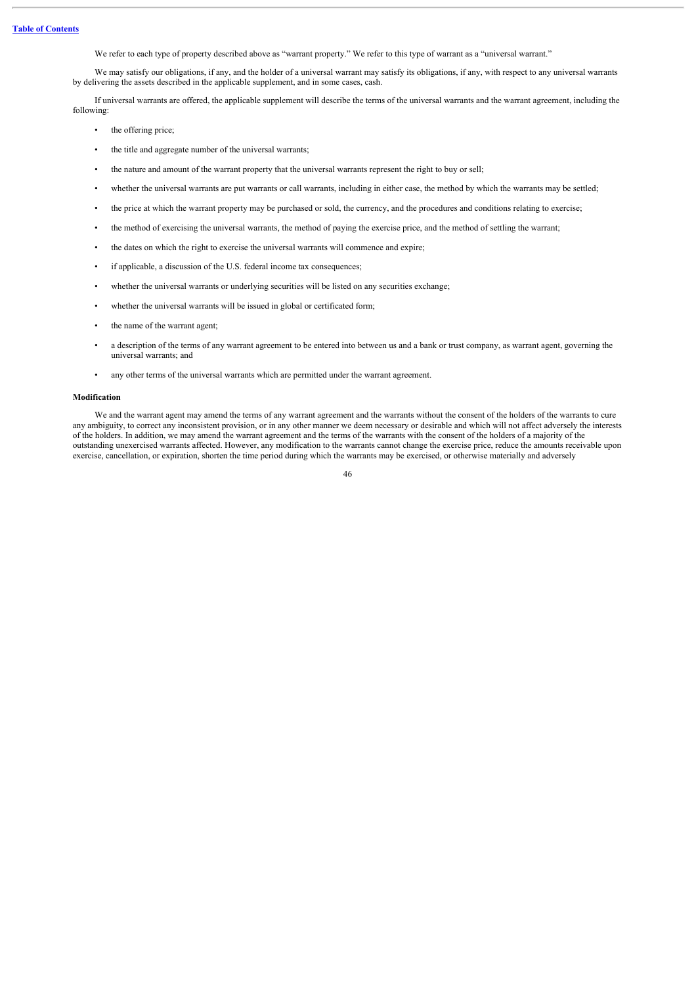We refer to each type of property described above as "warrant property." We refer to this type of warrant as a "universal warrant."

We may satisfy our obligations, if any, and the holder of a universal warrant may satisfy its obligations, if any, with respect to any universal warrants by delivering the assets described in the applicable supplement, and in some cases, cash.

If universal warrants are offered, the applicable supplement will describe the terms of the universal warrants and the warrant agreement, including the following:

- the offering price;
- the title and aggregate number of the universal warrants;
- the nature and amount of the warrant property that the universal warrants represent the right to buy or sell;
- whether the universal warrants are put warrants or call warrants, including in either case, the method by which the warrants may be settled;
- the price at which the warrant property may be purchased or sold, the currency, and the procedures and conditions relating to exercise;
- the method of exercising the universal warrants, the method of paying the exercise price, and the method of settling the warrant;
- the dates on which the right to exercise the universal warrants will commence and expire;
- if applicable, a discussion of the U.S. federal income tax consequences;
- whether the universal warrants or underlying securities will be listed on any securities exchange;
- whether the universal warrants will be issued in global or certificated form:
- the name of the warrant agent:
- a description of the terms of any warrant agreement to be entered into between us and a bank or trust company, as warrant agent, governing the universal warrants; and
- any other terms of the universal warrants which are permitted under the warrant agreement.

### **Modification**

We and the warrant agent may amend the terms of any warrant agreement and the warrants without the consent of the holders of the warrants to cure any ambiguity, to correct any inconsistent provision, or in any other manner we deem necessary or desirable and which will not affect adversely the interests of the holders. In addition, we may amend the warrant agreement and the terms of the warrants with the consent of the holders of a majority of the outstanding unexercised warrants affected. However, any modification to the warrants cannot change the exercise price, reduce the amounts receivable upon exercise, cancellation, or expiration, shorten the time period during which the warrants may be exercised, or otherwise materially and adversely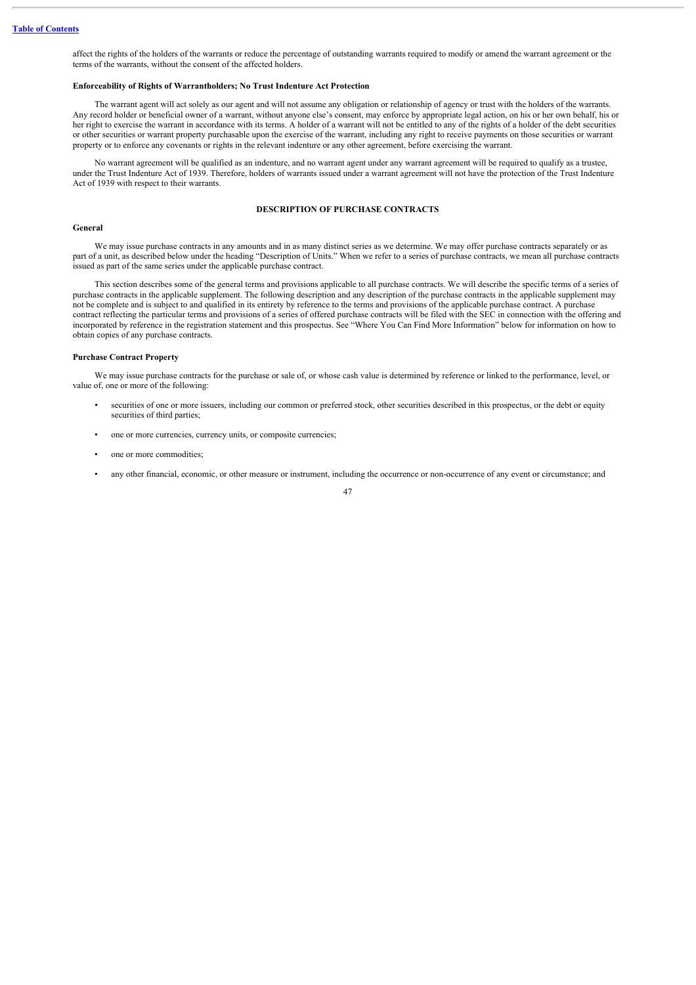affect the rights of the holders of the warrants or reduce the percentage of outstanding warrants required to modify or amend the warrant agreement or the terms of the warrants, without the consent of the affected holders.

### **Enforceability of Rights of Warrantholders; No Trust Indenture Act Protection**

The warrant agent will act solely as our agent and will not assume any obligation or relationship of agency or trust with the holders of the warrants. Any record holder or beneficial owner of a warrant, without anyone else's consent, may enforce by appropriate legal action, on his or her own behalf, his or her right to exercise the warrant in accordance with its terms. A holder of a warrant will not be entitled to any of the rights of a holder of the debt securities or other securities or warrant property purchasable upon the exercise of the warrant, including any right to receive payments on those securities or warrant property or to enforce any covenants or rights in the relevant indenture or any other agreement, before exercising the warrant.

No warrant agreement will be qualified as an indenture, and no warrant agent under any warrant agreement will be required to qualify as a trustee, under the Trust Indenture Act of 1939. Therefore, holders of warrants issued under a warrant agreement will not have the protection of the Trust Indenture Act of 1939 with respect to their warrants.

### **DESCRIPTION OF PURCHASE CONTRACTS**

# **General**

We may issue purchase contracts in any amounts and in as many distinct series as we determine. We may offer purchase contracts separately or as part of a unit, as described below under the heading "Description of Units." When we refer to a series of purchase contracts, we mean all purchase contracts issued as part of the same series under the applicable purchase contract.

This section describes some of the general terms and provisions applicable to all purchase contracts. We will describe the specific terms of a series of purchase contracts in the applicable supplement. The following description and any description of the purchase contracts in the applicable supplement may not be complete and is subject to and qualified in its entirety by reference to the terms and provisions of the applicable purchase contract. A purchase contract reflecting the particular terms and provisions of a series of offered purchase contracts will be filed with the SEC in connection with the offering and incorporated by reference in the registration statement and this prospectus. See "Where You Can Find More Information" below for information on how to obtain copies of any purchase contracts.

### **Purchase Contract Property**

We may issue purchase contracts for the purchase or sale of, or whose cash value is determined by reference or linked to the performance, level, or value of, one or more of the following:

- securities of one or more issuers, including our common or preferred stock, other securities described in this prospectus, or the debt or equity securities of third parties;
- one or more currencies, currency units, or composite currencies;
- one or more commodities;
- any other financial, economic, or other measure or instrument, including the occurrence or non-occurrence of any event or circumstance; and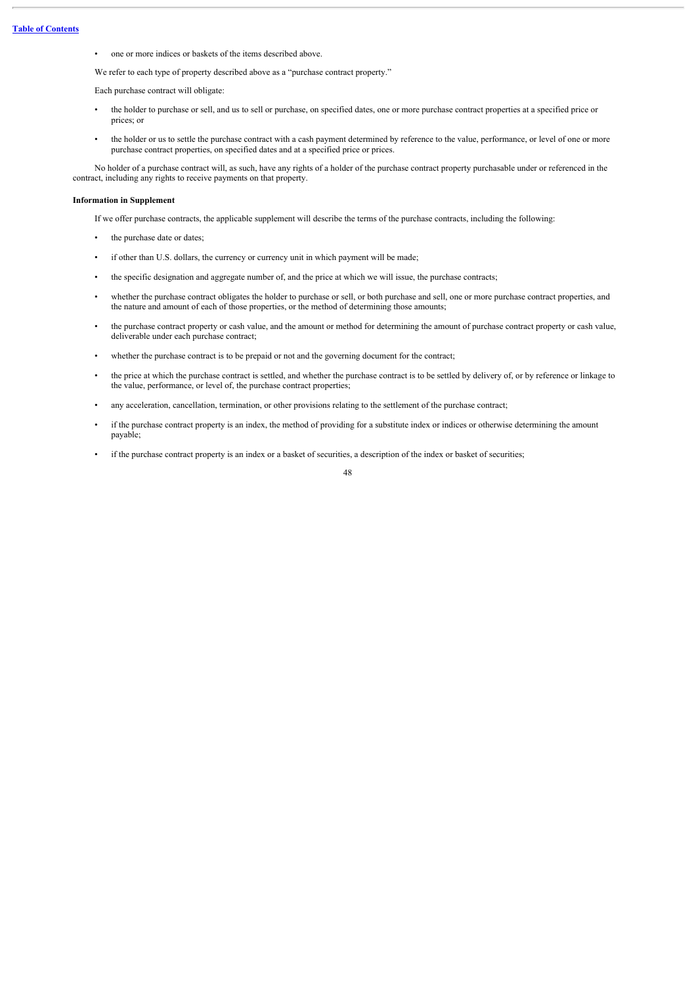• one or more indices or baskets of the items described above.

We refer to each type of property described above as a "purchase contract property."

Each purchase contract will obligate:

- the holder to purchase or sell, and us to sell or purchase, on specified dates, one or more purchase contract properties at a specified price or prices; or
- the holder or us to settle the purchase contract with a cash payment determined by reference to the value, performance, or level of one or more purchase contract properties, on specified dates and at a specified price or prices.

No holder of a purchase contract will, as such, have any rights of a holder of the purchase contract property purchasable under or referenced in the contract, including any rights to receive payments on that property.

### **Information in Supplement**

If we offer purchase contracts, the applicable supplement will describe the terms of the purchase contracts, including the following:

- the purchase date or dates;
- if other than U.S. dollars, the currency or currency unit in which payment will be made;
- the specific designation and aggregate number of, and the price at which we will issue, the purchase contracts;
- whether the purchase contract obligates the holder to purchase or sell, or both purchase and sell, one or more purchase contract properties, and the nature and amount of each of those properties, or the method of determining those amounts;
- the purchase contract property or cash value, and the amount or method for determining the amount of purchase contract property or cash value, deliverable under each purchase contract;
- whether the purchase contract is to be prepaid or not and the governing document for the contract;
- the price at which the purchase contract is settled, and whether the purchase contract is to be settled by delivery of, or by reference or linkage to the value, performance, or level of, the purchase contract properties;
- any acceleration, cancellation, termination, or other provisions relating to the settlement of the purchase contract;
- if the purchase contract property is an index, the method of providing for a substitute index or indices or otherwise determining the amount payable;
- if the purchase contract property is an index or a basket of securities, a description of the index or basket of securities;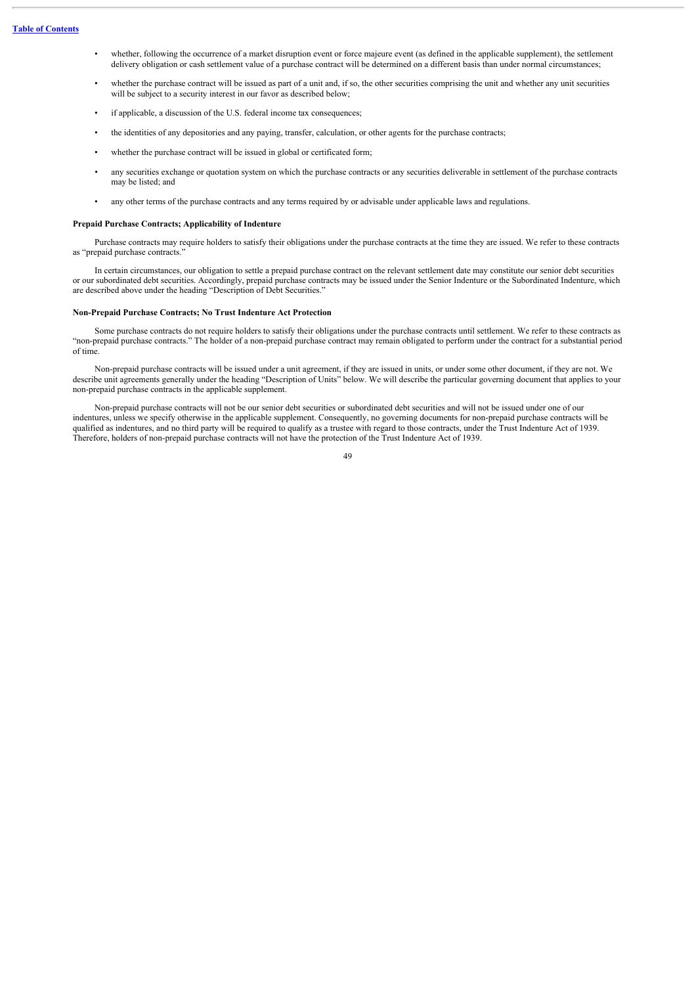- whether, following the occurrence of a market disruption event or force majeure event (as defined in the applicable supplement), the settlement delivery obligation or cash settlement value of a purchase contract will be determined on a different basis than under normal circumstances;
- whether the purchase contract will be issued as part of a unit and, if so, the other securities comprising the unit and whether any unit securities will be subject to a security interest in our favor as described below;
- if applicable, a discussion of the U.S. federal income tax consequences:
- the identities of any depositories and any paying, transfer, calculation, or other agents for the purchase contracts;
- whether the purchase contract will be issued in global or certificated form;
- any securities exchange or quotation system on which the purchase contracts or any securities deliverable in settlement of the purchase contracts may be listed; and
- any other terms of the purchase contracts and any terms required by or advisable under applicable laws and regulations.

# **Prepaid Purchase Contracts; Applicability of Indenture**

Purchase contracts may require holders to satisfy their obligations under the purchase contracts at the time they are issued. We refer to these contracts as "prepaid purchase contracts."

In certain circumstances, our obligation to settle a prepaid purchase contract on the relevant settlement date may constitute our senior debt securities or our subordinated debt securities. Accordingly, prepaid purchase contracts may be issued under the Senior Indenture or the Subordinated Indenture, which are described above under the heading "Description of Debt Securities."

### **Non-Prepaid Purchase Contracts; No Trust Indenture Act Protection**

Some purchase contracts do not require holders to satisfy their obligations under the purchase contracts until settlement. We refer to these contracts as "non-prepaid purchase contracts." The holder of a non-prepaid purchase contract may remain obligated to perform under the contract for a substantial period of time.

Non-prepaid purchase contracts will be issued under a unit agreement, if they are issued in units, or under some other document, if they are not. We describe unit agreements generally under the heading "Description of Units" below. We will describe the particular governing document that applies to your non-prepaid purchase contracts in the applicable supplement.

Non-prepaid purchase contracts will not be our senior debt securities or subordinated debt securities and will not be issued under one of our indentures, unless we specify otherwise in the applicable supplement. Consequently, no governing documents for non-prepaid purchase contracts will be qualified as indentures, and no third party will be required to qualify as a trustee with regard to those contracts, under the Trust Indenture Act of 1939. Therefore, holders of non-prepaid purchase contracts will not have the protection of the Trust Indenture Act of 1939.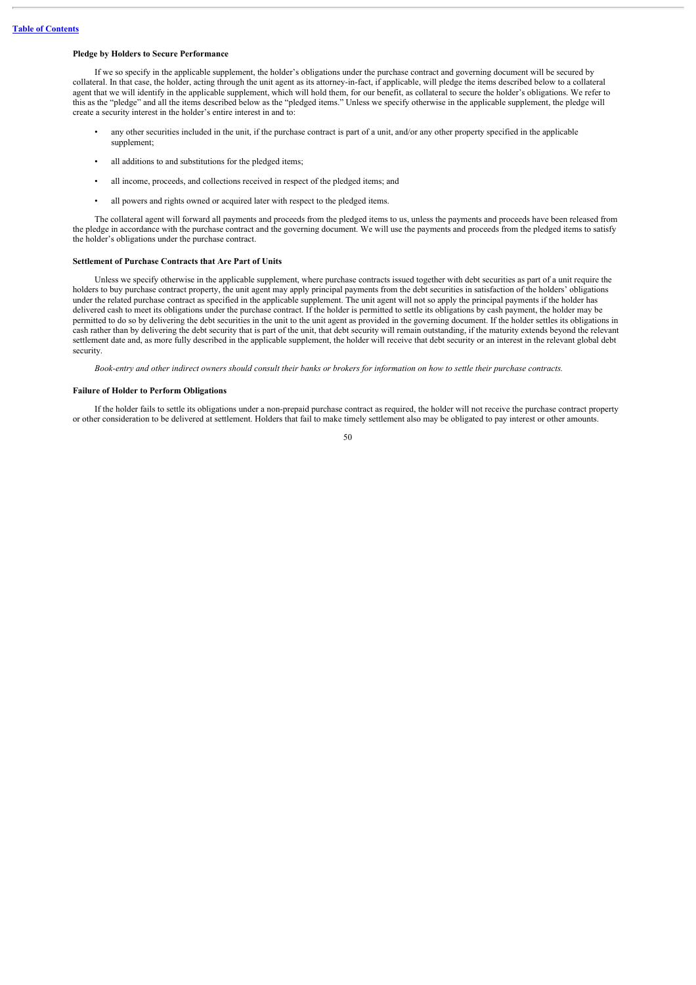#### **Pledge by Holders to Secure Performance**

If we so specify in the applicable supplement, the holder's obligations under the purchase contract and governing document will be secured by collateral. In that case, the holder, acting through the unit agent as its attorney-in-fact, if applicable, will pledge the items described below to a collateral agent that we will identify in the applicable supplement, which will hold them, for our benefit, as collateral to secure the holder's obligations. We refer to this as the "pledge" and all the items described below as the "pledged items." Unless we specify otherwise in the applicable supplement, the pledge will create a security interest in the holder's entire interest in and to:

- any other securities included in the unit, if the purchase contract is part of a unit, and/or any other property specified in the applicable supplement:
- all additions to and substitutions for the pledged items;
- all income, proceeds, and collections received in respect of the pledged items; and
- all powers and rights owned or acquired later with respect to the pledged items.

The collateral agent will forward all payments and proceeds from the pledged items to us, unless the payments and proceeds have been released from the pledge in accordance with the purchase contract and the governing document. We will use the payments and proceeds from the pledged items to satisfy the holder's obligations under the purchase contract.

### **Settlement of Purchase Contracts that Are Part of Units**

Unless we specify otherwise in the applicable supplement, where purchase contracts issued together with debt securities as part of a unit require the holders to buy purchase contract property, the unit agent may apply principal payments from the debt securities in satisfaction of the holders' obligations under the related purchase contract as specified in the applicable supplement. The unit agent will not so apply the principal payments if the holder has delivered cash to meet its obligations under the purchase contract. If the holder is permitted to settle its obligations by cash payment, the holder may be permitted to do so by delivering the debt securities in the unit to the unit agent as provided in the governing document. If the holder settles its obligations in cash rather than by delivering the debt security that is part of the unit, that debt security will remain outstanding, if the maturity extends beyond the relevant settlement date and, as more fully described in the applicable supplement, the holder will receive that debt security or an interest in the relevant global debt security.

Book-entry and other indirect owners should consult their banks or brokers for information on how to settle their purchase contracts.

# **Failure of Holder to Perform Obligations**

If the holder fails to settle its obligations under a non-prepaid purchase contract as required, the holder will not receive the purchase contract property or other consideration to be delivered at settlement. Holders that fail to make timely settlement also may be obligated to pay interest or other amounts.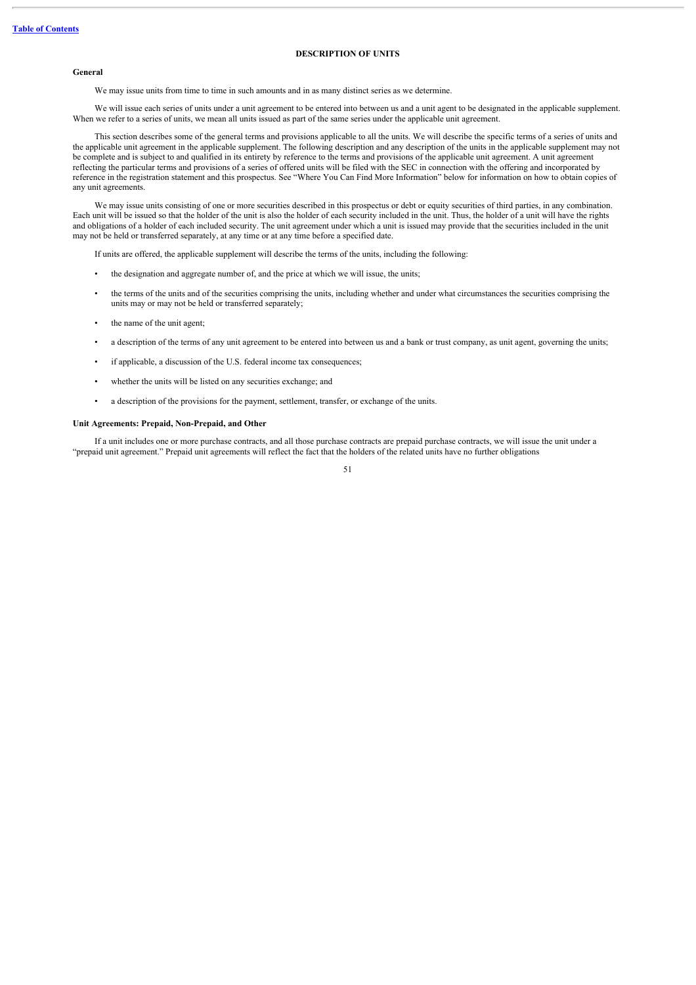# **DESCRIPTION OF UNITS**

## **General**

We may issue units from time to time in such amounts and in as many distinct series as we determine.

We will issue each series of units under a unit agreement to be entered into between us and a unit agent to be designated in the applicable supplement. When we refer to a series of units, we mean all units issued as part of the same series under the applicable unit agreement.

This section describes some of the general terms and provisions applicable to all the units. We will describe the specific terms of a series of units and the applicable unit agreement in the applicable supplement. The following description and any description of the units in the applicable supplement may not be complete and is subject to and qualified in its entirety by reference to the terms and provisions of the applicable unit agreement. A unit agreement reflecting the particular terms and provisions of a series of offered units will be filed with the SEC in connection with the offering and incorporated by reference in the registration statement and this prospectus. See "Where You Can Find More Information" below for information on how to obtain copies of any unit agreements.

We may issue units consisting of one or more securities described in this prospectus or debt or equity securities of third parties, in any combination. Each unit will be issued so that the holder of the unit is also the holder of each security included in the unit. Thus, the holder of a unit will have the rights and obligations of a holder of each included security. The unit agreement under which a unit is issued may provide that the securities included in the unit may not be held or transferred separately, at any time or at any time before a specified date.

If units are offered, the applicable supplement will describe the terms of the units, including the following:

- the designation and aggregate number of, and the price at which we will issue, the units;
- the terms of the units and of the securities comprising the units, including whether and under what circumstances the securities comprising the units may or may not be held or transferred separately;
- the name of the unit agent;
- a description of the terms of any unit agreement to be entered into between us and a bank or trust company, as unit agent, governing the units;
- if applicable, a discussion of the U.S. federal income tax consequences;
- whether the units will be listed on any securities exchange; and
- a description of the provisions for the payment, settlement, transfer, or exchange of the units.

## **Unit Agreements: Prepaid, Non-Prepaid, and Other**

If a unit includes one or more purchase contracts, and all those purchase contracts are prepaid purchase contracts, we will issue the unit under a "prepaid unit agreement." Prepaid unit agreements will reflect the fact that the holders of the related units have no further obligations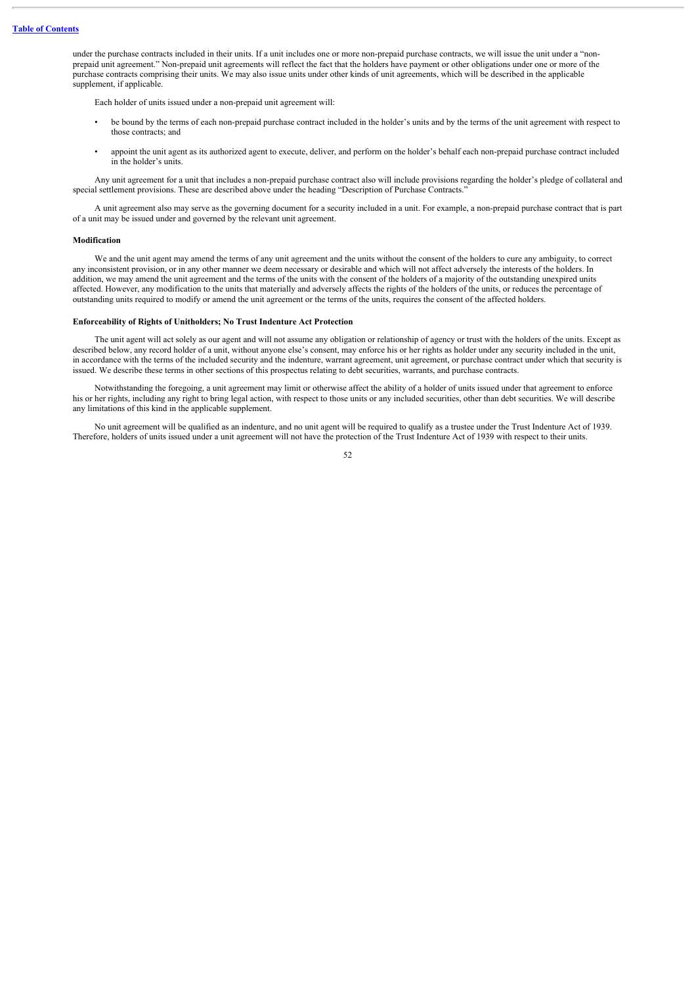under the purchase contracts included in their units. If a unit includes one or more non-prepaid purchase contracts, we will issue the unit under a "nonprepaid unit agreement." Non-prepaid unit agreements will reflect the fact that the holders have payment or other obligations under one or more of the purchase contracts comprising their units. We may also issue units under other kinds of unit agreements, which will be described in the applicable supplement, if applicable.

Each holder of units issued under a non-prepaid unit agreement will:

- be bound by the terms of each non-prepaid purchase contract included in the holder's units and by the terms of the unit agreement with respect to those contracts; and
- appoint the unit agent as its authorized agent to execute, deliver, and perform on the holder's behalf each non-prepaid purchase contract included in the holder's units.

Any unit agreement for a unit that includes a non-prepaid purchase contract also will include provisions regarding the holder's pledge of collateral and special settlement provisions. These are described above under the heading "Description of Purchase Contracts.

A unit agreement also may serve as the governing document for a security included in a unit. For example, a non-prepaid purchase contract that is part of a unit may be issued under and governed by the relevant unit agreement.

# **Modification**

We and the unit agent may amend the terms of any unit agreement and the units without the consent of the holders to cure any ambiguity, to correct any inconsistent provision, or in any other manner we deem necessary or desirable and which will not affect adversely the interests of the holders. In addition, we may amend the unit agreement and the terms of the units with the consent of the holders of a majority of the outstanding unexpired units affected. However, any modification to the units that materially and adversely affects the rights of the holders of the units, or reduces the percentage of outstanding units required to modify or amend the unit agreement or the terms of the units, requires the consent of the affected holders.

## **Enforceability of Rights of Unitholders; No Trust Indenture Act Protection**

The unit agent will act solely as our agent and will not assume any obligation or relationship of agency or trust with the holders of the units. Except as described below, any record holder of a unit, without anyone else's consent, may enforce his or her rights as holder under any security included in the unit, in accordance with the terms of the included security and the indenture, warrant agreement, unit agreement, or purchase contract under which that security is issued. We describe these terms in other sections of this prospectus relating to debt securities, warrants, and purchase contracts.

Notwithstanding the foregoing, a unit agreement may limit or otherwise affect the ability of a holder of units issued under that agreement to enforce his or her rights, including any right to bring legal action, with respect to those units or any included securities, other than debt securities. We will describe any limitations of this kind in the applicable supplement.

No unit agreement will be qualified as an indenture, and no unit agent will be required to qualify as a trustee under the Trust Indenture Act of 1939. Therefore, holders of units issued under a unit agreement will not have the protection of the Trust Indenture Act of 1939 with respect to their units.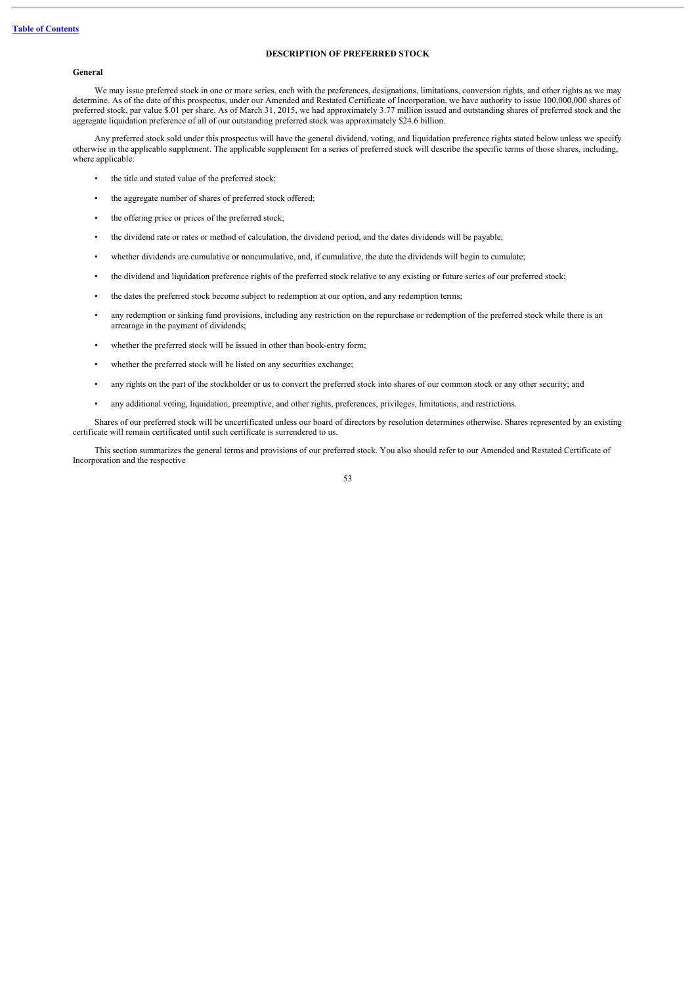# **DESCRIPTION OF PREFERRED STOCK**

# **General**

We may issue preferred stock in one or more series, each with the preferences, designations, limitations, conversion rights, and other rights as we may determine. As of the date of this prospectus, under our Amended and Restated Certificate of Incorporation, we have authority to issue 100,000,000 shares of preferred stock, par value \$.01 per share. As of March 31, 2015, we had approximately 3.77 million issued and outstanding shares of preferred stock and the aggregate liquidation preference of all of our outstanding preferred stock was approximately \$24.6 billion.

Any preferred stock sold under this prospectus will have the general dividend, voting, and liquidation preference rights stated below unless we specify otherwise in the applicable supplement. The applicable supplement for a series of preferred stock will describe the specific terms of those shares, including, where applicable:

- the title and stated value of the preferred stock;
- the aggregate number of shares of preferred stock offered;
- the offering price or prices of the preferred stock;
- the dividend rate or rates or method of calculation, the dividend period, and the dates dividends will be payable;
- whether dividends are cumulative or noncumulative, and, if cumulative, the date the dividends will begin to cumulate;
- the dividend and liquidation preference rights of the preferred stock relative to any existing or future series of our preferred stock;
- the dates the preferred stock become subject to redemption at our option, and any redemption terms;
- any redemption or sinking fund provisions, including any restriction on the repurchase or redemption of the preferred stock while there is an arrearage in the payment of dividends;
- whether the preferred stock will be issued in other than book-entry form;
- whether the preferred stock will be listed on any securities exchange;
- any rights on the part of the stockholder or us to convert the preferred stock into shares of our common stock or any other security; and
- any additional voting, liquidation, preemptive, and other rights, preferences, privileges, limitations, and restrictions.

Shares of our preferred stock will be uncertificated unless our board of directors by resolution determines otherwise. Shares represented by an existing certificate will remain certificated until such certificate is surrendered to us.

This section summarizes the general terms and provisions of our preferred stock. You also should refer to our Amended and Restated Certificate of Incorporation and the respective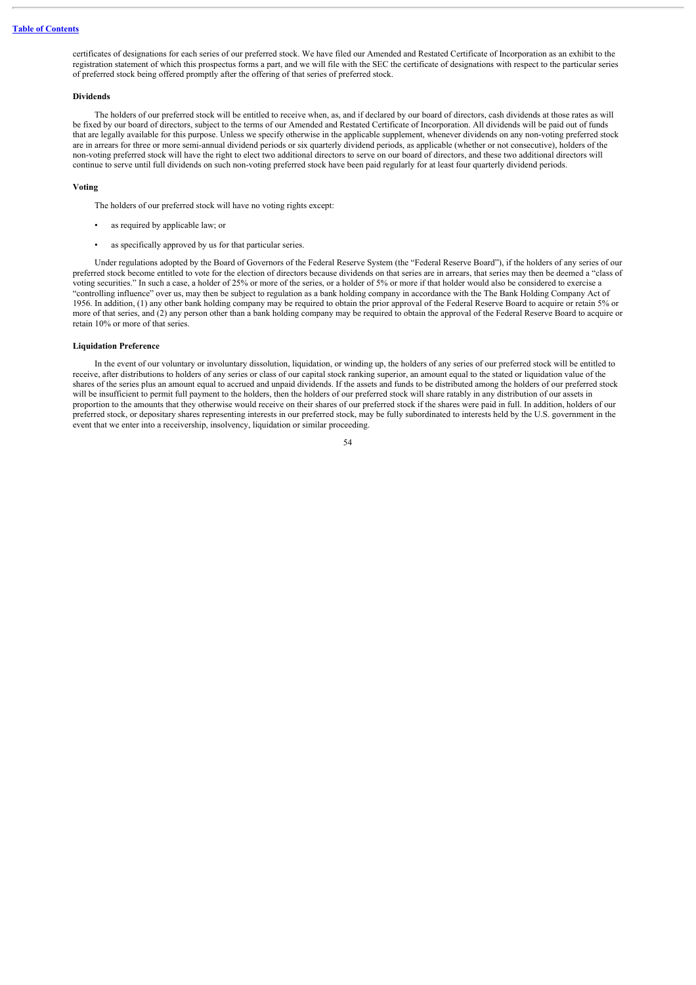certificates of designations for each series of our preferred stock. We have filed our Amended and Restated Certificate of Incorporation as an exhibit to the registration statement of which this prospectus forms a part, and we will file with the SEC the certificate of designations with respect to the particular series of preferred stock being offered promptly after the offering of that series of preferred stock.

## **Dividends**

The holders of our preferred stock will be entitled to receive when, as, and if declared by our board of directors, cash dividends at those rates as will be fixed by our board of directors, subject to the terms of our Amended and Restated Certificate of Incorporation. All dividends will be paid out of funds that are legally available for this purpose. Unless we specify otherwise in the applicable supplement, whenever dividends on any non-voting preferred stock are in arrears for three or more semi-annual dividend periods or six quarterly dividend periods, as applicable (whether or not consecutive), holders of the non-voting preferred stock will have the right to elect two additional directors to serve on our board of directors, and these two additional directors will continue to serve until full dividends on such non-voting preferred stock have been paid regularly for at least four quarterly dividend periods.

## **Voting**

The holders of our preferred stock will have no voting rights except:

- as required by applicable law; or
- as specifically approved by us for that particular series.

Under regulations adopted by the Board of Governors of the Federal Reserve System (the "Federal Reserve Board"), if the holders of any series of our preferred stock become entitled to vote for the election of directors because dividends on that series are in arrears, that series may then be deemed a "class of voting securities." In such a case, a holder of 25% or more of the series, or a holder of 5% or more if that holder would also be considered to exercise a "controlling influence" over us, may then be subject to regulation as a bank holding company in accordance with the The Bank Holding Company Act of 1956. In addition, (1) any other bank holding company may be required to obtain the prior approval of the Federal Reserve Board to acquire or retain 5% or more of that series, and (2) any person other than a bank holding company may be required to obtain the approval of the Federal Reserve Board to acquire or retain 10% or more of that series.

### **Liquidation Preference**

In the event of our voluntary or involuntary dissolution, liquidation, or winding up, the holders of any series of our preferred stock will be entitled to receive, after distributions to holders of any series or class of our capital stock ranking superior, an amount equal to the stated or liquidation value of the shares of the series plus an amount equal to accrued and unpaid dividends. If the assets and funds to be distributed among the holders of our preferred stock will be insufficient to permit full payment to the holders, then the holders of our preferred stock will share ratably in any distribution of our assets in proportion to the amounts that they otherwise would receive on their shares of our preferred stock if the shares were paid in full. In addition, holders of our preferred stock, or depositary shares representing interests in our preferred stock, may be fully subordinated to interests held by the U.S. government in the event that we enter into a receivership, insolvency, liquidation or similar proceeding.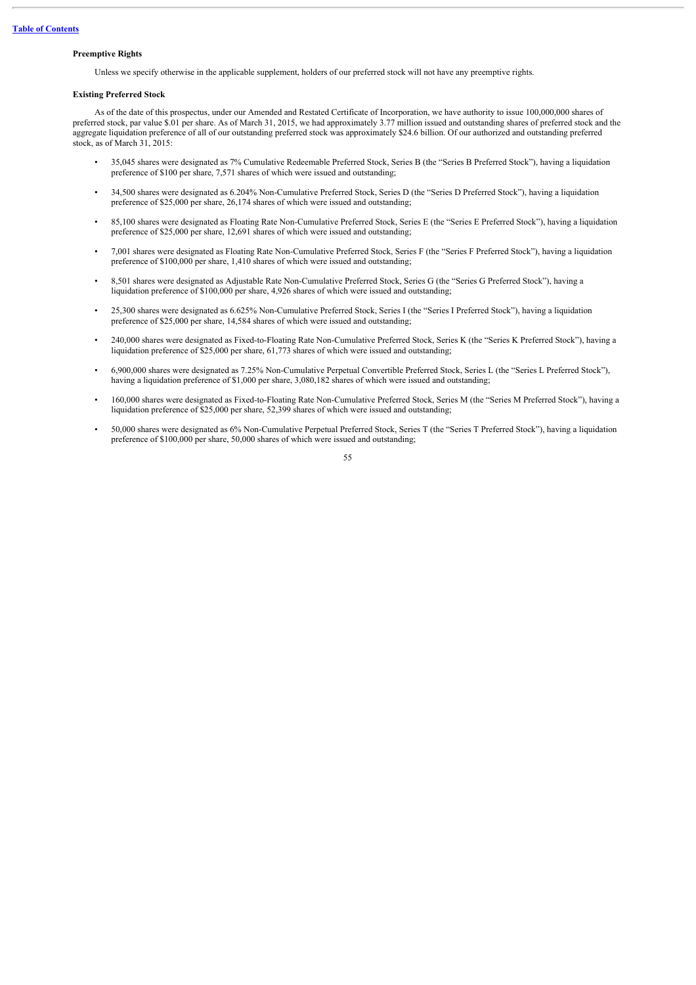### **Preemptive Rights**

Unless we specify otherwise in the applicable supplement, holders of our preferred stock will not have any preemptive rights.

# **Existing Preferred Stock**

As of the date of this prospectus, under our Amended and Restated Certificate of Incorporation, we have authority to issue 100,000,000 shares of preferred stock, par value \$.01 per share. As of March 31, 2015, we had approximately 3.77 million issued and outstanding shares of preferred stock and the aggregate liquidation preference of all of our outstanding preferred stock was approximately \$24.6 billion. Of our authorized and outstanding preferred stock, as of March 31, 2015:

- 35,045 shares were designated as 7% Cumulative Redeemable Preferred Stock, Series B (the "Series B Preferred Stock"), having a liquidation preference of \$100 per share, 7,571 shares of which were issued and outstanding;
- 34,500 shares were designated as 6.204% Non-Cumulative Preferred Stock, Series D (the "Series D Preferred Stock"), having a liquidation preference of \$25,000 per share, 26,174 shares of which were issued and outstanding;
- 85,100 shares were designated as Floating Rate Non-Cumulative Preferred Stock, Series E (the "Series E Preferred Stock"), having a liquidation preference of \$25,000 per share, 12,691 shares of which were issued and outstanding;
- 7,001 shares were designated as Floating Rate Non-Cumulative Preferred Stock, Series F (the "Series F Preferred Stock"), having a liquidation preference of \$100,000 per share, 1,410 shares of which were issued and outstanding;
- 8,501 shares were designated as Adjustable Rate Non-Cumulative Preferred Stock, Series G (the "Series G Preferred Stock"), having a liquidation preference of \$100,000 per share, 4,926 shares of which were issued and outstanding;
- 25,300 shares were designated as 6.625% Non-Cumulative Preferred Stock, Series I (the "Series I Preferred Stock"), having a liquidation preference of \$25,000 per share, 14,584 shares of which were issued and outstanding;
- 240,000 shares were designated as Fixed-to-Floating Rate Non-Cumulative Preferred Stock, Series K (the "Series K Preferred Stock"), having a liquidation preference of \$25,000 per share, 61,773 shares of which were issued and outstanding;
- 6,900,000 shares were designated as 7.25% Non-Cumulative Perpetual Convertible Preferred Stock, Series L (the "Series L Preferred Stock"), having a liquidation preference of \$1,000 per share, 3,080,182 shares of which were issued and outstanding;
- 160,000 shares were designated as Fixed-to-Floating Rate Non-Cumulative Preferred Stock, Series M (the "Series M Preferred Stock"), having a liquidation preference of \$25,000 per share, 52,399 shares of which were issued and outstanding;
- 50,000 shares were designated as 6% Non-Cumulative Perpetual Preferred Stock, Series T (the "Series T Preferred Stock"), having a liquidation preference of \$100,000 per share, 50,000 shares of which were issued and outstanding;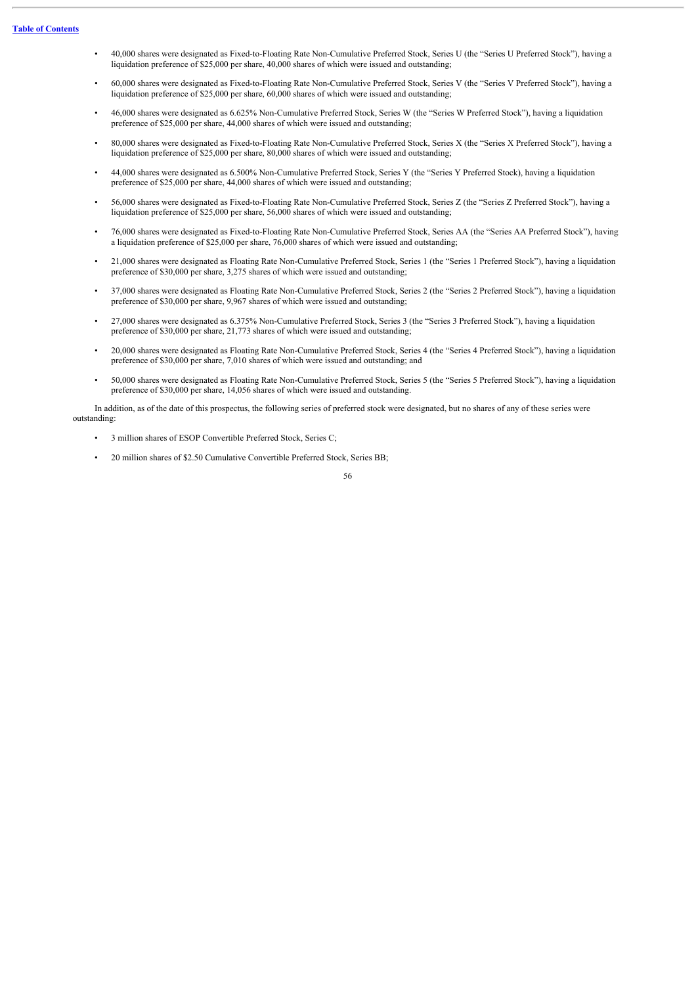- 40,000 shares were designated as Fixed-to-Floating Rate Non-Cumulative Preferred Stock, Series U (the "Series U Preferred Stock"), having a liquidation preference of \$25,000 per share, 40,000 shares of which were issued and outstanding;
- 60,000 shares were designated as Fixed-to-Floating Rate Non-Cumulative Preferred Stock, Series V (the "Series V Preferred Stock"), having a liquidation preference of \$25,000 per share, 60,000 shares of which were issued and outstanding;
- 46,000 shares were designated as 6.625% Non-Cumulative Preferred Stock, Series W (the "Series W Preferred Stock"), having a liquidation preference of \$25,000 per share, 44,000 shares of which were issued and outstanding;
- 80,000 shares were designated as Fixed-to-Floating Rate Non-Cumulative Preferred Stock, Series X (the "Series X Preferred Stock"), having a liquidation preference of \$25,000 per share, 80,000 shares of which were issued and outstanding;
- 44,000 shares were designated as 6.500% Non-Cumulative Preferred Stock, Series Y (the "Series Y Preferred Stock), having a liquidation preference of \$25,000 per share, 44,000 shares of which were issued and outstanding;
- 56,000 shares were designated as Fixed-to-Floating Rate Non-Cumulative Preferred Stock, Series Z (the "Series Z Preferred Stock"), having a liquidation preference of \$25,000 per share, 56,000 shares of which were issued and outstanding;
- 76,000 shares were designated as Fixed-to-Floating Rate Non-Cumulative Preferred Stock, Series AA (the "Series AA Preferred Stock"), having a liquidation preference of \$25,000 per share, 76,000 shares of which were issued and outstanding;
- 21,000 shares were designated as Floating Rate Non-Cumulative Preferred Stock, Series 1 (the "Series 1 Preferred Stock"), having a liquidation preference of \$30,000 per share, 3,275 shares of which were issued and outstanding;
- 37,000 shares were designated as Floating Rate Non-Cumulative Preferred Stock, Series 2 (the "Series 2 Preferred Stock"), having a liquidation preference of \$30,000 per share, 9,967 shares of which were issued and outstanding;
- 27,000 shares were designated as 6.375% Non-Cumulative Preferred Stock, Series 3 (the "Series 3 Preferred Stock"), having a liquidation preference of \$30,000 per share, 21,773 shares of which were issued and outstanding;
- 20,000 shares were designated as Floating Rate Non-Cumulative Preferred Stock, Series 4 (the "Series 4 Preferred Stock"), having a liquidation preference of \$30,000 per share, 7,010 shares of which were issued and outstanding; and
- 50,000 shares were designated as Floating Rate Non-Cumulative Preferred Stock, Series 5 (the "Series 5 Preferred Stock"), having a liquidation preference of \$30,000 per share, 14,056 shares of which were issued and outstanding.

In addition, as of the date of this prospectus, the following series of preferred stock were designated, but no shares of any of these series were outstanding:

- 3 million shares of ESOP Convertible Preferred Stock, Series C;
- 20 million shares of \$2.50 Cumulative Convertible Preferred Stock, Series BB;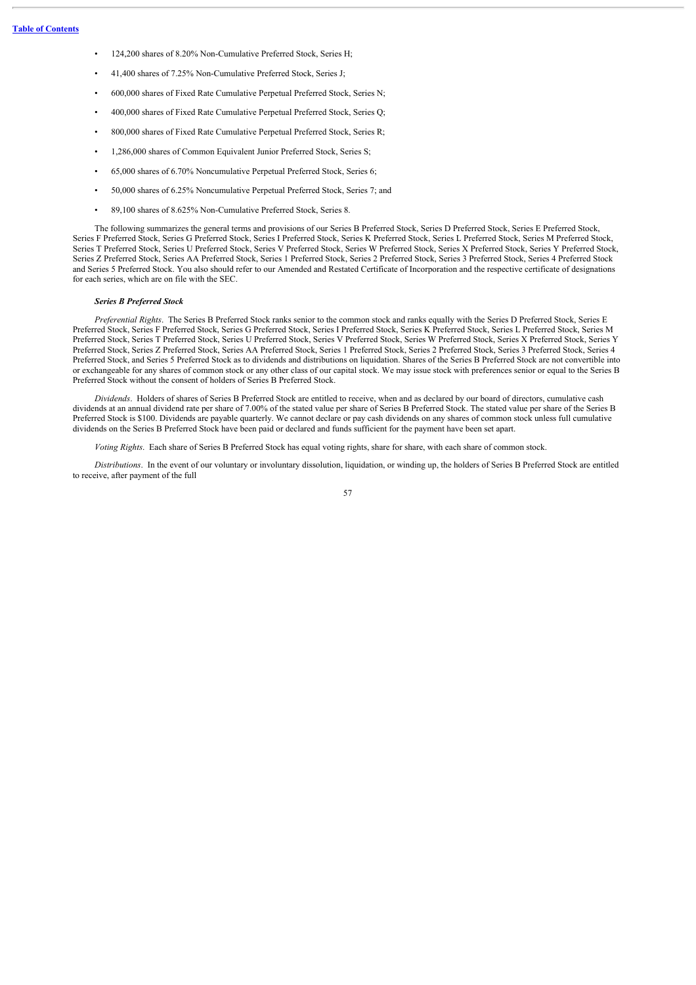- 124,200 shares of 8.20% Non-Cumulative Preferred Stock, Series H;
- 41,400 shares of 7.25% Non-Cumulative Preferred Stock, Series J;
- 600,000 shares of Fixed Rate Cumulative Perpetual Preferred Stock, Series N;
- 400,000 shares of Fixed Rate Cumulative Perpetual Preferred Stock, Series Q;
- 800,000 shares of Fixed Rate Cumulative Perpetual Preferred Stock, Series R;
- 1,286,000 shares of Common Equivalent Junior Preferred Stock, Series S;
- 65,000 shares of 6.70% Noncumulative Perpetual Preferred Stock, Series 6;
- 50,000 shares of 6.25% Noncumulative Perpetual Preferred Stock, Series 7; and
- 89,100 shares of 8.625% Non-Cumulative Preferred Stock, Series 8.

The following summarizes the general terms and provisions of our Series B Preferred Stock, Series D Preferred Stock, Series E Preferred Stock, Series F Preferred Stock, Series G Preferred Stock, Series I Preferred Stock, Series K Preferred Stock, Series L Preferred Stock, Series M Preferred Stock, Series T Preferred Stock, Series U Preferred Stock, Series V Preferred Stock, Series W Preferred Stock, Series X Preferred Stock, Series Y Preferred Stock, Series Z Preferred Stock, Series AA Preferred Stock, Series 1 Preferred Stock, Series 2 Preferred Stock, Series 3 Preferred Stock, Series 4 Preferred Stock and Series 5 Preferred Stock. You also should refer to our Amended and Restated Certificate of Incorporation and the respective certificate of designations for each series, which are on file with the SEC.

## *Series B Preferred Stock*

*Preferential Rights*. The Series B Preferred Stock ranks senior to the common stock and ranks equally with the Series D Preferred Stock, Series E Preferred Stock, Series F Preferred Stock, Series G Preferred Stock, Series I Preferred Stock, Series K Preferred Stock, Series L Preferred Stock, Series M Preferred Stock, Series T Preferred Stock, Series U Preferred Stock, Series V Preferred Stock, Series W Preferred Stock, Series X Preferred Stock, Series Y Preferred Stock, Series Z Preferred Stock, Series AA Preferred Stock, Series 1 Preferred Stock, Series 2 Preferred Stock, Series 3 Preferred Stock, Series 4 Preferred Stock, and Series 5 Preferred Stock as to dividends and distributions on liquidation. Shares of the Series B Preferred Stock are not convertible into or exchangeable for any shares of common stock or any other class of our capital stock. We may issue stock with preferences senior or equal to the Series B Preferred Stock without the consent of holders of Series B Preferred Stock.

*Dividends*. Holders of shares of Series B Preferred Stock are entitled to receive, when and as declared by our board of directors, cumulative cash dividends at an annual dividend rate per share of 7.00% of the stated value per share of Series B Preferred Stock. The stated value per share of the Series B Preferred Stock is \$100. Dividends are payable quarterly. We cannot declare or pay cash dividends on any shares of common stock unless full cumulative dividends on the Series B Preferred Stock have been paid or declared and funds sufficient for the payment have been set apart.

*Voting Rights*. Each share of Series B Preferred Stock has equal voting rights, share for share, with each share of common stock.

*Distributions*. In the event of our voluntary or involuntary dissolution, liquidation, or winding up, the holders of Series B Preferred Stock are entitled to receive, after payment of the full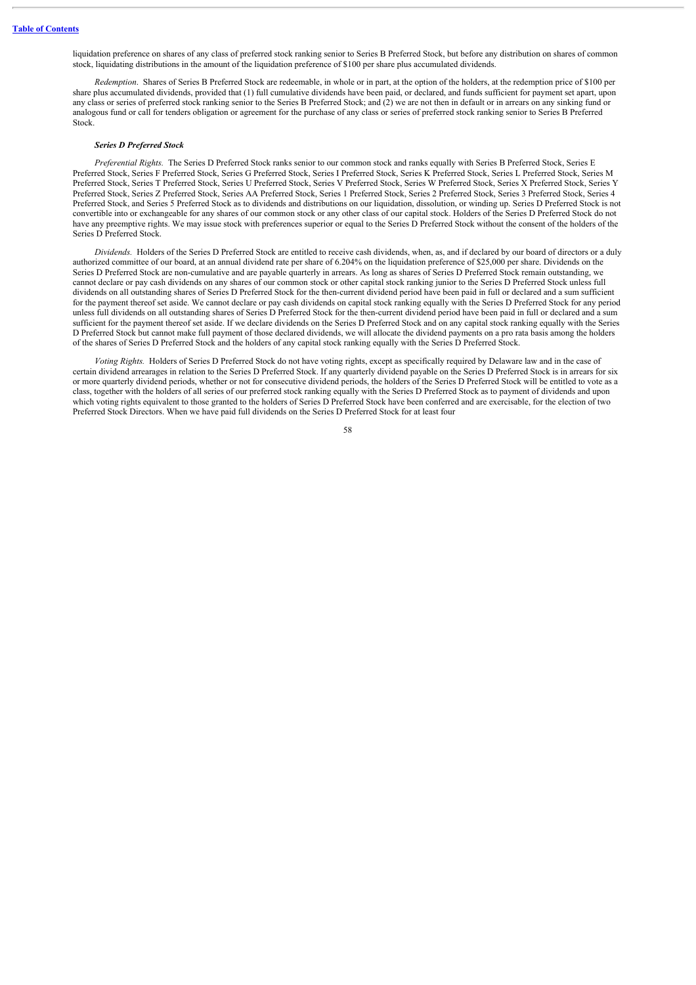liquidation preference on shares of any class of preferred stock ranking senior to Series B Preferred Stock, but before any distribution on shares of common stock, liquidating distributions in the amount of the liquidation preference of \$100 per share plus accumulated dividends.

*Redemption*. Shares of Series B Preferred Stock are redeemable, in whole or in part, at the option of the holders, at the redemption price of \$100 per share plus accumulated dividends, provided that (1) full cumulative dividends have been paid, or declared, and funds sufficient for payment set apart, upon any class or series of preferred stock ranking senior to the Series B Preferred Stock; and (2) we are not then in default or in arrears on any sinking fund or analogous fund or call for tenders obligation or agreement for the purchase of any class or series of preferred stock ranking senior to Series B Preferred Stock.

### *Series D Preferred Stock*

*Preferential Rights.* The Series D Preferred Stock ranks senior to our common stock and ranks equally with Series B Preferred Stock, Series E Preferred Stock, Series F Preferred Stock, Series G Preferred Stock, Series I Preferred Stock, Series K Preferred Stock, Series L Preferred Stock, Series M Preferred Stock, Series T Preferred Stock, Series U Preferred Stock, Series V Preferred Stock, Series W Preferred Stock, Series X Preferred Stock, Series Y Preferred Stock, Series Z Preferred Stock, Series AA Preferred Stock, Series 1 Preferred Stock, Series 2 Preferred Stock, Series 3 Preferred Stock, Series 4 Preferred Stock, and Series 5 Preferred Stock as to dividends and distributions on our liquidation, dissolution, or winding up. Series D Preferred Stock is not convertible into or exchangeable for any shares of our common stock or any other class of our capital stock. Holders of the Series D Preferred Stock do not have any preemptive rights. We may issue stock with preferences superior or equal to the Series D Preferred Stock without the consent of the holders of the Series D Preferred Stock.

*Dividends.* Holders of the Series D Preferred Stock are entitled to receive cash dividends, when, as, and if declared by our board of directors or a duly authorized committee of our board, at an annual dividend rate per share of 6.204% on the liquidation preference of \$25,000 per share. Dividends on the Series D Preferred Stock are non-cumulative and are payable quarterly in arrears. As long as shares of Series D Preferred Stock remain outstanding, we cannot declare or pay cash dividends on any shares of our common stock or other capital stock ranking junior to the Series D Preferred Stock unless full dividends on all outstanding shares of Series D Preferred Stock for the then-current dividend period have been paid in full or declared and a sum sufficient for the payment thereof set aside. We cannot declare or pay cash dividends on capital stock ranking equally with the Series D Preferred Stock for any period unless full dividends on all outstanding shares of Series D Preferred Stock for the then-current dividend period have been paid in full or declared and a sum sufficient for the payment thereof set aside. If we declare dividends on the Series D Preferred Stock and on any capital stock ranking equally with the Series D Preferred Stock but cannot make full payment of those declared dividends, we will allocate the dividend payments on a pro rata basis among the holders of the shares of Series D Preferred Stock and the holders of any capital stock ranking equally with the Series D Preferred Stock.

*Voting Rights.* Holders of Series D Preferred Stock do not have voting rights, except as specifically required by Delaware law and in the case of certain dividend arrearages in relation to the Series D Preferred Stock. If any quarterly dividend payable on the Series D Preferred Stock is in arrears for six or more quarterly dividend periods, whether or not for consecutive dividend periods, the holders of the Series D Preferred Stock will be entitled to vote as a class, together with the holders of all series of our preferred stock ranking equally with the Series D Preferred Stock as to payment of dividends and upon which voting rights equivalent to those granted to the holders of Series D Preferred Stock have been conferred and are exercisable, for the election of two Preferred Stock Directors. When we have paid full dividends on the Series D Preferred Stock for at least four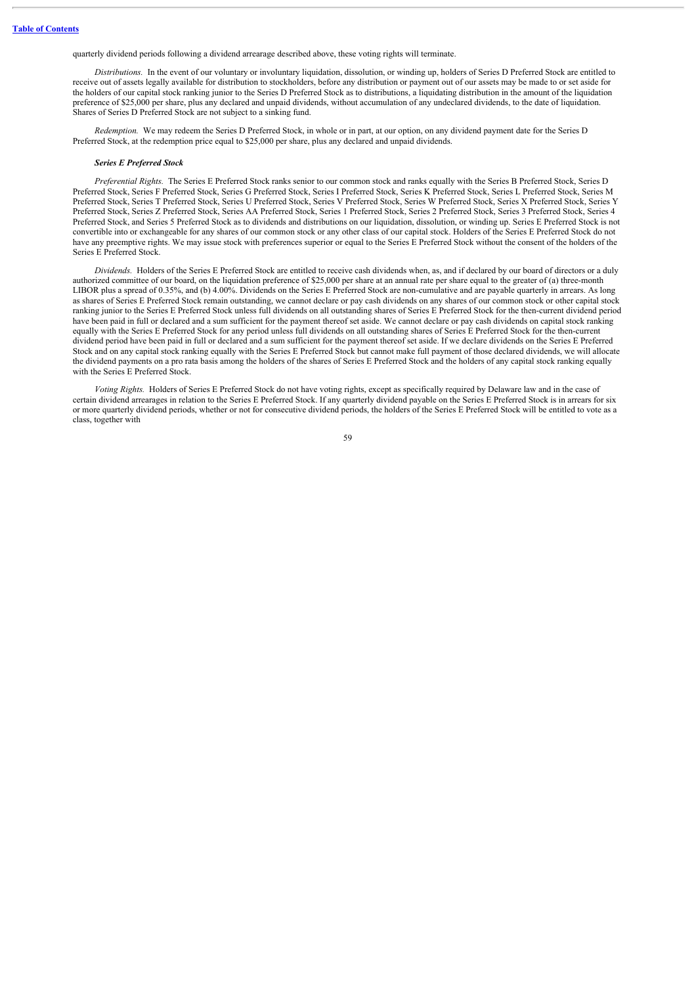quarterly dividend periods following a dividend arrearage described above, these voting rights will terminate.

*Distributions.* In the event of our voluntary or involuntary liquidation, dissolution, or winding up, holders of Series D Preferred Stock are entitled to receive out of assets legally available for distribution to stockholders, before any distribution or payment out of our assets may be made to or set aside for the holders of our capital stock ranking junior to the Series D Preferred Stock as to distributions, a liquidating distribution in the amount of the liquidation preference of \$25,000 per share, plus any declared and unpaid dividends, without accumulation of any undeclared dividends, to the date of liquidation. Shares of Series D Preferred Stock are not subject to a sinking fund.

*Redemption.* We may redeem the Series D Preferred Stock, in whole or in part, at our option, on any dividend payment date for the Series D Preferred Stock, at the redemption price equal to \$25,000 per share, plus any declared and unpaid dividends.

### *Series E Preferred Stock*

*Preferential Rights.* The Series E Preferred Stock ranks senior to our common stock and ranks equally with the Series B Preferred Stock, Series D Preferred Stock, Series F Preferred Stock, Series G Preferred Stock, Series I Preferred Stock, Series K Preferred Stock, Series L Preferred Stock, Series M Preferred Stock, Series T Preferred Stock, Series U Preferred Stock, Series V Preferred Stock, Series W Preferred Stock, Series X Preferred Stock, Series Y Preferred Stock, Series Z Preferred Stock, Series AA Preferred Stock, Series 1 Preferred Stock, Series 2 Preferred Stock, Series 3 Preferred Stock, Series 4 Preferred Stock, and Series 5 Preferred Stock as to dividends and distributions on our liquidation, dissolution, or winding up. Series E Preferred Stock is not convertible into or exchangeable for any shares of our common stock or any other class of our capital stock. Holders of the Series E Preferred Stock do not have any preemptive rights. We may issue stock with preferences superior or equal to the Series E Preferred Stock without the consent of the holders of the Series E Preferred Stock.

*Dividends.* Holders of the Series E Preferred Stock are entitled to receive cash dividends when, as, and if declared by our board of directors or a duly authorized committee of our board, on the liquidation preference of \$25,000 per share at an annual rate per share equal to the greater of (a) three-month LIBOR plus a spread of 0.35%, and (b) 4.00%. Dividends on the Series E Preferred Stock are non-cumulative and are payable quarterly in arrears. As long as shares of Series E Preferred Stock remain outstanding, we cannot declare or pay cash dividends on any shares of our common stock or other capital stock ranking junior to the Series E Preferred Stock unless full dividends on all outstanding shares of Series E Preferred Stock for the then-current dividend period have been paid in full or declared and a sum sufficient for the payment thereof set aside. We cannot declare or pay cash dividends on capital stock ranking equally with the Series E Preferred Stock for any period unless full dividends on all outstanding shares of Series E Preferred Stock for the then-current dividend period have been paid in full or declared and a sum sufficient for the payment thereof set aside. If we declare dividends on the Series E Preferred Stock and on any capital stock ranking equally with the Series E Preferred Stock but cannot make full payment of those declared dividends, we will allocate the dividend payments on a pro rata basis among the holders of the shares of Series E Preferred Stock and the holders of any capital stock ranking equally with the Series E Preferred Stock.

*Voting Rights.* Holders of Series E Preferred Stock do not have voting rights, except as specifically required by Delaware law and in the case of certain dividend arrearages in relation to the Series E Preferred Stock. If any quarterly dividend payable on the Series E Preferred Stock is in arrears for six or more quarterly dividend periods, whether or not for consecutive dividend periods, the holders of the Series E Preferred Stock will be entitled to vote as a class, together with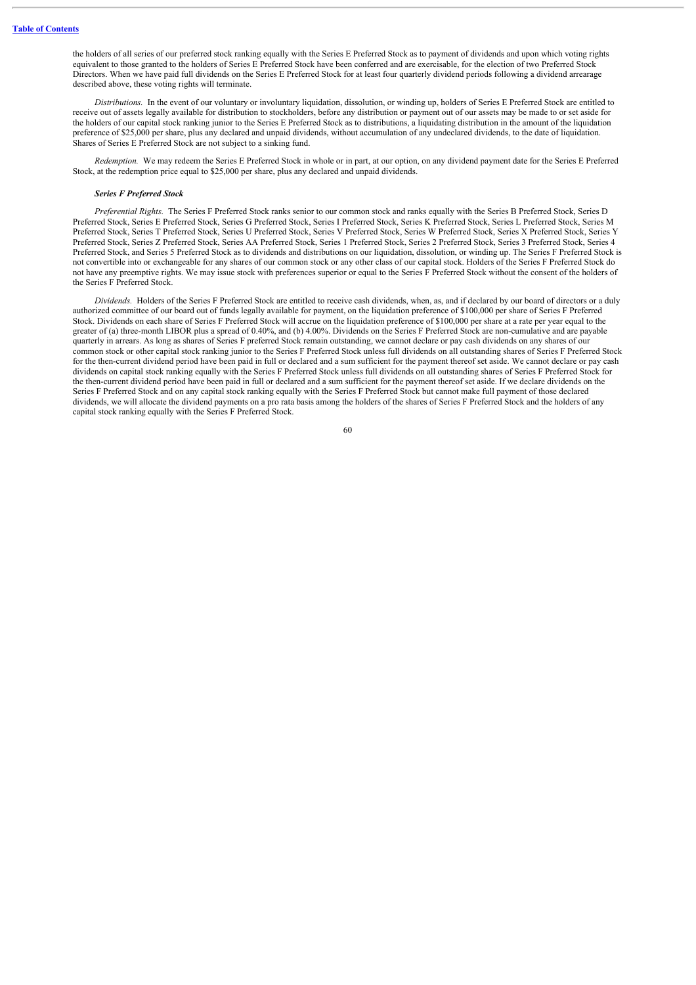the holders of all series of our preferred stock ranking equally with the Series E Preferred Stock as to payment of dividends and upon which voting rights equivalent to those granted to the holders of Series E Preferred Stock have been conferred and are exercisable, for the election of two Preferred Stock Directors. When we have paid full dividends on the Series E Preferred Stock for at least four quarterly dividend periods following a dividend arrearage described above, these voting rights will terminate.

*Distributions.* In the event of our voluntary or involuntary liquidation, dissolution, or winding up, holders of Series E Preferred Stock are entitled to receive out of assets legally available for distribution to stockholders, before any distribution or payment out of our assets may be made to or set aside for the holders of our capital stock ranking junior to the Series E Preferred Stock as to distributions, a liquidating distribution in the amount of the liquidation preference of \$25,000 per share, plus any declared and unpaid dividends, without accumulation of any undeclared dividends, to the date of liquidation. Shares of Series E Preferred Stock are not subject to a sinking fund.

*Redemption.* We may redeem the Series E Preferred Stock in whole or in part, at our option, on any dividend payment date for the Series E Preferred Stock, at the redemption price equal to \$25,000 per share, plus any declared and unpaid dividends.

#### *Series F Preferred Stock*

*Preferential Rights.* The Series F Preferred Stock ranks senior to our common stock and ranks equally with the Series B Preferred Stock, Series D Preferred Stock, Series E Preferred Stock, Series G Preferred Stock, Series I Preferred Stock, Series K Preferred Stock, Series L Preferred Stock, Series M Preferred Stock, Series T Preferred Stock, Series U Preferred Stock, Series V Preferred Stock, Series W Preferred Stock, Series X Preferred Stock, Series Y Preferred Stock, Series Z Preferred Stock, Series AA Preferred Stock, Series 1 Preferred Stock, Series 2 Preferred Stock, Series 3 Preferred Stock, Series 4 Preferred Stock, and Series 5 Preferred Stock as to dividends and distributions on our liquidation, dissolution, or winding up. The Series F Preferred Stock is not convertible into or exchangeable for any shares of our common stock or any other class of our capital stock. Holders of the Series F Preferred Stock do not have any preemptive rights. We may issue stock with preferences superior or equal to the Series F Preferred Stock without the consent of the holders of the Series F Preferred Stock.

*Dividends.* Holders of the Series F Preferred Stock are entitled to receive cash dividends, when, as, and if declared by our board of directors or a duly authorized committee of our board out of funds legally available for payment, on the liquidation preference of \$100,000 per share of Series F Preferred Stock. Dividends on each share of Series F Preferred Stock will accrue on the liquidation preference of \$100,000 per share at a rate per year equal to the greater of (a) three-month LIBOR plus a spread of 0.40%, and (b) 4.00%. Dividends on the Series F Preferred Stock are non-cumulative and are payable quarterly in arrears. As long as shares of Series F preferred Stock remain outstanding, we cannot declare or pay cash dividends on any shares of our common stock or other capital stock ranking junior to the Series F Preferred Stock unless full dividends on all outstanding shares of Series F Preferred Stock for the then-current dividend period have been paid in full or declared and a sum sufficient for the payment thereof set aside. We cannot declare or pay cash dividends on capital stock ranking equally with the Series F Preferred Stock unless full dividends on all outstanding shares of Series F Preferred Stock for the then-current dividend period have been paid in full or declared and a sum sufficient for the payment thereof set aside. If we declare dividends on the Series F Preferred Stock and on any capital stock ranking equally with the Series F Preferred Stock but cannot make full payment of those declared dividends, we will allocate the dividend payments on a pro rata basis among the holders of the shares of Series F Preferred Stock and the holders of any capital stock ranking equally with the Series F Preferred Stock.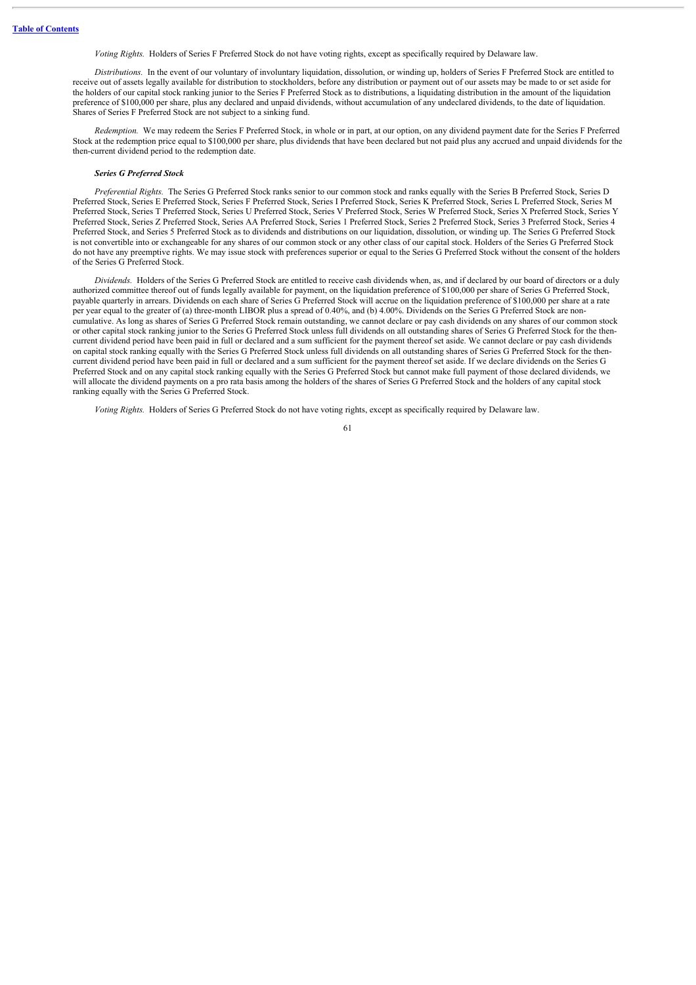*Voting Rights.* Holders of Series F Preferred Stock do not have voting rights, except as specifically required by Delaware law.

*Distributions.* In the event of our voluntary of involuntary liquidation, dissolution, or winding up, holders of Series F Preferred Stock are entitled to receive out of assets legally available for distribution to stockholders, before any distribution or payment out of our assets may be made to or set aside for the holders of our capital stock ranking junior to the Series F Preferred Stock as to distributions, a liquidating distribution in the amount of the liquidation preference of \$100,000 per share, plus any declared and unpaid dividends, without accumulation of any undeclared dividends, to the date of liquidation. Shares of Series F Preferred Stock are not subject to a sinking fund.

*Redemption.* We may redeem the Series F Preferred Stock, in whole or in part, at our option, on any dividend payment date for the Series F Preferred Stock at the redemption price equal to \$100,000 per share, plus dividends that have been declared but not paid plus any accrued and unpaid dividends for the then-current dividend period to the redemption date.

### *Series G Preferred Stock*

*Preferential Rights.* The Series G Preferred Stock ranks senior to our common stock and ranks equally with the Series B Preferred Stock, Series D Preferred Stock, Series E Preferred Stock, Series F Preferred Stock, Series I Preferred Stock, Series K Preferred Stock, Series L Preferred Stock, Series M Preferred Stock, Series T Preferred Stock, Series U Preferred Stock, Series V Preferred Stock, Series W Preferred Stock, Series X Preferred Stock, Series Y Preferred Stock, Series Z Preferred Stock, Series AA Preferred Stock, Series 1 Preferred Stock, Series 2 Preferred Stock, Series 3 Preferred Stock, Series 4 Preferred Stock, and Series 5 Preferred Stock as to dividends and distributions on our liquidation, dissolution, or winding up. The Series G Preferred Stock is not convertible into or exchangeable for any shares of our common stock or any other class of our capital stock. Holders of the Series G Preferred Stock do not have any preemptive rights. We may issue stock with preferences superior or equal to the Series G Preferred Stock without the consent of the holders of the Series G Preferred Stock.

*Dividends.* Holders of the Series G Preferred Stock are entitled to receive cash dividends when, as, and if declared by our board of directors or a duly authorized committee thereof out of funds legally available for payment, on the liquidation preference of \$100,000 per share of Series G Preferred Stock, payable quarterly in arrears. Dividends on each share of Series G Preferred Stock will accrue on the liquidation preference of \$100,000 per share at a rate per year equal to the greater of (a) three-month LIBOR plus a spread of 0.40%, and (b) 4.00%. Dividends on the Series G Preferred Stock are noncumulative. As long as shares of Series G Preferred Stock remain outstanding, we cannot declare or pay cash dividends on any shares of our common stock or other capital stock ranking junior to the Series G Preferred Stock unless full dividends on all outstanding shares of Series G Preferred Stock for the thencurrent dividend period have been paid in full or declared and a sum sufficient for the payment thereof set aside. We cannot declare or pay cash dividends on capital stock ranking equally with the Series G Preferred Stock unless full dividends on all outstanding shares of Series G Preferred Stock for the thencurrent dividend period have been paid in full or declared and a sum sufficient for the payment thereof set aside. If we declare dividends on the Series G Preferred Stock and on any capital stock ranking equally with the Series G Preferred Stock but cannot make full payment of those declared dividends, we will allocate the dividend payments on a pro rata basis among the holders of the shares of Series G Preferred Stock and the holders of any capital stock ranking equally with the Series G Preferred Stock.

*Voting Rights.* Holders of Series G Preferred Stock do not have voting rights, except as specifically required by Delaware law.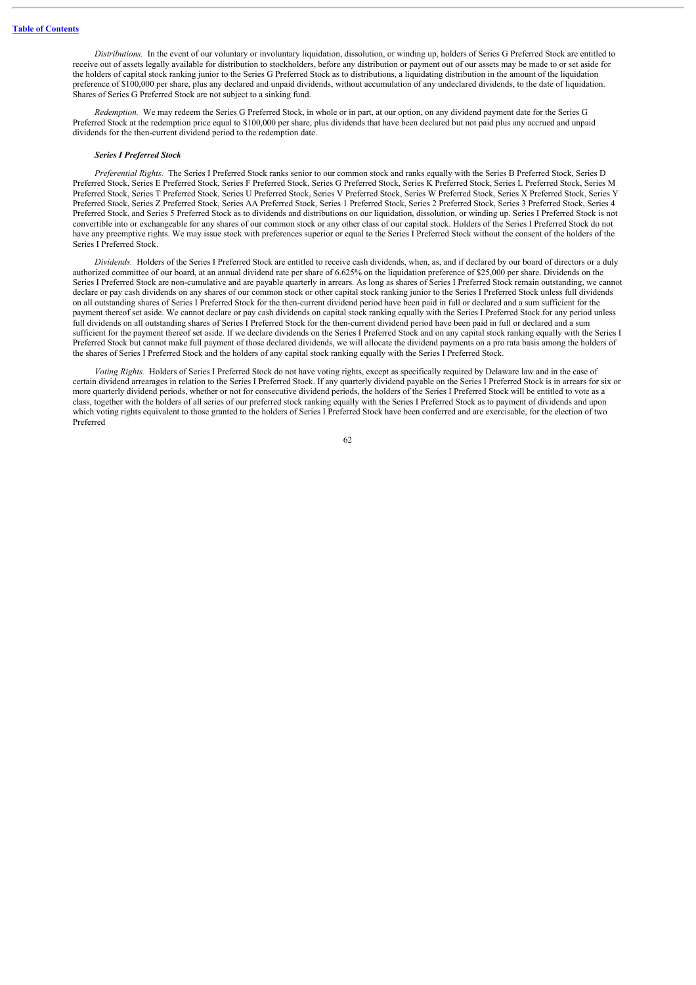*Distributions.* In the event of our voluntary or involuntary liquidation, dissolution, or winding up, holders of Series G Preferred Stock are entitled to receive out of assets legally available for distribution to stockholders, before any distribution or payment out of our assets may be made to or set aside for the holders of capital stock ranking junior to the Series G Preferred Stock as to distributions, a liquidating distribution in the amount of the liquidation preference of \$100,000 per share, plus any declared and unpaid dividends, without accumulation of any undeclared dividends, to the date of liquidation. Shares of Series G Preferred Stock are not subject to a sinking fund.

*Redemption.* We may redeem the Series G Preferred Stock, in whole or in part, at our option, on any dividend payment date for the Series G Preferred Stock at the redemption price equal to \$100,000 per share, plus dividends that have been declared but not paid plus any accrued and unpaid dividends for the then-current dividend period to the redemption date.

#### *Series I Preferred Stock*

*Preferential Rights.* The Series I Preferred Stock ranks senior to our common stock and ranks equally with the Series B Preferred Stock, Series D Preferred Stock, Series E Preferred Stock, Series F Preferred Stock, Series G Preferred Stock, Series K Preferred Stock, Series L Preferred Stock, Series M Preferred Stock, Series T Preferred Stock, Series U Preferred Stock, Series V Preferred Stock, Series W Preferred Stock, Series X Preferred Stock, Series Y Preferred Stock, Series Z Preferred Stock, Series AA Preferred Stock, Series 1 Preferred Stock, Series 2 Preferred Stock, Series 3 Preferred Stock, Series 4 Preferred Stock, and Series 5 Preferred Stock as to dividends and distributions on our liquidation, dissolution, or winding up. Series I Preferred Stock is not convertible into or exchangeable for any shares of our common stock or any other class of our capital stock. Holders of the Series I Preferred Stock do not have any preemptive rights. We may issue stock with preferences superior or equal to the Series I Preferred Stock without the consent of the holders of the Series I Preferred Stock.

*Dividends.* Holders of the Series I Preferred Stock are entitled to receive cash dividends, when, as, and if declared by our board of directors or a duly authorized committee of our board, at an annual dividend rate per share of 6.625% on the liquidation preference of \$25,000 per share. Dividends on the Series I Preferred Stock are non-cumulative and are payable quarterly in arrears. As long as shares of Series I Preferred Stock remain outstanding, we cannot declare or pay cash dividends on any shares of our common stock or other capital stock ranking junior to the Series I Preferred Stock unless full dividends on all outstanding shares of Series I Preferred Stock for the then-current dividend period have been paid in full or declared and a sum sufficient for the payment thereof set aside. We cannot declare or pay cash dividends on capital stock ranking equally with the Series I Preferred Stock for any period unless full dividends on all outstanding shares of Series I Preferred Stock for the then-current dividend period have been paid in full or declared and a sum sufficient for the payment thereof set aside. If we declare dividends on the Series I Preferred Stock and on any capital stock ranking equally with the Series I Preferred Stock but cannot make full payment of those declared dividends, we will allocate the dividend payments on a pro rata basis among the holders of the shares of Series I Preferred Stock and the holders of any capital stock ranking equally with the Series I Preferred Stock.

*Voting Rights.* Holders of Series I Preferred Stock do not have voting rights, except as specifically required by Delaware law and in the case of certain dividend arrearages in relation to the Series I Preferred Stock. If any quarterly dividend payable on the Series I Preferred Stock is in arrears for six or more quarterly dividend periods, whether or not for consecutive dividend periods, the holders of the Series I Preferred Stock will be entitled to vote as a class, together with the holders of all series of our preferred stock ranking equally with the Series I Preferred Stock as to payment of dividends and upon which voting rights equivalent to those granted to the holders of Series I Preferred Stock have been conferred and are exercisable, for the election of two Preferred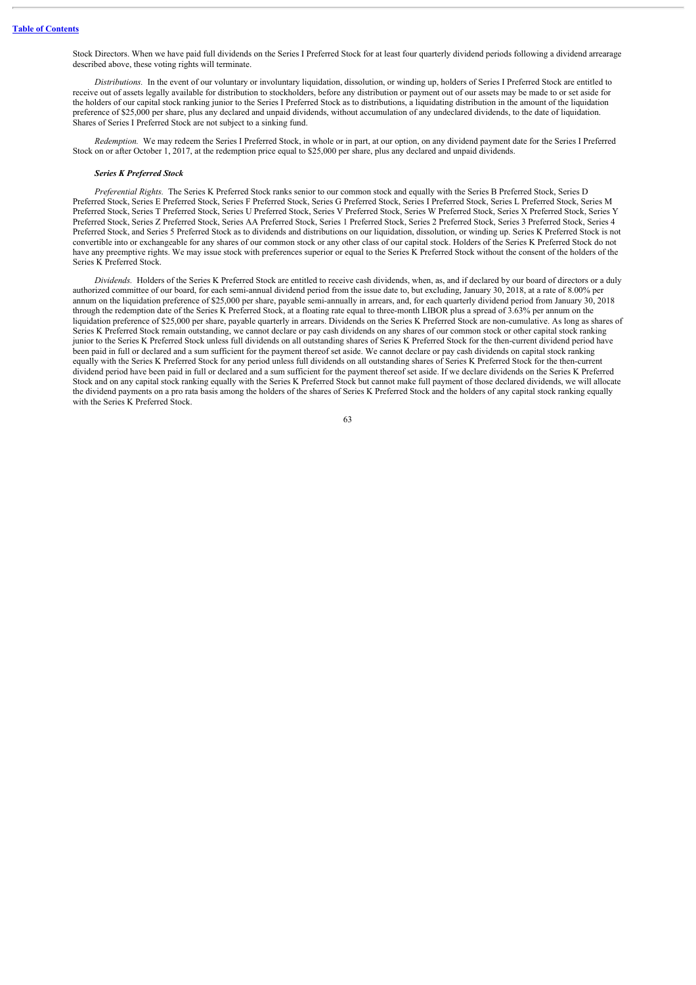Stock Directors. When we have paid full dividends on the Series I Preferred Stock for at least four quarterly dividend periods following a dividend arrearage described above, these voting rights will terminate.

*Distributions.* In the event of our voluntary or involuntary liquidation, dissolution, or winding up, holders of Series I Preferred Stock are entitled to receive out of assets legally available for distribution to stockholders, before any distribution or payment out of our assets may be made to or set aside for the holders of our capital stock ranking junior to the Series I Preferred Stock as to distributions, a liquidating distribution in the amount of the liquidation preference of \$25,000 per share, plus any declared and unpaid dividends, without accumulation of any undeclared dividends, to the date of liquidation. Shares of Series I Preferred Stock are not subject to a sinking fund.

*Redemption.* We may redeem the Series I Preferred Stock, in whole or in part, at our option, on any dividend payment date for the Series I Preferred Stock on or after October 1, 2017, at the redemption price equal to \$25,000 per share, plus any declared and unpaid dividends.

### *Series K Preferred Stock*

*Preferential Rights.* The Series K Preferred Stock ranks senior to our common stock and equally with the Series B Preferred Stock, Series D Preferred Stock, Series E Preferred Stock, Series F Preferred Stock, Series G Preferred Stock, Series I Preferred Stock, Series L Preferred Stock, Series M Preferred Stock, Series T Preferred Stock, Series U Preferred Stock, Series V Preferred Stock, Series W Preferred Stock, Series X Preferred Stock, Series Y Preferred Stock, Series Z Preferred Stock, Series AA Preferred Stock, Series 1 Preferred Stock, Series 2 Preferred Stock, Series 3 Preferred Stock, Series 4 Preferred Stock, and Series 5 Preferred Stock as to dividends and distributions on our liquidation, dissolution, or winding up. Series K Preferred Stock is not convertible into or exchangeable for any shares of our common stock or any other class of our capital stock. Holders of the Series K Preferred Stock do not have any preemptive rights. We may issue stock with preferences superior or equal to the Series K Preferred Stock without the consent of the holders of the Series K Preferred Stock.

*Dividends.* Holders of the Series K Preferred Stock are entitled to receive cash dividends, when, as, and if declared by our board of directors or a duly authorized committee of our board, for each semi-annual dividend period from the issue date to, but excluding, January 30, 2018, at a rate of 8.00% per annum on the liquidation preference of \$25,000 per share, payable semi-annually in arrears, and, for each quarterly dividend period from January 30, 2018 through the redemption date of the Series K Preferred Stock, at a floating rate equal to three-month LIBOR plus a spread of 3.63% per annum on the liquidation preference of \$25,000 per share, payable quarterly in arrears. Dividends on the Series K Preferred Stock are non-cumulative. As long as shares of Series K Preferred Stock remain outstanding, we cannot declare or pay cash dividends on any shares of our common stock or other capital stock ranking junior to the Series K Preferred Stock unless full dividends on all outstanding shares of Series K Preferred Stock for the then-current dividend period have been paid in full or declared and a sum sufficient for the payment thereof set aside. We cannot declare or pay cash dividends on capital stock ranking equally with the Series K Preferred Stock for any period unless full dividends on all outstanding shares of Series K Preferred Stock for the then-current dividend period have been paid in full or declared and a sum sufficient for the payment thereof set aside. If we declare dividends on the Series K Preferred Stock and on any capital stock ranking equally with the Series K Preferred Stock but cannot make full payment of those declared dividends, we will allocate the dividend payments on a pro rata basis among the holders of the shares of Series K Preferred Stock and the holders of any capital stock ranking equally with the Series K Preferred Stock.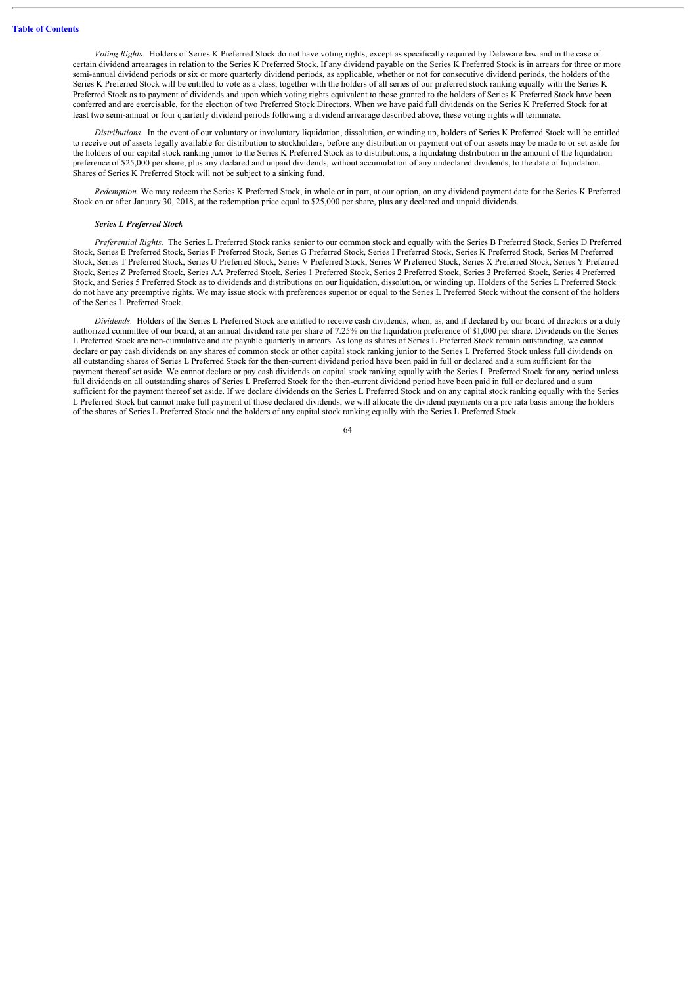*Voting Rights.* Holders of Series K Preferred Stock do not have voting rights, except as specifically required by Delaware law and in the case of certain dividend arrearages in relation to the Series K Preferred Stock. If any dividend payable on the Series K Preferred Stock is in arrears for three or more semi-annual dividend periods or six or more quarterly dividend periods, as applicable, whether or not for consecutive dividend periods, the holders of the Series K Preferred Stock will be entitled to vote as a class, together with the holders of all series of our preferred stock ranking equally with the Series K Preferred Stock as to payment of dividends and upon which voting rights equivalent to those granted to the holders of Series K Preferred Stock have been conferred and are exercisable, for the election of two Preferred Stock Directors. When we have paid full dividends on the Series K Preferred Stock for at least two semi-annual or four quarterly dividend periods following a dividend arrearage described above, these voting rights will terminate.

*Distributions.* In the event of our voluntary or involuntary liquidation, dissolution, or winding up, holders of Series K Preferred Stock will be entitled to receive out of assets legally available for distribution to stockholders, before any distribution or payment out of our assets may be made to or set aside for the holders of our capital stock ranking junior to the Series K Preferred Stock as to distributions, a liquidating distribution in the amount of the liquidation preference of \$25,000 per share, plus any declared and unpaid dividends, without accumulation of any undeclared dividends, to the date of liquidation. Shares of Series K Preferred Stock will not be subject to a sinking fund.

*Redemption.* We may redeem the Series K Preferred Stock, in whole or in part, at our option, on any dividend payment date for the Series K Preferred Stock on or after January 30, 2018, at the redemption price equal to \$25,000 per share, plus any declared and unpaid dividends.

### *Series L Preferred Stock*

*Preferential Rights.* The Series L Preferred Stock ranks senior to our common stock and equally with the Series B Preferred Stock, Series D Preferred Stock, Series E Preferred Stock, Series F Preferred Stock, Series G Preferred Stock, Series I Preferred Stock, Series K Preferred Stock, Series M Preferred Stock, Series T Preferred Stock, Series U Preferred Stock, Series V Preferred Stock, Series W Preferred Stock, Series X Preferred Stock, Series Y Preferred Stock, Series Z Preferred Stock, Series AA Preferred Stock, Series 1 Preferred Stock, Series 2 Preferred Stock, Series 3 Preferred Stock, Series 4 Preferred Stock, and Series 5 Preferred Stock as to dividends and distributions on our liquidation, dissolution, or winding up. Holders of the Series L Preferred Stock do not have any preemptive rights. We may issue stock with preferences superior or equal to the Series L Preferred Stock without the consent of the holders of the Series L Preferred Stock.

*Dividends.* Holders of the Series L Preferred Stock are entitled to receive cash dividends, when, as, and if declared by our board of directors or a duly authorized committee of our board, at an annual dividend rate per share of 7.25% on the liquidation preference of \$1,000 per share. Dividends on the Series L Preferred Stock are non-cumulative and are payable quarterly in arrears. As long as shares of Series L Preferred Stock remain outstanding, we cannot declare or pay cash dividends on any shares of common stock or other capital stock ranking junior to the Series L Preferred Stock unless full dividends on all outstanding shares of Series L Preferred Stock for the then-current dividend period have been paid in full or declared and a sum sufficient for the payment thereof set aside. We cannot declare or pay cash dividends on capital stock ranking equally with the Series L Preferred Stock for any period unless full dividends on all outstanding shares of Series L Preferred Stock for the then-current dividend period have been paid in full or declared and a sum sufficient for the payment thereof set aside. If we declare dividends on the Series L Preferred Stock and on any capital stock ranking equally with the Series L Preferred Stock but cannot make full payment of those declared dividends, we will allocate the dividend payments on a pro rata basis among the holders of the shares of Series L Preferred Stock and the holders of any capital stock ranking equally with the Series L Preferred Stock.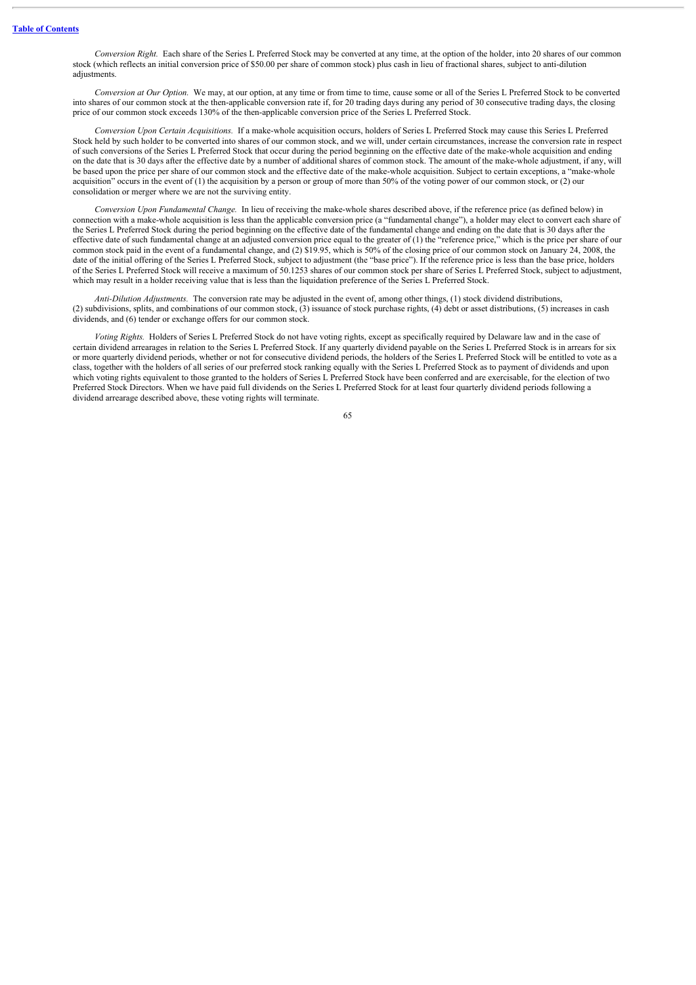*Conversion Right.* Each share of the Series L Preferred Stock may be converted at any time, at the option of the holder, into 20 shares of our common stock (which reflects an initial conversion price of \$50.00 per share of common stock) plus cash in lieu of fractional shares, subject to anti-dilution adjustments.

*Conversion at Our Option.* We may, at our option, at any time or from time to time, cause some or all of the Series L Preferred Stock to be converted into shares of our common stock at the then-applicable conversion rate if, for 20 trading days during any period of 30 consecutive trading days, the closing price of our common stock exceeds 130% of the then-applicable conversion price of the Series L Preferred Stock.

*Conversion Upon Certain Acquisitions.* If a make-whole acquisition occurs, holders of Series L Preferred Stock may cause this Series L Preferred Stock held by such holder to be converted into shares of our common stock, and we will, under certain circumstances, increase the conversion rate in respect of such conversions of the Series L Preferred Stock that occur during the period beginning on the effective date of the make-whole acquisition and ending on the date that is 30 days after the effective date by a number of additional shares of common stock. The amount of the make-whole adjustment, if any, will be based upon the price per share of our common stock and the effective date of the make-whole acquisition. Subject to certain exceptions, a "make-whole acquisition" occurs in the event of (1) the acquisition by a person or group of more than 50% of the voting power of our common stock, or (2) our consolidation or merger where we are not the surviving entity.

*Conversion Upon Fundamental Change.* In lieu of receiving the make-whole shares described above, if the reference price (as defined below) in connection with a make-whole acquisition is less than the applicable conversion price (a "fundamental change"), a holder may elect to convert each share of the Series L Preferred Stock during the period beginning on the effective date of the fundamental change and ending on the date that is 30 days after the effective date of such fundamental change at an adjusted conversion price equal to the greater of  $(1)$  the "reference price," which is the price per share of our common stock paid in the event of a fundamental change, and (2) \$19.95, which is 50% of the closing price of our common stock on January 24, 2008, the date of the initial offering of the Series L Preferred Stock, subject to adjustment (the "base price"). If the reference price is less than the base price, holders of the Series L Preferred Stock will receive a maximum of 50.1253 shares of our common stock per share of Series L Preferred Stock, subject to adjustment, which may result in a holder receiving value that is less than the liquidation preference of the Series L Preferred Stock.

*Anti-Dilution Adjustments.* The conversion rate may be adjusted in the event of, among other things, (1) stock dividend distributions, (2) subdivisions, splits, and combinations of our common stock, (3) issuance of stock purchase rights, (4) debt or asset distributions, (5) increases in cash dividends, and (6) tender or exchange offers for our common stock.

*Voting Rights.* Holders of Series L Preferred Stock do not have voting rights, except as specifically required by Delaware law and in the case of certain dividend arrearages in relation to the Series L Preferred Stock. If any quarterly dividend payable on the Series L Preferred Stock is in arrears for six or more quarterly dividend periods, whether or not for consecutive dividend periods, the holders of the Series L Preferred Stock will be entitled to vote as a class, together with the holders of all series of our preferred stock ranking equally with the Series L Preferred Stock as to payment of dividends and upon which voting rights equivalent to those granted to the holders of Series L Preferred Stock have been conferred and are exercisable, for the election of two Preferred Stock Directors. When we have paid full dividends on the Series L Preferred Stock for at least four quarterly dividend periods following a dividend arrearage described above, these voting rights will terminate.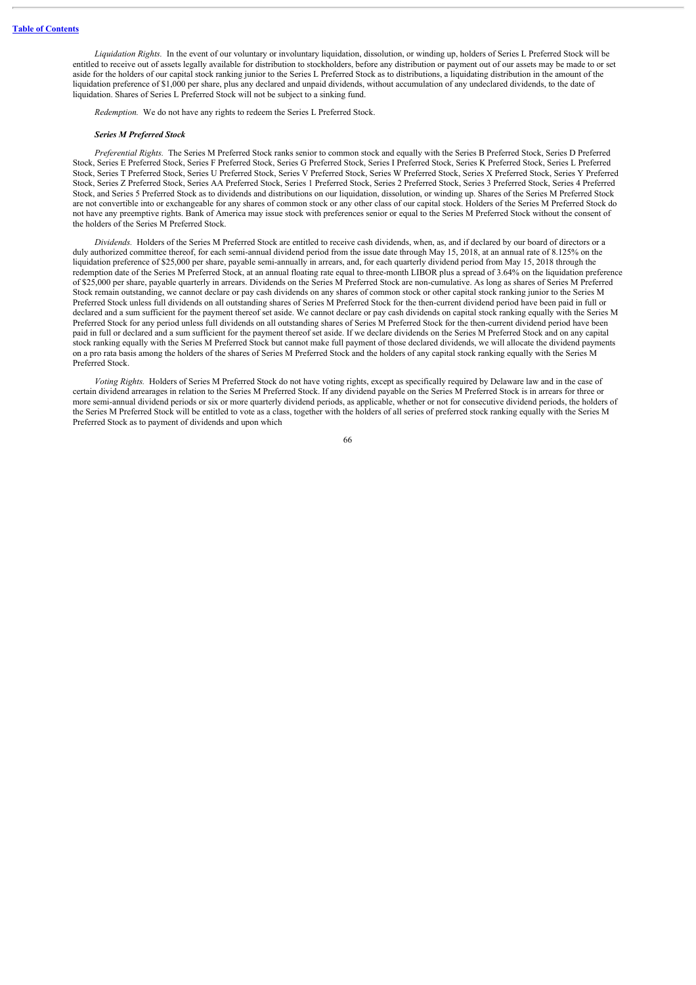*Liquidation Rights.* In the event of our voluntary or involuntary liquidation, dissolution, or winding up, holders of Series L Preferred Stock will be entitled to receive out of assets legally available for distribution to stockholders, before any distribution or payment out of our assets may be made to or set aside for the holders of our capital stock ranking junior to the Series L Preferred Stock as to distributions, a liquidating distribution in the amount of the liquidation preference of \$1,000 per share, plus any declared and unpaid dividends, without accumulation of any undeclared dividends, to the date of liquidation. Shares of Series L Preferred Stock will not be subject to a sinking fund.

*Redemption.* We do not have any rights to redeem the Series L Preferred Stock.

### *Series M Preferred Stock*

*Preferential Rights.* The Series M Preferred Stock ranks senior to common stock and equally with the Series B Preferred Stock, Series D Preferred Stock, Series E Preferred Stock, Series F Preferred Stock, Series G Preferred Stock, Series I Preferred Stock, Series K Preferred Stock, Series L Preferred Stock, Series T Preferred Stock, Series U Preferred Stock, Series V Preferred Stock, Series W Preferred Stock, Series X Preferred Stock, Series Y Preferred Stock, Series Z Preferred Stock, Series AA Preferred Stock, Series 1 Preferred Stock, Series 2 Preferred Stock, Series 3 Preferred Stock, Series 4 Preferred Stock, and Series 5 Preferred Stock as to dividends and distributions on our liquidation, dissolution, or winding up. Shares of the Series M Preferred Stock are not convertible into or exchangeable for any shares of common stock or any other class of our capital stock. Holders of the Series M Preferred Stock do not have any preemptive rights. Bank of America may issue stock with preferences senior or equal to the Series M Preferred Stock without the consent of the holders of the Series M Preferred Stock.

*Dividends.* Holders of the Series M Preferred Stock are entitled to receive cash dividends, when, as, and if declared by our board of directors or a duly authorized committee thereof, for each semi-annual dividend period from the issue date through May 15, 2018, at an annual rate of 8.125% on the liquidation preference of \$25,000 per share, payable semi-annually in arrears, and, for each quarterly dividend period from May 15, 2018 through the redemption date of the Series M Preferred Stock, at an annual floating rate equal to three-month LIBOR plus a spread of 3.64% on the liquidation preference of \$25,000 per share, payable quarterly in arrears. Dividends on the Series M Preferred Stock are non-cumulative. As long as shares of Series M Preferred Stock remain outstanding, we cannot declare or pay cash dividends on any shares of common stock or other capital stock ranking junior to the Series M Preferred Stock unless full dividends on all outstanding shares of Series M Preferred Stock for the then-current dividend period have been paid in full or declared and a sum sufficient for the payment thereof set aside. We cannot declare or pay cash dividends on capital stock ranking equally with the Series M Preferred Stock for any period unless full dividends on all outstanding shares of Series M Preferred Stock for the then-current dividend period have been paid in full or declared and a sum sufficient for the payment thereof set aside. If we declare dividends on the Series M Preferred Stock and on any capital stock ranking equally with the Series M Preferred Stock but cannot make full payment of those declared dividends, we will allocate the dividend payments on a pro rata basis among the holders of the shares of Series M Preferred Stock and the holders of any capital stock ranking equally with the Series M Preferred Stock.

*Voting Rights.* Holders of Series M Preferred Stock do not have voting rights, except as specifically required by Delaware law and in the case of certain dividend arrearages in relation to the Series M Preferred Stock. If any dividend payable on the Series M Preferred Stock is in arrears for three or more semi-annual dividend periods or six or more quarterly dividend periods, as applicable, whether or not for consecutive dividend periods, the holders of the Series M Preferred Stock will be entitled to vote as a class, together with the holders of all series of preferred stock ranking equally with the Series M Preferred Stock as to payment of dividends and upon which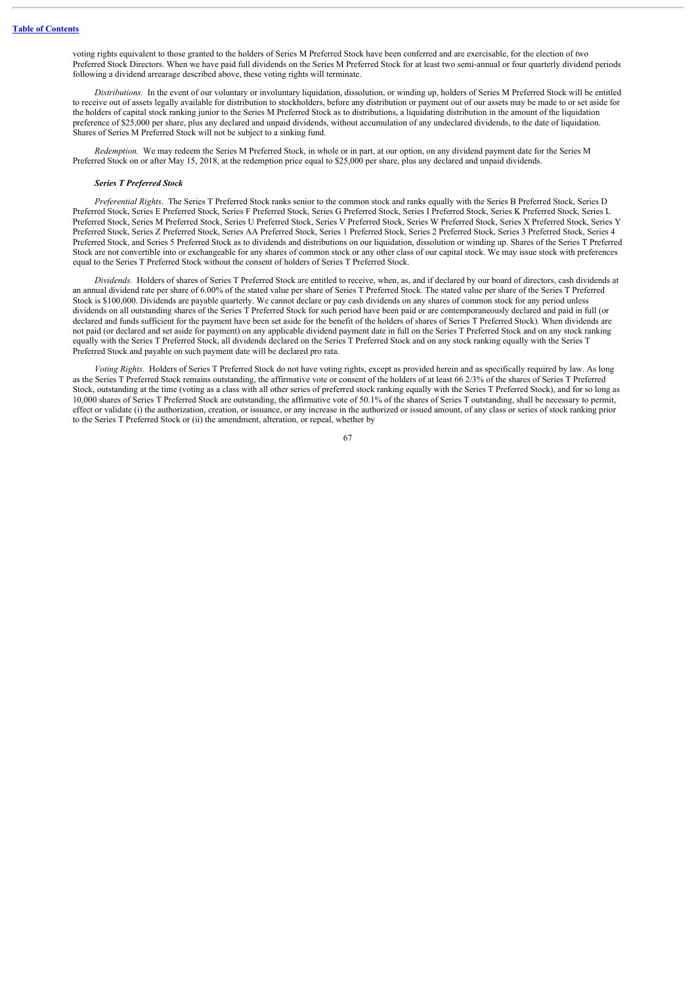voting rights equivalent to those granted to the holders of Series M Preferred Stock have been conferred and are exercisable, for the election of two Preferred Stock Directors. When we have paid full dividends on the Series M Preferred Stock for at least two semi-annual or four quarterly dividend periods following a dividend arrearage described above, these voting rights will terminate.

*Distributions.* In the event of our voluntary or involuntary liquidation, dissolution, or winding up, holders of Series M Preferred Stock will be entitled to receive out of assets legally available for distribution to stockholders, before any distribution or payment out of our assets may be made to or set aside for the holders of capital stock ranking junior to the Series M Preferred Stock as to distributions, a liquidating distribution in the amount of the liquidation preference of \$25,000 per share, plus any declared and unpaid dividends, without accumulation of any undeclared dividends, to the date of liquidation. Shares of Series M Preferred Stock will not be subject to a sinking fund.

*Redemption.* We may redeem the Series M Preferred Stock, in whole or in part, at our option, on any dividend payment date for the Series M Preferred Stock on or after May 15, 2018, at the redemption price equal to \$25,000 per share, plus any declared and unpaid dividends.

#### *Series T Preferred Stock*

*Preferential Rights*. The Series T Preferred Stock ranks senior to the common stock and ranks equally with the Series B Preferred Stock, Series D Preferred Stock, Series E Preferred Stock, Series F Preferred Stock, Series G Preferred Stock, Series I Preferred Stock, Series K Preferred Stock, Series L Preferred Stock, Series M Preferred Stock, Series U Preferred Stock, Series V Preferred Stock, Series W Preferred Stock, Series X Preferred Stock, Series Y Preferred Stock, Series Z Preferred Stock, Series AA Preferred Stock, Series 1 Preferred Stock, Series 2 Preferred Stock, Series 3 Preferred Stock, Series 4 Preferred Stock, and Series 5 Preferred Stock as to dividends and distributions on our liquidation, dissolution or winding up. Shares of the Series T Preferred Stock are not convertible into or exchangeable for any shares of common stock or any other class of our capital stock. We may issue stock with preferences equal to the Series T Preferred Stock without the consent of holders of Series T Preferred Stock.

*Dividends.* Holders of shares of Series T Preferred Stock are entitled to receive, when, as, and if declared by our board of directors, cash dividends at an annual dividend rate per share of 6.00% of the stated value per share of Series T Preferred Stock. The stated value per share of the Series T Preferred Stock is \$100,000. Dividends are payable quarterly. We cannot declare or pay cash dividends on any shares of common stock for any period unless dividends on all outstanding shares of the Series T Preferred Stock for such period have been paid or are contemporaneously declared and paid in full (or declared and funds sufficient for the payment have been set aside for the benefit of the holders of shares of Series T Preferred Stock). When dividends are not paid (or declared and set aside for payment) on any applicable dividend payment date in full on the Series T Preferred Stock and on any stock ranking equally with the Series T Preferred Stock, all dividends declared on the Series T Preferred Stock and on any stock ranking equally with the Series T Preferred Stock and payable on such payment date will be declared pro rata.

*Voting Rights.* Holders of Series T Preferred Stock do not have voting rights, except as provided herein and as specifically required by law. As long as the Series T Preferred Stock remains outstanding, the affirmative vote or consent of the holders of at least 66 2/3% of the shares of Series T Preferred Stock, outstanding at the time (voting as a class with all other series of preferred stock ranking equally with the Series T Preferred Stock), and for so long as 10,000 shares of Series T Preferred Stock are outstanding, the affirmative vote of 50.1% of the shares of Series T outstanding, shall be necessary to permit, effect or validate (i) the authorization, creation, or issuance, or any increase in the authorized or issued amount, of any class or series of stock ranking prior to the Series T Preferred Stock or (ii) the amendment, alteration, or repeal, whether by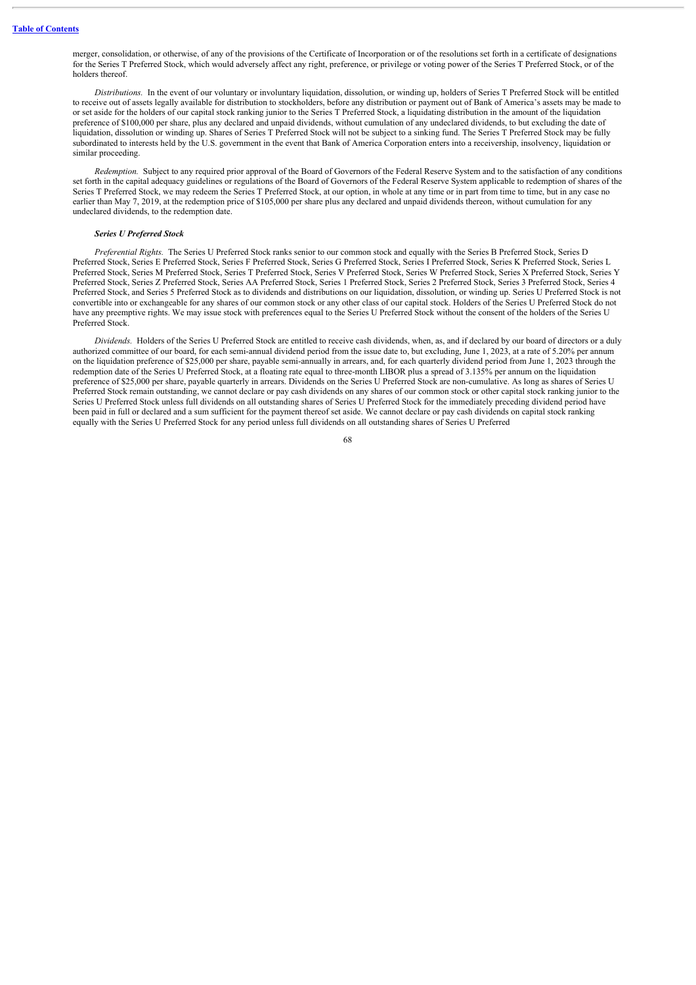merger, consolidation, or otherwise, of any of the provisions of the Certificate of Incorporation or of the resolutions set forth in a certificate of designations for the Series T Preferred Stock, which would adversely affect any right, preference, or privilege or voting power of the Series T Preferred Stock, or of the holders thereof.

*Distributions.* In the event of our voluntary or involuntary liquidation, dissolution, or winding up, holders of Series T Preferred Stock will be entitled to receive out of assets legally available for distribution to stockholders, before any distribution or payment out of Bank of America's assets may be made to or set aside for the holders of our capital stock ranking junior to the Series T Preferred Stock, a liquidating distribution in the amount of the liquidation preference of \$100,000 per share, plus any declared and unpaid dividends, without cumulation of any undeclared dividends, to but excluding the date of liquidation, dissolution or winding up. Shares of Series T Preferred Stock will not be subject to a sinking fund. The Series T Preferred Stock may be fully subordinated to interests held by the U.S. government in the event that Bank of America Corporation enters into a receivership, insolvency, liquidation or similar proceeding.

*Redemption.* Subject to any required prior approval of the Board of Governors of the Federal Reserve System and to the satisfaction of any conditions set forth in the capital adequacy guidelines or regulations of the Board of Governors of the Federal Reserve System applicable to redemption of shares of the Series T Preferred Stock, we may redeem the Series T Preferred Stock, at our option, in whole at any time or in part from time to time, but in any case no earlier than May 7, 2019, at the redemption price of \$105,000 per share plus any declared and unpaid dividends thereon, without cumulation for any undeclared dividends, to the redemption date.

### *Series U Preferred Stock*

*Preferential Rights.* The Series U Preferred Stock ranks senior to our common stock and equally with the Series B Preferred Stock, Series D Preferred Stock, Series E Preferred Stock, Series F Preferred Stock, Series G Preferred Stock, Series I Preferred Stock, Series K Preferred Stock, Series L Preferred Stock, Series M Preferred Stock, Series T Preferred Stock, Series V Preferred Stock, Series W Preferred Stock, Series X Preferred Stock, Series Y Preferred Stock, Series Z Preferred Stock, Series AA Preferred Stock, Series 1 Preferred Stock, Series 2 Preferred Stock, Series 3 Preferred Stock, Series 4 Preferred Stock, and Series 5 Preferred Stock as to dividends and distributions on our liquidation, dissolution, or winding up. Series U Preferred Stock is not convertible into or exchangeable for any shares of our common stock or any other class of our capital stock. Holders of the Series U Preferred Stock do not have any preemptive rights. We may issue stock with preferences equal to the Series U Preferred Stock without the consent of the holders of the Series U Preferred Stock.

*Dividends.* Holders of the Series U Preferred Stock are entitled to receive cash dividends, when, as, and if declared by our board of directors or a duly authorized committee of our board, for each semi-annual dividend period from the issue date to, but excluding, June 1, 2023, at a rate of 5.20% per annum on the liquidation preference of \$25,000 per share, payable semi-annually in arrears, and, for each quarterly dividend period from June 1, 2023 through the redemption date of the Series U Preferred Stock, at a floating rate equal to three-month LIBOR plus a spread of 3.135% per annum on the liquidation preference of \$25,000 per share, payable quarterly in arrears. Dividends on the Series U Preferred Stock are non-cumulative. As long as shares of Series U Preferred Stock remain outstanding, we cannot declare or pay cash dividends on any shares of our common stock or other capital stock ranking junior to the Series U Preferred Stock unless full dividends on all outstanding shares of Series U Preferred Stock for the immediately preceding dividend period have been paid in full or declared and a sum sufficient for the payment thereof set aside. We cannot declare or pay cash dividends on capital stock ranking equally with the Series U Preferred Stock for any period unless full dividends on all outstanding shares of Series U Preferred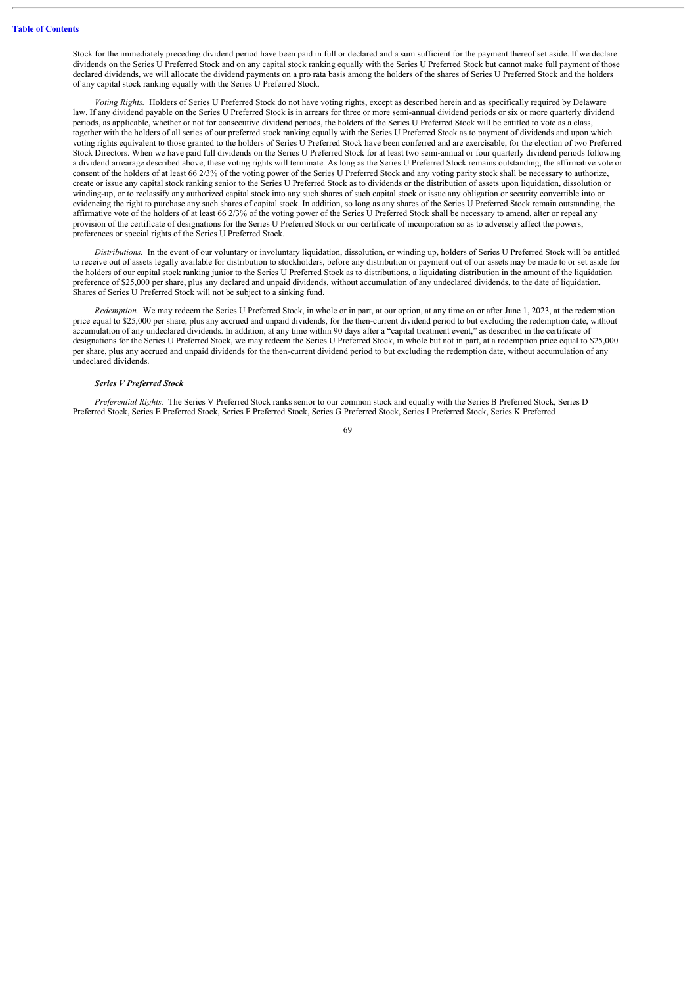Stock for the immediately preceding dividend period have been paid in full or declared and a sum sufficient for the payment thereof set aside. If we declare dividends on the Series U Preferred Stock and on any capital stock ranking equally with the Series U Preferred Stock but cannot make full payment of those declared dividends, we will allocate the dividend payments on a pro rata basis among the holders of the shares of Series U Preferred Stock and the holders of any capital stock ranking equally with the Series U Preferred Stock.

*Voting Rights.* Holders of Series U Preferred Stock do not have voting rights, except as described herein and as specifically required by Delaware law. If any dividend payable on the Series U Preferred Stock is in arrears for three or more semi-annual dividend periods or six or more quarterly dividend periods, as applicable, whether or not for consecutive dividend periods, the holders of the Series U Preferred Stock will be entitled to vote as a class, together with the holders of all series of our preferred stock ranking equally with the Series U Preferred Stock as to payment of dividends and upon which voting rights equivalent to those granted to the holders of Series U Preferred Stock have been conferred and are exercisable, for the election of two Preferred Stock Directors. When we have paid full dividends on the Series U Preferred Stock for at least two semi-annual or four quarterly dividend periods following a dividend arrearage described above, these voting rights will terminate. As long as the Series U Preferred Stock remains outstanding, the affirmative vote or consent of the holders of at least 66 2/3% of the voting power of the Series U Preferred Stock and any voting parity stock shall be necessary to authorize, create or issue any capital stock ranking senior to the Series U Preferred Stock as to dividends or the distribution of assets upon liquidation, dissolution or winding-up, or to reclassify any authorized capital stock into any such shares of such capital stock or issue any obligation or security convertible into or evidencing the right to purchase any such shares of capital stock. In addition, so long as any shares of the Series U Preferred Stock remain outstanding, the affirmative vote of the holders of at least 66 2/3% of the voting power of the Series U Preferred Stock shall be necessary to amend, alter or repeal any provision of the certificate of designations for the Series U Preferred Stock or our certificate of incorporation so as to adversely affect the powers, preferences or special rights of the Series U Preferred Stock.

*Distributions.* In the event of our voluntary or involuntary liquidation, dissolution, or winding up, holders of Series U Preferred Stock will be entitled to receive out of assets legally available for distribution to stockholders, before any distribution or payment out of our assets may be made to or set aside for the holders of our capital stock ranking junior to the Series U Preferred Stock as to distributions, a liquidating distribution in the amount of the liquidation preference of \$25,000 per share, plus any declared and unpaid dividends, without accumulation of any undeclared dividends, to the date of liquidation. Shares of Series U Preferred Stock will not be subject to a sinking fund.

*Redemption.* We may redeem the Series U Preferred Stock, in whole or in part, at our option, at any time on or after June 1, 2023, at the redemption price equal to \$25,000 per share, plus any accrued and unpaid dividends, for the then-current dividend period to but excluding the redemption date, without accumulation of any undeclared dividends. In addition, at any time within 90 days after a "capital treatment event," as described in the certificate of designations for the Series U Preferred Stock, we may redeem the Series U Preferred Stock, in whole but not in part, at a redemption price equal to \$25,000 per share, plus any accrued and unpaid dividends for the then-current dividend period to but excluding the redemption date, without accumulation of any undeclared dividends.

## *Series V Preferred Stock*

*Preferential Rights.* The Series V Preferred Stock ranks senior to our common stock and equally with the Series B Preferred Stock, Series D Preferred Stock, Series E Preferred Stock, Series F Preferred Stock, Series G Preferred Stock, Series I Preferred Stock, Series K Preferred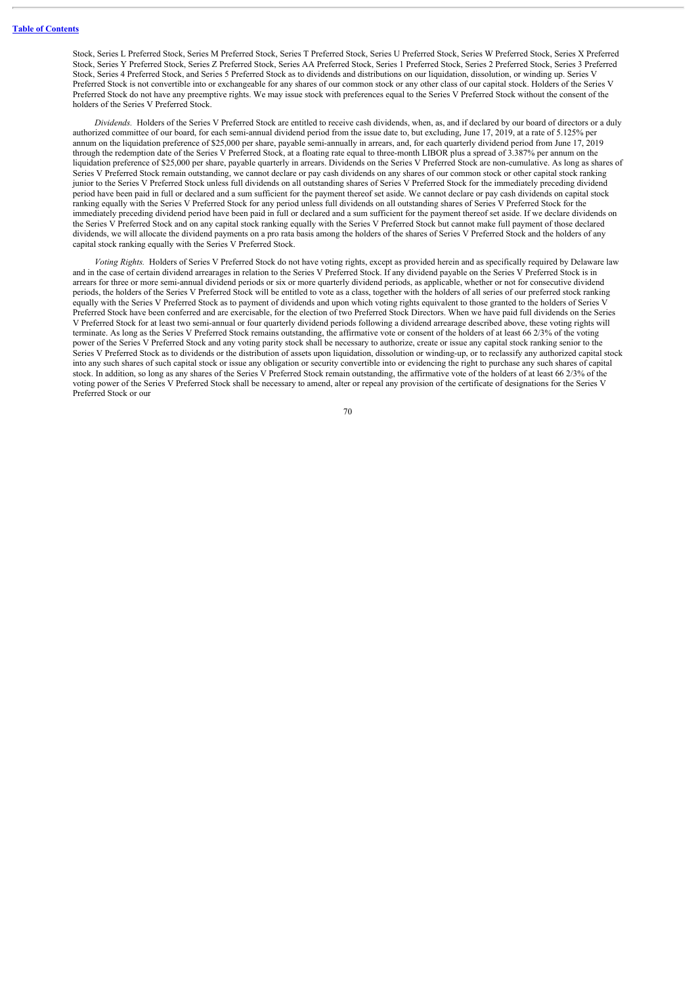Stock, Series L Preferred Stock, Series M Preferred Stock, Series T Preferred Stock, Series U Preferred Stock, Series W Preferred Stock, Series X Preferred Stock, Series Y Preferred Stock, Series Z Preferred Stock, Series AA Preferred Stock, Series 1 Preferred Stock, Series 2 Preferred Stock, Series 3 Preferred Stock, Series 4 Preferred Stock, and Series 5 Preferred Stock as to dividends and distributions on our liquidation, dissolution, or winding up. Series V Preferred Stock is not convertible into or exchangeable for any shares of our common stock or any other class of our capital stock. Holders of the Series V Preferred Stock do not have any preemptive rights. We may issue stock with preferences equal to the Series V Preferred Stock without the consent of the holders of the Series V Preferred Stock.

*Dividends.* Holders of the Series V Preferred Stock are entitled to receive cash dividends, when, as, and if declared by our board of directors or a duly authorized committee of our board, for each semi-annual dividend period from the issue date to, but excluding, June 17, 2019, at a rate of 5.125% per annum on the liquidation preference of \$25,000 per share, payable semi-annually in arrears, and, for each quarterly dividend period from June 17, 2019 through the redemption date of the Series V Preferred Stock, at a floating rate equal to three-month LIBOR plus a spread of 3.387% per annum on the liquidation preference of \$25,000 per share, payable quarterly in arrears. Dividends on the Series V Preferred Stock are non-cumulative. As long as shares of Series V Preferred Stock remain outstanding, we cannot declare or pay cash dividends on any shares of our common stock or other capital stock ranking junior to the Series V Preferred Stock unless full dividends on all outstanding shares of Series V Preferred Stock for the immediately preceding dividend period have been paid in full or declared and a sum sufficient for the payment thereof set aside. We cannot declare or pay cash dividends on capital stock ranking equally with the Series V Preferred Stock for any period unless full dividends on all outstanding shares of Series V Preferred Stock for the immediately preceding dividend period have been paid in full or declared and a sum sufficient for the payment thereof set aside. If we declare dividends on the Series V Preferred Stock and on any capital stock ranking equally with the Series V Preferred Stock but cannot make full payment of those declared dividends, we will allocate the dividend payments on a pro rata basis among the holders of the shares of Series V Preferred Stock and the holders of any capital stock ranking equally with the Series V Preferred Stock.

*Voting Rights.* Holders of Series V Preferred Stock do not have voting rights, except as provided herein and as specifically required by Delaware law and in the case of certain dividend arrearages in relation to the Series V Preferred Stock. If any dividend payable on the Series V Preferred Stock is in arrears for three or more semi-annual dividend periods or six or more quarterly dividend periods, as applicable, whether or not for consecutive dividend periods, the holders of the Series V Preferred Stock will be entitled to vote as a class, together with the holders of all series of our preferred stock ranking equally with the Series V Preferred Stock as to payment of dividends and upon which voting rights equivalent to those granted to the holders of Series V Preferred Stock have been conferred and are exercisable, for the election of two Preferred Stock Directors. When we have paid full dividends on the Series V Preferred Stock for at least two semi-annual or four quarterly dividend periods following a dividend arrearage described above, these voting rights will terminate. As long as the Series V Preferred Stock remains outstanding, the affirmative vote or consent of the holders of at least 66 2/3% of the voting power of the Series V Preferred Stock and any voting parity stock shall be necessary to authorize, create or issue any capital stock ranking senior to the Series V Preferred Stock as to dividends or the distribution of assets upon liquidation, dissolution or winding-up, or to reclassify any authorized capital stock into any such shares of such capital stock or issue any obligation or security convertible into or evidencing the right to purchase any such shares of capital stock. In addition, so long as any shares of the Series V Preferred Stock remain outstanding, the affirmative vote of the holders of at least 66 2/3% of the voting power of the Series V Preferred Stock shall be necessary to amend, alter or repeal any provision of the certificate of designations for the Series V Preferred Stock or our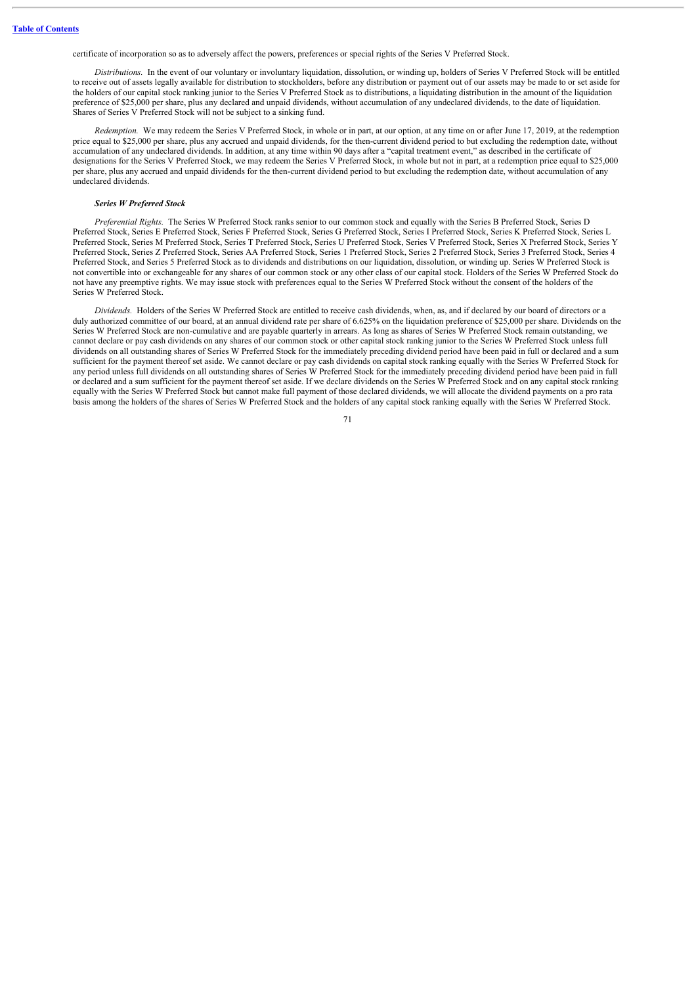certificate of incorporation so as to adversely affect the powers, preferences or special rights of the Series V Preferred Stock.

*Distributions.* In the event of our voluntary or involuntary liquidation, dissolution, or winding up, holders of Series V Preferred Stock will be entitled to receive out of assets legally available for distribution to stockholders, before any distribution or payment out of our assets may be made to or set aside for the holders of our capital stock ranking junior to the Series V Preferred Stock as to distributions, a liquidating distribution in the amount of the liquidation preference of \$25,000 per share, plus any declared and unpaid dividends, without accumulation of any undeclared dividends, to the date of liquidation. Shares of Series V Preferred Stock will not be subject to a sinking fund.

*Redemption.* We may redeem the Series V Preferred Stock, in whole or in part, at our option, at any time on or after June 17, 2019, at the redemption price equal to \$25,000 per share, plus any accrued and unpaid dividends, for the then-current dividend period to but excluding the redemption date, without accumulation of any undeclared dividends. In addition, at any time within 90 days after a "capital treatment event," as described in the certificate of designations for the Series V Preferred Stock, we may redeem the Series V Preferred Stock, in whole but not in part, at a redemption price equal to \$25,000 per share, plus any accrued and unpaid dividends for the then-current dividend period to but excluding the redemption date, without accumulation of any undeclared dividends.

## *Series W Preferred Stock*

*Preferential Rights.* The Series W Preferred Stock ranks senior to our common stock and equally with the Series B Preferred Stock, Series D Preferred Stock, Series E Preferred Stock, Series F Preferred Stock, Series G Preferred Stock, Series I Preferred Stock, Series K Preferred Stock, Series L Preferred Stock, Series M Preferred Stock, Series T Preferred Stock, Series U Preferred Stock, Series V Preferred Stock, Series X Preferred Stock, Series Y Preferred Stock, Series Z Preferred Stock, Series AA Preferred Stock, Series 1 Preferred Stock, Series 2 Preferred Stock, Series 3 Preferred Stock, Series 4 Preferred Stock, and Series 5 Preferred Stock as to dividends and distributions on our liquidation, dissolution, or winding up. Series W Preferred Stock is not convertible into or exchangeable for any shares of our common stock or any other class of our capital stock. Holders of the Series W Preferred Stock do not have any preemptive rights. We may issue stock with preferences equal to the Series W Preferred Stock without the consent of the holders of the Series W Preferred Stock.

*Dividends.* Holders of the Series W Preferred Stock are entitled to receive cash dividends, when, as, and if declared by our board of directors or a duly authorized committee of our board, at an annual dividend rate per share of 6.625% on the liquidation preference of \$25,000 per share. Dividends on the Series W Preferred Stock are non-cumulative and are payable quarterly in arrears. As long as shares of Series W Preferred Stock remain outstanding, we cannot declare or pay cash dividends on any shares of our common stock or other capital stock ranking junior to the Series W Preferred Stock unless full dividends on all outstanding shares of Series W Preferred Stock for the immediately preceding dividend period have been paid in full or declared and a sum sufficient for the payment thereof set aside. We cannot declare or pay cash dividends on capital stock ranking equally with the Series W Preferred Stock for any period unless full dividends on all outstanding shares of Series W Preferred Stock for the immediately preceding dividend period have been paid in full or declared and a sum sufficient for the payment thereof set aside. If we declare dividends on the Series W Preferred Stock and on any capital stock ranking equally with the Series W Preferred Stock but cannot make full payment of those declared dividends, we will allocate the dividend payments on a pro rata basis among the holders of the shares of Series W Preferred Stock and the holders of any capital stock ranking equally with the Series W Preferred Stock.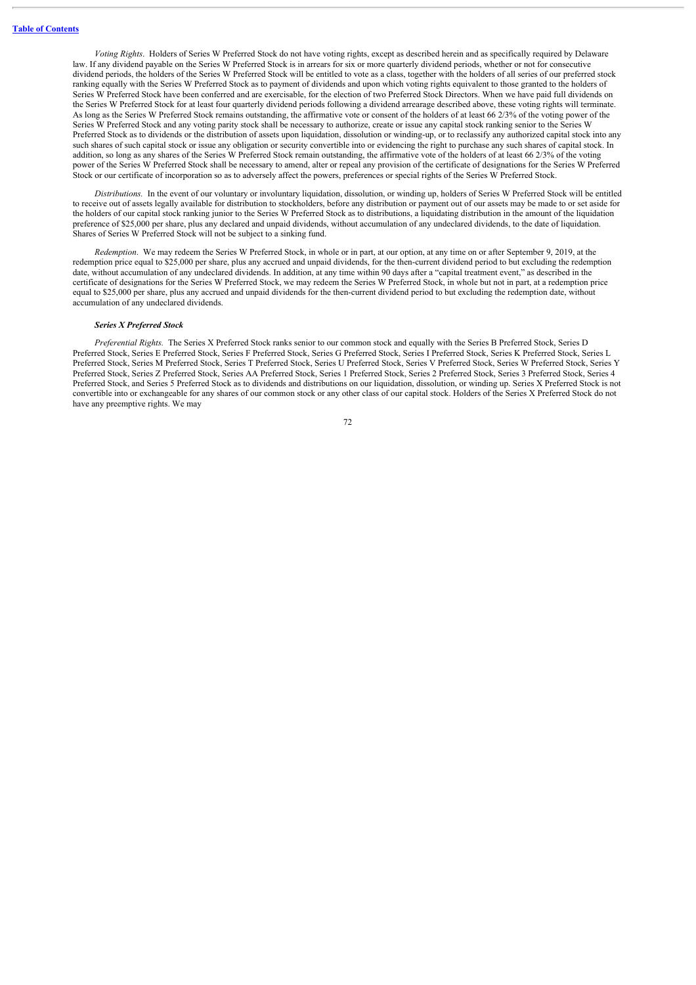*Voting Rights*. Holders of Series W Preferred Stock do not have voting rights, except as described herein and as specifically required by Delaware law. If any dividend payable on the Series W Preferred Stock is in arrears for six or more quarterly dividend periods, whether or not for consecutive dividend periods, the holders of the Series W Preferred Stock will be entitled to vote as a class, together with the holders of all series of our preferred stock ranking equally with the Series W Preferred Stock as to payment of dividends and upon which voting rights equivalent to those granted to the holders of Series W Preferred Stock have been conferred and are exercisable, for the election of two Preferred Stock Directors. When we have paid full dividends on the Series W Preferred Stock for at least four quarterly dividend periods following a dividend arrearage described above, these voting rights will terminate. As long as the Series W Preferred Stock remains outstanding, the affirmative vote or consent of the holders of at least 66 2/3% of the voting power of the Series W Preferred Stock and any voting parity stock shall be necessary to authorize, create or issue any capital stock ranking senior to the Series W Preferred Stock as to dividends or the distribution of assets upon liquidation, dissolution or winding-up, or to reclassify any authorized capital stock into any such shares of such capital stock or issue any obligation or security convertible into or evidencing the right to purchase any such shares of capital stock. In addition, so long as any shares of the Series W Preferred Stock remain outstanding, the affirmative vote of the holders of at least 66 2/3% of the voting power of the Series W Preferred Stock shall be necessary to amend, alter or repeal any provision of the certificate of designations for the Series W Preferred Stock or our certificate of incorporation so as to adversely affect the powers, preferences or special rights of the Series W Preferred Stock.

*Distributions.* In the event of our voluntary or involuntary liquidation, dissolution, or winding up, holders of Series W Preferred Stock will be entitled to receive out of assets legally available for distribution to stockholders, before any distribution or payment out of our assets may be made to or set aside for the holders of our capital stock ranking junior to the Series W Preferred Stock as to distributions, a liquidating distribution in the amount of the liquidation preference of \$25,000 per share, plus any declared and unpaid dividends, without accumulation of any undeclared dividends, to the date of liquidation. Shares of Series W Preferred Stock will not be subject to a sinking fund.

*Redemption*. We may redeem the Series W Preferred Stock, in whole or in part, at our option, at any time on or after September 9, 2019, at the redemption price equal to \$25,000 per share, plus any accrued and unpaid dividends, for the then-current dividend period to but excluding the redemption date, without accumulation of any undeclared dividends. In addition, at any time within 90 days after a "capital treatment event," as described in the certificate of designations for the Series W Preferred Stock, we may redeem the Series W Preferred Stock, in whole but not in part, at a redemption price equal to \$25,000 per share, plus any accrued and unpaid dividends for the then-current dividend period to but excluding the redemption date, without accumulation of any undeclared dividends.

# *Series X Preferred Stock*

*Preferential Rights.* The Series X Preferred Stock ranks senior to our common stock and equally with the Series B Preferred Stock, Series D Preferred Stock, Series E Preferred Stock, Series F Preferred Stock, Series G Preferred Stock, Series I Preferred Stock, Series K Preferred Stock, Series L Preferred Stock, Series M Preferred Stock, Series T Preferred Stock, Series U Preferred Stock, Series V Preferred Stock, Series W Preferred Stock, Series Y Preferred Stock, Series Z Preferred Stock, Series AA Preferred Stock, Series 1 Preferred Stock, Series 2 Preferred Stock, Series 3 Preferred Stock, Series 4 Preferred Stock, and Series 5 Preferred Stock as to dividends and distributions on our liquidation, dissolution, or winding up. Series X Preferred Stock is not convertible into or exchangeable for any shares of our common stock or any other class of our capital stock. Holders of the Series X Preferred Stock do not have any preemptive rights. We may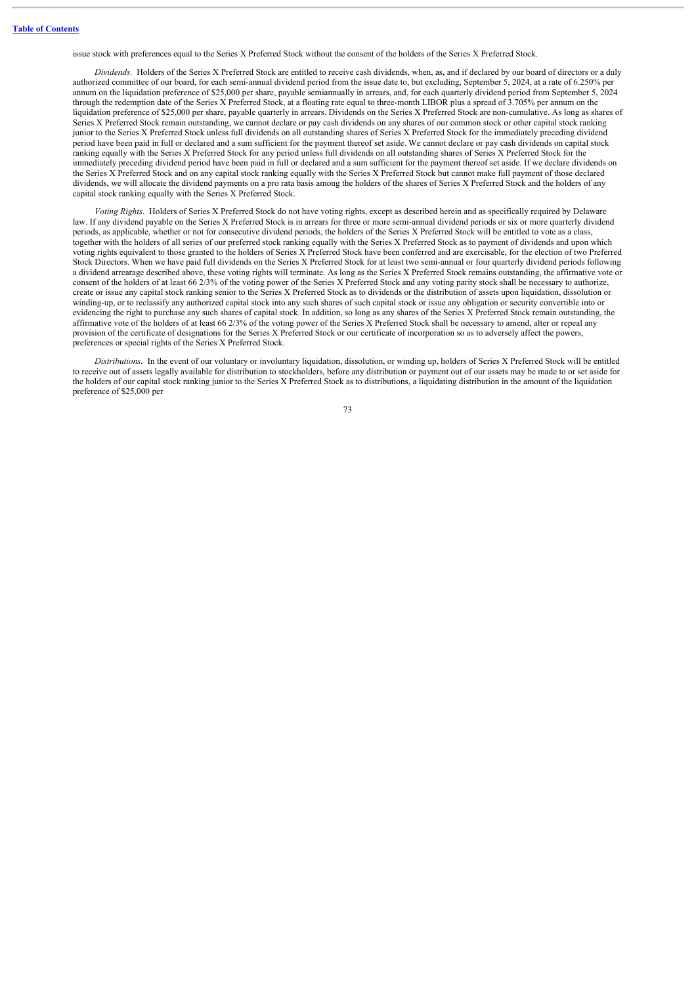issue stock with preferences equal to the Series X Preferred Stock without the consent of the holders of the Series X Preferred Stock.

*Dividends.* Holders of the Series X Preferred Stock are entitled to receive cash dividends, when, as, and if declared by our board of directors or a duly authorized committee of our board, for each semi-annual dividend period from the issue date to, but excluding, September 5, 2024, at a rate of 6.250% per annum on the liquidation preference of \$25,000 per share, payable semiannually in arrears, and, for each quarterly dividend period from September 5, 2024 through the redemption date of the Series X Preferred Stock, at a floating rate equal to three-month LIBOR plus a spread of 3.705% per annum on the liquidation preference of \$25,000 per share, payable quarterly in arrears. Dividends on the Series X Preferred Stock are non-cumulative. As long as shares of Series X Preferred Stock remain outstanding, we cannot declare or pay cash dividends on any shares of our common stock or other capital stock ranking junior to the Series X Preferred Stock unless full dividends on all outstanding shares of Series X Preferred Stock for the immediately preceding dividend period have been paid in full or declared and a sum sufficient for the payment thereof set aside. We cannot declare or pay cash dividends on capital stock ranking equally with the Series X Preferred Stock for any period unless full dividends on all outstanding shares of Series X Preferred Stock for the immediately preceding dividend period have been paid in full or declared and a sum sufficient for the payment thereof set aside. If we declare dividends on the Series X Preferred Stock and on any capital stock ranking equally with the Series X Preferred Stock but cannot make full payment of those declared dividends, we will allocate the dividend payments on a pro rata basis among the holders of the shares of Series X Preferred Stock and the holders of any capital stock ranking equally with the Series X Preferred Stock.

*Voting Rights*. Holders of Series X Preferred Stock do not have voting rights, except as described herein and as specifically required by Delaware law. If any dividend payable on the Series X Preferred Stock is in arrears for three or more semi-annual dividend periods or six or more quarterly dividend periods, as applicable, whether or not for consecutive dividend periods, the holders of the Series X Preferred Stock will be entitled to vote as a class, together with the holders of all series of our preferred stock ranking equally with the Series X Preferred Stock as to payment of dividends and upon which voting rights equivalent to those granted to the holders of Series X Preferred Stock have been conferred and are exercisable, for the election of two Preferred Stock Directors. When we have paid full dividends on the Series X Preferred Stock for at least two semi-annual or four quarterly dividend periods following a dividend arrearage described above, these voting rights will terminate. As long as the Series X Preferred Stock remains outstanding, the affirmative vote or consent of the holders of at least 66 2/3% of the voting power of the Series X Preferred Stock and any voting parity stock shall be necessary to authorize, create or issue any capital stock ranking senior to the Series X Preferred Stock as to dividends or the distribution of assets upon liquidation, dissolution or winding-up, or to reclassify any authorized capital stock into any such shares of such capital stock or issue any obligation or security convertible into or evidencing the right to purchase any such shares of capital stock. In addition, so long as any shares of the Series X Preferred Stock remain outstanding, the affirmative vote of the holders of at least 66 2/3% of the voting power of the Series X Preferred Stock shall be necessary to amend, alter or repeal any provision of the certificate of designations for the Series X Preferred Stock or our certificate of incorporation so as to adversely affect the powers, preferences or special rights of the Series X Preferred Stock.

*Distributions.* In the event of our voluntary or involuntary liquidation, dissolution, or winding up, holders of Series X Preferred Stock will be entitled to receive out of assets legally available for distribution to stockholders, before any distribution or payment out of our assets may be made to or set aside for the holders of our capital stock ranking junior to the Series X Preferred Stock as to distributions, a liquidating distribution in the amount of the liquidation preference of \$25,000 per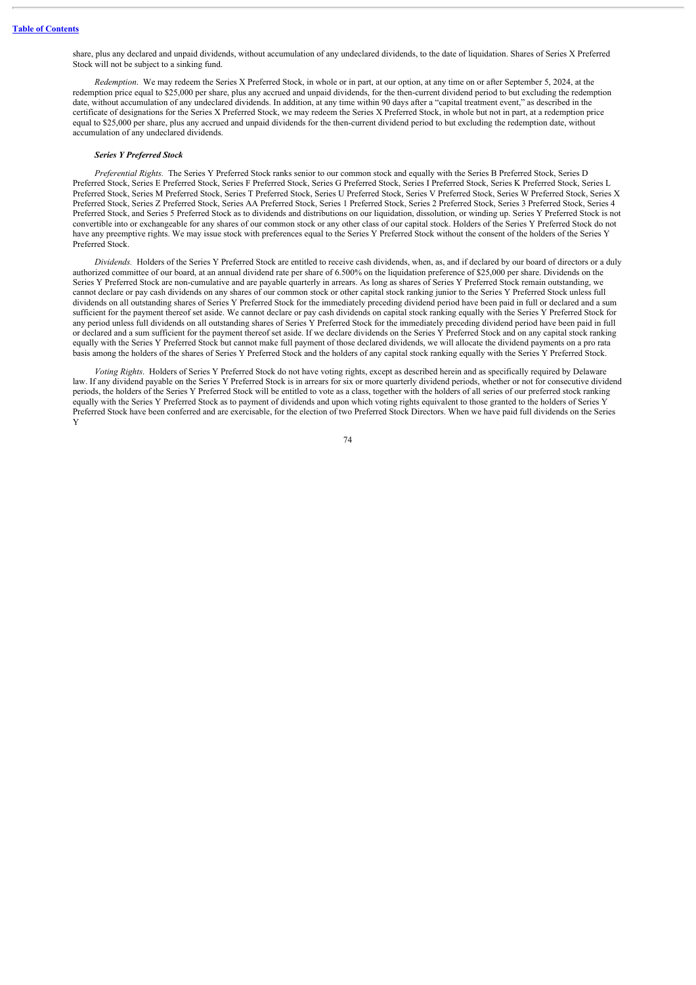share, plus any declared and unpaid dividends, without accumulation of any undeclared dividends, to the date of liquidation. Shares of Series X Preferred Stock will not be subject to a sinking fund.

*Redemption*. We may redeem the Series X Preferred Stock, in whole or in part, at our option, at any time on or after September 5, 2024, at the redemption price equal to \$25,000 per share, plus any accrued and unpaid dividends, for the then-current dividend period to but excluding the redemption date, without accumulation of any undeclared dividends. In addition, at any time within 90 days after a "capital treatment event," as described in the certificate of designations for the Series X Preferred Stock, we may redeem the Series X Preferred Stock, in whole but not in part, at a redemption price equal to \$25,000 per share, plus any accrued and unpaid dividends for the then-current dividend period to but excluding the redemption date, without accumulation of any undeclared dividends.

### *Series Y Preferred Stock*

*Preferential Rights.* The Series Y Preferred Stock ranks senior to our common stock and equally with the Series B Preferred Stock, Series D Preferred Stock, Series E Preferred Stock, Series F Preferred Stock, Series G Preferred Stock, Series I Preferred Stock, Series K Preferred Stock, Series L Preferred Stock, Series M Preferred Stock, Series T Preferred Stock, Series U Preferred Stock, Series V Preferred Stock, Series W Preferred Stock, Series X Preferred Stock, Series Z Preferred Stock, Series AA Preferred Stock, Series 1 Preferred Stock, Series 2 Preferred Stock, Series 3 Preferred Stock, Series 4 Preferred Stock, and Series 5 Preferred Stock as to dividends and distributions on our liquidation, dissolution, or winding up. Series Y Preferred Stock is not convertible into or exchangeable for any shares of our common stock or any other class of our capital stock. Holders of the Series Y Preferred Stock do not have any preemptive rights. We may issue stock with preferences equal to the Series Y Preferred Stock without the consent of the holders of the Series Y Preferred Stock.

*Dividends.* Holders of the Series Y Preferred Stock are entitled to receive cash dividends, when, as, and if declared by our board of directors or a duly authorized committee of our board, at an annual dividend rate per share of 6.500% on the liquidation preference of \$25,000 per share. Dividends on the Series Y Preferred Stock are non-cumulative and are payable quarterly in arrears. As long as shares of Series Y Preferred Stock remain outstanding, we cannot declare or pay cash dividends on any shares of our common stock or other capital stock ranking junior to the Series Y Preferred Stock unless full dividends on all outstanding shares of Series Y Preferred Stock for the immediately preceding dividend period have been paid in full or declared and a sum sufficient for the payment thereof set aside. We cannot declare or pay cash dividends on capital stock ranking equally with the Series Y Preferred Stock for any period unless full dividends on all outstanding shares of Series Y Preferred Stock for the immediately preceding dividend period have been paid in full or declared and a sum sufficient for the payment thereof set aside. If we declare dividends on the Series Y Preferred Stock and on any capital stock ranking equally with the Series Y Preferred Stock but cannot make full payment of those declared dividends, we will allocate the dividend payments on a pro rata basis among the holders of the shares of Series Y Preferred Stock and the holders of any capital stock ranking equally with the Series Y Preferred Stock.

*Voting Rights*. Holders of Series Y Preferred Stock do not have voting rights, except as described herein and as specifically required by Delaware law. If any dividend payable on the Series Y Preferred Stock is in arrears for six or more quarterly dividend periods, whether or not for consecutive dividend periods, the holders of the Series Y Preferred Stock will be entitled to vote as a class, together with the holders of all series of our preferred stock ranking equally with the Series Y Preferred Stock as to payment of dividends and upon which voting rights equivalent to those granted to the holders of Series Y Preferred Stock have been conferred and are exercisable, for the election of two Preferred Stock Directors. When we have paid full dividends on the Series Y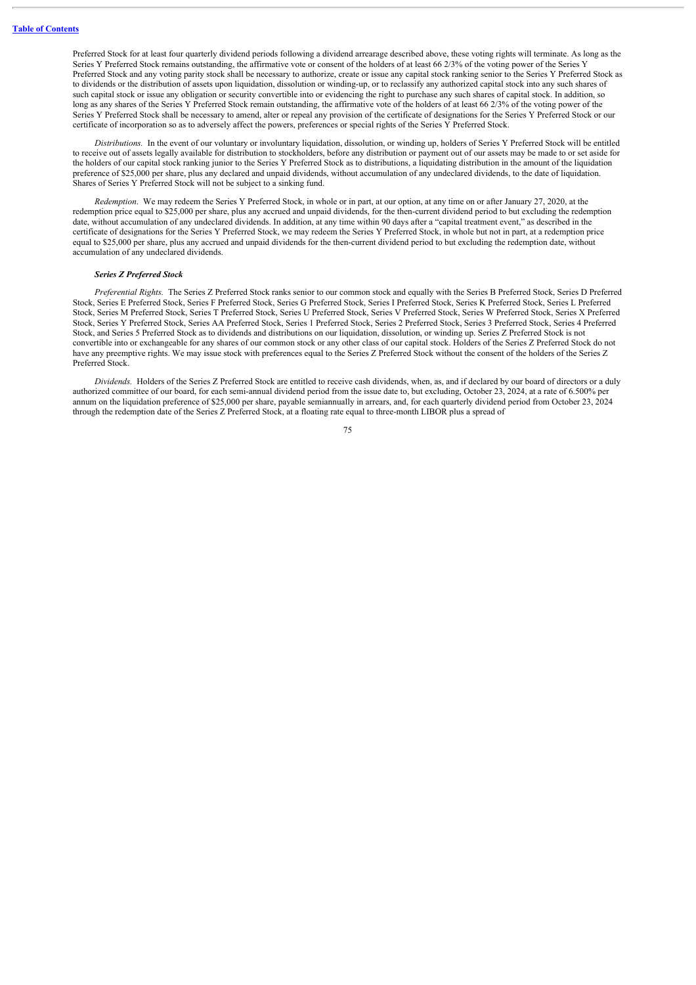Preferred Stock for at least four quarterly dividend periods following a dividend arrearage described above, these voting rights will terminate. As long as the Series Y Preferred Stock remains outstanding, the affirmative vote or consent of the holders of at least 66 2/3% of the voting power of the Series Y Preferred Stock and any voting parity stock shall be necessary to authorize, create or issue any capital stock ranking senior to the Series Y Preferred Stock as to dividends or the distribution of assets upon liquidation, dissolution or winding-up, or to reclassify any authorized capital stock into any such shares of such capital stock or issue any obligation or security convertible into or evidencing the right to purchase any such shares of capital stock. In addition, so long as any shares of the Series Y Preferred Stock remain outstanding, the affirmative vote of the holders of at least 66 2/3% of the voting power of the Series Y Preferred Stock shall be necessary to amend, alter or repeal any provision of the certificate of designations for the Series Y Preferred Stock or our certificate of incorporation so as to adversely affect the powers, preferences or special rights of the Series Y Preferred Stock.

*Distributions.* In the event of our voluntary or involuntary liquidation, dissolution, or winding up, holders of Series Y Preferred Stock will be entitled to receive out of assets legally available for distribution to stockholders, before any distribution or payment out of our assets may be made to or set aside for the holders of our capital stock ranking junior to the Series Y Preferred Stock as to distributions, a liquidating distribution in the amount of the liquidation preference of \$25,000 per share, plus any declared and unpaid dividends, without accumulation of any undeclared dividends, to the date of liquidation. Shares of Series Y Preferred Stock will not be subject to a sinking fund.

*Redemption*. We may redeem the Series Y Preferred Stock, in whole or in part, at our option, at any time on or after January 27, 2020, at the redemption price equal to \$25,000 per share, plus any accrued and unpaid dividends, for the then-current dividend period to but excluding the redemption date, without accumulation of any undeclared dividends. In addition, at any time within 90 days after a "capital treatment event," as described in the certificate of designations for the Series Y Preferred Stock, we may redeem the Series Y Preferred Stock, in whole but not in part, at a redemption price equal to \$25,000 per share, plus any accrued and unpaid dividends for the then-current dividend period to but excluding the redemption date, without accumulation of any undeclared dividends.

### *Series Z Preferred Stock*

*Preferential Rights.* The Series Z Preferred Stock ranks senior to our common stock and equally with the Series B Preferred Stock, Series D Preferred Stock, Series E Preferred Stock, Series F Preferred Stock, Series G Preferred Stock, Series I Preferred Stock, Series K Preferred Stock, Series L Preferred Stock, Series M Preferred Stock, Series T Preferred Stock, Series U Preferred Stock, Series V Preferred Stock, Series W Preferred Stock, Series X Preferred Stock, Series Y Preferred Stock, Series AA Preferred Stock, Series 1 Preferred Stock, Series 2 Preferred Stock, Series 3 Preferred Stock, Series 4 Preferred Stock, and Series 5 Preferred Stock as to dividends and distributions on our liquidation, dissolution, or winding up. Series Z Preferred Stock is not convertible into or exchangeable for any shares of our common stock or any other class of our capital stock. Holders of the Series Z Preferred Stock do not have any preemptive rights. We may issue stock with preferences equal to the Series Z Preferred Stock without the consent of the holders of the Series Z Preferred Stock.

*Dividends.* Holders of the Series Z Preferred Stock are entitled to receive cash dividends, when, as, and if declared by our board of directors or a duly authorized committee of our board, for each semi-annual dividend period from the issue date to, but excluding, October 23, 2024, at a rate of 6.500% per annum on the liquidation preference of \$25,000 per share, payable semiannually in arrears, and, for each quarterly dividend period from October 23, 2024 through the redemption date of the Series Z Preferred Stock, at a floating rate equal to three-month LIBOR plus a spread of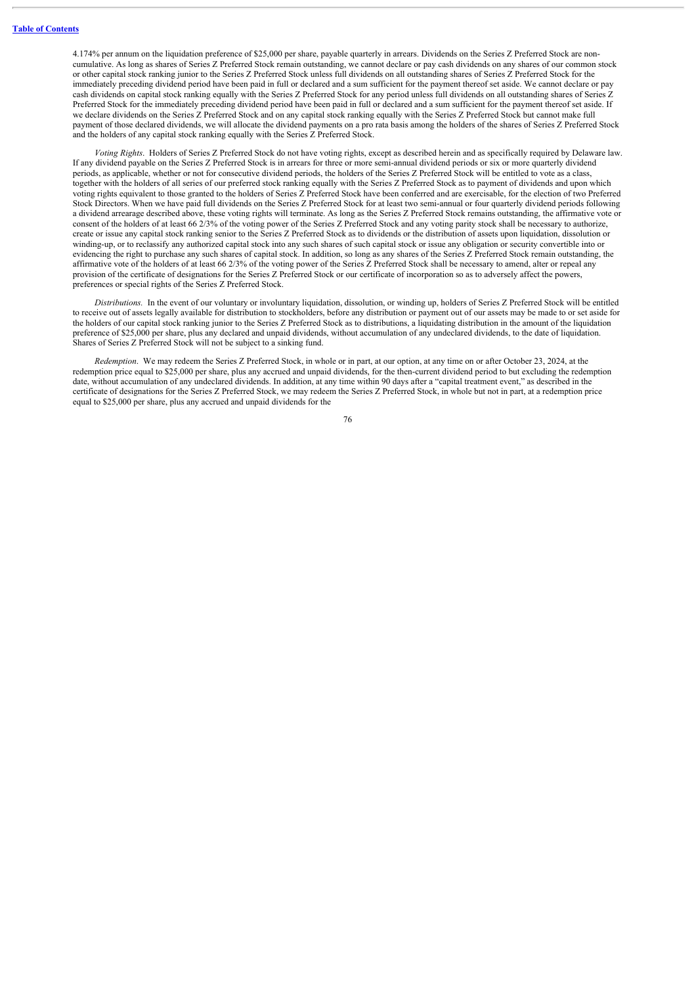4.174% per annum on the liquidation preference of \$25,000 per share, payable quarterly in arrears. Dividends on the Series Z Preferred Stock are noncumulative. As long as shares of Series Z Preferred Stock remain outstanding, we cannot declare or pay cash dividends on any shares of our common stock or other capital stock ranking junior to the Series Z Preferred Stock unless full dividends on all outstanding shares of Series Z Preferred Stock for the immediately preceding dividend period have been paid in full or declared and a sum sufficient for the payment thereof set aside. We cannot declare or pay cash dividends on capital stock ranking equally with the Series Z Preferred Stock for any period unless full dividends on all outstanding shares of Series Z Preferred Stock for the immediately preceding dividend period have been paid in full or declared and a sum sufficient for the payment thereof set aside. If we declare dividends on the Series Z Preferred Stock and on any capital stock ranking equally with the Series Z Preferred Stock but cannot make full payment of those declared dividends, we will allocate the dividend payments on a pro rata basis among the holders of the shares of Series Z Preferred Stock and the holders of any capital stock ranking equally with the Series Z Preferred Stock.

*Voting Rights*. Holders of Series Z Preferred Stock do not have voting rights, except as described herein and as specifically required by Delaware law. If any dividend payable on the Series Z Preferred Stock is in arrears for three or more semi-annual dividend periods or six or more quarterly dividend periods, as applicable, whether or not for consecutive dividend periods, the holders of the Series Z Preferred Stock will be entitled to vote as a class, together with the holders of all series of our preferred stock ranking equally with the Series Z Preferred Stock as to payment of dividends and upon which voting rights equivalent to those granted to the holders of Series Z Preferred Stock have been conferred and are exercisable, for the election of two Preferred Stock Directors. When we have paid full dividends on the Series Z Preferred Stock for at least two semi-annual or four quarterly dividend periods following a dividend arrearage described above, these voting rights will terminate. As long as the Series Z Preferred Stock remains outstanding, the affirmative vote or consent of the holders of at least 66 2/3% of the voting power of the Series Z Preferred Stock and any voting parity stock shall be necessary to authorize, create or issue any capital stock ranking senior to the Series Z Preferred Stock as to dividends or the distribution of assets upon liquidation, dissolution or winding-up, or to reclassify any authorized capital stock into any such shares of such capital stock or issue any obligation or security convertible into or evidencing the right to purchase any such shares of capital stock. In addition, so long as any shares of the Series Z Preferred Stock remain outstanding, the affirmative vote of the holders of at least 66 2/3% of the voting power of the Series Z Preferred Stock shall be necessary to amend, alter or repeal any provision of the certificate of designations for the Series Z Preferred Stock or our certificate of incorporation so as to adversely affect the powers, preferences or special rights of the Series Z Preferred Stock.

*Distributions.* In the event of our voluntary or involuntary liquidation, dissolution, or winding up, holders of Series Z Preferred Stock will be entitled to receive out of assets legally available for distribution to stockholders, before any distribution or payment out of our assets may be made to or set aside for the holders of our capital stock ranking junior to the Series Z Preferred Stock as to distributions, a liquidating distribution in the amount of the liquidation preference of \$25,000 per share, plus any declared and unpaid dividends, without accumulation of any undeclared dividends, to the date of liquidation. Shares of Series Z Preferred Stock will not be subject to a sinking fund.

*Redemption*. We may redeem the Series Z Preferred Stock, in whole or in part, at our option, at any time on or after October 23, 2024, at the redemption price equal to \$25,000 per share, plus any accrued and unpaid dividends, for the then-current dividend period to but excluding the redemption date, without accumulation of any undeclared dividends. In addition, at any time within 90 days after a "capital treatment event," as described in the certificate of designations for the Series Z Preferred Stock, we may redeem the Series Z Preferred Stock, in whole but not in part, at a redemption price equal to \$25,000 per share, plus any accrued and unpaid dividends for the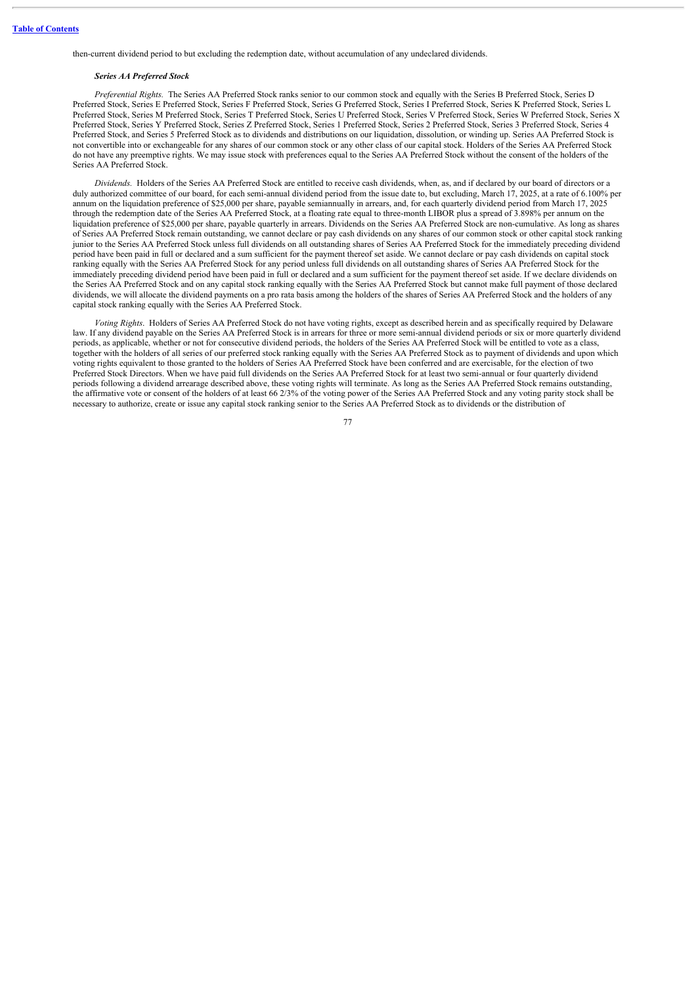then-current dividend period to but excluding the redemption date, without accumulation of any undeclared dividends.

### *Series AA Preferred Stock*

*Preferential Rights.* The Series AA Preferred Stock ranks senior to our common stock and equally with the Series B Preferred Stock, Series D Preferred Stock, Series E Preferred Stock, Series F Preferred Stock, Series G Preferred Stock, Series I Preferred Stock, Series K Preferred Stock, Series L Preferred Stock, Series M Preferred Stock, Series T Preferred Stock, Series U Preferred Stock, Series V Preferred Stock, Series W Preferred Stock, Series X Preferred Stock, Series Y Preferred Stock, Series Z Preferred Stock, Series 1 Preferred Stock, Series 2 Preferred Stock, Series 3 Preferred Stock, Series 4 Preferred Stock, and Series 5 Preferred Stock as to dividends and distributions on our liquidation, dissolution, or winding up. Series AA Preferred Stock is not convertible into or exchangeable for any shares of our common stock or any other class of our capital stock. Holders of the Series AA Preferred Stock do not have any preemptive rights. We may issue stock with preferences equal to the Series AA Preferred Stock without the consent of the holders of the Series AA Preferred Stock.

*Dividends.* Holders of the Series AA Preferred Stock are entitled to receive cash dividends, when, as, and if declared by our board of directors or a duly authorized committee of our board, for each semi-annual dividend period from the issue date to, but excluding, March 17, 2025, at a rate of 6.100% per annum on the liquidation preference of \$25,000 per share, payable semiannually in arrears, and, for each quarterly dividend period from March 17, 2025 through the redemption date of the Series AA Preferred Stock, at a floating rate equal to three-month LIBOR plus a spread of 3.898% per annum on the liquidation preference of \$25,000 per share, payable quarterly in arrears. Dividends on the Series AA Preferred Stock are non-cumulative. As long as shares of Series AA Preferred Stock remain outstanding, we cannot declare or pay cash dividends on any shares of our common stock or other capital stock ranking junior to the Series AA Preferred Stock unless full dividends on all outstanding shares of Series AA Preferred Stock for the immediately preceding dividend period have been paid in full or declared and a sum sufficient for the payment thereof set aside. We cannot declare or pay cash dividends on capital stock ranking equally with the Series AA Preferred Stock for any period unless full dividends on all outstanding shares of Series AA Preferred Stock for the immediately preceding dividend period have been paid in full or declared and a sum sufficient for the payment thereof set aside. If we declare dividends on the Series AA Preferred Stock and on any capital stock ranking equally with the Series AA Preferred Stock but cannot make full payment of those declared dividends, we will allocate the dividend payments on a pro rata basis among the holders of the shares of Series AA Preferred Stock and the holders of any capital stock ranking equally with the Series AA Preferred Stock.

*Voting Rights*. Holders of Series AA Preferred Stock do not have voting rights, except as described herein and as specifically required by Delaware law. If any dividend payable on the Series AA Preferred Stock is in arrears for three or more semi-annual dividend periods or six or more quarterly dividend periods, as applicable, whether or not for consecutive dividend periods, the holders of the Series AA Preferred Stock will be entitled to vote as a class, together with the holders of all series of our preferred stock ranking equally with the Series AA Preferred Stock as to payment of dividends and upon which voting rights equivalent to those granted to the holders of Series AA Preferred Stock have been conferred and are exercisable, for the election of two Preferred Stock Directors. When we have paid full dividends on the Series AA Preferred Stock for at least two semi-annual or four quarterly dividend periods following a dividend arrearage described above, these voting rights will terminate. As long as the Series AA Preferred Stock remains outstanding, the affirmative vote or consent of the holders of at least 66 2/3% of the voting power of the Series AA Preferred Stock and any voting parity stock shall be necessary to authorize, create or issue any capital stock ranking senior to the Series AA Preferred Stock as to dividends or the distribution of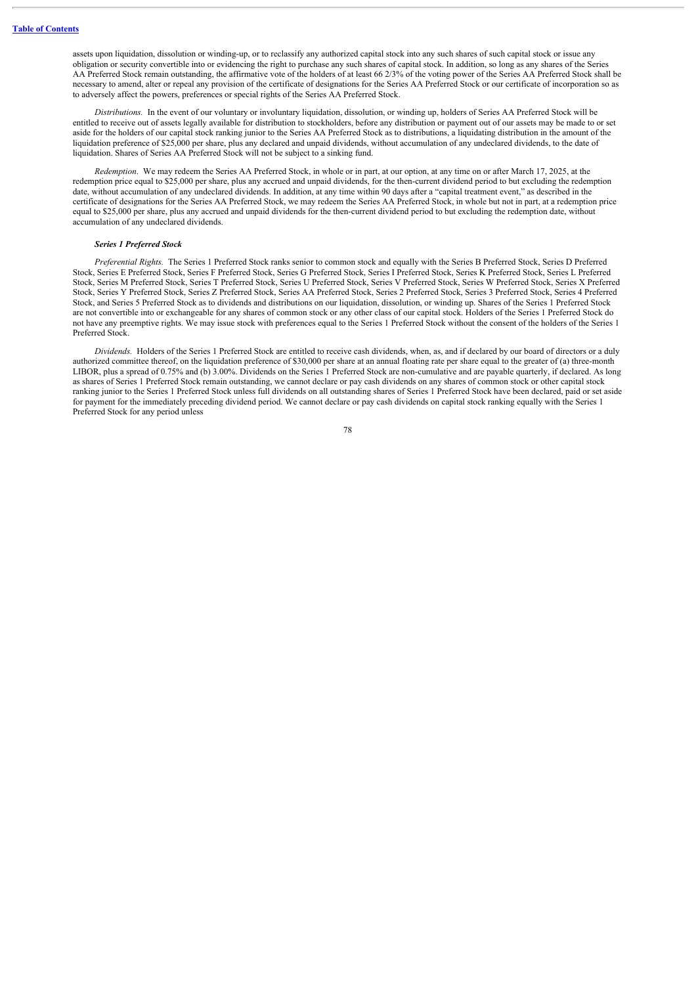assets upon liquidation, dissolution or winding-up, or to reclassify any authorized capital stock into any such shares of such capital stock or issue any obligation or security convertible into or evidencing the right to purchase any such shares of capital stock. In addition, so long as any shares of the Series AA Preferred Stock remain outstanding, the affirmative vote of the holders of at least 66 2/3% of the voting power of the Series AA Preferred Stock shall be necessary to amend, alter or repeal any provision of the certificate of designations for the Series AA Preferred Stock or our certificate of incorporation so as to adversely affect the powers, preferences or special rights of the Series AA Preferred Stock.

*Distributions.* In the event of our voluntary or involuntary liquidation, dissolution, or winding up, holders of Series AA Preferred Stock will be entitled to receive out of assets legally available for distribution to stockholders, before any distribution or payment out of our assets may be made to or set aside for the holders of our capital stock ranking junior to the Series AA Preferred Stock as to distributions, a liquidating distribution in the amount of the liquidation preference of \$25,000 per share, plus any declared and unpaid dividends, without accumulation of any undeclared dividends, to the date of liquidation. Shares of Series AA Preferred Stock will not be subject to a sinking fund.

*Redemption*. We may redeem the Series AA Preferred Stock, in whole or in part, at our option, at any time on or after March 17, 2025, at the redemption price equal to \$25,000 per share, plus any accrued and unpaid dividends, for the then-current dividend period to but excluding the redemption date, without accumulation of any undeclared dividends. In addition, at any time within 90 days after a "capital treatment event," as described in the certificate of designations for the Series AA Preferred Stock, we may redeem the Series AA Preferred Stock, in whole but not in part, at a redemption price equal to \$25,000 per share, plus any accrued and unpaid dividends for the then-current dividend period to but excluding the redemption date, without accumulation of any undeclared dividends.

## *Series 1 Preferred Stock*

*Preferential Rights.* The Series 1 Preferred Stock ranks senior to common stock and equally with the Series B Preferred Stock, Series D Preferred Stock, Series E Preferred Stock, Series F Preferred Stock, Series G Preferred Stock, Series I Preferred Stock, Series K Preferred Stock, Series L Preferred Stock, Series M Preferred Stock, Series T Preferred Stock, Series U Preferred Stock, Series V Preferred Stock, Series W Preferred Stock, Series X Preferred Stock, Series Y Preferred Stock, Series Z Preferred Stock, Series AA Preferred Stock, Series 2 Preferred Stock, Series 3 Preferred Stock, Series 4 Preferred Stock, and Series 5 Preferred Stock as to dividends and distributions on our liquidation, dissolution, or winding up. Shares of the Series 1 Preferred Stock are not convertible into or exchangeable for any shares of common stock or any other class of our capital stock. Holders of the Series 1 Preferred Stock do not have any preemptive rights. We may issue stock with preferences equal to the Series 1 Preferred Stock without the consent of the holders of the Series 1 Preferred Stock.

*Dividends.* Holders of the Series 1 Preferred Stock are entitled to receive cash dividends, when, as, and if declared by our board of directors or a duly authorized committee thereof, on the liquidation preference of \$30,000 per share at an annual floating rate per share equal to the greater of (a) three-month LIBOR, plus a spread of 0.75% and (b) 3.00%. Dividends on the Series 1 Preferred Stock are non-cumulative and are payable quarterly, if declared. As long as shares of Series 1 Preferred Stock remain outstanding, we cannot declare or pay cash dividends on any shares of common stock or other capital stock ranking junior to the Series 1 Preferred Stock unless full dividends on all outstanding shares of Series 1 Preferred Stock have been declared, paid or set aside for payment for the immediately preceding dividend period. We cannot declare or pay cash dividends on capital stock ranking equally with the Series 1 Preferred Stock for any period unless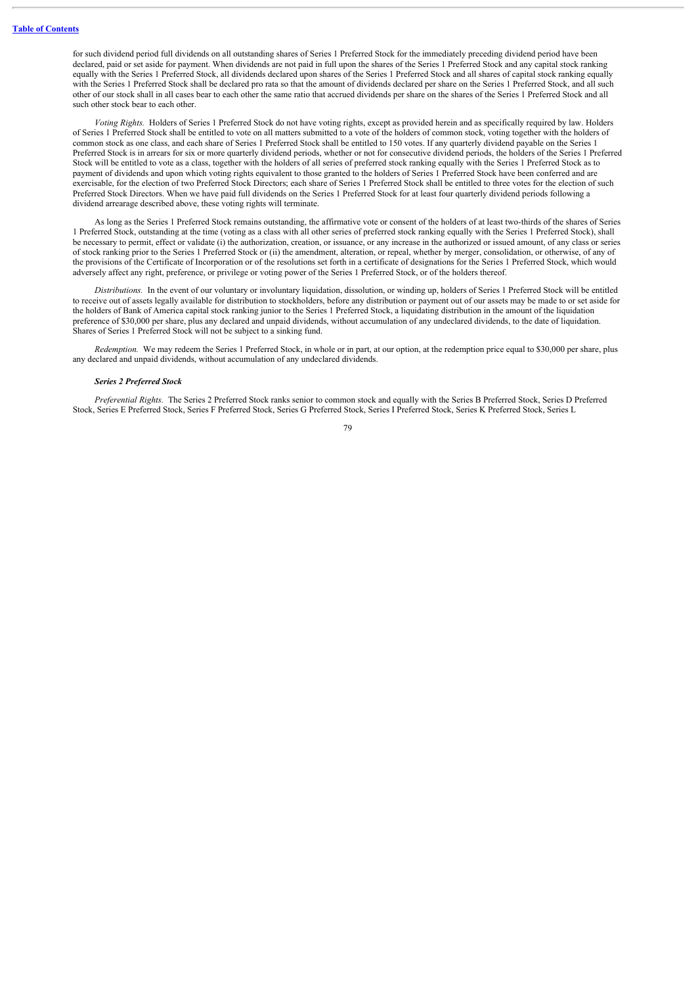for such dividend period full dividends on all outstanding shares of Series 1 Preferred Stock for the immediately preceding dividend period have been declared, paid or set aside for payment. When dividends are not paid in full upon the shares of the Series 1 Preferred Stock and any capital stock ranking equally with the Series 1 Preferred Stock, all dividends declared upon shares of the Series 1 Preferred Stock and all shares of capital stock ranking equally with the Series 1 Preferred Stock shall be declared pro rata so that the amount of dividends declared per share on the Series 1 Preferred Stock, and all such other of our stock shall in all cases bear to each other the same ratio that accrued dividends per share on the shares of the Series 1 Preferred Stock and all such other stock bear to each other.

*Voting Rights.* Holders of Series 1 Preferred Stock do not have voting rights, except as provided herein and as specifically required by law. Holders of Series 1 Preferred Stock shall be entitled to vote on all matters submitted to a vote of the holders of common stock, voting together with the holders of common stock as one class, and each share of Series 1 Preferred Stock shall be entitled to 150 votes. If any quarterly dividend payable on the Series 1 Preferred Stock is in arrears for six or more quarterly dividend periods, whether or not for consecutive dividend periods, the holders of the Series 1 Preferred Stock will be entitled to vote as a class, together with the holders of all series of preferred stock ranking equally with the Series 1 Preferred Stock as to payment of dividends and upon which voting rights equivalent to those granted to the holders of Series 1 Preferred Stock have been conferred and are exercisable, for the election of two Preferred Stock Directors; each share of Series 1 Preferred Stock shall be entitled to three votes for the election of such Preferred Stock Directors. When we have paid full dividends on the Series 1 Preferred Stock for at least four quarterly dividend periods following a dividend arrearage described above, these voting rights will terminate.

As long as the Series 1 Preferred Stock remains outstanding, the affirmative vote or consent of the holders of at least two-thirds of the shares of Series 1 Preferred Stock, outstanding at the time (voting as a class with all other series of preferred stock ranking equally with the Series 1 Preferred Stock), shall be necessary to permit, effect or validate (i) the authorization, creation, or issuance, or any increase in the authorized or issued amount, of any class or series of stock ranking prior to the Series 1 Preferred Stock or (ii) the amendment, alteration, or repeal, whether by merger, consolidation, or otherwise, of any of the provisions of the Certificate of Incorporation or of the resolutions set forth in a certificate of designations for the Series 1 Preferred Stock, which would adversely affect any right, preference, or privilege or voting power of the Series 1 Preferred Stock, or of the holders thereof.

*Distributions.* In the event of our voluntary or involuntary liquidation, dissolution, or winding up, holders of Series 1 Preferred Stock will be entitled to receive out of assets legally available for distribution to stockholders, before any distribution or payment out of our assets may be made to or set aside for the holders of Bank of America capital stock ranking junior to the Series 1 Preferred Stock, a liquidating distribution in the amount of the liquidation preference of \$30,000 per share, plus any declared and unpaid dividends, without accumulation of any undeclared dividends, to the date of liquidation. Shares of Series 1 Preferred Stock will not be subject to a sinking fund.

*Redemption* We may redeem the Series 1 Preferred Stock, in whole or in part, at our option, at the redemption price equal to \$30,000 per share, plus any declared and unpaid dividends, without accumulation of any undeclared dividends.

## *Series 2 Preferred Stock*

*Preferential Rights.* The Series 2 Preferred Stock ranks senior to common stock and equally with the Series B Preferred Stock, Series D Preferred Stock, Series E Preferred Stock, Series F Preferred Stock, Series G Preferred Stock, Series I Preferred Stock, Series K Preferred Stock, Series L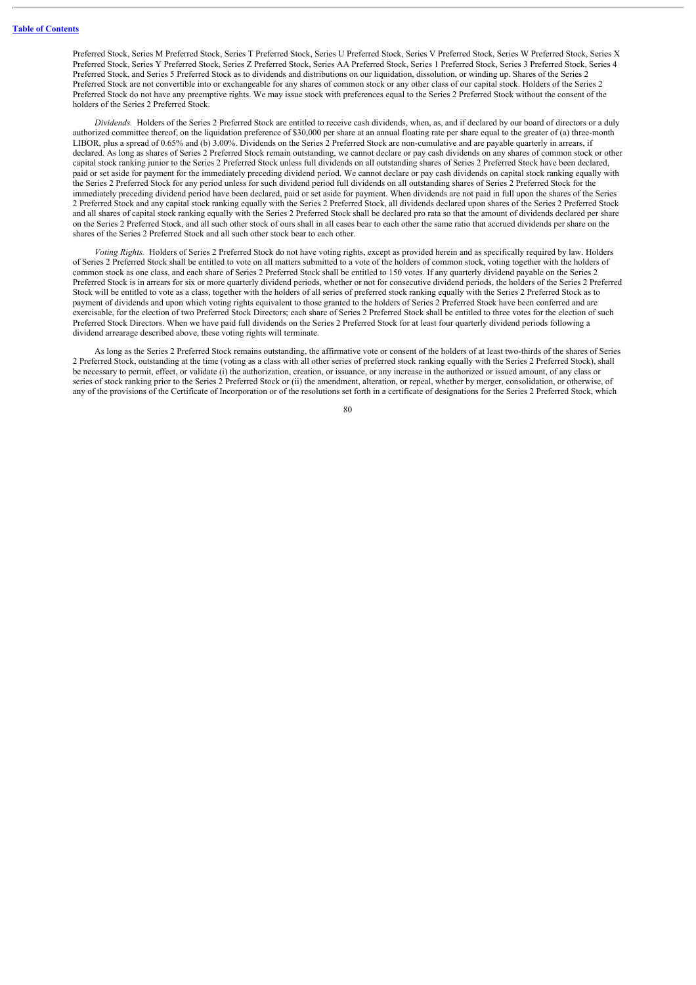Preferred Stock, Series M Preferred Stock, Series T Preferred Stock, Series U Preferred Stock, Series V Preferred Stock, Series W Preferred Stock, Series X Preferred Stock, Series Y Preferred Stock, Series Z Preferred Stock, Series AA Preferred Stock, Series 1 Preferred Stock, Series 3 Preferred Stock, Series 4 Preferred Stock, and Series 5 Preferred Stock as to dividends and distributions on our liquidation, dissolution, or winding up. Shares of the Series 2 Preferred Stock are not convertible into or exchangeable for any shares of common stock or any other class of our capital stock. Holders of the Series 2 Preferred Stock do not have any preemptive rights. We may issue stock with preferences equal to the Series 2 Preferred Stock without the consent of the holders of the Series 2 Preferred Stock.

*Dividends.* Holders of the Series 2 Preferred Stock are entitled to receive cash dividends, when, as, and if declared by our board of directors or a duly authorized committee thereof, on the liquidation preference of \$30,000 per share at an annual floating rate per share equal to the greater of (a) three-month LIBOR, plus a spread of 0.65% and (b) 3.00%. Dividends on the Series 2 Preferred Stock are non-cumulative and are payable quarterly in arrears, if declared. As long as shares of Series 2 Preferred Stock remain outstanding, we cannot declare or pay cash dividends on any shares of common stock or other capital stock ranking junior to the Series 2 Preferred Stock unless full dividends on all outstanding shares of Series 2 Preferred Stock have been declared, paid or set aside for payment for the immediately preceding dividend period. We cannot declare or pay cash dividends on capital stock ranking equally with the Series 2 Preferred Stock for any period unless for such dividend period full dividends on all outstanding shares of Series 2 Preferred Stock for the immediately preceding dividend period have been declared, paid or set aside for payment. When dividends are not paid in full upon the shares of the Series 2 Preferred Stock and any capital stock ranking equally with the Series 2 Preferred Stock, all dividends declared upon shares of the Series 2 Preferred Stock and all shares of capital stock ranking equally with the Series 2 Preferred Stock shall be declared pro rata so that the amount of dividends declared per share on the Series 2 Preferred Stock, and all such other stock of ours shall in all cases bear to each other the same ratio that accrued dividends per share on the shares of the Series 2 Preferred Stock and all such other stock bear to each other.

*Voting Rights.* Holders of Series 2 Preferred Stock do not have voting rights, except as provided herein and as specifically required by law. Holders of Series 2 Preferred Stock shall be entitled to vote on all matters submitted to a vote of the holders of common stock, voting together with the holders of common stock as one class, and each share of Series 2 Preferred Stock shall be entitled to 150 votes. If any quarterly dividend payable on the Series 2 Preferred Stock is in arrears for six or more quarterly dividend periods, whether or not for consecutive dividend periods, the holders of the Series 2 Preferred Stock will be entitled to vote as a class, together with the holders of all series of preferred stock ranking equally with the Series 2 Preferred Stock as to payment of dividends and upon which voting rights equivalent to those granted to the holders of Series 2 Preferred Stock have been conferred and are exercisable, for the election of two Preferred Stock Directors; each share of Series 2 Preferred Stock shall be entitled to three votes for the election of such Preferred Stock Directors. When we have paid full dividends on the Series 2 Preferred Stock for at least four quarterly dividend periods following a dividend arrearage described above, these voting rights will terminate.

As long as the Series 2 Preferred Stock remains outstanding, the affirmative vote or consent of the holders of at least two-thirds of the shares of Series 2 Preferred Stock, outstanding at the time (voting as a class with all other series of preferred stock ranking equally with the Series 2 Preferred Stock), shall be necessary to permit, effect, or validate (i) the authorization, creation, or issuance, or any increase in the authorized or issued amount, of any class or series of stock ranking prior to the Series 2 Preferred Stock or (ii) the amendment, alteration, or repeal, whether by merger, consolidation, or otherwise, of any of the provisions of the Certificate of Incorporation or of the resolutions set forth in a certificate of designations for the Series 2 Preferred Stock, which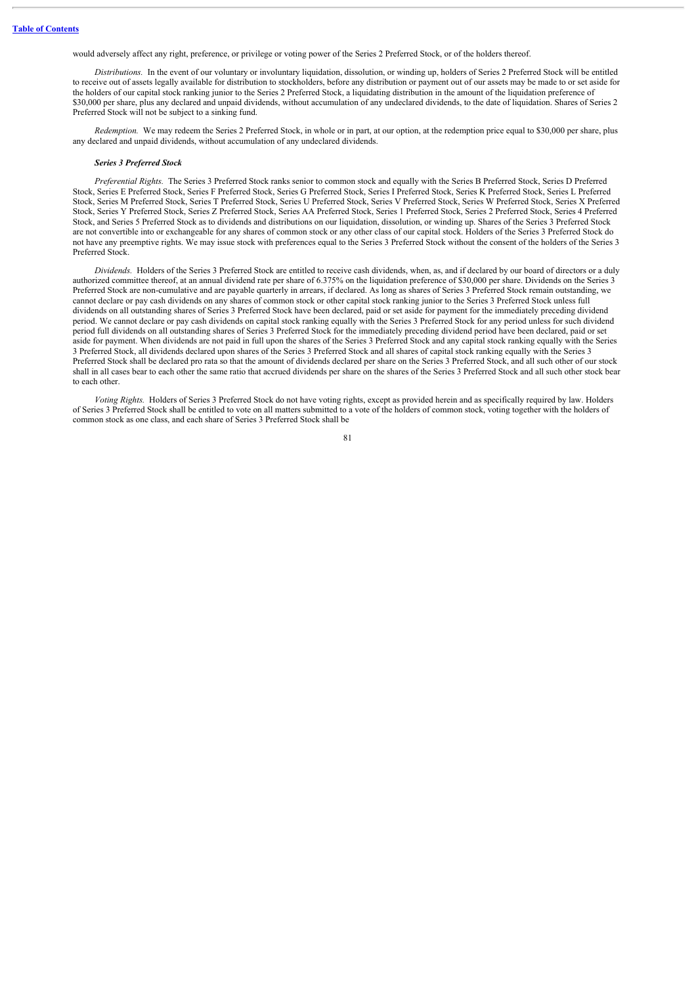would adversely affect any right, preference, or privilege or voting power of the Series 2 Preferred Stock, or of the holders thereof.

*Distributions.* In the event of our voluntary or involuntary liquidation, dissolution, or winding up, holders of Series 2 Preferred Stock will be entitled to receive out of assets legally available for distribution to stockholders, before any distribution or payment out of our assets may be made to or set aside for the holders of our capital stock ranking junior to the Series 2 Preferred Stock, a liquidating distribution in the amount of the liquidation preference of \$30,000 per share, plus any declared and unpaid dividends, without accumulation of any undeclared dividends, to the date of liquidation. Shares of Series 2 Preferred Stock will not be subject to a sinking fund.

*Redemption.* We may redeem the Series 2 Preferred Stock, in whole or in part, at our option, at the redemption price equal to \$30,000 per share, plus any declared and unpaid dividends, without accumulation of any undeclared dividends.

#### *Series 3 Preferred Stock*

*Preferential Rights.* The Series 3 Preferred Stock ranks senior to common stock and equally with the Series B Preferred Stock, Series D Preferred Stock, Series E Preferred Stock, Series F Preferred Stock, Series G Preferred Stock, Series I Preferred Stock, Series K Preferred Stock, Series L Preferred Stock, Series M Preferred Stock, Series T Preferred Stock, Series U Preferred Stock, Series V Preferred Stock, Series W Preferred Stock, Series X Preferred Stock, Series Y Preferred Stock, Series Z Preferred Stock, Series AA Preferred Stock, Series 1 Preferred Stock, Series 2 Preferred Stock, Series 4 Preferred Stock, and Series 5 Preferred Stock as to dividends and distributions on our liquidation, dissolution, or winding up. Shares of the Series 3 Preferred Stock are not convertible into or exchangeable for any shares of common stock or any other class of our capital stock. Holders of the Series 3 Preferred Stock do not have any preemptive rights. We may issue stock with preferences equal to the Series 3 Preferred Stock without the consent of the holders of the Series 3 Preferred Stock.

*Dividends.* Holders of the Series 3 Preferred Stock are entitled to receive cash dividends, when, as, and if declared by our board of directors or a duly authorized committee thereof, at an annual dividend rate per share of 6.375% on the liquidation preference of \$30,000 per share. Dividends on the Series 3 Preferred Stock are non-cumulative and are payable quarterly in arrears, if declared. As long as shares of Series 3 Preferred Stock remain outstanding, we cannot declare or pay cash dividends on any shares of common stock or other capital stock ranking junior to the Series 3 Preferred Stock unless full dividends on all outstanding shares of Series 3 Preferred Stock have been declared, paid or set aside for payment for the immediately preceding dividend period. We cannot declare or pay cash dividends on capital stock ranking equally with the Series 3 Preferred Stock for any period unless for such dividend period full dividends on all outstanding shares of Series 3 Preferred Stock for the immediately preceding dividend period have been declared, paid or set aside for payment. When dividends are not paid in full upon the shares of the Series 3 Preferred Stock and any capital stock ranking equally with the Series 3 Preferred Stock, all dividends declared upon shares of the Series 3 Preferred Stock and all shares of capital stock ranking equally with the Series 3 Preferred Stock shall be declared pro rata so that the amount of dividends declared per share on the Series 3 Preferred Stock, and all such other of our stock shall in all cases bear to each other the same ratio that accrued dividends per share on the shares of the Series 3 Preferred Stock and all such other stock bear to each other.

*Voting Rights.* Holders of Series 3 Preferred Stock do not have voting rights, except as provided herein and as specifically required by law. Holders of Series 3 Preferred Stock shall be entitled to vote on all matters submitted to a vote of the holders of common stock, voting together with the holders of common stock as one class, and each share of Series 3 Preferred Stock shall be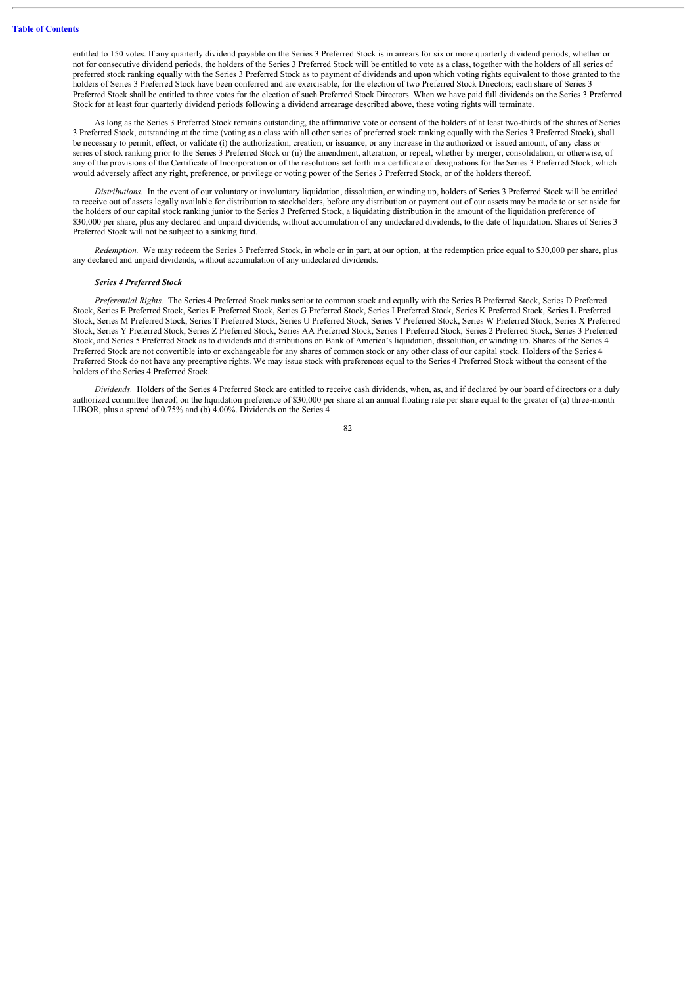entitled to 150 votes. If any quarterly dividend payable on the Series 3 Preferred Stock is in arrears for six or more quarterly dividend periods, whether or not for consecutive dividend periods, the holders of the Series 3 Preferred Stock will be entitled to vote as a class, together with the holders of all series of preferred stock ranking equally with the Series 3 Preferred Stock as to payment of dividends and upon which voting rights equivalent to those granted to the holders of Series 3 Preferred Stock have been conferred and are exercisable, for the election of two Preferred Stock Directors; each share of Series 3 Preferred Stock shall be entitled to three votes for the election of such Preferred Stock Directors. When we have paid full dividends on the Series 3 Preferred Stock for at least four quarterly dividend periods following a dividend arrearage described above, these voting rights will terminate.

As long as the Series 3 Preferred Stock remains outstanding, the affirmative vote or consent of the holders of at least two-thirds of the shares of Series 3 Preferred Stock, outstanding at the time (voting as a class with all other series of preferred stock ranking equally with the Series 3 Preferred Stock), shall be necessary to permit, effect, or validate (i) the authorization, creation, or issuance, or any increase in the authorized or issued amount, of any class or series of stock ranking prior to the Series 3 Preferred Stock or (ii) the amendment, alteration, or repeal, whether by merger, consolidation, or otherwise, of any of the provisions of the Certificate of Incorporation or of the resolutions set forth in a certificate of designations for the Series 3 Preferred Stock, which would adversely affect any right, preference, or privilege or voting power of the Series 3 Preferred Stock, or of the holders thereof.

*Distributions.* In the event of our voluntary or involuntary liquidation, dissolution, or winding up, holders of Series 3 Preferred Stock will be entitled to receive out of assets legally available for distribution to stockholders, before any distribution or payment out of our assets may be made to or set aside for the holders of our capital stock ranking junior to the Series 3 Preferred Stock, a liquidating distribution in the amount of the liquidation preference of \$30,000 per share, plus any declared and unpaid dividends, without accumulation of any undeclared dividends, to the date of liquidation. Shares of Series 3 Preferred Stock will not be subject to a sinking fund.

*Redemption.* We may redeem the Series 3 Preferred Stock, in whole or in part, at our option, at the redemption price equal to \$30,000 per share, plus any declared and unpaid dividends, without accumulation of any undeclared dividends.

#### *Series 4 Preferred Stock*

*Preferential Rights.* The Series 4 Preferred Stock ranks senior to common stock and equally with the Series B Preferred Stock, Series D Preferred Stock, Series E Preferred Stock, Series F Preferred Stock, Series G Preferred Stock, Series I Preferred Stock, Series K Preferred Stock, Series L Preferred Stock, Series M Preferred Stock, Series T Preferred Stock, Series U Preferred Stock, Series V Preferred Stock, Series W Preferred Stock, Series X Preferred Stock, Series Y Preferred Stock, Series Z Preferred Stock, Series AA Preferred Stock, Series 1 Preferred Stock, Series 2 Preferred Stock, Series 3 Preferred Stock, and Series 5 Preferred Stock as to dividends and distributions on Bank of America's liquidation, dissolution, or winding up. Shares of the Series 4 Preferred Stock are not convertible into or exchangeable for any shares of common stock or any other class of our capital stock. Holders of the Series 4 Preferred Stock do not have any preemptive rights. We may issue stock with preferences equal to the Series 4 Preferred Stock without the consent of the holders of the Series 4 Preferred Stock.

*Dividends.* Holders of the Series 4 Preferred Stock are entitled to receive cash dividends, when, as, and if declared by our board of directors or a duly authorized committee thereof, on the liquidation preference of \$30,000 per share at an annual floating rate per share equal to the greater of (a) three-month LIBOR, plus a spread of 0.75% and (b) 4.00%. Dividends on the Series 4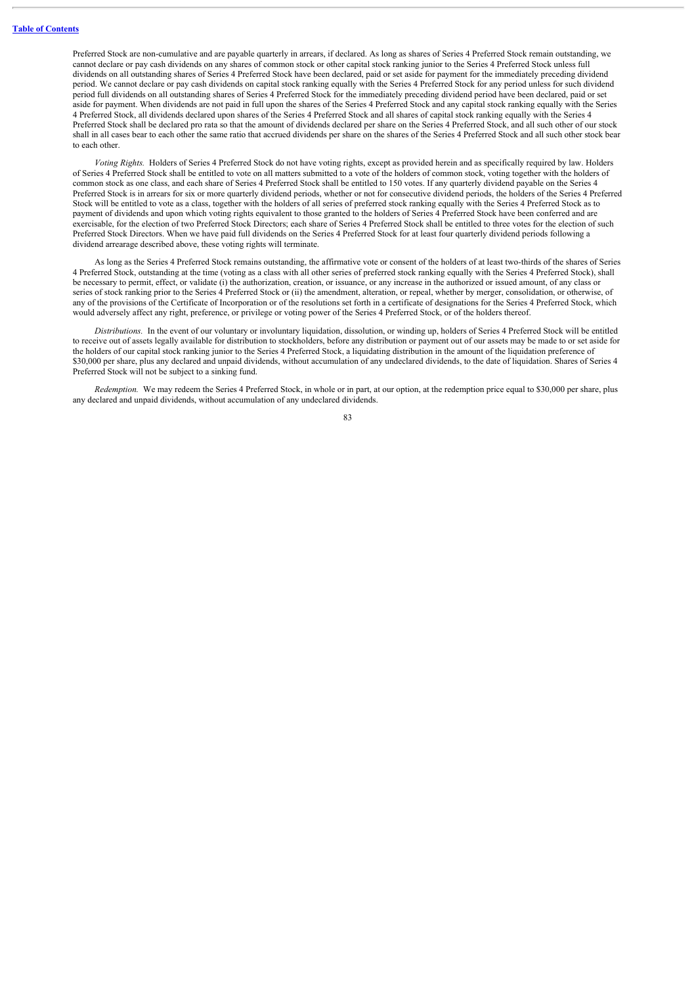Preferred Stock are non-cumulative and are payable quarterly in arrears, if declared. As long as shares of Series 4 Preferred Stock remain outstanding, we cannot declare or pay cash dividends on any shares of common stock or other capital stock ranking junior to the Series 4 Preferred Stock unless full dividends on all outstanding shares of Series 4 Preferred Stock have been declared, paid or set aside for payment for the immediately preceding dividend period. We cannot declare or pay cash dividends on capital stock ranking equally with the Series 4 Preferred Stock for any period unless for such dividend period full dividends on all outstanding shares of Series 4 Preferred Stock for the immediately preceding dividend period have been declared, paid or set aside for payment. When dividends are not paid in full upon the shares of the Series 4 Preferred Stock and any capital stock ranking equally with the Series 4 Preferred Stock, all dividends declared upon shares of the Series 4 Preferred Stock and all shares of capital stock ranking equally with the Series 4 Preferred Stock shall be declared pro rata so that the amount of dividends declared per share on the Series 4 Preferred Stock, and all such other of our stock shall in all cases bear to each other the same ratio that accrued dividends per share on the shares of the Series 4 Preferred Stock and all such other stock bear to each other.

*Voting Rights.* Holders of Series 4 Preferred Stock do not have voting rights, except as provided herein and as specifically required by law. Holders of Series 4 Preferred Stock shall be entitled to vote on all matters submitted to a vote of the holders of common stock, voting together with the holders of common stock as one class, and each share of Series 4 Preferred Stock shall be entitled to 150 votes. If any quarterly dividend payable on the Series 4 Preferred Stock is in arrears for six or more quarterly dividend periods, whether or not for consecutive dividend periods, the holders of the Series 4 Preferred Stock will be entitled to vote as a class, together with the holders of all series of preferred stock ranking equally with the Series 4 Preferred Stock as to payment of dividends and upon which voting rights equivalent to those granted to the holders of Series 4 Preferred Stock have been conferred and are exercisable, for the election of two Preferred Stock Directors; each share of Series 4 Preferred Stock shall be entitled to three votes for the election of such Preferred Stock Directors. When we have paid full dividends on the Series 4 Preferred Stock for at least four quarterly dividend periods following a dividend arrearage described above, these voting rights will terminate.

As long as the Series 4 Preferred Stock remains outstanding, the affirmative vote or consent of the holders of at least two-thirds of the shares of Series 4 Preferred Stock, outstanding at the time (voting as a class with all other series of preferred stock ranking equally with the Series 4 Preferred Stock), shall be necessary to permit, effect, or validate (i) the authorization, creation, or issuance, or any increase in the authorized or issued amount, of any class or series of stock ranking prior to the Series 4 Preferred Stock or (ii) the amendment, alteration, or repeal, whether by merger, consolidation, or otherwise, of any of the provisions of the Certificate of Incorporation or of the resolutions set forth in a certificate of designations for the Series 4 Preferred Stock, which would adversely affect any right, preference, or privilege or voting power of the Series 4 Preferred Stock, or of the holders thereof.

*Distributions.* In the event of our voluntary or involuntary liquidation, dissolution, or winding up, holders of Series 4 Preferred Stock will be entitled to receive out of assets legally available for distribution to stockholders, before any distribution or payment out of our assets may be made to or set aside for the holders of our capital stock ranking junior to the Series 4 Preferred Stock, a liquidating distribution in the amount of the liquidation preference of \$30,000 per share, plus any declared and unpaid dividends, without accumulation of any undeclared dividends, to the date of liquidation. Shares of Series 4 Preferred Stock will not be subject to a sinking fund.

*Redemption.* We may redeem the Series 4 Preferred Stock, in whole or in part, at our option, at the redemption price equal to \$30,000 per share, plus any declared and unpaid dividends, without accumulation of any undeclared dividends.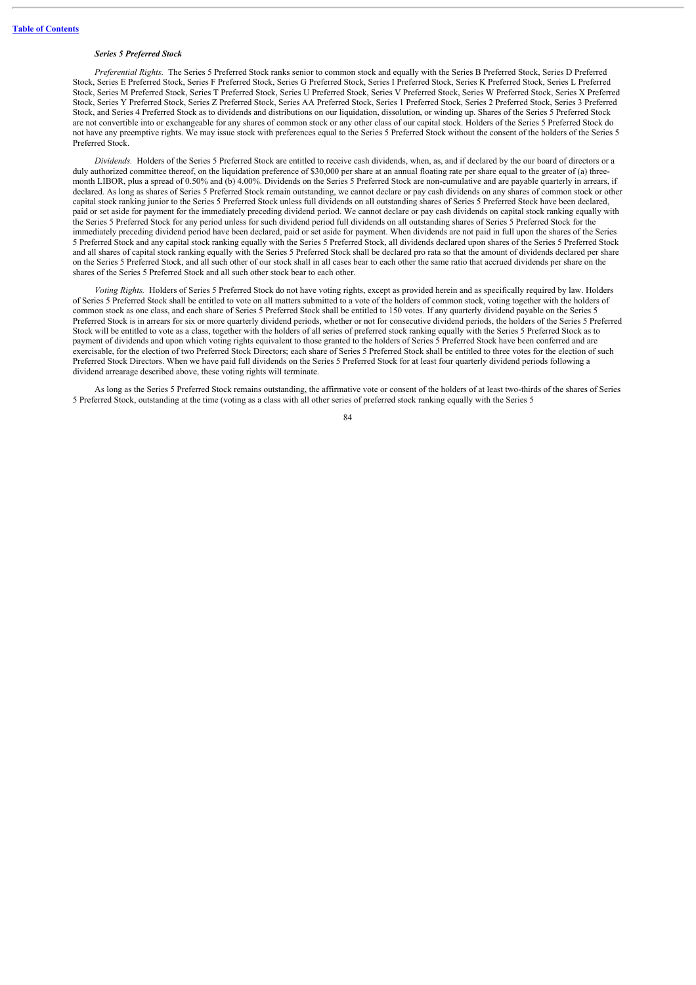#### *Series 5 Preferred Stock*

*Preferential Rights.* The Series 5 Preferred Stock ranks senior to common stock and equally with the Series B Preferred Stock, Series D Preferred Stock, Series E Preferred Stock, Series F Preferred Stock, Series G Preferred Stock, Series I Preferred Stock, Series K Preferred Stock, Series L Preferred Stock, Series M Preferred Stock, Series T Preferred Stock, Series U Preferred Stock, Series V Preferred Stock, Series W Preferred Stock, Series X Preferred Stock, Series Y Preferred Stock, Series Z Preferred Stock, Series AA Preferred Stock, Series 1 Preferred Stock, Series 2 Preferred Stock, Series 3 Preferred Stock, and Series 4 Preferred Stock as to dividends and distributions on our liquidation, dissolution, or winding up. Shares of the Series 5 Preferred Stock are not convertible into or exchangeable for any shares of common stock or any other class of our capital stock. Holders of the Series 5 Preferred Stock do not have any preemptive rights. We may issue stock with preferences equal to the Series 5 Preferred Stock without the consent of the holders of the Series 5 Preferred Stock.

*Dividends.* Holders of the Series 5 Preferred Stock are entitled to receive cash dividends, when, as, and if declared by the our board of directors or a duly authorized committee thereof, on the liquidation preference of \$30,000 per share at an annual floating rate per share equal to the greater of (a) threemonth LIBOR, plus a spread of 0.50% and (b) 4.00%. Dividends on the Series 5 Preferred Stock are non-cumulative and are payable quarterly in arrears, if declared. As long as shares of Series 5 Preferred Stock remain outstanding, we cannot declare or pay cash dividends on any shares of common stock or other capital stock ranking junior to the Series 5 Preferred Stock unless full dividends on all outstanding shares of Series 5 Preferred Stock have been declared, paid or set aside for payment for the immediately preceding dividend period. We cannot declare or pay cash dividends on capital stock ranking equally with the Series 5 Preferred Stock for any period unless for such dividend period full dividends on all outstanding shares of Series 5 Preferred Stock for the immediately preceding dividend period have been declared, paid or set aside for payment. When dividends are not paid in full upon the shares of the Series 5 Preferred Stock and any capital stock ranking equally with the Series 5 Preferred Stock, all dividends declared upon shares of the Series 5 Preferred Stock and all shares of capital stock ranking equally with the Series 5 Preferred Stock shall be declared pro rata so that the amount of dividends declared per share on the Series 5 Preferred Stock, and all such other of our stock shall in all cases bear to each other the same ratio that accrued dividends per share on the shares of the Series 5 Preferred Stock and all such other stock bear to each other.

*Voting Rights.* Holders of Series 5 Preferred Stock do not have voting rights, except as provided herein and as specifically required by law. Holders of Series 5 Preferred Stock shall be entitled to vote on all matters submitted to a vote of the holders of common stock, voting together with the holders of common stock as one class, and each share of Series 5 Preferred Stock shall be entitled to 150 votes. If any quarterly dividend payable on the Series 5 Preferred Stock is in arrears for six or more quarterly dividend periods, whether or not for consecutive dividend periods, the holders of the Series 5 Preferred Stock will be entitled to vote as a class, together with the holders of all series of preferred stock ranking equally with the Series 5 Preferred Stock as to payment of dividends and upon which voting rights equivalent to those granted to the holders of Series 5 Preferred Stock have been conferred and are exercisable, for the election of two Preferred Stock Directors; each share of Series 5 Preferred Stock shall be entitled to three votes for the election of such Preferred Stock Directors. When we have paid full dividends on the Series 5 Preferred Stock for at least four quarterly dividend periods following a dividend arrearage described above, these voting rights will terminate.

As long as the Series 5 Preferred Stock remains outstanding, the affirmative vote or consent of the holders of at least two-thirds of the shares of Series 5 Preferred Stock, outstanding at the time (voting as a class with all other series of preferred stock ranking equally with the Series 5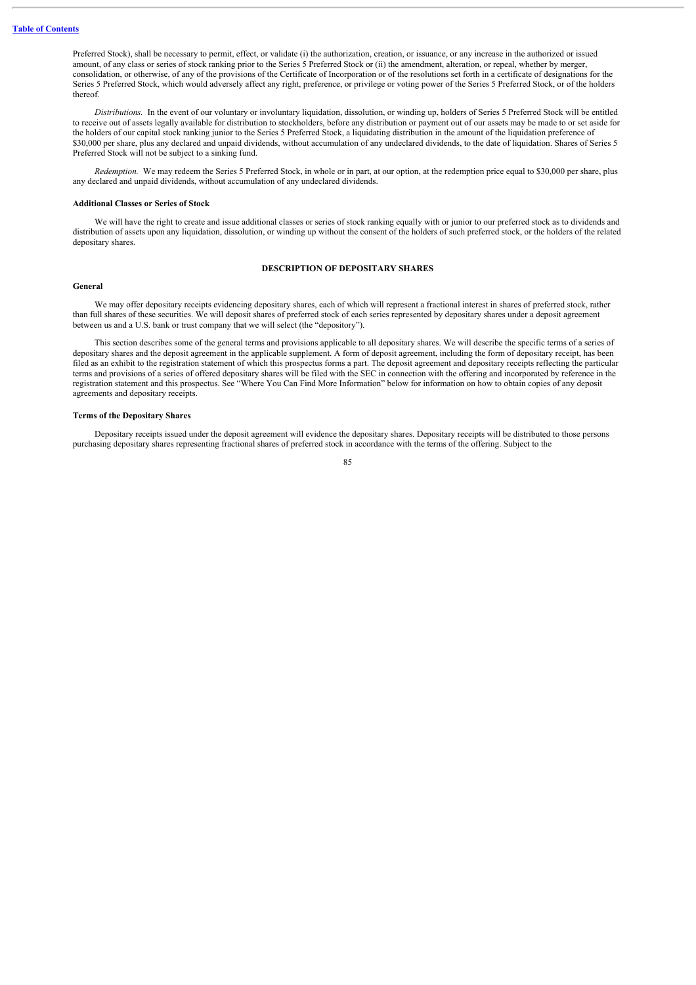Preferred Stock), shall be necessary to permit, effect, or validate (i) the authorization, creation, or issuance, or any increase in the authorized or issued amount, of any class or series of stock ranking prior to the Series 5 Preferred Stock or (ii) the amendment, alteration, or repeal, whether by merger, consolidation, or otherwise, of any of the provisions of the Certificate of Incorporation or of the resolutions set forth in a certificate of designations for the Series 5 Preferred Stock, which would adversely affect any right, preference, or privilege or voting power of the Series 5 Preferred Stock, or of the holders thereof.

*Distributions.* In the event of our voluntary or involuntary liquidation, dissolution, or winding up, holders of Series 5 Preferred Stock will be entitled to receive out of assets legally available for distribution to stockholders, before any distribution or payment out of our assets may be made to or set aside for the holders of our capital stock ranking junior to the Series 5 Preferred Stock, a liquidating distribution in the amount of the liquidation preference of \$30,000 per share, plus any declared and unpaid dividends, without accumulation of any undeclared dividends, to the date of liquidation. Shares of Series 5 Preferred Stock will not be subject to a sinking fund.

*Redemption.* We may redeem the Series 5 Preferred Stock, in whole or in part, at our option, at the redemption price equal to \$30,000 per share, plus any declared and unpaid dividends, without accumulation of any undeclared dividends.

### **Additional Classes or Series of Stock**

We will have the right to create and issue additional classes or series of stock ranking equally with or junior to our preferred stock as to dividends and distribution of assets upon any liquidation, dissolution, or winding up without the consent of the holders of such preferred stock, or the holders of the related depositary shares.

## **DESCRIPTION OF DEPOSITARY SHARES**

# **General**

We may offer depositary receipts evidencing depositary shares, each of which will represent a fractional interest in shares of preferred stock, rather than full shares of these securities. We will deposit shares of preferred stock of each series represented by depositary shares under a deposit agreement between us and a U.S. bank or trust company that we will select (the "depository").

This section describes some of the general terms and provisions applicable to all depositary shares. We will describe the specific terms of a series of depositary shares and the deposit agreement in the applicable supplement. A form of deposit agreement, including the form of depositary receipt, has been filed as an exhibit to the registration statement of which this prospectus forms a part. The deposit agreement and depositary receipts reflecting the particular terms and provisions of a series of offered depositary shares will be filed with the SEC in connection with the offering and incorporated by reference in the registration statement and this prospectus. See "Where You Can Find More Information" below for information on how to obtain copies of any deposit agreements and depositary receipts.

## **Terms of the Depositary Shares**

Depositary receipts issued under the deposit agreement will evidence the depositary shares. Depositary receipts will be distributed to those persons purchasing depositary shares representing fractional shares of preferred stock in accordance with the terms of the offering. Subject to the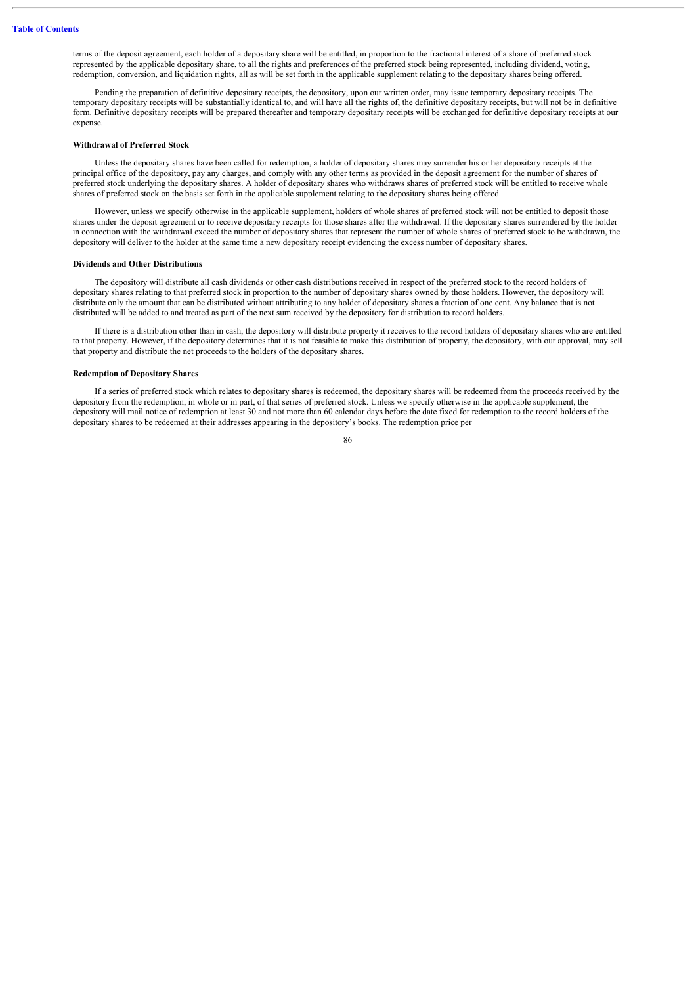terms of the deposit agreement, each holder of a depositary share will be entitled, in proportion to the fractional interest of a share of preferred stock represented by the applicable depositary share, to all the rights and preferences of the preferred stock being represented, including dividend, voting, redemption, conversion, and liquidation rights, all as will be set forth in the applicable supplement relating to the depositary shares being offered.

Pending the preparation of definitive depositary receipts, the depository, upon our written order, may issue temporary depositary receipts. The temporary depositary receipts will be substantially identical to, and will have all the rights of, the definitive depositary receipts, but will not be in definitive form. Definitive depositary receipts will be prepared thereafter and temporary depositary receipts will be exchanged for definitive depositary receipts at our expense.

#### **Withdrawal of Preferred Stock**

Unless the depositary shares have been called for redemption, a holder of depositary shares may surrender his or her depositary receipts at the principal office of the depository, pay any charges, and comply with any other terms as provided in the deposit agreement for the number of shares of preferred stock underlying the depositary shares. A holder of depositary shares who withdraws shares of preferred stock will be entitled to receive whole shares of preferred stock on the basis set forth in the applicable supplement relating to the depositary shares being offered.

However, unless we specify otherwise in the applicable supplement, holders of whole shares of preferred stock will not be entitled to deposit those shares under the deposit agreement or to receive depositary receipts for those shares after the withdrawal. If the depositary shares surrendered by the holder in connection with the withdrawal exceed the number of depositary shares that represent the number of whole shares of preferred stock to be withdrawn, the depository will deliver to the holder at the same time a new depositary receipt evidencing the excess number of depositary shares.

#### **Dividends and Other Distributions**

The depository will distribute all cash dividends or other cash distributions received in respect of the preferred stock to the record holders of depositary shares relating to that preferred stock in proportion to the number of depositary shares owned by those holders. However, the depository will distribute only the amount that can be distributed without attributing to any holder of depositary shares a fraction of one cent. Any balance that is not distributed will be added to and treated as part of the next sum received by the depository for distribution to record holders.

If there is a distribution other than in cash, the depository will distribute property it receives to the record holders of depositary shares who are entitled to that property. However, if the depository determines that it is not feasible to make this distribution of property, the depository, with our approval, may sell that property and distribute the net proceeds to the holders of the depositary shares.

#### **Redemption of Depositary Shares**

If a series of preferred stock which relates to depositary shares is redeemed, the depositary shares will be redeemed from the proceeds received by the depository from the redemption, in whole or in part, of that series of preferred stock. Unless we specify otherwise in the applicable supplement, the depository will mail notice of redemption at least 30 and not more than 60 calendar days before the date fixed for redemption to the record holders of the depositary shares to be redeemed at their addresses appearing in the depository's books. The redemption price per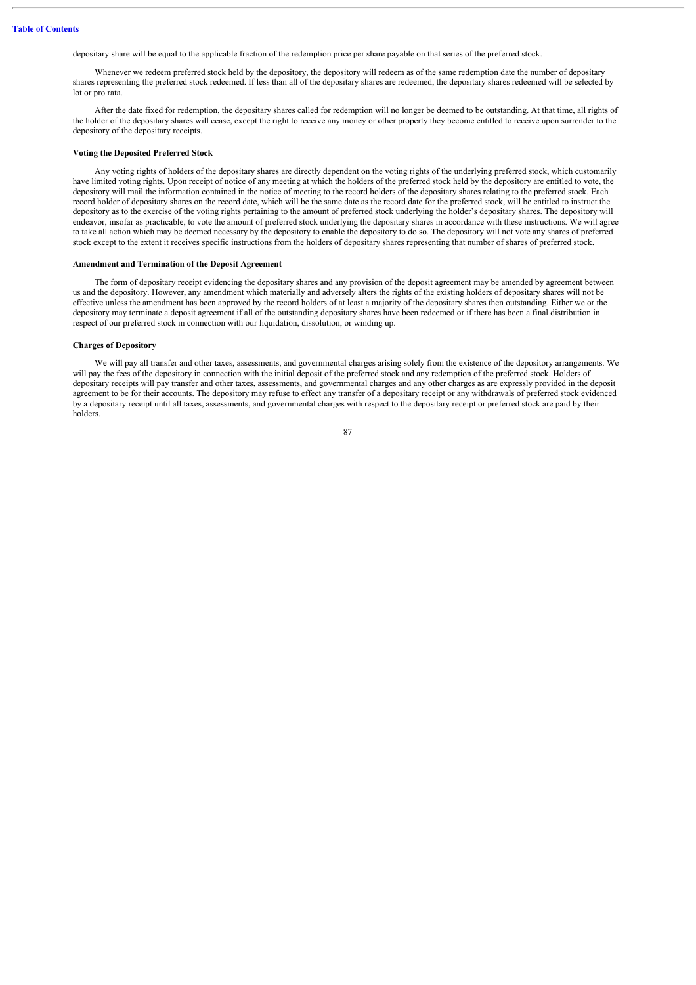depositary share will be equal to the applicable fraction of the redemption price per share payable on that series of the preferred stock.

Whenever we redeem preferred stock held by the depository, the depository will redeem as of the same redemption date the number of depositary shares representing the preferred stock redeemed. If less than all of the depositary shares are redeemed, the depositary shares redeemed will be selected by lot or pro rata.

After the date fixed for redemption, the depositary shares called for redemption will no longer be deemed to be outstanding. At that time, all rights of the holder of the depositary shares will cease, except the right to receive any money or other property they become entitled to receive upon surrender to the depository of the depositary receipts.

#### **Voting the Deposited Preferred Stock**

Any voting rights of holders of the depositary shares are directly dependent on the voting rights of the underlying preferred stock, which customarily have limited voting rights. Upon receipt of notice of any meeting at which the holders of the preferred stock held by the depository are entitled to vote, the depository will mail the information contained in the notice of meeting to the record holders of the depositary shares relating to the preferred stock. Each record holder of depositary shares on the record date, which will be the same date as the record date for the preferred stock, will be entitled to instruct the depository as to the exercise of the voting rights pertaining to the amount of preferred stock underlying the holder's depositary shares. The depository will endeavor, insofar as practicable, to vote the amount of preferred stock underlying the depositary shares in accordance with these instructions. We will agree to take all action which may be deemed necessary by the depository to enable the depository to do so. The depository will not vote any shares of preferred stock except to the extent it receives specific instructions from the holders of depositary shares representing that number of shares of preferred stock.

#### **Amendment and Termination of the Deposit Agreement**

The form of depositary receipt evidencing the depositary shares and any provision of the deposit agreement may be amended by agreement between us and the depository. However, any amendment which materially and adversely alters the rights of the existing holders of depositary shares will not be effective unless the amendment has been approved by the record holders of at least a majority of the depositary shares then outstanding. Either we or the depository may terminate a deposit agreement if all of the outstanding depositary shares have been redeemed or if there has been a final distribution in respect of our preferred stock in connection with our liquidation, dissolution, or winding up.

## **Charges of Depository**

We will pay all transfer and other taxes, assessments, and governmental charges arising solely from the existence of the depository arrangements. We will pay the fees of the depository in connection with the initial deposit of the preferred stock and any redemption of the preferred stock. Holders of depositary receipts will pay transfer and other taxes, assessments, and governmental charges and any other charges as are expressly provided in the deposit agreement to be for their accounts. The depository may refuse to effect any transfer of a depositary receipt or any withdrawals of preferred stock evidenced by a depositary receipt until all taxes, assessments, and governmental charges with respect to the depositary receipt or preferred stock are paid by their holders.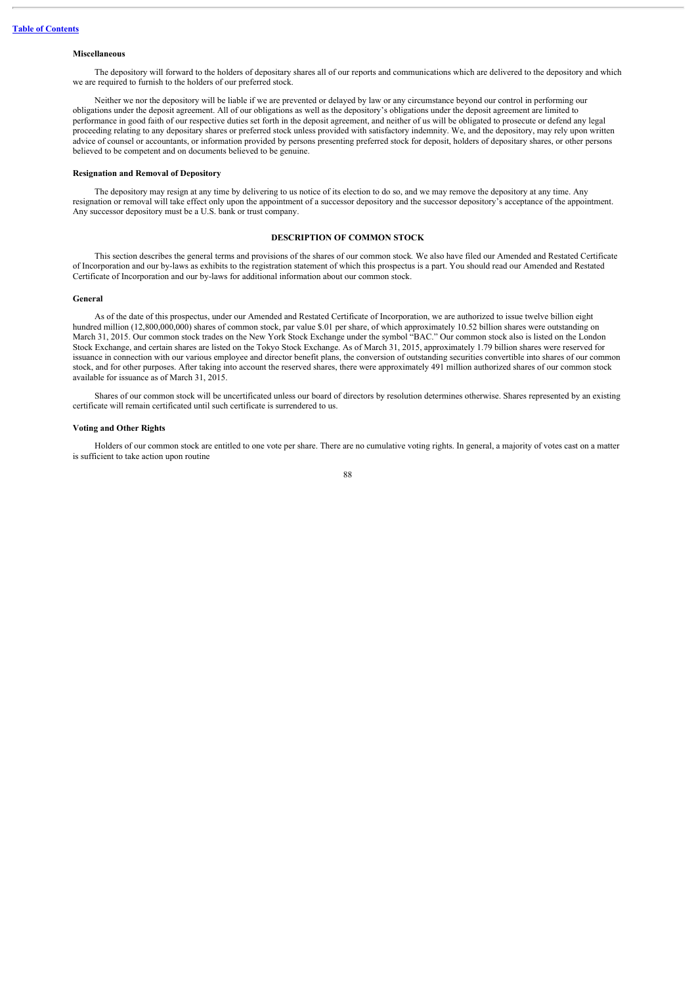#### **Miscellaneous**

The depository will forward to the holders of depositary shares all of our reports and communications which are delivered to the depository and which we are required to furnish to the holders of our preferred stock.

Neither we nor the depository will be liable if we are prevented or delayed by law or any circumstance beyond our control in performing our obligations under the deposit agreement. All of our obligations as well as the depository's obligations under the deposit agreement are limited to performance in good faith of our respective duties set forth in the deposit agreement, and neither of us will be obligated to prosecute or defend any legal proceeding relating to any depositary shares or preferred stock unless provided with satisfactory indemnity. We, and the depository, may rely upon written advice of counsel or accountants, or information provided by persons presenting preferred stock for deposit, holders of depositary shares, or other persons believed to be competent and on documents believed to be genuine.

### **Resignation and Removal of Depository**

The depository may resign at any time by delivering to us notice of its election to do so, and we may remove the depository at any time. Any resignation or removal will take effect only upon the appointment of a successor depository and the successor depository's acceptance of the appointment. Any successor depository must be a U.S. bank or trust company.

# **DESCRIPTION OF COMMON STOCK**

This section describes the general terms and provisions of the shares of our common stock*.* We also have filed our Amended and Restated Certificate of Incorporation and our by-laws as exhibits to the registration statement of which this prospectus is a part. You should read our Amended and Restated Certificate of Incorporation and our by-laws for additional information about our common stock.

#### **General**

As of the date of this prospectus, under our Amended and Restated Certificate of Incorporation, we are authorized to issue twelve billion eight hundred million (12,800,000,000) shares of common stock, par value \$.01 per share, of which approximately 10.52 billion shares were outstanding on March 31, 2015. Our common stock trades on the New York Stock Exchange under the symbol "BAC." Our common stock also is listed on the London Stock Exchange, and certain shares are listed on the Tokyo Stock Exchange. As of March 31, 2015, approximately 1.79 billion shares were reserved for issuance in connection with our various employee and director benefit plans, the conversion of outstanding securities convertible into shares of our common stock, and for other purposes. After taking into account the reserved shares, there were approximately 491 million authorized shares of our common stock available for issuance as of March 31, 2015.

Shares of our common stock will be uncertificated unless our board of directors by resolution determines otherwise. Shares represented by an existing certificate will remain certificated until such certificate is surrendered to us.

# **Voting and Other Rights**

Holders of our common stock are entitled to one vote per share. There are no cumulative voting rights. In general, a majority of votes cast on a matter is sufficient to take action upon routine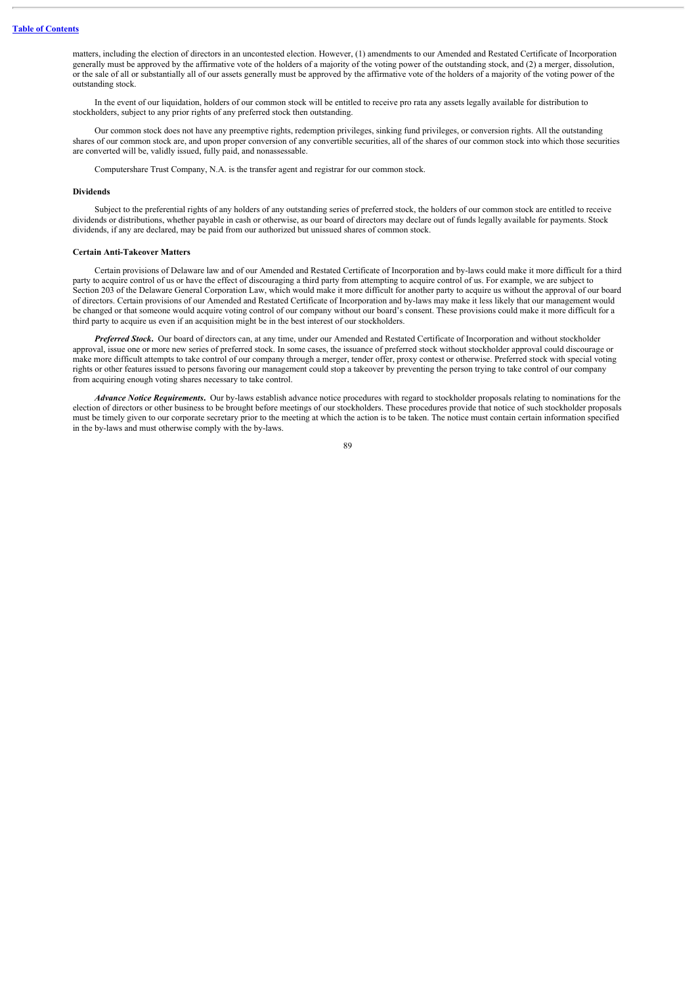matters, including the election of directors in an uncontested election. However, (1) amendments to our Amended and Restated Certificate of Incorporation generally must be approved by the affirmative vote of the holders of a majority of the voting power of the outstanding stock, and (2) a merger, dissolution, or the sale of all or substantially all of our assets generally must be approved by the affirmative vote of the holders of a majority of the voting power of the outstanding stock.

In the event of our liquidation, holders of our common stock will be entitled to receive pro rata any assets legally available for distribution to stockholders, subject to any prior rights of any preferred stock then outstanding.

Our common stock does not have any preemptive rights, redemption privileges, sinking fund privileges, or conversion rights. All the outstanding shares of our common stock are, and upon proper conversion of any convertible securities, all of the shares of our common stock into which those securities are converted will be, validly issued, fully paid, and nonassessable.

Computershare Trust Company, N.A. is the transfer agent and registrar for our common stock.

#### **Dividends**

Subject to the preferential rights of any holders of any outstanding series of preferred stock, the holders of our common stock are entitled to receive dividends or distributions, whether payable in cash or otherwise, as our board of directors may declare out of funds legally available for payments. Stock dividends, if any are declared, may be paid from our authorized but unissued shares of common stock.

### **Certain Anti-Takeover Matters**

Certain provisions of Delaware law and of our Amended and Restated Certificate of Incorporation and by-laws could make it more difficult for a third party to acquire control of us or have the effect of discouraging a third party from attempting to acquire control of us. For example, we are subject to Section 203 of the Delaware General Corporation Law, which would make it more difficult for another party to acquire us without the approval of our board of directors. Certain provisions of our Amended and Restated Certificate of Incorporation and by-laws may make it less likely that our management would be changed or that someone would acquire voting control of our company without our board's consent. These provisions could make it more difficult for a third party to acquire us even if an acquisition might be in the best interest of our stockholders.

*Preferred Stock***.** Our board of directors can, at any time, under our Amended and Restated Certificate of Incorporation and without stockholder approval, issue one or more new series of preferred stock. In some cases, the issuance of preferred stock without stockholder approval could discourage or make more difficult attempts to take control of our company through a merger, tender offer, proxy contest or otherwise. Preferred stock with special voting rights or other features issued to persons favoring our management could stop a takeover by preventing the person trying to take control of our company from acquiring enough voting shares necessary to take control.

*Advance Notice Requirements***.** Our by-laws establish advance notice procedures with regard to stockholder proposals relating to nominations for the election of directors or other business to be brought before meetings of our stockholders. These procedures provide that notice of such stockholder proposals must be timely given to our corporate secretary prior to the meeting at which the action is to be taken. The notice must contain certain information specified in the by-laws and must otherwise comply with the by-laws.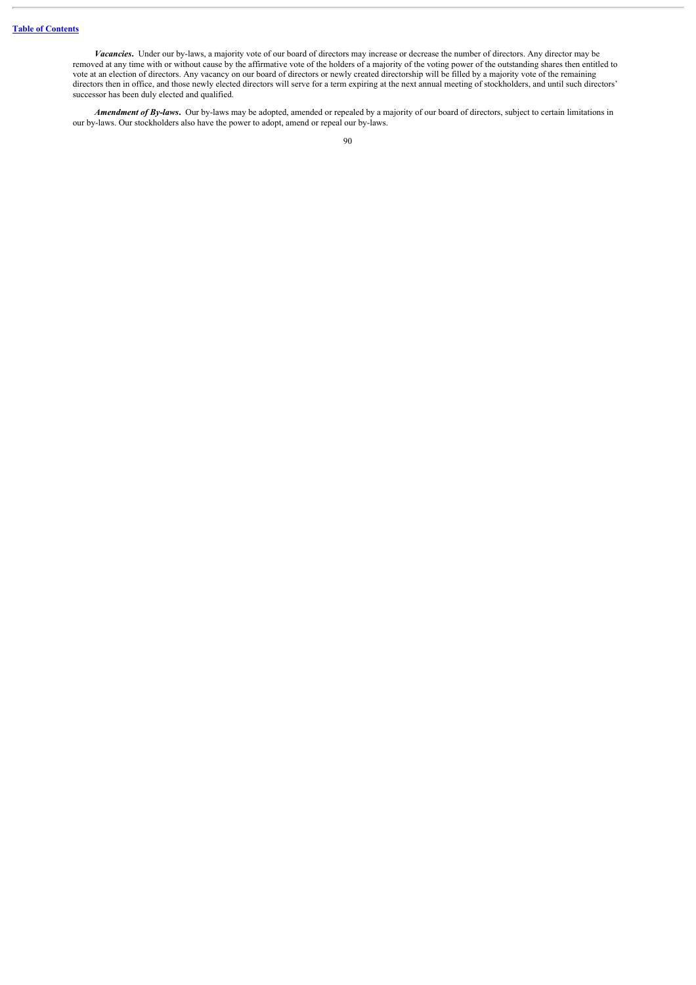*Vacancies***.** Under our by-laws, a majority vote of our board of directors may increase or decrease the number of directors. Any director may be removed at any time with or without cause by the affirmative vote of the holders of a majority of the voting power of the outstanding shares then entitled to vote at an election of directors. Any vacancy on our board of directors or newly created directorship will be filled by a majority vote of the remaining directors then in office, and those newly elected directors will serve for a term expiring at the next annual meeting of stockholders, and until such directors' successor has been duly elected and qualified.

*Amendment of By-laws***.** Our by-laws may be adopted, amended or repealed by a majority of our board of directors, subject to certain limitations in our by-laws. Our stockholders also have the power to adopt, amend or repeal our by-laws.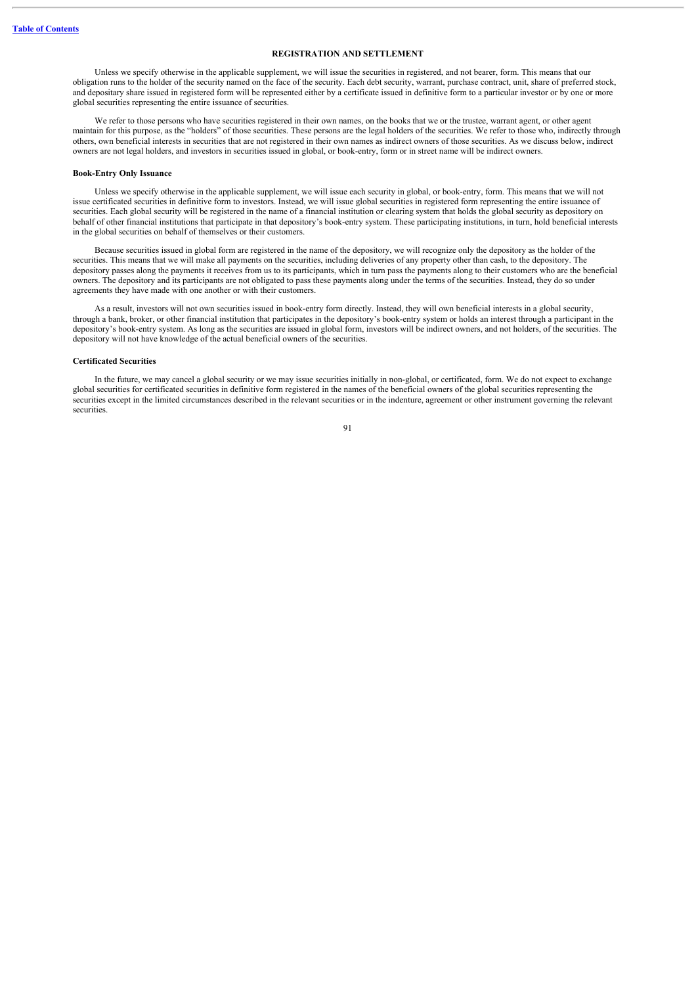### **REGISTRATION AND SETTLEMENT**

Unless we specify otherwise in the applicable supplement, we will issue the securities in registered, and not bearer, form. This means that our obligation runs to the holder of the security named on the face of the security. Each debt security, warrant, purchase contract, unit, share of preferred stock, and depositary share issued in registered form will be represented either by a certificate issued in definitive form to a particular investor or by one or more global securities representing the entire issuance of securities.

We refer to those persons who have securities registered in their own names, on the books that we or the trustee, warrant agent, or other agent maintain for this purpose, as the "holders" of those securities. These persons are the legal holders of the securities. We refer to those who, indirectly through others, own beneficial interests in securities that are not registered in their own names as indirect owners of those securities. As we discuss below, indirect owners are not legal holders, and investors in securities issued in global, or book-entry, form or in street name will be indirect owners.

### **Book-Entry Only Issuance**

Unless we specify otherwise in the applicable supplement, we will issue each security in global, or book-entry, form. This means that we will not issue certificated securities in definitive form to investors. Instead, we will issue global securities in registered form representing the entire issuance of securities. Each global security will be registered in the name of a financial institution or clearing system that holds the global security as depository on behalf of other financial institutions that participate in that depository's book-entry system. These participating institutions, in turn, hold beneficial interests in the global securities on behalf of themselves or their customers.

Because securities issued in global form are registered in the name of the depository, we will recognize only the depository as the holder of the securities. This means that we will make all payments on the securities, including deliveries of any property other than cash, to the depository. The depository passes along the payments it receives from us to its participants, which in turn pass the payments along to their customers who are the beneficial owners. The depository and its participants are not obligated to pass these payments along under the terms of the securities. Instead, they do so under agreements they have made with one another or with their customers.

As a result, investors will not own securities issued in book-entry form directly. Instead, they will own beneficial interests in a global security, through a bank, broker, or other financial institution that participates in the depository's book-entry system or holds an interest through a participant in the depository's book-entry system. As long as the securities are issued in global form, investors will be indirect owners, and not holders, of the securities. The depository will not have knowledge of the actual beneficial owners of the securities.

#### **Certificated Securities**

In the future, we may cancel a global security or we may issue securities initially in non-global, or certificated, form. We do not expect to exchange global securities for certificated securities in definitive form registered in the names of the beneficial owners of the global securities representing the securities except in the limited circumstances described in the relevant securities or in the indenture, agreement or other instrument governing the relevant securities.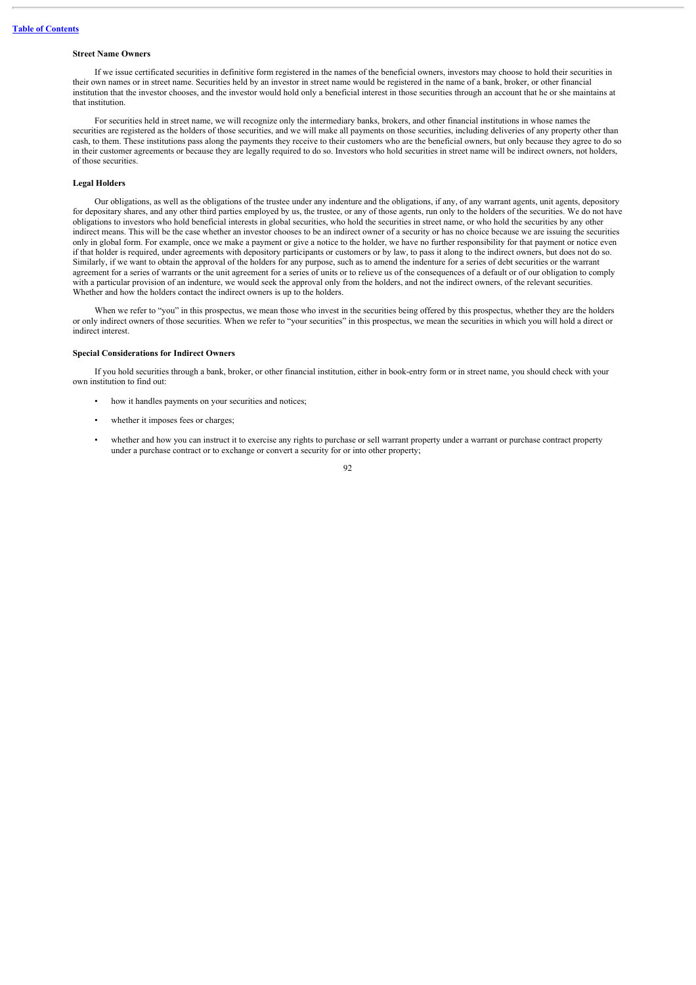#### **Street Name Owners**

If we issue certificated securities in definitive form registered in the names of the beneficial owners, investors may choose to hold their securities in their own names or in street name. Securities held by an investor in street name would be registered in the name of a bank, broker, or other financial institution that the investor chooses, and the investor would hold only a beneficial interest in those securities through an account that he or she maintains at that institution.

For securities held in street name, we will recognize only the intermediary banks, brokers, and other financial institutions in whose names the securities are registered as the holders of those securities, and we will make all payments on those securities, including deliveries of any property other than cash, to them. These institutions pass along the payments they receive to their customers who are the beneficial owners, but only because they agree to do so in their customer agreements or because they are legally required to do so. Investors who hold securities in street name will be indirect owners, not holders, of those securities.

#### **Legal Holders**

Our obligations, as well as the obligations of the trustee under any indenture and the obligations, if any, of any warrant agents, unit agents, depository for depositary shares, and any other third parties employed by us, the trustee, or any of those agents, run only to the holders of the securities. We do not have obligations to investors who hold beneficial interests in global securities, who hold the securities in street name, or who hold the securities by any other indirect means. This will be the case whether an investor chooses to be an indirect owner of a security or has no choice because we are issuing the securities only in global form. For example, once we make a payment or give a notice to the holder, we have no further responsibility for that payment or notice even if that holder is required, under agreements with depository participants or customers or by law, to pass it along to the indirect owners, but does not do so. Similarly, if we want to obtain the approval of the holders for any purpose, such as to amend the indenture for a series of debt securities or the warrant agreement for a series of warrants or the unit agreement for a series of units or to relieve us of the consequences of a default or of our obligation to comply with a particular provision of an indenture, we would seek the approval only from the holders, and not the indirect owners, of the relevant securities. Whether and how the holders contact the indirect owners is up to the holders.

When we refer to "you" in this prospectus, we mean those who invest in the securities being offered by this prospectus, whether they are the holders or only indirect owners of those securities. When we refer to "your securities" in this prospectus, we mean the securities in which you will hold a direct or indirect interest.

# **Special Considerations for Indirect Owners**

If you hold securities through a bank, broker, or other financial institution, either in book-entry form or in street name, you should check with your own institution to find out:

- how it handles payments on your securities and notices;
- whether it imposes fees or charges:
- whether and how you can instruct it to exercise any rights to purchase or sell warrant property under a warrant or purchase contract property under a purchase contract or to exchange or convert a security for or into other property;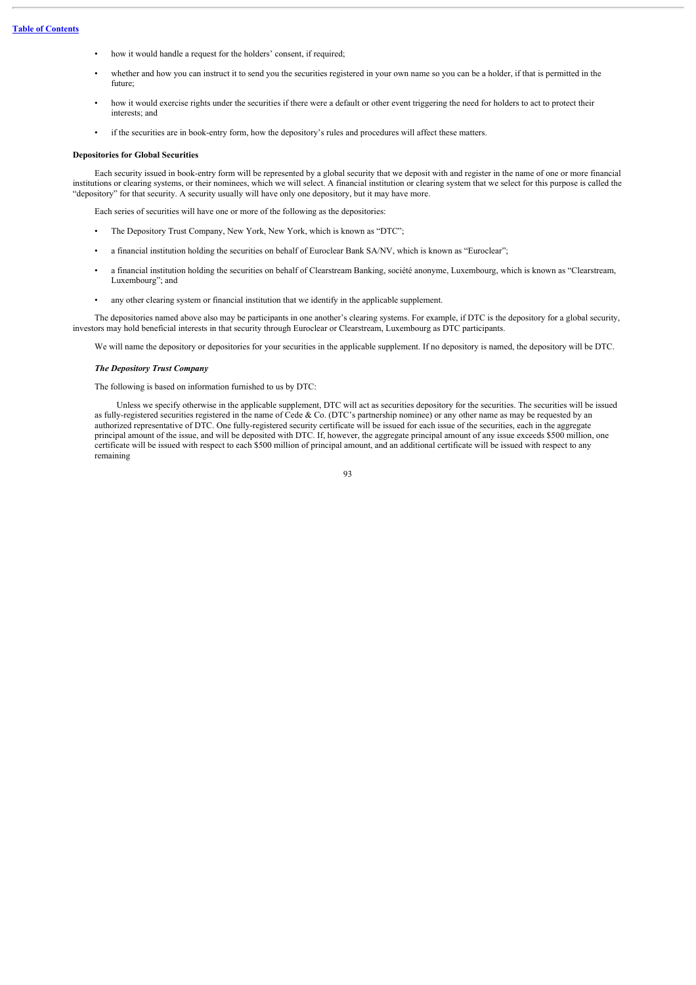- how it would handle a request for the holders' consent, if required;
- whether and how you can instruct it to send you the securities registered in your own name so you can be a holder, if that is permitted in the future;
- how it would exercise rights under the securities if there were a default or other event triggering the need for holders to act to protect their interests; and
- if the securities are in book-entry form, how the depository's rules and procedures will affect these matters.

#### **Depositories for Global Securities**

Each security issued in book-entry form will be represented by a global security that we deposit with and register in the name of one or more financial institutions or clearing systems, or their nominees, which we will select. A financial institution or clearing system that we select for this purpose is called the "depository" for that security. A security usually will have only one depository, but it may have more.

Each series of securities will have one or more of the following as the depositories:

- The Depository Trust Company, New York, New York, which is known as "DTC";
- a financial institution holding the securities on behalf of Euroclear Bank SA/NV, which is known as "Euroclear";
- a financial institution holding the securities on behalf of Clearstream Banking, société anonyme, Luxembourg, which is known as "Clearstream, Luxembourg"; and
- any other clearing system or financial institution that we identify in the applicable supplement.

The depositories named above also may be participants in one another's clearing systems. For example, if DTC is the depository for a global security, investors may hold beneficial interests in that security through Euroclear or Clearstream, Luxembourg as DTC participants.

We will name the depository or depositories for your securities in the applicable supplement. If no depository is named, the depository will be DTC.

#### *The Depository Trust Company*

The following is based on information furnished to us by DTC:

Unless we specify otherwise in the applicable supplement, DTC will act as securities depository for the securities. The securities will be issued as fully-registered securities registered in the name of Cede & Co. (DTC's partnership nominee) or any other name as may be requested by an authorized representative of DTC. One fully-registered security certificate will be issued for each issue of the securities, each in the aggregate principal amount of the issue, and will be deposited with DTC. If, however, the aggregate principal amount of any issue exceeds \$500 million, one certificate will be issued with respect to each \$500 million of principal amount, and an additional certificate will be issued with respect to any remaining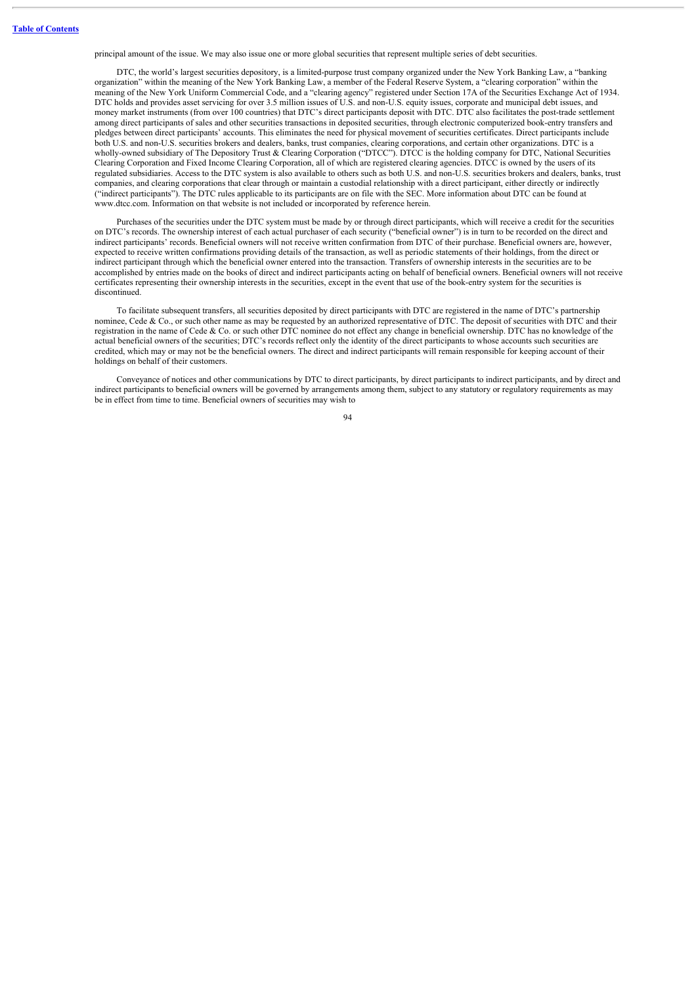principal amount of the issue. We may also issue one or more global securities that represent multiple series of debt securities.

DTC, the world's largest securities depository, is a limited-purpose trust company organized under the New York Banking Law, a "banking organization" within the meaning of the New York Banking Law, a member of the Federal Reserve System, a "clearing corporation" within the meaning of the New York Uniform Commercial Code, and a "clearing agency" registered under Section 17A of the Securities Exchange Act of 1934. DTC holds and provides asset servicing for over 3.5 million issues of U.S. and non-U.S. equity issues, corporate and municipal debt issues, and money market instruments (from over 100 countries) that DTC's direct participants deposit with DTC. DTC also facilitates the post-trade settlement among direct participants of sales and other securities transactions in deposited securities, through electronic computerized book-entry transfers and pledges between direct participants' accounts. This eliminates the need for physical movement of securities certificates. Direct participants include both U.S. and non-U.S. securities brokers and dealers, banks, trust companies, clearing corporations, and certain other organizations. DTC is a wholly-owned subsidiary of The Depository Trust & Clearing Corporation ("DTCC"). DTCC is the holding company for DTC, National Securities Clearing Corporation and Fixed Income Clearing Corporation, all of which are registered clearing agencies. DTCC is owned by the users of its regulated subsidiaries. Access to the DTC system is also available to others such as both U.S. and non-U.S. securities brokers and dealers, banks, trust companies, and clearing corporations that clear through or maintain a custodial relationship with a direct participant, either directly or indirectly ("indirect participants"). The DTC rules applicable to its participants are on file with the SEC. More information about DTC can be found at www.dtcc.com. Information on that website is not included or incorporated by reference herein.

Purchases of the securities under the DTC system must be made by or through direct participants, which will receive a credit for the securities on DTC's records. The ownership interest of each actual purchaser of each security ("beneficial owner") is in turn to be recorded on the direct and indirect participants' records. Beneficial owners will not receive written confirmation from DTC of their purchase. Beneficial owners are, however, expected to receive written confirmations providing details of the transaction, as well as periodic statements of their holdings, from the direct or indirect participant through which the beneficial owner entered into the transaction. Transfers of ownership interests in the securities are to be accomplished by entries made on the books of direct and indirect participants acting on behalf of beneficial owners. Beneficial owners will not receive certificates representing their ownership interests in the securities, except in the event that use of the book-entry system for the securities is discontinued.

To facilitate subsequent transfers, all securities deposited by direct participants with DTC are registered in the name of DTC's partnership nominee, Cede & Co., or such other name as may be requested by an authorized representative of DTC. The deposit of securities with DTC and their registration in the name of Cede & Co. or such other DTC nominee do not effect any change in beneficial ownership. DTC has no knowledge of the actual beneficial owners of the securities; DTC's records reflect only the identity of the direct participants to whose accounts such securities are credited, which may or may not be the beneficial owners. The direct and indirect participants will remain responsible for keeping account of their holdings on behalf of their customers.

Conveyance of notices and other communications by DTC to direct participants, by direct participants to indirect participants, and by direct and indirect participants to beneficial owners will be governed by arrangements among them, subject to any statutory or regulatory requirements as may be in effect from time to time. Beneficial owners of securities may wish to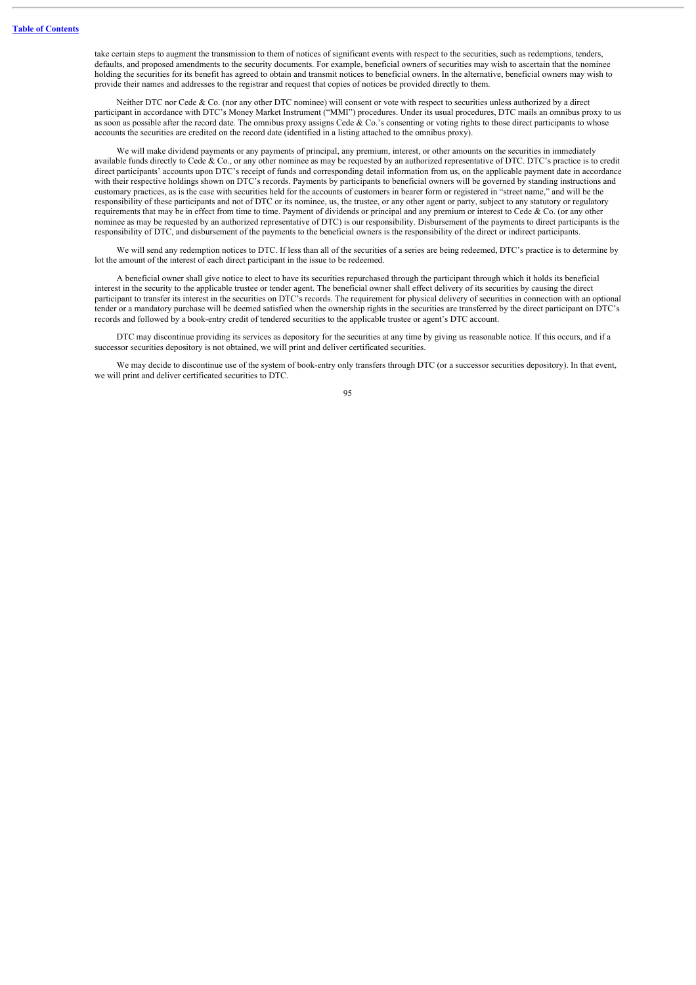take certain steps to augment the transmission to them of notices of significant events with respect to the securities, such as redemptions, tenders, defaults, and proposed amendments to the security documents. For example, beneficial owners of securities may wish to ascertain that the nominee holding the securities for its benefit has agreed to obtain and transmit notices to beneficial owners. In the alternative, beneficial owners may wish to provide their names and addresses to the registrar and request that copies of notices be provided directly to them.

Neither DTC nor Cede & Co. (nor any other DTC nominee) will consent or vote with respect to securities unless authorized by a direct participant in accordance with DTC's Money Market Instrument ("MMI") procedures. Under its usual procedures, DTC mails an omnibus proxy to us as soon as possible after the record date. The omnibus proxy assigns Cede  $\&$  Co.'s consenting or voting rights to those direct participants to whose accounts the securities are credited on the record date (identified in a listing attached to the omnibus proxy).

We will make dividend payments or any payments of principal, any premium, interest, or other amounts on the securities in immediately available funds directly to Cede & Co., or any other nominee as may be requested by an authorized representative of DTC. DTC's practice is to credit direct participants' accounts upon DTC's receipt of funds and corresponding detail information from us, on the applicable payment date in accordance with their respective holdings shown on DTC's records. Payments by participants to beneficial owners will be governed by standing instructions and customary practices, as is the case with securities held for the accounts of customers in bearer form or registered in "street name," and will be the responsibility of these participants and not of DTC or its nominee, us, the trustee, or any other agent or party, subject to any statutory or regulatory requirements that may be in effect from time to time. Payment of dividends or principal and any premium or interest to Cede & Co. (or any other nominee as may be requested by an authorized representative of DTC) is our responsibility. Disbursement of the payments to direct participants is the responsibility of DTC, and disbursement of the payments to the beneficial owners is the responsibility of the direct or indirect participants.

We will send any redemption notices to DTC. If less than all of the securities of a series are being redeemed, DTC's practice is to determine by lot the amount of the interest of each direct participant in the issue to be redeemed.

A beneficial owner shall give notice to elect to have its securities repurchased through the participant through which it holds its beneficial interest in the security to the applicable trustee or tender agent. The beneficial owner shall effect delivery of its securities by causing the direct participant to transfer its interest in the securities on DTC's records. The requirement for physical delivery of securities in connection with an optional tender or a mandatory purchase will be deemed satisfied when the ownership rights in the securities are transferred by the direct participant on DTC's records and followed by a book-entry credit of tendered securities to the applicable trustee or agent's DTC account.

DTC may discontinue providing its services as depository for the securities at any time by giving us reasonable notice. If this occurs, and if a successor securities depository is not obtained, we will print and deliver certificated securities.

We may decide to discontinue use of the system of book-entry only transfers through DTC (or a successor securities depository). In that event, we will print and deliver certificated securities to DTC.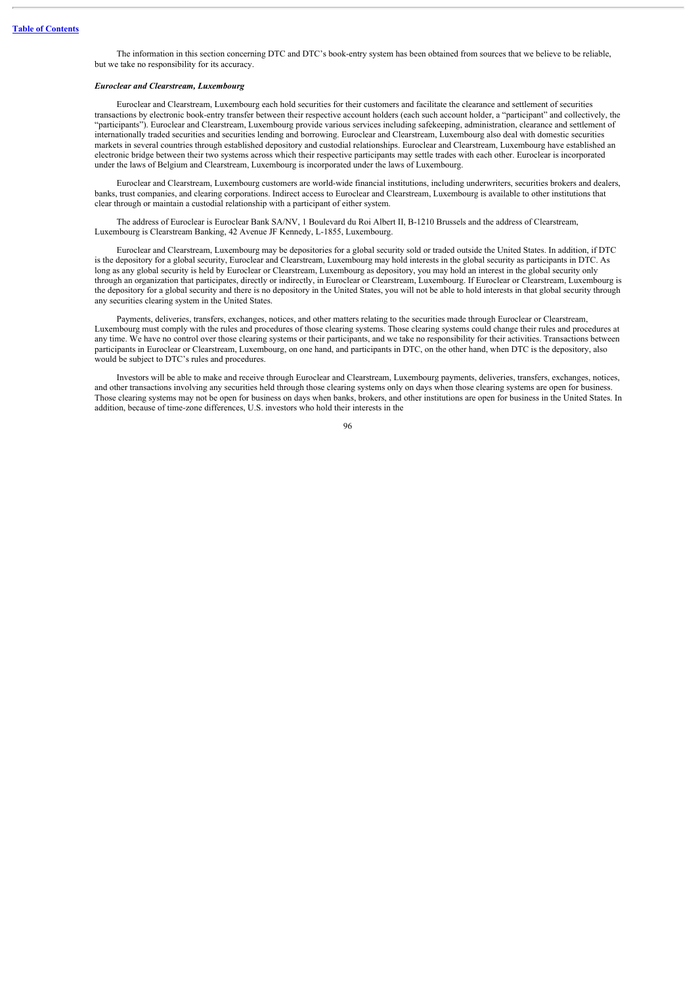The information in this section concerning DTC and DTC's book-entry system has been obtained from sources that we believe to be reliable, but we take no responsibility for its accuracy.

### *Euroclear and Clearstream, Luxembourg*

Euroclear and Clearstream, Luxembourg each hold securities for their customers and facilitate the clearance and settlement of securities transactions by electronic book-entry transfer between their respective account holders (each such account holder, a "participant" and collectively, the "participants"). Euroclear and Clearstream, Luxembourg provide various services including safekeeping, administration, clearance and settlement of internationally traded securities and securities lending and borrowing. Euroclear and Clearstream, Luxembourg also deal with domestic securities markets in several countries through established depository and custodial relationships. Euroclear and Clearstream, Luxembourg have established an electronic bridge between their two systems across which their respective participants may settle trades with each other. Euroclear is incorporated under the laws of Belgium and Clearstream, Luxembourg is incorporated under the laws of Luxembourg.

Euroclear and Clearstream, Luxembourg customers are world-wide financial institutions, including underwriters, securities brokers and dealers, banks, trust companies, and clearing corporations. Indirect access to Euroclear and Clearstream, Luxembourg is available to other institutions that clear through or maintain a custodial relationship with a participant of either system.

The address of Euroclear is Euroclear Bank SA/NV, 1 Boulevard du Roi Albert II, B-1210 Brussels and the address of Clearstream, Luxembourg is Clearstream Banking, 42 Avenue JF Kennedy, L-1855, Luxembourg.

Euroclear and Clearstream, Luxembourg may be depositories for a global security sold or traded outside the United States. In addition, if DTC is the depository for a global security, Euroclear and Clearstream, Luxembourg may hold interests in the global security as participants in DTC. As long as any global security is held by Euroclear or Clearstream, Luxembourg as depository, you may hold an interest in the global security only through an organization that participates, directly or indirectly, in Euroclear or Clearstream, Luxembourg. If Euroclear or Clearstream, Luxembourg is the depository for a global security and there is no depository in the United States, you will not be able to hold interests in that global security through any securities clearing system in the United States.

Payments, deliveries, transfers, exchanges, notices, and other matters relating to the securities made through Euroclear or Clearstream, Luxembourg must comply with the rules and procedures of those clearing systems. Those clearing systems could change their rules and procedures at any time. We have no control over those clearing systems or their participants, and we take no responsibility for their activities. Transactions between participants in Euroclear or Clearstream, Luxembourg, on one hand, and participants in DTC, on the other hand, when DTC is the depository, also would be subject to DTC's rules and procedures.

Investors will be able to make and receive through Euroclear and Clearstream, Luxembourg payments, deliveries, transfers, exchanges, notices, and other transactions involving any securities held through those clearing systems only on days when those clearing systems are open for business. Those clearing systems may not be open for business on days when banks, brokers, and other institutions are open for business in the United States. In addition, because of time-zone differences, U.S. investors who hold their interests in the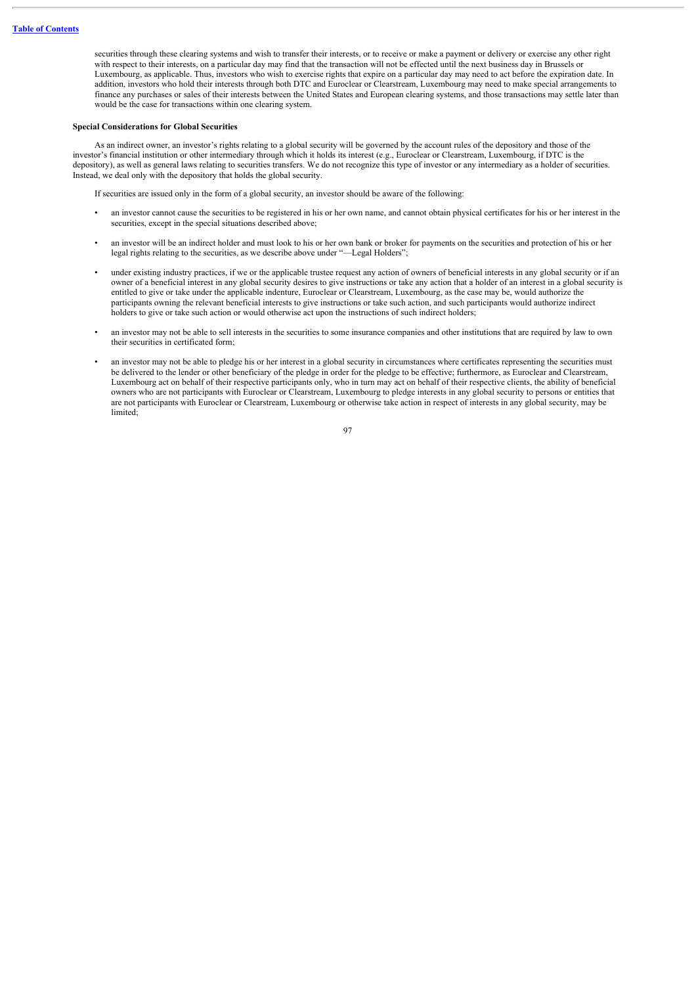securities through these clearing systems and wish to transfer their interests, or to receive or make a payment or delivery or exercise any other right with respect to their interests, on a particular day may find that the transaction will not be effected until the next business day in Brussels or Luxembourg, as applicable. Thus, investors who wish to exercise rights that expire on a particular day may need to act before the expiration date. In addition, investors who hold their interests through both DTC and Euroclear or Clearstream, Luxembourg may need to make special arrangements to finance any purchases or sales of their interests between the United States and European clearing systems, and those transactions may settle later than would be the case for transactions within one clearing system.

#### **Special Considerations for Global Securities**

As an indirect owner, an investor's rights relating to a global security will be governed by the account rules of the depository and those of the investor's financial institution or other intermediary through which it holds its interest (e.g., Euroclear or Clearstream, Luxembourg, if DTC is the depository), as well as general laws relating to securities transfers. We do not recognize this type of investor or any intermediary as a holder of securities. Instead, we deal only with the depository that holds the global security.

If securities are issued only in the form of a global security, an investor should be aware of the following:

- an investor cannot cause the securities to be registered in his or her own name, and cannot obtain physical certificates for his or her interest in the securities, except in the special situations described above;
- an investor will be an indirect holder and must look to his or her own bank or broker for payments on the securities and protection of his or her legal rights relating to the securities, as we describe above under "—Legal Holders";
- under existing industry practices, if we or the applicable trustee request any action of owners of beneficial interests in any global security or if an owner of a beneficial interest in any global security desires to give instructions or take any action that a holder of an interest in a global security is entitled to give or take under the applicable indenture, Euroclear or Clearstream, Luxembourg, as the case may be, would authorize the participants owning the relevant beneficial interests to give instructions or take such action, and such participants would authorize indirect holders to give or take such action or would otherwise act upon the instructions of such indirect holders;
- an investor may not be able to sell interests in the securities to some insurance companies and other institutions that are required by law to own their securities in certificated form;
- an investor may not be able to pledge his or her interest in a global security in circumstances where certificates representing the securities must be delivered to the lender or other beneficiary of the pledge in order for the pledge to be effective; furthermore, as Euroclear and Clearstream, Luxembourg act on behalf of their respective participants only, who in turn may act on behalf of their respective clients, the ability of beneficial owners who are not participants with Euroclear or Clearstream, Luxembourg to pledge interests in any global security to persons or entities that are not participants with Euroclear or Clearstream, Luxembourg or otherwise take action in respect of interests in any global security, may be limited;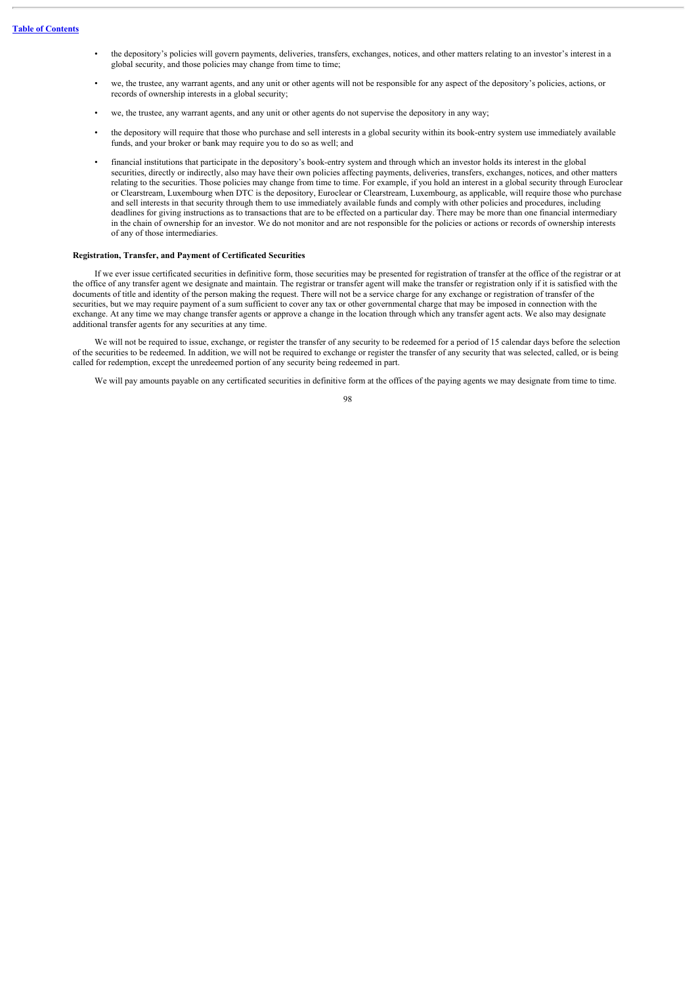- the depository's policies will govern payments, deliveries, transfers, exchanges, notices, and other matters relating to an investor's interest in a global security, and those policies may change from time to time;
- we, the trustee, any warrant agents, and any unit or other agents will not be responsible for any aspect of the depository's policies, actions, or records of ownership interests in a global security;
- we, the trustee, any warrant agents, and any unit or other agents do not supervise the depository in any way;
- the depository will require that those who purchase and sell interests in a global security within its book-entry system use immediately available funds, and your broker or bank may require you to do so as well; and
- financial institutions that participate in the depository's book-entry system and through which an investor holds its interest in the global securities, directly or indirectly, also may have their own policies affecting payments, deliveries, transfers, exchanges, notices, and other matters relating to the securities. Those policies may change from time to time. For example, if you hold an interest in a global security through Euroclear or Clearstream, Luxembourg when DTC is the depository, Euroclear or Clearstream, Luxembourg, as applicable, will require those who purchase and sell interests in that security through them to use immediately available funds and comply with other policies and procedures, including deadlines for giving instructions as to transactions that are to be effected on a particular day. There may be more than one financial intermediary in the chain of ownership for an investor. We do not monitor and are not responsible for the policies or actions or records of ownership interests of any of those intermediaries.

### **Registration, Transfer, and Payment of Certificated Securities**

If we ever issue certificated securities in definitive form, those securities may be presented for registration of transfer at the office of the registrar or at the office of any transfer agent we designate and maintain. The registrar or transfer agent will make the transfer or registration only if it is satisfied with the documents of title and identity of the person making the request. There will not be a service charge for any exchange or registration of transfer of the securities, but we may require payment of a sum sufficient to cover any tax or other governmental charge that may be imposed in connection with the exchange. At any time we may change transfer agents or approve a change in the location through which any transfer agent acts. We also may designate additional transfer agents for any securities at any time.

We will not be required to issue, exchange, or register the transfer of any security to be redeemed for a period of 15 calendar days before the selection of the securities to be redeemed. In addition, we will not be required to exchange or register the transfer of any security that was selected, called, or is being called for redemption, except the unredeemed portion of any security being redeemed in part.

We will pay amounts payable on any certificated securities in definitive form at the offices of the paying agents we may designate from time to time.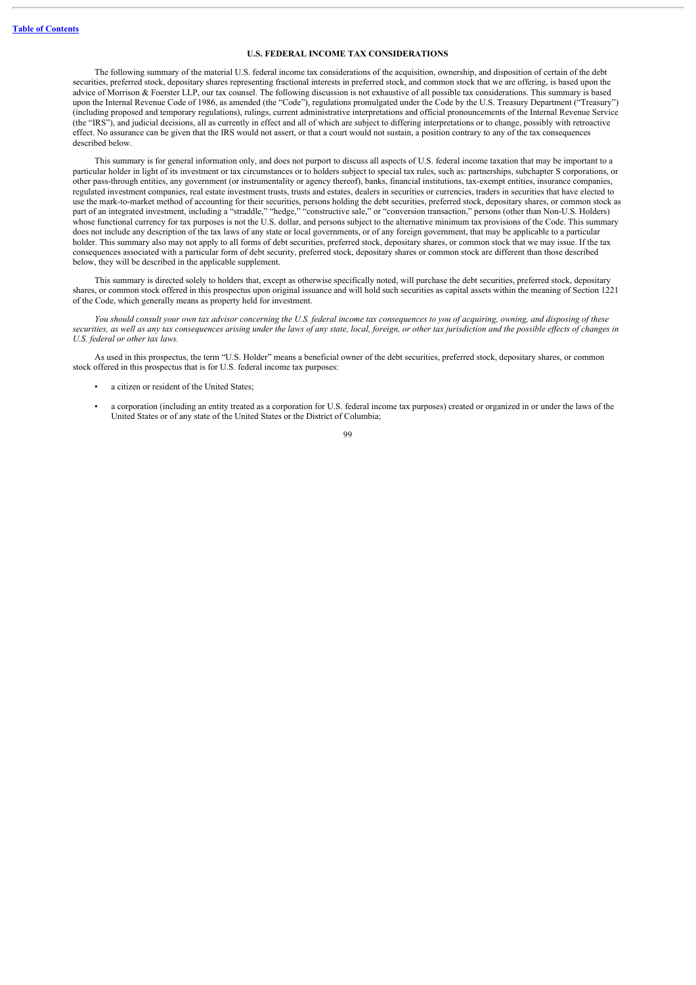### **U.S. FEDERAL INCOME TAX CONSIDERATIONS**

The following summary of the material U.S. federal income tax considerations of the acquisition, ownership, and disposition of certain of the debt securities, preferred stock, depositary shares representing fractional interests in preferred stock, and common stock that we are offering, is based upon the advice of Morrison & Foerster LLP, our tax counsel. The following discussion is not exhaustive of all possible tax considerations. This summary is based upon the Internal Revenue Code of 1986, as amended (the "Code"), regulations promulgated under the Code by the U.S. Treasury Department ("Treasury") (including proposed and temporary regulations), rulings, current administrative interpretations and official pronouncements of the Internal Revenue Service (the "IRS"), and judicial decisions, all as currently in effect and all of which are subject to differing interpretations or to change, possibly with retroactive effect. No assurance can be given that the IRS would not assert, or that a court would not sustain, a position contrary to any of the tax consequences described below.

This summary is for general information only, and does not purport to discuss all aspects of U.S. federal income taxation that may be important to a particular holder in light of its investment or tax circumstances or to holders subject to special tax rules, such as: partnerships, subchapter S corporations, or other pass-through entities, any government (or instrumentality or agency thereof), banks, financial institutions, tax-exempt entities, insurance companies, regulated investment companies, real estate investment trusts, trusts and estates, dealers in securities or currencies, traders in securities that have elected to use the mark-to-market method of accounting for their securities, persons holding the debt securities, preferred stock, depositary shares, or common stock as part of an integrated investment, including a "straddle," "hedge," "constructive sale," or "conversion transaction," persons (other than Non-U.S. Holders) whose functional currency for tax purposes is not the U.S. dollar, and persons subject to the alternative minimum tax provisions of the Code. This summary does not include any description of the tax laws of any state or local governments, or of any foreign government, that may be applicable to a particular holder. This summary also may not apply to all forms of debt securities, preferred stock, depositary shares, or common stock that we may issue. If the tax consequences associated with a particular form of debt security, preferred stock, depositary shares or common stock are different than those described below, they will be described in the applicable supplement.

This summary is directed solely to holders that, except as otherwise specifically noted, will purchase the debt securities, preferred stock, depositary shares, or common stock offered in this prospectus upon original issuance and will hold such securities as capital assets within the meaning of Section 1221 of the Code, which generally means as property held for investment.

You should consult your own tax advisor concerning the U.S. federal income tax consequences to you of acquiring, owning, and disposing of these securities, as well as any tax consequences arising under the laws of any state, local, foreign, or other tax jurisdiction and the possible effects of changes in *U.S. federal or other tax laws.*

As used in this prospectus, the term "U.S. Holder" means a beneficial owner of the debt securities, preferred stock, depositary shares, or common stock offered in this prospectus that is for U.S. federal income tax purposes:

- a citizen or resident of the United States;
- a corporation (including an entity treated as a corporation for U.S. federal income tax purposes) created or organized in or under the laws of the United States or of any state of the United States or the District of Columbia;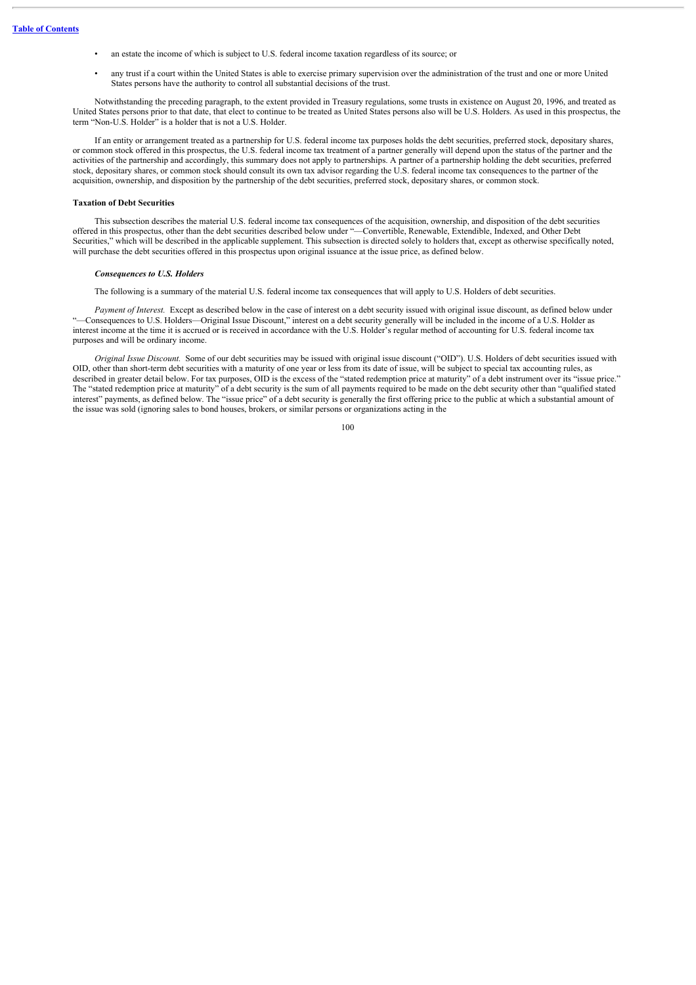- an estate the income of which is subject to U.S. federal income taxation regardless of its source; or
- any trust if a court within the United States is able to exercise primary supervision over the administration of the trust and one or more United States persons have the authority to control all substantial decisions of the trust.

Notwithstanding the preceding paragraph, to the extent provided in Treasury regulations, some trusts in existence on August 20, 1996, and treated as United States persons prior to that date, that elect to continue to be treated as United States persons also will be U.S. Holders. As used in this prospectus, the term "Non-U.S. Holder" is a holder that is not a U.S. Holder.

If an entity or arrangement treated as a partnership for U.S. federal income tax purposes holds the debt securities, preferred stock, depositary shares, or common stock offered in this prospectus, the U.S. federal income tax treatment of a partner generally will depend upon the status of the partner and the activities of the partnership and accordingly, this summary does not apply to partnerships. A partner of a partnership holding the debt securities, preferred stock, depositary shares, or common stock should consult its own tax advisor regarding the U.S. federal income tax consequences to the partner of the acquisition, ownership, and disposition by the partnership of the debt securities, preferred stock, depositary shares, or common stock.

### **Taxation of Debt Securities**

This subsection describes the material U.S. federal income tax consequences of the acquisition, ownership, and disposition of the debt securities offered in this prospectus, other than the debt securities described below under "—Convertible, Renewable, Extendible, Indexed, and Other Debt Securities," which will be described in the applicable supplement. This subsection is directed solely to holders that, except as otherwise specifically noted, will purchase the debt securities offered in this prospectus upon original issuance at the issue price, as defined below.

### *Consequences to U.S. Holders*

The following is a summary of the material U.S. federal income tax consequences that will apply to U.S. Holders of debt securities.

*Payment of Interest.* Except as described below in the case of interest on a debt security issued with original issue discount, as defined below under "—Consequences to U.S. Holders—Original Issue Discount," interest on a debt security generally will be included in the income of a U.S. Holder as interest income at the time it is accrued or is received in accordance with the U.S. Holder's regular method of accounting for U.S. federal income tax purposes and will be ordinary income.

*Original Issue Discount.* Some of our debt securities may be issued with original issue discount ("OID"). U.S. Holders of debt securities issued with OID, other than short-term debt securities with a maturity of one year or less from its date of issue, will be subject to special tax accounting rules, as described in greater detail below. For tax purposes, OID is the excess of the "stated redemption price at maturity" of a debt instrument over its "issue price." The "stated redemption price at maturity" of a debt security is the sum of all payments required to be made on the debt security other than "qualified stated interest" payments, as defined below. The "issue price" of a debt security is generally the first offering price to the public at which a substantial amount of the issue was sold (ignoring sales to bond houses, brokers, or similar persons or organizations acting in the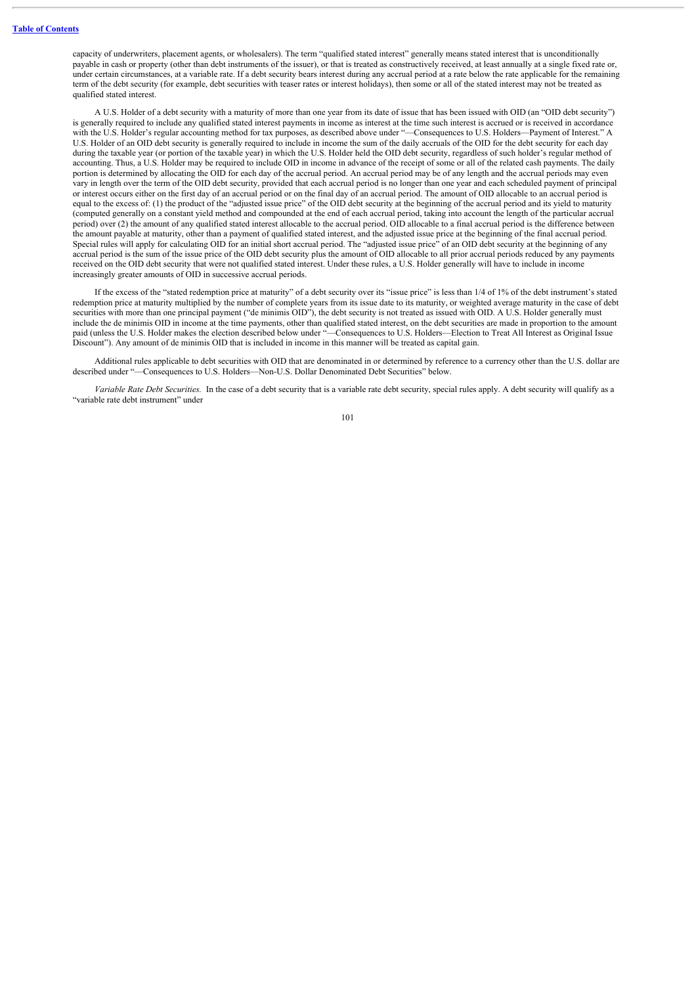capacity of underwriters, placement agents, or wholesalers). The term "qualified stated interest" generally means stated interest that is unconditionally payable in cash or property (other than debt instruments of the issuer), or that is treated as constructively received, at least annually at a single fixed rate or, under certain circumstances, at a variable rate. If a debt security bears interest during any accrual period at a rate below the rate applicable for the remaining term of the debt security (for example, debt securities with teaser rates or interest holidays), then some or all of the stated interest may not be treated as qualified stated interest.

A U.S. Holder of a debt security with a maturity of more than one year from its date of issue that has been issued with OID (an "OID debt security") is generally required to include any qualified stated interest payments in income as interest at the time such interest is accrued or is received in accordance with the U.S. Holder's regular accounting method for tax purposes, as described above under "—Consequences to U.S. Holders—Payment of Interest." A U.S. Holder of an OID debt security is generally required to include in income the sum of the daily accruals of the OID for the debt security for each day during the taxable year (or portion of the taxable year) in which the U.S. Holder held the OID debt security, regardless of such holder's regular method of accounting. Thus, a U.S. Holder may be required to include OID in income in advance of the receipt of some or all of the related cash payments. The daily portion is determined by allocating the OID for each day of the accrual period. An accrual period may be of any length and the accrual periods may even vary in length over the term of the OID debt security, provided that each accrual period is no longer than one year and each scheduled payment of principal or interest occurs either on the first day of an accrual period or on the final day of an accrual period. The amount of OID allocable to an accrual period is equal to the excess of: (1) the product of the "adjusted issue price" of the OID debt security at the beginning of the accrual period and its yield to maturity (computed generally on a constant yield method and compounded at the end of each accrual period, taking into account the length of the particular accrual period) over (2) the amount of any qualified stated interest allocable to the accrual period. OID allocable to a final accrual period is the difference between the amount payable at maturity, other than a payment of qualified stated interest, and the adjusted issue price at the beginning of the final accrual period. Special rules will apply for calculating OID for an initial short accrual period. The "adjusted issue price" of an OID debt security at the beginning of any accrual period is the sum of the issue price of the OID debt security plus the amount of OID allocable to all prior accrual periods reduced by any payments received on the OID debt security that were not qualified stated interest. Under these rules, a U.S. Holder generally will have to include in income increasingly greater amounts of OID in successive accrual periods.

If the excess of the "stated redemption price at maturity" of a debt security over its "issue price" is less than 1/4 of 1% of the debt instrument's stated redemption price at maturity multiplied by the number of complete years from its issue date to its maturity, or weighted average maturity in the case of debt securities with more than one principal payment ("de minimis OID"), the debt security is not treated as issued with OID. A U.S. Holder generally must include the de minimis OID in income at the time payments, other than qualified stated interest, on the debt securities are made in proportion to the amount paid (unless the U.S. Holder makes the election described below under "—Consequences to U.S. Holders—Election to Treat All Interest as Original Issue Discount"). Any amount of de minimis OID that is included in income in this manner will be treated as capital gain.

Additional rules applicable to debt securities with OID that are denominated in or determined by reference to a currency other than the U.S. dollar are described under "—Consequences to U.S. Holders—Non-U.S. Dollar Denominated Debt Securities" below.

*Variable Rate Debt Securities.* In the case of a debt security that is a variable rate debt security, special rules apply. A debt security will qualify as a "variable rate debt instrument" under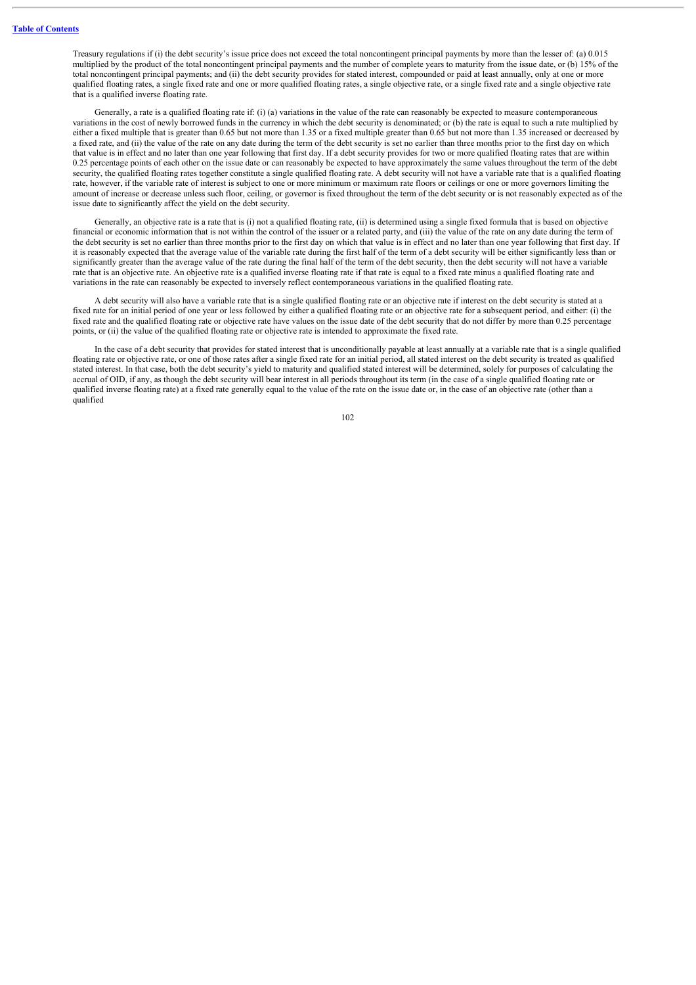Treasury regulations if (i) the debt security's issue price does not exceed the total noncontingent principal payments by more than the lesser of: (a) 0.015 multiplied by the product of the total noncontingent principal payments and the number of complete years to maturity from the issue date, or (b) 15% of the total noncontingent principal payments; and (ii) the debt security provides for stated interest, compounded or paid at least annually, only at one or more qualified floating rates, a single fixed rate and one or more qualified floating rates, a single objective rate, or a single fixed rate and a single objective rate that is a qualified inverse floating rate.

Generally, a rate is a qualified floating rate if: (i) (a) variations in the value of the rate can reasonably be expected to measure contemporaneous variations in the cost of newly borrowed funds in the currency in which the debt security is denominated; or (b) the rate is equal to such a rate multiplied by either a fixed multiple that is greater than 0.65 but not more than 1.35 or a fixed multiple greater than 0.65 but not more than 1.35 increased or decreased by a fixed rate, and (ii) the value of the rate on any date during the term of the debt security is set no earlier than three months prior to the first day on which that value is in effect and no later than one year following that first day. If a debt security provides for two or more qualified floating rates that are within 0.25 percentage points of each other on the issue date or can reasonably be expected to have approximately the same values throughout the term of the debt security, the qualified floating rates together constitute a single qualified floating rate. A debt security will not have a variable rate that is a qualified floating rate, however, if the variable rate of interest is subject to one or more minimum or maximum rate floors or ceilings or one or more governors limiting the amount of increase or decrease unless such floor, ceiling, or governor is fixed throughout the term of the debt security or is not reasonably expected as of the issue date to significantly affect the yield on the debt security.

Generally, an objective rate is a rate that is (i) not a qualified floating rate, (ii) is determined using a single fixed formula that is based on objective financial or economic information that is not within the control of the issuer or a related party, and (iii) the value of the rate on any date during the term of the debt security is set no earlier than three months prior to the first day on which that value is in effect and no later than one year following that first day. If it is reasonably expected that the average value of the variable rate during the first half of the term of a debt security will be either significantly less than or significantly greater than the average value of the rate during the final half of the term of the debt security, then the debt security will not have a variable rate that is an objective rate. An objective rate is a qualified inverse floating rate if that rate is equal to a fixed rate minus a qualified floating rate and variations in the rate can reasonably be expected to inversely reflect contemporaneous variations in the qualified floating rate.

A debt security will also have a variable rate that is a single qualified floating rate or an objective rate if interest on the debt security is stated at a fixed rate for an initial period of one year or less followed by either a qualified floating rate or an objective rate for a subsequent period, and either: (i) the fixed rate and the qualified floating rate or objective rate have values on the issue date of the debt security that do not differ by more than 0.25 percentage points, or (ii) the value of the qualified floating rate or objective rate is intended to approximate the fixed rate.

In the case of a debt security that provides for stated interest that is unconditionally payable at least annually at a variable rate that is a single qualified floating rate or objective rate, or one of those rates after a single fixed rate for an initial period, all stated interest on the debt security is treated as qualified stated interest. In that case, both the debt security's yield to maturity and qualified stated interest will be determined, solely for purposes of calculating the accrual of OID, if any, as though the debt security will bear interest in all periods throughout its term (in the case of a single qualified floating rate or qualified inverse floating rate) at a fixed rate generally equal to the value of the rate on the issue date or, in the case of an objective rate (other than a qualified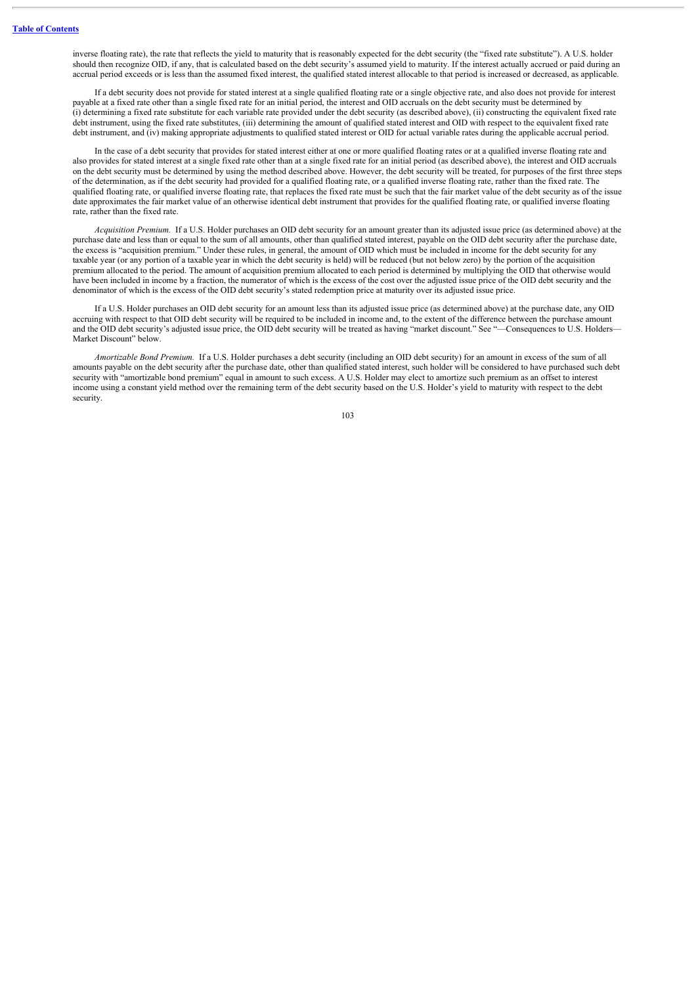inverse floating rate), the rate that reflects the yield to maturity that is reasonably expected for the debt security (the "fixed rate substitute"). A U.S. holder should then recognize OID, if any, that is calculated based on the debt security's assumed yield to maturity. If the interest actually accrued or paid during an accrual period exceeds or is less than the assumed fixed interest, the qualified stated interest allocable to that period is increased or decreased, as applicable.

If a debt security does not provide for stated interest at a single qualified floating rate or a single objective rate, and also does not provide for interest payable at a fixed rate other than a single fixed rate for an initial period, the interest and OID accruals on the debt security must be determined by (i) determining a fixed rate substitute for each variable rate provided under the debt security (as described above), (ii) constructing the equivalent fixed rate debt instrument, using the fixed rate substitutes, (iii) determining the amount of qualified stated interest and OID with respect to the equivalent fixed rate debt instrument, and (iv) making appropriate adjustments to qualified stated interest or OID for actual variable rates during the applicable accrual period.

In the case of a debt security that provides for stated interest either at one or more qualified floating rates or at a qualified inverse floating rate and also provides for stated interest at a single fixed rate other than at a single fixed rate for an initial period (as described above), the interest and OID accruals on the debt security must be determined by using the method described above. However, the debt security will be treated, for purposes of the first three steps of the determination, as if the debt security had provided for a qualified floating rate, or a qualified inverse floating rate, rather than the fixed rate. The qualified floating rate, or qualified inverse floating rate, that replaces the fixed rate must be such that the fair market value of the debt security as of the issue date approximates the fair market value of an otherwise identical debt instrument that provides for the qualified floating rate, or qualified inverse floating rate, rather than the fixed rate.

*Acquisition Premium.* If a U.S. Holder purchases an OID debt security for an amount greater than its adjusted issue price (as determined above) at the purchase date and less than or equal to the sum of all amounts, other than qualified stated interest, payable on the OID debt security after the purchase date, the excess is "acquisition premium." Under these rules, in general, the amount of OID which must be included in income for the debt security for any taxable year (or any portion of a taxable year in which the debt security is held) will be reduced (but not below zero) by the portion of the acquisition premium allocated to the period. The amount of acquisition premium allocated to each period is determined by multiplying the OID that otherwise would have been included in income by a fraction, the numerator of which is the excess of the cost over the adjusted issue price of the OID debt security and the denominator of which is the excess of the OID debt security's stated redemption price at maturity over its adjusted issue price.

If a U.S. Holder purchases an OID debt security for an amount less than its adjusted issue price (as determined above) at the purchase date, any OID accruing with respect to that OID debt security will be required to be included in income and, to the extent of the difference between the purchase amount and the OID debt security's adjusted issue price, the OID debt security will be treated as having "market discount." See "—Consequences to U.S. Holders-Market Discount" below.

*Amortizable Bond Premium.* If a U.S. Holder purchases a debt security (including an OID debt security) for an amount in excess of the sum of all amounts payable on the debt security after the purchase date, other than qualified stated interest, such holder will be considered to have purchased such debt security with "amortizable bond premium" equal in amount to such excess. A U.S. Holder may elect to amortize such premium as an offset to interest income using a constant yield method over the remaining term of the debt security based on the U.S. Holder's yield to maturity with respect to the debt security.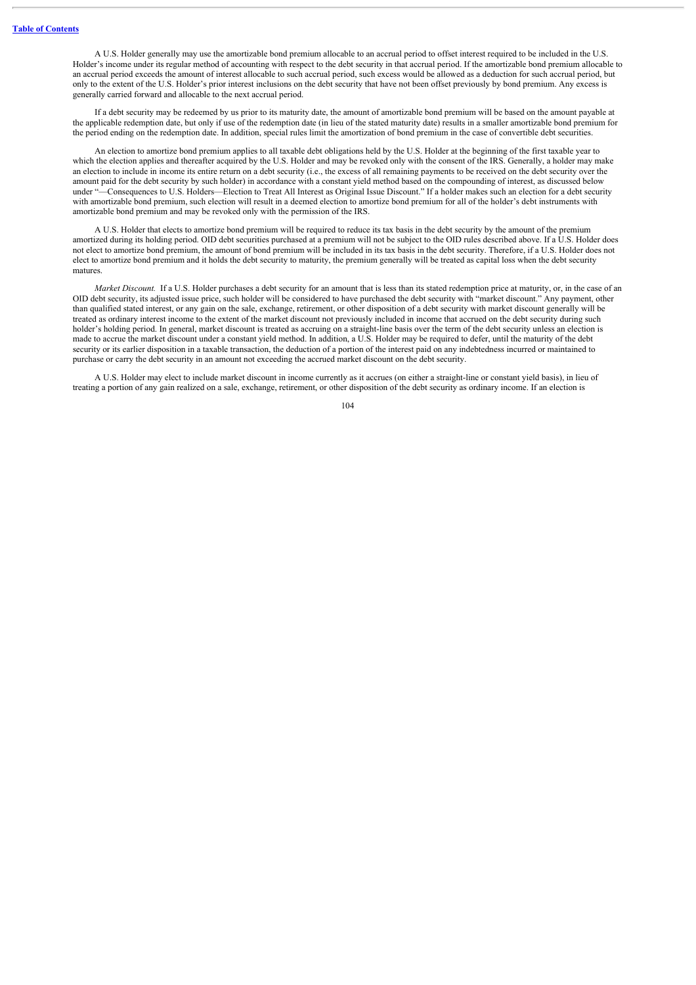A U.S. Holder generally may use the amortizable bond premium allocable to an accrual period to offset interest required to be included in the U.S. Holder's income under its regular method of accounting with respect to the debt security in that accrual period. If the amortizable bond premium allocable to an accrual period exceeds the amount of interest allocable to such accrual period, such excess would be allowed as a deduction for such accrual period, but only to the extent of the U.S. Holder's prior interest inclusions on the debt security that have not been offset previously by bond premium. Any excess is generally carried forward and allocable to the next accrual period.

If a debt security may be redeemed by us prior to its maturity date, the amount of amortizable bond premium will be based on the amount payable at the applicable redemption date, but only if use of the redemption date (in lieu of the stated maturity date) results in a smaller amortizable bond premium for the period ending on the redemption date. In addition, special rules limit the amortization of bond premium in the case of convertible debt securities.

An election to amortize bond premium applies to all taxable debt obligations held by the U.S. Holder at the beginning of the first taxable year to which the election applies and thereafter acquired by the U.S. Holder and may be revoked only with the consent of the IRS. Generally, a holder may make an election to include in income its entire return on a debt security (i.e., the excess of all remaining payments to be received on the debt security over the amount paid for the debt security by such holder) in accordance with a constant yield method based on the compounding of interest, as discussed below under "—Consequences to U.S. Holders—Election to Treat All Interest as Original Issue Discount." If a holder makes such an election for a debt security with amortizable bond premium, such election will result in a deemed election to amortize bond premium for all of the holder's debt instruments with amortizable bond premium and may be revoked only with the permission of the IRS.

A U.S. Holder that elects to amortize bond premium will be required to reduce its tax basis in the debt security by the amount of the premium amortized during its holding period. OID debt securities purchased at a premium will not be subject to the OID rules described above. If a U.S. Holder does not elect to amortize bond premium, the amount of bond premium will be included in its tax basis in the debt security. Therefore, if a U.S. Holder does not elect to amortize bond premium and it holds the debt security to maturity, the premium generally will be treated as capital loss when the debt security matures.

*Market Discount.* If a U.S. Holder purchases a debt security for an amount that is less than its stated redemption price at maturity, or, in the case of an OID debt security, its adjusted issue price, such holder will be considered to have purchased the debt security with "market discount." Any payment, other than qualified stated interest, or any gain on the sale, exchange, retirement, or other disposition of a debt security with market discount generally will be treated as ordinary interest income to the extent of the market discount not previously included in income that accrued on the debt security during such holder's holding period. In general, market discount is treated as accruing on a straight-line basis over the term of the debt security unless an election is made to accrue the market discount under a constant yield method. In addition, a U.S. Holder may be required to defer, until the maturity of the debt security or its earlier disposition in a taxable transaction, the deduction of a portion of the interest paid on any indebtedness incurred or maintained to purchase or carry the debt security in an amount not exceeding the accrued market discount on the debt security.

A U.S. Holder may elect to include market discount in income currently as it accrues (on either a straight-line or constant yield basis), in lieu of treating a portion of any gain realized on a sale, exchange, retirement, or other disposition of the debt security as ordinary income. If an election is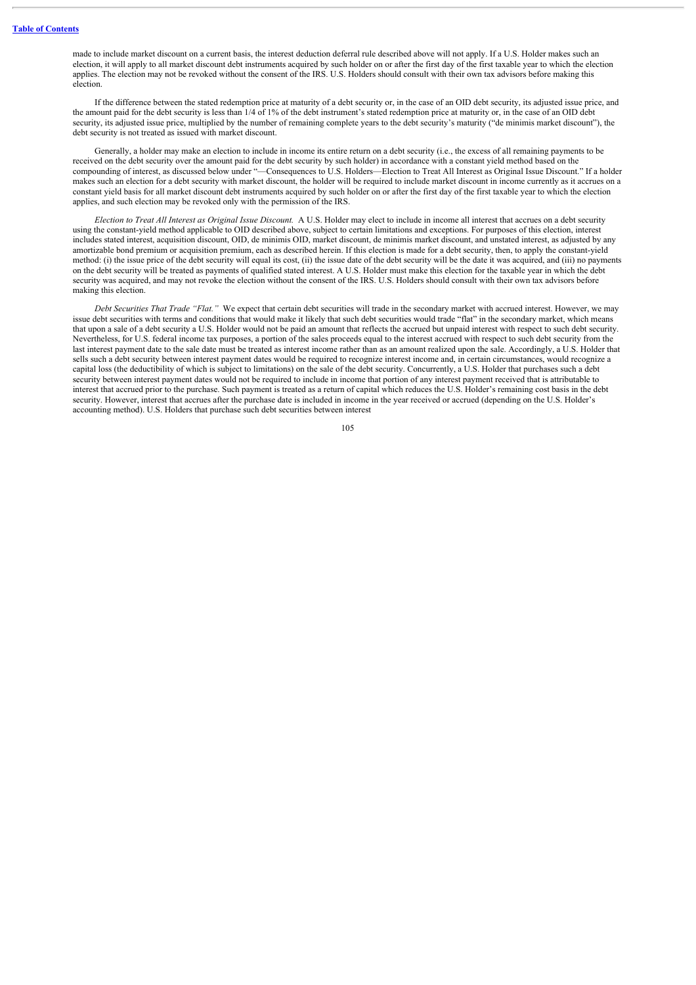made to include market discount on a current basis, the interest deduction deferral rule described above will not apply. If a U.S. Holder makes such an election, it will apply to all market discount debt instruments acquired by such holder on or after the first day of the first taxable year to which the election applies. The election may not be revoked without the consent of the IRS. U.S. Holders should consult with their own tax advisors before making this election.

If the difference between the stated redemption price at maturity of a debt security or, in the case of an OID debt security, its adjusted issue price, and the amount paid for the debt security is less than 1/4 of 1% of the debt instrument's stated redemption price at maturity or, in the case of an OID debt security, its adjusted issue price, multiplied by the number of remaining complete years to the debt security's maturity ("de minimis market discount"), the debt security is not treated as issued with market discount.

Generally, a holder may make an election to include in income its entire return on a debt security (i.e., the excess of all remaining payments to be received on the debt security over the amount paid for the debt security by such holder) in accordance with a constant yield method based on the compounding of interest, as discussed below under "—Consequences to U.S. Holders—Election to Treat All Interest as Original Issue Discount." If a holder makes such an election for a debt security with market discount, the holder will be required to include market discount in income currently as it accrues on a constant yield basis for all market discount debt instruments acquired by such holder on or after the first day of the first taxable year to which the election applies, and such election may be revoked only with the permission of the IRS.

*Election to Treat All Interest as Original Issue Discount.* A U.S. Holder may elect to include in income all interest that accrues on a debt security using the constant-yield method applicable to OID described above, subject to certain limitations and exceptions. For purposes of this election, interest includes stated interest, acquisition discount, OID, de minimis OID, market discount, de minimis market discount, and unstated interest, as adjusted by any amortizable bond premium or acquisition premium, each as described herein. If this election is made for a debt security, then, to apply the constant-yield method: (i) the issue price of the debt security will equal its cost, (ii) the issue date of the debt security will be the date it was acquired, and (iii) no payments on the debt security will be treated as payments of qualified stated interest. A U.S. Holder must make this election for the taxable year in which the debt security was acquired, and may not revoke the election without the consent of the IRS. U.S. Holders should consult with their own tax advisors before making this election.

*Debt Securities That Trade "Flat."* We expect that certain debt securities will trade in the secondary market with accrued interest. However, we may issue debt securities with terms and conditions that would make it likely that such debt securities would trade "flat" in the secondary market, which means that upon a sale of a debt security a U.S. Holder would not be paid an amount that reflects the accrued but unpaid interest with respect to such debt security. Nevertheless, for U.S. federal income tax purposes, a portion of the sales proceeds equal to the interest accrued with respect to such debt security from the last interest payment date to the sale date must be treated as interest income rather than as an amount realized upon the sale. Accordingly, a U.S. Holder that sells such a debt security between interest payment dates would be required to recognize interest income and, in certain circumstances, would recognize a capital loss (the deductibility of which is subject to limitations) on the sale of the debt security. Concurrently, a U.S. Holder that purchases such a debt security between interest payment dates would not be required to include in income that portion of any interest payment received that is attributable to interest that accrued prior to the purchase. Such payment is treated as a return of capital which reduces the U.S. Holder's remaining cost basis in the debt security. However, interest that accrues after the purchase date is included in income in the year received or accrued (depending on the U.S. Holder's accounting method). U.S. Holders that purchase such debt securities between interest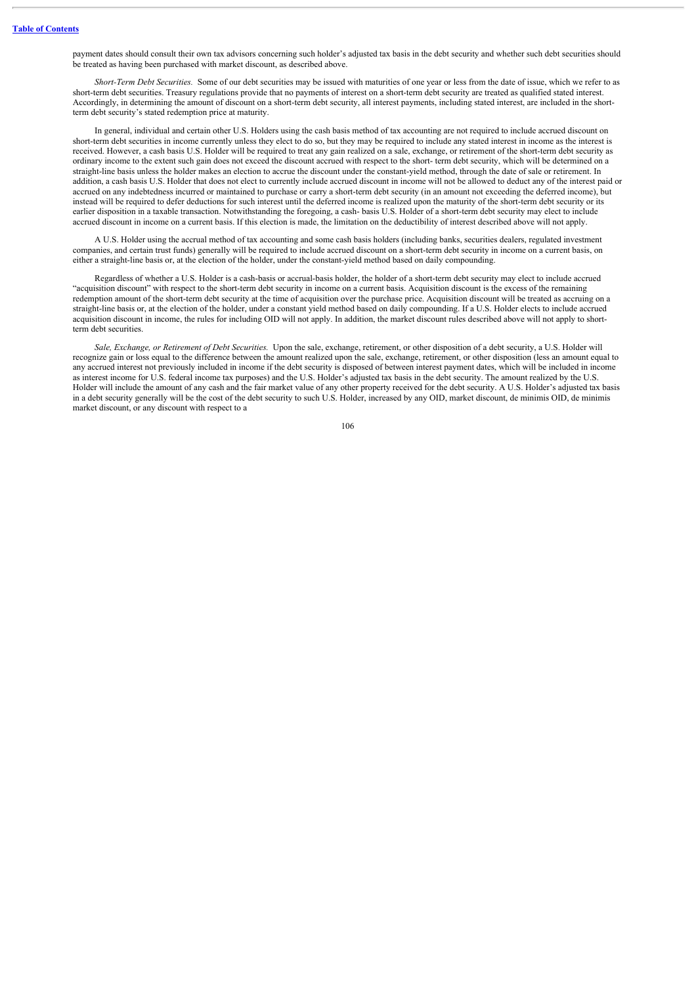payment dates should consult their own tax advisors concerning such holder's adjusted tax basis in the debt security and whether such debt securities should be treated as having been purchased with market discount, as described above.

*Short-Term Debt Securities.* Some of our debt securities may be issued with maturities of one year or less from the date of issue, which we refer to as short-term debt securities. Treasury regulations provide that no payments of interest on a short-term debt security are treated as qualified stated interest. Accordingly, in determining the amount of discount on a short-term debt security, all interest payments, including stated interest, are included in the shortterm debt security's stated redemption price at maturity.

In general, individual and certain other U.S. Holders using the cash basis method of tax accounting are not required to include accrued discount on short-term debt securities in income currently unless they elect to do so, but they may be required to include any stated interest in income as the interest is received. However, a cash basis U.S. Holder will be required to treat any gain realized on a sale, exchange, or retirement of the short-term debt security as ordinary income to the extent such gain does not exceed the discount accrued with respect to the short- term debt security, which will be determined on a straight-line basis unless the holder makes an election to accrue the discount under the constant-yield method, through the date of sale or retirement. In addition, a cash basis U.S. Holder that does not elect to currently include accrued discount in income will not be allowed to deduct any of the interest paid or accrued on any indebtedness incurred or maintained to purchase or carry a short-term debt security (in an amount not exceeding the deferred income), but instead will be required to defer deductions for such interest until the deferred income is realized upon the maturity of the short-term debt security or its earlier disposition in a taxable transaction. Notwithstanding the foregoing, a cash- basis U.S. Holder of a short-term debt security may elect to include accrued discount in income on a current basis. If this election is made, the limitation on the deductibility of interest described above will not apply.

A U.S. Holder using the accrual method of tax accounting and some cash basis holders (including banks, securities dealers, regulated investment companies, and certain trust funds) generally will be required to include accrued discount on a short-term debt security in income on a current basis, on either a straight-line basis or, at the election of the holder, under the constant-yield method based on daily compounding.

Regardless of whether a U.S. Holder is a cash-basis or accrual-basis holder, the holder of a short-term debt security may elect to include accrued "acquisition discount" with respect to the short-term debt security in income on a current basis. Acquisition discount is the excess of the remaining redemption amount of the short-term debt security at the time of acquisition over the purchase price. Acquisition discount will be treated as accruing on a straight-line basis or, at the election of the holder, under a constant yield method based on daily compounding. If a U.S. Holder elects to include accrued acquisition discount in income, the rules for including OID will not apply. In addition, the market discount rules described above will not apply to shortterm debt securities.

*Sale, Exchange, or Retirement of Debt Securities.* Upon the sale, exchange, retirement, or other disposition of a debt security, a U.S. Holder will recognize gain or loss equal to the difference between the amount realized upon the sale, exchange, retirement, or other disposition (less an amount equal to any accrued interest not previously included in income if the debt security is disposed of between interest payment dates, which will be included in income as interest income for U.S. federal income tax purposes) and the U.S. Holder's adjusted tax basis in the debt security. The amount realized by the U.S. Holder will include the amount of any cash and the fair market value of any other property received for the debt security. A U.S. Holder's adjusted tax basis in a debt security generally will be the cost of the debt security to such U.S. Holder, increased by any OID, market discount, de minimis OID, de minimis market discount, or any discount with respect to a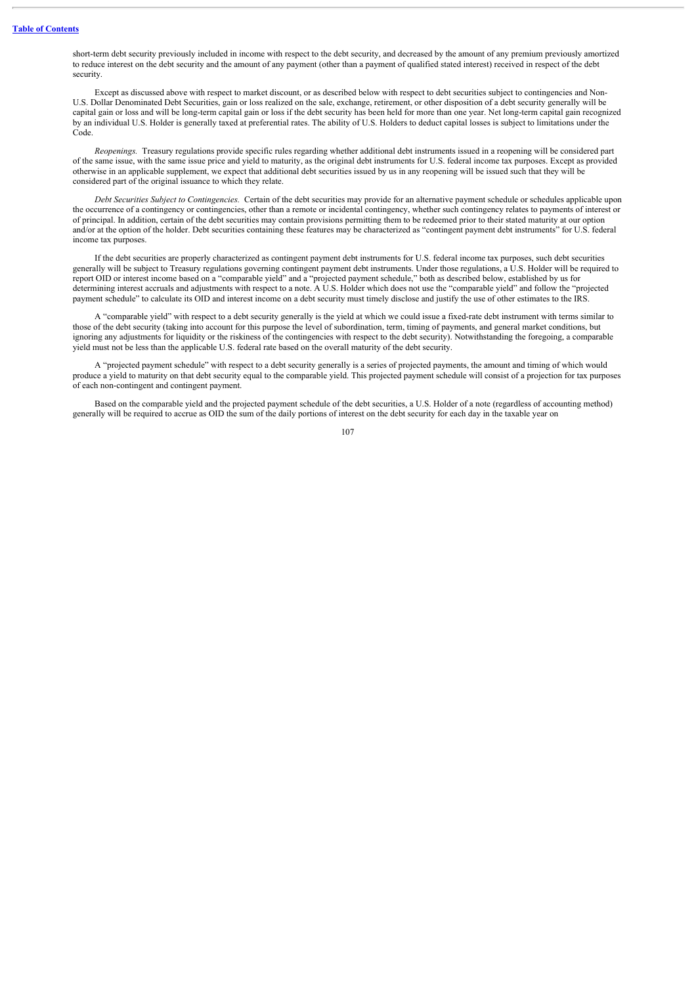short-term debt security previously included in income with respect to the debt security, and decreased by the amount of any premium previously amortized to reduce interest on the debt security and the amount of any payment (other than a payment of qualified stated interest) received in respect of the debt security.

Except as discussed above with respect to market discount, or as described below with respect to debt securities subject to contingencies and Non-U.S. Dollar Denominated Debt Securities, gain or loss realized on the sale, exchange, retirement, or other disposition of a debt security generally will be capital gain or loss and will be long-term capital gain or loss if the debt security has been held for more than one year. Net long-term capital gain recognized by an individual U.S. Holder is generally taxed at preferential rates. The ability of U.S. Holders to deduct capital losses is subject to limitations under the Code.

*Reopenings.* Treasury regulations provide specific rules regarding whether additional debt instruments issued in a reopening will be considered part of the same issue, with the same issue price and yield to maturity, as the original debt instruments for U.S. federal income tax purposes. Except as provided otherwise in an applicable supplement, we expect that additional debt securities issued by us in any reopening will be issued such that they will be considered part of the original issuance to which they relate.

*Debt Securities Subject to Contingencies.* Certain of the debt securities may provide for an alternative payment schedule or schedules applicable upon the occurrence of a contingency or contingencies, other than a remote or incidental contingency, whether such contingency relates to payments of interest or of principal. In addition, certain of the debt securities may contain provisions permitting them to be redeemed prior to their stated maturity at our option and/or at the option of the holder. Debt securities containing these features may be characterized as "contingent payment debt instruments" for U.S. federal income tax purposes.

If the debt securities are properly characterized as contingent payment debt instruments for U.S. federal income tax purposes, such debt securities generally will be subject to Treasury regulations governing contingent payment debt instruments. Under those regulations, a U.S. Holder will be required to report OID or interest income based on a "comparable yield" and a "projected payment schedule," both as described below, established by us for determining interest accruals and adjustments with respect to a note. A U.S. Holder which does not use the "comparable yield" and follow the "projected payment schedule" to calculate its OID and interest income on a debt security must timely disclose and justify the use of other estimates to the IRS.

A "comparable yield" with respect to a debt security generally is the yield at which we could issue a fixed-rate debt instrument with terms similar to those of the debt security (taking into account for this purpose the level of subordination, term, timing of payments, and general market conditions, but ignoring any adjustments for liquidity or the riskiness of the contingencies with respect to the debt security). Notwithstanding the foregoing, a comparable yield must not be less than the applicable U.S. federal rate based on the overall maturity of the debt security.

A "projected payment schedule" with respect to a debt security generally is a series of projected payments, the amount and timing of which would produce a yield to maturity on that debt security equal to the comparable yield. This projected payment schedule will consist of a projection for tax purposes of each non-contingent and contingent payment.

Based on the comparable yield and the projected payment schedule of the debt securities, a U.S. Holder of a note (regardless of accounting method) generally will be required to accrue as OID the sum of the daily portions of interest on the debt security for each day in the taxable year on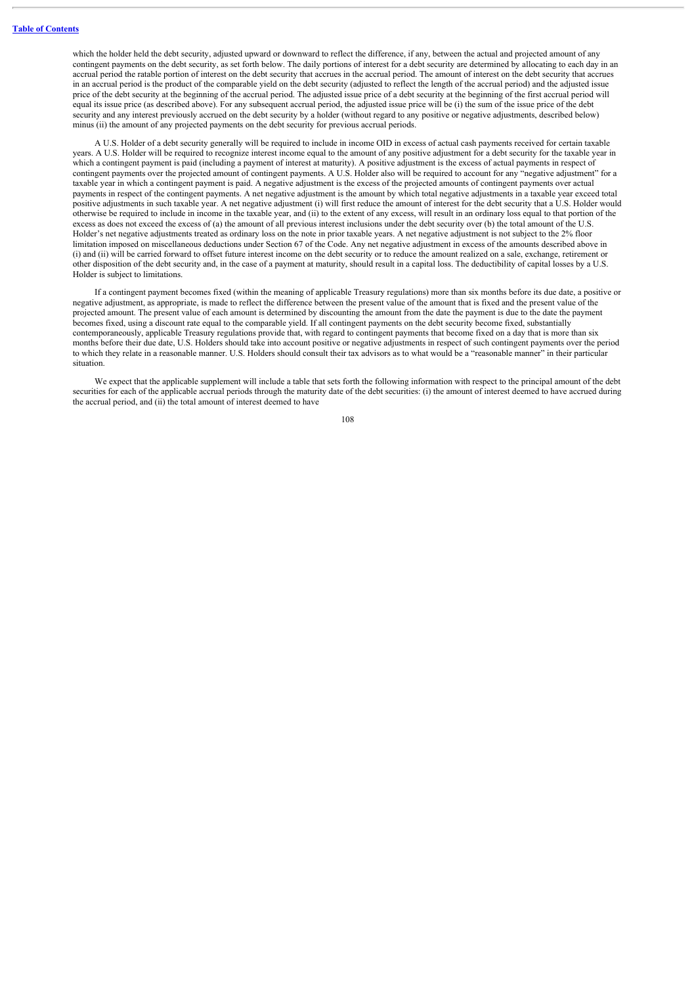which the holder held the debt security, adjusted upward or downward to reflect the difference, if any, between the actual and projected amount of any contingent payments on the debt security, as set forth below. The daily portions of interest for a debt security are determined by allocating to each day in an accrual period the ratable portion of interest on the debt security that accrues in the accrual period. The amount of interest on the debt security that accrues in an accrual period is the product of the comparable yield on the debt security (adjusted to reflect the length of the accrual period) and the adjusted issue price of the debt security at the beginning of the accrual period. The adjusted issue price of a debt security at the beginning of the first accrual period will equal its issue price (as described above). For any subsequent accrual period, the adjusted issue price will be (i) the sum of the issue price of the debt security and any interest previously accrued on the debt security by a holder (without regard to any positive or negative adjustments, described below) minus (ii) the amount of any projected payments on the debt security for previous accrual periods.

A U.S. Holder of a debt security generally will be required to include in income OID in excess of actual cash payments received for certain taxable years. A U.S. Holder will be required to recognize interest income equal to the amount of any positive adjustment for a debt security for the taxable year in which a contingent payment is paid (including a payment of interest at maturity). A positive adjustment is the excess of actual payments in respect of contingent payments over the projected amount of contingent payments. A U.S. Holder also will be required to account for any "negative adjustment" for a taxable year in which a contingent payment is paid. A negative adjustment is the excess of the projected amounts of contingent payments over actual payments in respect of the contingent payments. A net negative adjustment is the amount by which total negative adjustments in a taxable year exceed total positive adjustments in such taxable year. A net negative adjustment (i) will first reduce the amount of interest for the debt security that a U.S. Holder would otherwise be required to include in income in the taxable year, and (ii) to the extent of any excess, will result in an ordinary loss equal to that portion of the excess as does not exceed the excess of (a) the amount of all previous interest inclusions under the debt security over (b) the total amount of the U.S. Holder's net negative adjustments treated as ordinary loss on the note in prior taxable years. A net negative adjustment is not subject to the 2% floor limitation imposed on miscellaneous deductions under Section 67 of the Code. Any net negative adjustment in excess of the amounts described above in (i) and (ii) will be carried forward to offset future interest income on the debt security or to reduce the amount realized on a sale, exchange, retirement or other disposition of the debt security and, in the case of a payment at maturity, should result in a capital loss. The deductibility of capital losses by a U.S. Holder is subject to limitations.

If a contingent payment becomes fixed (within the meaning of applicable Treasury regulations) more than six months before its due date, a positive or negative adjustment, as appropriate, is made to reflect the difference between the present value of the amount that is fixed and the present value of the projected amount. The present value of each amount is determined by discounting the amount from the date the payment is due to the date the payment becomes fixed, using a discount rate equal to the comparable yield. If all contingent payments on the debt security become fixed, substantially contemporaneously, applicable Treasury regulations provide that, with regard to contingent payments that become fixed on a day that is more than six months before their due date, U.S. Holders should take into account positive or negative adjustments in respect of such contingent payments over the period to which they relate in a reasonable manner. U.S. Holders should consult their tax advisors as to what would be a "reasonable manner" in their particular situation.

We expect that the applicable supplement will include a table that sets forth the following information with respect to the principal amount of the debt securities for each of the applicable accrual periods through the maturity date of the debt securities: (i) the amount of interest deemed to have accrued during the accrual period, and (ii) the total amount of interest deemed to have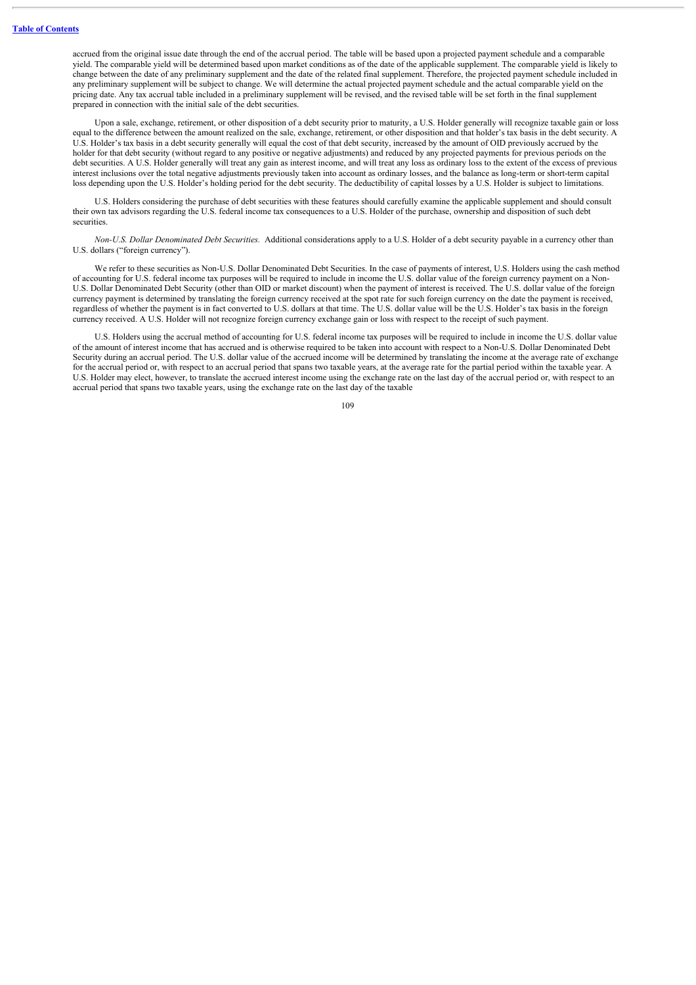accrued from the original issue date through the end of the accrual period. The table will be based upon a projected payment schedule and a comparable yield. The comparable yield will be determined based upon market conditions as of the date of the applicable supplement. The comparable yield is likely to change between the date of any preliminary supplement and the date of the related final supplement. Therefore, the projected payment schedule included in any preliminary supplement will be subject to change. We will determine the actual projected payment schedule and the actual comparable yield on the pricing date. Any tax accrual table included in a preliminary supplement will be revised, and the revised table will be set forth in the final supplement prepared in connection with the initial sale of the debt securities.

Upon a sale, exchange, retirement, or other disposition of a debt security prior to maturity, a U.S. Holder generally will recognize taxable gain or loss equal to the difference between the amount realized on the sale, exchange, retirement, or other disposition and that holder's tax basis in the debt security. A U.S. Holder's tax basis in a debt security generally will equal the cost of that debt security, increased by the amount of OID previously accrued by the holder for that debt security (without regard to any positive or negative adjustments) and reduced by any projected payments for previous periods on the debt securities. A U.S. Holder generally will treat any gain as interest income, and will treat any loss as ordinary loss to the extent of the excess of previous interest inclusions over the total negative adjustments previously taken into account as ordinary losses, and the balance as long-term or short-term capital loss depending upon the U.S. Holder's holding period for the debt security. The deductibility of capital losses by a U.S. Holder is subject to limitations.

U.S. Holders considering the purchase of debt securities with these features should carefully examine the applicable supplement and should consult their own tax advisors regarding the U.S. federal income tax consequences to a U.S. Holder of the purchase, ownership and disposition of such debt securities.

*Non-U.S. Dollar Denominated Debt Securities.* Additional considerations apply to a U.S. Holder of a debt security payable in a currency other than U.S. dollars ("foreign currency").

We refer to these securities as Non-U.S. Dollar Denominated Debt Securities. In the case of payments of interest, U.S. Holders using the cash method of accounting for U.S. federal income tax purposes will be required to include in income the U.S. dollar value of the foreign currency payment on a Non-U.S. Dollar Denominated Debt Security (other than OID or market discount) when the payment of interest is received. The U.S. dollar value of the foreign currency payment is determined by translating the foreign currency received at the spot rate for such foreign currency on the date the payment is received, regardless of whether the payment is in fact converted to U.S. dollars at that time. The U.S. dollar value will be the U.S. Holder's tax basis in the foreign currency received. A U.S. Holder will not recognize foreign currency exchange gain or loss with respect to the receipt of such payment.

U.S. Holders using the accrual method of accounting for U.S. federal income tax purposes will be required to include in income the U.S. dollar value of the amount of interest income that has accrued and is otherwise required to be taken into account with respect to a Non-U.S. Dollar Denominated Debt Security during an accrual period. The U.S. dollar value of the accrued income will be determined by translating the income at the average rate of exchange for the accrual period or, with respect to an accrual period that spans two taxable years, at the average rate for the partial period within the taxable year. A U.S. Holder may elect, however, to translate the accrued interest income using the exchange rate on the last day of the accrual period or, with respect to an accrual period that spans two taxable years, using the exchange rate on the last day of the taxable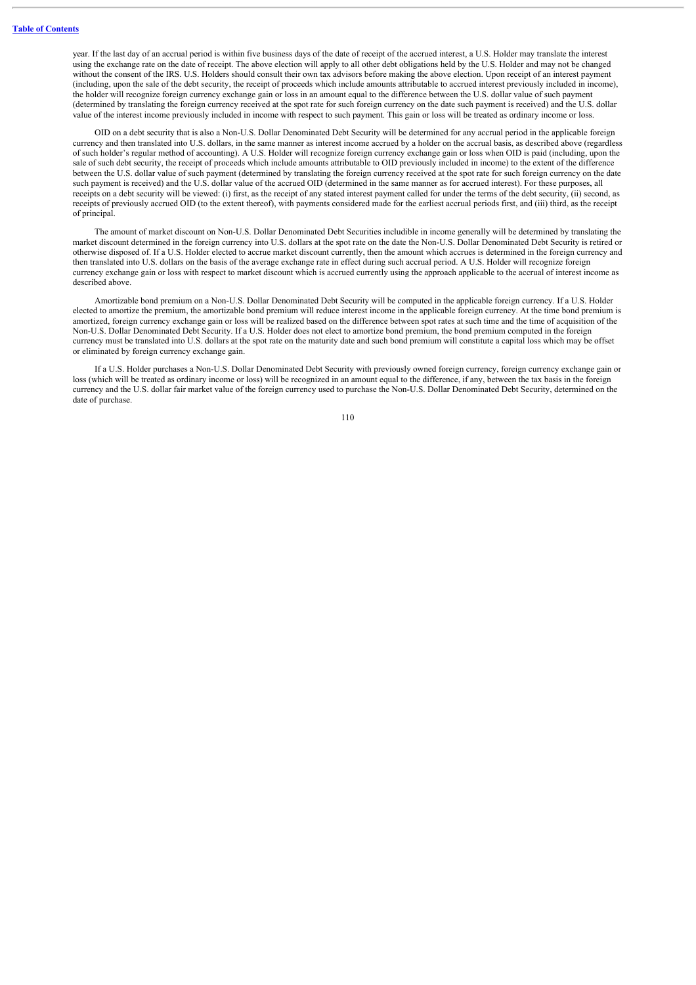year. If the last day of an accrual period is within five business days of the date of receipt of the accrued interest, a U.S. Holder may translate the interest using the exchange rate on the date of receipt. The above election will apply to all other debt obligations held by the U.S. Holder and may not be changed without the consent of the IRS. U.S. Holders should consult their own tax advisors before making the above election. Upon receipt of an interest payment (including, upon the sale of the debt security, the receipt of proceeds which include amounts attributable to accrued interest previously included in income), the holder will recognize foreign currency exchange gain or loss in an amount equal to the difference between the U.S. dollar value of such payment (determined by translating the foreign currency received at the spot rate for such foreign currency on the date such payment is received) and the U.S. dollar value of the interest income previously included in income with respect to such payment. This gain or loss will be treated as ordinary income or loss.

OID on a debt security that is also a Non-U.S. Dollar Denominated Debt Security will be determined for any accrual period in the applicable foreign currency and then translated into U.S. dollars, in the same manner as interest income accrued by a holder on the accrual basis, as described above (regardless of such holder's regular method of accounting). A U.S. Holder will recognize foreign currency exchange gain or loss when OID is paid (including, upon the sale of such debt security, the receipt of proceeds which include amounts attributable to OID previously included in income) to the extent of the difference between the U.S. dollar value of such payment (determined by translating the foreign currency received at the spot rate for such foreign currency on the date such payment is received) and the U.S. dollar value of the accrued OID (determined in the same manner as for accrued interest). For these purposes, all receipts on a debt security will be viewed: (i) first, as the receipt of any stated interest payment called for under the terms of the debt security, (ii) second, as receipts of previously accrued OID (to the extent thereof), with payments considered made for the earliest accrual periods first, and (iii) third, as the receipt of principal.

The amount of market discount on Non-U.S. Dollar Denominated Debt Securities includible in income generally will be determined by translating the market discount determined in the foreign currency into U.S. dollars at the spot rate on the date the Non-U.S. Dollar Denominated Debt Security is retired or otherwise disposed of. If a U.S. Holder elected to accrue market discount currently, then the amount which accrues is determined in the foreign currency and then translated into U.S. dollars on the basis of the average exchange rate in effect during such accrual period. A U.S. Holder will recognize foreign currency exchange gain or loss with respect to market discount which is accrued currently using the approach applicable to the accrual of interest income as described above.

Amortizable bond premium on a Non-U.S. Dollar Denominated Debt Security will be computed in the applicable foreign currency. If a U.S. Holder elected to amortize the premium, the amortizable bond premium will reduce interest income in the applicable foreign currency. At the time bond premium is amortized, foreign currency exchange gain or loss will be realized based on the difference between spot rates at such time and the time of acquisition of the Non-U.S. Dollar Denominated Debt Security. If a U.S. Holder does not elect to amortize bond premium, the bond premium computed in the foreign currency must be translated into U.S. dollars at the spot rate on the maturity date and such bond premium will constitute a capital loss which may be offset or eliminated by foreign currency exchange gain.

If a U.S. Holder purchases a Non-U.S. Dollar Denominated Debt Security with previously owned foreign currency, foreign currency exchange gain or loss (which will be treated as ordinary income or loss) will be recognized in an amount equal to the difference, if any, between the tax basis in the foreign currency and the U.S. dollar fair market value of the foreign currency used to purchase the Non-U.S. Dollar Denominated Debt Security, determined on the date of purchase.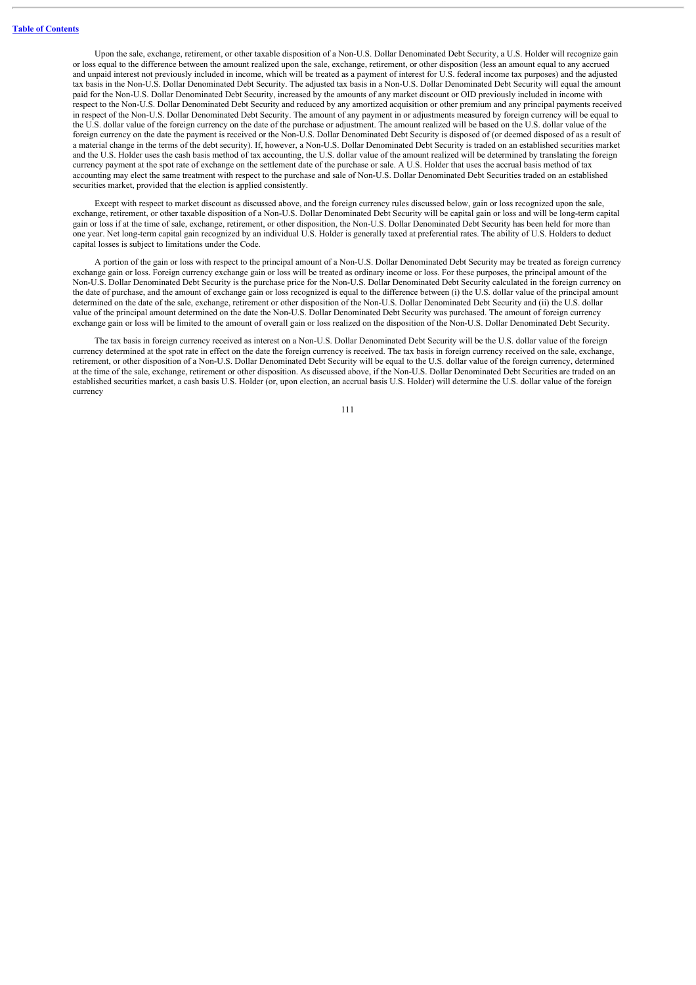Upon the sale, exchange, retirement, or other taxable disposition of a Non-U.S. Dollar Denominated Debt Security, a U.S. Holder will recognize gain or loss equal to the difference between the amount realized upon the sale, exchange, retirement, or other disposition (less an amount equal to any accrued and unpaid interest not previously included in income, which will be treated as a payment of interest for U.S. federal income tax purposes) and the adjusted tax basis in the Non-U.S. Dollar Denominated Debt Security. The adjusted tax basis in a Non-U.S. Dollar Denominated Debt Security will equal the amount paid for the Non-U.S. Dollar Denominated Debt Security, increased by the amounts of any market discount or OID previously included in income with respect to the Non-U.S. Dollar Denominated Debt Security and reduced by any amortized acquisition or other premium and any principal payments received in respect of the Non-U.S. Dollar Denominated Debt Security. The amount of any payment in or adjustments measured by foreign currency will be equal to the U.S. dollar value of the foreign currency on the date of the purchase or adjustment. The amount realized will be based on the U.S. dollar value of the foreign currency on the date the payment is received or the Non-U.S. Dollar Denominated Debt Security is disposed of (or deemed disposed of as a result of a material change in the terms of the debt security). If, however, a Non-U.S. Dollar Denominated Debt Security is traded on an established securities market and the U.S. Holder uses the cash basis method of tax accounting, the U.S. dollar value of the amount realized will be determined by translating the foreign currency payment at the spot rate of exchange on the settlement date of the purchase or sale. A U.S. Holder that uses the accrual basis method of tax accounting may elect the same treatment with respect to the purchase and sale of Non-U.S. Dollar Denominated Debt Securities traded on an established securities market, provided that the election is applied consistently.

Except with respect to market discount as discussed above, and the foreign currency rules discussed below, gain or loss recognized upon the sale, exchange, retirement, or other taxable disposition of a Non-U.S. Dollar Denominated Debt Security will be capital gain or loss and will be long-term capital gain or loss if at the time of sale, exchange, retirement, or other disposition, the Non-U.S. Dollar Denominated Debt Security has been held for more than one year. Net long-term capital gain recognized by an individual U.S. Holder is generally taxed at preferential rates. The ability of U.S. Holders to deduct capital losses is subject to limitations under the Code.

A portion of the gain or loss with respect to the principal amount of a Non-U.S. Dollar Denominated Debt Security may be treated as foreign currency exchange gain or loss. Foreign currency exchange gain or loss will be treated as ordinary income or loss. For these purposes, the principal amount of the Non-U.S. Dollar Denominated Debt Security is the purchase price for the Non-U.S. Dollar Denominated Debt Security calculated in the foreign currency on the date of purchase, and the amount of exchange gain or loss recognized is equal to the difference between (i) the U.S. dollar value of the principal amount determined on the date of the sale, exchange, retirement or other disposition of the Non-U.S. Dollar Denominated Debt Security and (ii) the U.S. dollar value of the principal amount determined on the date the Non-U.S. Dollar Denominated Debt Security was purchased. The amount of foreign currency exchange gain or loss will be limited to the amount of overall gain or loss realized on the disposition of the Non-U.S. Dollar Denominated Debt Security.

The tax basis in foreign currency received as interest on a Non-U.S. Dollar Denominated Debt Security will be the U.S. dollar value of the foreign currency determined at the spot rate in effect on the date the foreign currency is received. The tax basis in foreign currency received on the sale, exchange, retirement, or other disposition of a Non-U.S. Dollar Denominated Debt Security will be equal to the U.S. dollar value of the foreign currency, determined at the time of the sale, exchange, retirement or other disposition. As discussed above, if the Non-U.S. Dollar Denominated Debt Securities are traded on an established securities market, a cash basis U.S. Holder (or, upon election, an accrual basis U.S. Holder) will determine the U.S. dollar value of the foreign currency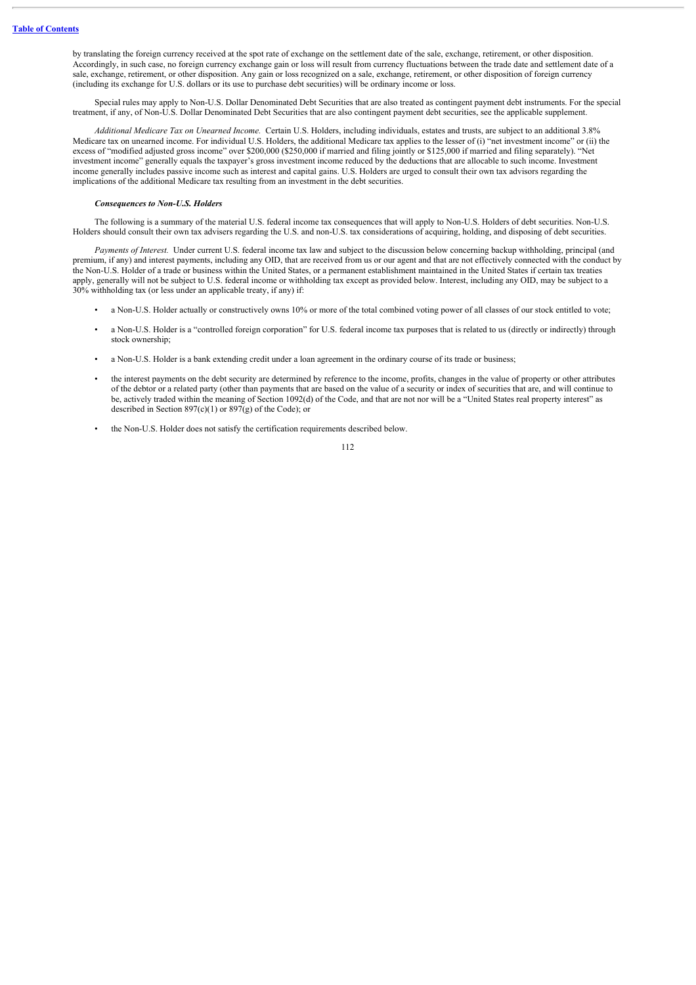by translating the foreign currency received at the spot rate of exchange on the settlement date of the sale, exchange, retirement, or other disposition. Accordingly, in such case, no foreign currency exchange gain or loss will result from currency fluctuations between the trade date and settlement date of a sale, exchange, retirement, or other disposition. Any gain or loss recognized on a sale, exchange, retirement, or other disposition of foreign currency (including its exchange for U.S. dollars or its use to purchase debt securities) will be ordinary income or loss.

Special rules may apply to Non-U.S. Dollar Denominated Debt Securities that are also treated as contingent payment debt instruments. For the special treatment, if any, of Non-U.S. Dollar Denominated Debt Securities that are also contingent payment debt securities, see the applicable supplement.

*Additional Medicare Tax on Unearned Income.* Certain U.S. Holders, including individuals, estates and trusts, are subject to an additional 3.8% Medicare tax on unearned income. For individual U.S. Holders, the additional Medicare tax applies to the lesser of (i) "net investment income" or (ii) the excess of "modified adjusted gross income" over \$200,000 (\$250,000 if married and filing jointly or \$125,000 if married and filing separately). "Net investment income" generally equals the taxpayer's gross investment income reduced by the deductions that are allocable to such income. Investment income generally includes passive income such as interest and capital gains. U.S. Holders are urged to consult their own tax advisors regarding the implications of the additional Medicare tax resulting from an investment in the debt securities.

## *Consequences to Non-U.S. Holders*

The following is a summary of the material U.S. federal income tax consequences that will apply to Non-U.S. Holders of debt securities. Non-U.S. Holders should consult their own tax advisers regarding the U.S. and non-U.S. tax considerations of acquiring, holding, and disposing of debt securities.

*Payments of Interest.* Under current U.S. federal income tax law and subject to the discussion below concerning backup withholding, principal (and premium, if any) and interest payments, including any OID, that are received from us or our agent and that are not effectively connected with the conduct by the Non-U.S. Holder of a trade or business within the United States, or a permanent establishment maintained in the United States if certain tax treaties apply, generally will not be subject to U.S. federal income or withholding tax except as provided below. Interest, including any OID, may be subject to a 30% withholding tax (or less under an applicable treaty, if any) if:

- a Non-U.S. Holder actually or constructively owns 10% or more of the total combined voting power of all classes of our stock entitled to vote;
- a Non-U.S. Holder is a "controlled foreign corporation" for U.S. federal income tax purposes that is related to us (directly or indirectly) through stock ownership;
- a Non-U.S. Holder is a bank extending credit under a loan agreement in the ordinary course of its trade or business;
- the interest payments on the debt security are determined by reference to the income, profits, changes in the value of property or other attributes of the debtor or a related party (other than payments that are based on the value of a security or index of securities that are, and will continue to be, actively traded within the meaning of Section 1092(d) of the Code, and that are not nor will be a "United States real property interest" as described in Section  $897(c)(1)$  or  $897(g)$  of the Code); or
- the Non-U.S. Holder does not satisfy the certification requirements described below.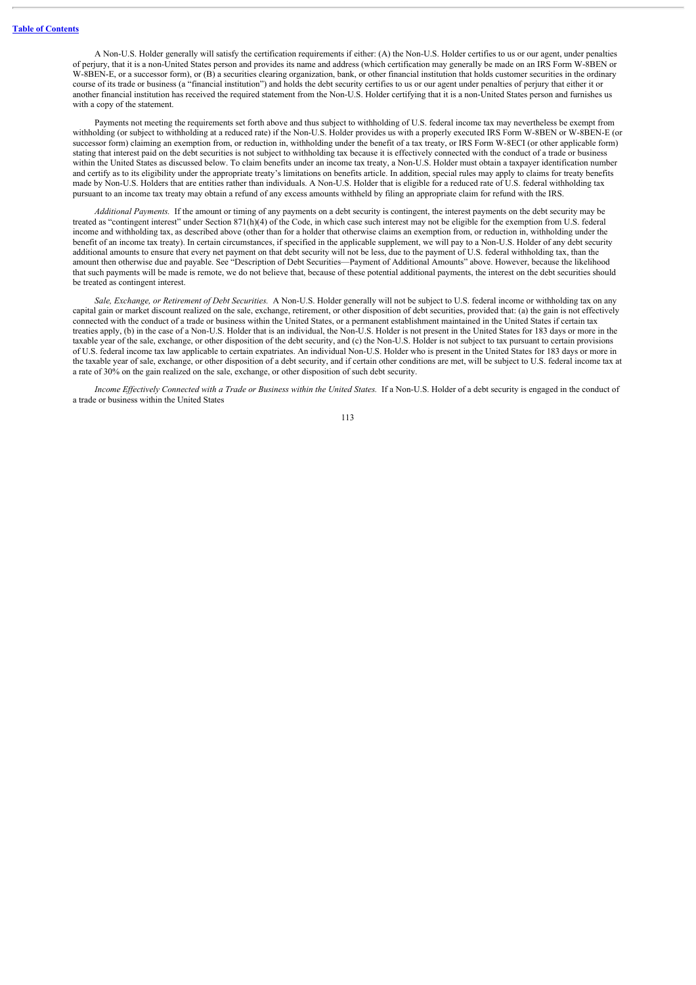A Non-U.S. Holder generally will satisfy the certification requirements if either: (A) the Non-U.S. Holder certifies to us or our agent, under penalties of perjury, that it is a non-United States person and provides its name and address (which certification may generally be made on an IRS Form W-8BEN or W-8BEN-E, or a successor form), or (B) a securities clearing organization, bank, or other financial institution that holds customer securities in the ordinary course of its trade or business (a "financial institution") and holds the debt security certifies to us or our agent under penalties of perjury that either it or another financial institution has received the required statement from the Non-U.S. Holder certifying that it is a non-United States person and furnishes us with a copy of the statement.

Payments not meeting the requirements set forth above and thus subject to withholding of U.S. federal income tax may nevertheless be exempt from withholding (or subject to withholding at a reduced rate) if the Non-U.S. Holder provides us with a properly executed IRS Form W-8BEN or W-8BEN-E (or successor form) claiming an exemption from, or reduction in, withholding under the benefit of a tax treaty, or IRS Form W-8ECI (or other applicable form) stating that interest paid on the debt securities is not subject to withholding tax because it is effectively connected with the conduct of a trade or business within the United States as discussed below. To claim benefits under an income tax treaty, a Non-U.S. Holder must obtain a taxpayer identification number and certify as to its eligibility under the appropriate treaty's limitations on benefits article. In addition, special rules may apply to claims for treaty benefits made by Non-U.S. Holders that are entities rather than individuals. A Non-U.S. Holder that is eligible for a reduced rate of U.S. federal withholding tax pursuant to an income tax treaty may obtain a refund of any excess amounts withheld by filing an appropriate claim for refund with the IRS.

*Additional Payments.* If the amount or timing of any payments on a debt security is contingent, the interest payments on the debt security may be treated as "contingent interest" under Section 871(h)(4) of the Code, in which case such interest may not be eligible for the exemption from U.S. federal income and withholding tax, as described above (other than for a holder that otherwise claims an exemption from, or reduction in, withholding under the benefit of an income tax treaty). In certain circumstances, if specified in the applicable supplement, we will pay to a Non-U.S. Holder of any debt security additional amounts to ensure that every net payment on that debt security will not be less, due to the payment of U.S. federal withholding tax, than the amount then otherwise due and payable. See "Description of Debt Securities—Payment of Additional Amounts" above. However, because the likelihood that such payments will be made is remote, we do not believe that, because of these potential additional payments, the interest on the debt securities should be treated as contingent interest.

*Sale, Exchange, or Retirement of Debt Securities.* A Non-U.S. Holder generally will not be subject to U.S. federal income or withholding tax on any capital gain or market discount realized on the sale, exchange, retirement, or other disposition of debt securities, provided that: (a) the gain is not effectively connected with the conduct of a trade or business within the United States, or a permanent establishment maintained in the United States if certain tax treaties apply, (b) in the case of a Non-U.S. Holder that is an individual, the Non-U.S. Holder is not present in the United States for 183 days or more in the taxable year of the sale, exchange, or other disposition of the debt security, and (c) the Non-U.S. Holder is not subject to tax pursuant to certain provisions of U.S. federal income tax law applicable to certain expatriates. An individual Non-U.S. Holder who is present in the United States for 183 days or more in the taxable year of sale, exchange, or other disposition of a debt security, and if certain other conditions are met, will be subject to U.S. federal income tax at a rate of 30% on the gain realized on the sale, exchange, or other disposition of such debt security.

Income Effectively Connected with a Trade or Business within the United States. If a Non-U.S. Holder of a debt security is engaged in the conduct of a trade or business within the United States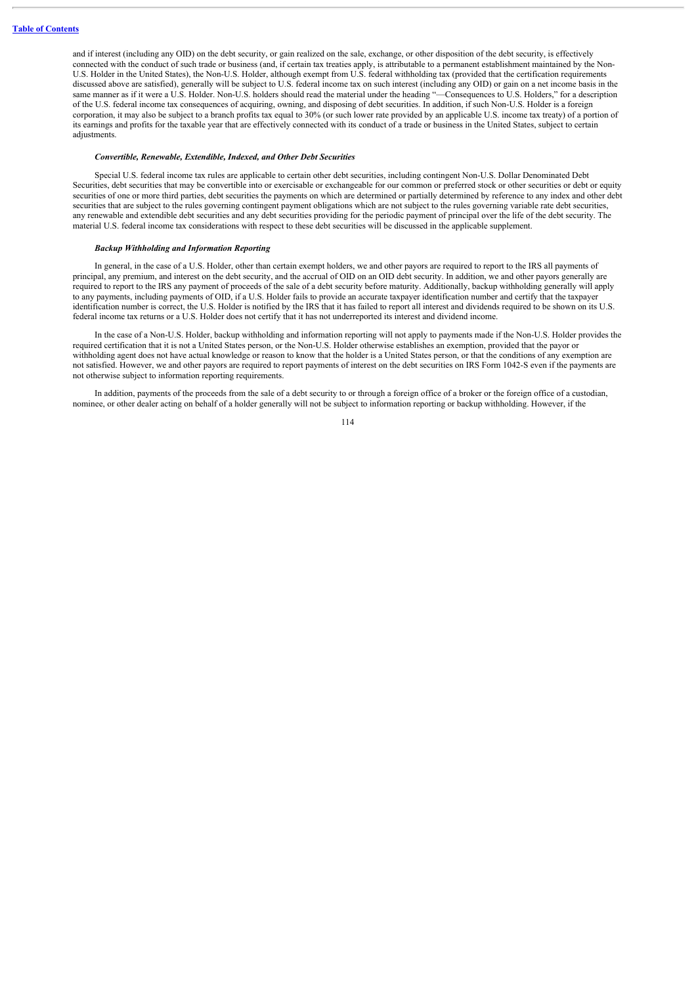and if interest (including any OID) on the debt security, or gain realized on the sale, exchange, or other disposition of the debt security, is effectively connected with the conduct of such trade or business (and, if certain tax treaties apply, is attributable to a permanent establishment maintained by the Non-U.S. Holder in the United States), the Non-U.S. Holder, although exempt from U.S. federal withholding tax (provided that the certification requirements discussed above are satisfied), generally will be subject to U.S. federal income tax on such interest (including any OID) or gain on a net income basis in the same manner as if it were a U.S. Holder. Non-U.S. holders should read the material under the heading "-Consequences to U.S. Holders," for a description of the U.S. federal income tax consequences of acquiring, owning, and disposing of debt securities. In addition, if such Non-U.S. Holder is a foreign corporation, it may also be subject to a branch profits tax equal to 30% (or such lower rate provided by an applicable U.S. income tax treaty) of a portion of its earnings and profits for the taxable year that are effectively connected with its conduct of a trade or business in the United States, subject to certain adjustments.

#### *Convertible, Renewable, Extendible, Indexed, and Other Debt Securities*

Special U.S. federal income tax rules are applicable to certain other debt securities, including contingent Non-U.S. Dollar Denominated Debt Securities, debt securities that may be convertible into or exercisable or exchangeable for our common or preferred stock or other securities or debt or equity securities of one or more third parties, debt securities the payments on which are determined or partially determined by reference to any index and other debt securities that are subject to the rules governing contingent payment obligations which are not subject to the rules governing variable rate debt securities, any renewable and extendible debt securities and any debt securities providing for the periodic payment of principal over the life of the debt security. The material U.S. federal income tax considerations with respect to these debt securities will be discussed in the applicable supplement.

### *Backup Withholding and Information Reporting*

In general, in the case of a U.S. Holder, other than certain exempt holders, we and other payors are required to report to the IRS all payments of principal, any premium, and interest on the debt security, and the accrual of OID on an OID debt security. In addition, we and other payors generally are required to report to the IRS any payment of proceeds of the sale of a debt security before maturity. Additionally, backup withholding generally will apply to any payments, including payments of OID, if a U.S. Holder fails to provide an accurate taxpayer identification number and certify that the taxpayer identification number is correct, the U.S. Holder is notified by the IRS that it has failed to report all interest and dividends required to be shown on its U.S. federal income tax returns or a U.S. Holder does not certify that it has not underreported its interest and dividend income.

In the case of a Non-U.S. Holder, backup withholding and information reporting will not apply to payments made if the Non-U.S. Holder provides the required certification that it is not a United States person, or the Non-U.S. Holder otherwise establishes an exemption, provided that the payor or withholding agent does not have actual knowledge or reason to know that the holder is a United States person, or that the conditions of any exemption are not satisfied. However, we and other payors are required to report payments of interest on the debt securities on IRS Form 1042-S even if the payments are not otherwise subject to information reporting requirements.

In addition, payments of the proceeds from the sale of a debt security to or through a foreign office of a broker or the foreign office of a custodian, nominee, or other dealer acting on behalf of a holder generally will not be subject to information reporting or backup withholding. However, if the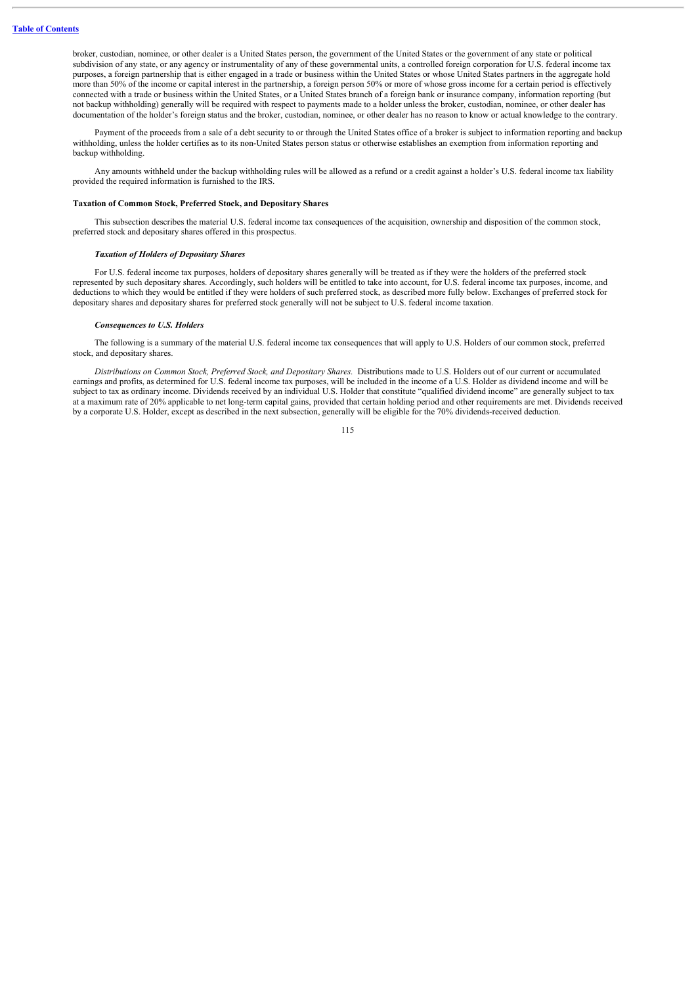broker, custodian, nominee, or other dealer is a United States person, the government of the United States or the government of any state or political subdivision of any state, or any agency or instrumentality of any of these governmental units, a controlled foreign corporation for U.S. federal income tax purposes, a foreign partnership that is either engaged in a trade or business within the United States or whose United States partners in the aggregate hold more than 50% of the income or capital interest in the partnership, a foreign person 50% or more of whose gross income for a certain period is effectively connected with a trade or business within the United States, or a United States branch of a foreign bank or insurance company, information reporting (but not backup withholding) generally will be required with respect to payments made to a holder unless the broker, custodian, nominee, or other dealer has documentation of the holder's foreign status and the broker, custodian, nominee, or other dealer has no reason to know or actual knowledge to the contrary.

Payment of the proceeds from a sale of a debt security to or through the United States office of a broker is subject to information reporting and backup withholding, unless the holder certifies as to its non-United States person status or otherwise establishes an exemption from information reporting and backup withholding.

Any amounts withheld under the backup withholding rules will be allowed as a refund or a credit against a holder's U.S. federal income tax liability provided the required information is furnished to the IRS.

### **Taxation of Common Stock, Preferred Stock, and Depositary Shares**

This subsection describes the material U.S. federal income tax consequences of the acquisition, ownership and disposition of the common stock, preferred stock and depositary shares offered in this prospectus.

#### *Taxation of Holders of Depositary Shares*

For U.S. federal income tax purposes, holders of depositary shares generally will be treated as if they were the holders of the preferred stock represented by such depositary shares. Accordingly, such holders will be entitled to take into account, for U.S. federal income tax purposes, income, and deductions to which they would be entitled if they were holders of such preferred stock, as described more fully below. Exchanges of preferred stock for depositary shares and depositary shares for preferred stock generally will not be subject to U.S. federal income taxation.

### *Consequences to U.S. Holders*

The following is a summary of the material U.S. federal income tax consequences that will apply to U.S. Holders of our common stock, preferred stock, and depositary shares.

*Distributions on Common Stock, Preferred Stock, and Depositary Shares.* Distributions made to U.S. Holders out of our current or accumulated earnings and profits, as determined for U.S. federal income tax purposes, will be included in the income of a U.S. Holder as dividend income and will be subject to tax as ordinary income. Dividends received by an individual U.S. Holder that constitute "qualified dividend income" are generally subject to tax at a maximum rate of 20% applicable to net long-term capital gains, provided that certain holding period and other requirements are met. Dividends received by a corporate U.S. Holder, except as described in the next subsection, generally will be eligible for the 70% dividends-received deduction.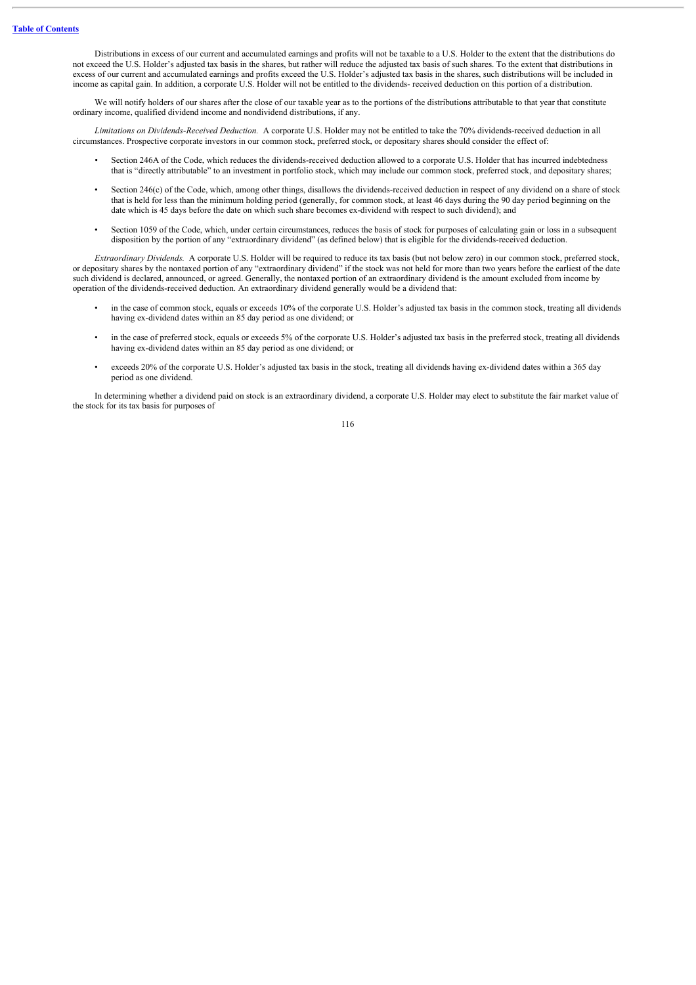Distributions in excess of our current and accumulated earnings and profits will not be taxable to a U.S. Holder to the extent that the distributions do not exceed the U.S. Holder's adjusted tax basis in the shares, but rather will reduce the adjusted tax basis of such shares. To the extent that distributions in excess of our current and accumulated earnings and profits exceed the U.S. Holder's adjusted tax basis in the shares, such distributions will be included in income as capital gain. In addition, a corporate U.S. Holder will not be entitled to the dividends- received deduction on this portion of a distribution.

We will notify holders of our shares after the close of our taxable year as to the portions of the distributions attributable to that year that constitute ordinary income, qualified dividend income and nondividend distributions, if any.

*Limitations on Dividends-Received Deduction.* A corporate U.S. Holder may not be entitled to take the 70% dividends-received deduction in all circumstances. Prospective corporate investors in our common stock, preferred stock, or depositary shares should consider the effect of:

- Section 246A of the Code, which reduces the dividends-received deduction allowed to a corporate U.S. Holder that has incurred indebtedness that is "directly attributable" to an investment in portfolio stock, which may include our common stock, preferred stock, and depositary shares;
- Section 246(c) of the Code, which, among other things, disallows the dividends-received deduction in respect of any dividend on a share of stock that is held for less than the minimum holding period (generally, for common stock, at least 46 days during the 90 day period beginning on the date which is 45 days before the date on which such share becomes ex-dividend with respect to such dividend); and
- Section 1059 of the Code, which, under certain circumstances, reduces the basis of stock for purposes of calculating gain or loss in a subsequent disposition by the portion of any "extraordinary dividend" (as defined below) that is eligible for the dividends-received deduction.

*Extraordinary Dividends.* A corporate U.S. Holder will be required to reduce its tax basis (but not below zero) in our common stock, preferred stock, or depositary shares by the nontaxed portion of any "extraordinary dividend" if the stock was not held for more than two years before the earliest of the date such dividend is declared, announced, or agreed. Generally, the nontaxed portion of an extraordinary dividend is the amount excluded from income by operation of the dividends-received deduction. An extraordinary dividend generally would be a dividend that:

- in the case of common stock, equals or exceeds 10% of the corporate U.S. Holder's adjusted tax basis in the common stock, treating all dividends having ex-dividend dates within an 85 day period as one dividend; or
- in the case of preferred stock, equals or exceeds 5% of the corporate U.S. Holder's adjusted tax basis in the preferred stock, treating all dividends having ex-dividend dates within an 85 day period as one dividend; or
- exceeds 20% of the corporate U.S. Holder's adjusted tax basis in the stock, treating all dividends having ex-dividend dates within a 365 day period as one dividend.

In determining whether a dividend paid on stock is an extraordinary dividend, a corporate U.S. Holder may elect to substitute the fair market value of the stock for its tax basis for purposes of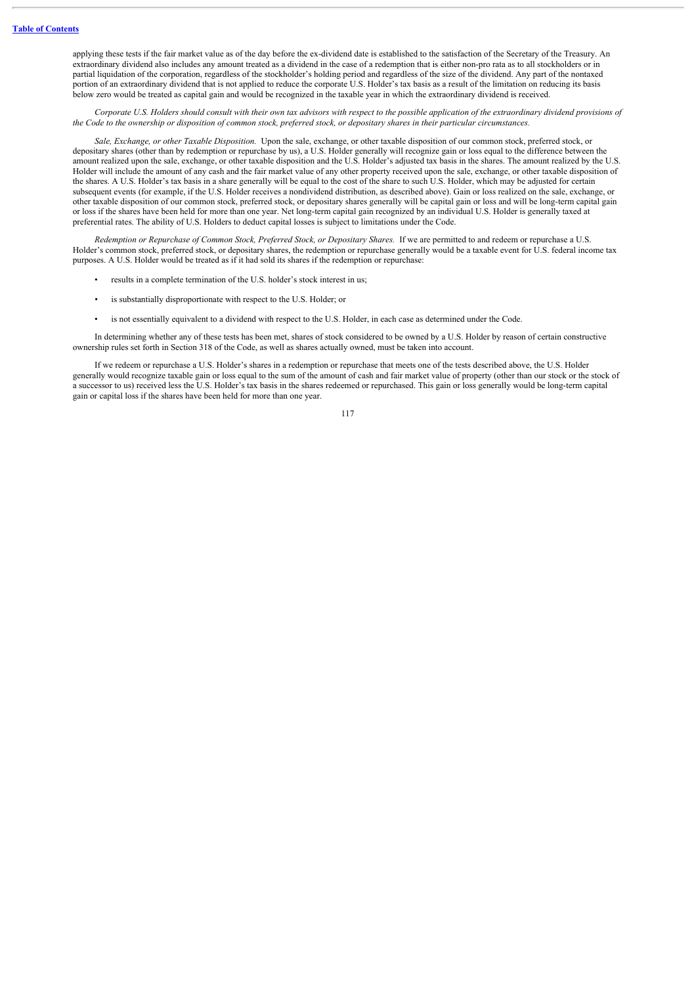applying these tests if the fair market value as of the day before the ex-dividend date is established to the satisfaction of the Secretary of the Treasury. An extraordinary dividend also includes any amount treated as a dividend in the case of a redemption that is either non-pro rata as to all stockholders or in partial liquidation of the corporation, regardless of the stockholder's holding period and regardless of the size of the dividend. Any part of the nontaxed portion of an extraordinary dividend that is not applied to reduce the corporate U.S. Holder's tax basis as a result of the limitation on reducing its basis below zero would be treated as capital gain and would be recognized in the taxable year in which the extraordinary dividend is received.

Corporate U.S. Holders should consult with their own tax advisors with respect to the possible application of the extraordinary dividend provisions of the Code to the ownership or disposition of common stock, preferred stock, or depositary shares in their particular circumstances

*Sale, Exchange, or other Taxable Disposition.* Upon the sale, exchange, or other taxable disposition of our common stock, preferred stock, or depositary shares (other than by redemption or repurchase by us), a U.S. Holder generally will recognize gain or loss equal to the difference between the amount realized upon the sale, exchange, or other taxable disposition and the U.S. Holder's adjusted tax basis in the shares. The amount realized by the U.S. Holder will include the amount of any cash and the fair market value of any other property received upon the sale, exchange, or other taxable disposition of the shares. A U.S. Holder's tax basis in a share generally will be equal to the cost of the share to such U.S. Holder, which may be adjusted for certain subsequent events (for example, if the U.S. Holder receives a nondividend distribution, as described above). Gain or loss realized on the sale, exchange, or other taxable disposition of our common stock, preferred stock, or depositary shares generally will be capital gain or loss and will be long-term capital gain or loss if the shares have been held for more than one year. Net long-term capital gain recognized by an individual U.S. Holder is generally taxed at preferential rates. The ability of U.S. Holders to deduct capital losses is subject to limitations under the Code.

*Redemption or Repurchase of Common Stock, Preferred Stock, or Depositary Shares.* If we are permitted to and redeem or repurchase a U.S. Holder's common stock, preferred stock, or depositary shares, the redemption or repurchase generally would be a taxable event for U.S. federal income tax purposes. A U.S. Holder would be treated as if it had sold its shares if the redemption or repurchase:

- results in a complete termination of the U.S. holder's stock interest in us:
- is substantially disproportionate with respect to the U.S. Holder; or
- is not essentially equivalent to a dividend with respect to the U.S. Holder, in each case as determined under the Code.

In determining whether any of these tests has been met, shares of stock considered to be owned by a U.S. Holder by reason of certain constructive ownership rules set forth in Section 318 of the Code, as well as shares actually owned, must be taken into account.

If we redeem or repurchase a U.S. Holder's shares in a redemption or repurchase that meets one of the tests described above, the U.S. Holder generally would recognize taxable gain or loss equal to the sum of the amount of cash and fair market value of property (other than our stock or the stock of a successor to us) received less the U.S. Holder's tax basis in the shares redeemed or repurchased. This gain or loss generally would be long-term capital gain or capital loss if the shares have been held for more than one year.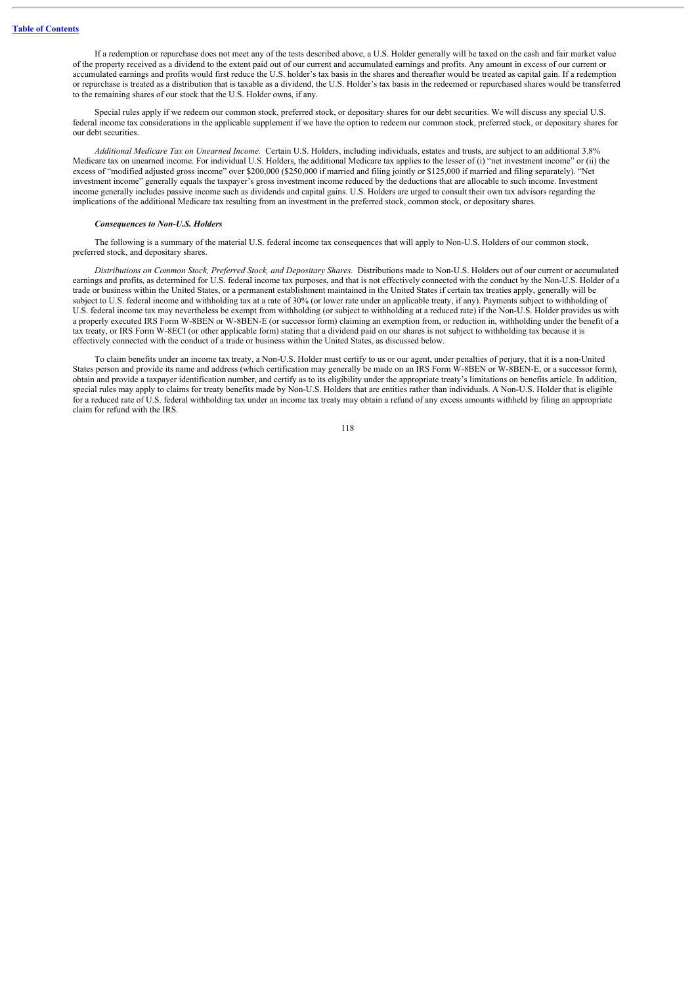If a redemption or repurchase does not meet any of the tests described above, a U.S. Holder generally will be taxed on the cash and fair market value of the property received as a dividend to the extent paid out of our current and accumulated earnings and profits. Any amount in excess of our current or accumulated earnings and profits would first reduce the U.S. holder's tax basis in the shares and thereafter would be treated as capital gain. If a redemption or repurchase is treated as a distribution that is taxable as a dividend, the U.S. Holder's tax basis in the redeemed or repurchased shares would be transferred to the remaining shares of our stock that the U.S. Holder owns, if any.

Special rules apply if we redeem our common stock, preferred stock, or depositary shares for our debt securities. We will discuss any special U.S. federal income tax considerations in the applicable supplement if we have the option to redeem our common stock, preferred stock, or depositary shares for our debt securities.

*Additional Medicare Tax on Unearned Income.* Certain U.S. Holders, including individuals, estates and trusts, are subject to an additional 3.8% Medicare tax on unearned income. For individual U.S. Holders, the additional Medicare tax applies to the lesser of (i) "net investment income" or (ii) the excess of "modified adjusted gross income" over \$200,000 (\$250,000 if married and filing jointly or \$125,000 if married and filing separately). "Net investment income" generally equals the taxpayer's gross investment income reduced by the deductions that are allocable to such income. Investment income generally includes passive income such as dividends and capital gains. U.S. Holders are urged to consult their own tax advisors regarding the implications of the additional Medicare tax resulting from an investment in the preferred stock, common stock, or depositary shares.

### *Consequences to Non-U.S. Holders*

The following is a summary of the material U.S. federal income tax consequences that will apply to Non-U.S. Holders of our common stock, preferred stock, and depositary shares.

*Distributions on Common Stock, Preferred Stock, and Depositary Shares.* Distributions made to Non-U.S. Holders out of our current or accumulated earnings and profits, as determined for U.S. federal income tax purposes, and that is not effectively connected with the conduct by the Non-U.S. Holder of a trade or business within the United States, or a permanent establishment maintained in the United States if certain tax treaties apply, generally will be subject to U.S. federal income and withholding tax at a rate of 30% (or lower rate under an applicable treaty, if any). Payments subject to withholding of U.S. federal income tax may nevertheless be exempt from withholding (or subject to withholding at a reduced rate) if the Non-U.S. Holder provides us with a properly executed IRS Form W-8BEN or W-8BEN-E (or successor form) claiming an exemption from, or reduction in, withholding under the benefit of a tax treaty, or IRS Form W-8ECI (or other applicable form) stating that a dividend paid on our shares is not subject to withholding tax because it is effectively connected with the conduct of a trade or business within the United States, as discussed below.

To claim benefits under an income tax treaty, a Non-U.S. Holder must certify to us or our agent, under penalties of perjury, that it is a non-United States person and provide its name and address (which certification may generally be made on an IRS Form W-8BEN or W-8BEN-E, or a successor form), obtain and provide a taxpayer identification number, and certify as to its eligibility under the appropriate treaty's limitations on benefits article. In addition, special rules may apply to claims for treaty benefits made by Non-U.S. Holders that are entities rather than individuals. A Non-U.S. Holder that is eligible for a reduced rate of U.S. federal withholding tax under an income tax treaty may obtain a refund of any excess amounts withheld by filing an appropriate claim for refund with the IRS.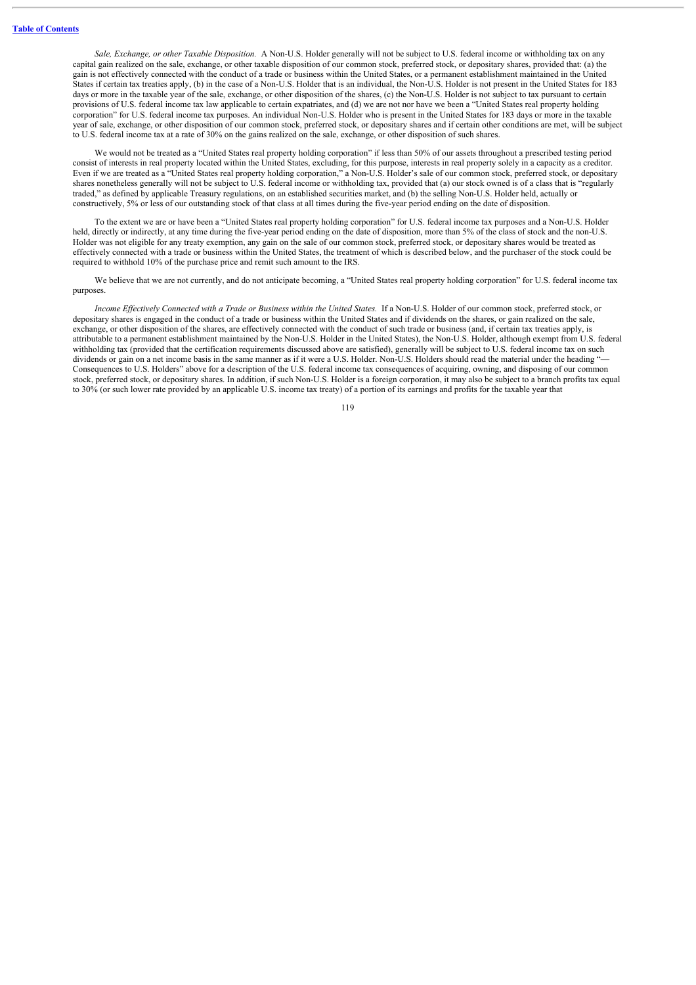*Sale, Exchange, or other Taxable Disposition.* A Non-U.S. Holder generally will not be subject to U.S. federal income or withholding tax on any capital gain realized on the sale, exchange, or other taxable disposition of our common stock, preferred stock, or depositary shares, provided that: (a) the gain is not effectively connected with the conduct of a trade or business within the United States, or a permanent establishment maintained in the United States if certain tax treaties apply, (b) in the case of a Non-U.S. Holder that is an individual, the Non-U.S. Holder is not present in the United States for 183 days or more in the taxable year of the sale, exchange, or other disposition of the shares, (c) the Non-U.S. Holder is not subject to tax pursuant to certain provisions of U.S. federal income tax law applicable to certain expatriates, and (d) we are not nor have we been a "United States real property holding corporation" for U.S. federal income tax purposes. An individual Non-U.S. Holder who is present in the United States for 183 days or more in the taxable year of sale, exchange, or other disposition of our common stock, preferred stock, or depositary shares and if certain other conditions are met, will be subject to U.S. federal income tax at a rate of 30% on the gains realized on the sale, exchange, or other disposition of such shares.

We would not be treated as a "United States real property holding corporation" if less than 50% of our assets throughout a prescribed testing period consist of interests in real property located within the United States, excluding, for this purpose, interests in real property solely in a capacity as a creditor. Even if we are treated as a "United States real property holding corporation," a Non-U.S. Holder's sale of our common stock, preferred stock, or depositary shares nonetheless generally will not be subject to U.S. federal income or withholding tax, provided that (a) our stock owned is of a class that is "regularly traded," as defined by applicable Treasury regulations, on an established securities market, and (b) the selling Non-U.S. Holder held, actually or constructively, 5% or less of our outstanding stock of that class at all times during the five-year period ending on the date of disposition.

To the extent we are or have been a "United States real property holding corporation" for U.S. federal income tax purposes and a Non-U.S. Holder held, directly or indirectly, at any time during the five-year period ending on the date of disposition, more than 5% of the class of stock and the non-U.S. Holder was not eligible for any treaty exemption, any gain on the sale of our common stock, preferred stock, or depositary shares would be treated as effectively connected with a trade or business within the United States, the treatment of which is described below, and the purchaser of the stock could be required to withhold 10% of the purchase price and remit such amount to the IRS.

We believe that we are not currently, and do not anticipate becoming, a "United States real property holding corporation" for U.S. federal income tax purposes.

Income Effectively Connected with a Trade or Business within the United States. If a Non-U.S. Holder of our common stock, preferred stock, or depositary shares is engaged in the conduct of a trade or business within the United States and if dividends on the shares, or gain realized on the sale, exchange, or other disposition of the shares, are effectively connected with the conduct of such trade or business (and, if certain tax treaties apply, is attributable to a permanent establishment maintained by the Non-U.S. Holder in the United States), the Non-U.S. Holder, although exempt from U.S. federal withholding tax (provided that the certification requirements discussed above are satisfied), generally will be subject to U.S. federal income tax on such dividends or gain on a net income basis in the same manner as if it were a U.S. Holder. Non-U.S. Holders should read the material under the heading " Consequences to U.S. Holders" above for a description of the U.S. federal income tax consequences of acquiring, owning, and disposing of our common stock, preferred stock, or depositary shares. In addition, if such Non-U.S. Holder is a foreign corporation, it may also be subject to a branch profits tax equal to 30% (or such lower rate provided by an applicable U.S. income tax treaty) of a portion of its earnings and profits for the taxable year that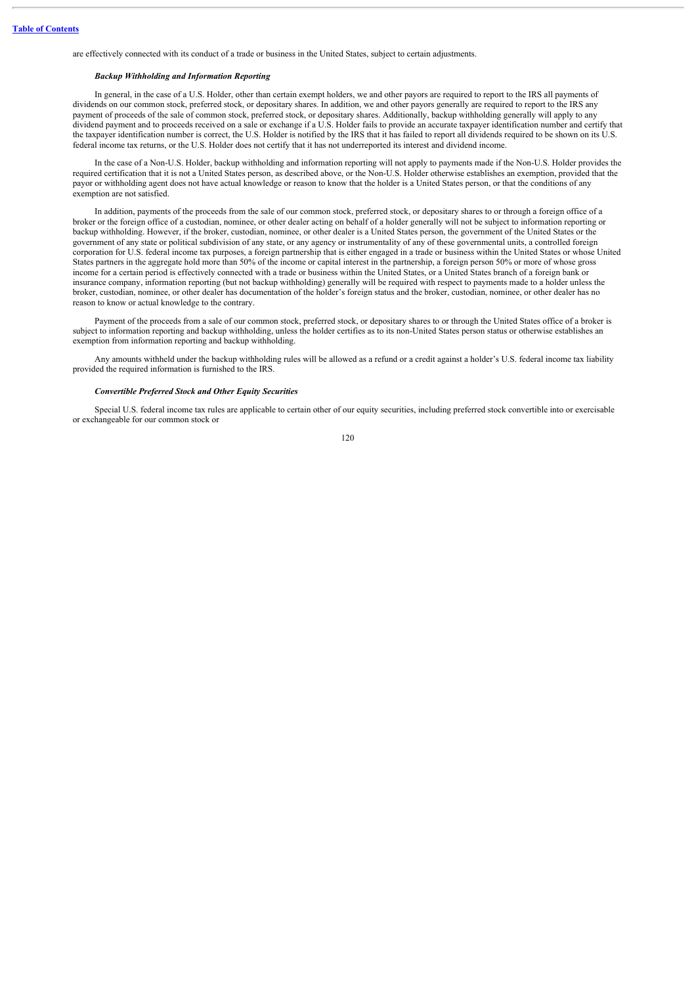are effectively connected with its conduct of a trade or business in the United States, subject to certain adjustments.

### *Backup Withholding and Information Reporting*

In general, in the case of a U.S. Holder, other than certain exempt holders, we and other payors are required to report to the IRS all payments of dividends on our common stock, preferred stock, or depositary shares. In addition, we and other payors generally are required to report to the IRS any payment of proceeds of the sale of common stock, preferred stock, or depositary shares. Additionally, backup withholding generally will apply to any dividend payment and to proceeds received on a sale or exchange if a U.S. Holder fails to provide an accurate taxpayer identification number and certify that the taxpayer identification number is correct, the U.S. Holder is notified by the IRS that it has failed to report all dividends required to be shown on its U.S. federal income tax returns, or the U.S. Holder does not certify that it has not underreported its interest and dividend income.

In the case of a Non-U.S. Holder, backup withholding and information reporting will not apply to payments made if the Non-U.S. Holder provides the required certification that it is not a United States person, as described above, or the Non-U.S. Holder otherwise establishes an exemption, provided that the payor or withholding agent does not have actual knowledge or reason to know that the holder is a United States person, or that the conditions of any exemption are not satisfied.

In addition, payments of the proceeds from the sale of our common stock, preferred stock, or depositary shares to or through a foreign office of a broker or the foreign office of a custodian, nominee, or other dealer acting on behalf of a holder generally will not be subject to information reporting or backup withholding. However, if the broker, custodian, nominee, or other dealer is a United States person, the government of the United States or the government of any state or political subdivision of any state, or any agency or instrumentality of any of these governmental units, a controlled foreign corporation for U.S. federal income tax purposes, a foreign partnership that is either engaged in a trade or business within the United States or whose United States partners in the aggregate hold more than 50% of the income or capital interest in the partnership, a foreign person 50% or more of whose gross income for a certain period is effectively connected with a trade or business within the United States, or a United States branch of a foreign bank or insurance company, information reporting (but not backup withholding) generally will be required with respect to payments made to a holder unless the broker, custodian, nominee, or other dealer has documentation of the holder's foreign status and the broker, custodian, nominee, or other dealer has no reason to know or actual knowledge to the contrary.

Payment of the proceeds from a sale of our common stock, preferred stock, or depositary shares to or through the United States office of a broker is subject to information reporting and backup withholding, unless the holder certifies as to its non-United States person status or otherwise establishes an exemption from information reporting and backup withholding.

Any amounts withheld under the backup withholding rules will be allowed as a refund or a credit against a holder's U.S. federal income tax liability provided the required information is furnished to the IRS.

### *Convertible Preferred Stock and Other Equity Securities*

Special U.S. federal income tax rules are applicable to certain other of our equity securities, including preferred stock convertible into or exercisable or exchangeable for our common stock or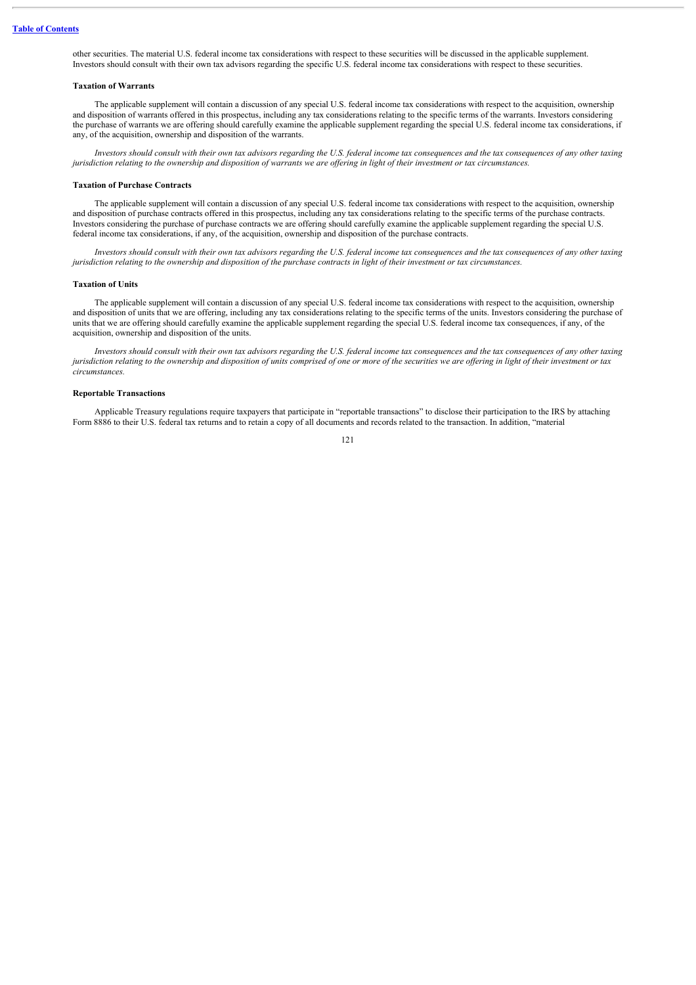other securities. The material U.S. federal income tax considerations with respect to these securities will be discussed in the applicable supplement. Investors should consult with their own tax advisors regarding the specific U.S. federal income tax considerations with respect to these securities.

### **Taxation of Warrants**

The applicable supplement will contain a discussion of any special U.S. federal income tax considerations with respect to the acquisition, ownership and disposition of warrants offered in this prospectus, including any tax considerations relating to the specific terms of the warrants. Investors considering the purchase of warrants we are offering should carefully examine the applicable supplement regarding the special U.S. federal income tax considerations, if any, of the acquisition, ownership and disposition of the warrants.

Investors should consult with their own tax advisors regarding the U.S. federal income tax consequences and the tax consequences of any other taxing jurisdiction relating to the ownership and disposition of warrants we are offering in light of their investment or tax circumstances.

#### **Taxation of Purchase Contracts**

The applicable supplement will contain a discussion of any special U.S. federal income tax considerations with respect to the acquisition, ownership and disposition of purchase contracts offered in this prospectus, including any tax considerations relating to the specific terms of the purchase contracts. Investors considering the purchase of purchase contracts we are offering should carefully examine the applicable supplement regarding the special U.S. federal income tax considerations, if any, of the acquisition, ownership and disposition of the purchase contracts.

Investors should consult with their own tax advisors regarding the U.S. federal income tax consequences and the tax consequences of any other taxing jurisdiction relating to the ownership and disposition of the purchase contracts in light of their investment or tax circumstances.

#### **Taxation of Units**

The applicable supplement will contain a discussion of any special U.S. federal income tax considerations with respect to the acquisition, ownership and disposition of units that we are offering, including any tax considerations relating to the specific terms of the units. Investors considering the purchase of units that we are offering should carefully examine the applicable supplement regarding the special U.S. federal income tax consequences, if any, of the acquisition, ownership and disposition of the units.

Investors should consult with their own tax advisors regarding the U.S. federal income tax consequences and the tax consequences of any other taxing jurisdiction relating to the ownership and disposition of units comprised of one or more of the securities we are offering in light of their investment or tax *circumstances.*

### **Reportable Transactions**

Applicable Treasury regulations require taxpayers that participate in "reportable transactions" to disclose their participation to the IRS by attaching Form 8886 to their U.S. federal tax returns and to retain a copy of all documents and records related to the transaction. In addition, "material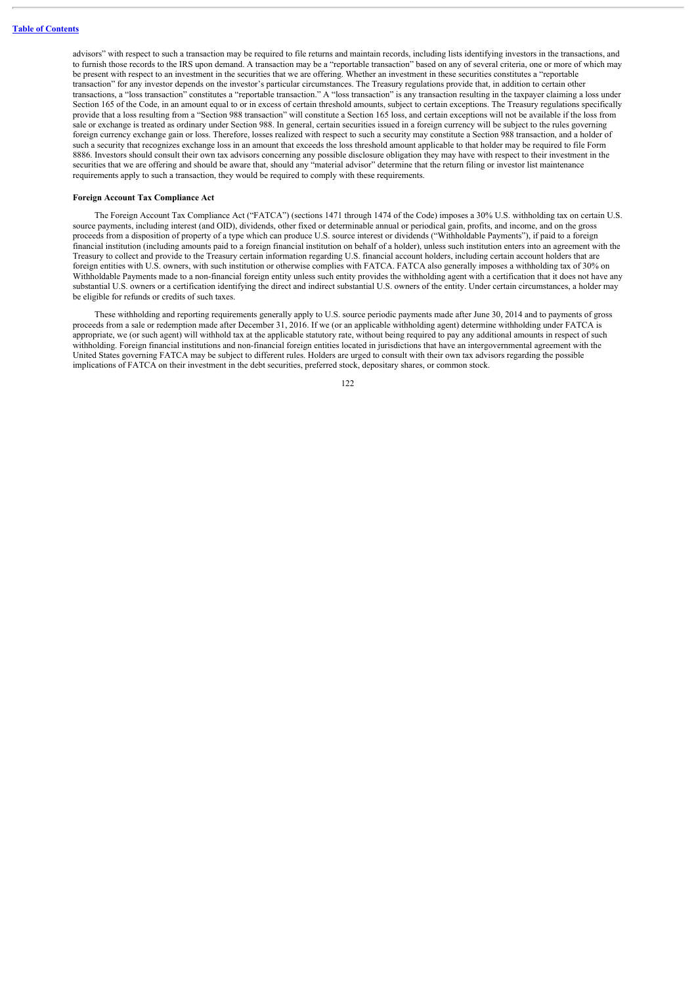advisors" with respect to such a transaction may be required to file returns and maintain records, including lists identifying investors in the transactions, and to furnish those records to the IRS upon demand. A transaction may be a "reportable transaction" based on any of several criteria, one or more of which may be present with respect to an investment in the securities that we are offering. Whether an investment in these securities constitutes a "reportable transaction" for any investor depends on the investor's particular circumstances. The Treasury regulations provide that, in addition to certain other transactions, a "loss transaction" constitutes a "reportable transaction." A "loss transaction" is any transaction resulting in the taxpayer claiming a loss under Section 165 of the Code, in an amount equal to or in excess of certain threshold amounts, subject to certain exceptions. The Treasury regulations specifically provide that a loss resulting from a "Section 988 transaction" will constitute a Section 165 loss, and certain exceptions will not be available if the loss from sale or exchange is treated as ordinary under Section 988. In general, certain securities issued in a foreign currency will be subject to the rules governing foreign currency exchange gain or loss. Therefore, losses realized with respect to such a security may constitute a Section 988 transaction, and a holder of such a security that recognizes exchange loss in an amount that exceeds the loss threshold amount applicable to that holder may be required to file Form 8886. Investors should consult their own tax advisors concerning any possible disclosure obligation they may have with respect to their investment in the securities that we are offering and should be aware that, should any "material advisor" determine that the return filing or investor list maintenance requirements apply to such a transaction, they would be required to comply with these requirements.

### **Foreign Account Tax Compliance Act**

The Foreign Account Tax Compliance Act ("FATCA") (sections 1471 through 1474 of the Code) imposes a 30% U.S. withholding tax on certain U.S. source payments, including interest (and OID), dividends, other fixed or determinable annual or periodical gain, profits, and income, and on the gross proceeds from a disposition of property of a type which can produce U.S. source interest or dividends ("Withholdable Payments"), if paid to a foreign financial institution (including amounts paid to a foreign financial institution on behalf of a holder), unless such institution enters into an agreement with the Treasury to collect and provide to the Treasury certain information regarding U.S. financial account holders, including certain account holders that are foreign entities with U.S. owners, with such institution or otherwise complies with FATCA. FATCA also generally imposes a withholding tax of 30% on Withholdable Payments made to a non-financial foreign entity unless such entity provides the withholding agent with a certification that it does not have any substantial U.S. owners or a certification identifying the direct and indirect substantial U.S. owners of the entity. Under certain circumstances, a holder may be eligible for refunds or credits of such taxes.

These withholding and reporting requirements generally apply to U.S. source periodic payments made after June 30, 2014 and to payments of gross proceeds from a sale or redemption made after December 31, 2016. If we (or an applicable withholding agent) determine withholding under FATCA is appropriate, we (or such agent) will withhold tax at the applicable statutory rate, without being required to pay any additional amounts in respect of such withholding. Foreign financial institutions and non-financial foreign entities located in jurisdictions that have an intergovernmental agreement with the United States governing FATCA may be subject to different rules. Holders are urged to consult with their own tax advisors regarding the possible implications of FATCA on their investment in the debt securities, preferred stock, depositary shares, or common stock.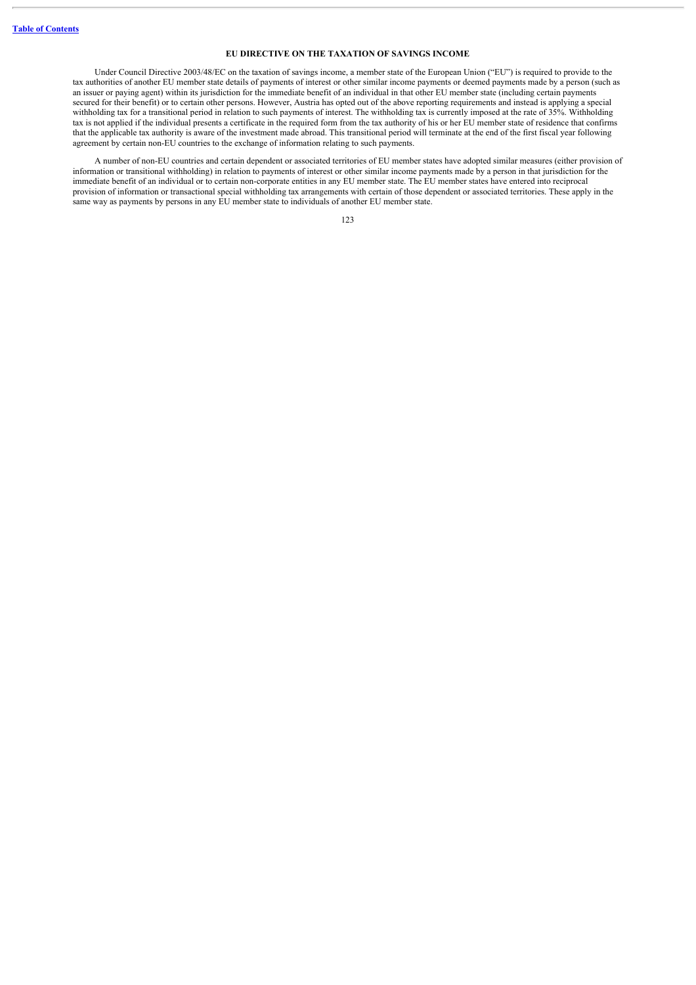#### **EU DIRECTIVE ON THE TAXATION OF SAVINGS INCOME**

Under Council Directive 2003/48/EC on the taxation of savings income, a member state of the European Union ("EU") is required to provide to the tax authorities of another EU member state details of payments of interest or other similar income payments or deemed payments made by a person (such as an issuer or paying agent) within its jurisdiction for the immediate benefit of an individual in that other EU member state (including certain payments secured for their benefit) or to certain other persons. However, Austria has opted out of the above reporting requirements and instead is applying a special withholding tax for a transitional period in relation to such payments of interest. The withholding tax is currently imposed at the rate of  $35\%$ . Withholding tax is not applied if the individual presents a certificate in the required form from the tax authority of his or her EU member state of residence that confirms that the applicable tax authority is aware of the investment made abroad. This transitional period will terminate at the end of the first fiscal year following agreement by certain non-EU countries to the exchange of information relating to such payments.

A number of non-EU countries and certain dependent or associated territories of EU member states have adopted similar measures (either provision of information or transitional withholding) in relation to payments of interest or other similar income payments made by a person in that jurisdiction for the immediate benefit of an individual or to certain non-corporate entities in any EU member state. The EU member states have entered into reciprocal provision of information or transactional special withholding tax arrangements with certain of those dependent or associated territories. These apply in the same way as payments by persons in any EU member state to individuals of another EU member state.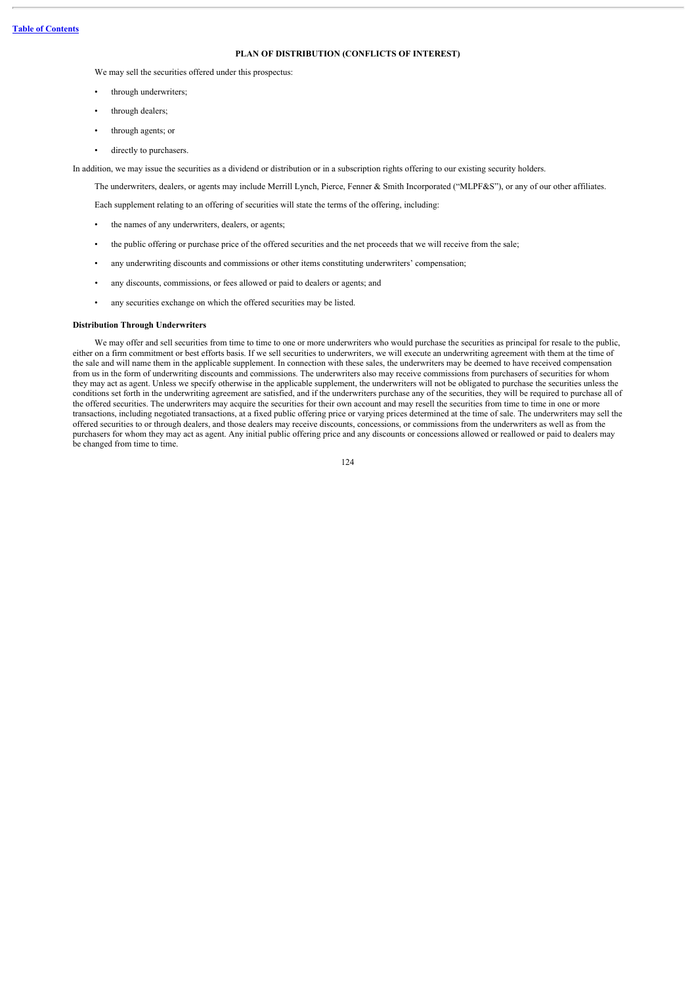## **PLAN OF DISTRIBUTION (CONFLICTS OF INTEREST)**

We may sell the securities offered under this prospectus:

- through underwriters;
- through dealers;
- through agents; or
- directly to purchasers.

In addition, we may issue the securities as a dividend or distribution or in a subscription rights offering to our existing security holders.

The underwriters, dealers, or agents may include Merrill Lynch, Pierce, Fenner & Smith Incorporated ("MLPF&S"), or any of our other affiliates.

Each supplement relating to an offering of securities will state the terms of the offering, including:

- the names of any underwriters, dealers, or agents;
- the public offering or purchase price of the offered securities and the net proceeds that we will receive from the sale;
- any underwriting discounts and commissions or other items constituting underwriters' compensation;
- any discounts, commissions, or fees allowed or paid to dealers or agents; and
- any securities exchange on which the offered securities may be listed.

## **Distribution Through Underwriters**

We may offer and sell securities from time to time to one or more underwriters who would purchase the securities as principal for resale to the public, either on a firm commitment or best efforts basis. If we sell securities to underwriters, we will execute an underwriting agreement with them at the time of the sale and will name them in the applicable supplement. In connection with these sales, the underwriters may be deemed to have received compensation from us in the form of underwriting discounts and commissions. The underwriters also may receive commissions from purchasers of securities for whom they may act as agent. Unless we specify otherwise in the applicable supplement, the underwriters will not be obligated to purchase the securities unless the conditions set forth in the underwriting agreement are satisfied, and if the underwriters purchase any of the securities, they will be required to purchase all of the offered securities. The underwriters may acquire the securities for their own account and may resell the securities from time to time in one or more transactions, including negotiated transactions, at a fixed public offering price or varying prices determined at the time of sale. The underwriters may sell the offered securities to or through dealers, and those dealers may receive discounts, concessions, or commissions from the underwriters as well as from the purchasers for whom they may act as agent. Any initial public offering price and any discounts or concessions allowed or reallowed or paid to dealers may be changed from time to time.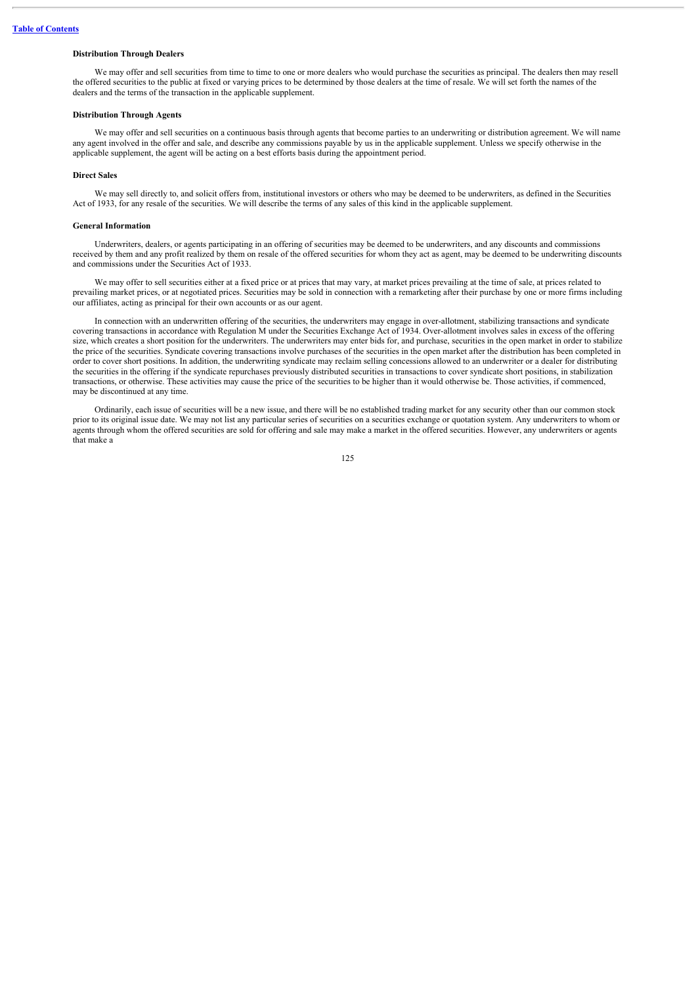#### **Distribution Through Dealers**

We may offer and sell securities from time to time to one or more dealers who would purchase the securities as principal. The dealers then may resell the offered securities to the public at fixed or varying prices to be determined by those dealers at the time of resale. We will set forth the names of the dealers and the terms of the transaction in the applicable supplement.

### **Distribution Through Agents**

We may offer and sell securities on a continuous basis through agents that become parties to an underwriting or distribution agreement. We will name any agent involved in the offer and sale, and describe any commissions payable by us in the applicable supplement. Unless we specify otherwise in the applicable supplement, the agent will be acting on a best efforts basis during the appointment period.

### **Direct Sales**

We may sell directly to, and solicit offers from, institutional investors or others who may be deemed to be underwriters, as defined in the Securities Act of 1933, for any resale of the securities. We will describe the terms of any sales of this kind in the applicable supplement.

### **General Information**

Underwriters, dealers, or agents participating in an offering of securities may be deemed to be underwriters, and any discounts and commissions received by them and any profit realized by them on resale of the offered securities for whom they act as agent, may be deemed to be underwriting discounts and commissions under the Securities Act of 1933.

We may offer to sell securities either at a fixed price or at prices that may vary, at market prices prevailing at the time of sale, at prices related to prevailing market prices, or at negotiated prices. Securities may be sold in connection with a remarketing after their purchase by one or more firms including our affiliates, acting as principal for their own accounts or as our agent.

In connection with an underwritten offering of the securities, the underwriters may engage in over-allotment, stabilizing transactions and syndicate covering transactions in accordance with Regulation M under the Securities Exchange Act of 1934. Over-allotment involves sales in excess of the offering size, which creates a short position for the underwriters. The underwriters may enter bids for, and purchase, securities in the open market in order to stabilize the price of the securities. Syndicate covering transactions involve purchases of the securities in the open market after the distribution has been completed in order to cover short positions. In addition, the underwriting syndicate may reclaim selling concessions allowed to an underwriter or a dealer for distributing the securities in the offering if the syndicate repurchases previously distributed securities in transactions to cover syndicate short positions, in stabilization transactions, or otherwise. These activities may cause the price of the securities to be higher than it would otherwise be. Those activities, if commenced, may be discontinued at any time.

Ordinarily, each issue of securities will be a new issue, and there will be no established trading market for any security other than our common stock prior to its original issue date. We may not list any particular series of securities on a securities exchange or quotation system. Any underwriters to whom or agents through whom the offered securities are sold for offering and sale may make a market in the offered securities. However, any underwriters or agents that make a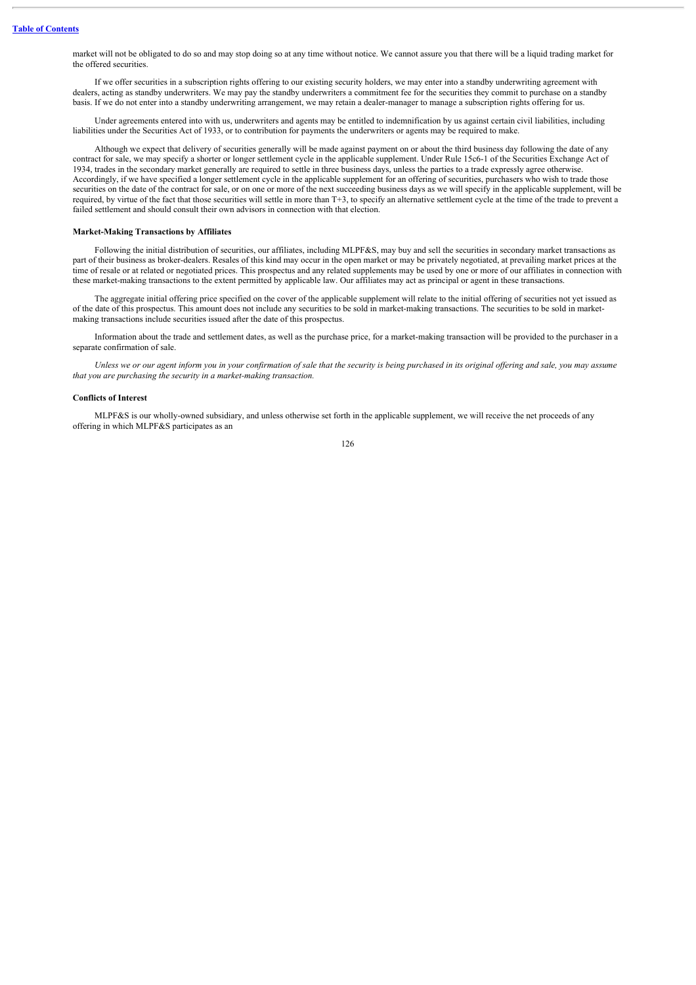market will not be obligated to do so and may stop doing so at any time without notice. We cannot assure you that there will be a liquid trading market for the offered securities.

If we offer securities in a subscription rights offering to our existing security holders, we may enter into a standby underwriting agreement with dealers, acting as standby underwriters. We may pay the standby underwriters a commitment fee for the securities they commit to purchase on a standby basis. If we do not enter into a standby underwriting arrangement, we may retain a dealer-manager to manage a subscription rights offering for us.

Under agreements entered into with us, underwriters and agents may be entitled to indemnification by us against certain civil liabilities, including liabilities under the Securities Act of 1933, or to contribution for payments the underwriters or agents may be required to make.

Although we expect that delivery of securities generally will be made against payment on or about the third business day following the date of any contract for sale, we may specify a shorter or longer settlement cycle in the applicable supplement. Under Rule 15c6-1 of the Securities Exchange Act of 1934, trades in the secondary market generally are required to settle in three business days, unless the parties to a trade expressly agree otherwise. Accordingly, if we have specified a longer settlement cycle in the applicable supplement for an offering of securities, purchasers who wish to trade those securities on the date of the contract for sale, or on one or more of the next succeeding business days as we will specify in the applicable supplement, will be required, by virtue of the fact that those securities will settle in more than T+3, to specify an alternative settlement cycle at the time of the trade to prevent a failed settlement and should consult their own advisors in connection with that election.

#### **Market-Making Transactions by Affiliates**

Following the initial distribution of securities, our affiliates, including MLPF&S, may buy and sell the securities in secondary market transactions as part of their business as broker-dealers. Resales of this kind may occur in the open market or may be privately negotiated, at prevailing market prices at the time of resale or at related or negotiated prices. This prospectus and any related supplements may be used by one or more of our affiliates in connection with these market-making transactions to the extent permitted by applicable law. Our affiliates may act as principal or agent in these transactions.

The aggregate initial offering price specified on the cover of the applicable supplement will relate to the initial offering of securities not yet issued as of the date of this prospectus. This amount does not include any securities to be sold in market-making transactions. The securities to be sold in marketmaking transactions include securities issued after the date of this prospectus.

Information about the trade and settlement dates, as well as the purchase price, for a market-making transaction will be provided to the purchaser in a separate confirmation of sale.

Unless we or our agent inform you in your confirmation of sale that the security is being purchased in its original offering and sale, you may assume *that you are purchasing the security in a market-making transaction.*

### **Conflicts of Interest**

MLPF&S is our wholly-owned subsidiary, and unless otherwise set forth in the applicable supplement, we will receive the net proceeds of any offering in which MLPF&S participates as an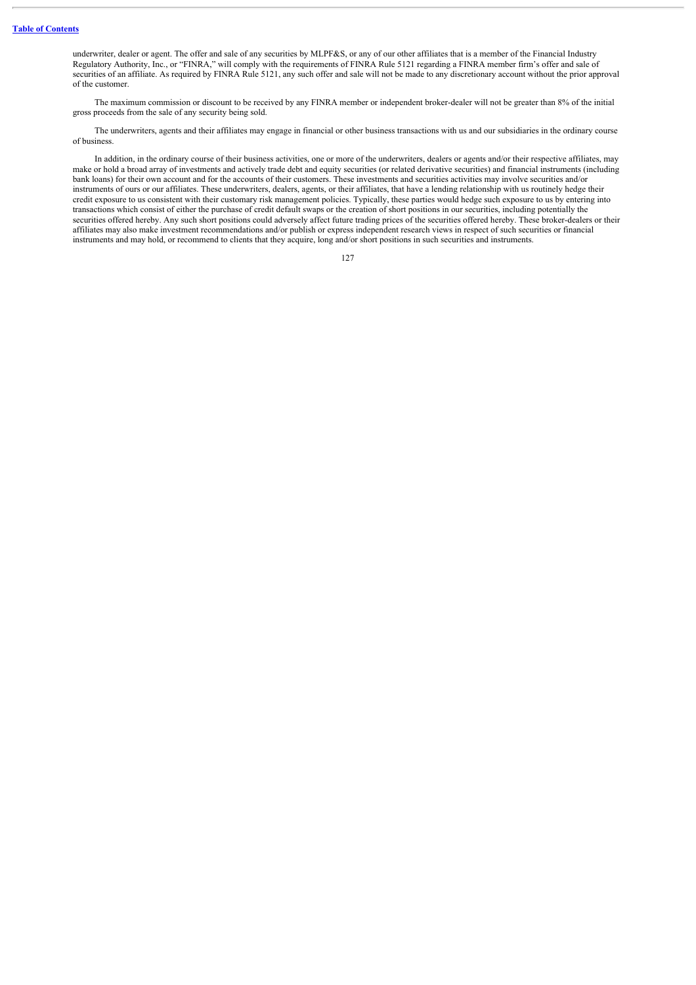underwriter, dealer or agent. The offer and sale of any securities by MLPF&S, or any of our other affiliates that is a member of the Financial Industry Regulatory Authority, Inc., or "FINRA," will comply with the requirements of FINRA Rule 5121 regarding a FINRA member firm's offer and sale of securities of an affiliate. As required by FINRA Rule 5121, any such offer and sale will not be made to any discretionary account without the prior approval of the customer.

The maximum commission or discount to be received by any FINRA member or independent broker-dealer will not be greater than 8% of the initial gross proceeds from the sale of any security being sold.

The underwriters, agents and their affiliates may engage in financial or other business transactions with us and our subsidiaries in the ordinary course of business.

In addition, in the ordinary course of their business activities, one or more of the underwriters, dealers or agents and/or their respective affiliates, may make or hold a broad array of investments and actively trade debt and equity securities (or related derivative securities) and financial instruments (including bank loans) for their own account and for the accounts of their customers. These investments and securities activities may involve securities and/or instruments of ours or our affiliates. These underwriters, dealers, agents, or their affiliates, that have a lending relationship with us routinely hedge their credit exposure to us consistent with their customary risk management policies. Typically, these parties would hedge such exposure to us by entering into transactions which consist of either the purchase of credit default swaps or the creation of short positions in our securities, including potentially the securities offered hereby. Any such short positions could adversely affect future trading prices of the securities offered hereby. These broker-dealers or their affiliates may also make investment recommendations and/or publish or express independent research views in respect of such securities or financial instruments and may hold, or recommend to clients that they acquire, long and/or short positions in such securities and instruments.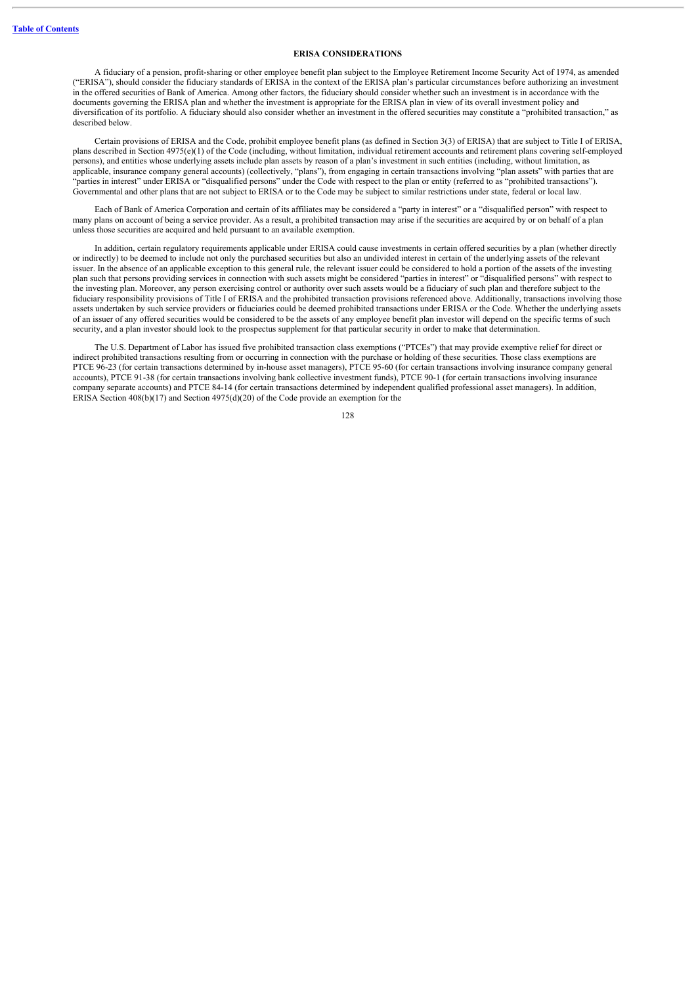### **ERISA CONSIDERATIONS**

A fiduciary of a pension, profit-sharing or other employee benefit plan subject to the Employee Retirement Income Security Act of 1974, as amended ("ERISA"), should consider the fiduciary standards of ERISA in the context of the ERISA plan's particular circumstances before authorizing an investment in the offered securities of Bank of America. Among other factors, the fiduciary should consider whether such an investment is in accordance with the documents governing the ERISA plan and whether the investment is appropriate for the ERISA plan in view of its overall investment policy and diversification of its portfolio. A fiduciary should also consider whether an investment in the offered securities may constitute a "prohibited transaction," as described below.

Certain provisions of ERISA and the Code, prohibit employee benefit plans (as defined in Section 3(3) of ERISA) that are subject to Title I of ERISA, plans described in Section 4975(e)(1) of the Code (including, without limitation, individual retirement accounts and retirement plans covering self-employed persons), and entities whose underlying assets include plan assets by reason of a plan's investment in such entities (including, without limitation, as applicable, insurance company general accounts) (collectively, "plans"), from engaging in certain transactions involving "plan assets" with parties that are "parties in interest" under ERISA or "disqualified persons" under the Code with respect to the plan or entity (referred to as "prohibited transactions"). Governmental and other plans that are not subject to ERISA or to the Code may be subject to similar restrictions under state, federal or local law.

Each of Bank of America Corporation and certain of its affiliates may be considered a "party in interest" or a "disqualified person" with respect to many plans on account of being a service provider. As a result, a prohibited transaction may arise if the securities are acquired by or on behalf of a plan unless those securities are acquired and held pursuant to an available exemption.

In addition, certain regulatory requirements applicable under ERISA could cause investments in certain offered securities by a plan (whether directly or indirectly) to be deemed to include not only the purchased securities but also an undivided interest in certain of the underlying assets of the relevant issuer. In the absence of an applicable exception to this general rule, the relevant issuer could be considered to hold a portion of the assets of the investing plan such that persons providing services in connection with such assets might be considered "parties in interest" or "disqualified persons" with respect to the investing plan. Moreover, any person exercising control or authority over such assets would be a fiduciary of such plan and therefore subject to the fiduciary responsibility provisions of Title I of ERISA and the prohibited transaction provisions referenced above. Additionally, transactions involving those assets undertaken by such service providers or fiduciaries could be deemed prohibited transactions under ERISA or the Code. Whether the underlying assets of an issuer of any offered securities would be considered to be the assets of any employee benefit plan investor will depend on the specific terms of such security, and a plan investor should look to the prospectus supplement for that particular security in order to make that determination.

The U.S. Department of Labor has issued five prohibited transaction class exemptions ("PTCEs") that may provide exemptive relief for direct or indirect prohibited transactions resulting from or occurring in connection with the purchase or holding of these securities. Those class exemptions are PTCE 96-23 (for certain transactions determined by in-house asset managers), PTCE 95-60 (for certain transactions involving insurance company general accounts), PTCE 91-38 (for certain transactions involving bank collective investment funds), PTCE 90-1 (for certain transactions involving insurance company separate accounts) and PTCE 84-14 (for certain transactions determined by independent qualified professional asset managers). In addition, ERISA Section  $408(b)(17)$  and Section  $4975(d)(20)$  of the Code provide an exemption for the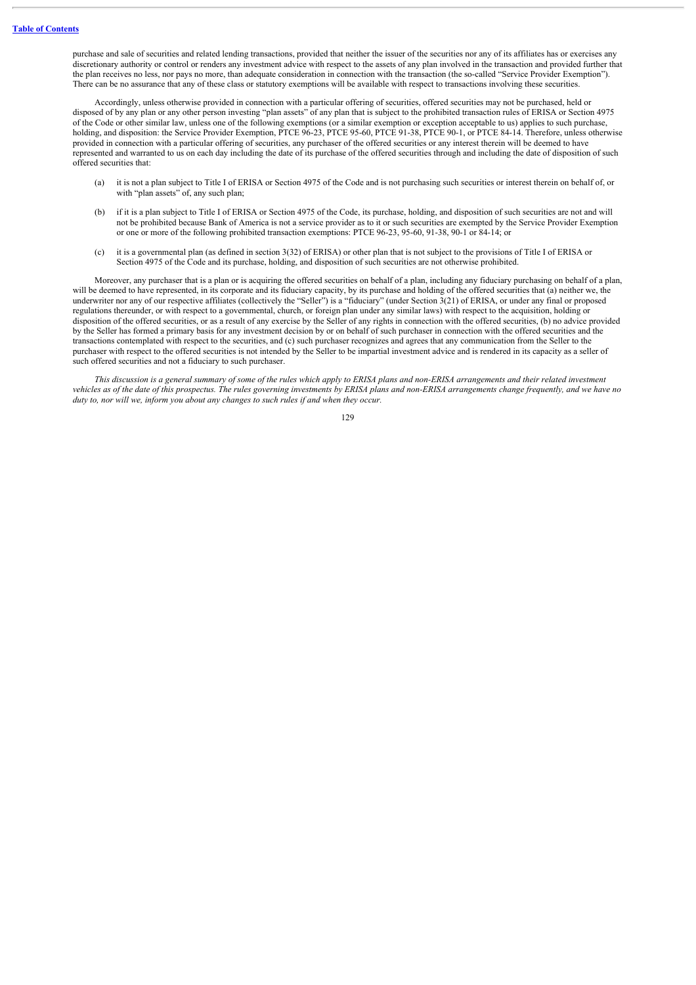purchase and sale of securities and related lending transactions, provided that neither the issuer of the securities nor any of its affiliates has or exercises any discretionary authority or control or renders any investment advice with respect to the assets of any plan involved in the transaction and provided further that the plan receives no less, nor pays no more, than adequate consideration in connection with the transaction (the so-called "Service Provider Exemption"). There can be no assurance that any of these class or statutory exemptions will be available with respect to transactions involving these securities.

Accordingly, unless otherwise provided in connection with a particular offering of securities, offered securities may not be purchased, held or disposed of by any plan or any other person investing "plan assets" of any plan that is subject to the prohibited transaction rules of ERISA or Section 4975 of the Code or other similar law, unless one of the following exemptions (or a similar exemption or exception acceptable to us) applies to such purchase, holding, and disposition: the Service Provider Exemption, PTCE 96-23, PTCE 95-60, PTCE 91-38, PTCE 90-1, or PTCE 84-14. Therefore, unless otherwise provided in connection with a particular offering of securities, any purchaser of the offered securities or any interest therein will be deemed to have represented and warranted to us on each day including the date of its purchase of the offered securities through and including the date of disposition of such offered securities that:

- it is not a plan subject to Title I of ERISA or Section 4975 of the Code and is not purchasing such securities or interest therein on behalf of, or with "plan assets" of, any such plan;
- (b) if it is a plan subject to Title I of ERISA or Section 4975 of the Code, its purchase, holding, and disposition of such securities are not and will not be prohibited because Bank of America is not a service provider as to it or such securities are exempted by the Service Provider Exemption or one or more of the following prohibited transaction exemptions: PTCE 96-23, 95-60, 91-38, 90-1 or 84-14; or
- (c) it is a governmental plan (as defined in section 3(32) of ERISA) or other plan that is not subject to the provisions of Title I of ERISA or Section 4975 of the Code and its purchase, holding, and disposition of such securities are not otherwise prohibited.

Moreover, any purchaser that is a plan or is acquiring the offered securities on behalf of a plan, including any fiduciary purchasing on behalf of a plan, will be deemed to have represented, in its corporate and its fiduciary capacity, by its purchase and holding of the offered securities that (a) neither we, the underwriter nor any of our respective affiliates (collectively the "Seller") is a "fiduciary" (under Section 3(21) of ERISA, or under any final or proposed regulations thereunder, or with respect to a governmental, church, or foreign plan under any similar laws) with respect to the acquisition, holding or disposition of the offered securities, or as a result of any exercise by the Seller of any rights in connection with the offered securities, (b) no advice provided by the Seller has formed a primary basis for any investment decision by or on behalf of such purchaser in connection with the offered securities and the transactions contemplated with respect to the securities, and (c) such purchaser recognizes and agrees that any communication from the Seller to the purchaser with respect to the offered securities is not intended by the Seller to be impartial investment advice and is rendered in its capacity as a seller of such offered securities and not a fiduciary to such purchaser.

This discussion is a general summary of some of the rules which apply to ERISA plans and non-ERISA arrangements and their related investment vehicles as of the date of this prospectus. The rules governing investments by ERISA plans and non-ERISA arrangements change frequently, and we have no *duty to, nor will we, inform you about any changes to such rules if and when they occur.*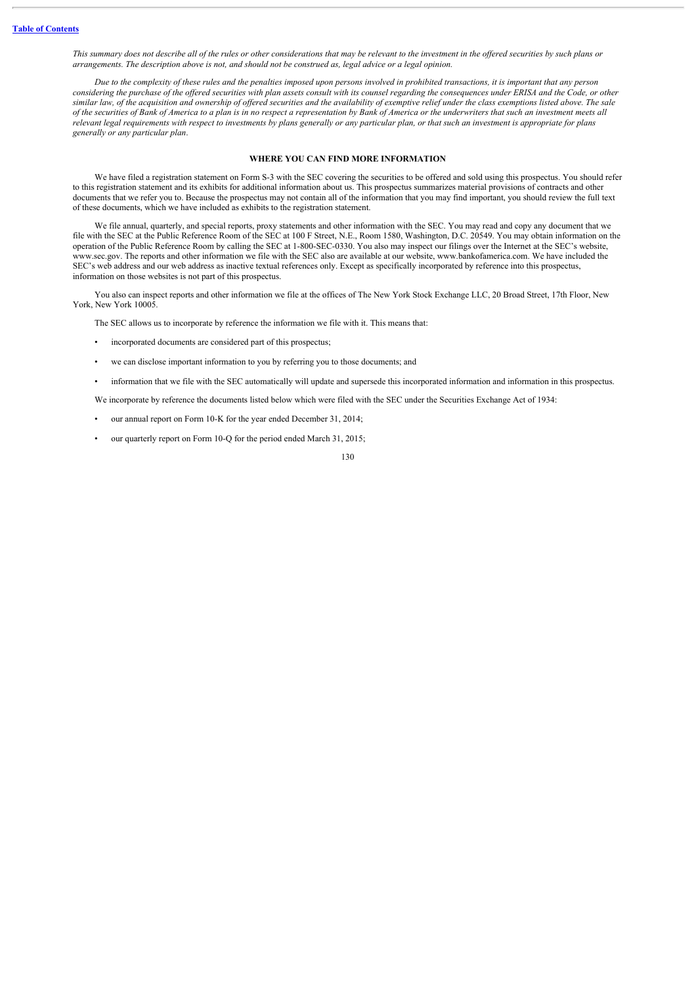This summary does not describe all of the rules or other considerations that may be relevant to the investment in the offered securities by such plans or arrangements. The description above is not, and should not be construed as, legal advice or a legal opinion.

Due to the complexity of these rules and the penalties imposed upon persons involved in prohibited transactions, it is important that any person considering the purchase of the offered securities with plan assets consult with its counsel regarding the consequences under ERISA and the Code, or other similar law, of the acquisition and ownership of offered securities and the availability of exemptive relief under the class exemptions listed above. The sale of the securities of Bank of America to a plan is in no respect a representation by Bank of America or the underwriters that such an investment meets all relevant legal requirements with respect to investments by plans generally or any particular plan, or that such an investment is appropriate for plans *generally or any particular plan*.

## **WHERE YOU CAN FIND MORE INFORMATION**

We have filed a registration statement on Form S-3 with the SEC covering the securities to be offered and sold using this prospectus. You should refer to this registration statement and its exhibits for additional information about us. This prospectus summarizes material provisions of contracts and other documents that we refer you to. Because the prospectus may not contain all of the information that you may find important, you should review the full text of these documents, which we have included as exhibits to the registration statement.

We file annual, quarterly, and special reports, proxy statements and other information with the SEC. You may read and copy any document that we file with the SEC at the Public Reference Room of the SEC at 100 F Street, N.E., Room 1580, Washington, D.C. 20549. You may obtain information on the operation of the Public Reference Room by calling the SEC at 1-800-SEC-0330. You also may inspect our filings over the Internet at the SEC's website, www.sec.gov. The reports and other information we file with the SEC also are available at our website, www.bankofamerica.com. We have included the SEC's web address and our web address as inactive textual references only. Except as specifically incorporated by reference into this prospectus, information on those websites is not part of this prospectus.

You also can inspect reports and other information we file at the offices of The New York Stock Exchange LLC, 20 Broad Street, 17th Floor, New York, New York 10005.

The SEC allows us to incorporate by reference the information we file with it. This means that:

- incorporated documents are considered part of this prospectus;
- we can disclose important information to you by referring you to those documents; and
- information that we file with the SEC automatically will update and supersede this incorporated information and information in this prospectus.

We incorporate by reference the documents listed below which were filed with the SEC under the Securities Exchange Act of 1934:

- our annual report on Form 10-K for the year ended December 31, 2014;
- our quarterly report on Form 10-Q for the period ended March 31, 2015;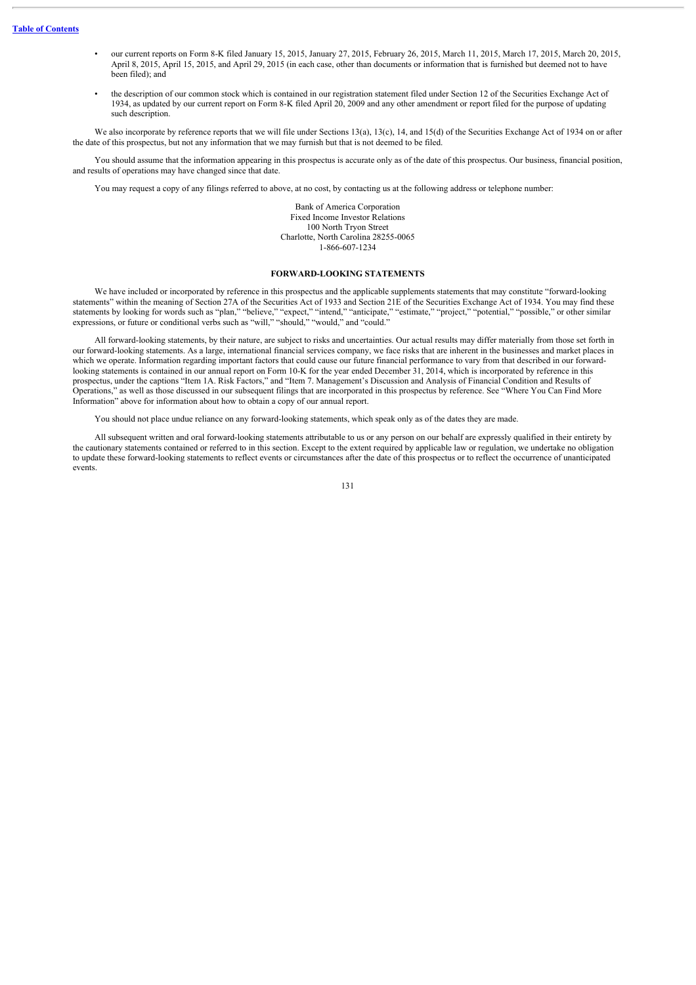- our current reports on Form 8-K filed January 15, 2015, January 27, 2015, February 26, 2015, March 11, 2015, March 17, 2015, March 20, 2015, April 8, 2015, April 15, 2015, and April 29, 2015 (in each case, other than documents or information that is furnished but deemed not to have been filed); and
- the description of our common stock which is contained in our registration statement filed under Section 12 of the Securities Exchange Act of 1934, as updated by our current report on Form 8-K filed April 20, 2009 and any other amendment or report filed for the purpose of updating such description.

We also incorporate by reference reports that we will file under Sections 13(a), 13(c), 14, and 15(d) of the Securities Exchange Act of 1934 on or after the date of this prospectus, but not any information that we may furnish but that is not deemed to be filed.

You should assume that the information appearing in this prospectus is accurate only as of the date of this prospectus. Our business, financial position, and results of operations may have changed since that date.

You may request a copy of any filings referred to above, at no cost, by contacting us at the following address or telephone number:

Bank of America Corporation Fixed Income Investor Relations 100 North Tryon Street Charlotte, North Carolina 28255-0065 1-866-607-1234

### **FORWARD-LOOKING STATEMENTS**

We have included or incorporated by reference in this prospectus and the applicable supplements statements that may constitute "forward-looking statements" within the meaning of Section 27A of the Securities Act of 1933 and Section 21E of the Securities Exchange Act of 1934. You may find these statements by looking for words such as "plan," "believe," "expect," "intend," "anticipate," "estimate," "project," "potential," "possible," or other similar expressions, or future or conditional verbs such as "will," "should," "would," and "could."

All forward-looking statements, by their nature, are subject to risks and uncertainties. Our actual results may differ materially from those set forth in our forward-looking statements. As a large, international financial services company, we face risks that are inherent in the businesses and market places in which we operate. Information regarding important factors that could cause our future financial performance to vary from that described in our forwardlooking statements is contained in our annual report on Form 10-K for the year ended December 31, 2014, which is incorporated by reference in this prospectus, under the captions "Item 1A. Risk Factors," and "Item 7. Management's Discussion and Analysis of Financial Condition and Results of Operations," as well as those discussed in our subsequent filings that are incorporated in this prospectus by reference. See "Where You Can Find More Information" above for information about how to obtain a copy of our annual report.

You should not place undue reliance on any forward-looking statements, which speak only as of the dates they are made.

All subsequent written and oral forward-looking statements attributable to us or any person on our behalf are expressly qualified in their entirety by the cautionary statements contained or referred to in this section. Except to the extent required by applicable law or regulation, we undertake no obligation to update these forward-looking statements to reflect events or circumstances after the date of this prospectus or to reflect the occurrence of unanticipated events.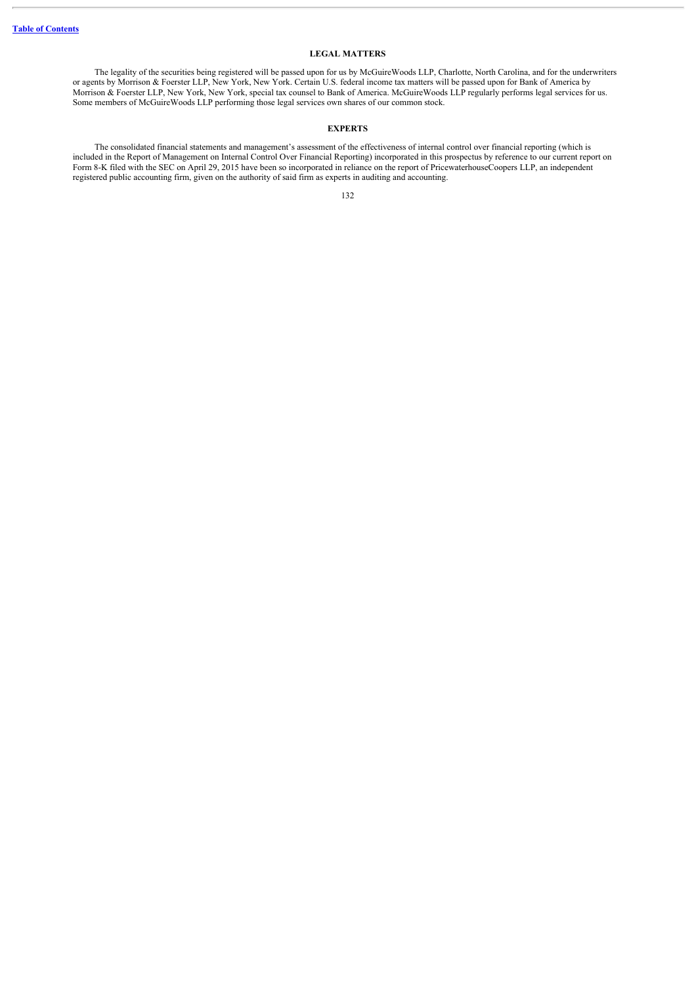### **LEGAL MATTERS**

The legality of the securities being registered will be passed upon for us by McGuireWoods LLP, Charlotte, North Carolina, and for the underwriters or agents by Morrison & Foerster LLP, New York, New York. Certain U.S. federal income tax matters will be passed upon for Bank of America by Morrison & Foerster LLP, New York, New York, special tax counsel to Bank of America. McGuireWoods LLP regularly performs legal services for us. Some members of McGuireWoods LLP performing those legal services own shares of our common stock.

## **EXPERTS**

The consolidated financial statements and management's assessment of the effectiveness of internal control over financial reporting (which is included in the Report of Management on Internal Control Over Financial Reporting) incorporated in this prospectus by reference to our current report on Form 8-K filed with the SEC on April 29, 2015 have been so incorporated in reliance on the report of PricewaterhouseCoopers LLP, an independent registered public accounting firm, given on the authority of said firm as experts in auditing and accounting.